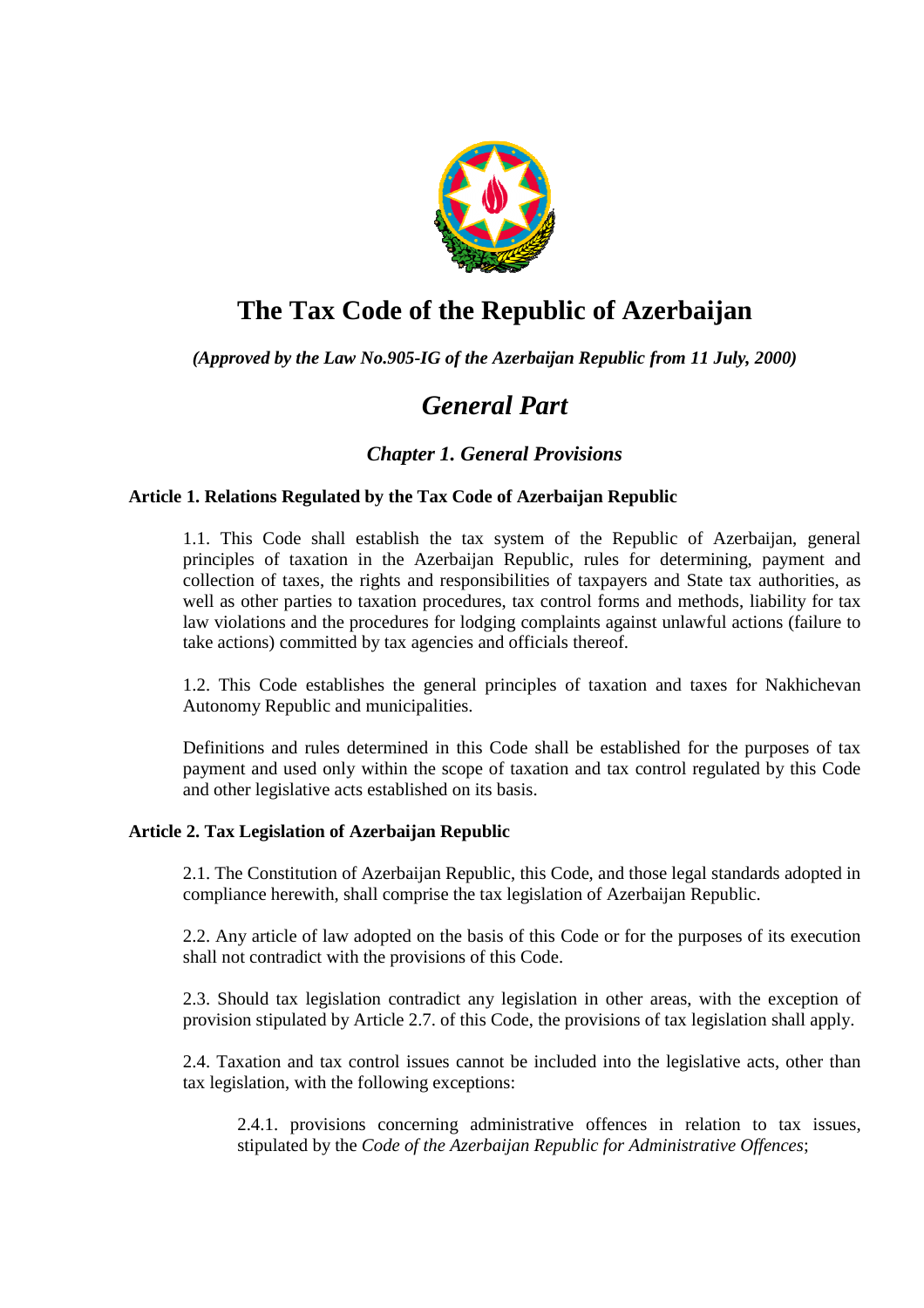

# **The Tax Code of the Republic of Azerbaijan**

*(Approved by the Law No.905-IG of the Azerbaijan Republic from 11 July, 2000)* 

# *General Part*

# *Chapter 1. General Provisions*

# **Article 1. Relations Regulated by the Tax Code of Azerbaijan Republic**

1.1. This Code shall establish the tax system of the Republic of Azerbaijan, general principles of taxation in the Azerbaijan Republic, rules for determining, payment and collection of taxes, the rights and responsibilities of taxpayers and State tax authorities, as well as other parties to taxation procedures, tax control forms and methods, liability for tax law violations and the procedures for lodging complaints against unlawful actions (failure to take actions) committed by tax agencies and officials thereof.

1.2. This Code establishes the general principles of taxation and taxes for Nakhichevan Autonomy Republic and municipalities.

Definitions and rules determined in this Code shall be established for the purposes of tax payment and used only within the scope of taxation and tax control regulated by this Code and other legislative acts established on its basis.

# **Article 2. Tax Legislation of Azerbaijan Republic**

2.1. The Constitution of Azerbaijan Republic, this Code, and those legal standards adopted in compliance herewith, shall comprise the tax legislation of Azerbaijan Republic.

2.2. Any article of law adopted on the basis of this Code or for the purposes of its execution shall not contradict with the provisions of this Code.

2.3. Should tax legislation contradict any legislation in other areas, with the exception of provision stipulated by Article 2.7. of this Code, the provisions of tax legislation shall apply.

2.4. Taxation and tax control issues cannot be included into the legislative acts, other than tax legislation, with the following exceptions:

2.4.1. provisions concerning administrative offences in relation to tax issues, stipulated by the *Code of the Azerbaijan Republic for Administrative Offences*;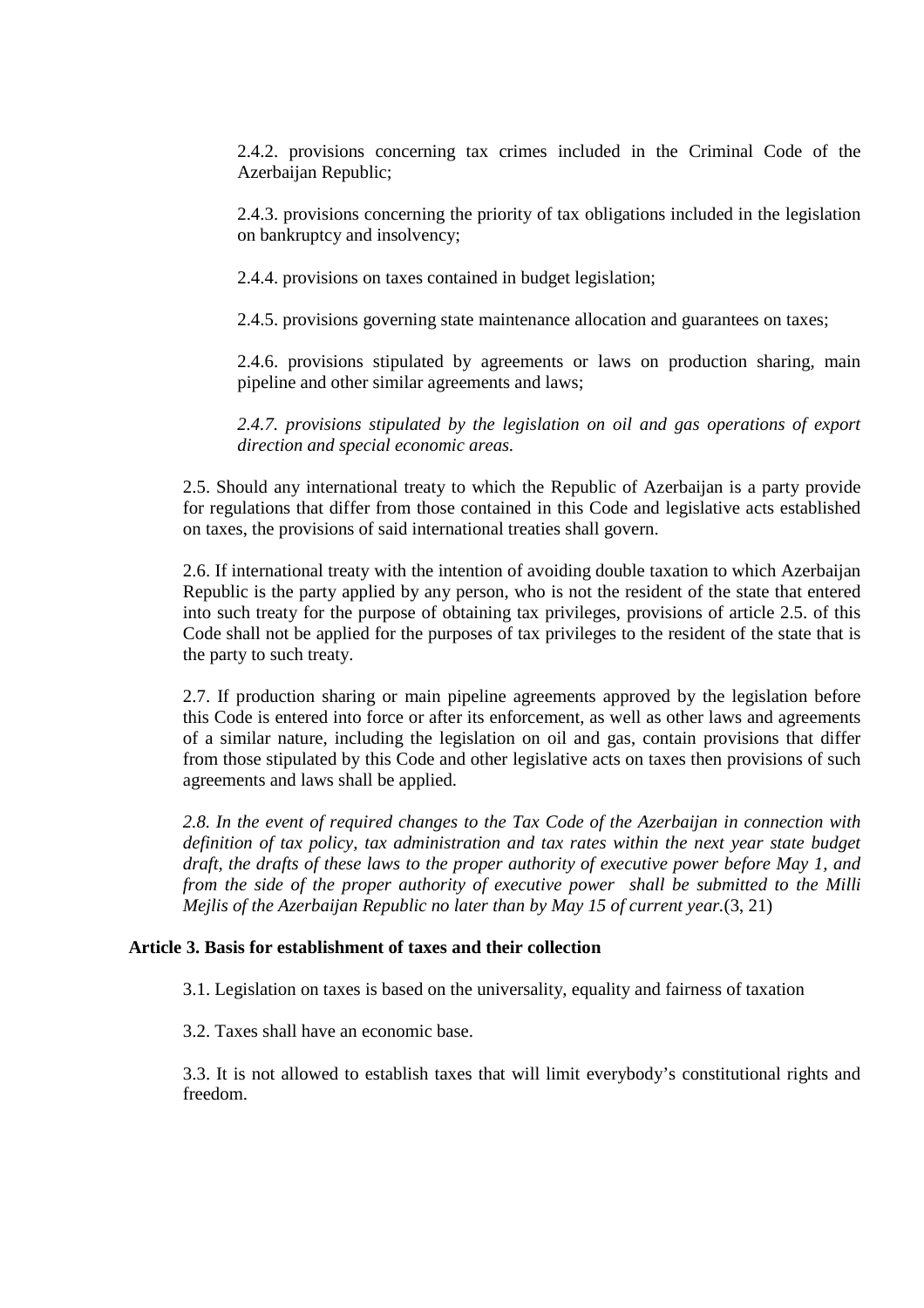2.4.2. provisions concerning tax crimes included in the Criminal Code of the Azerbaijan Republic;

2.4.3. provisions concerning the priority of tax obligations included in the legislation on bankruptcy and insolvency;

2.4.4. provisions on taxes contained in budget legislation;

2.4.5. provisions governing state maintenance allocation and guarantees on taxes;

2.4.6. provisions stipulated by agreements or laws on production sharing, main pipeline and other similar agreements and laws;

2.4.7. provisions stipulated by the legislation on oil and gas operations of export *direction and special economic areas.*

2.5. Should any international treaty to which the Republic of Azerbaijan is a party provide for regulations that differ from those contained in this Code and legislative acts established on taxes, the provisions of said international treaties shall govern.

2.6. If international treaty with the intention of avoiding double taxation to which Azerbaijan Republic is the party applied by any person, who is not the resident of the state that entered into such treaty for the purpose of obtaining tax privileges, provisions of article 2.5. of this Code shall not be applied for the purposes of tax privileges to the resident of the state that is the party to such treaty.

2.7. If production sharing or main pipeline agreements approved by the legislation before this Code is entered into force or after its enforcement, as well as other laws and agreements of a similar nature, including the legislation on oil and gas, contain provisions that differ from those stipulated by this Code and other legislative acts on taxes then provisions of such agreements and laws shall be applied.

*2.8. In the event of required changes to the Tax Code of the Azerbaijan in connection with definition of tax policy, tax administration and tax rates within the next year state budget draft, the drafts of these laws to the proper authority of executive power before May 1, and from the side of the proper authority of executive power shall be submitted to the Milli Mejlis of the Azerbaijan Republic no later than by May 15 of current year.*(3, 21)

# **Article 3. Basis for establishment of taxes and their collection**

3.1. Legislation on taxes is based on the universality, equality and fairness of taxation

3.2. Taxes shall have an economic base.

3.3. It is not allowed to establish taxes that will limit everybody's constitutional rights and freedom.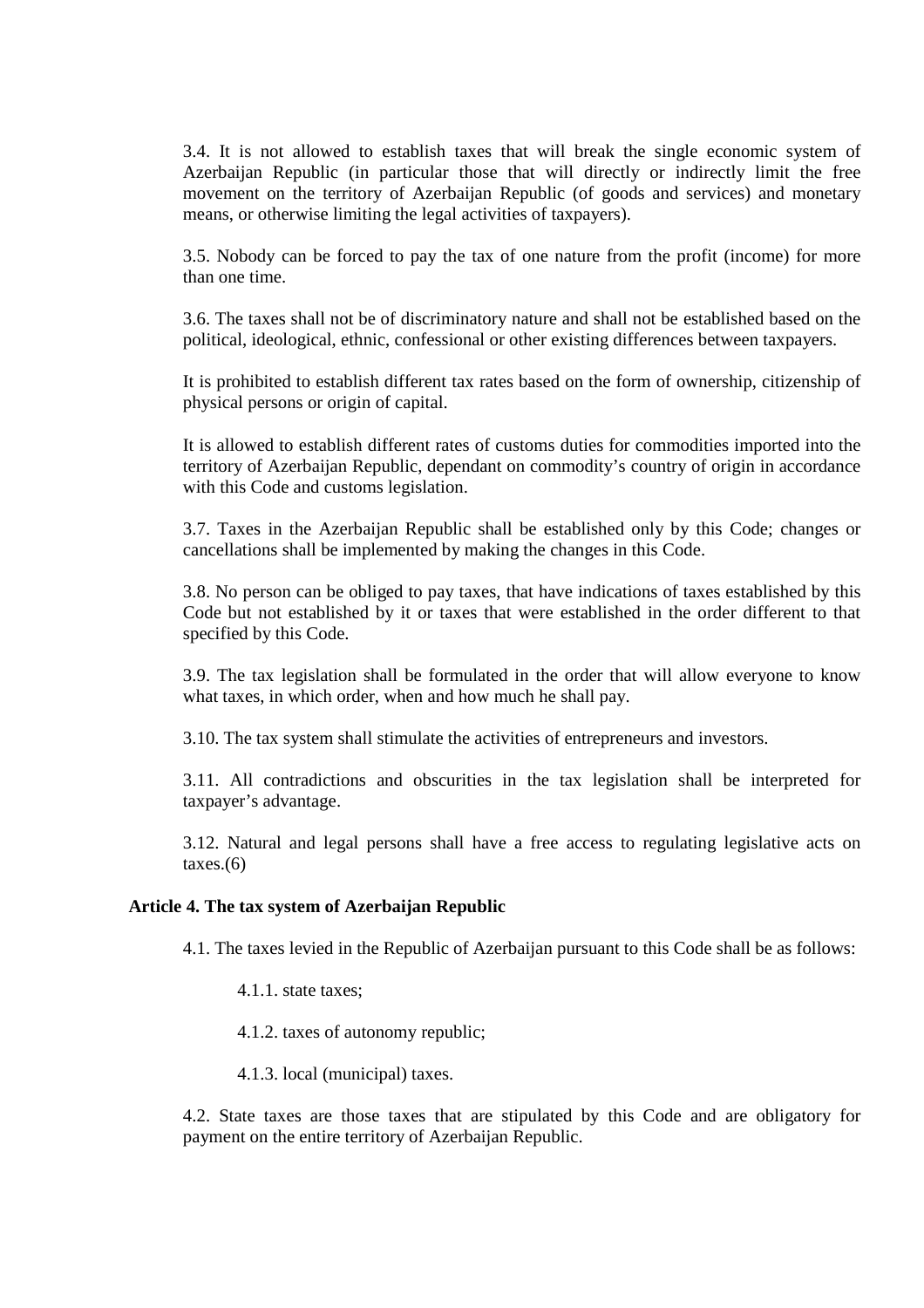3.4. It is not allowed to establish taxes that will break the single economic system of Azerbaijan Republic (in particular those that will directly or indirectly limit the free movement on the territory of Azerbaijan Republic (of goods and services) and monetary means, or otherwise limiting the legal activities of taxpayers).

3.5. Nobody can be forced to pay the tax of one nature from the profit (income) for more than one time.

3.6. The taxes shall not be of discriminatory nature and shall not be established based on the political, ideological, ethnic, confessional or other existing differences between taxpayers.

It is prohibited to establish different tax rates based on the form of ownership, citizenship of physical persons or origin of capital.

It is allowed to establish different rates of customs duties for commodities imported into the territory of Azerbaijan Republic, dependant on commodity's country of origin in accordance with this Code and customs legislation.

3.7. Taxes in the Azerbaijan Republic shall be established only by this Code; changes or cancellations shall be implemented by making the changes in this Code.

3.8. No person can be obliged to pay taxes, that have indications of taxes established by this Code but not established by it or taxes that were established in the order different to that specified by this Code.

3.9. The tax legislation shall be formulated in the order that will allow everyone to know what taxes, in which order, when and how much he shall pay.

3.10. The tax system shall stimulate the activities of entrepreneurs and investors.

3.11. All contradictions and obscurities in the tax legislation shall be interpreted for taxpayer's advantage.

3.12. Natural and legal persons shall have a free access to regulating legislative acts on  $taxes.(6)$ 

# **Article 4. The tax system of Azerbaijan Republic**

4.1. The taxes levied in the Republic of Azerbaijan pursuant to this Code shall be as follows:

4.1.1. state taxes;

4.1.2. taxes of autonomy republic;

4.1.3. local (municipal) taxes.

4.2. State taxes are those taxes that are stipulated by this Code and are obligatory for payment on the entire territory of Azerbaijan Republic.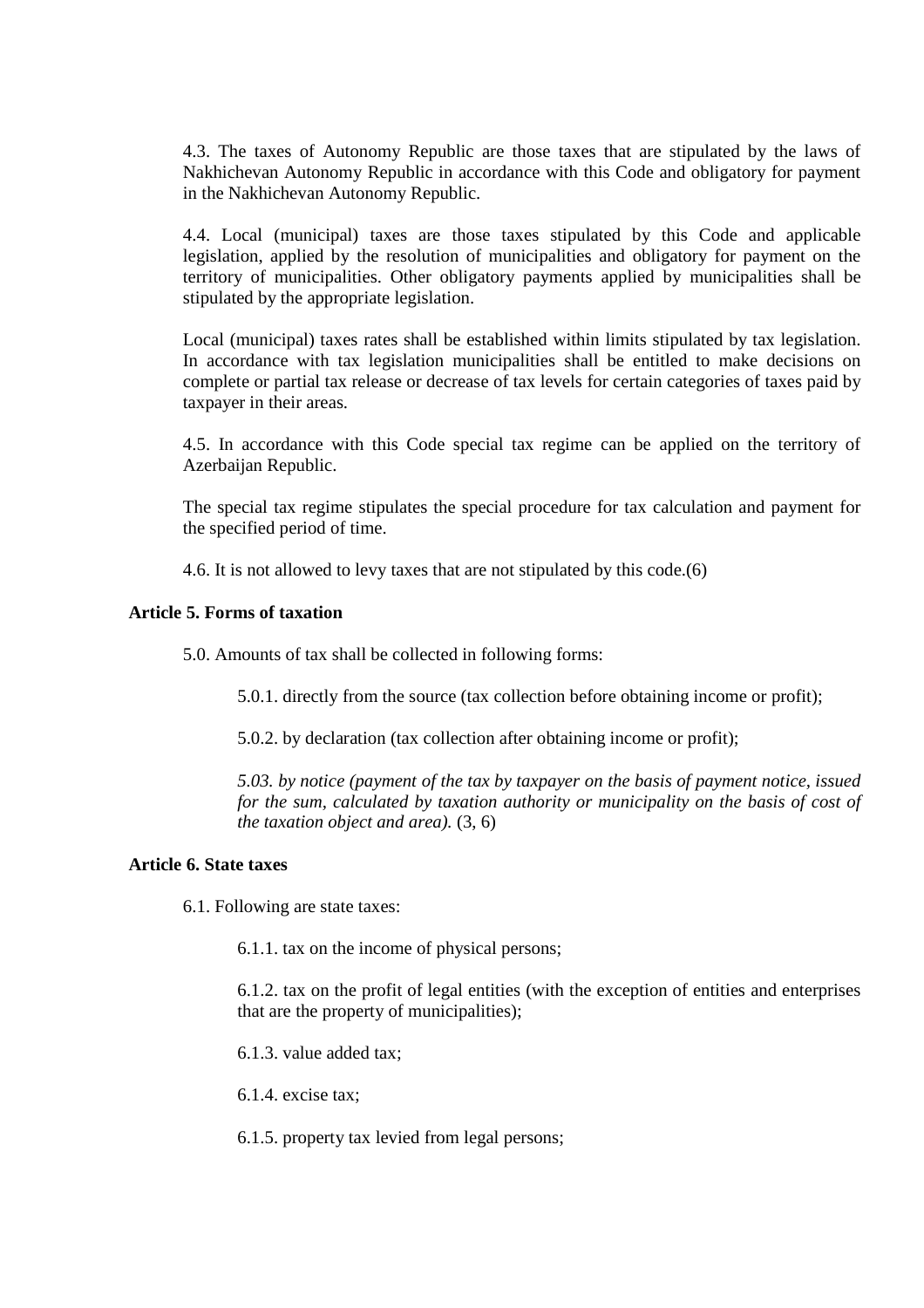4.3. The taxes of Autonomy Republic are those taxes that are stipulated by the laws of Nakhichevan Autonomy Republic in accordance with this Code and obligatory for payment in the Nakhichevan Autonomy Republic.

4.4. Local (municipal) taxes are those taxes stipulated by this Code and applicable legislation, applied by the resolution of municipalities and obligatory for payment on the territory of municipalities. Other obligatory payments applied by municipalities shall be stipulated by the appropriate legislation.

Local (municipal) taxes rates shall be established within limits stipulated by tax legislation. In accordance with tax legislation municipalities shall be entitled to make decisions on complete or partial tax release or decrease of tax levels for certain categories of taxes paid by taxpayer in their areas.

4.5. In accordance with this Code special tax regime can be applied on the territory of Azerbaijan Republic.

The special tax regime stipulates the special procedure for tax calculation and payment for the specified period of time.

4.6. It is not allowed to levy taxes that are not stipulated by this code.(6)

# **Article 5. Forms of taxation**

5.0. Amounts of tax shall be collected in following forms:

5.0.1. directly from the source (tax collection before obtaining income or profit);

5.0.2. by declaration (tax collection after obtaining income or profit);

*5.03. by notice (payment of the tax by taxpayer on the basis of payment notice, issued for the sum, calculated by taxation authority or municipality on the basis of cost of the taxation object and area).* (3, 6)

# **Article 6. State taxes**

6.1. Following are state taxes:

6.1.1. tax on the income of physical persons;

6.1.2. tax on the profit of legal entities (with the exception of entities and enterprises that are the property of municipalities);

6.1.3. value added tax;

6.1.4. excise tax;

6.1.5. property tax levied from legal persons;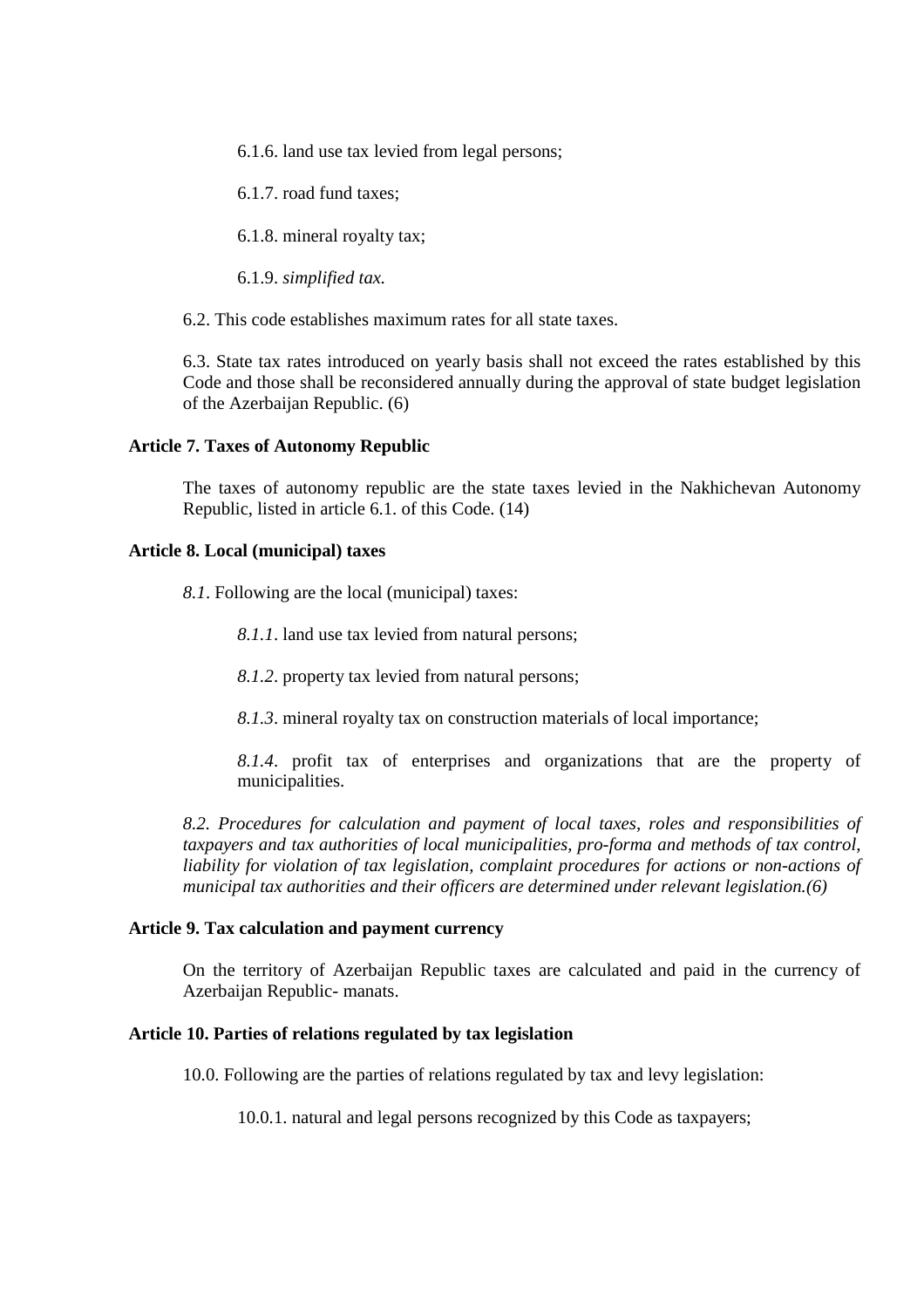6.1.6. land use tax levied from legal persons;

6.1.7. road fund taxes;

6.1.8. mineral royalty tax;

6.1.9. *simplified tax.* 

6.2. This code establishes maximum rates for all state taxes.

6.3. State tax rates introduced on yearly basis shall not exceed the rates established by this Code and those shall be reconsidered annually during the approval of state budget legislation of the Azerbaijan Republic. (6)

## **Article 7. Taxes of Autonomy Republic**

The taxes of autonomy republic are the state taxes levied in the Nakhichevan Autonomy Republic, listed in article 6.1. of this Code. (14)

# **Article 8. Local (municipal) taxes**

*8.1*. Following are the local (municipal) taxes:

*8.1.1*. land use tax levied from natural persons;

*8.1.2*. property tax levied from natural persons;

*8.1.3*. mineral royalty tax on construction materials of local importance;

*8.1.4*. profit tax of enterprises and organizations that are the property of municipalities.

*8.2. Procedures for calculation and payment of local taxes, roles and responsibilities of taxpayers and tax authorities of local municipalities, pro-forma and methods of tax control, liability for violation of tax legislation, complaint procedures for actions or non-actions of municipal tax authorities and their officers are determined under relevant legislation.(6)* 

#### **Article 9. Tax calculation and payment currency**

On the territory of Azerbaijan Republic taxes are calculated and paid in the currency of Azerbaijan Republic- manats.

# **Article 10. Parties of relations regulated by tax legislation**

10.0. Following are the parties of relations regulated by tax and levy legislation:

10.0.1. natural and legal persons recognized by this Code as taxpayers;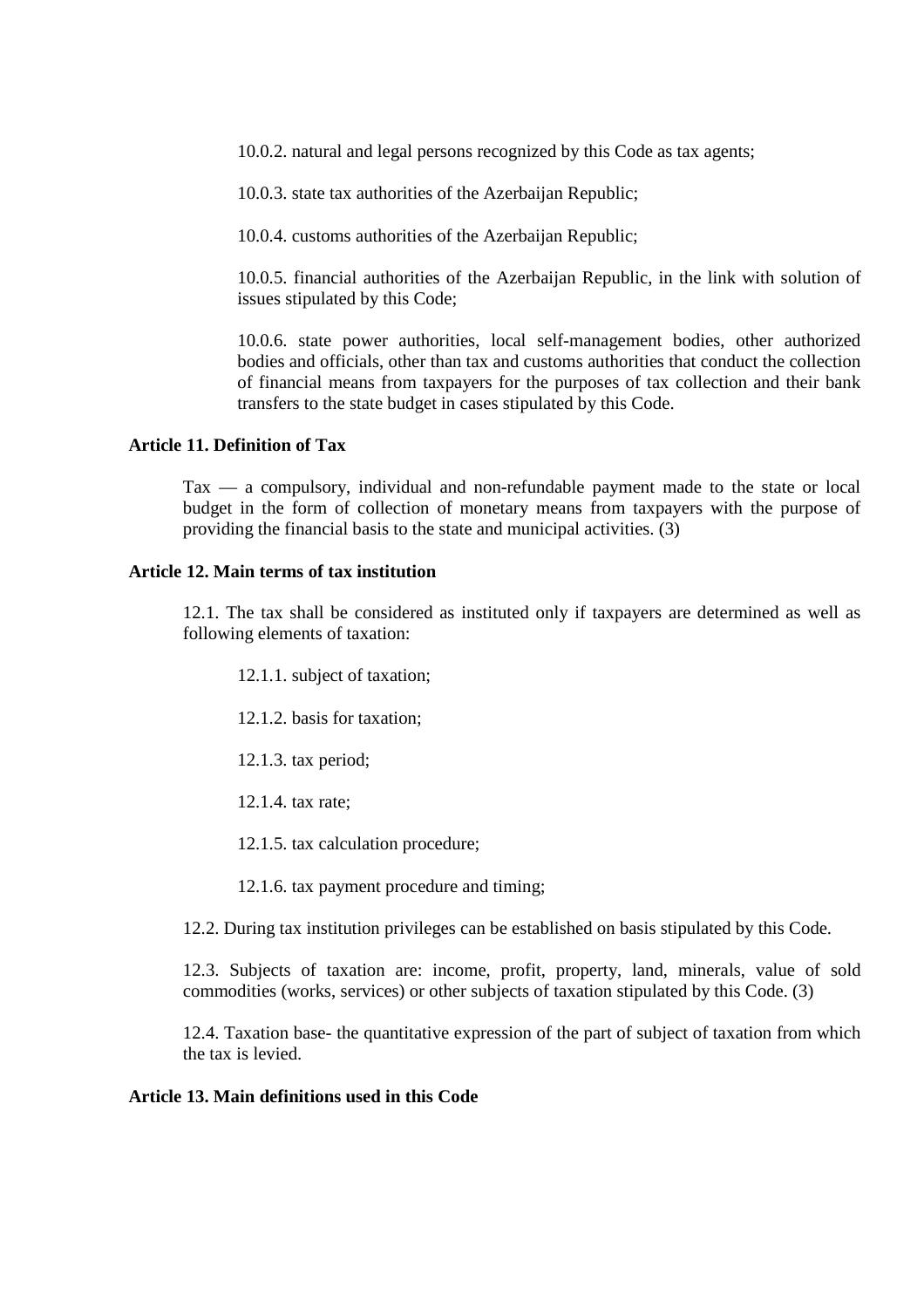10.0.2. natural and legal persons recognized by this Code as tax agents;

10.0.3. state tax authorities of the Azerbaijan Republic;

10.0.4. customs authorities of the Azerbaijan Republic;

10.0.5. financial authorities of the Azerbaijan Republic, in the link with solution of issues stipulated by this Code;

10.0.6. state power authorities, local self-management bodies, other authorized bodies and officials, other than tax and customs authorities that conduct the collection of financial means from taxpayers for the purposes of tax collection and their bank transfers to the state budget in cases stipulated by this Code.

#### **Article 11. Definition of Tax**

Tax — a compulsory, individual and non-refundable payment made to the state or local budget in the form of collection of monetary means from taxpayers with the purpose of providing the financial basis to the state and municipal activities. (3)

#### **Article 12. Main terms of tax institution**

12.1. The tax shall be considered as instituted only if taxpayers are determined as well as following elements of taxation:

- 12.1.1. subject of taxation;
- 12.1.2. basis for taxation;
- 12.1.3. tax period;
- 12.1.4. tax rate;
- 12.1.5. tax calculation procedure;
- 12.1.6. tax payment procedure and timing;

12.2. During tax institution privileges can be established on basis stipulated by this Code.

12.3. Subjects of taxation are: income, profit, property, land, minerals, value of sold commodities (works, services) or other subjects of taxation stipulated by this Code. (3)

12.4. Taxation base- the quantitative expression of the part of subject of taxation from which the tax is levied.

# **Article 13. Main definitions used in this Code**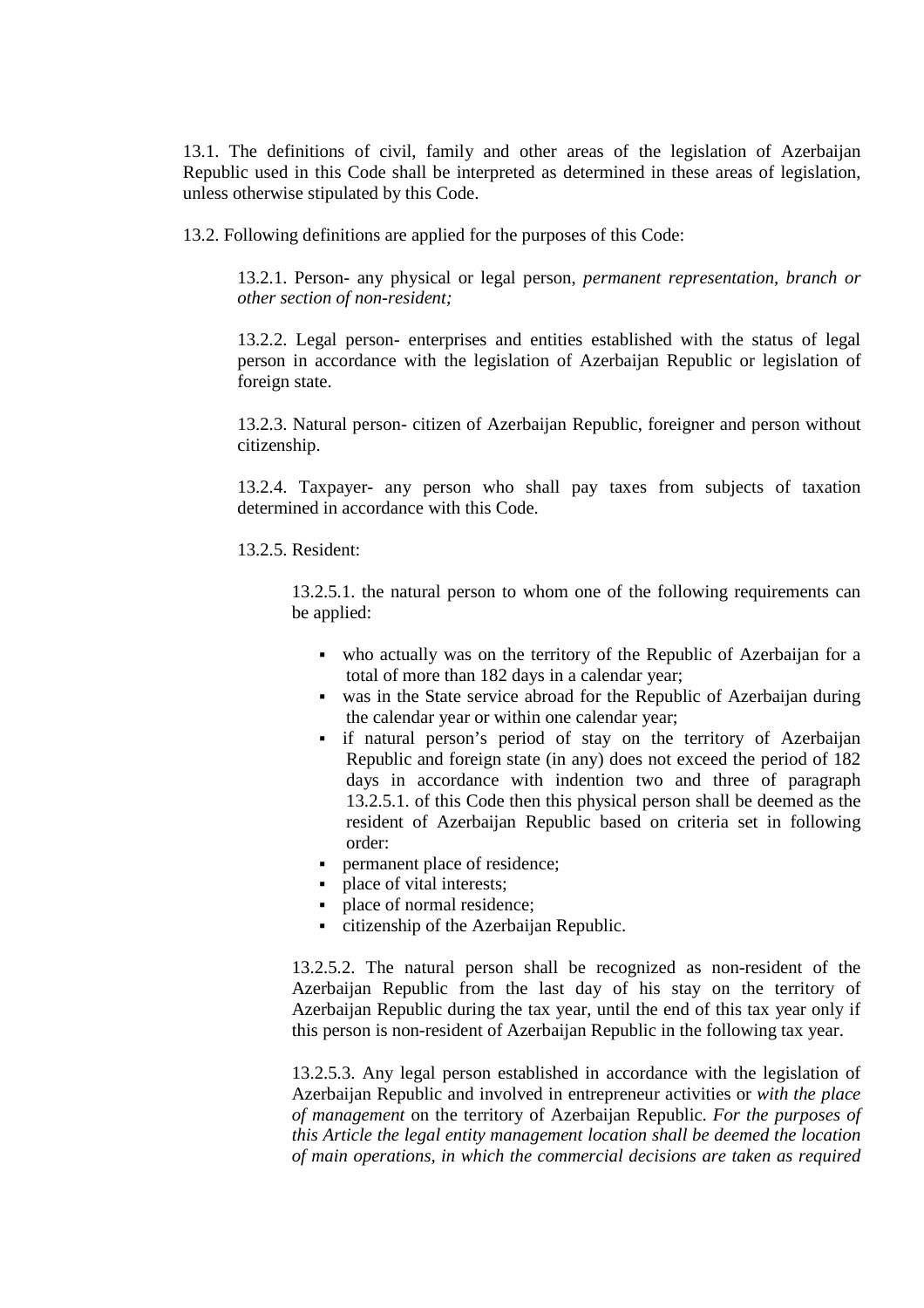13.1. The definitions of civil, family and other areas of the legislation of Azerbaijan Republic used in this Code shall be interpreted as determined in these areas of legislation, unless otherwise stipulated by this Code.

13.2. Following definitions are applied for the purposes of this Code:

13.2.1. Person- any physical or legal person, *permanent representation, branch or other section of non-resident;* 

13.2.2. Legal person- enterprises and entities established with the status of legal person in accordance with the legislation of Azerbaijan Republic or legislation of foreign state.

13.2.3. Natural person- citizen of Azerbaijan Republic, foreigner and person without citizenship.

13.2.4. Taxpayer- any person who shall pay taxes from subjects of taxation determined in accordance with this Code.

13.2.5. Resident:

13.2.5.1. the natural person to whom one of the following requirements can be applied:

- who actually was on the territory of the Republic of Azerbaijan for a total of more than 182 days in a calendar year;
- was in the State service abroad for the Republic of Azerbaijan during the calendar year or within one calendar year;
- if natural person's period of stay on the territory of Azerbaijan Republic and foreign state (in any) does not exceed the period of 182 days in accordance with indention two and three of paragraph 13.2.5.1. of this Code then this physical person shall be deemed as the resident of Azerbaijan Republic based on criteria set in following order:
- **Permanent place of residence;**
- place of vital interests:
- place of normal residence;
- citizenship of the Azerbaijan Republic.

13.2.5.2. The natural person shall be recognized as non-resident of the Azerbaijan Republic from the last day of his stay on the territory of Azerbaijan Republic during the tax year, until the end of this tax year only if this person is non-resident of Azerbaijan Republic in the following tax year.

13.2.5.3. Any legal person established in accordance with the legislation of Azerbaijan Republic and involved in entrepreneur activities or *with the place of management* on the territory of Azerbaijan Republic. *For the purposes of this Article the legal entity management location shall be deemed the location of main operations, in which the commercial decisions are taken as required*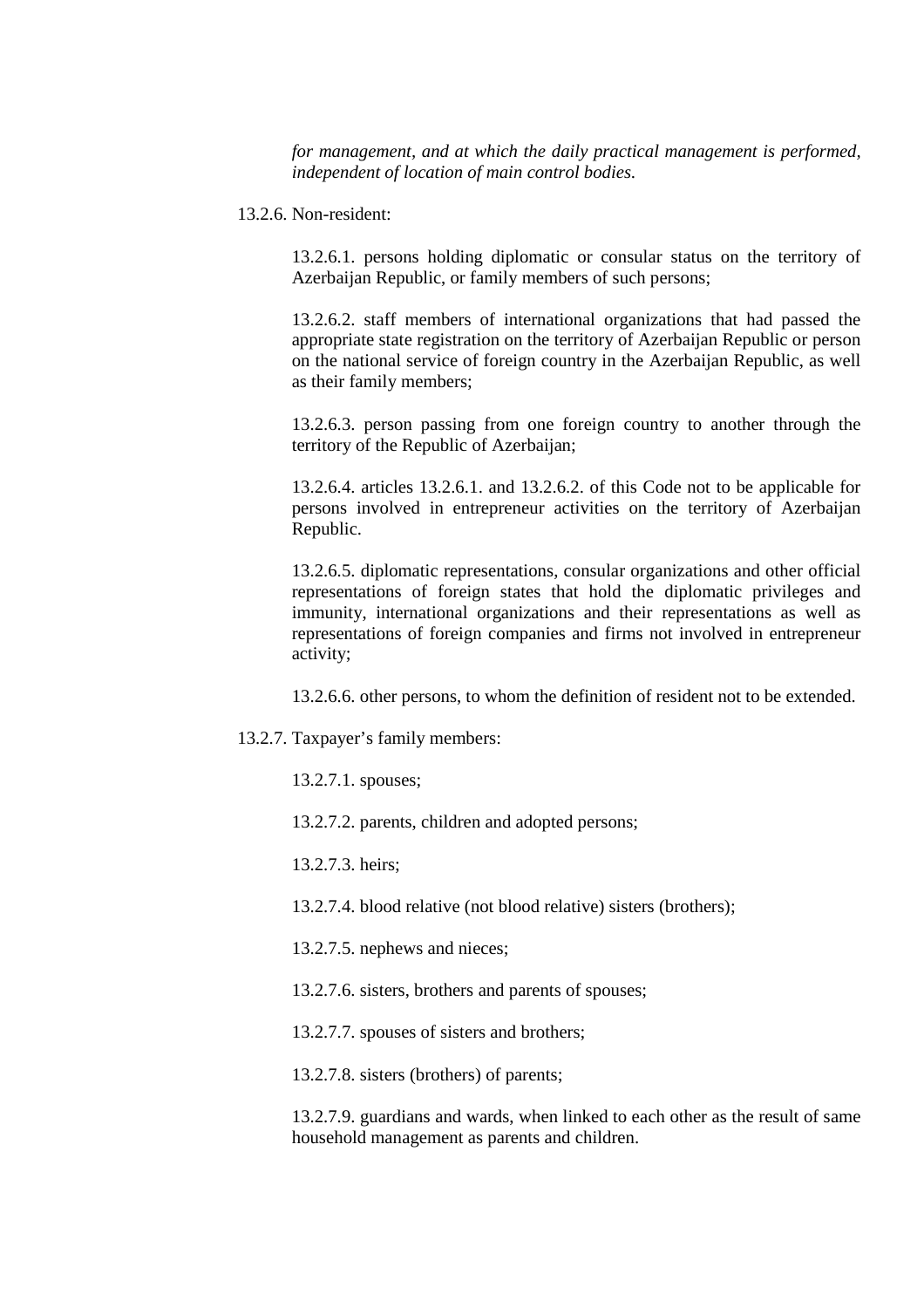*for management, and at which the daily practical management is performed, independent of location of main control bodies.*

13.2.6. Non-resident:

13.2.6.1. persons holding diplomatic or consular status on the territory of Azerbaijan Republic, or family members of such persons;

13.2.6.2. staff members of international organizations that had passed the appropriate state registration on the territory of Azerbaijan Republic or person on the national service of foreign country in the Azerbaijan Republic, as well as their family members;

13.2.6.3. person passing from one foreign country to another through the territory of the Republic of Azerbaijan;

13.2.6.4. articles 13.2.6.1. and 13.2.6.2. of this Code not to be applicable for persons involved in entrepreneur activities on the territory of Azerbaijan Republic.

13.2.6.5. diplomatic representations, consular organizations and other official representations of foreign states that hold the diplomatic privileges and immunity, international organizations and their representations as well as representations of foreign companies and firms not involved in entrepreneur activity;

13.2.6.6. other persons, to whom the definition of resident not to be extended.

- 13.2.7. Taxpayer's family members:
	- 13.2.7.1. spouses;
	- 13.2.7.2. parents, children and adopted persons;

13.2.7.3. heirs;

- 13.2.7.4. blood relative (not blood relative) sisters (brothers);
- 13.2.7.5. nephews and nieces;
- 13.2.7.6. sisters, brothers and parents of spouses;
- 13.2.7.7. spouses of sisters and brothers;
- 13.2.7.8. sisters (brothers) of parents;

13.2.7.9. guardians and wards, when linked to each other as the result of same household management as parents and children.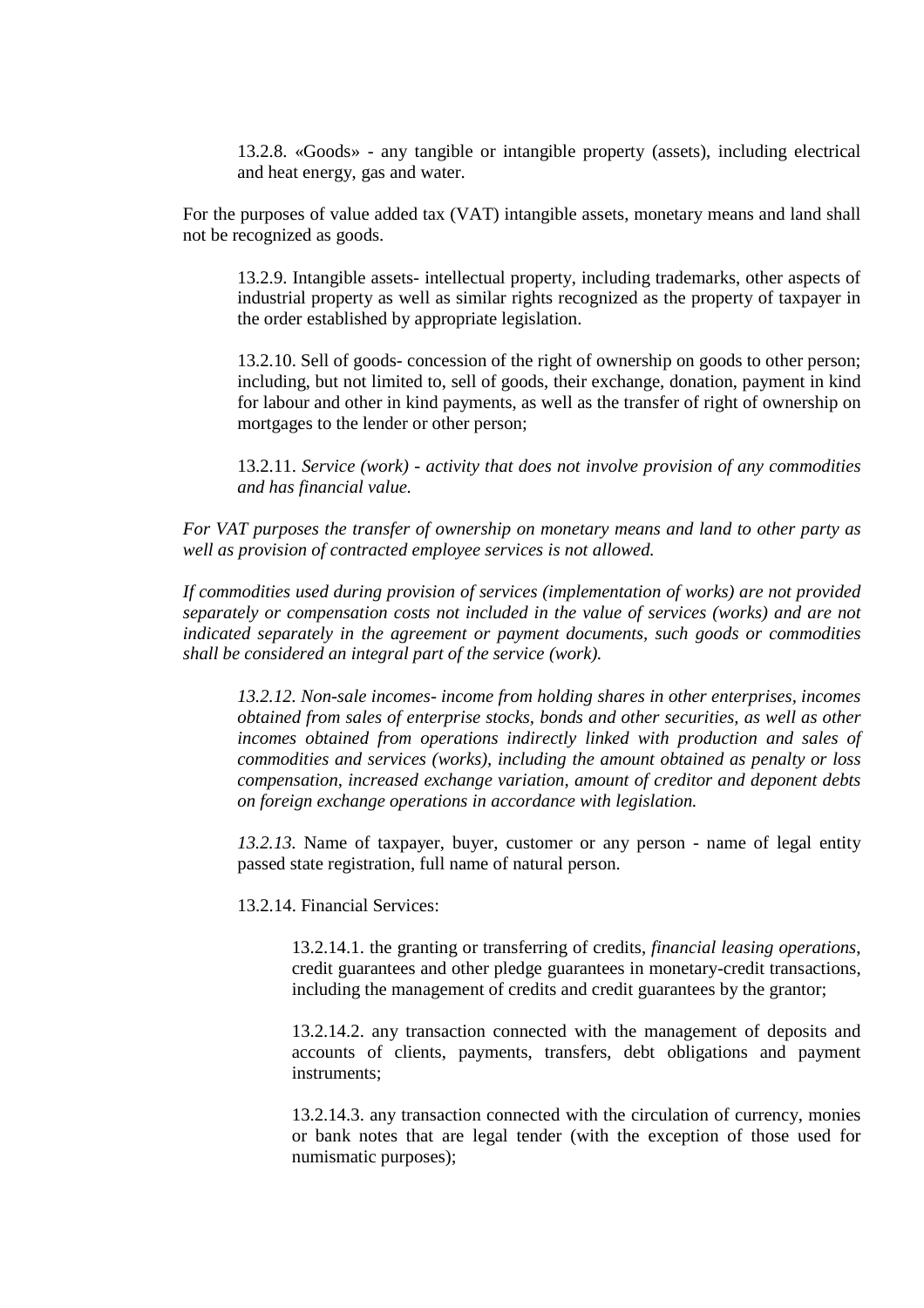13.2.8. «Goods» - any tangible or intangible property (assets), including electrical and heat energy, gas and water.

For the purposes of value added tax (VAT) intangible assets, monetary means and land shall not be recognized as goods.

13.2.9. Intangible assets- intellectual property, including trademarks, other aspects of industrial property as well as similar rights recognized as the property of taxpayer in the order established by appropriate legislation.

13.2.10. Sell of goods- concession of the right of ownership on goods to other person; including, but not limited to, sell of goods, their exchange, donation, payment in kind for labour and other in kind payments, as well as the transfer of right of ownership on mortgages to the lender or other person;

13.2.11. *Service (work) - activity that does not involve provision of any commodities and has financial value.* 

*For VAT purposes the transfer of ownership on monetary means and land to other party as well as provision of contracted employee services is not allowed.* 

*If commodities used during provision of services (implementation of works) are not provided separately or compensation costs not included in the value of services (works) and are not indicated separately in the agreement or payment documents, such goods or commodities shall be considered an integral part of the service (work).* 

*13.2.12. Non-sale incomes- income from holding shares in other enterprises, incomes obtained from sales of enterprise stocks, bonds and other securities, as well as other incomes obtained from operations indirectly linked with production and sales of commodities and services (works), including the amount obtained as penalty or loss compensation, increased exchange variation, amount of creditor and deponent debts on foreign exchange operations in accordance with legislation.* 

*13.2.13.* Name of taxpayer, buyer, customer or any person - name of legal entity passed state registration, full name of natural person.

13.2.14. Financial Services:

13.2.14.1. the granting or transferring of credits, *financial leasing operations*, credit guarantees and other pledge guarantees in monetary-credit transactions, including the management of credits and credit guarantees by the grantor;

13.2.14.2. any transaction connected with the management of deposits and accounts of clients, payments, transfers, debt obligations and payment instruments;

13.2.14.3. any transaction connected with the circulation of currency, monies or bank notes that are legal tender (with the exception of those used for numismatic purposes);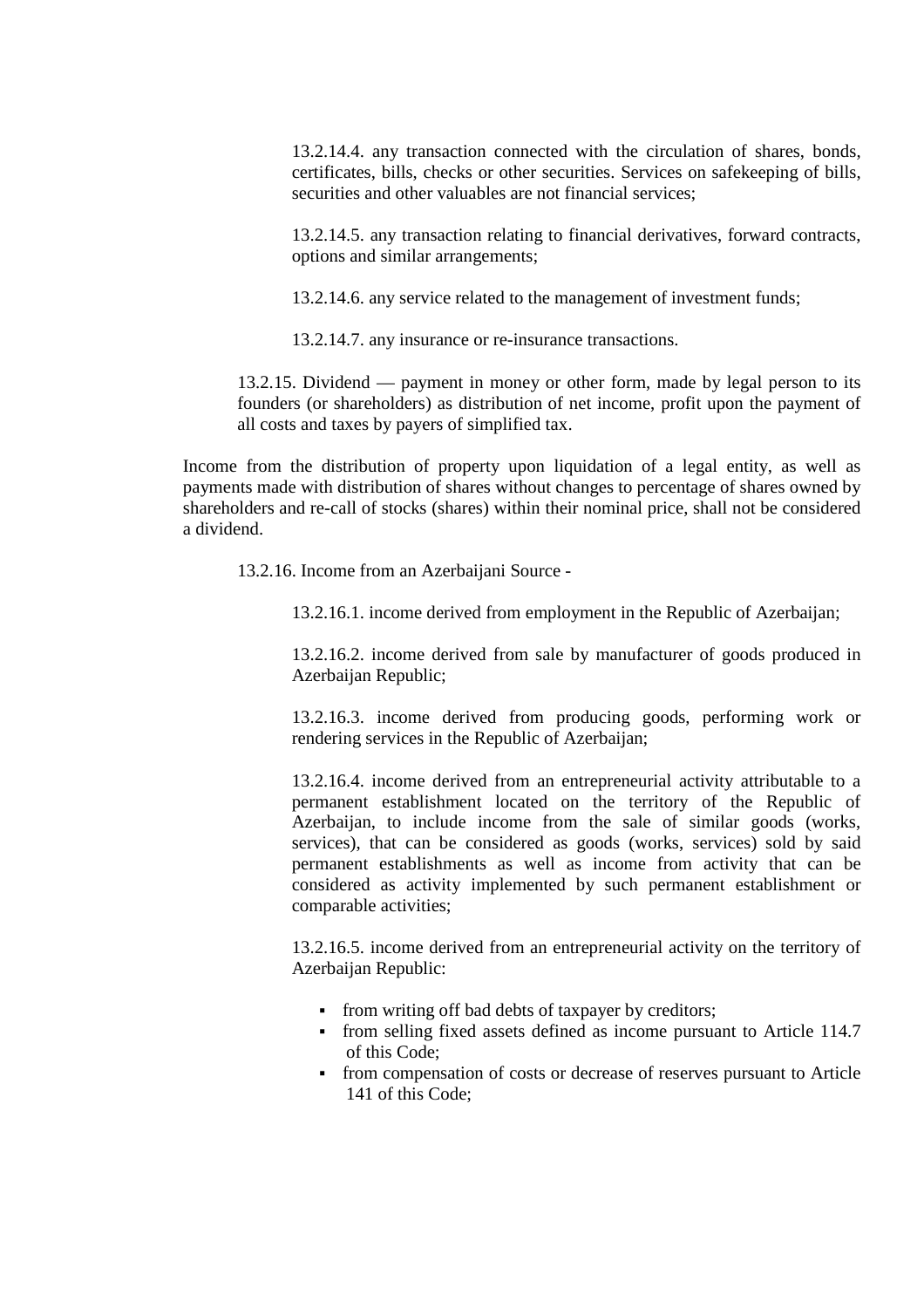13.2.14.4. any transaction connected with the circulation of shares, bonds, certificates, bills, checks or other securities. Services on safekeeping of bills, securities and other valuables are not financial services:

13.2.14.5. any transaction relating to financial derivatives, forward contracts, options and similar arrangements;

13.2.14.6. any service related to the management of investment funds;

13.2.14.7. any insurance or re-insurance transactions.

13.2.15. Dividend — payment in money or other form, made by legal person to its founders (or shareholders) as distribution of net income, profit upon the payment of all costs and taxes by payers of simplified tax.

Income from the distribution of property upon liquidation of a legal entity, as well as payments made with distribution of shares without changes to percentage of shares owned by shareholders and re-call of stocks (shares) within their nominal price, shall not be considered a dividend.

13.2.16. Income from an Azerbaijani Source -

13.2.16.1. income derived from employment in the Republic of Azerbaijan;

13.2.16.2. income derived from sale by manufacturer of goods produced in Azerbaijan Republic:

13.2.16.3. income derived from producing goods, performing work or rendering services in the Republic of Azerbaijan;

13.2.16.4. income derived from an entrepreneurial activity attributable to a permanent establishment located on the territory of the Republic of Azerbaijan, to include income from the sale of similar goods (works, services), that can be considered as goods (works, services) sold by said permanent establishments as well as income from activity that can be considered as activity implemented by such permanent establishment or comparable activities;

13.2.16.5. income derived from an entrepreneurial activity on the territory of Azerbaijan Republic:

- from writing off bad debts of taxpayer by creditors;
- from selling fixed assets defined as income pursuant to Article 114.7 of this Code;
- from compensation of costs or decrease of reserves pursuant to Article 141 of this Code;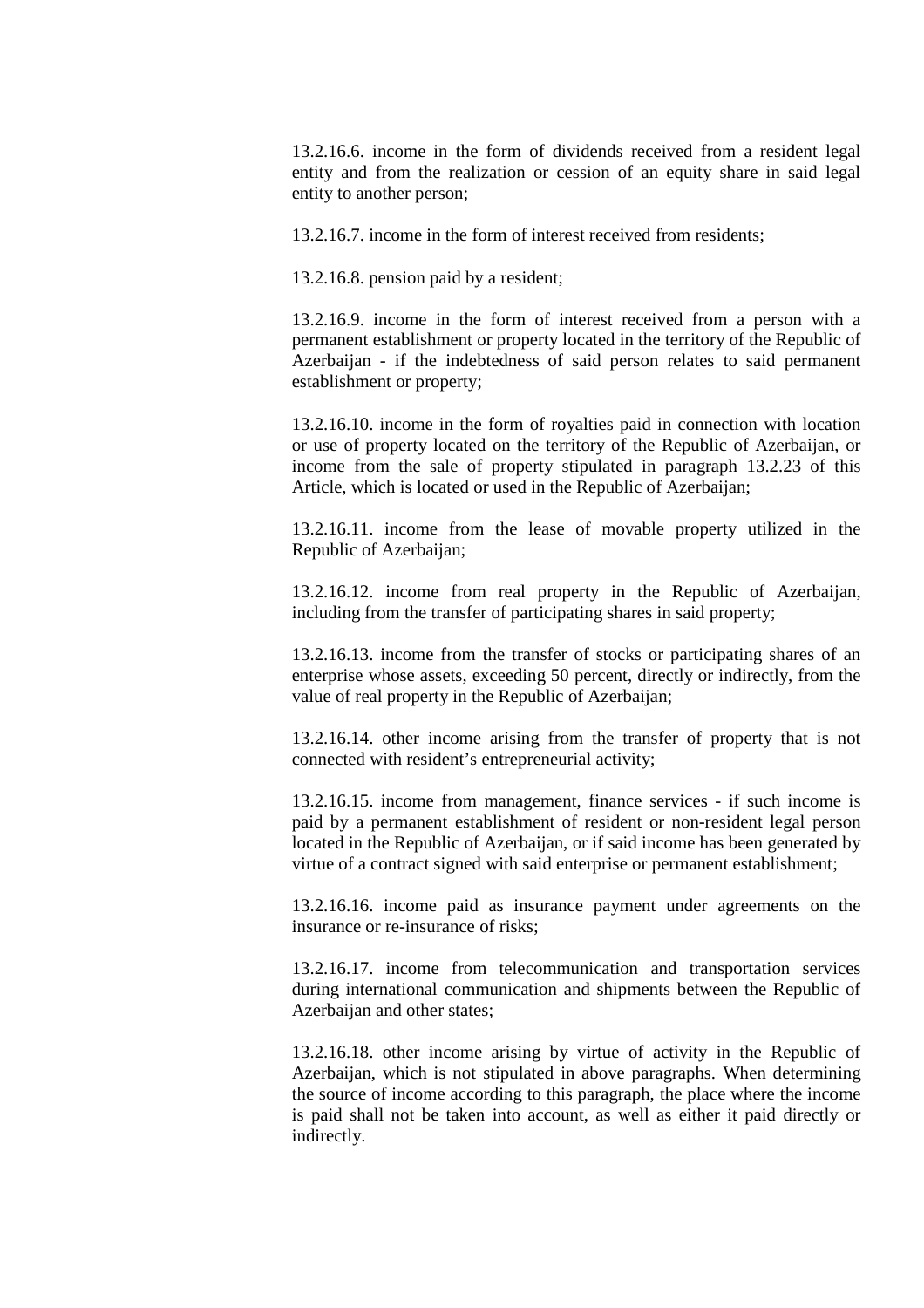13.2.16.6. income in the form of dividends received from a resident legal entity and from the realization or cession of an equity share in said legal entity to another person;

13.2.16.7. income in the form of interest received from residents;

13.2.16.8. pension paid by a resident;

13.2.16.9. income in the form of interest received from a person with a permanent establishment or property located in the territory of the Republic of Azerbaijan - if the indebtedness of said person relates to said permanent establishment or property;

13.2.16.10. income in the form of royalties paid in connection with location or use of property located on the territory of the Republic of Azerbaijan, or income from the sale of property stipulated in paragraph 13.2.23 of this Article, which is located or used in the Republic of Azerbaijan;

13.2.16.11. income from the lease of movable property utilized in the Republic of Azerbaijan;

13.2.16.12. income from real property in the Republic of Azerbaijan, including from the transfer of participating shares in said property;

13.2.16.13. income from the transfer of stocks or participating shares of an enterprise whose assets, exceeding 50 percent, directly or indirectly, from the value of real property in the Republic of Azerbaijan;

13.2.16.14. other income arising from the transfer of property that is not connected with resident's entrepreneurial activity;

13.2.16.15. income from management, finance services - if such income is paid by a permanent establishment of resident or non-resident legal person located in the Republic of Azerbaijan, or if said income has been generated by virtue of a contract signed with said enterprise or permanent establishment;

13.2.16.16. income paid as insurance payment under agreements on the insurance or re-insurance of risks;

13.2.16.17. income from telecommunication and transportation services during international communication and shipments between the Republic of Azerbaijan and other states;

13.2.16.18. other income arising by virtue of activity in the Republic of Azerbaijan, which is not stipulated in above paragraphs. When determining the source of income according to this paragraph, the place where the income is paid shall not be taken into account, as well as either it paid directly or indirectly.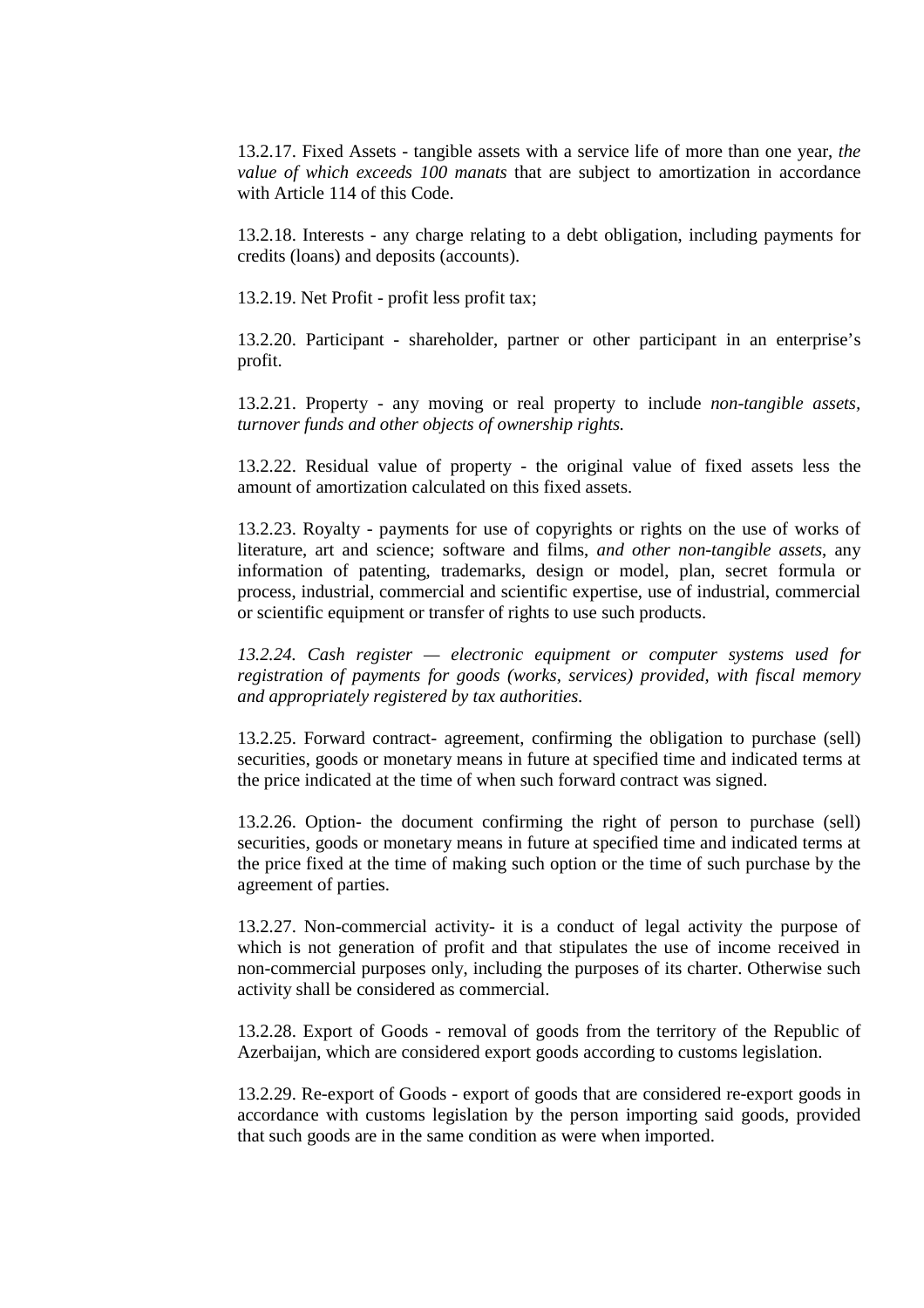13.2.17. Fixed Assets - tangible assets with a service life of more than one year, *the value of which exceeds 100 manats* that are subject to amortization in accordance with Article 114 of this Code.

13.2.18. Interests - any charge relating to a debt obligation, including payments for credits (loans) and deposits (accounts).

13.2.19. Net Profit - profit less profit tax;

13.2.20. Participant - shareholder, partner or other participant in an enterprise's profit.

13.2.21. Property - any moving or real property to include *non-tangible assets, turnover funds and other objects of ownership rights.* 

13.2.22. Residual value of property - the original value of fixed assets less the amount of amortization calculated on this fixed assets.

13.2.23. Royalty - payments for use of copyrights or rights on the use of works of literature, art and science; software and films, *and other non-tangible assets*, any information of patenting, trademarks, design or model, plan, secret formula or process, industrial, commercial and scientific expertise, use of industrial, commercial or scientific equipment or transfer of rights to use such products.

*13.2.24. Cash register — electronic equipment or computer systems used for registration of payments for goods (works, services) provided, with fiscal memory and appropriately registered by tax authorities.* 

13.2.25. Forward contract- agreement, confirming the obligation to purchase (sell) securities, goods or monetary means in future at specified time and indicated terms at the price indicated at the time of when such forward contract was signed.

13.2.26. Option- the document confirming the right of person to purchase (sell) securities, goods or monetary means in future at specified time and indicated terms at the price fixed at the time of making such option or the time of such purchase by the agreement of parties.

13.2.27. Non-commercial activity- it is a conduct of legal activity the purpose of which is not generation of profit and that stipulates the use of income received in non-commercial purposes only, including the purposes of its charter. Otherwise such activity shall be considered as commercial.

13.2.28. Export of Goods - removal of goods from the territory of the Republic of Azerbaijan, which are considered export goods according to customs legislation.

13.2.29. Re-export of Goods - export of goods that are considered re-export goods in accordance with customs legislation by the person importing said goods, provided that such goods are in the same condition as were when imported.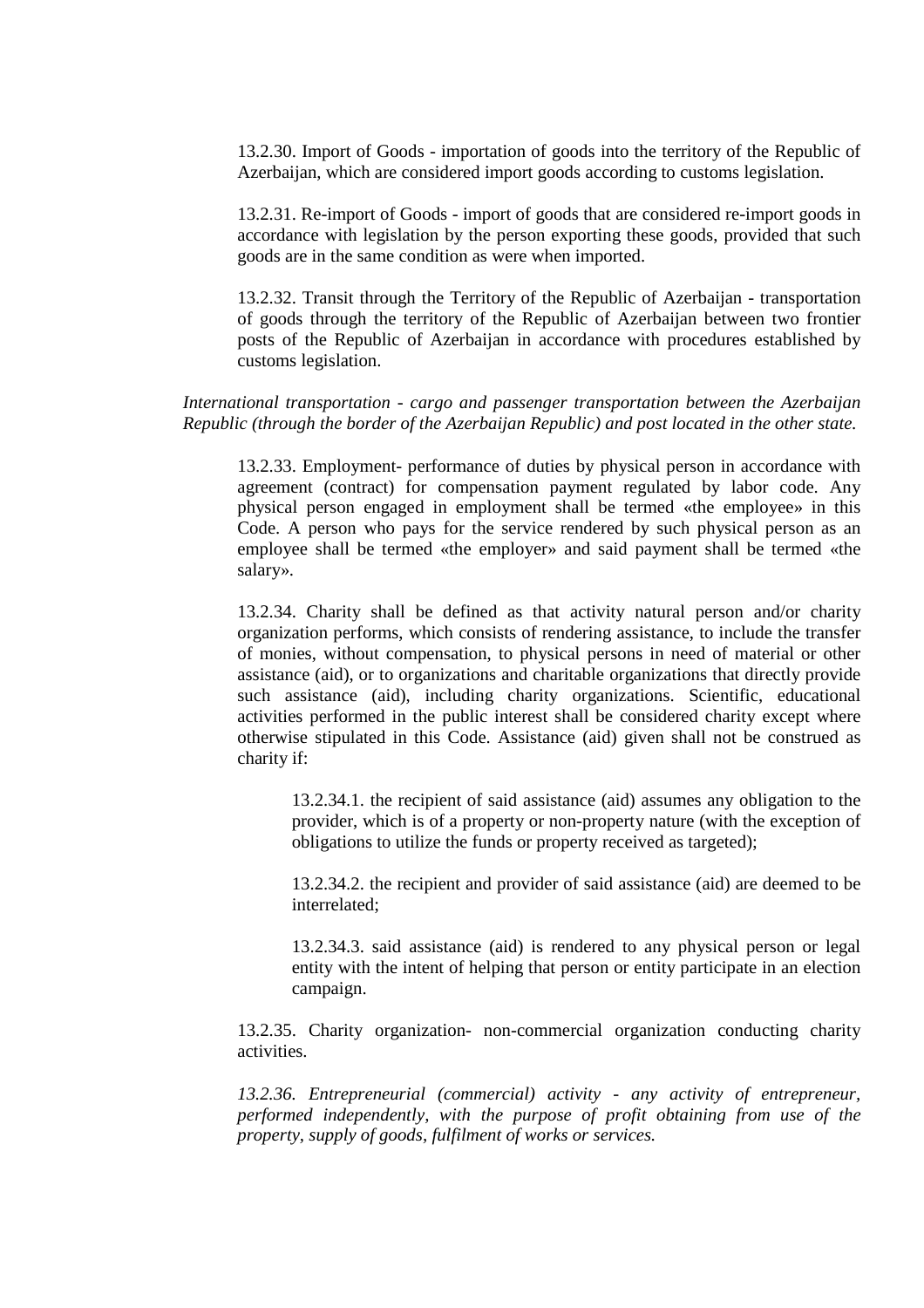13.2.30. Import of Goods - importation of goods into the territory of the Republic of Azerbaijan, which are considered import goods according to customs legislation.

13.2.31. Re-import of Goods - import of goods that are considered re-import goods in accordance with legislation by the person exporting these goods, provided that such goods are in the same condition as were when imported.

13.2.32. Transit through the Territory of the Republic of Azerbaijan - transportation of goods through the territory of the Republic of Azerbaijan between two frontier posts of the Republic of Azerbaijan in accordance with procedures established by customs legislation.

# *International transportation - cargo and passenger transportation between the Azerbaijan Republic (through the border of the Azerbaijan Republic) and post located in the other state.*

13.2.33. Employment- performance of duties by physical person in accordance with agreement (contract) for compensation payment regulated by labor code. Any physical person engaged in employment shall be termed «the employee» in this Code. A person who pays for the service rendered by such physical person as an employee shall be termed «the employer» and said payment shall be termed «the salary».

13.2.34. Charity shall be defined as that activity natural person and/or charity organization performs, which consists of rendering assistance, to include the transfer of monies, without compensation, to physical persons in need of material or other assistance (aid), or to organizations and charitable organizations that directly provide such assistance (aid), including charity organizations. Scientific, educational activities performed in the public interest shall be considered charity except where otherwise stipulated in this Code. Assistance (aid) given shall not be construed as charity if:

13.2.34.1. the recipient of said assistance (aid) assumes any obligation to the provider, which is of a property or non-property nature (with the exception of obligations to utilize the funds or property received as targeted);

13.2.34.2. the recipient and provider of said assistance (aid) are deemed to be interrelated;

13.2.34.3. said assistance (aid) is rendered to any physical person or legal entity with the intent of helping that person or entity participate in an election campaign.

13.2.35. Charity organization- non-commercial organization conducting charity activities.

*13.2.36. Entrepreneurial (commercial) activity - any activity of entrepreneur, performed independently, with the purpose of profit obtaining from use of the property, supply of goods, fulfilment of works or services.*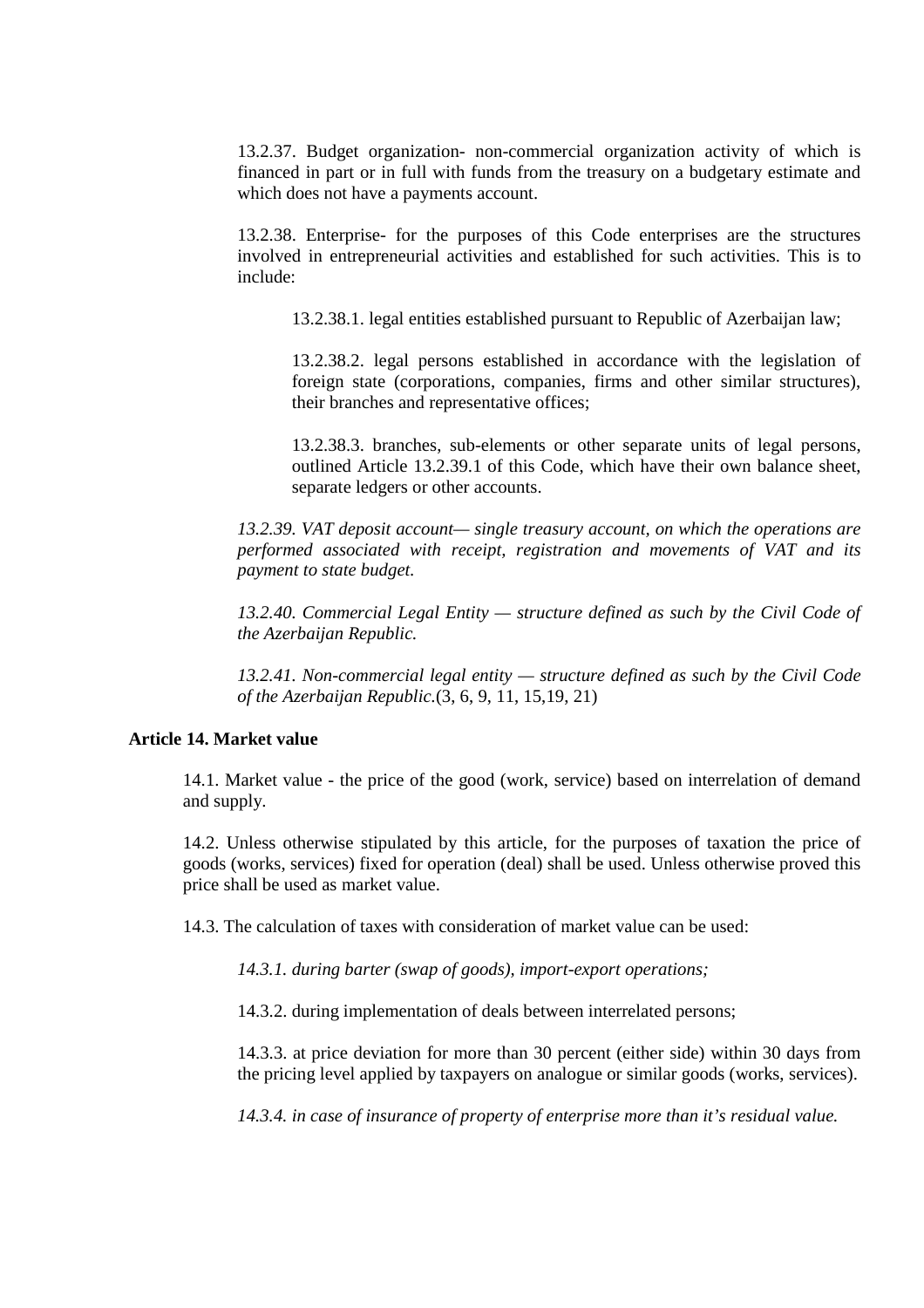13.2.37. Budget organization- non-commercial organization activity of which is financed in part or in full with funds from the treasury on a budgetary estimate and which does not have a payments account.

13.2.38. Enterprise- for the purposes of this Code enterprises are the structures involved in entrepreneurial activities and established for such activities. This is to include:

13.2.38.1. legal entities established pursuant to Republic of Azerbaijan law;

13.2.38.2. legal persons established in accordance with the legislation of foreign state (corporations, companies, firms and other similar structures), their branches and representative offices;

13.2.38.3. branches, sub-elements or other separate units of legal persons, outlined Article 13.2.39.1 of this Code, which have their own balance sheet, separate ledgers or other accounts.

*13.2.39. VAT deposit account— single treasury account, on which the operations are performed associated with receipt, registration and movements of VAT and its payment to state budget.*

*13.2.40. Commercial Legal Entity — structure defined as such by the Civil Code of the Azerbaijan Republic.*

*13.2.41. Non-commercial legal entity — structure defined as such by the Civil Code of the Azerbaijan Republic.*(3, 6, 9, 11, 15,19, 21)

# **Article 14. Market value**

14.1. Market value - the price of the good (work, service) based on interrelation of demand and supply.

14.2. Unless otherwise stipulated by this article, for the purposes of taxation the price of goods (works, services) fixed for operation (deal) shall be used. Unless otherwise proved this price shall be used as market value.

14.3. The calculation of taxes with consideration of market value can be used:

*14.3.1. during barter (swap of goods), import-export operations;* 

14.3.2. during implementation of deals between interrelated persons;

14.3.3. at price deviation for more than 30 percent (either side) within 30 days from the pricing level applied by taxpayers on analogue or similar goods (works, services).

*14.3.4. in case of insurance of property of enterprise more than it's residual value.*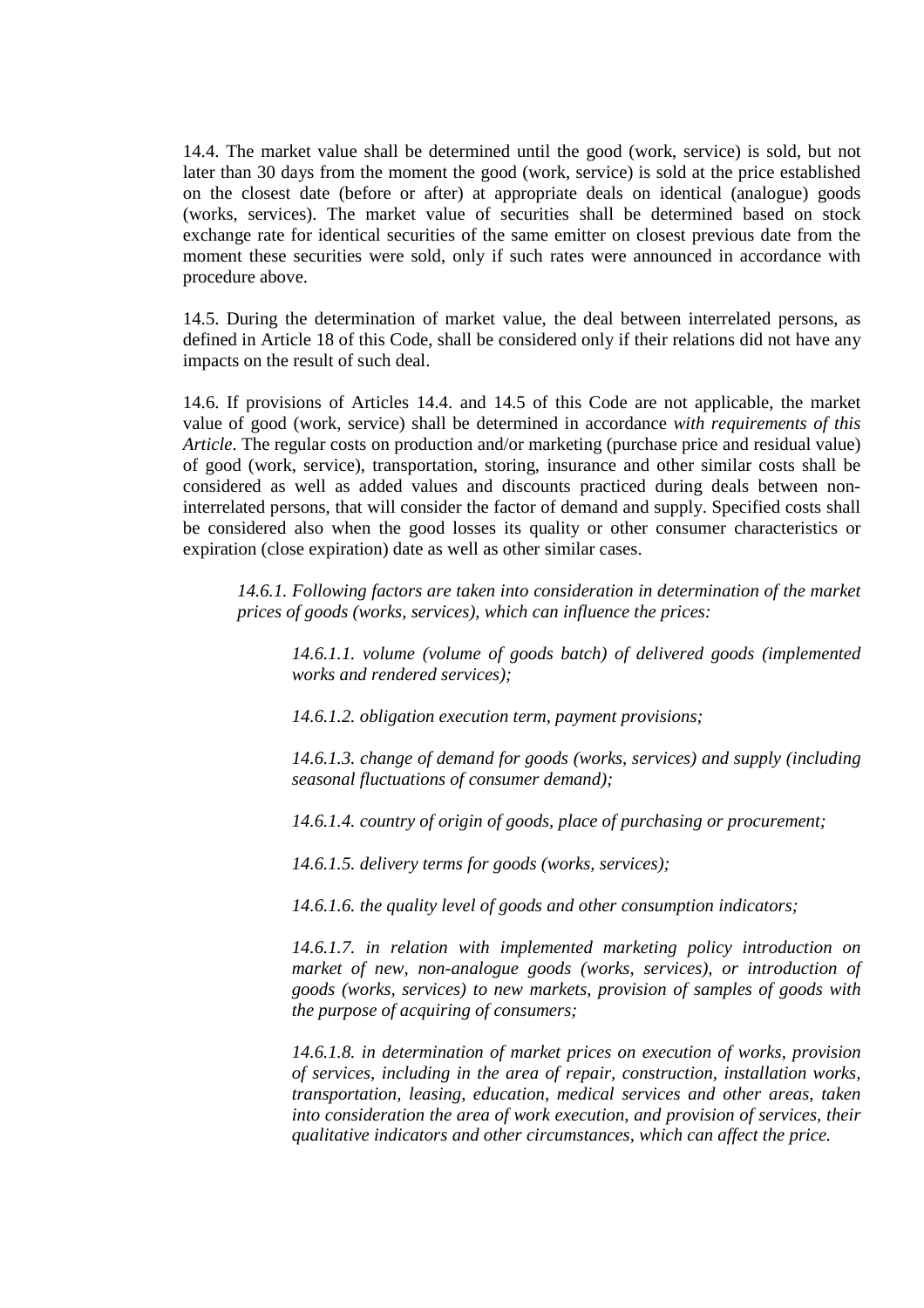14.4. The market value shall be determined until the good (work, service) is sold, but not later than 30 days from the moment the good (work, service) is sold at the price established on the closest date (before or after) at appropriate deals on identical (analogue) goods (works, services). The market value of securities shall be determined based on stock exchange rate for identical securities of the same emitter on closest previous date from the moment these securities were sold, only if such rates were announced in accordance with procedure above.

14.5. During the determination of market value, the deal between interrelated persons, as defined in Article 18 of this Code, shall be considered only if their relations did not have any impacts on the result of such deal.

14.6. If provisions of Articles 14.4. and 14.5 of this Code are not applicable, the market value of good (work, service) shall be determined in accordance *with requirements of this Article*. The regular costs on production and/or marketing (purchase price and residual value) of good (work, service), transportation, storing, insurance and other similar costs shall be considered as well as added values and discounts practiced during deals between noninterrelated persons, that will consider the factor of demand and supply. Specified costs shall be considered also when the good losses its quality or other consumer characteristics or expiration (close expiration) date as well as other similar cases.

*14.6.1. Following factors are taken into consideration in determination of the market prices of goods (works, services), which can influence the prices:* 

*14.6.1.1. volume (volume of goods batch) of delivered goods (implemented works and rendered services);* 

*14.6.1.2. obligation execution term, payment provisions;* 

*14.6.1.3. change of demand for goods (works, services) and supply (including seasonal fluctuations of consumer demand);* 

*14.6.1.4. country of origin of goods, place of purchasing or procurement;* 

*14.6.1.5. delivery terms for goods (works, services);* 

*14.6.1.6. the quality level of goods and other consumption indicators;* 

*14.6.1.7. in relation with implemented marketing policy introduction on market of new, non-analogue goods (works, services), or introduction of goods (works, services) to new markets, provision of samples of goods with the purpose of acquiring of consumers;* 

*14.6.1.8. in determination of market prices on execution of works, provision of services, including in the area of repair, construction, installation works, transportation, leasing, education, medical services and other areas, taken into consideration the area of work execution, and provision of services, their qualitative indicators and other circumstances, which can affect the price.*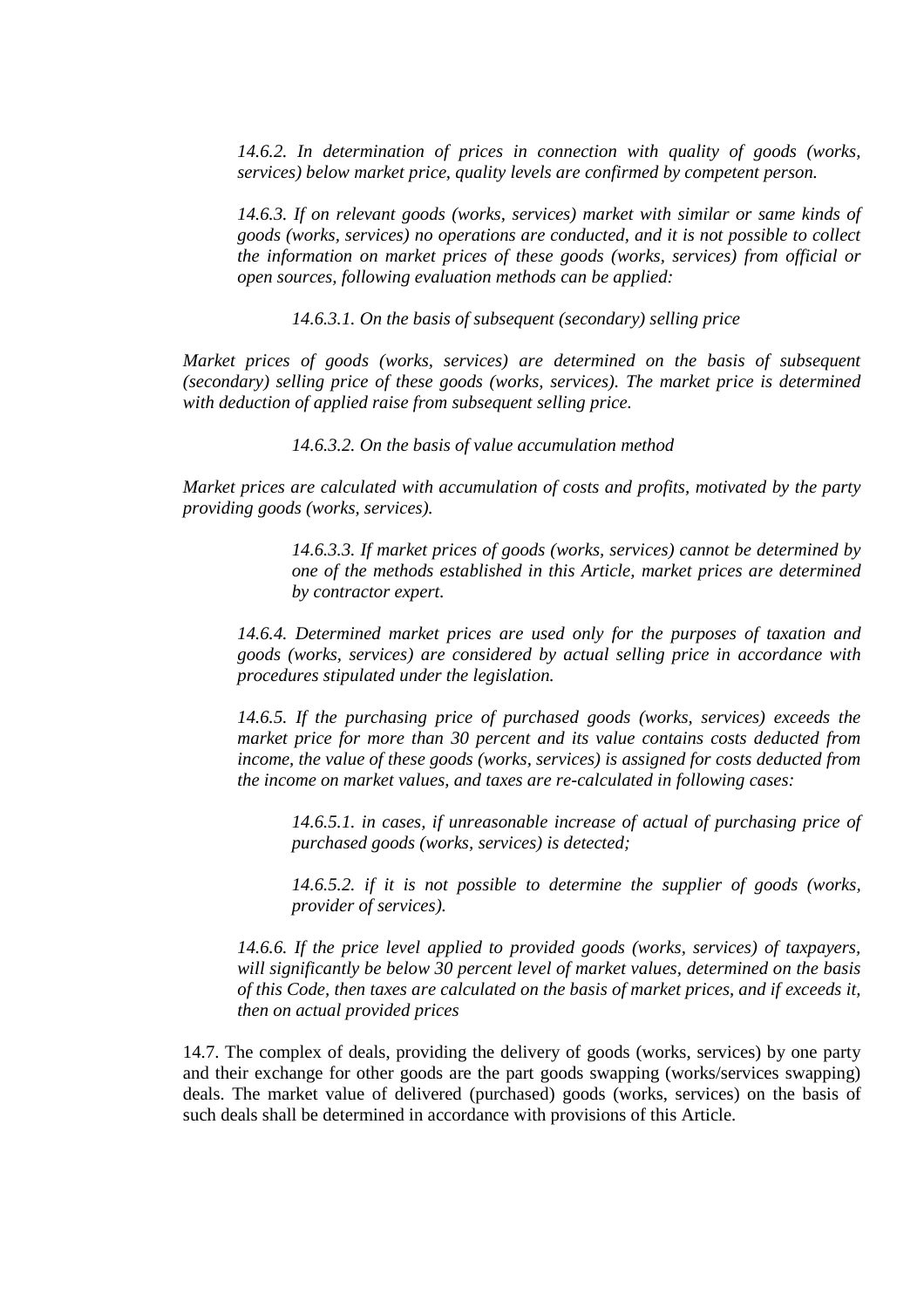*14.6.2. In determination of prices in connection with quality of goods (works, services) below market price, quality levels are confirmed by competent person.* 

*14.6.3. If on relevant goods (works, services) market with similar or same kinds of goods (works, services) no operations are conducted, and it is not possible to collect the information on market prices of these goods (works, services) from official or open sources, following evaluation methods can be applied:* 

*14.6.3.1. On the basis of subsequent (secondary) selling price* 

*Market prices of goods (works, services) are determined on the basis of subsequent (secondary) selling price of these goods (works, services). The market price is determined with deduction of applied raise from subsequent selling price.* 

*14.6.3.2. On the basis of value accumulation method*

*Market prices are calculated with accumulation of costs and profits, motivated by the party providing goods (works, services).* 

> *14.6.3.3. If market prices of goods (works, services) cannot be determined by one of the methods established in this Article, market prices are determined by contractor expert.*

*14.6.4. Determined market prices are used only for the purposes of taxation and goods (works, services) are considered by actual selling price in accordance with procedures stipulated under the legislation.* 

*14.6.5. If the purchasing price of purchased goods (works, services) exceeds the market price for more than 30 percent and its value contains costs deducted from income, the value of these goods (works, services) is assigned for costs deducted from the income on market values, and taxes are re-calculated in following cases:* 

*14.6.5.1. in cases, if unreasonable increase of actual of purchasing price of purchased goods (works, services) is detected;* 

*14.6.5.2. if it is not possible to determine the supplier of goods (works, provider of services).* 

*14.6.6. If the price level applied to provided goods (works, services) of taxpayers, will significantly be below 30 percent level of market values, determined on the basis of this Code, then taxes are calculated on the basis of market prices, and if exceeds it, then on actual provided prices* 

14.7. The complex of deals, providing the delivery of goods (works, services) by one party and their exchange for other goods are the part goods swapping (works/services swapping) deals. The market value of delivered (purchased) goods (works, services) on the basis of such deals shall be determined in accordance with provisions of this Article.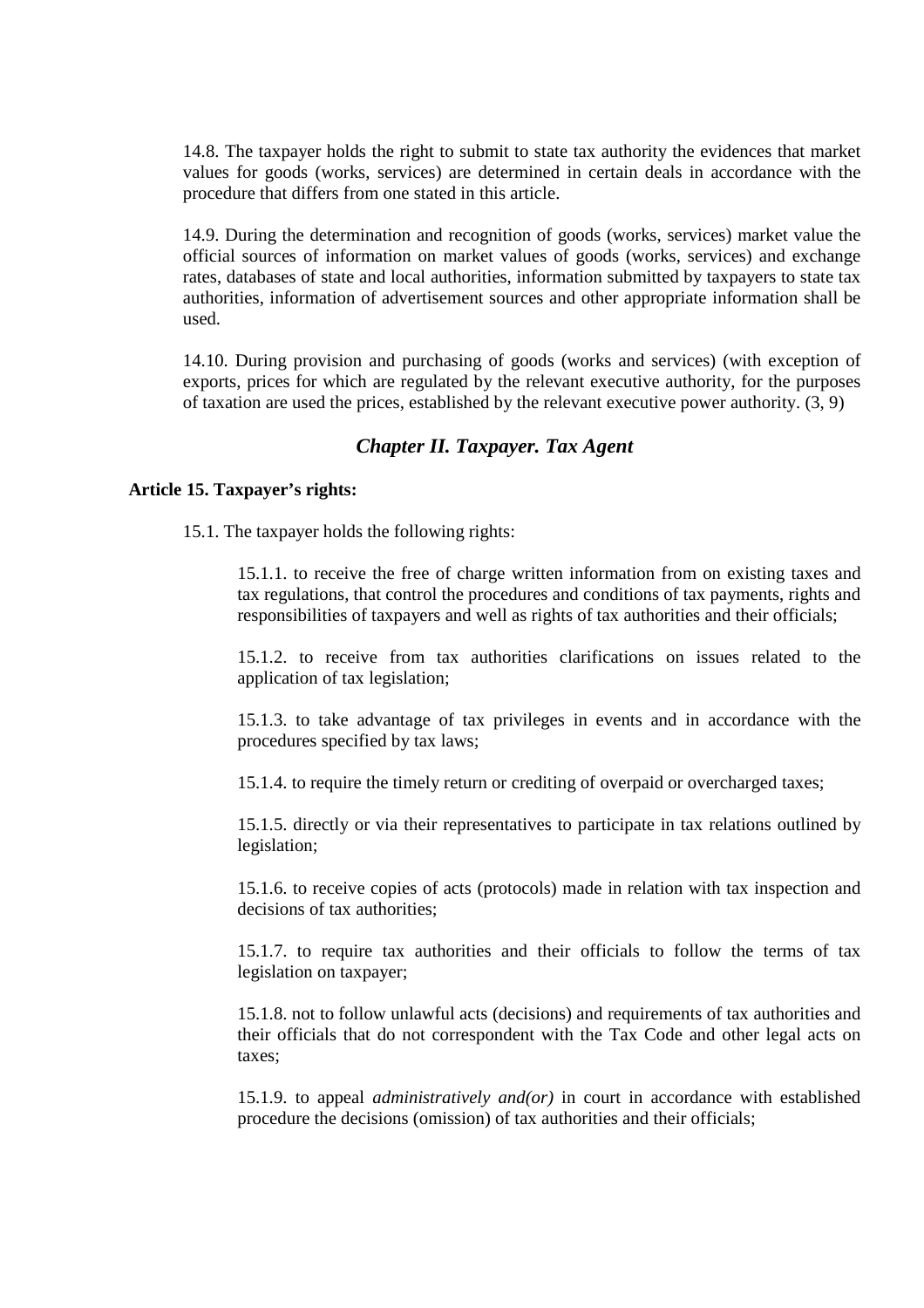14.8. The taxpayer holds the right to submit to state tax authority the evidences that market values for goods (works, services) are determined in certain deals in accordance with the procedure that differs from one stated in this article.

14.9. During the determination and recognition of goods (works, services) market value the official sources of information on market values of goods (works, services) and exchange rates, databases of state and local authorities, information submitted by taxpayers to state tax authorities, information of advertisement sources and other appropriate information shall be used.

14.10. During provision and purchasing of goods (works and services) (with exception of exports, prices for which are regulated by the relevant executive authority, for the purposes of taxation are used the prices, established by the relevant executive power authority. (3, 9)

# *Chapter II. Taxpayer. Tax Agent*

# **Article 15. Taxpayer's rights:**

15.1. The taxpayer holds the following rights:

15.1.1. to receive the free of charge written information from on existing taxes and tax regulations, that control the procedures and conditions of tax payments, rights and responsibilities of taxpayers and well as rights of tax authorities and their officials;

15.1.2. to receive from tax authorities clarifications on issues related to the application of tax legislation;

15.1.3. to take advantage of tax privileges in events and in accordance with the procedures specified by tax laws;

15.1.4. to require the timely return or crediting of overpaid or overcharged taxes;

15.1.5. directly or via their representatives to participate in tax relations outlined by legislation;

15.1.6. to receive copies of acts (protocols) made in relation with tax inspection and decisions of tax authorities;

15.1.7. to require tax authorities and their officials to follow the terms of tax legislation on taxpayer;

15.1.8. not to follow unlawful acts (decisions) and requirements of tax authorities and their officials that do not correspondent with the Tax Code and other legal acts on taxes;

15.1.9. to appeal *administratively and(or)* in court in accordance with established procedure the decisions (omission) of tax authorities and their officials;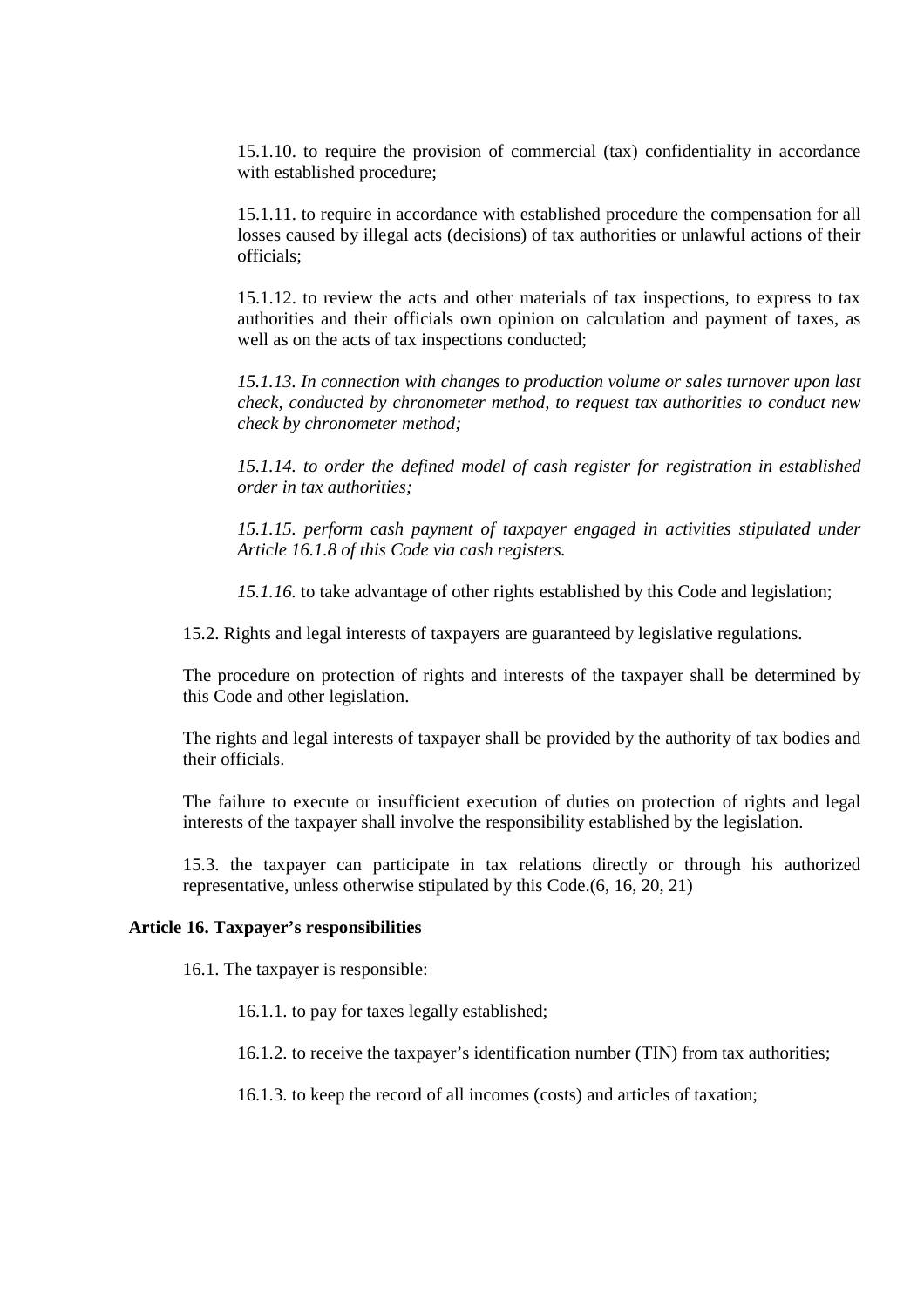15.1.10. to require the provision of commercial (tax) confidentiality in accordance with established procedure;

15.1.11. to require in accordance with established procedure the compensation for all losses caused by illegal acts (decisions) of tax authorities or unlawful actions of their officials;

15.1.12. to review the acts and other materials of tax inspections, to express to tax authorities and their officials own opinion on calculation and payment of taxes, as well as on the acts of tax inspections conducted;

*15.1.13. In connection with changes to production volume or sales turnover upon last check, conducted by chronometer method, to request tax authorities to conduct new check by chronometer method;* 

*15.1.14. to order the defined model of cash register for registration in established order in tax authorities;* 

*15.1.15. perform cash payment of taxpayer engaged in activities stipulated under Article 16.1.8 of this Code via cash registers.* 

*15.1.16.* to take advantage of other rights established by this Code and legislation;

15.2. Rights and legal interests of taxpayers are guaranteed by legislative regulations.

The procedure on protection of rights and interests of the taxpayer shall be determined by this Code and other legislation.

The rights and legal interests of taxpayer shall be provided by the authority of tax bodies and their officials.

The failure to execute or insufficient execution of duties on protection of rights and legal interests of the taxpayer shall involve the responsibility established by the legislation.

15.3. the taxpayer can participate in tax relations directly or through his authorized representative, unless otherwise stipulated by this Code.(6, 16, 20, 21)

# **Article 16. Taxpayer's responsibilities**

16.1. The taxpayer is responsible:

16.1.1. to pay for taxes legally established;

16.1.2. to receive the taxpayer's identification number (TIN) from tax authorities;

16.1.3. to keep the record of all incomes (costs) and articles of taxation;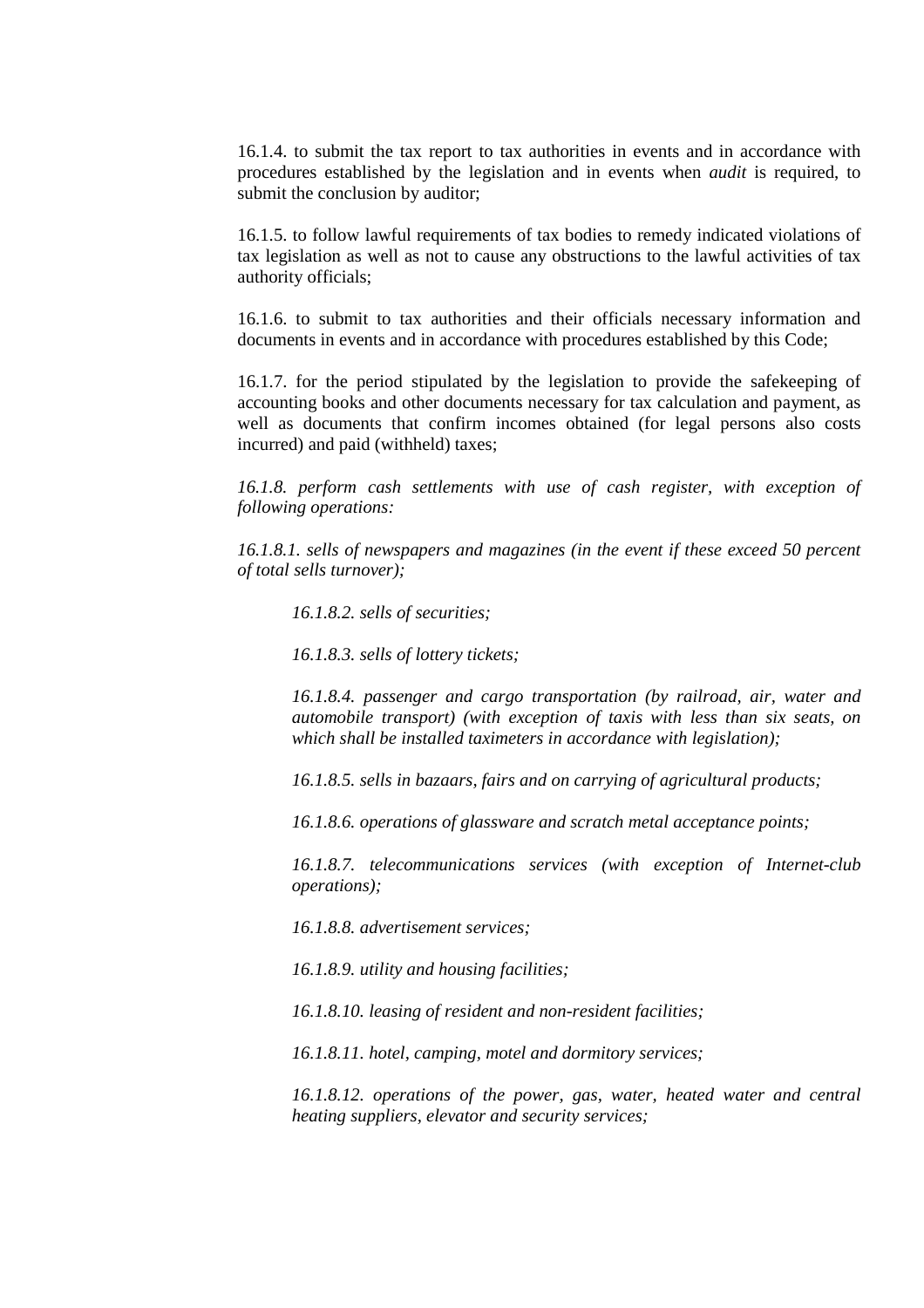16.1.4. to submit the tax report to tax authorities in events and in accordance with procedures established by the legislation and in events when *audit* is required, to submit the conclusion by auditor;

16.1.5. to follow lawful requirements of tax bodies to remedy indicated violations of tax legislation as well as not to cause any obstructions to the lawful activities of tax authority officials;

16.1.6. to submit to tax authorities and their officials necessary information and documents in events and in accordance with procedures established by this Code;

16.1.7. for the period stipulated by the legislation to provide the safekeeping of accounting books and other documents necessary for tax calculation and payment, as well as documents that confirm incomes obtained (for legal persons also costs incurred) and paid (withheld) taxes;

*16.1.8. perform cash settlements with use of cash register, with exception of following operations:* 

*16.1.8.1. sells of newspapers and magazines (in the event if these exceed 50 percent of total sells turnover);* 

*16.1.8.2. sells of securities;* 

*16.1.8.3. sells of lottery tickets;* 

*16.1.8.4. passenger and cargo transportation (by railroad, air, water and automobile transport) (with exception of taxis with less than six seats, on which shall be installed taximeters in accordance with legislation);* 

*16.1.8.5. sells in bazaars, fairs and on carrying of agricultural products;* 

*16.1.8.6. operations of glassware and scratch metal acceptance points;* 

*16.1.8.7. telecommunications services (with exception of Internet-club operations);* 

*16.1.8.8. advertisement services;* 

*16.1.8.9. utility and housing facilities;* 

*16.1.8.10. leasing of resident and non-resident facilities;* 

*16.1.8.11. hotel, camping, motel and dormitory services;* 

*16.1.8.12. operations of the power, gas, water, heated water and central heating suppliers, elevator and security services;*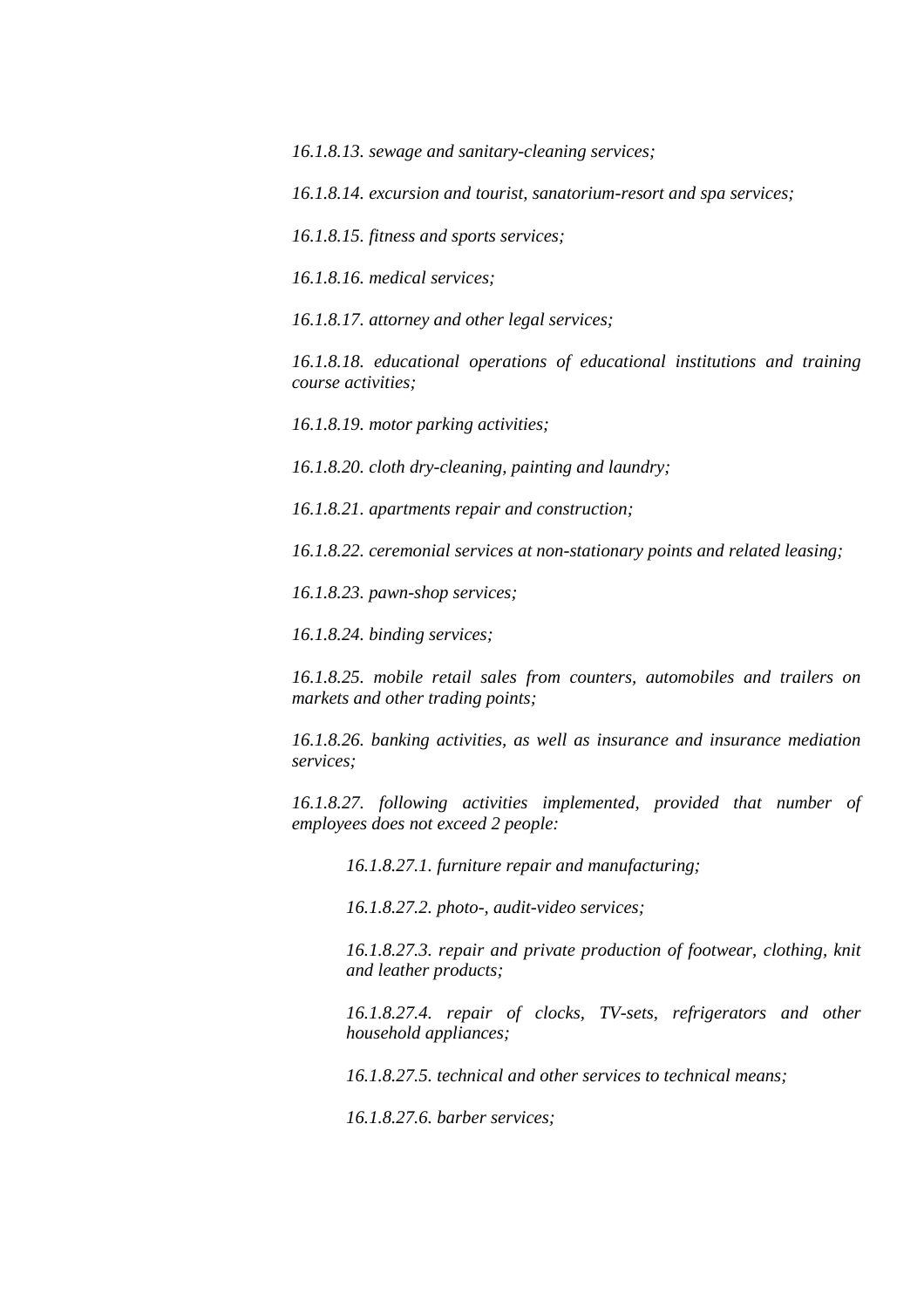*16.1.8.13. sewage and sanitary-cleaning services;* 

*16.1.8.14. excursion and tourist, sanatorium-resort and spa services;* 

*16.1.8.15. fitness and sports services;* 

*16.1.8.16. medical services;* 

*16.1.8.17. attorney and other legal services;* 

*16.1.8.18. educational operations of educational institutions and training course activities;* 

*16.1.8.19. motor parking activities;* 

*16.1.8.20. cloth dry-cleaning, painting and laundry;* 

*16.1.8.21. apartments repair and construction;* 

*16.1.8.22. ceremonial services at non-stationary points and related leasing;* 

*16.1.8.23. pawn-shop services;* 

*16.1.8.24. binding services;* 

*16.1.8.25. mobile retail sales from counters, automobiles and trailers on markets and other trading points;* 

*16.1.8.26. banking activities, as well as insurance and insurance mediation services;* 

*16.1.8.27. following activities implemented, provided that number of employees does not exceed 2 people:* 

*16.1.8.27.1. furniture repair and manufacturing;* 

*16.1.8.27.2. photo-, audit-video services;* 

*16.1.8.27.3. repair and private production of footwear, clothing, knit and leather products;* 

16.1.8.27.4. repair of clocks, TV-sets, refrigerators and other *household appliances;* 

*16.1.8.27.5. technical and other services to technical means;* 

*16.1.8.27.6. barber services;*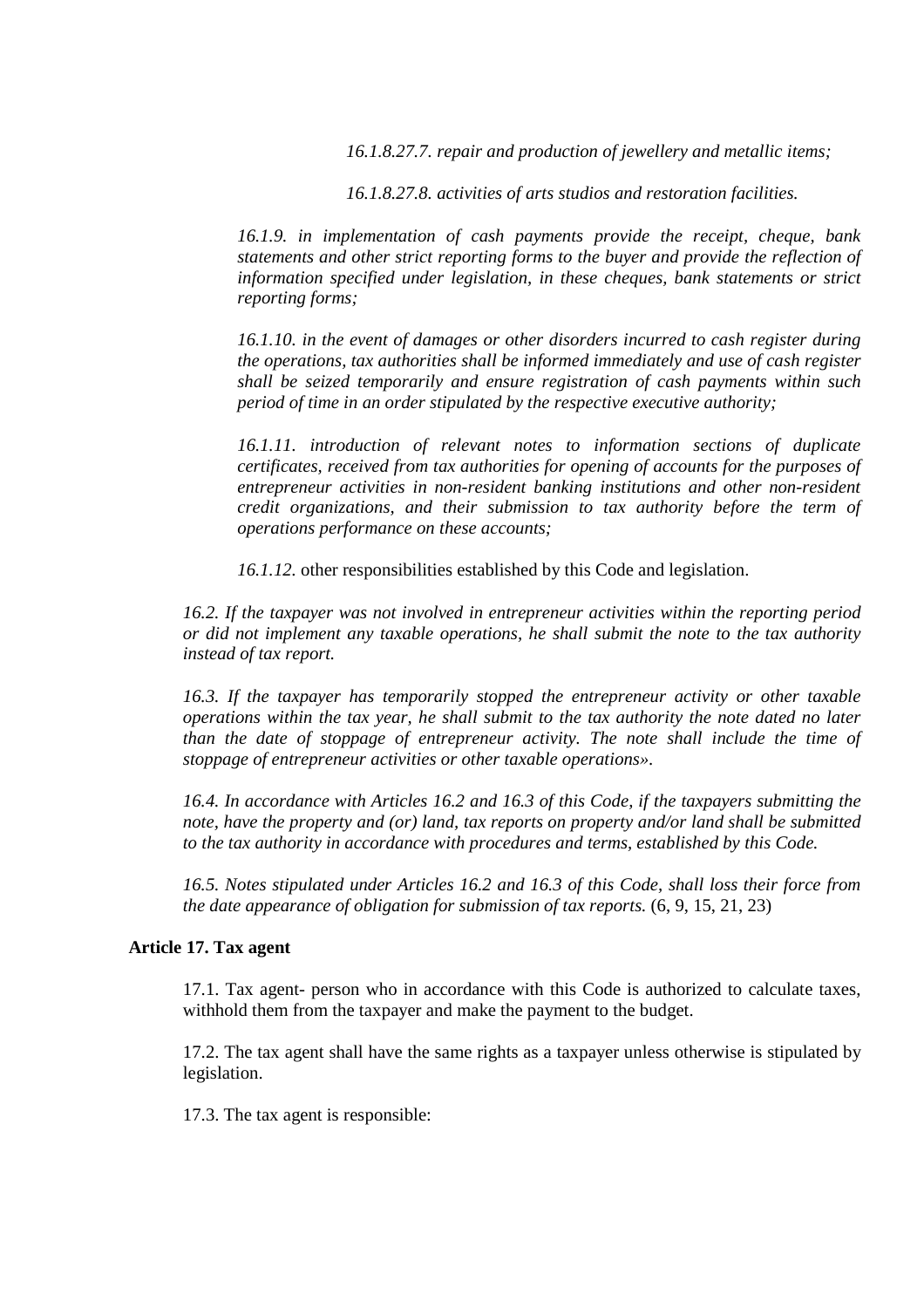*16.1.8.27.7. repair and production of jewellery and metallic items;* 

*16.1.8.27.8. activities of arts studios and restoration facilities.*

*16.1.9. in implementation of cash payments provide the receipt, cheque, bank statements and other strict reporting forms to the buyer and provide the reflection of information specified under legislation, in these cheques, bank statements or strict reporting forms;* 

*16.1.10. in the event of damages or other disorders incurred to cash register during the operations, tax authorities shall be informed immediately and use of cash register shall be seized temporarily and ensure registration of cash payments within such period of time in an order stipulated by the respective executive authority;* 

*16.1.11. introduction of relevant notes to information sections of duplicate certificates, received from tax authorities for opening of accounts for the purposes of entrepreneur activities in non-resident banking institutions and other non-resident credit organizations, and their submission to tax authority before the term of operations performance on these accounts;*

*16.1.12.* other responsibilities established by this Code and legislation.

*16.2. If the taxpayer was not involved in entrepreneur activities within the reporting period or did not implement any taxable operations, he shall submit the note to the tax authority instead of tax report.* 

*16.3. If the taxpayer has temporarily stopped the entrepreneur activity or other taxable operations within the tax year, he shall submit to the tax authority the note dated no later than the date of stoppage of entrepreneur activity. The note shall include the time of stoppage of entrepreneur activities or other taxable operations».* 

*16.4. In accordance with Articles 16.2 and 16.3 of this Code, if the taxpayers submitting the note, have the property and (or) land, tax reports on property and/or land shall be submitted to the tax authority in accordance with procedures and terms, established by this Code.* 

*16.5. Notes stipulated under Articles 16.2 and 16.3 of this Code, shall loss their force from the date appearance of obligation for submission of tax reports.*  $(6, 9, 15, 21, 23)$ 

# **Article 17. Tax agent**

17.1. Tax agent- person who in accordance with this Code is authorized to calculate taxes, withhold them from the taxpayer and make the payment to the budget.

17.2. The tax agent shall have the same rights as a taxpayer unless otherwise is stipulated by legislation.

17.3. The tax agent is responsible: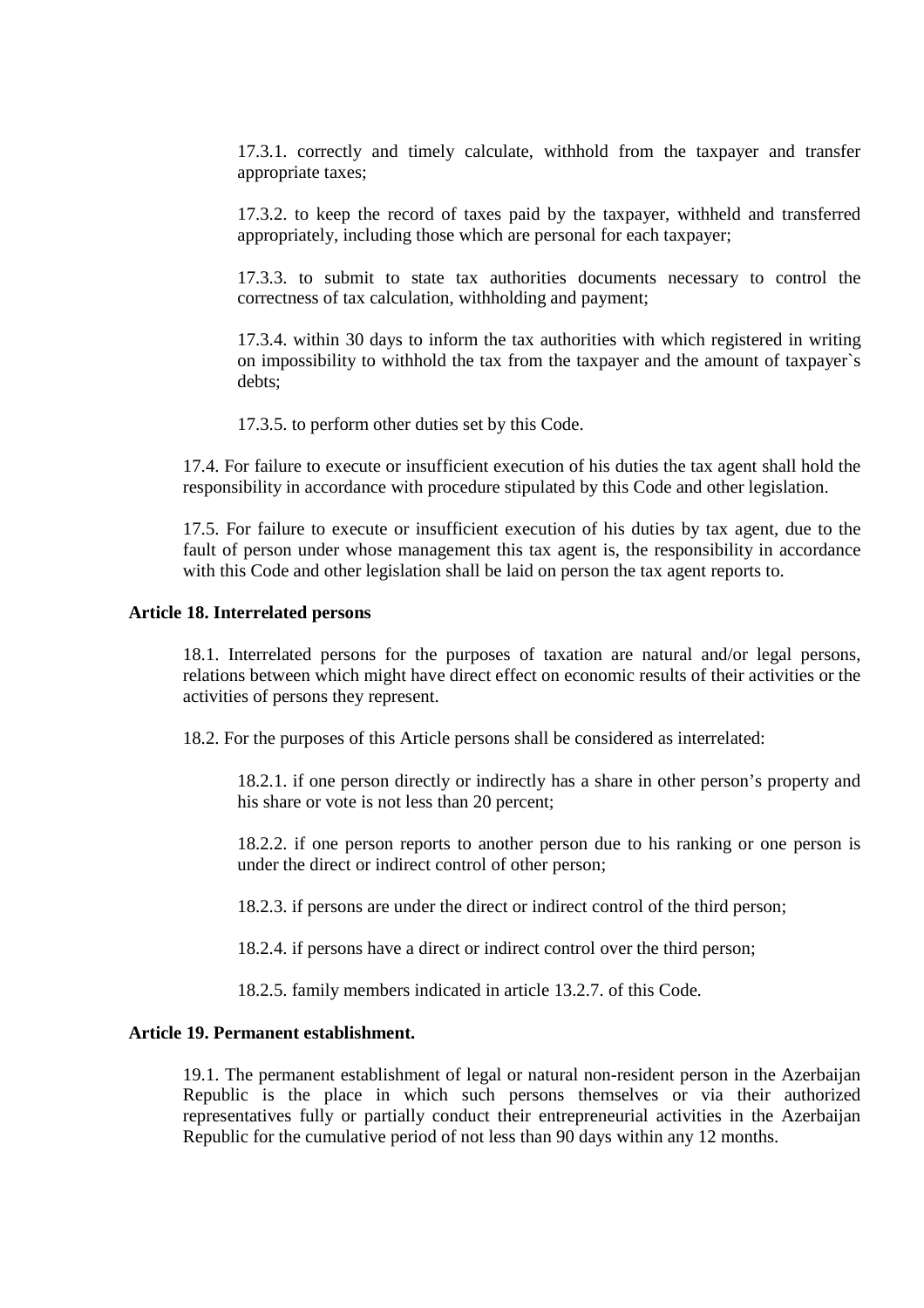17.3.1. correctly and timely calculate, withhold from the taxpayer and transfer appropriate taxes;

17.3.2. to keep the record of taxes paid by the taxpayer, withheld and transferred appropriately, including those which are personal for each taxpayer;

17.3.3. to submit to state tax authorities documents necessary to control the correctness of tax calculation, withholding and payment;

17.3.4. within 30 days to inform the tax authorities with which registered in writing on impossibility to withhold the tax from the taxpayer and the amount of taxpayer`s debts;

17.3.5. to perform other duties set by this Code.

17.4. For failure to execute or insufficient execution of his duties the tax agent shall hold the responsibility in accordance with procedure stipulated by this Code and other legislation.

17.5. For failure to execute or insufficient execution of his duties by tax agent, due to the fault of person under whose management this tax agent is, the responsibility in accordance with this Code and other legislation shall be laid on person the tax agent reports to.

#### **Article 18. Interrelated persons**

18.1. Interrelated persons for the purposes of taxation are natural and/or legal persons, relations between which might have direct effect on economic results of their activities or the activities of persons they represent.

18.2. For the purposes of this Article persons shall be considered as interrelated:

18.2.1. if one person directly or indirectly has a share in other person's property and his share or vote is not less than 20 percent;

18.2.2. if one person reports to another person due to his ranking or one person is under the direct or indirect control of other person;

18.2.3. if persons are under the direct or indirect control of the third person;

18.2.4. if persons have a direct or indirect control over the third person;

18.2.5. family members indicated in article 13.2.7. of this Code.

# **Article 19. Permanent establishment.**

19.1. The permanent establishment of legal or natural non-resident person in the Azerbaijan Republic is the place in which such persons themselves or via their authorized representatives fully or partially conduct their entrepreneurial activities in the Azerbaijan Republic for the cumulative period of not less than 90 days within any 12 months.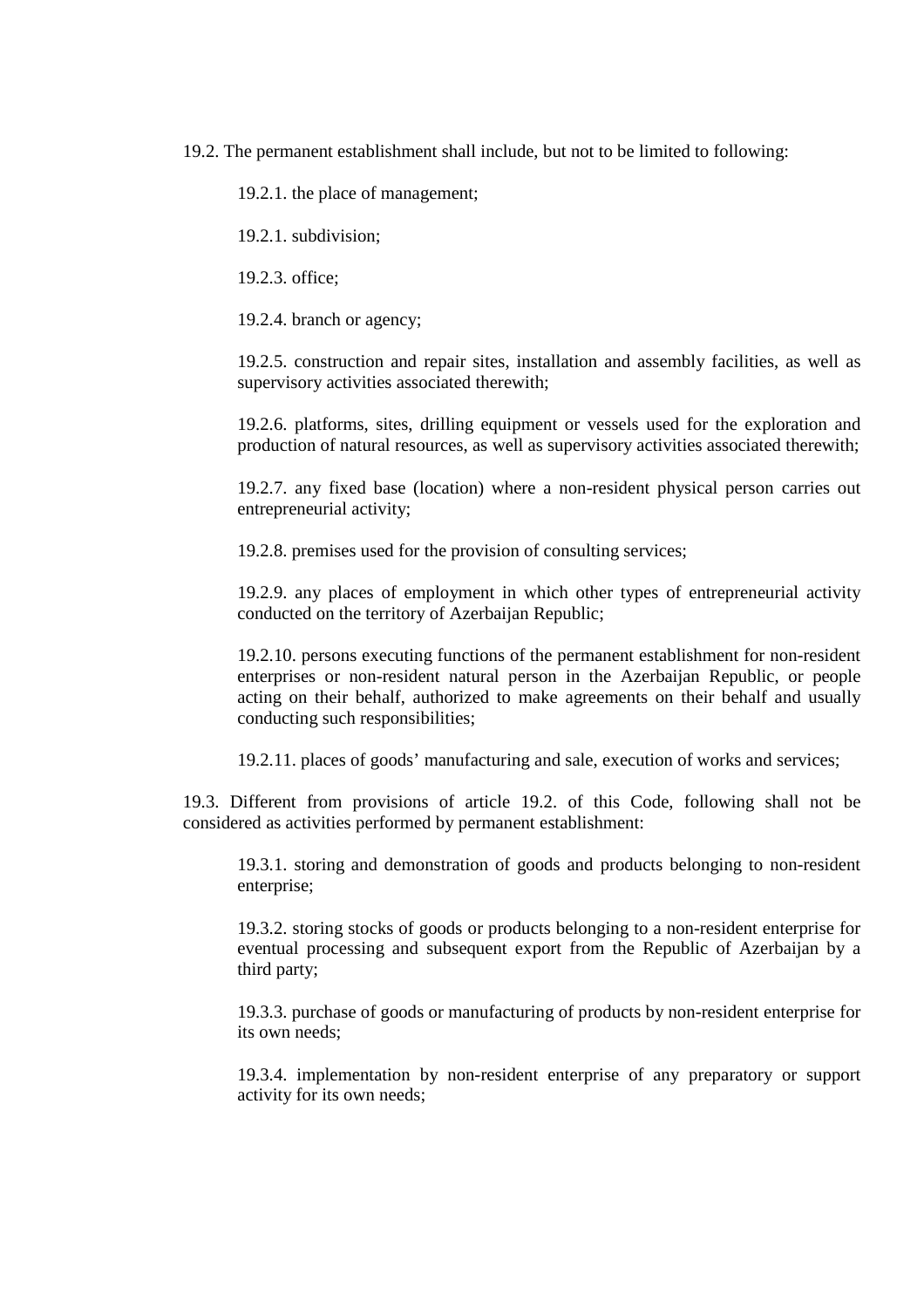19.2. The permanent establishment shall include, but not to be limited to following:

19.2.1. the place of management;

19.2.1. subdivision;

19.2.3. office;

19.2.4. branch or agency;

19.2.5. construction and repair sites, installation and assembly facilities, as well as supervisory activities associated therewith;

19.2.6. platforms, sites, drilling equipment or vessels used for the exploration and production of natural resources, as well as supervisory activities associated therewith;

19.2.7. any fixed base (location) where a non-resident physical person carries out entrepreneurial activity;

19.2.8. premises used for the provision of consulting services;

19.2.9. any places of employment in which other types of entrepreneurial activity conducted on the territory of Azerbaijan Republic;

19.2.10. persons executing functions of the permanent establishment for non-resident enterprises or non-resident natural person in the Azerbaijan Republic, or people acting on their behalf, authorized to make agreements on their behalf and usually conducting such responsibilities;

19.2.11. places of goods' manufacturing and sale, execution of works and services;

19.3. Different from provisions of article 19.2. of this Code, following shall not be considered as activities performed by permanent establishment:

19.3.1. storing and demonstration of goods and products belonging to non-resident enterprise;

19.3.2. storing stocks of goods or products belonging to a non-resident enterprise for eventual processing and subsequent export from the Republic of Azerbaijan by a third party;

19.3.3. purchase of goods or manufacturing of products by non-resident enterprise for its own needs;

19.3.4. implementation by non-resident enterprise of any preparatory or support activity for its own needs;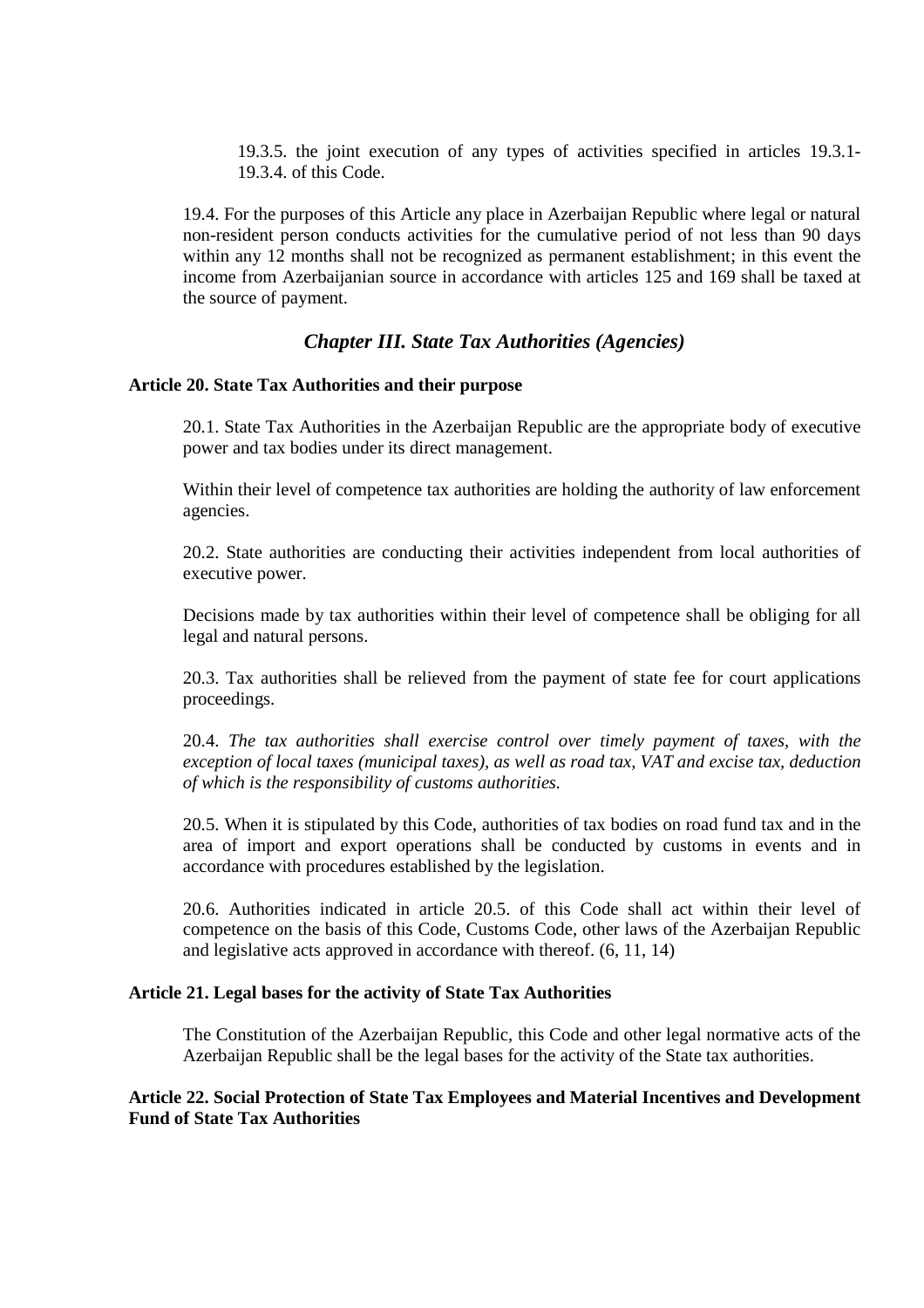19.3.5. the joint execution of any types of activities specified in articles 19.3.1- 19.3.4. of this Code.

19.4. For the purposes of this Article any place in Azerbaijan Republic where legal or natural non-resident person conducts activities for the cumulative period of not less than 90 days within any 12 months shall not be recognized as permanent establishment; in this event the income from Azerbaijanian source in accordance with articles 125 and 169 shall be taxed at the source of payment.

# *Chapter III. State Tax Authorities (Agencies)*

# **Article 20. State Tax Authorities and their purpose**

20.1. State Tax Authorities in the Azerbaijan Republic are the appropriate body of executive power and tax bodies under its direct management.

Within their level of competence tax authorities are holding the authority of law enforcement agencies.

20.2. State authorities are conducting their activities independent from local authorities of executive power.

Decisions made by tax authorities within their level of competence shall be obliging for all legal and natural persons.

20.3. Tax authorities shall be relieved from the payment of state fee for court applications proceedings.

20.4. *The tax authorities shall exercise control over timely payment of taxes, with the exception of local taxes (municipal taxes), as well as road tax, VAT and excise tax, deduction of which is the responsibility of customs authorities.*

20.5. When it is stipulated by this Code, authorities of tax bodies on road fund tax and in the area of import and export operations shall be conducted by customs in events and in accordance with procedures established by the legislation.

20.6. Authorities indicated in article 20.5. of this Code shall act within their level of competence on the basis of this Code, Customs Code, other laws of the Azerbaijan Republic and legislative acts approved in accordance with thereof. (6, 11, 14)

# **Article 21. Legal bases for the activity of State Tax Authorities**

The Constitution of the Azerbaijan Republic, this Code and other legal normative acts of the Azerbaijan Republic shall be the legal bases for the activity of the State tax authorities.

# **Article 22. Social Protection of State Tax Employees and Material Incentives and Development Fund of State Tax Authorities**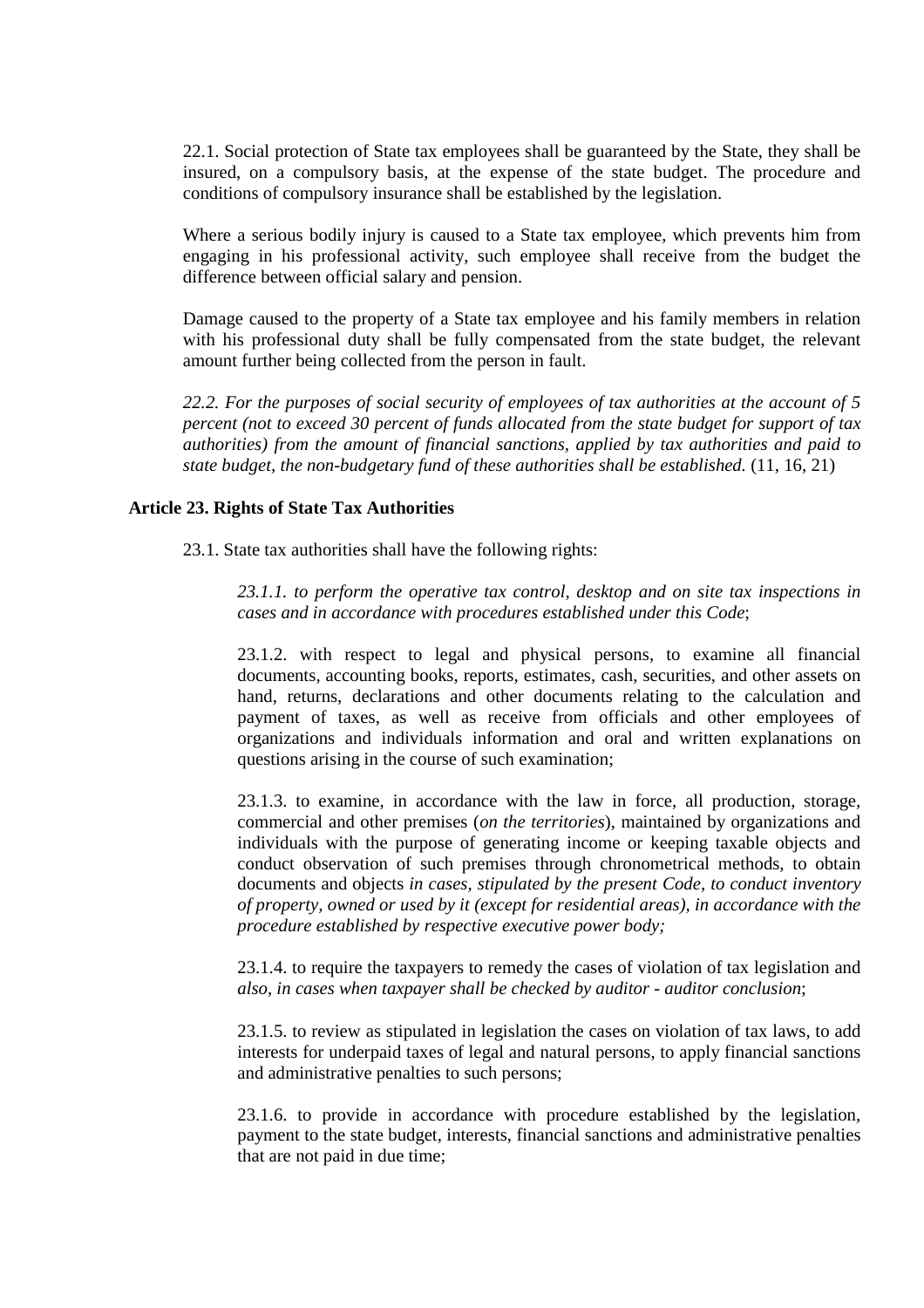22.1. Social protection of State tax employees shall be guaranteed by the State, they shall be insured, on a compulsory basis, at the expense of the state budget. The procedure and conditions of compulsory insurance shall be established by the legislation.

Where a serious bodily injury is caused to a State tax employee, which prevents him from engaging in his professional activity, such employee shall receive from the budget the difference between official salary and pension.

Damage caused to the property of a State tax employee and his family members in relation with his professional duty shall be fully compensated from the state budget, the relevant amount further being collected from the person in fault.

*22.2. For the purposes of social security of employees of tax authorities at the account of 5 percent (not to exceed 30 percent of funds allocated from the state budget for support of tax authorities) from the amount of financial sanctions, applied by tax authorities and paid to state budget, the non-budgetary fund of these authorities shall be established.* (11, 16, 21)

# **Article 23. Rights of State Tax Authorities**

23.1. State tax authorities shall have the following rights:

*23.1.1. to perform the operative tax control, desktop and on site tax inspections in cases and in accordance with procedures established under this Code*;

23.1.2. with respect to legal and physical persons, to examine all financial documents, accounting books, reports, estimates, cash, securities, and other assets on hand, returns, declarations and other documents relating to the calculation and payment of taxes, as well as receive from officials and other employees of organizations and individuals information and oral and written explanations on questions arising in the course of such examination;

23.1.3. to examine, in accordance with the law in force, all production, storage, commercial and other premises (*on the territories*), maintained by organizations and individuals with the purpose of generating income or keeping taxable objects and conduct observation of such premises through chronometrical methods, to obtain documents and objects *in cases, stipulated by the present Code, to conduct inventory of property, owned or used by it (except for residential areas), in accordance with the procedure established by respective executive power body;* 

23.1.4. to require the taxpayers to remedy the cases of violation of tax legislation and *also, in cases when taxpayer shall be checked by auditor - auditor conclusion*;

23.1.5. to review as stipulated in legislation the cases on violation of tax laws, to add interests for underpaid taxes of legal and natural persons, to apply financial sanctions and administrative penalties to such persons;

23.1.6. to provide in accordance with procedure established by the legislation, payment to the state budget, interests, financial sanctions and administrative penalties that are not paid in due time;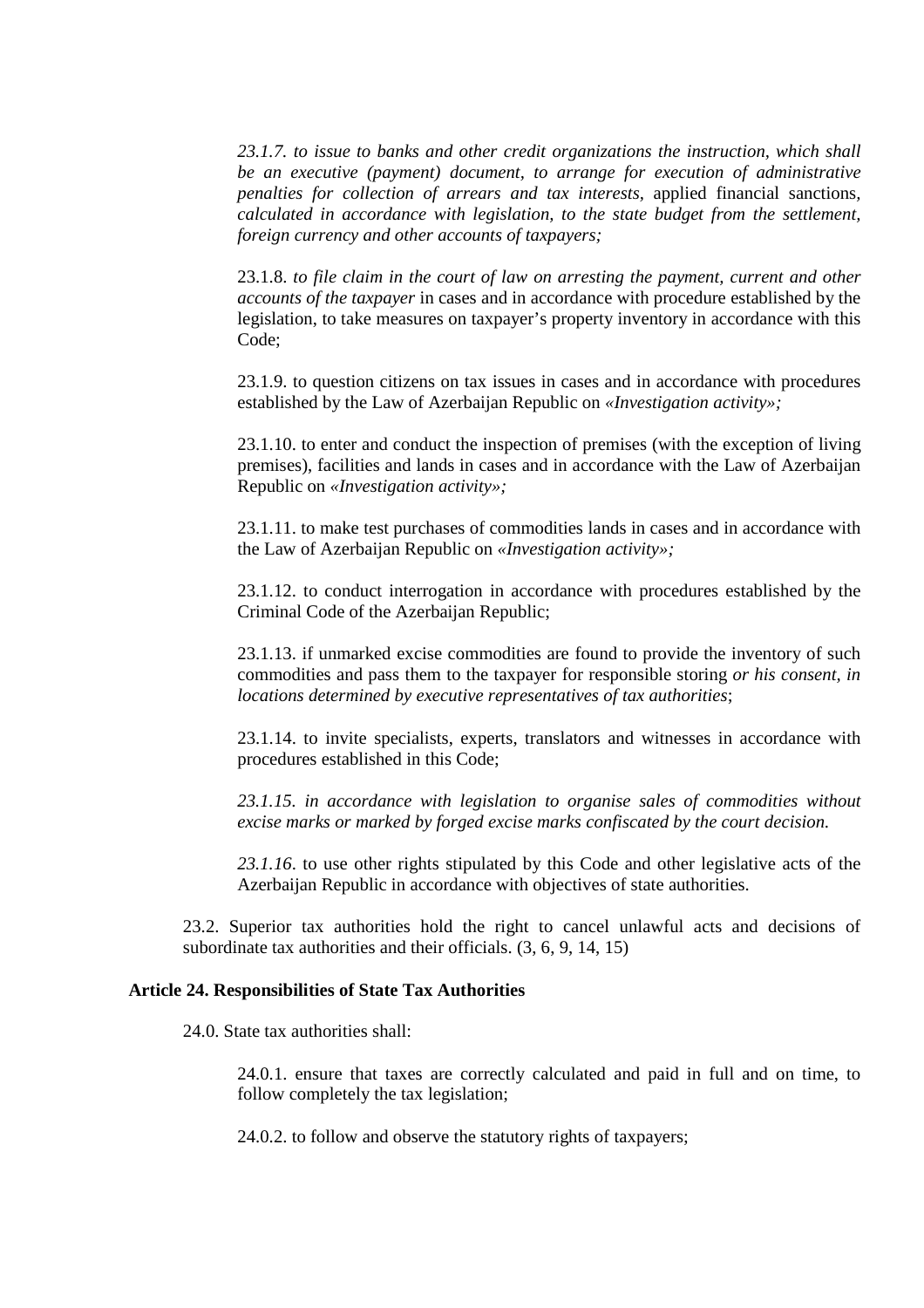*23.1.7. to issue to banks and other credit organizations the instruction, which shall be an executive (payment) document, to arrange for execution of administrative penalties for collection of arrears and tax interests,* applied financial sanctions*, calculated in accordance with legislation, to the state budget from the settlement, foreign currency and other accounts of taxpayers;* 

23.1.8. *to file claim in the court of law on arresting the payment, current and other accounts of the taxpayer* in cases and in accordance with procedure established by the legislation, to take measures on taxpayer's property inventory in accordance with this Code;

23.1.9. to question citizens on tax issues in cases and in accordance with procedures established by the Law of Azerbaijan Republic on *«Investigation activity»;* 

23.1.10. to enter and conduct the inspection of premises (with the exception of living premises), facilities and lands in cases and in accordance with the Law of Azerbaijan Republic on *«Investigation activity»;* 

23.1.11. to make test purchases of commodities lands in cases and in accordance with the Law of Azerbaijan Republic on *«Investigation activity»;* 

23.1.12. to conduct interrogation in accordance with procedures established by the Criminal Code of the Azerbaijan Republic;

23.1.13. if unmarked excise commodities are found to provide the inventory of such commodities and pass them to the taxpayer for responsible storing *or his consent, in locations determined by executive representatives of tax authorities*;

23.1.14. to invite specialists, experts, translators and witnesses in accordance with procedures established in this Code;

*23.1.15. in accordance with legislation to organise sales of commodities without excise marks or marked by forged excise marks confiscated by the court decision.* 

*23.1.16*. to use other rights stipulated by this Code and other legislative acts of the Azerbaijan Republic in accordance with objectives of state authorities.

23.2. Superior tax authorities hold the right to cancel unlawful acts and decisions of subordinate tax authorities and their officials. (3, 6, 9, 14, 15)

# **Article 24. Responsibilities of State Tax Authorities**

24.0. State tax authorities shall:

24.0.1. ensure that taxes are correctly calculated and paid in full and on time, to follow completely the tax legislation;

24.0.2. to follow and observe the statutory rights of taxpayers;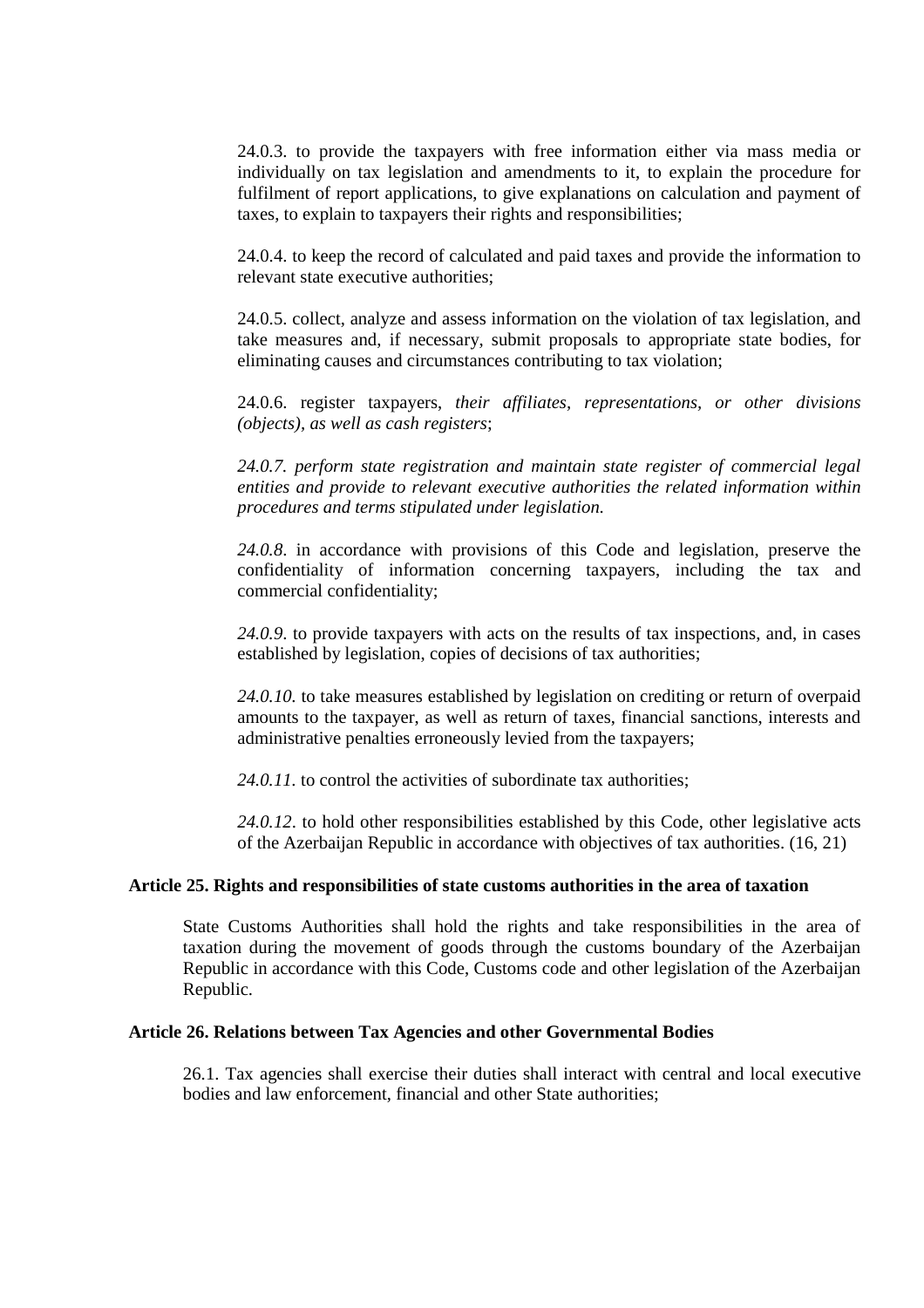24.0.3. to provide the taxpayers with free information either via mass media or individually on tax legislation and amendments to it, to explain the procedure for fulfilment of report applications, to give explanations on calculation and payment of taxes, to explain to taxpayers their rights and responsibilities;

24.0.4. to keep the record of calculated and paid taxes and provide the information to relevant state executive authorities;

24.0.5. collect, analyze and assess information on the violation of tax legislation, and take measures and, if necessary, submit proposals to appropriate state bodies, for eliminating causes and circumstances contributing to tax violation;

24.0.6. register taxpayers, *their affiliates, representations, or other divisions (objects), as well as cash registers*;

*24.0.7. perform state registration and maintain state register of commercial legal entities and provide to relevant executive authorities the related information within procedures and terms stipulated under legislation.*

*24.0.8*. in accordance with provisions of this Code and legislation, preserve the confidentiality of information concerning taxpayers, including the tax and commercial confidentiality;

*24.0.9*. to provide taxpayers with acts on the results of tax inspections, and, in cases established by legislation, copies of decisions of tax authorities;

*24.0.10.* to take measures established by legislation on crediting or return of overpaid amounts to the taxpayer, as well as return of taxes, financial sanctions, interests and administrative penalties erroneously levied from the taxpayers;

24.0.11. to control the activities of subordinate tax authorities:

*24.0.12*. to hold other responsibilities established by this Code, other legislative acts of the Azerbaijan Republic in accordance with objectives of tax authorities. (16, 21)

#### **Article 25. Rights and responsibilities of state customs authorities in the area of taxation**

State Customs Authorities shall hold the rights and take responsibilities in the area of taxation during the movement of goods through the customs boundary of the Azerbaijan Republic in accordance with this Code, Customs code and other legislation of the Azerbaijan Republic.

# **Article 26. Relations between Tax Agencies and other Governmental Bodies**

26.1. Tax agencies shall exercise their duties shall interact with central and local executive bodies and law enforcement, financial and other State authorities;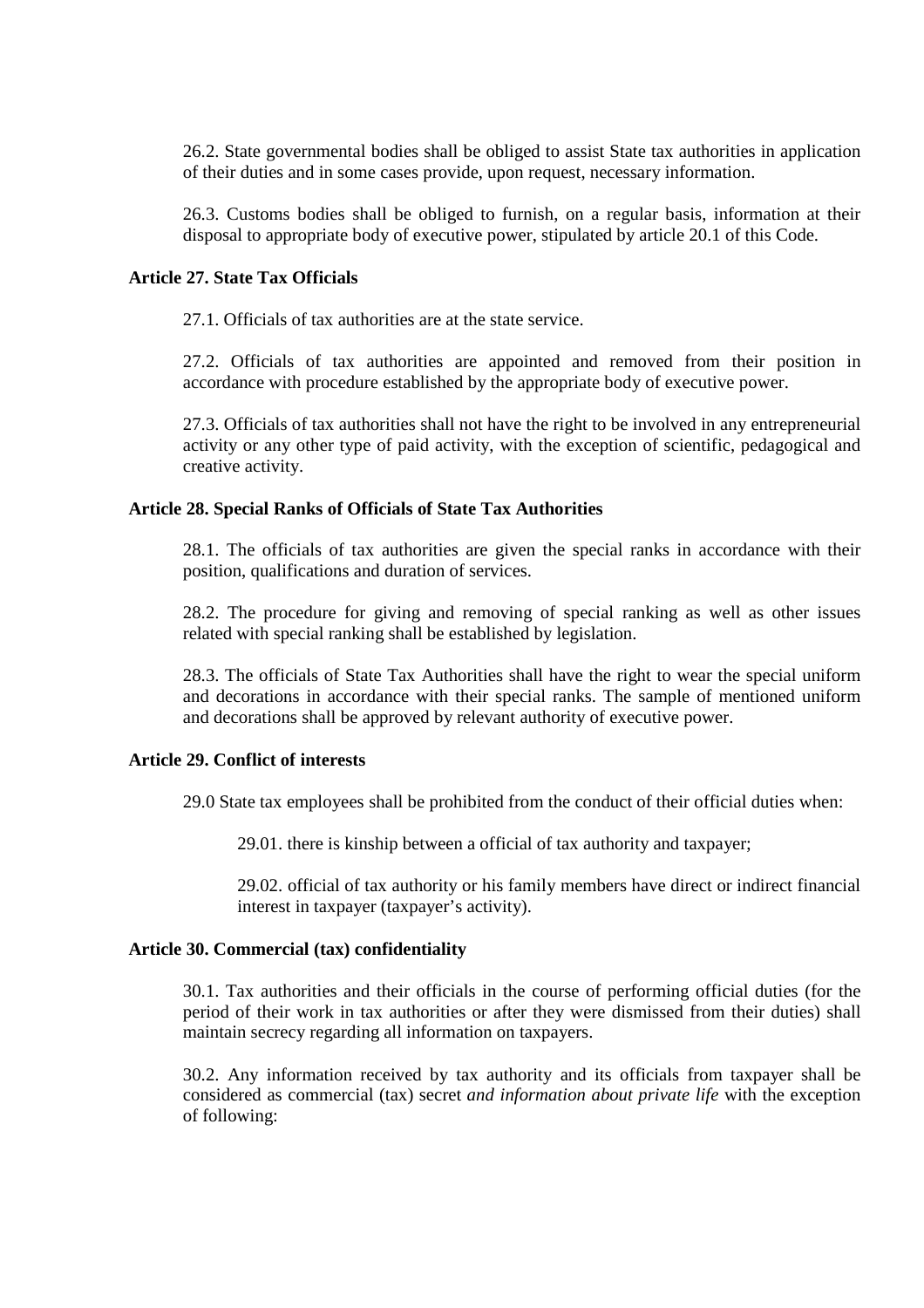26.2. State governmental bodies shall be obliged to assist State tax authorities in application of their duties and in some cases provide, upon request, necessary information.

26.3. Customs bodies shall be obliged to furnish, on a regular basis, information at their disposal to appropriate body of executive power, stipulated by article 20.1 of this Code.

# **Article 27. State Tax Officials**

27.1. Officials of tax authorities are at the state service.

27.2. Officials of tax authorities are appointed and removed from their position in accordance with procedure established by the appropriate body of executive power.

27.3. Officials of tax authorities shall not have the right to be involved in any entrepreneurial activity or any other type of paid activity, with the exception of scientific, pedagogical and creative activity.

## **Article 28. Special Ranks of Officials of State Tax Authorities**

28.1. The officials of tax authorities are given the special ranks in accordance with their position, qualifications and duration of services.

28.2. The procedure for giving and removing of special ranking as well as other issues related with special ranking shall be established by legislation.

28.3. The officials of State Tax Authorities shall have the right to wear the special uniform and decorations in accordance with their special ranks. The sample of mentioned uniform and decorations shall be approved by relevant authority of executive power.

# **Article 29. Conflict of interests**

29.0 State tax employees shall be prohibited from the conduct of their official duties when:

29.01. there is kinship between a official of tax authority and taxpayer;

29.02. official of tax authority or his family members have direct or indirect financial interest in taxpayer (taxpayer's activity).

# **Article 30. Commercial (tax) confidentiality**

30.1. Tax authorities and their officials in the course of performing official duties (for the period of their work in tax authorities or after they were dismissed from their duties) shall maintain secrecy regarding all information on taxpayers.

30.2. Any information received by tax authority and its officials from taxpayer shall be considered as commercial (tax) secret *and information about private life* with the exception of following: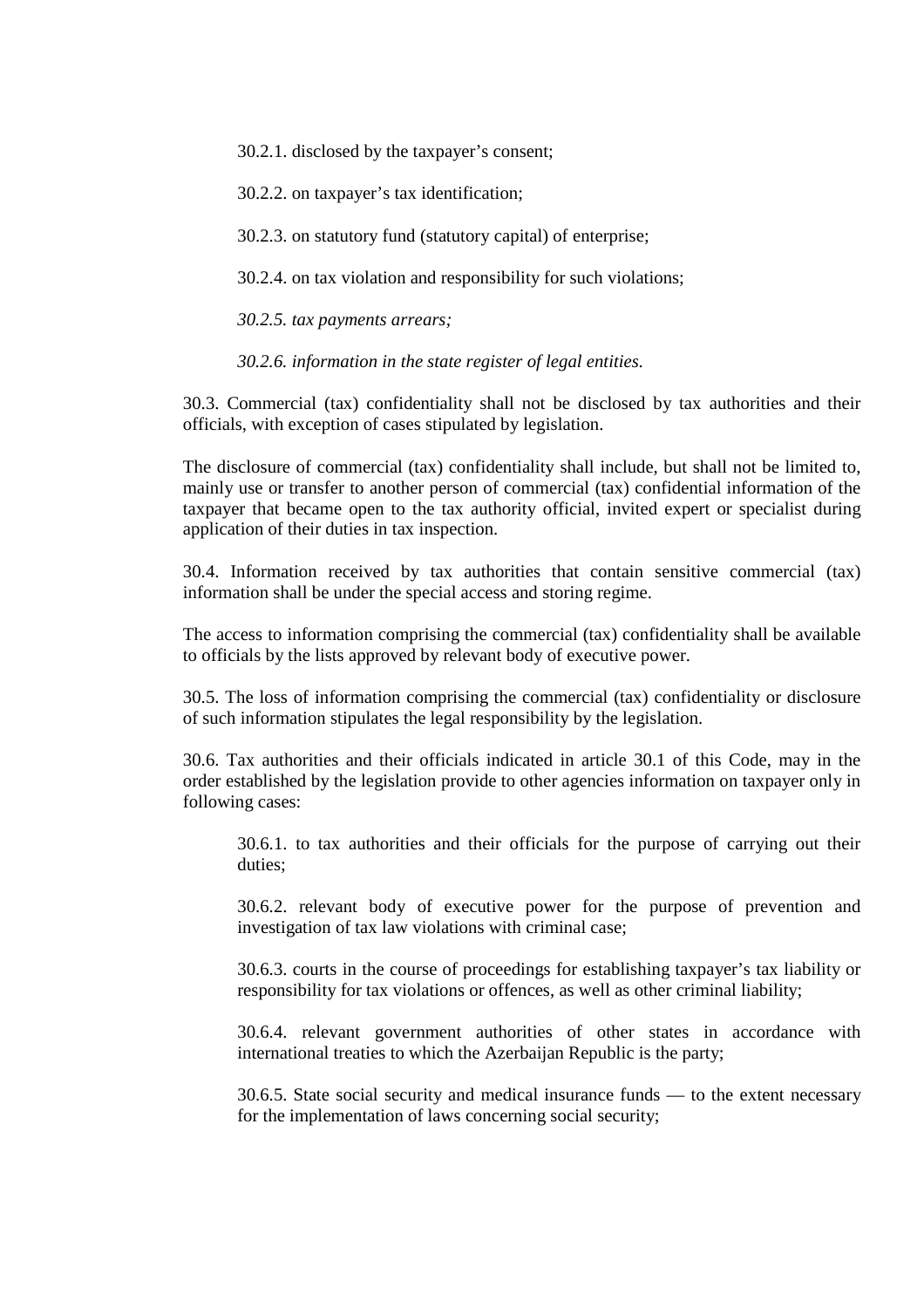30.2.1. disclosed by the taxpayer's consent;

30.2.2. on taxpayer's tax identification;

30.2.3. on statutory fund (statutory capital) of enterprise;

30.2.4. on tax violation and responsibility for such violations;

*30.2.5. tax payments arrears;*

*30.2.6. information in the state register of legal entities.*

30.3. Commercial (tax) confidentiality shall not be disclosed by tax authorities and their officials, with exception of cases stipulated by legislation.

The disclosure of commercial (tax) confidentiality shall include, but shall not be limited to, mainly use or transfer to another person of commercial (tax) confidential information of the taxpayer that became open to the tax authority official, invited expert or specialist during application of their duties in tax inspection.

30.4. Information received by tax authorities that contain sensitive commercial (tax) information shall be under the special access and storing regime.

The access to information comprising the commercial (tax) confidentiality shall be available to officials by the lists approved by relevant body of executive power.

30.5. The loss of information comprising the commercial (tax) confidentiality or disclosure of such information stipulates the legal responsibility by the legislation.

30.6. Tax authorities and their officials indicated in article 30.1 of this Code, may in the order established by the legislation provide to other agencies information on taxpayer only in following cases:

30.6.1. to tax authorities and their officials for the purpose of carrying out their duties<sup>.</sup>

30.6.2. relevant body of executive power for the purpose of prevention and investigation of tax law violations with criminal case;

30.6.3. courts in the course of proceedings for establishing taxpayer's tax liability or responsibility for tax violations or offences, as well as other criminal liability;

30.6.4. relevant government authorities of other states in accordance with international treaties to which the Azerbaijan Republic is the party;

30.6.5. State social security and medical insurance funds — to the extent necessary for the implementation of laws concerning social security;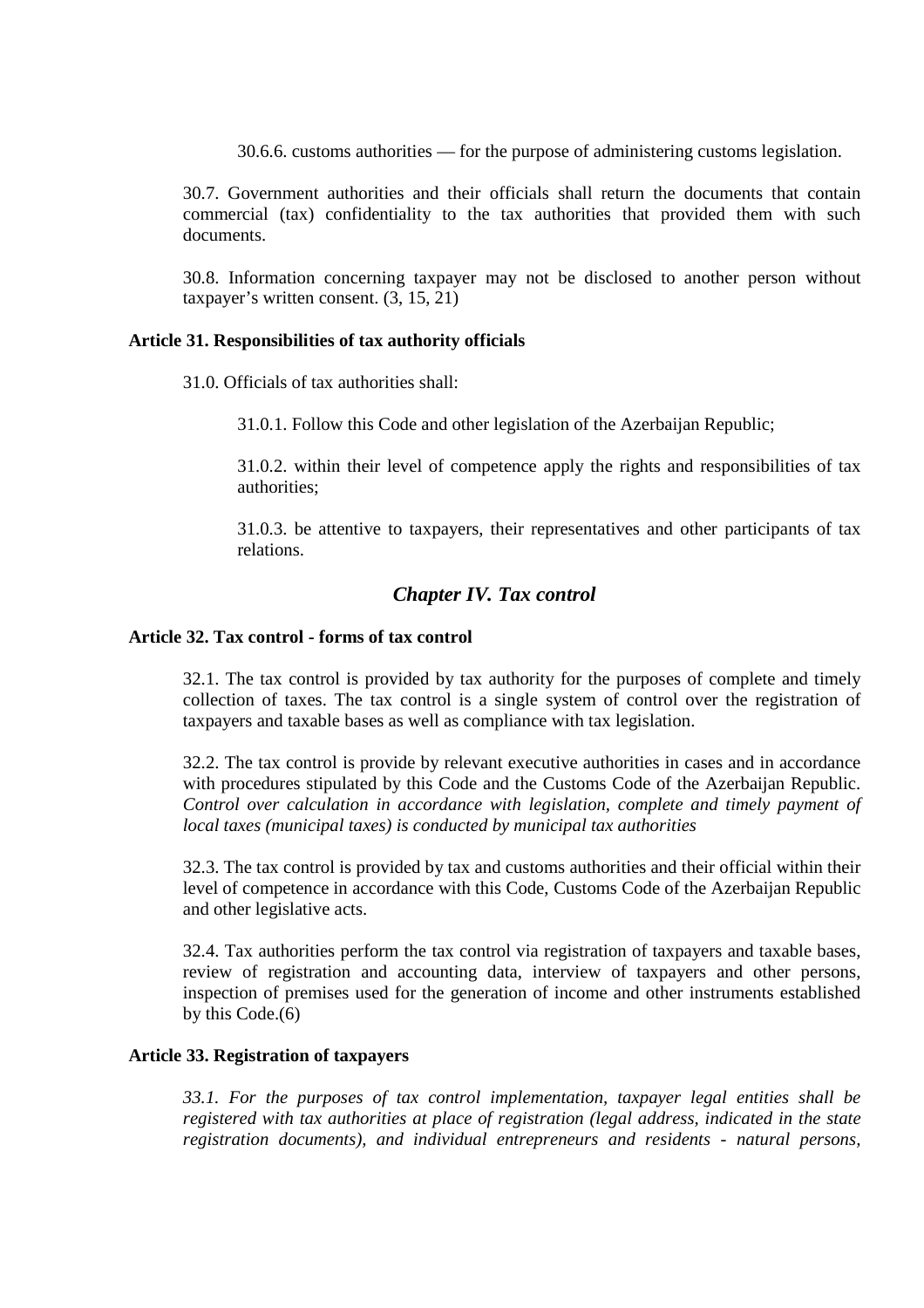30.6.6. customs authorities — for the purpose of administering customs legislation.

30.7. Government authorities and their officials shall return the documents that contain commercial (tax) confidentiality to the tax authorities that provided them with such documents.

30.8. Information concerning taxpayer may not be disclosed to another person without taxpayer's written consent. (3, 15, 21)

#### **Article 31. Responsibilities of tax authority officials**

31.0. Officials of tax authorities shall:

31.0.1. Follow this Code and other legislation of the Azerbaijan Republic;

31.0.2. within their level of competence apply the rights and responsibilities of tax authorities;

31.0.3. be attentive to taxpayers, their representatives and other participants of tax relations.

# *Chapter IV. Tax control*

# **Article 32. Tax control - forms of tax control**

32.1. The tax control is provided by tax authority for the purposes of complete and timely collection of taxes. The tax control is a single system of control over the registration of taxpayers and taxable bases as well as compliance with tax legislation.

32.2. The tax control is provide by relevant executive authorities in cases and in accordance with procedures stipulated by this Code and the Customs Code of the Azerbaijan Republic. *Control over calculation in accordance with legislation, complete and timely payment of local taxes (municipal taxes) is conducted by municipal tax authorities* 

32.3. The tax control is provided by tax and customs authorities and their official within their level of competence in accordance with this Code, Customs Code of the Azerbaijan Republic and other legislative acts.

32.4. Tax authorities perform the tax control via registration of taxpayers and taxable bases, review of registration and accounting data, interview of taxpayers and other persons, inspection of premises used for the generation of income and other instruments established by this  $Code(6)$ 

# **Article 33. Registration of taxpayers**

*33.1. For the purposes of tax control implementation, taxpayer legal entities shall be registered with tax authorities at place of registration (legal address, indicated in the state registration documents), and individual entrepreneurs and residents - natural persons,*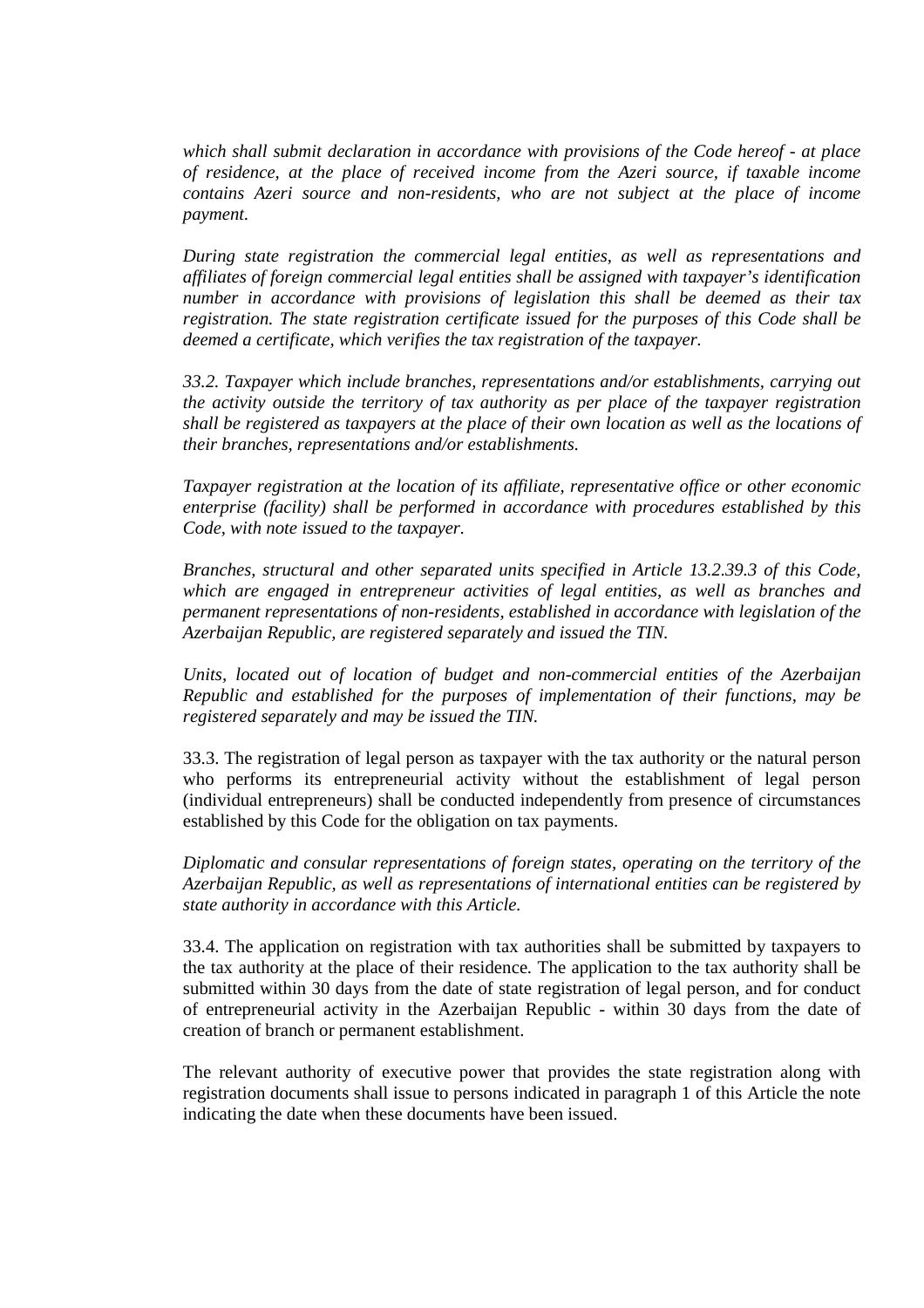*which shall submit declaration in accordance with provisions of the Code hereof - at place of residence, at the place of received income from the Azeri source, if taxable income contains Azeri source and non-residents, who are not subject at the place of income payment.* 

*During state registration the commercial legal entities, as well as representations and affiliates of foreign commercial legal entities shall be assigned with taxpayer's identification number in accordance with provisions of legislation this shall be deemed as their tax registration. The state registration certificate issued for the purposes of this Code shall be deemed a certificate, which verifies the tax registration of the taxpayer.* 

*33.2. Taxpayer which include branches, representations and/or establishments, carrying out the activity outside the territory of tax authority as per place of the taxpayer registration shall be registered as taxpayers at the place of their own location as well as the locations of their branches, representations and/or establishments.* 

*Taxpayer registration at the location of its affiliate, representative office or other economic enterprise (facility) shall be performed in accordance with procedures established by this Code, with note issued to the taxpayer.* 

*Branches, structural and other separated units specified in Article 13.2.39.3 of this Code, which are engaged in entrepreneur activities of legal entities, as well as branches and permanent representations of non-residents, established in accordance with legislation of the Azerbaijan Republic, are registered separately and issued the TIN.* 

*Units, located out of location of budget and non-commercial entities of the Azerbaijan Republic and established for the purposes of implementation of their functions, may be registered separately and may be issued the TIN.* 

33.3. The registration of legal person as taxpayer with the tax authority or the natural person who performs its entrepreneurial activity without the establishment of legal person (individual entrepreneurs) shall be conducted independently from presence of circumstances established by this Code for the obligation on tax payments.

*Diplomatic and consular representations of foreign states, operating on the territory of the Azerbaijan Republic, as well as representations of international entities can be registered by state authority in accordance with this Article.*

33.4. The application on registration with tax authorities shall be submitted by taxpayers to the tax authority at the place of their residence. The application to the tax authority shall be submitted within 30 days from the date of state registration of legal person, and for conduct of entrepreneurial activity in the Azerbaijan Republic - within 30 days from the date of creation of branch or permanent establishment.

The relevant authority of executive power that provides the state registration along with registration documents shall issue to persons indicated in paragraph 1 of this Article the note indicating the date when these documents have been issued.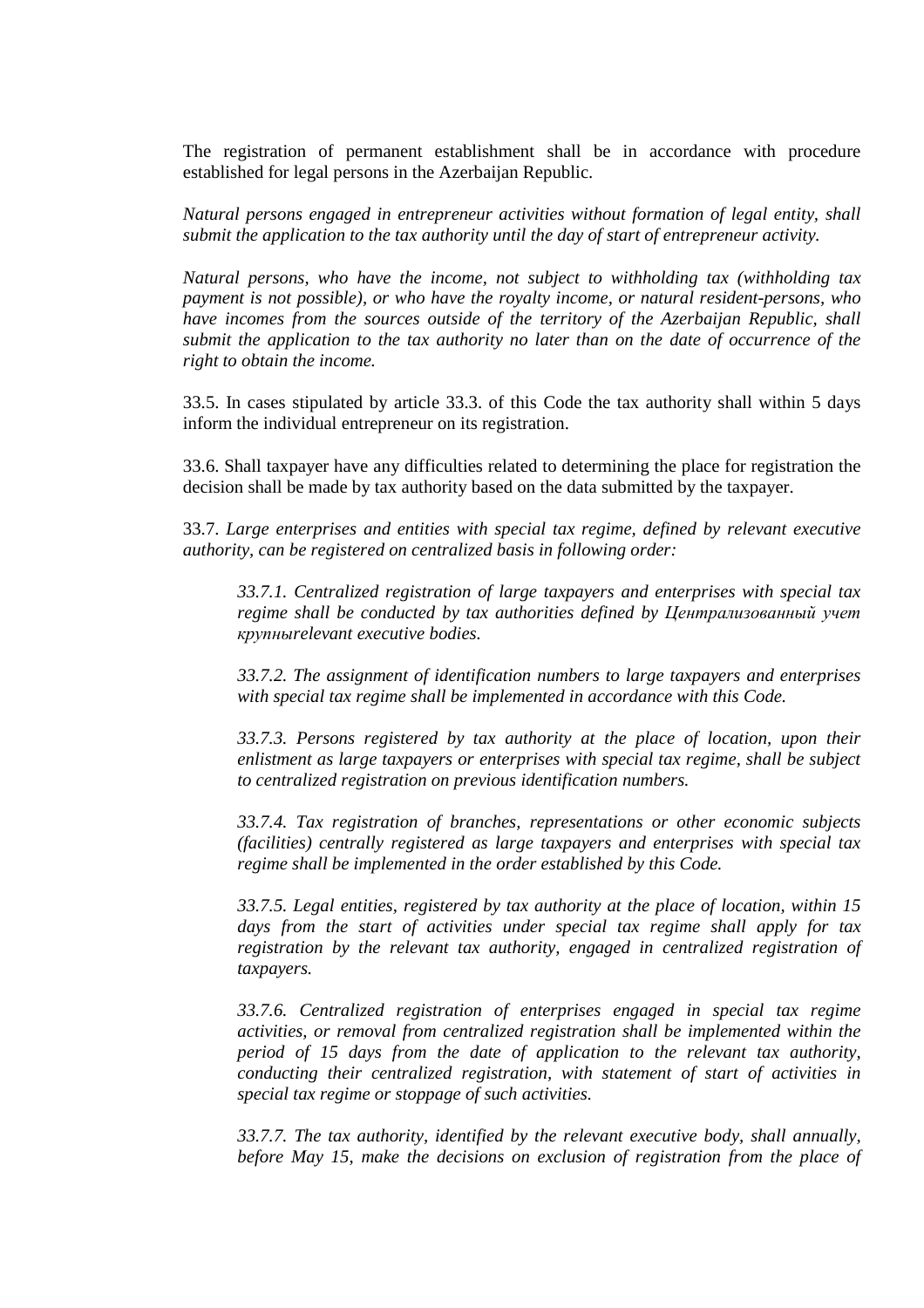The registration of permanent establishment shall be in accordance with procedure established for legal persons in the Azerbaijan Republic.

*Natural persons engaged in entrepreneur activities without formation of legal entity, shall submit the application to the tax authority until the day of start of entrepreneur activity.* 

*Natural persons, who have the income, not subject to withholding tax (withholding tax payment is not possible), or who have the royalty income, or natural resident-persons, who have incomes from the sources outside of the territory of the Azerbaijan Republic, shall submit the application to the tax authority no later than on the date of occurrence of the right to obtain the income.* 

33.5. In cases stipulated by article 33.3. of this Code the tax authority shall within 5 days inform the individual entrepreneur on its registration.

33.6. Shall taxpayer have any difficulties related to determining the place for registration the decision shall be made by tax authority based on the data submitted by the taxpayer.

33.7. *Large enterprises and entities with special tax regime, defined by relevant executive authority, can be registered on centralized basis in following order:* 

*33.7.1. Centralized registration of large taxpayers and enterprises with special tax regime shall be conducted by tax authorities defined by Централизованный учет* крупны*relevant executive bodies.* 

*33.7.2. The assignment of identification numbers to large taxpayers and enterprises with special tax regime shall be implemented in accordance with this Code.* 

*33.7.3. Persons registered by tax authority at the place of location, upon their enlistment as large taxpayers or enterprises with special tax regime, shall be subject to centralized registration on previous identification numbers.* 

*33.7.4. Tax registration of branches, representations or other economic subjects (facilities) centrally registered as large taxpayers and enterprises with special tax regime shall be implemented in the order established by this Code.* 

*33.7.5. Legal entities, registered by tax authority at the place of location, within 15 days from the start of activities under special tax regime shall apply for tax registration by the relevant tax authority, engaged in centralized registration of taxpayers.* 

*33.7.6. Centralized registration of enterprises engaged in special tax regime activities, or removal from centralized registration shall be implemented within the period of 15 days from the date of application to the relevant tax authority, conducting their centralized registration, with statement of start of activities in special tax regime or stoppage of such activities.* 

*33.7.7. The tax authority, identified by the relevant executive body, shall annually, before May 15, make the decisions on exclusion of registration from the place of*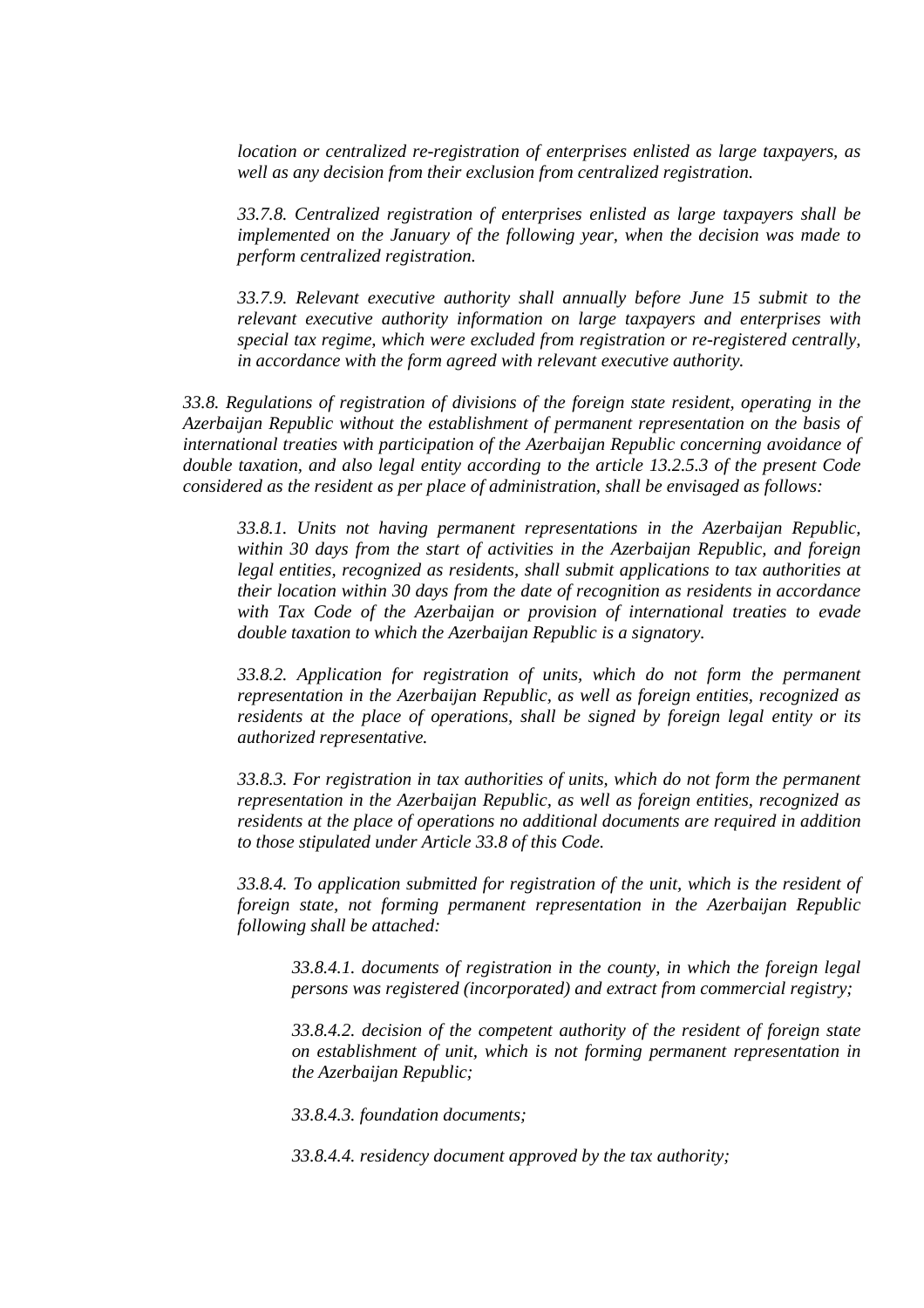*location or centralized re-registration of enterprises enlisted as large taxpayers, as well as any decision from their exclusion from centralized registration.* 

*33.7.8. Centralized registration of enterprises enlisted as large taxpayers shall be implemented on the January of the following year, when the decision was made to perform centralized registration.* 

*33.7.9. Relevant executive authority shall annually before June 15 submit to the relevant executive authority information on large taxpayers and enterprises with special tax regime, which were excluded from registration or re-registered centrally, in accordance with the form agreed with relevant executive authority.* 

*33.8. Regulations of registration of divisions of the foreign state resident, operating in the Azerbaijan Republic without the establishment of permanent representation on the basis of international treaties with participation of the Azerbaijan Republic concerning avoidance of double taxation, and also legal entity according to the article 13.2.5.3 of the present Code considered as the resident as per place of administration, shall be envisaged as follows:* 

*33.8.1. Units not having permanent representations in the Azerbaijan Republic, within 30 days from the start of activities in the Azerbaijan Republic, and foreign legal entities, recognized as residents, shall submit applications to tax authorities at their location within 30 days from the date of recognition as residents in accordance with Tax Code of the Azerbaijan or provision of international treaties to evade double taxation to which the Azerbaijan Republic is a signatory.* 

*33.8.2. Application for registration of units, which do not form the permanent representation in the Azerbaijan Republic, as well as foreign entities, recognized as residents at the place of operations, shall be signed by foreign legal entity or its authorized representative.* 

*33.8.3. For registration in tax authorities of units, which do not form the permanent representation in the Azerbaijan Republic, as well as foreign entities, recognized as residents at the place of operations no additional documents are required in addition to those stipulated under Article 33.8 of this Code.* 

*33.8.4. To application submitted for registration of the unit, which is the resident of foreign state, not forming permanent representation in the Azerbaijan Republic following shall be attached:* 

*33.8.4.1. documents of registration in the county, in which the foreign legal persons was registered (incorporated) and extract from commercial registry;* 

*33.8.4.2. decision of the competent authority of the resident of foreign state on establishment of unit, which is not forming permanent representation in the Azerbaijan Republic;* 

*33.8.4.3. foundation documents;* 

*33.8.4.4. residency document approved by the tax authority;*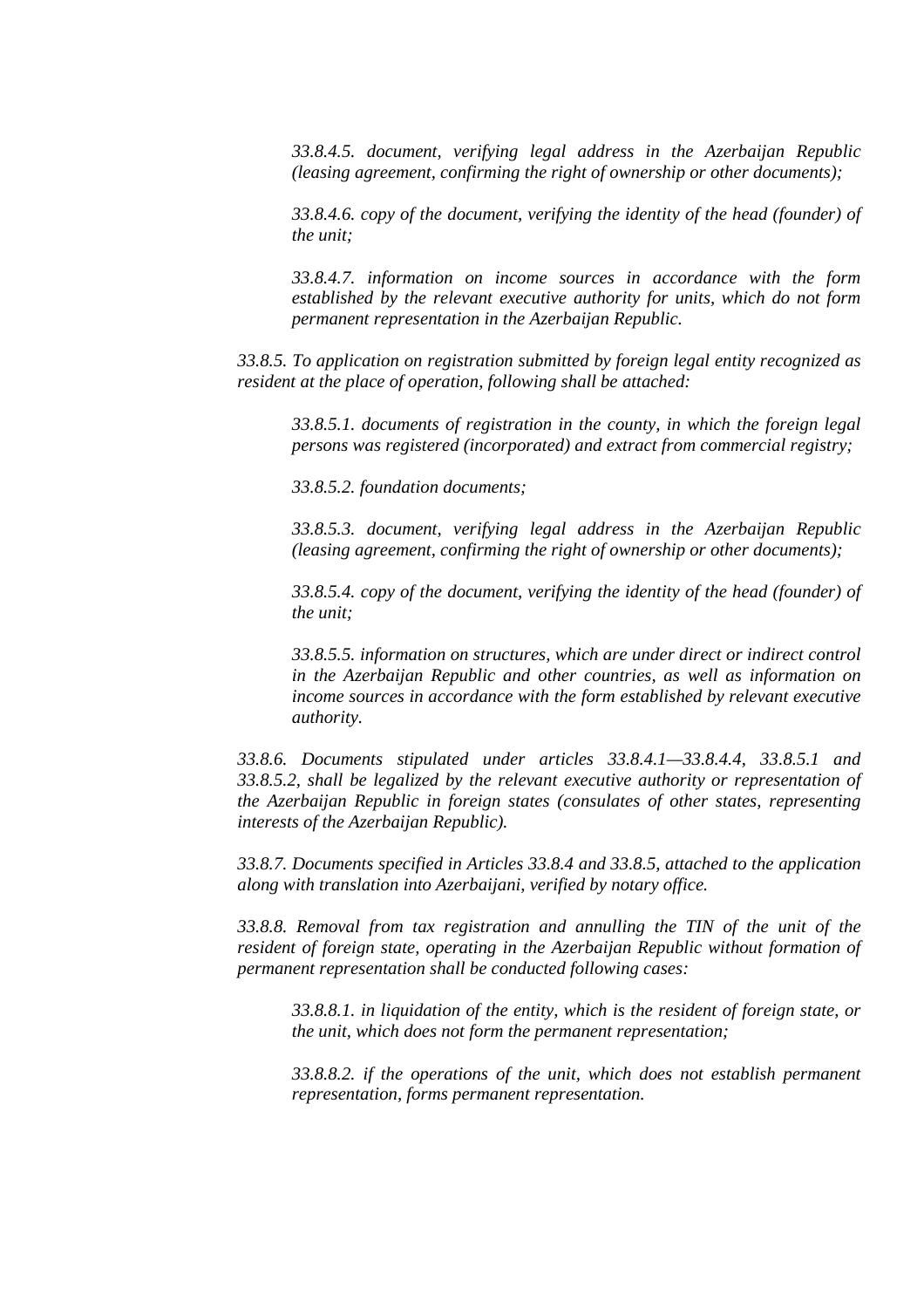*33.8.4.5. document, verifying legal address in the Azerbaijan Republic (leasing agreement, confirming the right of ownership or other documents);* 

*33.8.4.6. copy of the document, verifying the identity of the head (founder) of the unit;* 

*33.8.4.7. information on income sources in accordance with the form established by the relevant executive authority for units, which do not form permanent representation in the Azerbaijan Republic.* 

*33.8.5. To application on registration submitted by foreign legal entity recognized as resident at the place of operation, following shall be attached:* 

*33.8.5.1. documents of registration in the county, in which the foreign legal persons was registered (incorporated) and extract from commercial registry;* 

*33.8.5.2. foundation documents;* 

*33.8.5.3. document, verifying legal address in the Azerbaijan Republic (leasing agreement, confirming the right of ownership or other documents);* 

*33.8.5.4. copy of the document, verifying the identity of the head (founder) of the unit;* 

*33.8.5.5. information on structures, which are under direct or indirect control in the Azerbaijan Republic and other countries, as well as information on income sources in accordance with the form established by relevant executive authority.* 

*33.8.6. Documents stipulated under articles 33.8.4.1—33.8.4.4, 33.8.5.1 and 33.8.5.2, shall be legalized by the relevant executive authority or representation of the Azerbaijan Republic in foreign states (consulates of other states, representing interests of the Azerbaijan Republic).* 

*33.8.7. Documents specified in Articles 33.8.4 and 33.8.5, attached to the application along with translation into Azerbaijani, verified by notary office.* 

*33.8.8. Removal from tax registration and annulling the TIN of the unit of the resident of foreign state, operating in the Azerbaijan Republic without formation of permanent representation shall be conducted following cases:* 

*33.8.8.1. in liquidation of the entity, which is the resident of foreign state, or the unit, which does not form the permanent representation;* 

*33.8.8.2. if the operations of the unit, which does not establish permanent representation, forms permanent representation.*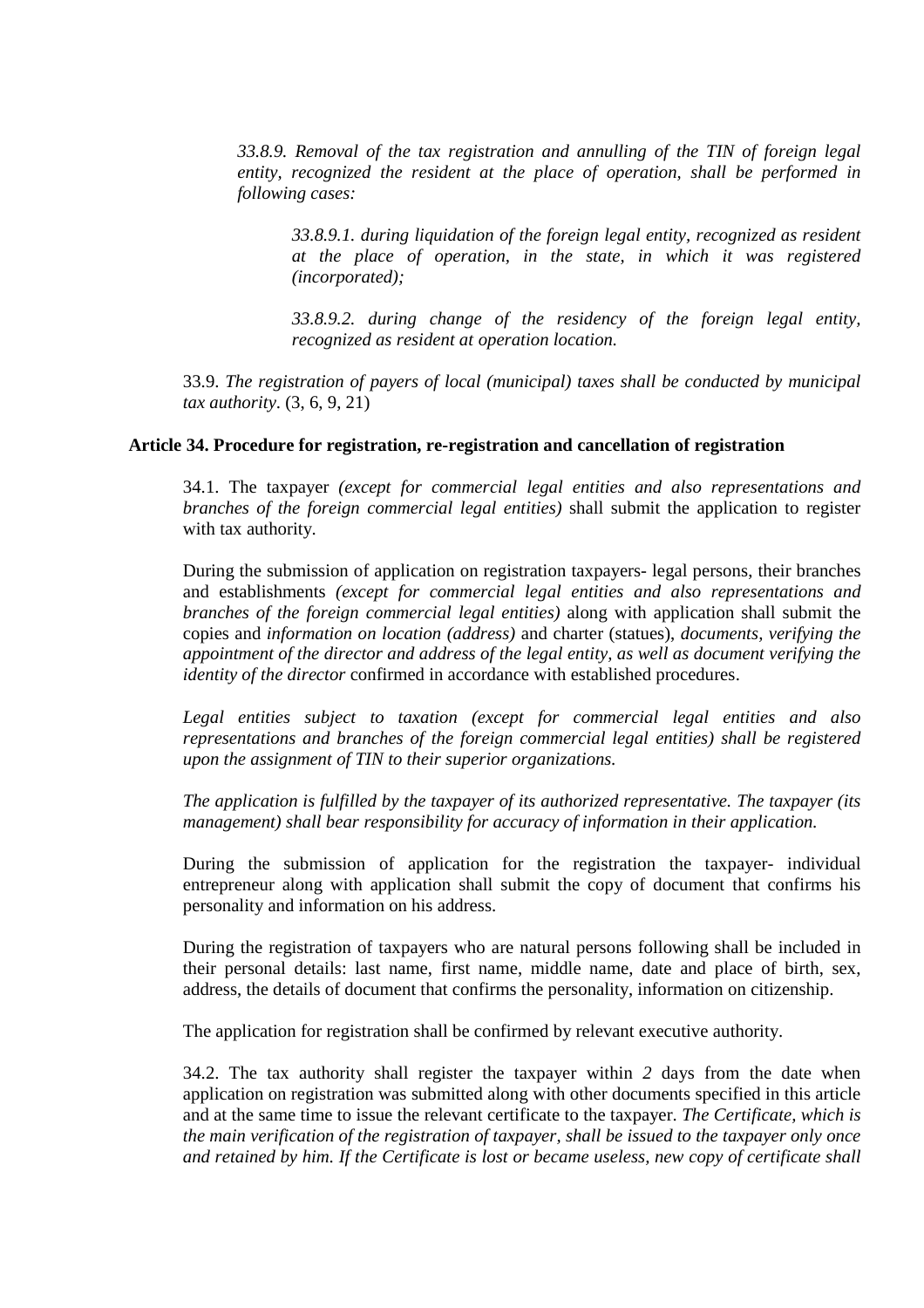*33.8.9. Removal of the tax registration and annulling of the TIN of foreign legal entity, recognized the resident at the place of operation, shall be performed in following cases:* 

*33.8.9.1. during liquidation of the foreign legal entity, recognized as resident at the place of operation, in the state, in which it was registered (incorporated);* 

*33.8.9.2. during change of the residency of the foreign legal entity, recognized as resident at operation location.* 

33.9. *The registration of payers of local (municipal) taxes shall be conducted by municipal tax authority*. (3, 6, 9, 21)

# **Article 34. Procedure for registration, re-registration and cancellation of registration**

34.1. The taxpayer *(except for commercial legal entities and also representations and branches of the foreign commercial legal entities)* shall submit the application to register with tax authority.

During the submission of application on registration taxpayers- legal persons, their branches and establishments *(except for commercial legal entities and also representations and branches of the foreign commercial legal entities)* along with application shall submit the copies and *information on location (address)* and charter (statues), *documents, verifying the appointment of the director and address of the legal entity, as well as document verifying the identity of the director* confirmed in accordance with established procedures.

*Legal entities subject to taxation (except for commercial legal entities and also representations and branches of the foreign commercial legal entities) shall be registered upon the assignment of TIN to their superior organizations.* 

*The application is fulfilled by the taxpayer of its authorized representative. The taxpayer (its management) shall bear responsibility for accuracy of information in their application.* 

During the submission of application for the registration the taxpayer- individual entrepreneur along with application shall submit the copy of document that confirms his personality and information on his address.

During the registration of taxpayers who are natural persons following shall be included in their personal details: last name, first name, middle name, date and place of birth, sex, address, the details of document that confirms the personality, information on citizenship.

The application for registration shall be confirmed by relevant executive authority.

34.2. The tax authority shall register the taxpayer within *2* days from the date when application on registration was submitted along with other documents specified in this article and at the same time to issue the relevant certificate to the taxpayer. *The Certificate, which is the main verification of the registration of taxpayer, shall be issued to the taxpayer only once and retained by him. If the Certificate is lost or became useless, new copy of certificate shall*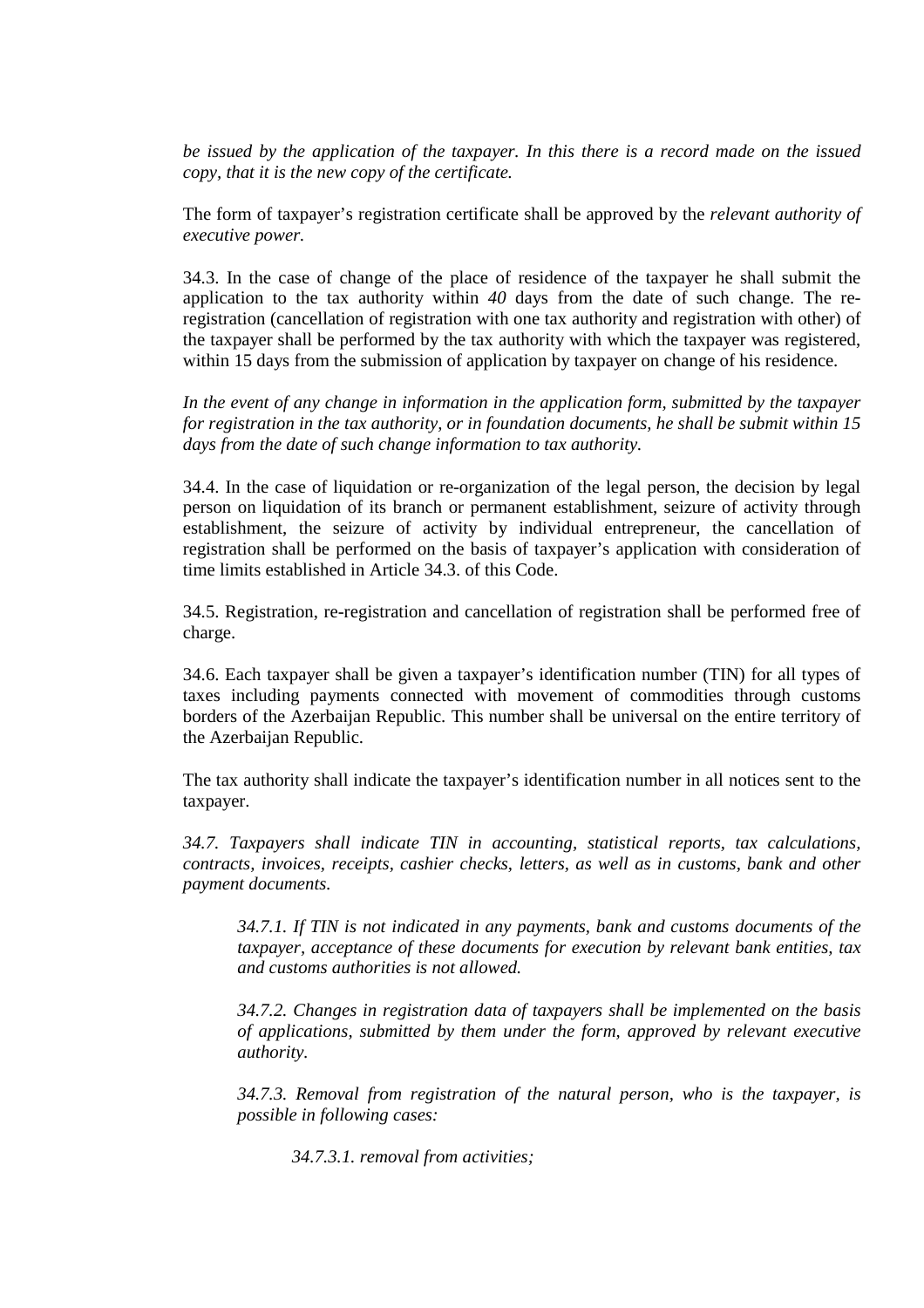*be issued by the application of the taxpayer. In this there is a record made on the issued copy, that it is the new copy of the certificate.* 

The form of taxpayer's registration certificate shall be approved by the *relevant authority of executive power.* 

34.3. In the case of change of the place of residence of the taxpayer he shall submit the application to the tax authority within *40* days from the date of such change. The reregistration (cancellation of registration with one tax authority and registration with other) of the taxpayer shall be performed by the tax authority with which the taxpayer was registered, within 15 days from the submission of application by taxpayer on change of his residence.

*In the event of any change in information in the application form, submitted by the taxpayer for registration in the tax authority, or in foundation documents, he shall be submit within 15 days from the date of such change information to tax authority.* 

34.4. In the case of liquidation or re-organization of the legal person, the decision by legal person on liquidation of its branch or permanent establishment, seizure of activity through establishment, the seizure of activity by individual entrepreneur, the cancellation of registration shall be performed on the basis of taxpayer's application with consideration of time limits established in Article 34.3. of this Code.

34.5. Registration, re-registration and cancellation of registration shall be performed free of charge.

34.6. Each taxpayer shall be given a taxpayer's identification number (TIN) for all types of taxes including payments connected with movement of commodities through customs borders of the Azerbaijan Republic. This number shall be universal on the entire territory of the Azerbaijan Republic.

The tax authority shall indicate the taxpayer's identification number in all notices sent to the taxpayer.

*34.7. Taxpayers shall indicate TIN in accounting, statistical reports, tax calculations, contracts, invoices, receipts, cashier checks, letters, as well as in customs, bank and other payment documents.* 

*34.7.1. If TIN is not indicated in any payments, bank and customs documents of the taxpayer, acceptance of these documents for execution by relevant bank entities, tax and customs authorities is not allowed.* 

*34.7.2. Changes in registration data of taxpayers shall be implemented on the basis of applications, submitted by them under the form, approved by relevant executive authority.* 

*34.7.3. Removal from registration of the natural person, who is the taxpayer, is possible in following cases:* 

*34.7.3.1. removal from activities;*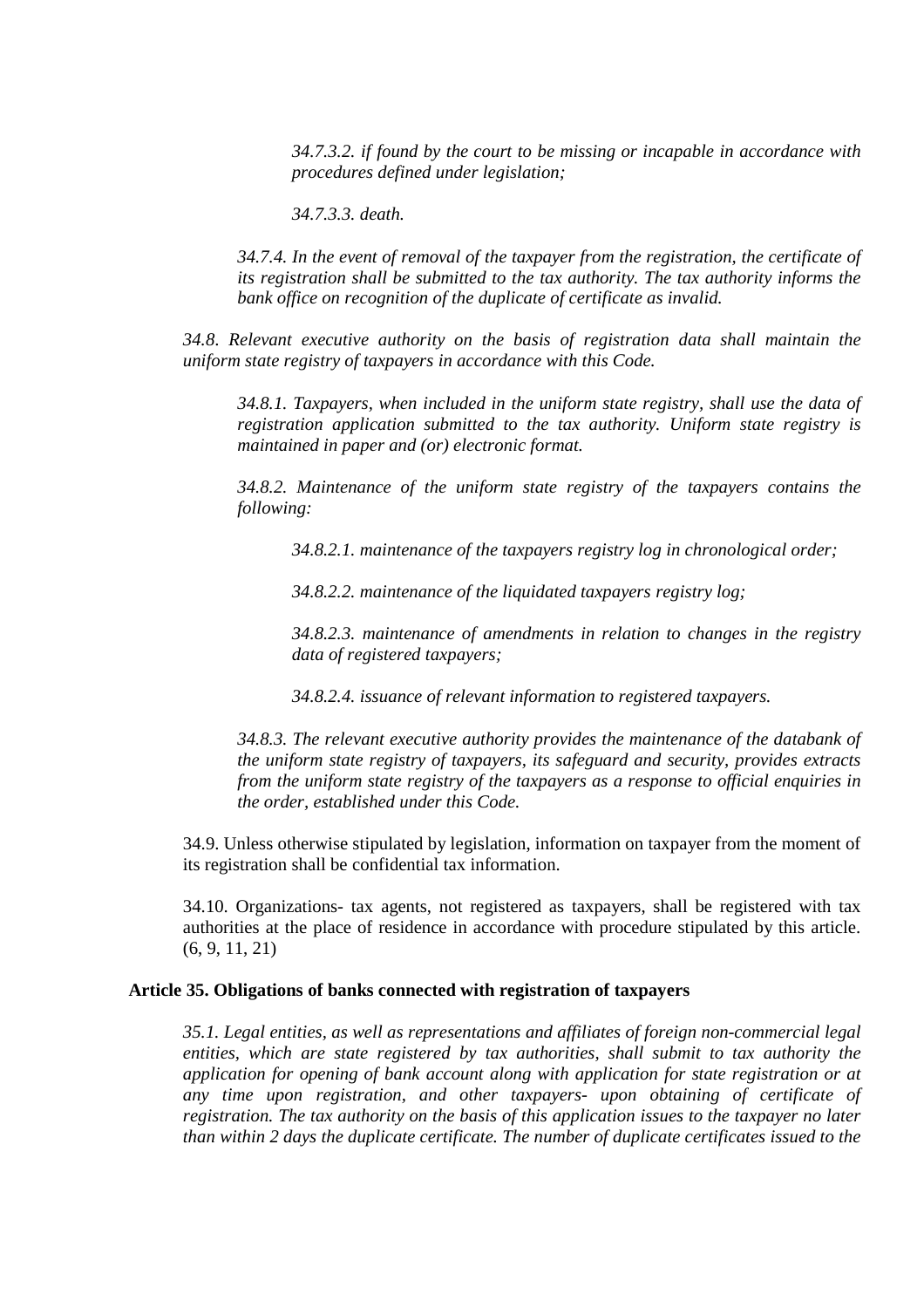*34.7.3.2. if found by the court to be missing or incapable in accordance with procedures defined under legislation;* 

*34.7.3.3. death.* 

*34.7.4. In the event of removal of the taxpayer from the registration, the certificate of its registration shall be submitted to the tax authority. The tax authority informs the bank office on recognition of the duplicate of certificate as invalid.* 

*34.8*. *Relevant executive authority on the basis of registration data shall maintain the uniform state registry of taxpayers in accordance with this Code.* 

*34.8.1. Taxpayers, when included in the uniform state registry, shall use the data of registration application submitted to the tax authority. Uniform state registry is maintained in paper and (or) electronic format.* 

*34.8.2. Maintenance of the uniform state registry of the taxpayers contains the following:* 

*34.8.2.1. maintenance of the taxpayers registry log in chronological order;* 

*34.8.2.2. maintenance of the liquidated taxpayers registry log;* 

*34.8.2.3. maintenance of amendments in relation to changes in the registry data of registered taxpayers;* 

*34.8.2.4. issuance of relevant information to registered taxpayers.* 

*34.8.3. The relevant executive authority provides the maintenance of the databank of the uniform state registry of taxpayers, its safeguard and security, provides extracts from the uniform state registry of the taxpayers as a response to official enquiries in the order, established under this Code.* 

34.9. Unless otherwise stipulated by legislation, information on taxpayer from the moment of its registration shall be confidential tax information.

34.10. Organizations- tax agents, not registered as taxpayers, shall be registered with tax authorities at the place of residence in accordance with procedure stipulated by this article. (6, 9, 11, 21)

#### **Article 35. Obligations of banks connected with registration of taxpayers**

*35.1. Legal entities, as well as representations and affiliates of foreign non-commercial legal entities, which are state registered by tax authorities, shall submit to tax authority the application for opening of bank account along with application for state registration or at any time upon registration, and other taxpayers- upon obtaining of certificate of registration. The tax authority on the basis of this application issues to the taxpayer no later than within 2 days the duplicate certificate. The number of duplicate certificates issued to the*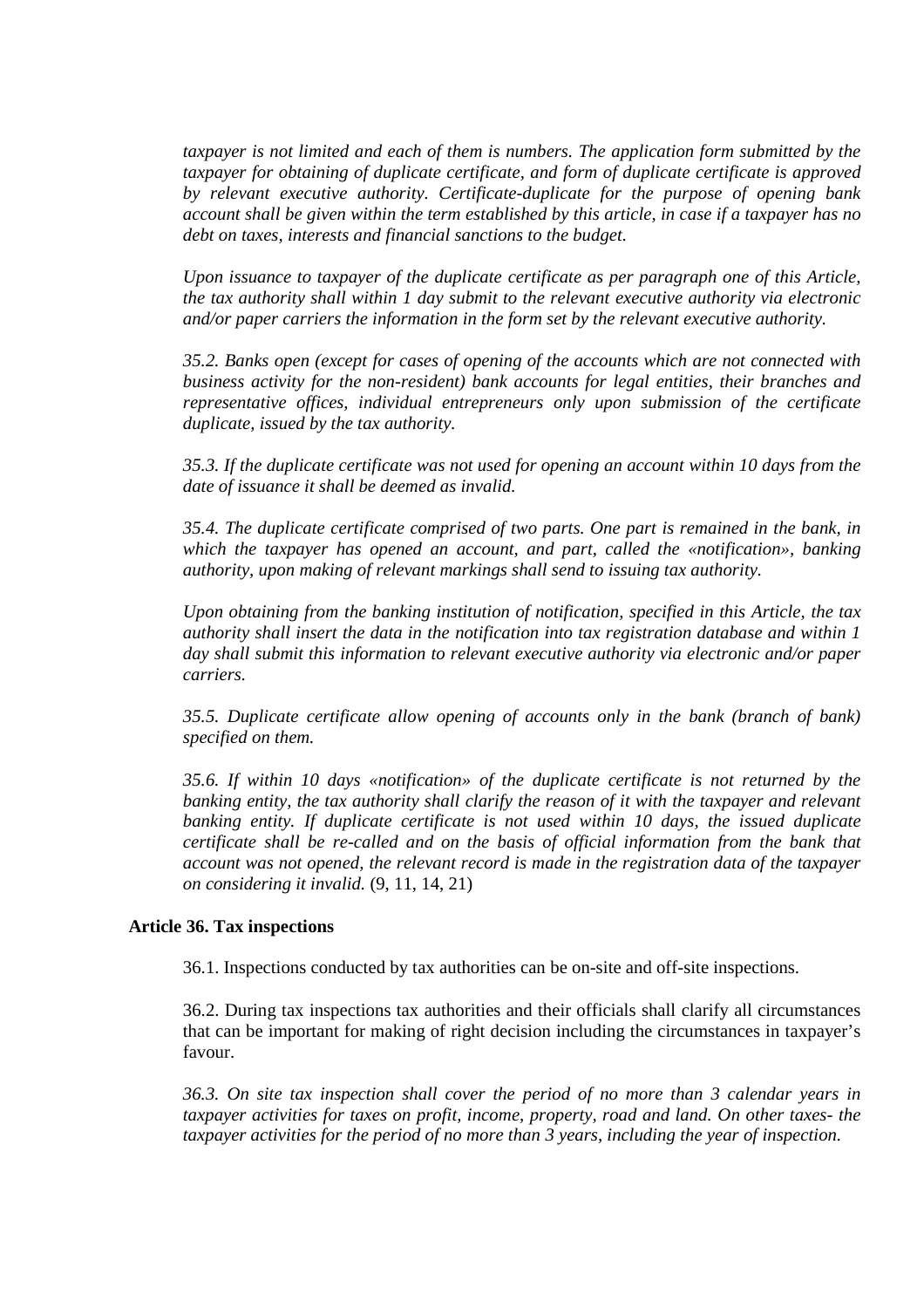*taxpayer is not limited and each of them is numbers. The application form submitted by the taxpayer for obtaining of duplicate certificate, and form of duplicate certificate is approved by relevant executive authority. Certificate-duplicate for the purpose of opening bank account shall be given within the term established by this article, in case if a taxpayer has no debt on taxes, interests and financial sanctions to the budget.* 

*Upon issuance to taxpayer of the duplicate certificate as per paragraph one of this Article, the tax authority shall within 1 day submit to the relevant executive authority via electronic and/or paper carriers the information in the form set by the relevant executive authority.* 

*35.2. Banks open (except for cases of opening of the accounts which are not connected with business activity for the non-resident) bank accounts for legal entities, their branches and representative offices, individual entrepreneurs only upon submission of the certificate duplicate, issued by the tax authority.* 

*35.3. If the duplicate certificate was not used for opening an account within 10 days from the date of issuance it shall be deemed as invalid.* 

*35.4. The duplicate certificate comprised of two parts. One part is remained in the bank, in which the taxpayer has opened an account, and part, called the «notification», banking authority, upon making of relevant markings shall send to issuing tax authority.* 

*Upon obtaining from the banking institution of notification, specified in this Article, the tax authority shall insert the data in the notification into tax registration database and within 1 day shall submit this information to relevant executive authority via electronic and/or paper carriers.* 

*35.5. Duplicate certificate allow opening of accounts only in the bank (branch of bank) specified on them.* 

*35.6. If within 10 days «notification» of the duplicate certificate is not returned by the banking entity, the tax authority shall clarify the reason of it with the taxpayer and relevant banking entity. If duplicate certificate is not used within 10 days, the issued duplicate certificate shall be re-called and on the basis of official information from the bank that account was not opened, the relevant record is made in the registration data of the taxpayer on considering it invalid.* (9, 11, 14, 21)

## **Article 36. Tax inspections**

36.1. Inspections conducted by tax authorities can be on-site and off-site inspections.

36.2. During tax inspections tax authorities and their officials shall clarify all circumstances that can be important for making of right decision including the circumstances in taxpayer's favour.

*36.3. On site tax inspection shall cover the period of no more than 3 calendar years in taxpayer activities for taxes on profit, income, property, road and land. On other taxes- the taxpayer activities for the period of no more than 3 years, including the year of inspection.*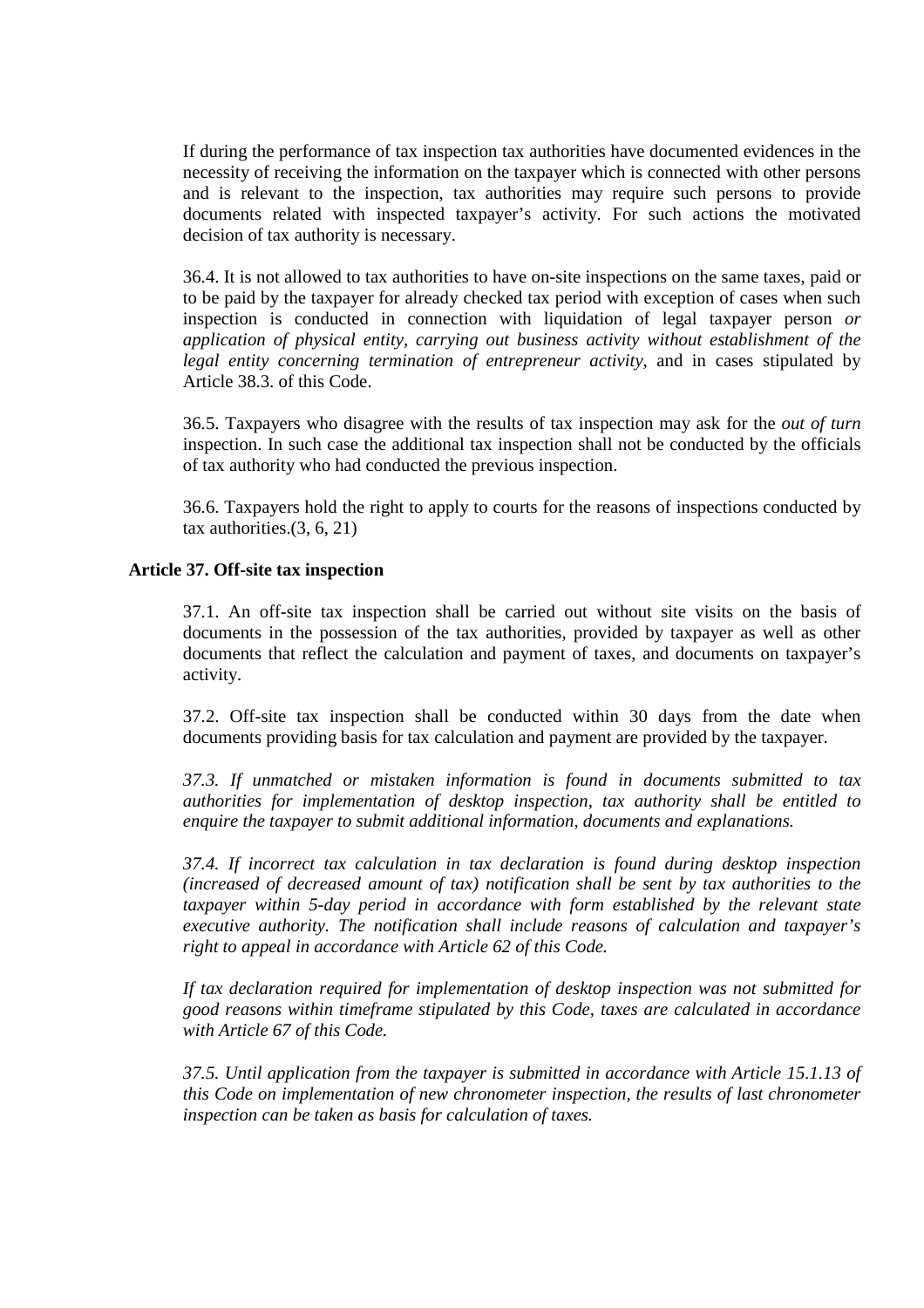If during the performance of tax inspection tax authorities have documented evidences in the necessity of receiving the information on the taxpayer which is connected with other persons and is relevant to the inspection, tax authorities may require such persons to provide documents related with inspected taxpayer's activity. For such actions the motivated decision of tax authority is necessary.

36.4. It is not allowed to tax authorities to have on-site inspections on the same taxes, paid or to be paid by the taxpayer for already checked tax period with exception of cases when such inspection is conducted in connection with liquidation of legal taxpayer person *or application of physical entity, carrying out business activity without establishment of the legal entity concerning termination of entrepreneur activity*, and in cases stipulated by Article 38.3. of this Code.

36.5. Taxpayers who disagree with the results of tax inspection may ask for the *out of turn* inspection. In such case the additional tax inspection shall not be conducted by the officials of tax authority who had conducted the previous inspection.

36.6. Taxpayers hold the right to apply to courts for the reasons of inspections conducted by tax authorities.(3, 6, 21)

# **Article 37. Off-site tax inspection**

37.1. An off-site tax inspection shall be carried out without site visits on the basis of documents in the possession of the tax authorities, provided by taxpayer as well as other documents that reflect the calculation and payment of taxes, and documents on taxpayer's activity.

37.2. Off-site tax inspection shall be conducted within 30 days from the date when documents providing basis for tax calculation and payment are provided by the taxpayer.

*37.3. If unmatched or mistaken information is found in documents submitted to tax authorities for implementation of desktop inspection, tax authority shall be entitled to enquire the taxpayer to submit additional information, documents and explanations.* 

*37.4. If incorrect tax calculation in tax declaration is found during desktop inspection (increased of decreased amount of tax) notification shall be sent by tax authorities to the taxpayer within 5-day period in accordance with form established by the relevant state executive authority. The notification shall include reasons of calculation and taxpayer's right to appeal in accordance with Article 62 of this Code.* 

*If tax declaration required for implementation of desktop inspection was not submitted for good reasons within timeframe stipulated by this Code, taxes are calculated in accordance with Article 67 of this Code.* 

*37.5. Until application from the taxpayer is submitted in accordance with Article 15.1.13 of this Code on implementation of new chronometer inspection, the results of last chronometer inspection can be taken as basis for calculation of taxes.*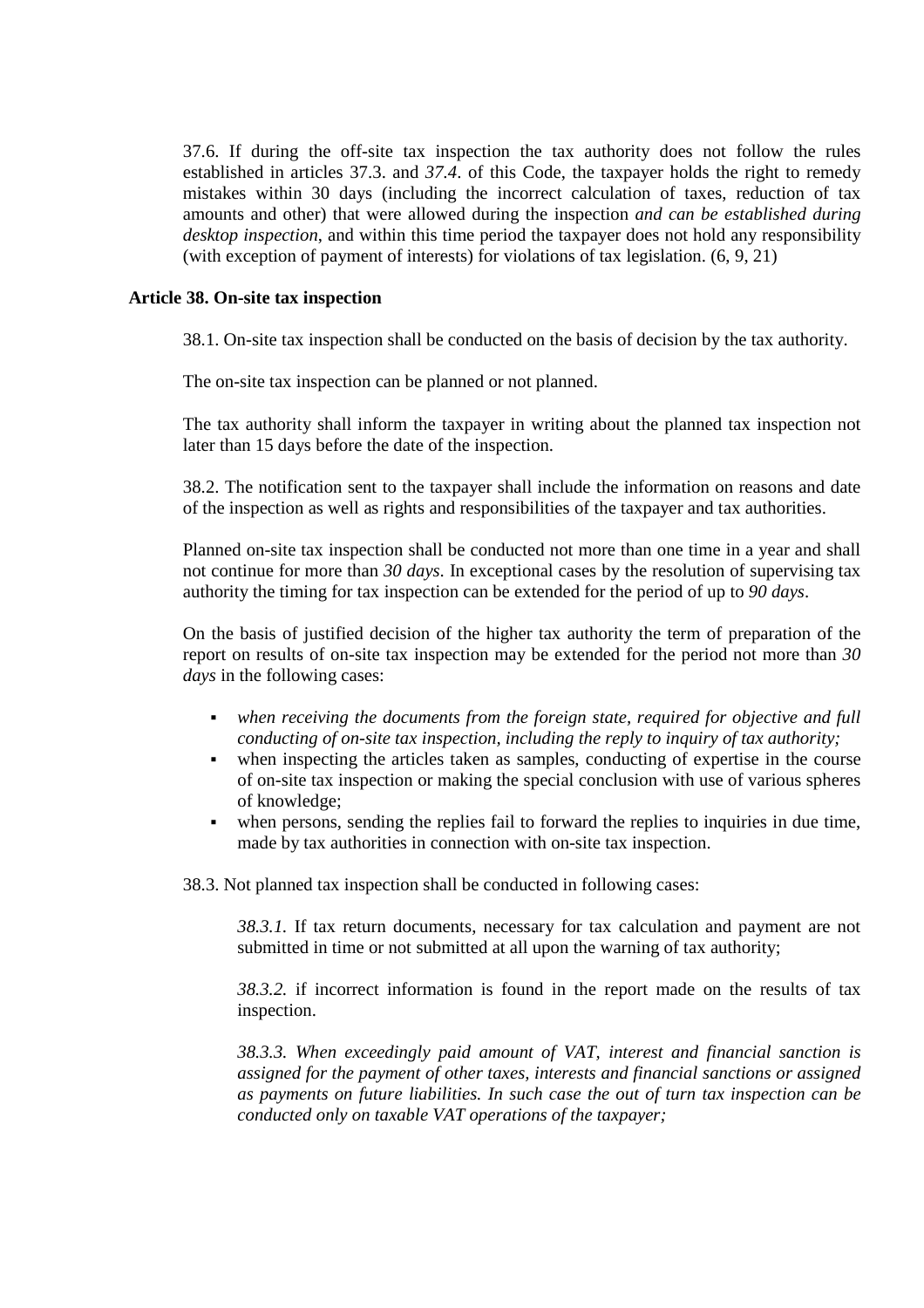37.6. If during the off-site tax inspection the tax authority does not follow the rules established in articles 37.3. and *37.4*. of this Code, the taxpayer holds the right to remedy mistakes within 30 days (including the incorrect calculation of taxes, reduction of tax amounts and other) that were allowed during the inspection *and can be established during desktop inspection*, and within this time period the taxpayer does not hold any responsibility (with exception of payment of interests) for violations of tax legislation. (6, 9, 21)

# **Article 38. On-site tax inspection**

38.1. On-site tax inspection shall be conducted on the basis of decision by the tax authority.

The on-site tax inspection can be planned or not planned.

The tax authority shall inform the taxpayer in writing about the planned tax inspection not later than 15 days before the date of the inspection.

38.2. The notification sent to the taxpayer shall include the information on reasons and date of the inspection as well as rights and responsibilities of the taxpayer and tax authorities.

Planned on-site tax inspection shall be conducted not more than one time in a year and shall not continue for more than *30 days*. In exceptional cases by the resolution of supervising tax authority the timing for tax inspection can be extended for the period of up to *90 days*.

On the basis of justified decision of the higher tax authority the term of preparation of the report on results of on-site tax inspection may be extended for the period not more than *30 days* in the following cases:

- *when receiving the documents from the foreign state, required for objective and full conducting of on-site tax inspection, including the reply to inquiry of tax authority;*
- when inspecting the articles taken as samples, conducting of expertise in the course of on-site tax inspection or making the special conclusion with use of various spheres of knowledge;
- when persons, sending the replies fail to forward the replies to inquiries in due time, made by tax authorities in connection with on-site tax inspection.

38.3. Not planned tax inspection shall be conducted in following cases:

*38.3.1.* If tax return documents, necessary for tax calculation and payment are not submitted in time or not submitted at all upon the warning of tax authority;

*38.3.2.* if incorrect information is found in the report made on the results of tax inspection.

*38.3.3. When exceedingly paid amount of VAT, interest and financial sanction is assigned for the payment of other taxes, interests and financial sanctions or assigned as payments on future liabilities. In such case the out of turn tax inspection can be conducted only on taxable VAT operations of the taxpayer;*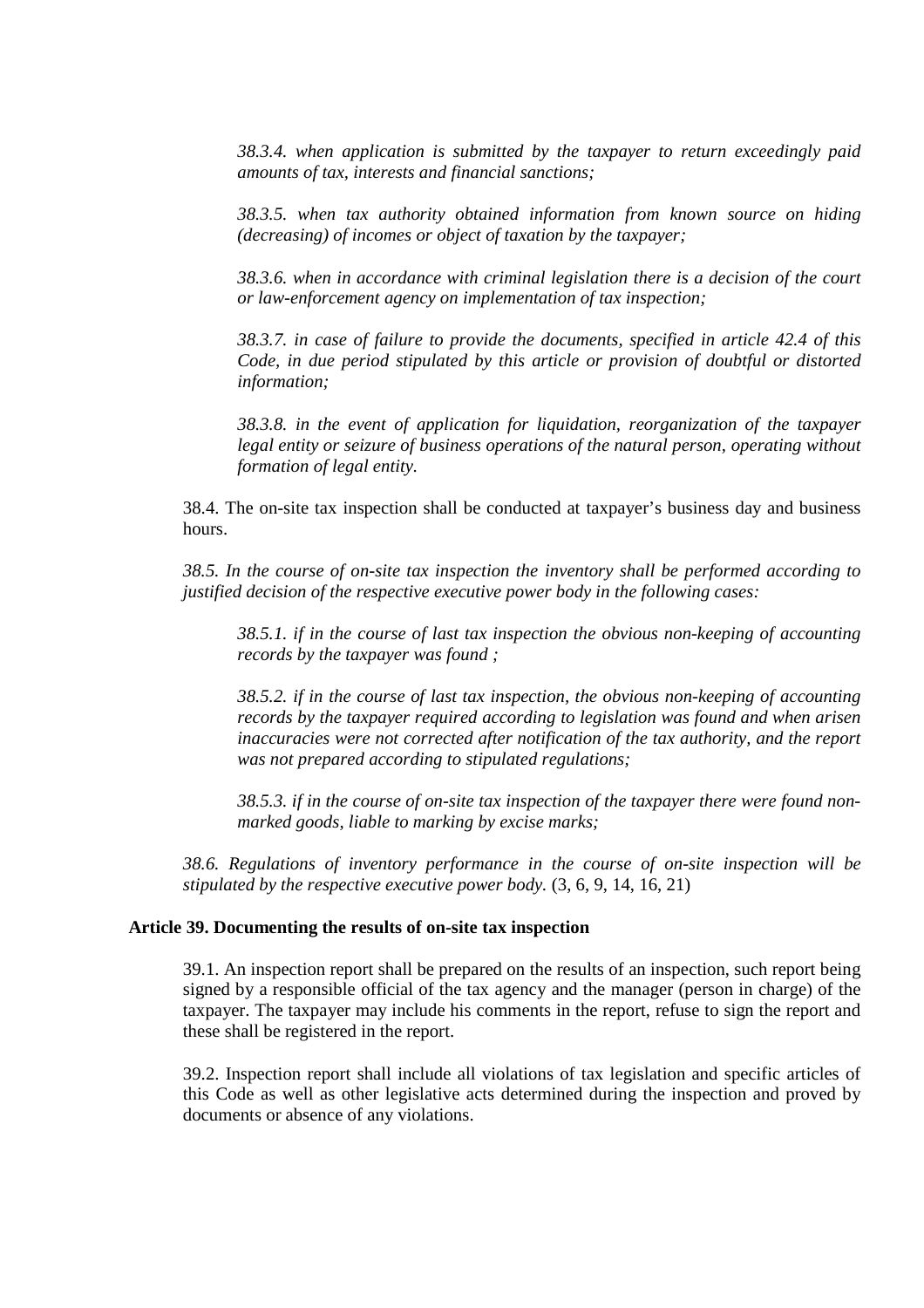*38.3.4. when application is submitted by the taxpayer to return exceedingly paid amounts of tax, interests and financial sanctions;* 

*38.3.5. when tax authority obtained information from known source on hiding (decreasing) of incomes or object of taxation by the taxpayer;*

*38.3.6. when in accordance with criminal legislation there is a decision of the court or law-enforcement agency on implementation of tax inspection;* 

*38.3.7. in case of failure to provide the documents, specified in article 42.4 of this Code, in due period stipulated by this article or provision of doubtful or distorted information;*

*38.3.8. in the event of application for liquidation, reorganization of the taxpayer legal entity or seizure of business operations of the natural person, operating without formation of legal entity.*

38.4. The on-site tax inspection shall be conducted at taxpayer's business day and business hours.

*38.5. In the course of on-site tax inspection the inventory shall be performed according to justified decision of the respective executive power body in the following cases:* 

*38.5.1. if in the course of last tax inspection the obvious non-keeping of accounting records by the taxpayer was found ;* 

*38.5.2. if in the course of last tax inspection, the obvious non-keeping of accounting records by the taxpayer required according to legislation was found and when arisen inaccuracies were not corrected after notification of the tax authority, and the report was not prepared according to stipulated regulations;* 

*38.5.3. if in the course of on-site tax inspection of the taxpayer there were found nonmarked goods, liable to marking by excise marks;* 

*38.6. Regulations of inventory performance in the course of on-site inspection will be stipulated by the respective executive power body.* (3, 6, 9, 14, 16, 21)

## **Article 39. Documenting the results of on-site tax inspection**

39.1. An inspection report shall be prepared on the results of an inspection, such report being signed by a responsible official of the tax agency and the manager (person in charge) of the taxpayer. The taxpayer may include his comments in the report, refuse to sign the report and these shall be registered in the report.

39.2. Inspection report shall include all violations of tax legislation and specific articles of this Code as well as other legislative acts determined during the inspection and proved by documents or absence of any violations.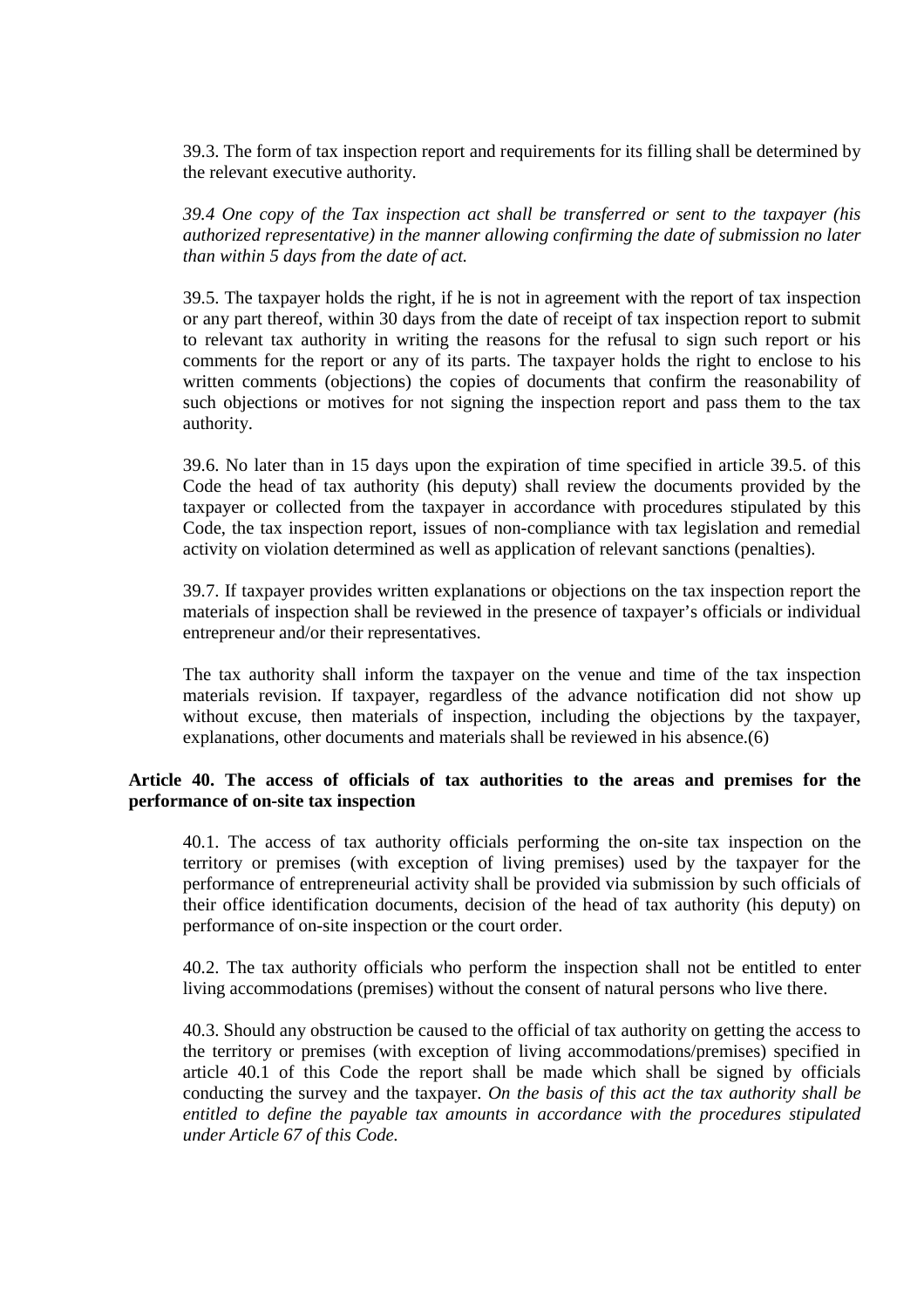39.3. The form of tax inspection report and requirements for its filling shall be determined by the relevant executive authority.

*39.4 One copy of the Tax inspection act shall be transferred or sent to the taxpayer (his authorized representative) in the manner allowing confirming the date of submission no later than within 5 days from the date of act.* 

39.5. The taxpayer holds the right, if he is not in agreement with the report of tax inspection or any part thereof, within 30 days from the date of receipt of tax inspection report to submit to relevant tax authority in writing the reasons for the refusal to sign such report or his comments for the report or any of its parts. The taxpayer holds the right to enclose to his written comments (objections) the copies of documents that confirm the reasonability of such objections or motives for not signing the inspection report and pass them to the tax authority.

39.6. No later than in 15 days upon the expiration of time specified in article 39.5. of this Code the head of tax authority (his deputy) shall review the documents provided by the taxpayer or collected from the taxpayer in accordance with procedures stipulated by this Code, the tax inspection report, issues of non-compliance with tax legislation and remedial activity on violation determined as well as application of relevant sanctions (penalties).

39.7. If taxpayer provides written explanations or objections on the tax inspection report the materials of inspection shall be reviewed in the presence of taxpayer's officials or individual entrepreneur and/or their representatives.

The tax authority shall inform the taxpayer on the venue and time of the tax inspection materials revision. If taxpayer, regardless of the advance notification did not show up without excuse, then materials of inspection, including the objections by the taxpayer, explanations, other documents and materials shall be reviewed in his absence.(6)

# **Article 40. The access of officials of tax authorities to the areas and premises for the performance of on-site tax inspection**

40.1. The access of tax authority officials performing the on-site tax inspection on the territory or premises (with exception of living premises) used by the taxpayer for the performance of entrepreneurial activity shall be provided via submission by such officials of their office identification documents, decision of the head of tax authority (his deputy) on performance of on-site inspection or the court order.

40.2. The tax authority officials who perform the inspection shall not be entitled to enter living accommodations (premises) without the consent of natural persons who live there.

40.3. Should any obstruction be caused to the official of tax authority on getting the access to the territory or premises (with exception of living accommodations/premises) specified in article 40.1 of this Code the report shall be made which shall be signed by officials conducting the survey and the taxpayer. *On the basis of this act the tax authority shall be entitled to define the payable tax amounts in accordance with the procedures stipulated under Article 67 of this Code.*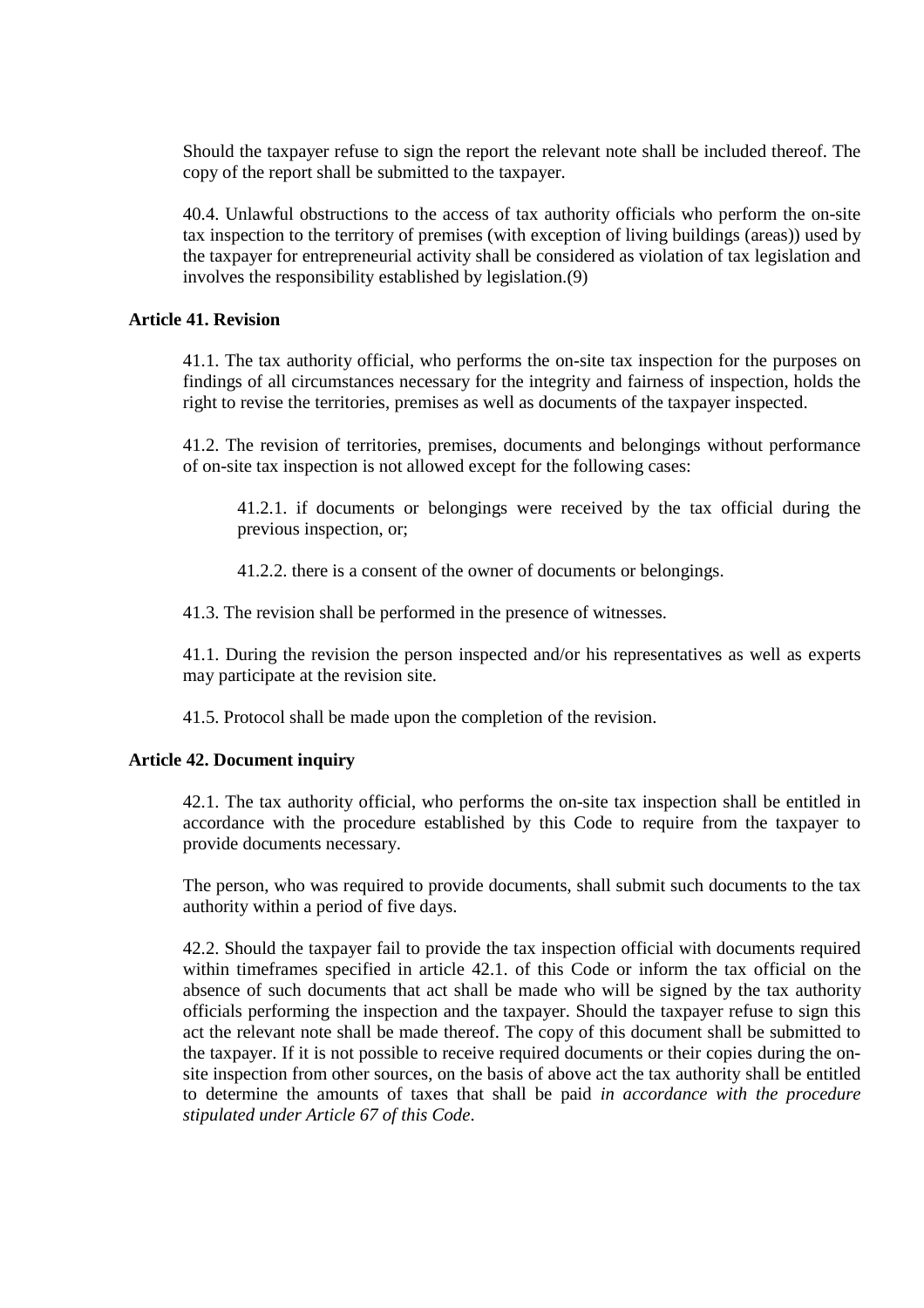Should the taxpayer refuse to sign the report the relevant note shall be included thereof. The copy of the report shall be submitted to the taxpayer.

40.4. Unlawful obstructions to the access of tax authority officials who perform the on-site tax inspection to the territory of premises (with exception of living buildings (areas)) used by the taxpayer for entrepreneurial activity shall be considered as violation of tax legislation and involves the responsibility established by legislation.(9)

## **Article 41. Revision**

41.1. The tax authority official, who performs the on-site tax inspection for the purposes on findings of all circumstances necessary for the integrity and fairness of inspection, holds the right to revise the territories, premises as well as documents of the taxpayer inspected.

41.2. The revision of territories, premises, documents and belongings without performance of on-site tax inspection is not allowed except for the following cases:

41.2.1. if documents or belongings were received by the tax official during the previous inspection, or;

41.2.2. there is a consent of the owner of documents or belongings.

41.3. The revision shall be performed in the presence of witnesses.

41.1. During the revision the person inspected and/or his representatives as well as experts may participate at the revision site.

41.5. Protocol shall be made upon the completion of the revision.

#### **Article 42. Document inquiry**

42.1. The tax authority official, who performs the on-site tax inspection shall be entitled in accordance with the procedure established by this Code to require from the taxpayer to provide documents necessary.

The person, who was required to provide documents, shall submit such documents to the tax authority within a period of five days.

42.2. Should the taxpayer fail to provide the tax inspection official with documents required within timeframes specified in article 42.1. of this Code or inform the tax official on the absence of such documents that act shall be made who will be signed by the tax authority officials performing the inspection and the taxpayer. Should the taxpayer refuse to sign this act the relevant note shall be made thereof. The copy of this document shall be submitted to the taxpayer. If it is not possible to receive required documents or their copies during the onsite inspection from other sources, on the basis of above act the tax authority shall be entitled to determine the amounts of taxes that shall be paid *in accordance with the procedure stipulated under Article 67 of this Code*.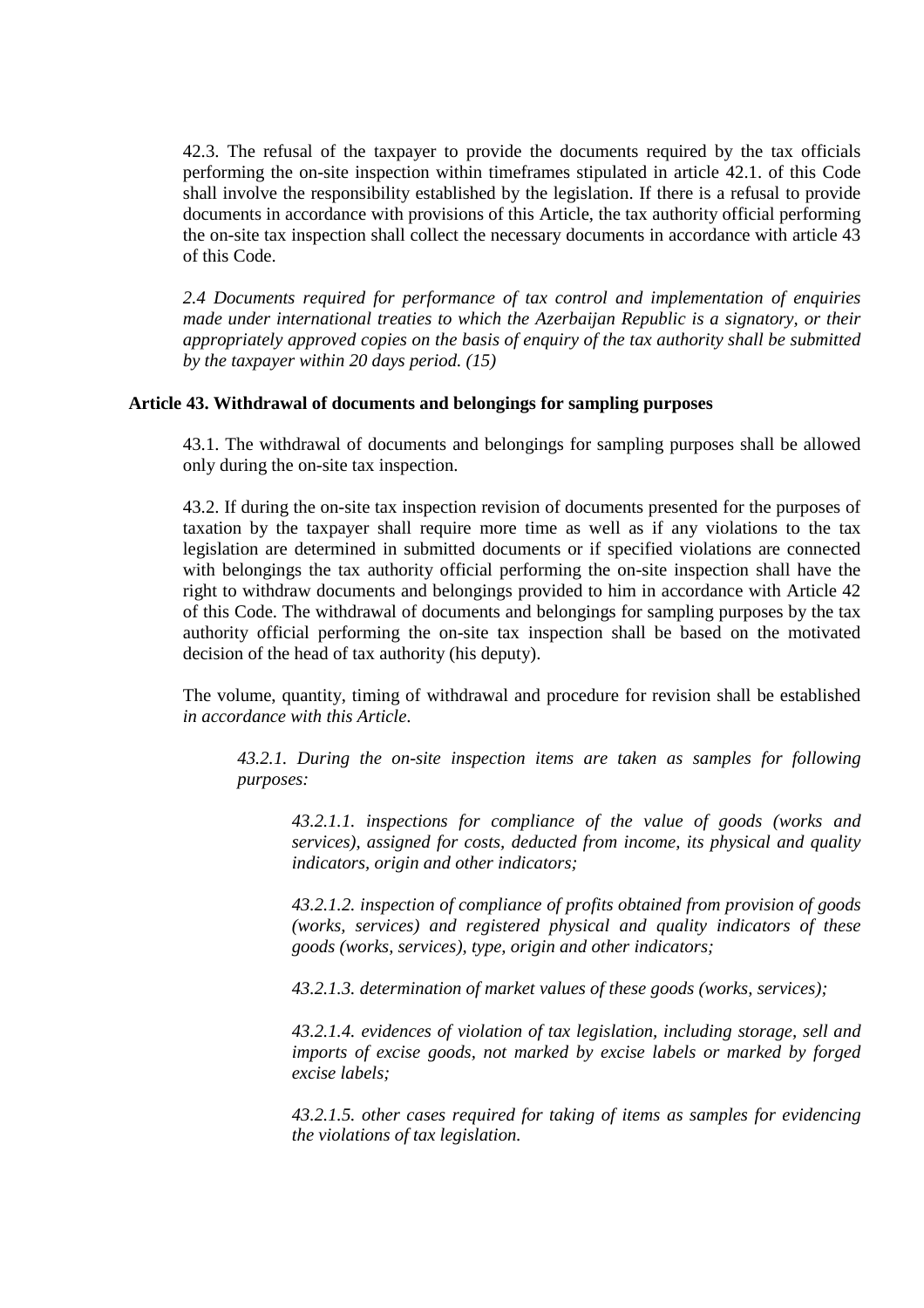42.3. The refusal of the taxpayer to provide the documents required by the tax officials performing the on-site inspection within timeframes stipulated in article 42.1. of this Code shall involve the responsibility established by the legislation. If there is a refusal to provide documents in accordance with provisions of this Article, the tax authority official performing the on-site tax inspection shall collect the necessary documents in accordance with article 43 of this Code.

*2.4 Documents required for performance of tax control and implementation of enquiries made under international treaties to which the Azerbaijan Republic is a signatory, or their appropriately approved copies on the basis of enquiry of the tax authority shall be submitted by the taxpayer within 20 days period. (15)*

## **Article 43. Withdrawal of documents and belongings for sampling purposes**

43.1. The withdrawal of documents and belongings for sampling purposes shall be allowed only during the on-site tax inspection.

43.2. If during the on-site tax inspection revision of documents presented for the purposes of taxation by the taxpayer shall require more time as well as if any violations to the tax legislation are determined in submitted documents or if specified violations are connected with belongings the tax authority official performing the on-site inspection shall have the right to withdraw documents and belongings provided to him in accordance with Article 42 of this Code. The withdrawal of documents and belongings for sampling purposes by the tax authority official performing the on-site tax inspection shall be based on the motivated decision of the head of tax authority (his deputy).

The volume, quantity, timing of withdrawal and procedure for revision shall be established *in accordance with this Article*.

*43.2.1. During the on-site inspection items are taken as samples for following purposes:* 

*43.2.1.1. inspections for compliance of the value of goods (works and services), assigned for costs, deducted from income, its physical and quality indicators, origin and other indicators;* 

*43.2.1.2. inspection of compliance of profits obtained from provision of goods (works, services) and registered physical and quality indicators of these goods (works, services), type, origin and other indicators;* 

*43.2.1.3. determination of market values of these goods (works, services);* 

*43.2.1.4. evidences of violation of tax legislation, including storage, sell and imports of excise goods, not marked by excise labels or marked by forged excise labels;* 

*43.2.1.5. other cases required for taking of items as samples for evidencing the violations of tax legislation.*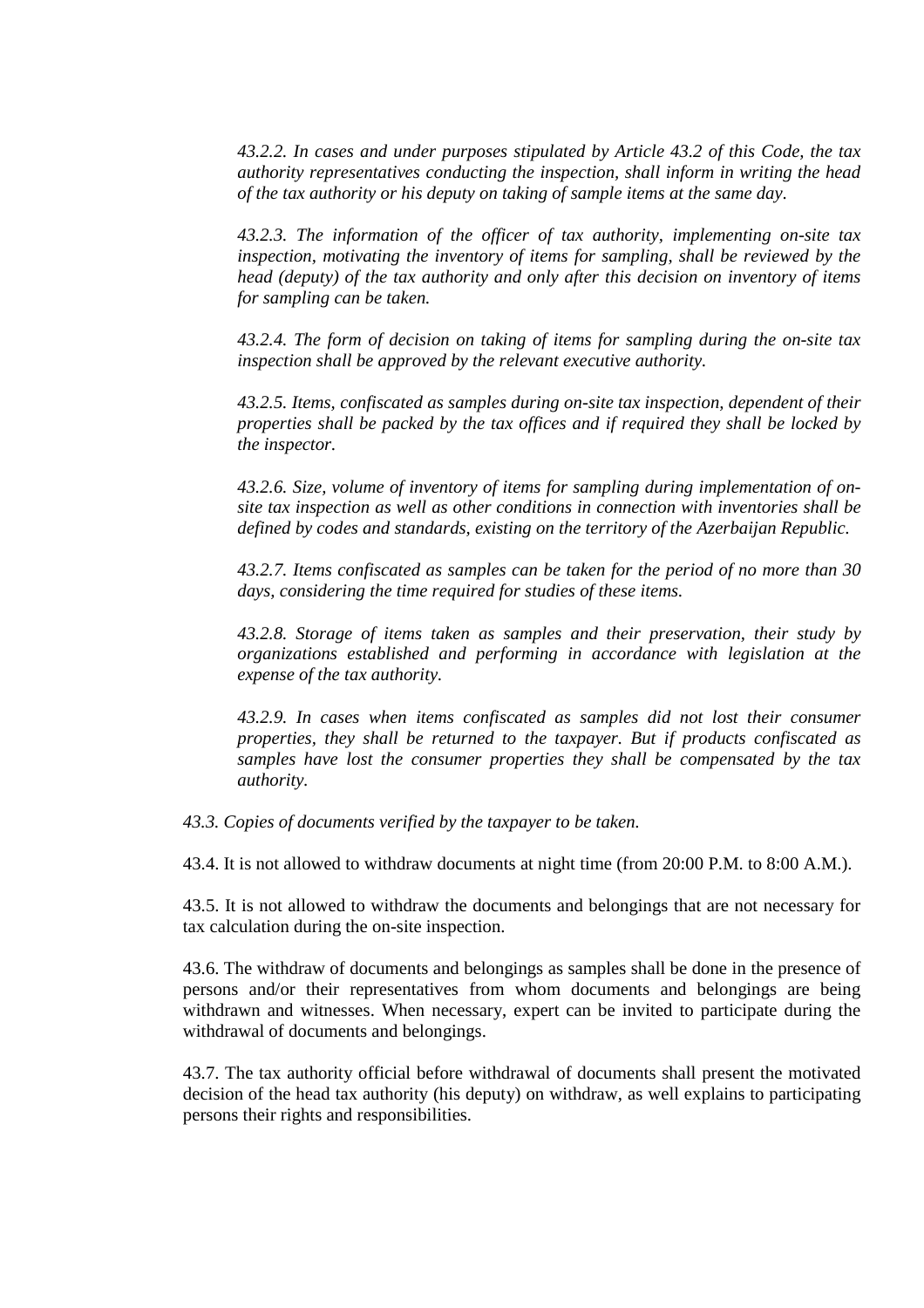*43.2.2. In cases and under purposes stipulated by Article 43.2 of this Code, the tax authority representatives conducting the inspection, shall inform in writing the head of the tax authority or his deputy on taking of sample items at the same day.* 

*43.2.3. The information of the officer of tax authority, implementing on-site tax inspection, motivating the inventory of items for sampling, shall be reviewed by the head (deputy) of the tax authority and only after this decision on inventory of items for sampling can be taken.* 

*43.2.4. The form of decision on taking of items for sampling during the on-site tax inspection shall be approved by the relevant executive authority.* 

*43.2.5. Items, confiscated as samples during on-site tax inspection, dependent of their properties shall be packed by the tax offices and if required they shall be locked by the inspector.* 

*43.2.6. Size, volume of inventory of items for sampling during implementation of onsite tax inspection as well as other conditions in connection with inventories shall be defined by codes and standards, existing on the territory of the Azerbaijan Republic.* 

*43.2.7. Items confiscated as samples can be taken for the period of no more than 30 days, considering the time required for studies of these items.* 

*43.2.8. Storage of items taken as samples and their preservation, their study by organizations established and performing in accordance with legislation at the expense of the tax authority.* 

*43.2.9. In cases when items confiscated as samples did not lost their consumer properties, they shall be returned to the taxpayer. But if products confiscated as samples have lost the consumer properties they shall be compensated by the tax authority.* 

*43.3. Copies of documents verified by the taxpayer to be taken.* 

43.4. It is not allowed to withdraw documents at night time (from 20:00 P.M. to 8:00 A.M.).

43.5. It is not allowed to withdraw the documents and belongings that are not necessary for tax calculation during the on-site inspection.

43.6. The withdraw of documents and belongings as samples shall be done in the presence of persons and/or their representatives from whom documents and belongings are being withdrawn and witnesses. When necessary, expert can be invited to participate during the withdrawal of documents and belongings.

43.7. The tax authority official before withdrawal of documents shall present the motivated decision of the head tax authority (his deputy) on withdraw, as well explains to participating persons their rights and responsibilities.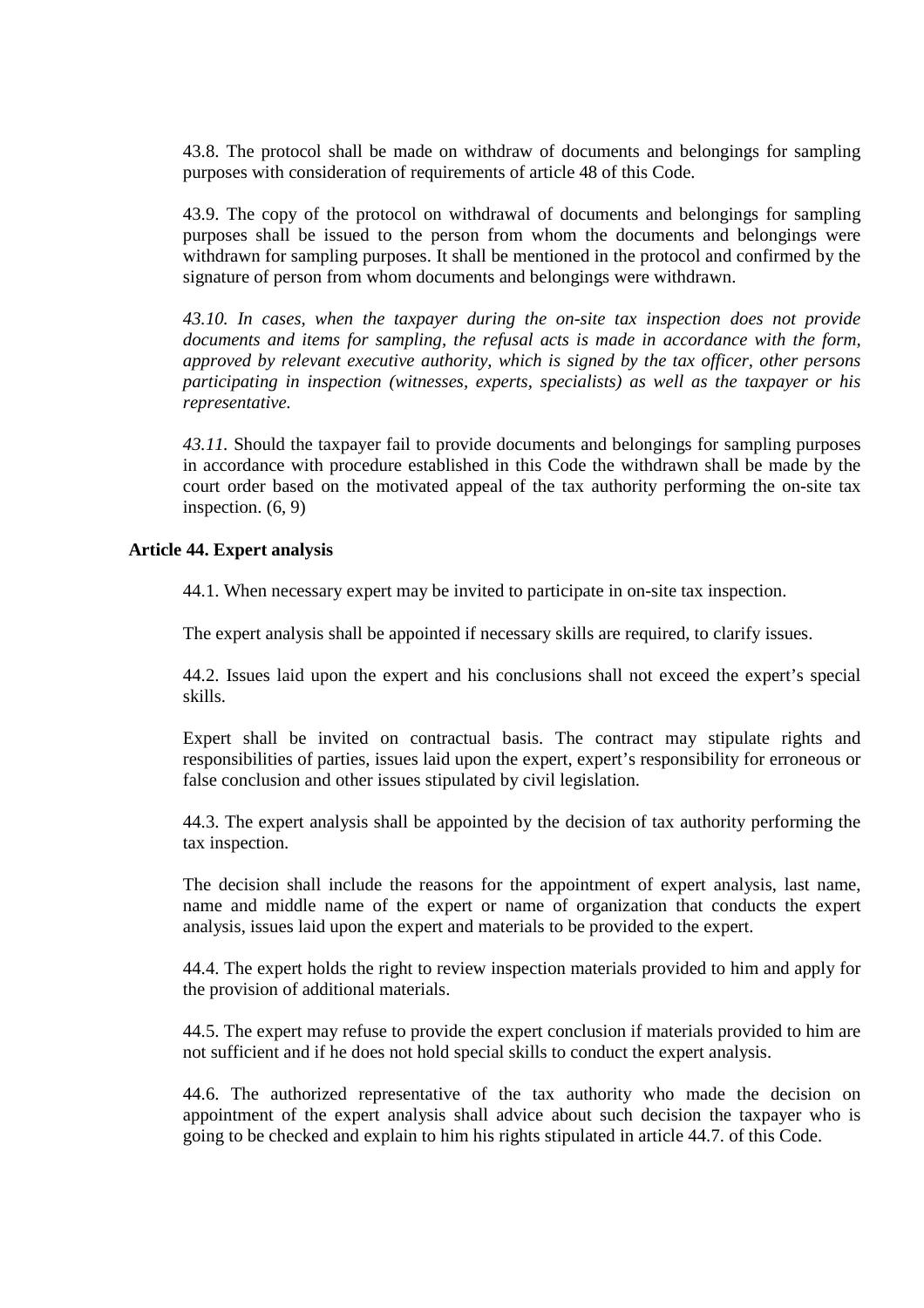43.8. The protocol shall be made on withdraw of documents and belongings for sampling purposes with consideration of requirements of article 48 of this Code.

43.9. The copy of the protocol on withdrawal of documents and belongings for sampling purposes shall be issued to the person from whom the documents and belongings were withdrawn for sampling purposes. It shall be mentioned in the protocol and confirmed by the signature of person from whom documents and belongings were withdrawn.

*43.10. In cases, when the taxpayer during the on-site tax inspection does not provide documents and items for sampling, the refusal acts is made in accordance with the form, approved by relevant executive authority, which is signed by the tax officer, other persons participating in inspection (witnesses, experts, specialists) as well as the taxpayer or his representative.* 

*43.11.* Should the taxpayer fail to provide documents and belongings for sampling purposes in accordance with procedure established in this Code the withdrawn shall be made by the court order based on the motivated appeal of the tax authority performing the on-site tax inspection. (6, 9)

## **Article 44. Expert analysis**

44.1. When necessary expert may be invited to participate in on-site tax inspection.

The expert analysis shall be appointed if necessary skills are required, to clarify issues.

44.2. Issues laid upon the expert and his conclusions shall not exceed the expert's special skills.

Expert shall be invited on contractual basis. The contract may stipulate rights and responsibilities of parties, issues laid upon the expert, expert's responsibility for erroneous or false conclusion and other issues stipulated by civil legislation.

44.3. The expert analysis shall be appointed by the decision of tax authority performing the tax inspection.

The decision shall include the reasons for the appointment of expert analysis, last name, name and middle name of the expert or name of organization that conducts the expert analysis, issues laid upon the expert and materials to be provided to the expert.

44.4. The expert holds the right to review inspection materials provided to him and apply for the provision of additional materials.

44.5. The expert may refuse to provide the expert conclusion if materials provided to him are not sufficient and if he does not hold special skills to conduct the expert analysis.

44.6. The authorized representative of the tax authority who made the decision on appointment of the expert analysis shall advice about such decision the taxpayer who is going to be checked and explain to him his rights stipulated in article 44.7. of this Code.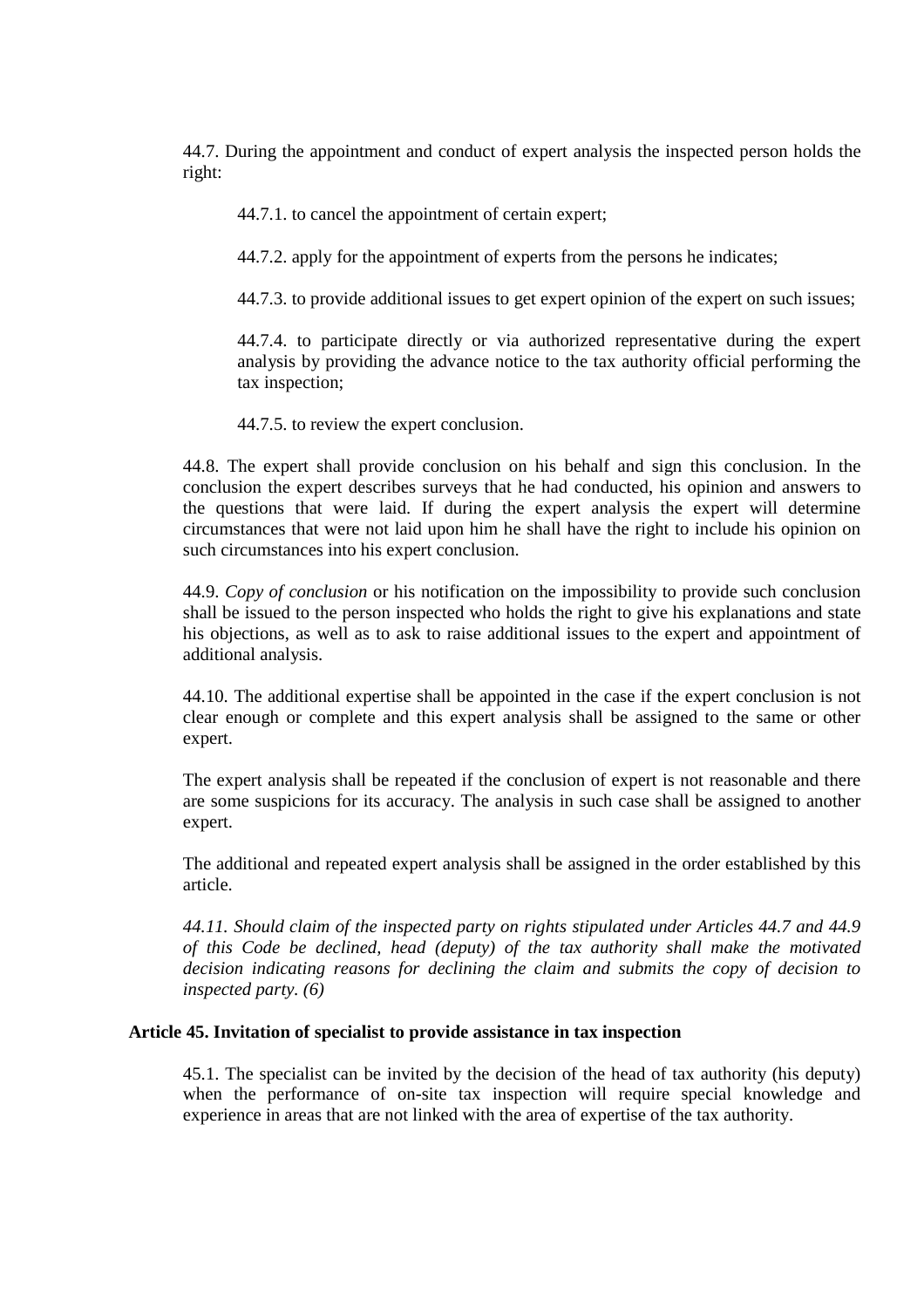44.7. During the appointment and conduct of expert analysis the inspected person holds the right:

44.7.1. to cancel the appointment of certain expert;

44.7.2. apply for the appointment of experts from the persons he indicates;

44.7.3. to provide additional issues to get expert opinion of the expert on such issues;

44.7.4. to participate directly or via authorized representative during the expert analysis by providing the advance notice to the tax authority official performing the tax inspection;

44.7.5. to review the expert conclusion.

44.8. The expert shall provide conclusion on his behalf and sign this conclusion. In the conclusion the expert describes surveys that he had conducted, his opinion and answers to the questions that were laid. If during the expert analysis the expert will determine circumstances that were not laid upon him he shall have the right to include his opinion on such circumstances into his expert conclusion.

44.9. *Copy of conclusion* or his notification on the impossibility to provide such conclusion shall be issued to the person inspected who holds the right to give his explanations and state his objections, as well as to ask to raise additional issues to the expert and appointment of additional analysis.

44.10. The additional expertise shall be appointed in the case if the expert conclusion is not clear enough or complete and this expert analysis shall be assigned to the same or other expert.

The expert analysis shall be repeated if the conclusion of expert is not reasonable and there are some suspicions for its accuracy. The analysis in such case shall be assigned to another expert.

The additional and repeated expert analysis shall be assigned in the order established by this article.

*44.11. Should claim of the inspected party on rights stipulated under Articles 44.7 and 44.9 of this Code be declined, head (deputy) of the tax authority shall make the motivated decision indicating reasons for declining the claim and submits the copy of decision to inspected party. (6)* 

## **Article 45. Invitation of specialist to provide assistance in tax inspection**

45.1. The specialist can be invited by the decision of the head of tax authority (his deputy) when the performance of on-site tax inspection will require special knowledge and experience in areas that are not linked with the area of expertise of the tax authority.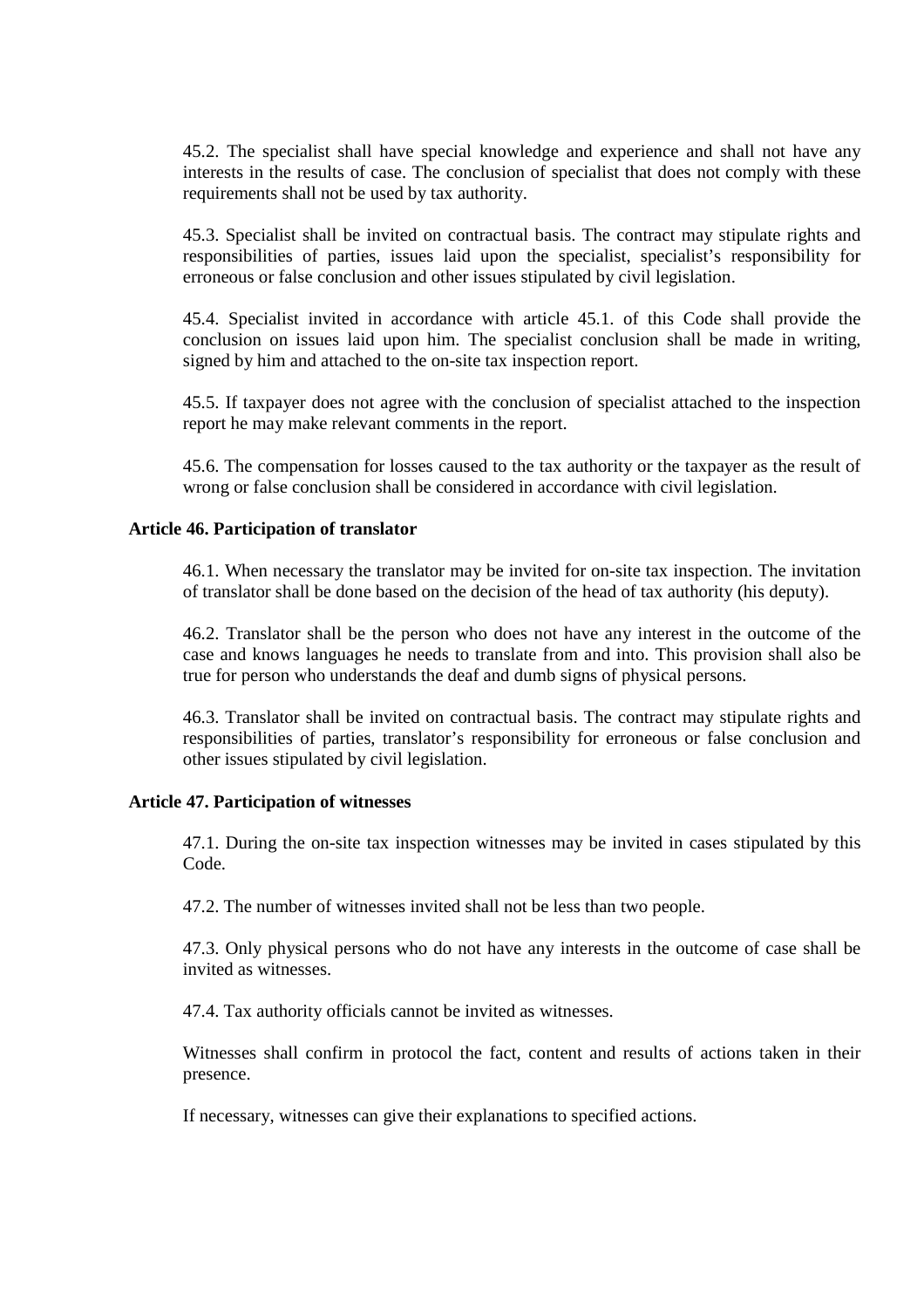45.2. The specialist shall have special knowledge and experience and shall not have any interests in the results of case. The conclusion of specialist that does not comply with these requirements shall not be used by tax authority.

45.3. Specialist shall be invited on contractual basis. The contract may stipulate rights and responsibilities of parties, issues laid upon the specialist, specialist's responsibility for erroneous or false conclusion and other issues stipulated by civil legislation.

45.4. Specialist invited in accordance with article 45.1. of this Code shall provide the conclusion on issues laid upon him. The specialist conclusion shall be made in writing, signed by him and attached to the on-site tax inspection report.

45.5. If taxpayer does not agree with the conclusion of specialist attached to the inspection report he may make relevant comments in the report.

45.6. The compensation for losses caused to the tax authority or the taxpayer as the result of wrong or false conclusion shall be considered in accordance with civil legislation.

## **Article 46. Participation of translator**

46.1. When necessary the translator may be invited for on-site tax inspection. The invitation of translator shall be done based on the decision of the head of tax authority (his deputy).

46.2. Translator shall be the person who does not have any interest in the outcome of the case and knows languages he needs to translate from and into. This provision shall also be true for person who understands the deaf and dumb signs of physical persons.

46.3. Translator shall be invited on contractual basis. The contract may stipulate rights and responsibilities of parties, translator's responsibility for erroneous or false conclusion and other issues stipulated by civil legislation.

## **Article 47. Participation of witnesses**

47.1. During the on-site tax inspection witnesses may be invited in cases stipulated by this Code.

47.2. The number of witnesses invited shall not be less than two people.

47.3. Only physical persons who do not have any interests in the outcome of case shall be invited as witnesses.

47.4. Tax authority officials cannot be invited as witnesses.

Witnesses shall confirm in protocol the fact, content and results of actions taken in their presence.

If necessary, witnesses can give their explanations to specified actions.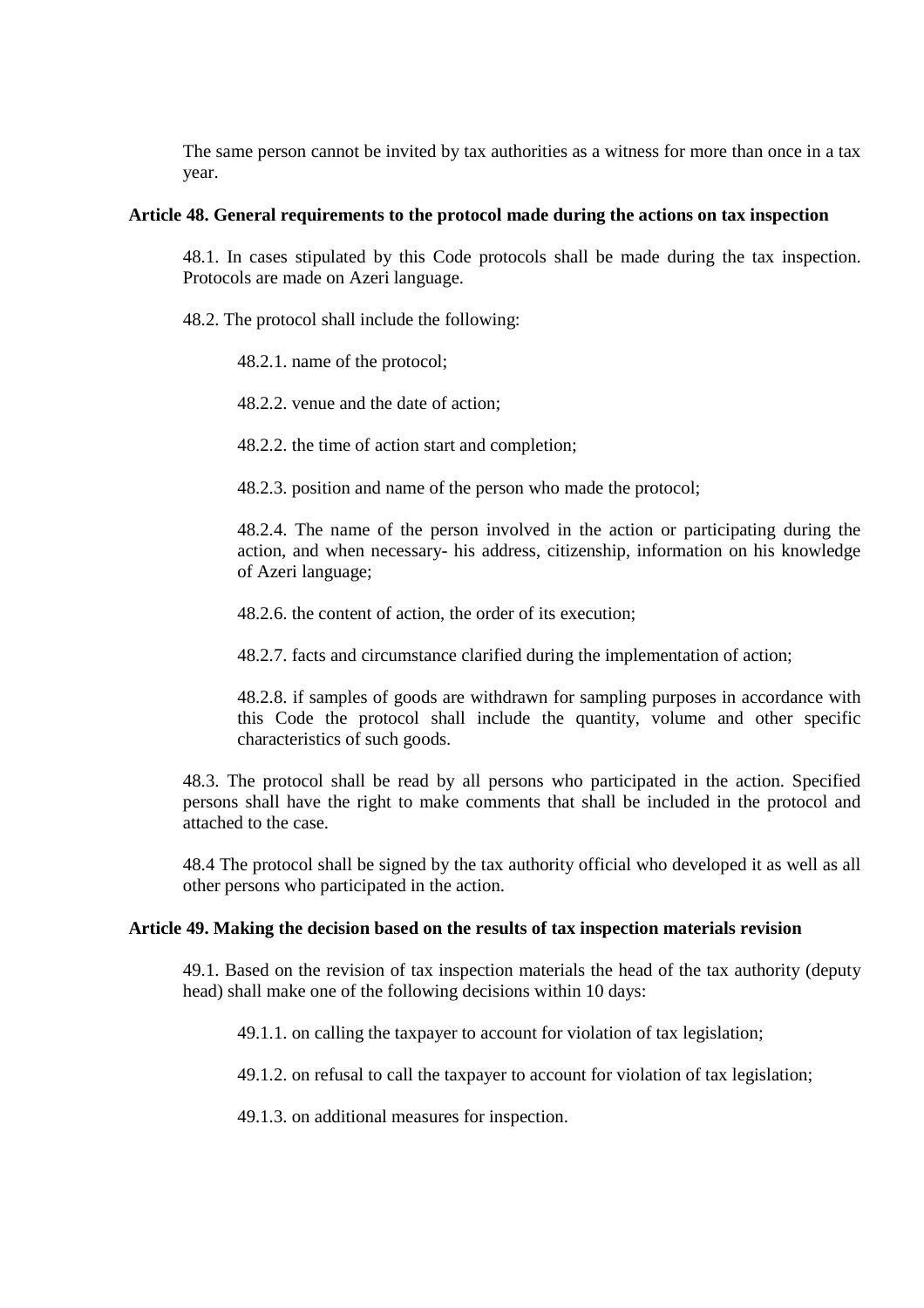The same person cannot be invited by tax authorities as a witness for more than once in a tax year.

#### **Article 48. General requirements to the protocol made during the actions on tax inspection**

48.1. In cases stipulated by this Code protocols shall be made during the tax inspection. Protocols are made on Azeri language.

- 48.2. The protocol shall include the following:
	- 48.2.1. name of the protocol;
	- 48.2.2. venue and the date of action;
	- 48.2.2. the time of action start and completion;
	- 48.2.3. position and name of the person who made the protocol;

48.2.4. The name of the person involved in the action or participating during the action, and when necessary- his address, citizenship, information on his knowledge of Azeri language;

- 48.2.6. the content of action, the order of its execution;
- 48.2.7. facts and circumstance clarified during the implementation of action;

48.2.8. if samples of goods are withdrawn for sampling purposes in accordance with this Code the protocol shall include the quantity, volume and other specific characteristics of such goods.

48.3. The protocol shall be read by all persons who participated in the action. Specified persons shall have the right to make comments that shall be included in the protocol and attached to the case.

48.4 The protocol shall be signed by the tax authority official who developed it as well as all other persons who participated in the action.

#### **Article 49. Making the decision based on the results of tax inspection materials revision**

49.1. Based on the revision of tax inspection materials the head of the tax authority (deputy head) shall make one of the following decisions within 10 days:

49.1.1. on calling the taxpayer to account for violation of tax legislation;

49.1.2. on refusal to call the taxpayer to account for violation of tax legislation;

49.1.3. on additional measures for inspection.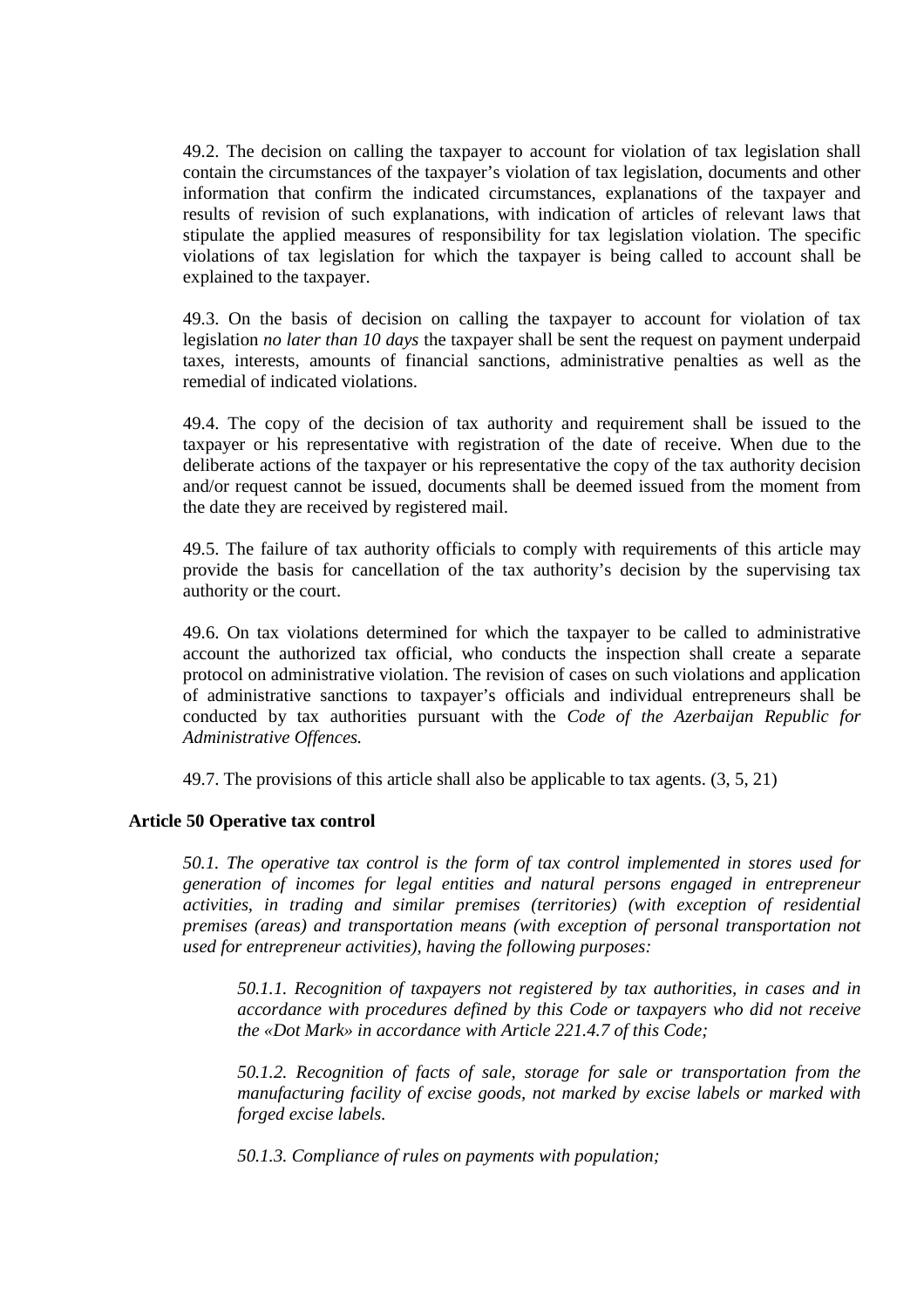49.2. The decision on calling the taxpayer to account for violation of tax legislation shall contain the circumstances of the taxpayer's violation of tax legislation, documents and other information that confirm the indicated circumstances, explanations of the taxpayer and results of revision of such explanations, with indication of articles of relevant laws that stipulate the applied measures of responsibility for tax legislation violation. The specific violations of tax legislation for which the taxpayer is being called to account shall be explained to the taxpayer.

49.3. On the basis of decision on calling the taxpayer to account for violation of tax legislation *no later than 10 days* the taxpayer shall be sent the request on payment underpaid taxes, interests, amounts of financial sanctions, administrative penalties as well as the remedial of indicated violations.

49.4. The copy of the decision of tax authority and requirement shall be issued to the taxpayer or his representative with registration of the date of receive. When due to the deliberate actions of the taxpayer or his representative the copy of the tax authority decision and/or request cannot be issued, documents shall be deemed issued from the moment from the date they are received by registered mail.

49.5. The failure of tax authority officials to comply with requirements of this article may provide the basis for cancellation of the tax authority's decision by the supervising tax authority or the court.

49.6. On tax violations determined for which the taxpayer to be called to administrative account the authorized tax official, who conducts the inspection shall create a separate protocol on administrative violation. The revision of cases on such violations and application of administrative sanctions to taxpayer's officials and individual entrepreneurs shall be conducted by tax authorities pursuant with the *Code of the Azerbaijan Republic for Administrative Offences.*

49.7. The provisions of this article shall also be applicable to tax agents. (3, 5, 21)

# **Article 50 Operative tax control**

*50.1. The operative tax control is the form of tax control implemented in stores used for generation of incomes for legal entities and natural persons engaged in entrepreneur activities, in trading and similar premises (territories) (with exception of residential premises (areas) and transportation means (with exception of personal transportation not used for entrepreneur activities), having the following purposes:* 

*50.1.1. Recognition of taxpayers not registered by tax authorities, in cases and in accordance with procedures defined by this Code or taxpayers who did not receive the «Dot Mark» in accordance with Article 221.4.7 of this Code;* 

*50.1.2. Recognition of facts of sale, storage for sale or transportation from the manufacturing facility of excise goods, not marked by excise labels or marked with forged excise labels.* 

*50.1.3. Compliance of rules on payments with population;*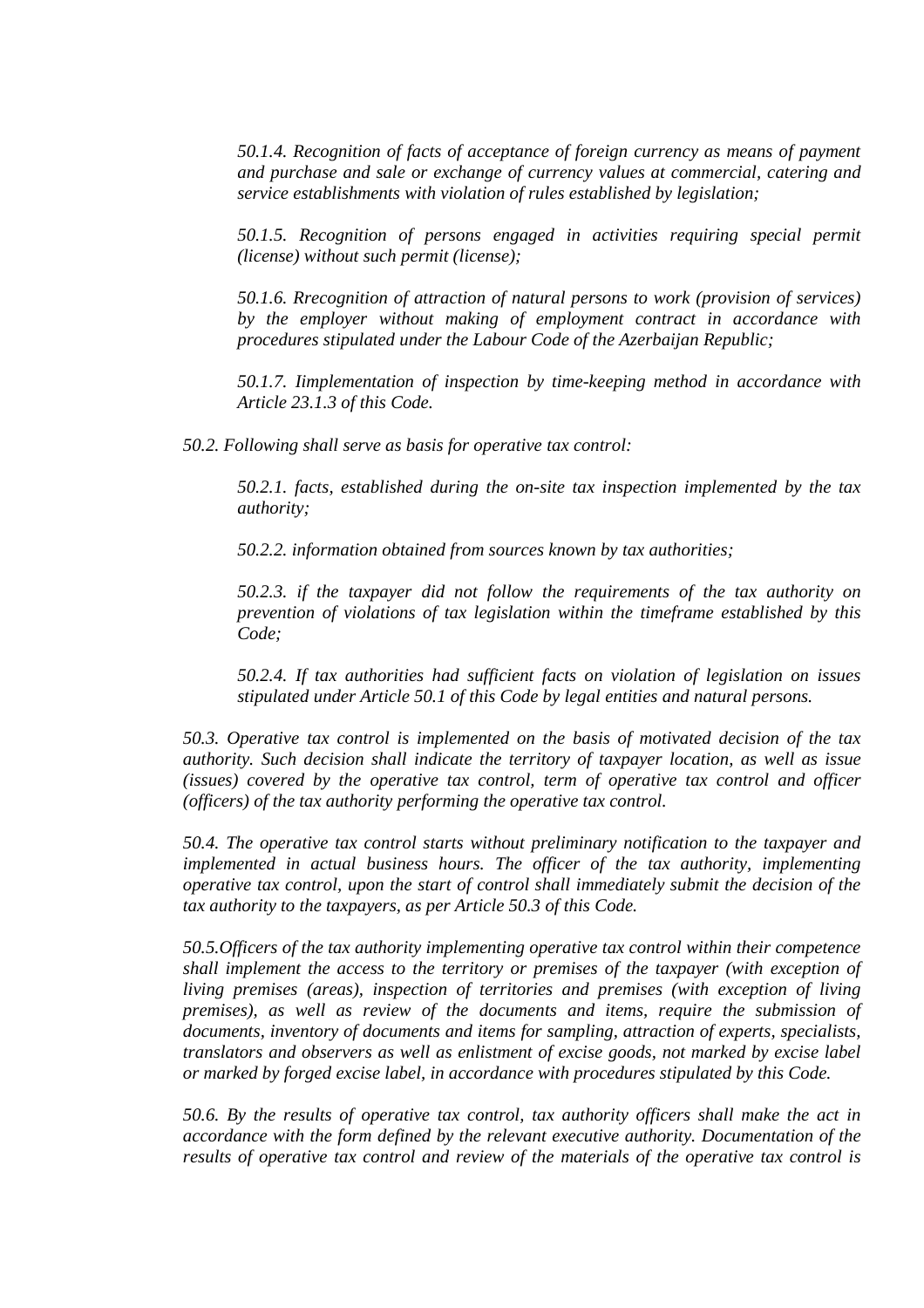*50.1.4. Recognition of facts of acceptance of foreign currency as means of payment and purchase and sale or exchange of currency values at commercial, catering and service establishments with violation of rules established by legislation;*

*50.1.5. Recognition of persons engaged in activities requiring special permit (license) without such permit (license);* 

*50.1.6. Rrecognition of attraction of natural persons to work (provision of services) by the employer without making of employment contract in accordance with procedures stipulated under the Labour Code of the Azerbaijan Republic;* 

*50.1.7. Iimplementation of inspection by time-keeping method in accordance with Article 23.1.3 of this Code.* 

*50.2. Following shall serve as basis for operative tax control:* 

*50.2.1. facts, established during the on-site tax inspection implemented by the tax authority;* 

*50.2.2. information obtained from sources known by tax authorities;* 

*50.2.3. if the taxpayer did not follow the requirements of the tax authority on prevention of violations of tax legislation within the timeframe established by this Code;* 

*50.2.4. If tax authorities had sufficient facts on violation of legislation on issues stipulated under Article 50.1 of this Code by legal entities and natural persons.* 

*50.3. Operative tax control is implemented on the basis of motivated decision of the tax authority. Such decision shall indicate the territory of taxpayer location, as well as issue (issues) covered by the operative tax control, term of operative tax control and officer (officers) of the tax authority performing the operative tax control.* 

*50.4. The operative tax control starts without preliminary notification to the taxpayer and implemented in actual business hours. The officer of the tax authority, implementing operative tax control, upon the start of control shall immediately submit the decision of the tax authority to the taxpayers, as per Article 50.3 of this Code.* 

*50.5.Officers of the tax authority implementing operative tax control within their competence shall implement the access to the territory or premises of the taxpayer (with exception of living premises (areas), inspection of territories and premises (with exception of living premises), as well as review of the documents and items, require the submission of documents, inventory of documents and items for sampling, attraction of experts, specialists, translators and observers as well as enlistment of excise goods, not marked by excise label or marked by forged excise label, in accordance with procedures stipulated by this Code.* 

*50.6. By the results of operative tax control, tax authority officers shall make the act in accordance with the form defined by the relevant executive authority. Documentation of the results of operative tax control and review of the materials of the operative tax control is*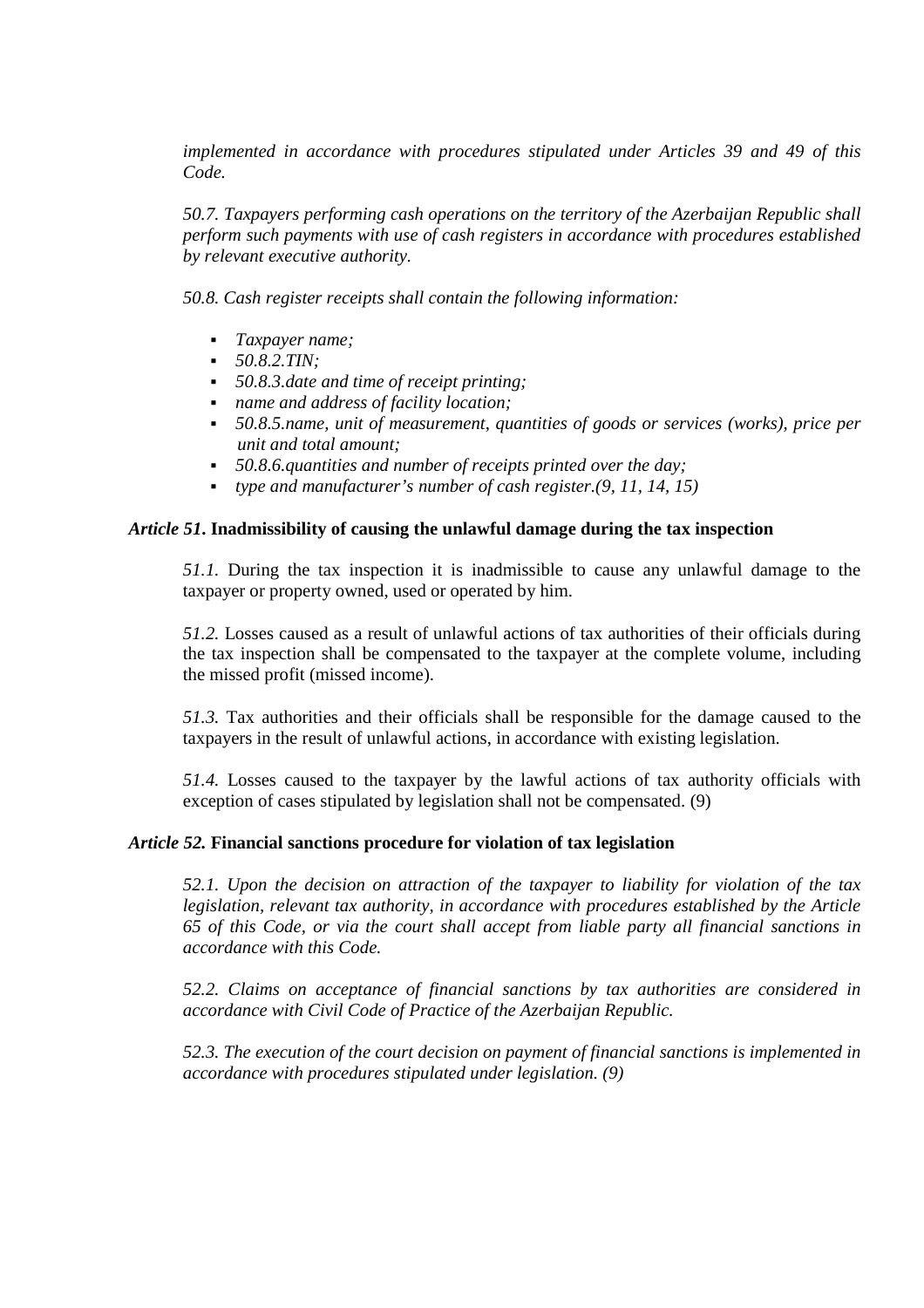*implemented in accordance with procedures stipulated under Articles 39 and 49 of this Code.* 

*50.7. Taxpayers performing cash operations on the territory of the Azerbaijan Republic shall perform such payments with use of cash registers in accordance with procedures established by relevant executive authority.* 

*50.8. Cash register receipts shall contain the following information:* 

- *Taxpayer name;*
- *50.8.2.TIN;*
- *50.8.3.date and time of receipt printing;*
- *name and address of facility location;*
- *50.8.5.name, unit of measurement, quantities of goods or services (works), price per unit and total amount;*
- *50.8.6.quantities and number of receipts printed over the day;*
- *type and manufacturer's number of cash register.(9, 11, 14, 15)*

# *Article 51***. Inadmissibility of causing the unlawful damage during the tax inspection**

*51.1.* During the tax inspection it is inadmissible to cause any unlawful damage to the taxpayer or property owned, used or operated by him.

*51.2.* Losses caused as a result of unlawful actions of tax authorities of their officials during the tax inspection shall be compensated to the taxpayer at the complete volume, including the missed profit (missed income).

*51.3.* Tax authorities and their officials shall be responsible for the damage caused to the taxpayers in the result of unlawful actions, in accordance with existing legislation.

*51.4.* Losses caused to the taxpayer by the lawful actions of tax authority officials with exception of cases stipulated by legislation shall not be compensated. (9)

# *Article 52.* **Financial sanctions procedure for violation of tax legislation**

*52.1. Upon the decision on attraction of the taxpayer to liability for violation of the tax legislation, relevant tax authority, in accordance with procedures established by the Article 65 of this Code, or via the court shall accept from liable party all financial sanctions in accordance with this Code.* 

*52.2. Claims on acceptance of financial sanctions by tax authorities are considered in accordance with Civil Code of Practice of the Azerbaijan Republic.* 

*52.3. The execution of the court decision on payment of financial sanctions is implemented in accordance with procedures stipulated under legislation. (9)*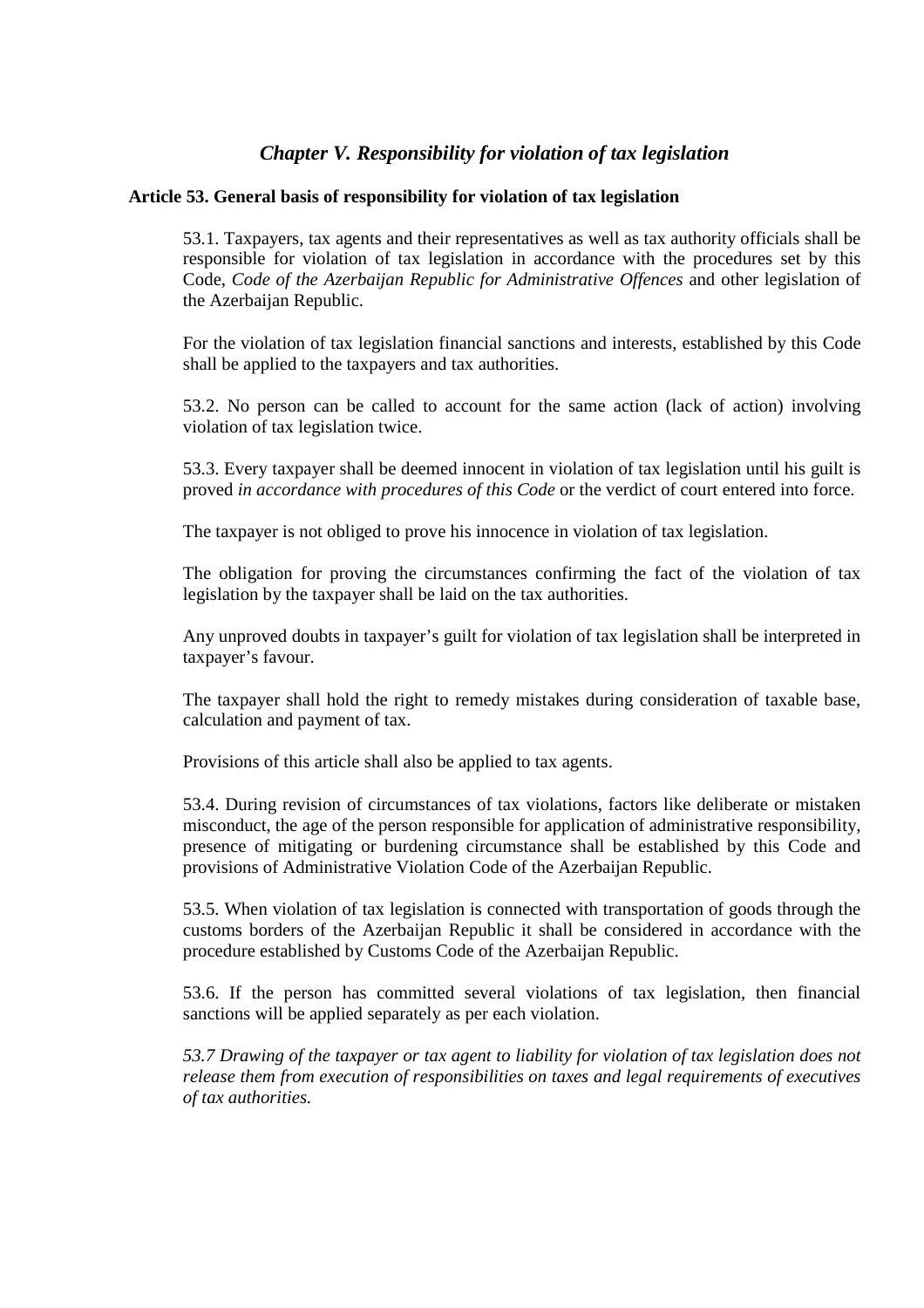# *Chapter V. Responsibility for violation of tax legislation*

## **Article 53. General basis of responsibility for violation of tax legislation**

53.1. Taxpayers, tax agents and their representatives as well as tax authority officials shall be responsible for violation of tax legislation in accordance with the procedures set by this Code, *Code of the Azerbaijan Republic for Administrative Offences* and other legislation of the Azerbaijan Republic.

For the violation of tax legislation financial sanctions and interests, established by this Code shall be applied to the taxpayers and tax authorities.

53.2. No person can be called to account for the same action (lack of action) involving violation of tax legislation twice.

53.3. Every taxpayer shall be deemed innocent in violation of tax legislation until his guilt is proved *in accordance with procedures of this Code* or the verdict of court entered into force.

The taxpayer is not obliged to prove his innocence in violation of tax legislation.

The obligation for proving the circumstances confirming the fact of the violation of tax legislation by the taxpayer shall be laid on the tax authorities.

Any unproved doubts in taxpayer's guilt for violation of tax legislation shall be interpreted in taxpayer's favour.

The taxpayer shall hold the right to remedy mistakes during consideration of taxable base, calculation and payment of tax.

Provisions of this article shall also be applied to tax agents.

53.4. During revision of circumstances of tax violations, factors like deliberate or mistaken misconduct, the age of the person responsible for application of administrative responsibility, presence of mitigating or burdening circumstance shall be established by this Code and provisions of Administrative Violation Code of the Azerbaijan Republic.

53.5. When violation of tax legislation is connected with transportation of goods through the customs borders of the Azerbaijan Republic it shall be considered in accordance with the procedure established by Customs Code of the Azerbaijan Republic.

53.6. If the person has committed several violations of tax legislation, then financial sanctions will be applied separately as per each violation.

*53.7 Drawing of the taxpayer or tax agent to liability for violation of tax legislation does not release them from execution of responsibilities on taxes and legal requirements of executives of tax authorities.*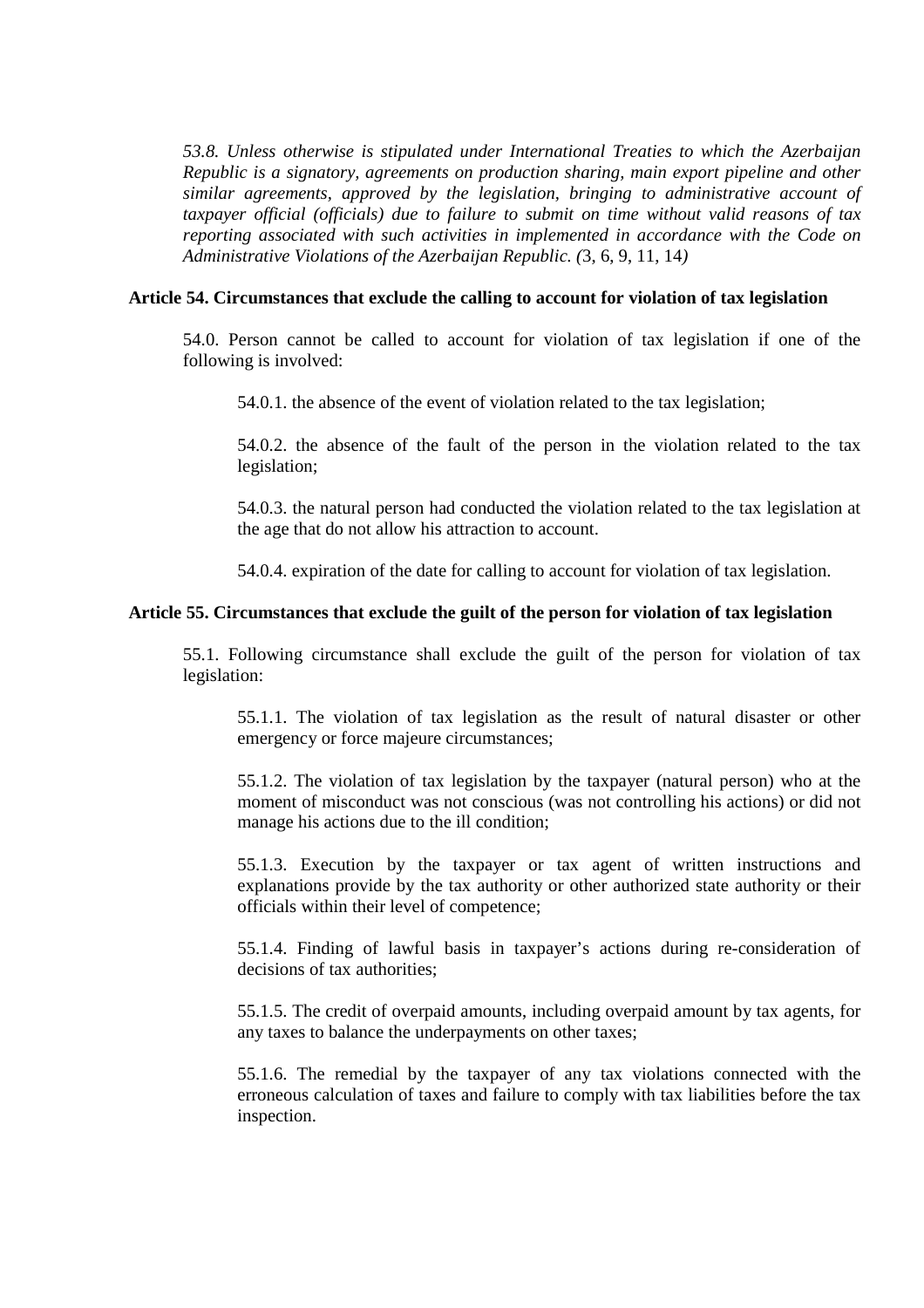*53.8. Unless otherwise is stipulated under International Treaties to which the Azerbaijan Republic is a signatory, agreements on production sharing, main export pipeline and other similar agreements, approved by the legislation, bringing to administrative account of taxpayer official (officials) due to failure to submit on time without valid reasons of tax reporting associated with such activities in implemented in accordance with the Code on Administrative Violations of the Azerbaijan Republic. (*3, 6, 9, 11, 14*)* 

## **Article 54. Circumstances that exclude the calling to account for violation of tax legislation**

54.0. Person cannot be called to account for violation of tax legislation if one of the following is involved:

54.0.1. the absence of the event of violation related to the tax legislation;

54.0.2. the absence of the fault of the person in the violation related to the tax legislation;

54.0.3. the natural person had conducted the violation related to the tax legislation at the age that do not allow his attraction to account.

54.0.4. expiration of the date for calling to account for violation of tax legislation.

## **Article 55. Circumstances that exclude the guilt of the person for violation of tax legislation**

55.1. Following circumstance shall exclude the guilt of the person for violation of tax legislation:

55.1.1. The violation of tax legislation as the result of natural disaster or other emergency or force majeure circumstances;

55.1.2. The violation of tax legislation by the taxpayer (natural person) who at the moment of misconduct was not conscious (was not controlling his actions) or did not manage his actions due to the ill condition;

55.1.3. Execution by the taxpayer or tax agent of written instructions and explanations provide by the tax authority or other authorized state authority or their officials within their level of competence;

55.1.4. Finding of lawful basis in taxpayer's actions during re-consideration of decisions of tax authorities;

55.1.5. The credit of overpaid amounts, including overpaid amount by tax agents, for any taxes to balance the underpayments on other taxes;

55.1.6. The remedial by the taxpayer of any tax violations connected with the erroneous calculation of taxes and failure to comply with tax liabilities before the tax inspection.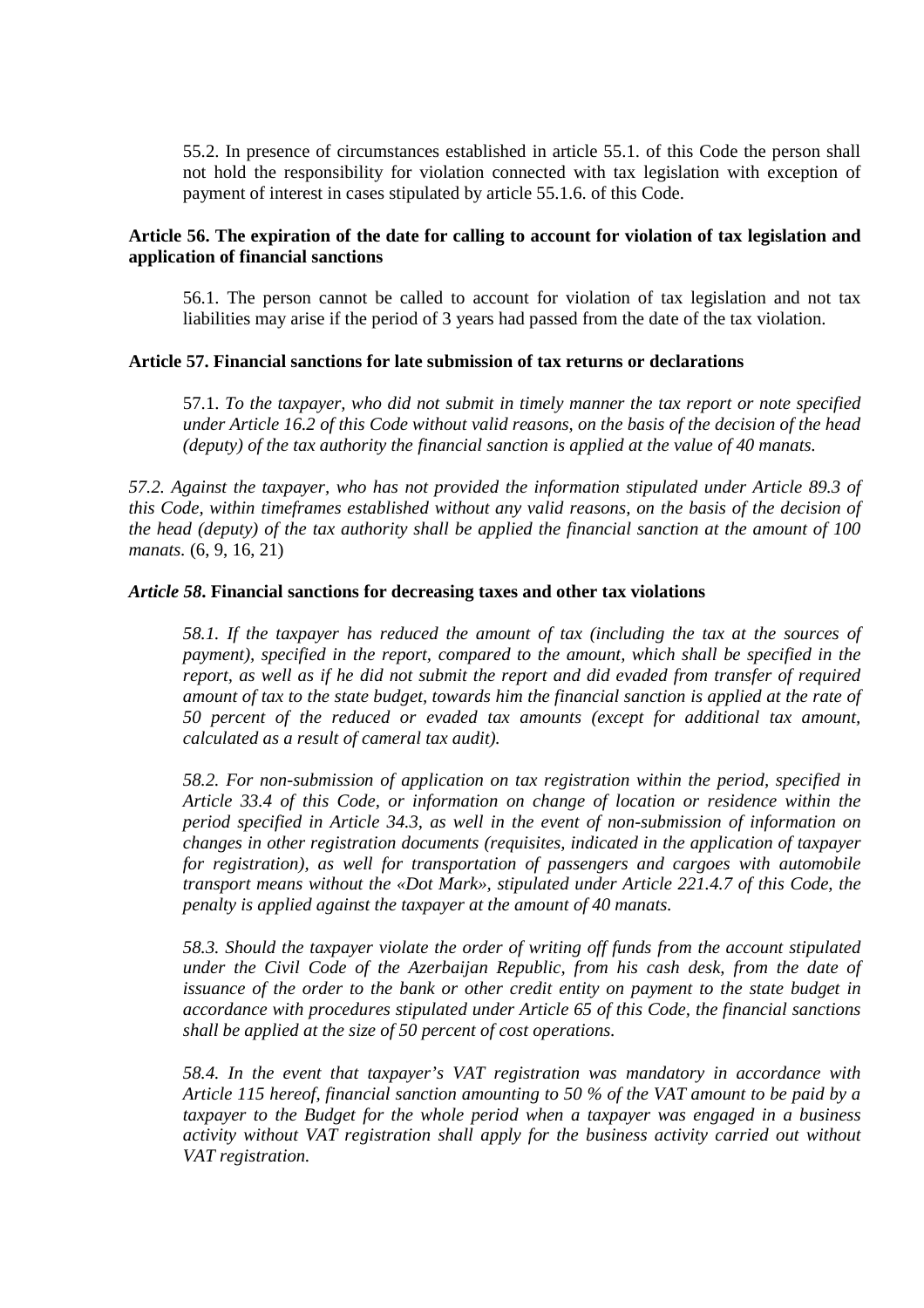55.2. In presence of circumstances established in article 55.1. of this Code the person shall not hold the responsibility for violation connected with tax legislation with exception of payment of interest in cases stipulated by article 55.1.6. of this Code.

## **Article 56. The expiration of the date for calling to account for violation of tax legislation and application of financial sanctions**

56.1. The person cannot be called to account for violation of tax legislation and not tax liabilities may arise if the period of 3 years had passed from the date of the tax violation.

## **Article 57. Financial sanctions for late submission of tax returns or declarations**

57.1. *To the taxpayer, who did not submit in timely manner the tax report or note specified under Article 16.2 of this Code without valid reasons, on the basis of the decision of the head (deputy) of the tax authority the financial sanction is applied at the value of 40 manats.* 

*57.2. Against the taxpayer, who has not provided the information stipulated under Article 89.3 of this Code, within timeframes established without any valid reasons, on the basis of the decision of the head (deputy) of the tax authority shall be applied the financial sanction at the amount of 100 manats.* (6, 9, 16, 21)

## *Article 58***. Financial sanctions for decreasing taxes and other tax violations**

*58.1. If the taxpayer has reduced the amount of tax (including the tax at the sources of payment), specified in the report, compared to the amount, which shall be specified in the report, as well as if he did not submit the report and did evaded from transfer of required amount of tax to the state budget, towards him the financial sanction is applied at the rate of 50 percent of the reduced or evaded tax amounts (except for additional tax amount, calculated as a result of cameral tax audit).* 

*58.2. For non-submission of application on tax registration within the period, specified in Article 33.4 of this Code, or information on change of location or residence within the period specified in Article 34.3, as well in the event of non-submission of information on changes in other registration documents (requisites, indicated in the application of taxpayer for registration), as well for transportation of passengers and cargoes with automobile transport means without the «Dot Mark», stipulated under Article 221.4.7 of this Code, the penalty is applied against the taxpayer at the amount of 40 manats.* 

*58.3. Should the taxpayer violate the order of writing off funds from the account stipulated under the Civil Code of the Azerbaijan Republic, from his cash desk, from the date of issuance of the order to the bank or other credit entity on payment to the state budget in accordance with procedures stipulated under Article 65 of this Code, the financial sanctions shall be applied at the size of 50 percent of cost operations.* 

*58.4. In the event that taxpayer's VAT registration was mandatory in accordance with Article 115 hereof, financial sanction amounting to 50 % of the VAT amount to be paid by a taxpayer to the Budget for the whole period when a taxpayer was engaged in a business activity without VAT registration shall apply for the business activity carried out without VAT registration.*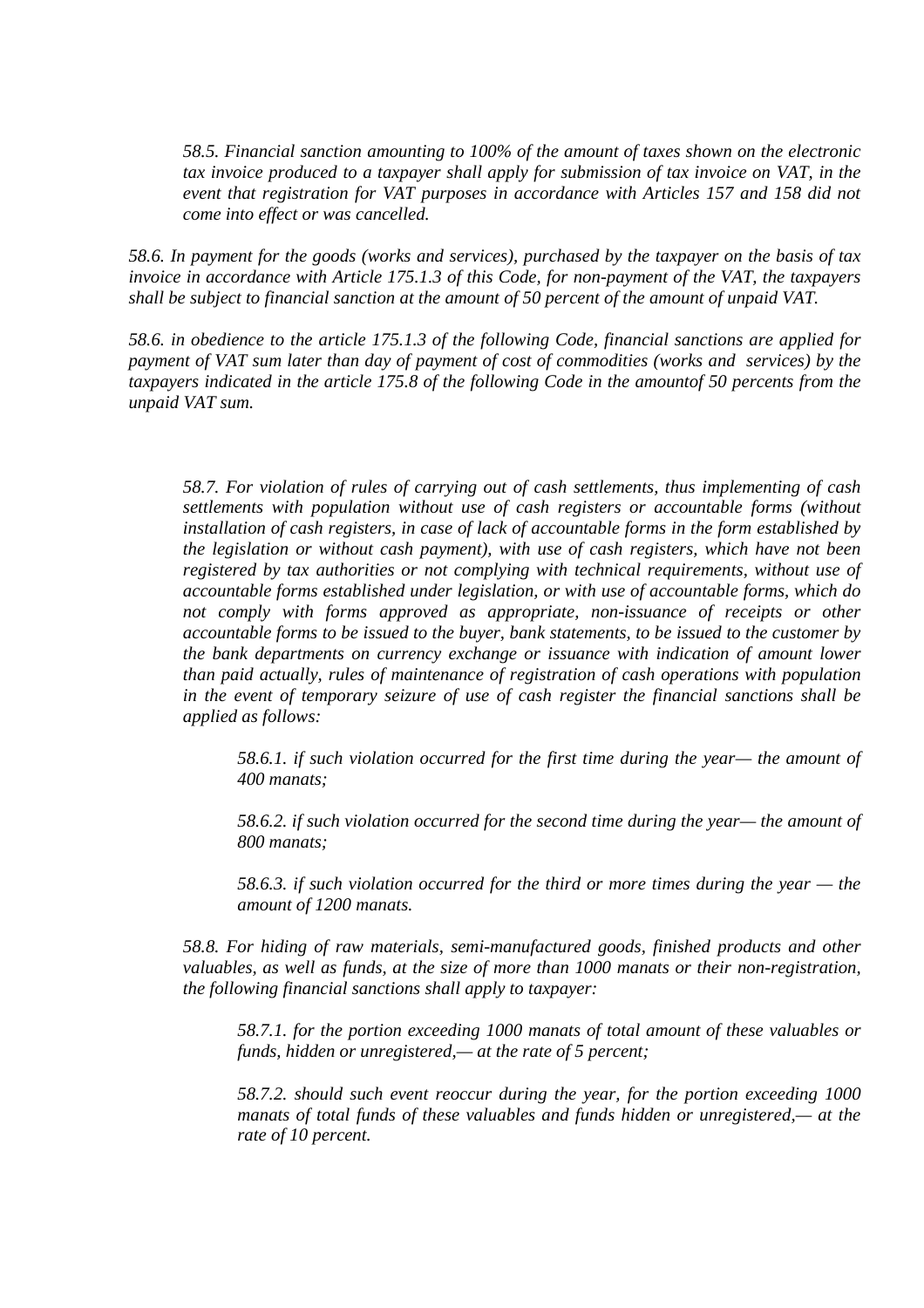*58.5. Financial sanction amounting to 100% of the amount of taxes shown on the electronic tax invoice produced to a taxpayer shall apply for submission of tax invoice on VAT, in the event that registration for VAT purposes in accordance with Articles 157 and 158 did not come into effect or was cancelled.* 

*58.6. In payment for the goods (works and services), purchased by the taxpayer on the basis of tax invoice in accordance with Article 175.1.3 of this Code, for non-payment of the VAT, the taxpayers shall be subject to financial sanction at the amount of 50 percent of the amount of unpaid VAT.* 

*58.6. in obedience to the article 175.1.3 of the following Code, financial sanctions are applied for payment of VAT sum later than day of payment of cost of commodities (works and services) by the taxpayers indicated in the article 175.8 of the following Code in the amountof 50 percents from the unpaid VAT sum.* 

*58.7. For violation of rules of carrying out of cash settlements, thus implementing of cash settlements with population without use of cash registers or accountable forms (without installation of cash registers, in case of lack of accountable forms in the form established by the legislation or without cash payment), with use of cash registers, which have not been registered by tax authorities or not complying with technical requirements, without use of accountable forms established under legislation, or with use of accountable forms, which do not comply with forms approved as appropriate, non-issuance of receipts or other accountable forms to be issued to the buyer, bank statements, to be issued to the customer by the bank departments on currency exchange or issuance with indication of amount lower than paid actually, rules of maintenance of registration of cash operations with population in the event of temporary seizure of use of cash register the financial sanctions shall be applied as follows:* 

*58.6.1. if such violation occurred for the first time during the year— the amount of 400 manats;* 

*58.6.2. if such violation occurred for the second time during the year— the amount of 800 manats;* 

*58.6.3. if such violation occurred for the third or more times during the year — the amount of 1200 manats.* 

*58.8. For hiding of raw materials, semi-manufactured goods, finished products and other valuables, as well as funds, at the size of more than 1000 manats or their non-registration, the following financial sanctions shall apply to taxpayer:* 

*58.7.1. for the portion exceeding 1000 manats of total amount of these valuables or funds, hidden or unregistered,— at the rate of 5 percent;* 

*58.7.2. should such event reoccur during the year, for the portion exceeding 1000 manats of total funds of these valuables and funds hidden or unregistered,— at the rate of 10 percent.*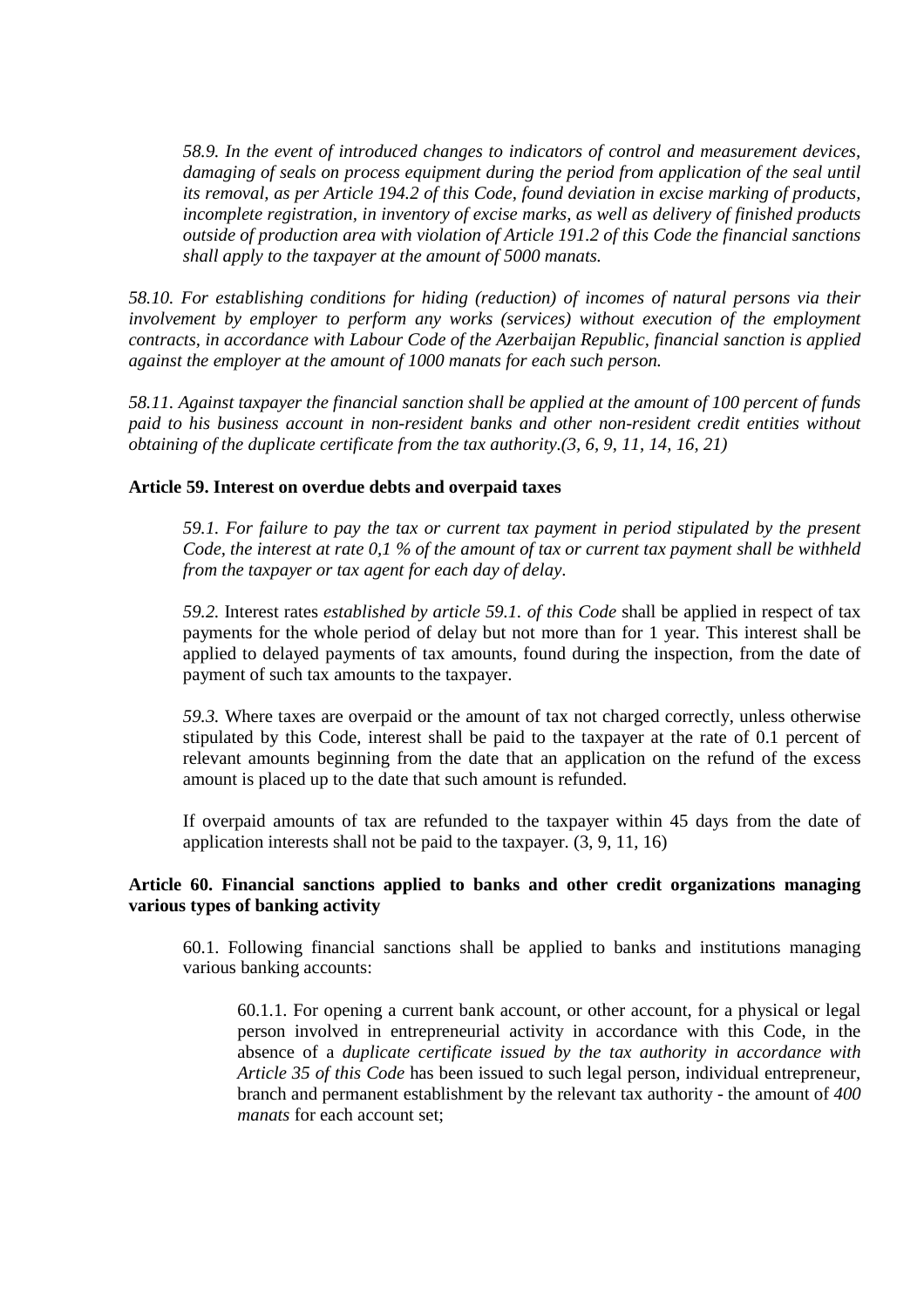*58.9. In the event of introduced changes to indicators of control and measurement devices, damaging of seals on process equipment during the period from application of the seal until its removal, as per Article 194.2 of this Code, found deviation in excise marking of products, incomplete registration, in inventory of excise marks, as well as delivery of finished products outside of production area with violation of Article 191.2 of this Code the financial sanctions shall apply to the taxpayer at the amount of 5000 manats.*

*58.10. For establishing conditions for hiding (reduction) of incomes of natural persons via their involvement by employer to perform any works (services) without execution of the employment contracts, in accordance with Labour Code of the Azerbaijan Republic, financial sanction is applied against the employer at the amount of 1000 manats for each such person.*

*58.11. Against taxpayer the financial sanction shall be applied at the amount of 100 percent of funds paid to his business account in non-resident banks and other non-resident credit entities without obtaining of the duplicate certificate from the tax authority.(3, 6, 9, 11, 14, 16, 21)*

## **Article 59. Interest on overdue debts and overpaid taxes**

*59.1. For failure to pay the tax or current tax payment in period stipulated by the present Code, the interest at rate 0,1 % of the amount of tax or current tax payment shall be withheld from the taxpayer or tax agent for each day of delay*.

*59.2.* Interest rates *established by article 59.1. of this Code* shall be applied in respect of tax payments for the whole period of delay but not more than for 1 year. This interest shall be applied to delayed payments of tax amounts, found during the inspection, from the date of payment of such tax amounts to the taxpayer.

*59.3.* Where taxes are overpaid or the amount of tax not charged correctly, unless otherwise stipulated by this Code, interest shall be paid to the taxpayer at the rate of 0.1 percent of relevant amounts beginning from the date that an application on the refund of the excess amount is placed up to the date that such amount is refunded.

If overpaid amounts of tax are refunded to the taxpayer within 45 days from the date of application interests shall not be paid to the taxpayer. (3, 9, 11, 16)

## **Article 60. Financial sanctions applied to banks and other credit organizations managing various types of banking activity**

60.1. Following financial sanctions shall be applied to banks and institutions managing various banking accounts:

60.1.1. For opening a current bank account, or other account, for a physical or legal person involved in entrepreneurial activity in accordance with this Code, in the absence of a *duplicate certificate issued by the tax authority in accordance with Article 35 of this Code* has been issued to such legal person, individual entrepreneur, branch and permanent establishment by the relevant tax authority - the amount of *400 manats* for each account set;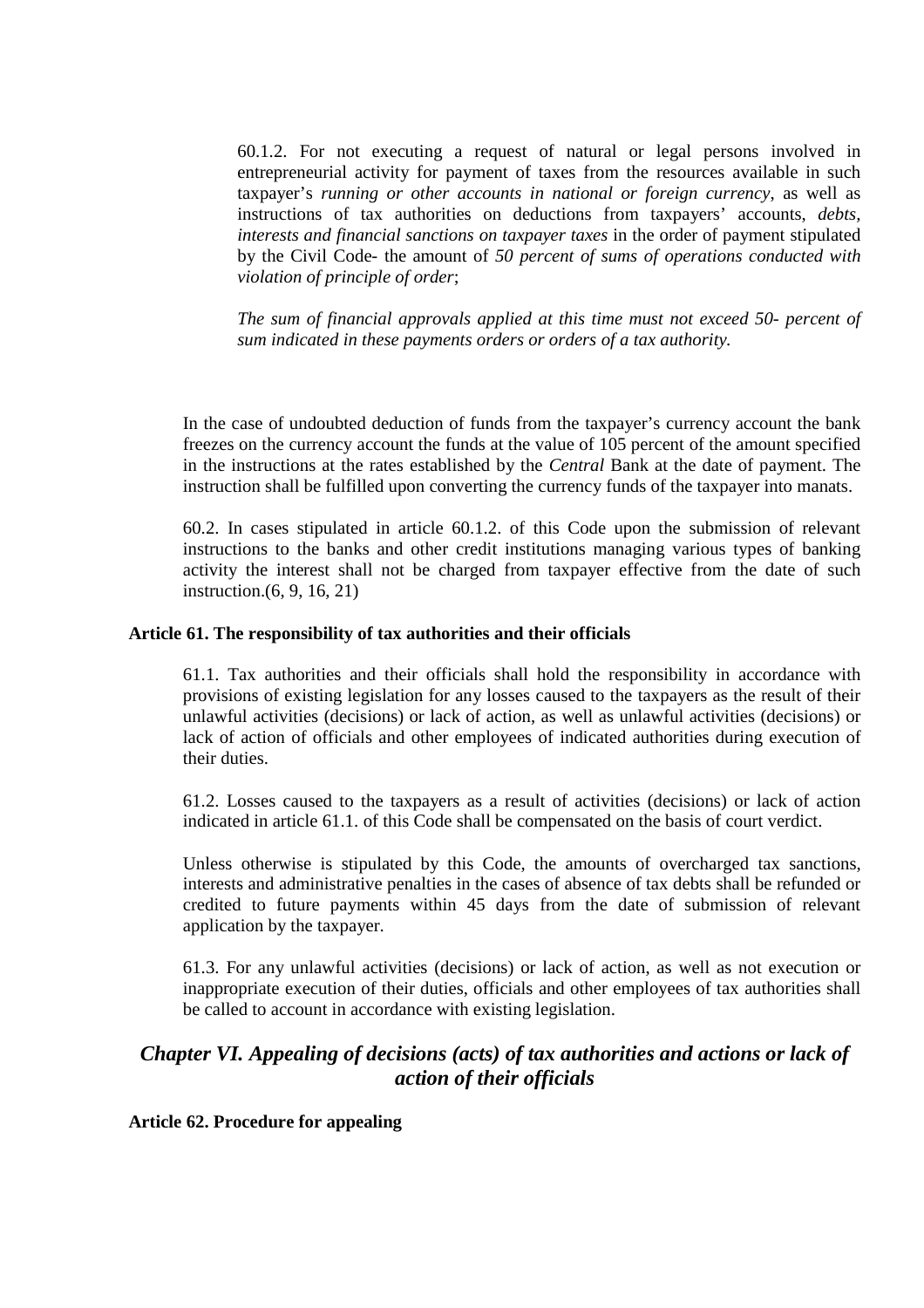60.1.2. For not executing a request of natural or legal persons involved in entrepreneurial activity for payment of taxes from the resources available in such taxpayer's *running or other accounts in national or foreign currency*, as well as instructions of tax authorities on deductions from taxpayers' accounts, *debts, interests and financial sanctions on taxpayer taxes* in the order of payment stipulated by the Civil Code- the amount of *50 percent of sums of operations conducted with violation of principle of order*;

*The sum of financial approvals applied at this time must not exceed 50- percent of sum indicated in these payments orders or orders of a tax authority.* 

In the case of undoubted deduction of funds from the taxpayer's currency account the bank freezes on the currency account the funds at the value of 105 percent of the amount specified in the instructions at the rates established by the *Central* Bank at the date of payment. The instruction shall be fulfilled upon converting the currency funds of the taxpayer into manats.

60.2. In cases stipulated in article 60.1.2. of this Code upon the submission of relevant instructions to the banks and other credit institutions managing various types of banking activity the interest shall not be charged from taxpayer effective from the date of such instruction.(6, 9, 16, 21)

## **Article 61. The responsibility of tax authorities and their officials**

61.1. Tax authorities and their officials shall hold the responsibility in accordance with provisions of existing legislation for any losses caused to the taxpayers as the result of their unlawful activities (decisions) or lack of action, as well as unlawful activities (decisions) or lack of action of officials and other employees of indicated authorities during execution of their duties.

61.2. Losses caused to the taxpayers as a result of activities (decisions) or lack of action indicated in article 61.1. of this Code shall be compensated on the basis of court verdict.

Unless otherwise is stipulated by this Code, the amounts of overcharged tax sanctions, interests and administrative penalties in the cases of absence of tax debts shall be refunded or credited to future payments within 45 days from the date of submission of relevant application by the taxpayer.

61.3. For any unlawful activities (decisions) or lack of action, as well as not execution or inappropriate execution of their duties, officials and other employees of tax authorities shall be called to account in accordance with existing legislation.

# *Chapter VI. Appealing of decisions (acts) of tax authorities and actions or lack of action of their officials*

## **Article 62. Procedure for appealing**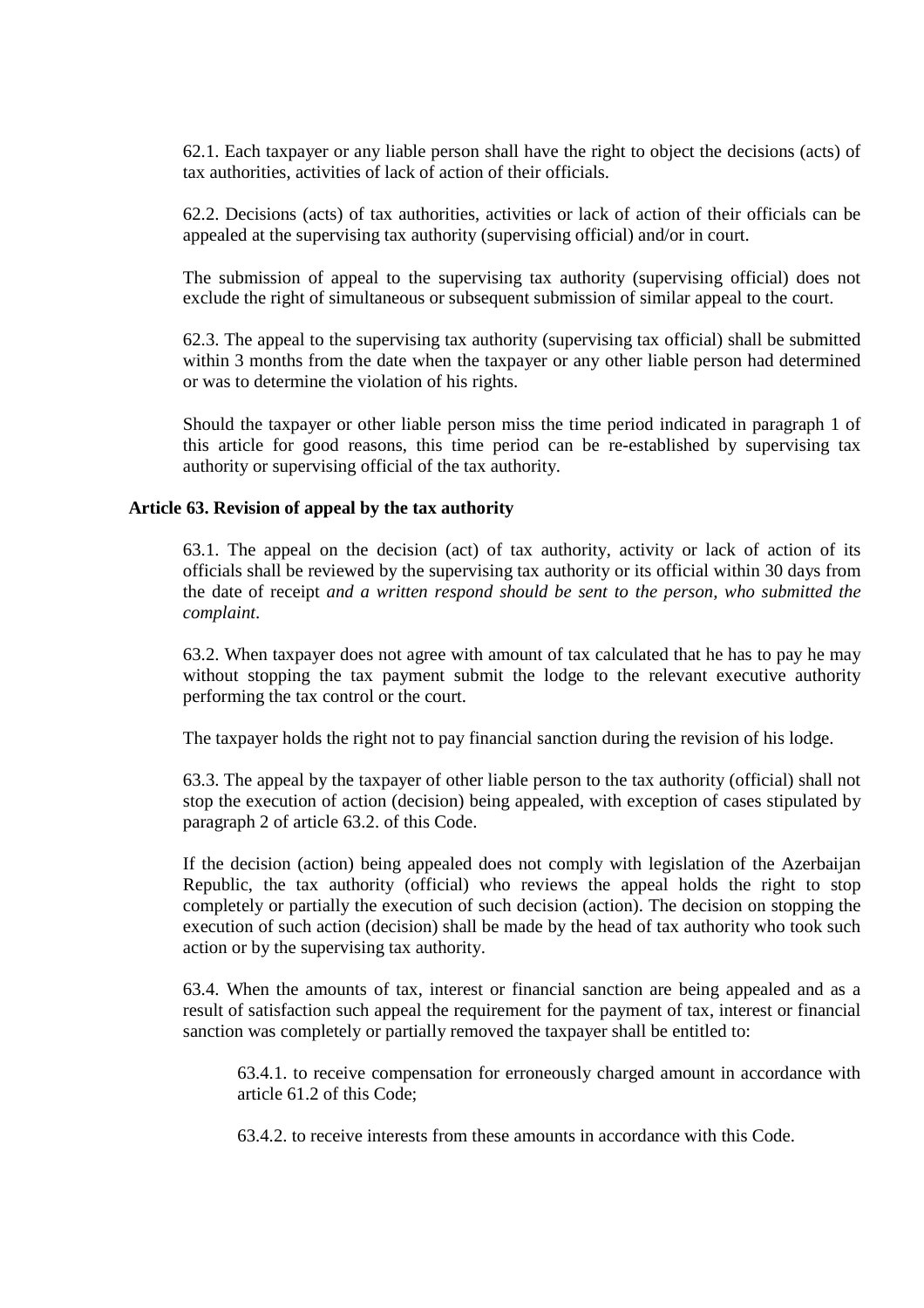62.1. Each taxpayer or any liable person shall have the right to object the decisions (acts) of tax authorities, activities of lack of action of their officials.

62.2. Decisions (acts) of tax authorities, activities or lack of action of their officials can be appealed at the supervising tax authority (supervising official) and/or in court.

The submission of appeal to the supervising tax authority (supervising official) does not exclude the right of simultaneous or subsequent submission of similar appeal to the court.

62.3. The appeal to the supervising tax authority (supervising tax official) shall be submitted within 3 months from the date when the taxpayer or any other liable person had determined or was to determine the violation of his rights.

Should the taxpayer or other liable person miss the time period indicated in paragraph 1 of this article for good reasons, this time period can be re-established by supervising tax authority or supervising official of the tax authority.

## **Article 63. Revision of appeal by the tax authority**

63.1. The appeal on the decision (act) of tax authority, activity or lack of action of its officials shall be reviewed by the supervising tax authority or its official within 30 days from the date of receipt *and a written respond should be sent to the person, who submitted the complaint*.

63.2. When taxpayer does not agree with amount of tax calculated that he has to pay he may without stopping the tax payment submit the lodge to the relevant executive authority performing the tax control or the court.

The taxpayer holds the right not to pay financial sanction during the revision of his lodge.

63.3. The appeal by the taxpayer of other liable person to the tax authority (official) shall not stop the execution of action (decision) being appealed, with exception of cases stipulated by paragraph 2 of article 63.2. of this Code.

If the decision (action) being appealed does not comply with legislation of the Azerbaijan Republic, the tax authority (official) who reviews the appeal holds the right to stop completely or partially the execution of such decision (action). The decision on stopping the execution of such action (decision) shall be made by the head of tax authority who took such action or by the supervising tax authority.

63.4. When the amounts of tax, interest or financial sanction are being appealed and as a result of satisfaction such appeal the requirement for the payment of tax, interest or financial sanction was completely or partially removed the taxpayer shall be entitled to:

63.4.1. to receive compensation for erroneously charged amount in accordance with article 61.2 of this Code;

63.4.2. to receive interests from these amounts in accordance with this Code.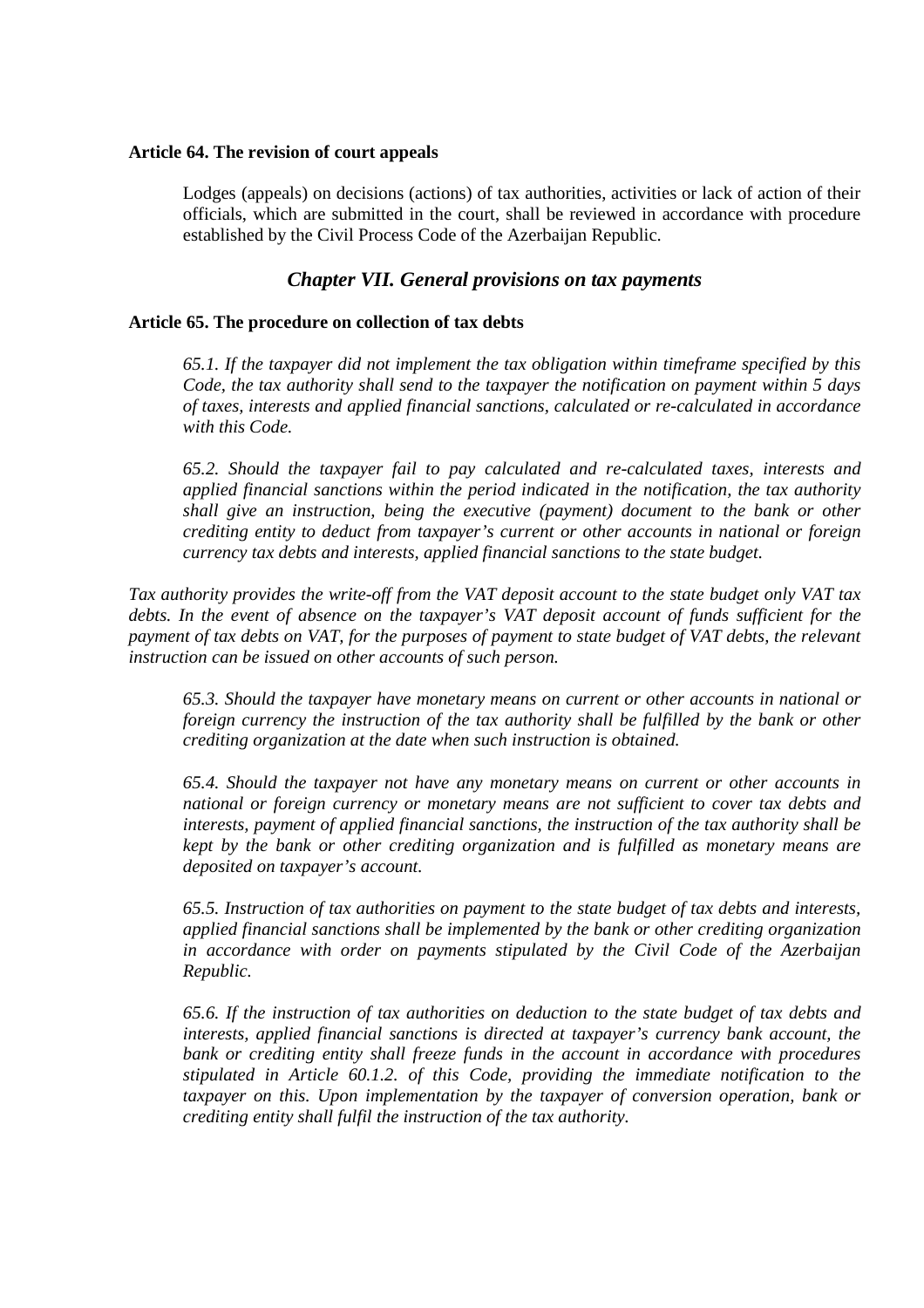## **Article 64. The revision of court appeals**

Lodges (appeals) on decisions (actions) of tax authorities, activities or lack of action of their officials, which are submitted in the court, shall be reviewed in accordance with procedure established by the Civil Process Code of the Azerbaijan Republic.

# *Chapter VII. General provisions on tax payments*

## **Article 65. The procedure on collection of tax debts**

*65.1. If the taxpayer did not implement the tax obligation within timeframe specified by this Code, the tax authority shall send to the taxpayer the notification on payment within 5 days of taxes, interests and applied financial sanctions, calculated or re-calculated in accordance with this Code.* 

*65.2. Should the taxpayer fail to pay calculated and re-calculated taxes, interests and applied financial sanctions within the period indicated in the notification, the tax authority shall give an instruction, being the executive (payment) document to the bank or other crediting entity to deduct from taxpayer's current or other accounts in national or foreign currency tax debts and interests, applied financial sanctions to the state budget.* 

*Tax authority provides the write-off from the VAT deposit account to the state budget only VAT tax debts. In the event of absence on the taxpayer's VAT deposit account of funds sufficient for the payment of tax debts on VAT, for the purposes of payment to state budget of VAT debts, the relevant instruction can be issued on other accounts of such person.*

*65.3. Should the taxpayer have monetary means on current or other accounts in national or foreign currency the instruction of the tax authority shall be fulfilled by the bank or other crediting organization at the date when such instruction is obtained.* 

*65.4. Should the taxpayer not have any monetary means on current or other accounts in national or foreign currency or monetary means are not sufficient to cover tax debts and interests, payment of applied financial sanctions, the instruction of the tax authority shall be kept by the bank or other crediting organization and is fulfilled as monetary means are deposited on taxpayer's account.* 

*65.5. Instruction of tax authorities on payment to the state budget of tax debts and interests, applied financial sanctions shall be implemented by the bank or other crediting organization in accordance with order on payments stipulated by the Civil Code of the Azerbaijan Republic.* 

*65.6. If the instruction of tax authorities on deduction to the state budget of tax debts and interests, applied financial sanctions is directed at taxpayer's currency bank account, the bank or crediting entity shall freeze funds in the account in accordance with procedures stipulated in Article 60.1.2. of this Code, providing the immediate notification to the taxpayer on this. Upon implementation by the taxpayer of conversion operation, bank or crediting entity shall fulfil the instruction of the tax authority.*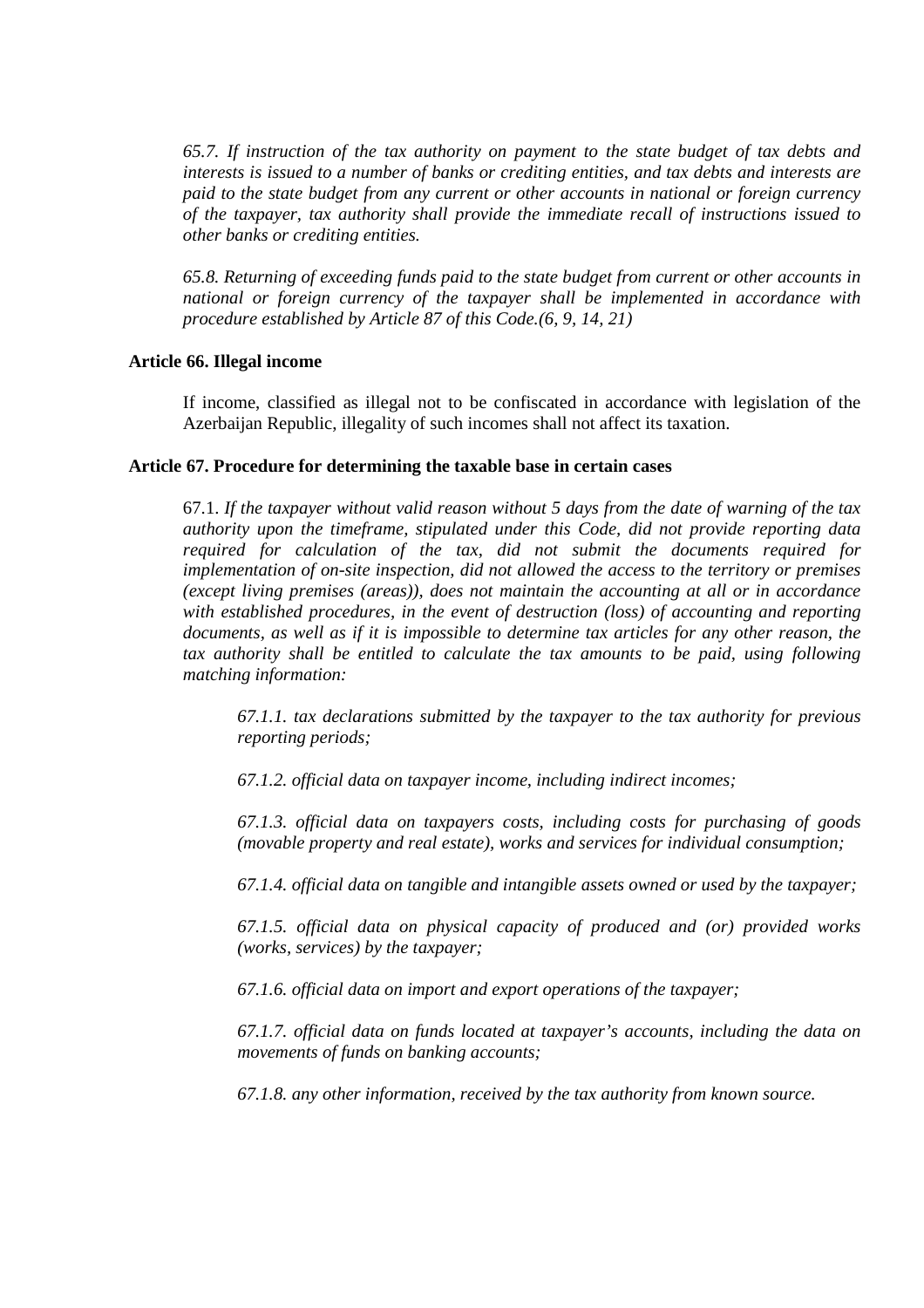*65.7. If instruction of the tax authority on payment to the state budget of tax debts and interests is issued to a number of banks or crediting entities, and tax debts and interests are paid to the state budget from any current or other accounts in national or foreign currency of the taxpayer, tax authority shall provide the immediate recall of instructions issued to other banks or crediting entities.* 

*65.8. Returning of exceeding funds paid to the state budget from current or other accounts in national or foreign currency of the taxpayer shall be implemented in accordance with procedure established by Article 87 of this Code.(6, 9, 14, 21)* 

## **Article 66. Illegal income**

If income, classified as illegal not to be confiscated in accordance with legislation of the Azerbaijan Republic, illegality of such incomes shall not affect its taxation.

#### **Article 67. Procedure for determining the taxable base in certain cases**

67.1. *If the taxpayer without valid reason without 5 days from the date of warning of the tax authority upon the timeframe, stipulated under this Code, did not provide reporting data required for calculation of the tax, did not submit the documents required for implementation of on-site inspection, did not allowed the access to the territory or premises (except living premises (areas)), does not maintain the accounting at all or in accordance with established procedures, in the event of destruction (loss) of accounting and reporting documents, as well as if it is impossible to determine tax articles for any other reason, the tax authority shall be entitled to calculate the tax amounts to be paid, using following matching information:* 

*67.1.1. tax declarations submitted by the taxpayer to the tax authority for previous reporting periods;* 

*67.1.2. official data on taxpayer income, including indirect incomes;* 

*67.1.3. official data on taxpayers costs, including costs for purchasing of goods (movable property and real estate), works and services for individual consumption;* 

*67.1.4. official data on tangible and intangible assets owned or used by the taxpayer;* 

*67.1.5. official data on physical capacity of produced and (or) provided works (works, services) by the taxpayer;* 

*67.1.6. official data on import and export operations of the taxpayer;* 

*67.1.7. official data on funds located at taxpayer's accounts, including the data on movements of funds on banking accounts;* 

*67.1.8. any other information, received by the tax authority from known source.*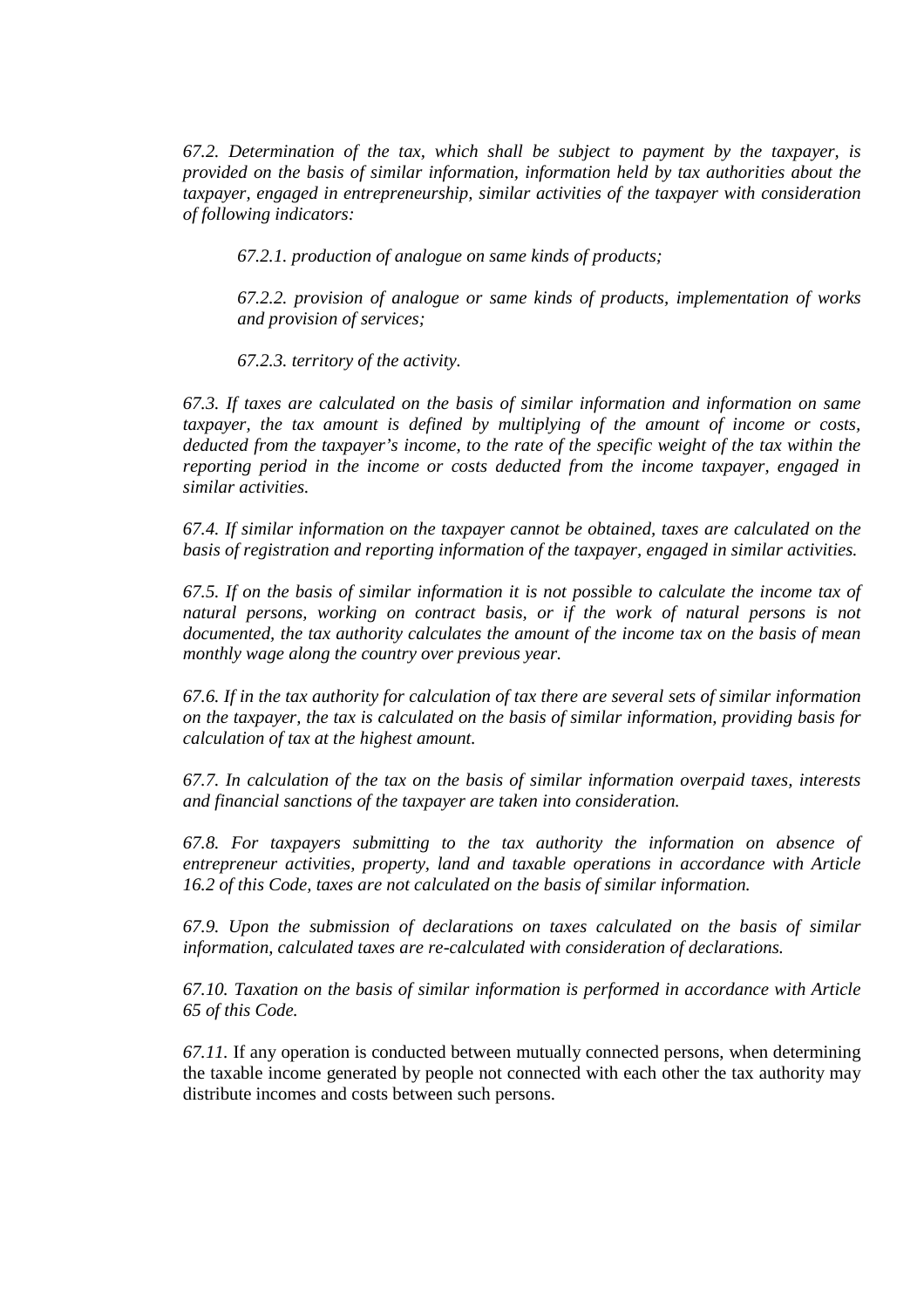*67.2. Determination of the tax, which shall be subject to payment by the taxpayer, is provided on the basis of similar information, information held by tax authorities about the taxpayer, engaged in entrepreneurship, similar activities of the taxpayer with consideration of following indicators:* 

*67.2.1. production of analogue on same kinds of products;* 

*67.2.2. provision of analogue or same kinds of products, implementation of works and provision of services;* 

*67.2.3. territory of the activity.* 

*67.3. If taxes are calculated on the basis of similar information and information on same taxpayer, the tax amount is defined by multiplying of the amount of income or costs, deducted from the taxpayer's income, to the rate of the specific weight of the tax within the reporting period in the income or costs deducted from the income taxpayer, engaged in similar activities.* 

*67.4. If similar information on the taxpayer cannot be obtained, taxes are calculated on the basis of registration and reporting information of the taxpayer, engaged in similar activities.* 

*67.5. If on the basis of similar information it is not possible to calculate the income tax of*  natural persons, working on contract basis, or if the work of natural persons is not *documented, the tax authority calculates the amount of the income tax on the basis of mean monthly wage along the country over previous year.* 

*67.6. If in the tax authority for calculation of tax there are several sets of similar information on the taxpayer, the tax is calculated on the basis of similar information, providing basis for calculation of tax at the highest amount.* 

*67.7. In calculation of the tax on the basis of similar information overpaid taxes, interests and financial sanctions of the taxpayer are taken into consideration.* 

*67.8. For taxpayers submitting to the tax authority the information on absence of entrepreneur activities, property, land and taxable operations in accordance with Article 16.2 of this Code, taxes are not calculated on the basis of similar information.* 

*67.9. Upon the submission of declarations on taxes calculated on the basis of similar information, calculated taxes are re-calculated with consideration of declarations.* 

*67.10. Taxation on the basis of similar information is performed in accordance with Article 65 of this Code.* 

*67.11.* If any operation is conducted between mutually connected persons, when determining the taxable income generated by people not connected with each other the tax authority may distribute incomes and costs between such persons.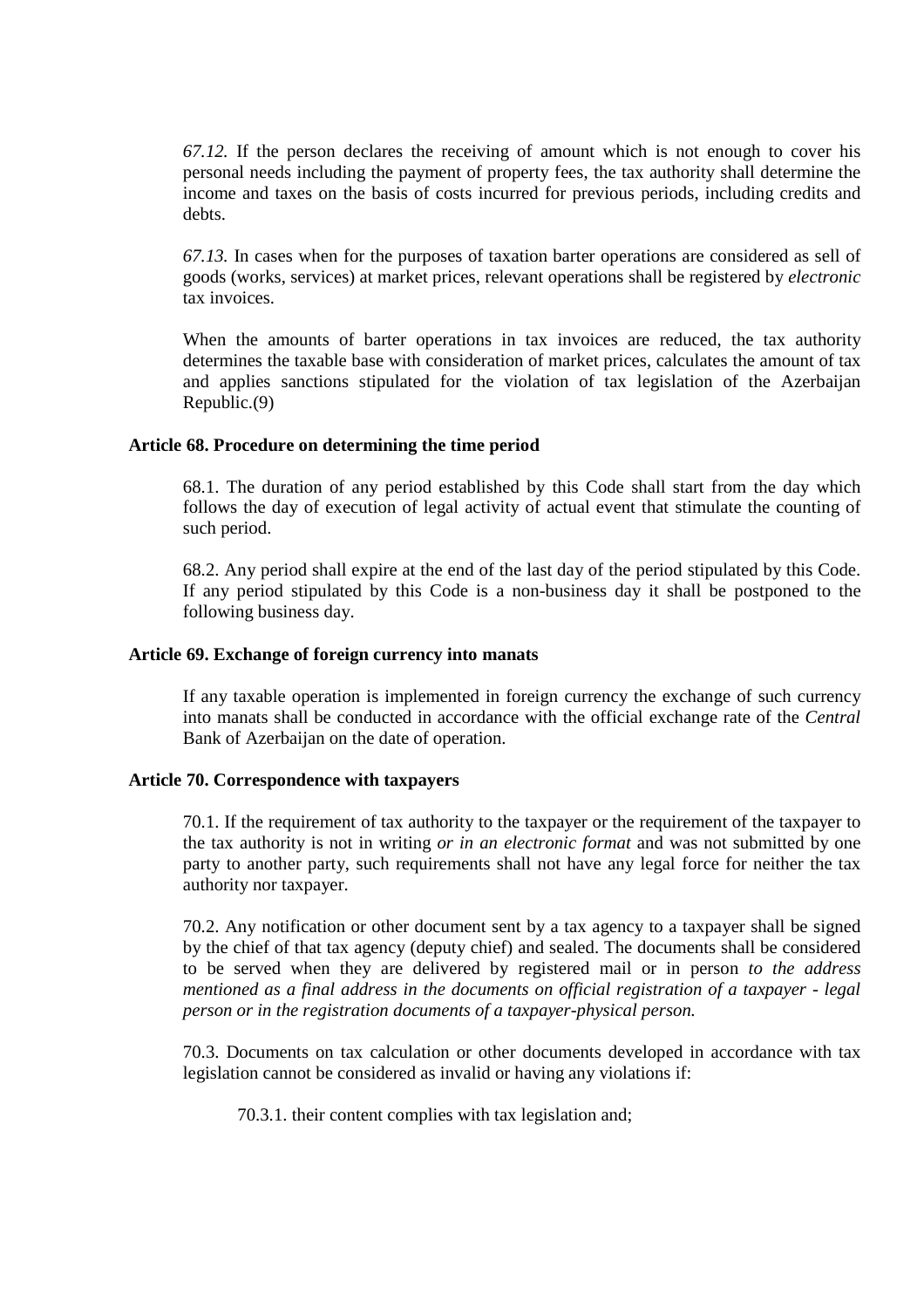*67.12.* If the person declares the receiving of amount which is not enough to cover his personal needs including the payment of property fees, the tax authority shall determine the income and taxes on the basis of costs incurred for previous periods, including credits and debts.

*67.13.* In cases when for the purposes of taxation barter operations are considered as sell of goods (works, services) at market prices, relevant operations shall be registered by *electronic* tax invoices.

When the amounts of barter operations in tax invoices are reduced, the tax authority determines the taxable base with consideration of market prices, calculates the amount of tax and applies sanctions stipulated for the violation of tax legislation of the Azerbaijan Republic.(9)

## **Article 68. Procedure on determining the time period**

68.1. The duration of any period established by this Code shall start from the day which follows the day of execution of legal activity of actual event that stimulate the counting of such period.

68.2. Any period shall expire at the end of the last day of the period stipulated by this Code. If any period stipulated by this Code is a non-business day it shall be postponed to the following business day.

#### **Article 69. Exchange of foreign currency into manats**

If any taxable operation is implemented in foreign currency the exchange of such currency into manats shall be conducted in accordance with the official exchange rate of the *Central* Bank of Azerbaijan on the date of operation.

#### **Article 70. Correspondence with taxpayers**

70.1. If the requirement of tax authority to the taxpayer or the requirement of the taxpayer to the tax authority is not in writing *or in an electronic format* and was not submitted by one party to another party, such requirements shall not have any legal force for neither the tax authority nor taxpayer.

70.2. Any notification or other document sent by a tax agency to a taxpayer shall be signed by the chief of that tax agency (deputy chief) and sealed. The documents shall be considered to be served when they are delivered by registered mail or in person *to the address mentioned as a final address in the documents on official registration of a taxpayer - legal person or in the registration documents of a taxpayer-physical person.*

70.3. Documents on tax calculation or other documents developed in accordance with tax legislation cannot be considered as invalid or having any violations if:

70.3.1. their content complies with tax legislation and;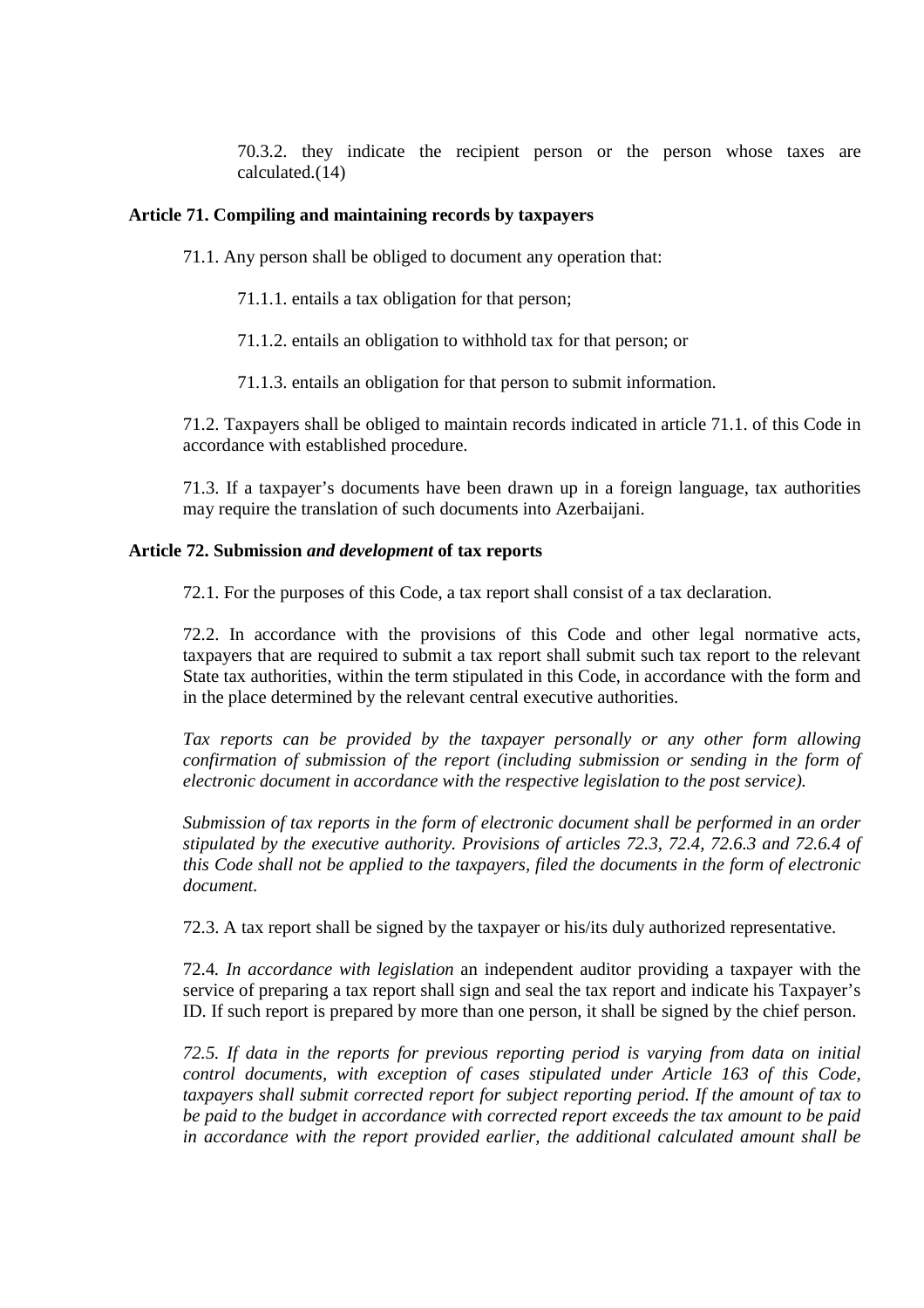70.3.2. they indicate the recipient person or the person whose taxes are calculated.(14)

#### **Article 71. Compiling and maintaining records by taxpayers**

71.1. Any person shall be obliged to document any operation that:

71.1.1. entails a tax obligation for that person;

71.1.2. entails an obligation to withhold tax for that person; or

71.1.3. entails an obligation for that person to submit information.

71.2. Taxpayers shall be obliged to maintain records indicated in article 71.1. of this Code in accordance with established procedure.

71.3. If a taxpayer's documents have been drawn up in a foreign language, tax authorities may require the translation of such documents into Azerbaijani.

#### **Article 72. Submission** *and development* **of tax reports**

72.1. For the purposes of this Code, a tax report shall consist of a tax declaration.

72.2. In accordance with the provisions of this Code and other legal normative acts, taxpayers that are required to submit a tax report shall submit such tax report to the relevant State tax authorities, within the term stipulated in this Code, in accordance with the form and in the place determined by the relevant central executive authorities.

*Tax reports can be provided by the taxpayer personally or any other form allowing confirmation of submission of the report (including submission or sending in the form of electronic document in accordance with the respective legislation to the post service).* 

*Submission of tax reports in the form of electronic document shall be performed in an order stipulated by the executive authority. Provisions of articles 72.3, 72.4, 72.6.3 and 72.6.4 of this Code shall not be applied to the taxpayers, filed the documents in the form of electronic document.*

72.3. A tax report shall be signed by the taxpayer or his/its duly authorized representative.

72.4*. In accordance with legislation* an independent auditor providing a taxpayer with the service of preparing a tax report shall sign and seal the tax report and indicate his Taxpayer's ID. If such report is prepared by more than one person, it shall be signed by the chief person.

*72.5. If data in the reports for previous reporting period is varying from data on initial control documents, with exception of cases stipulated under Article 163 of this Code, taxpayers shall submit corrected report for subject reporting period. If the amount of tax to be paid to the budget in accordance with corrected report exceeds the tax amount to be paid in accordance with the report provided earlier, the additional calculated amount shall be*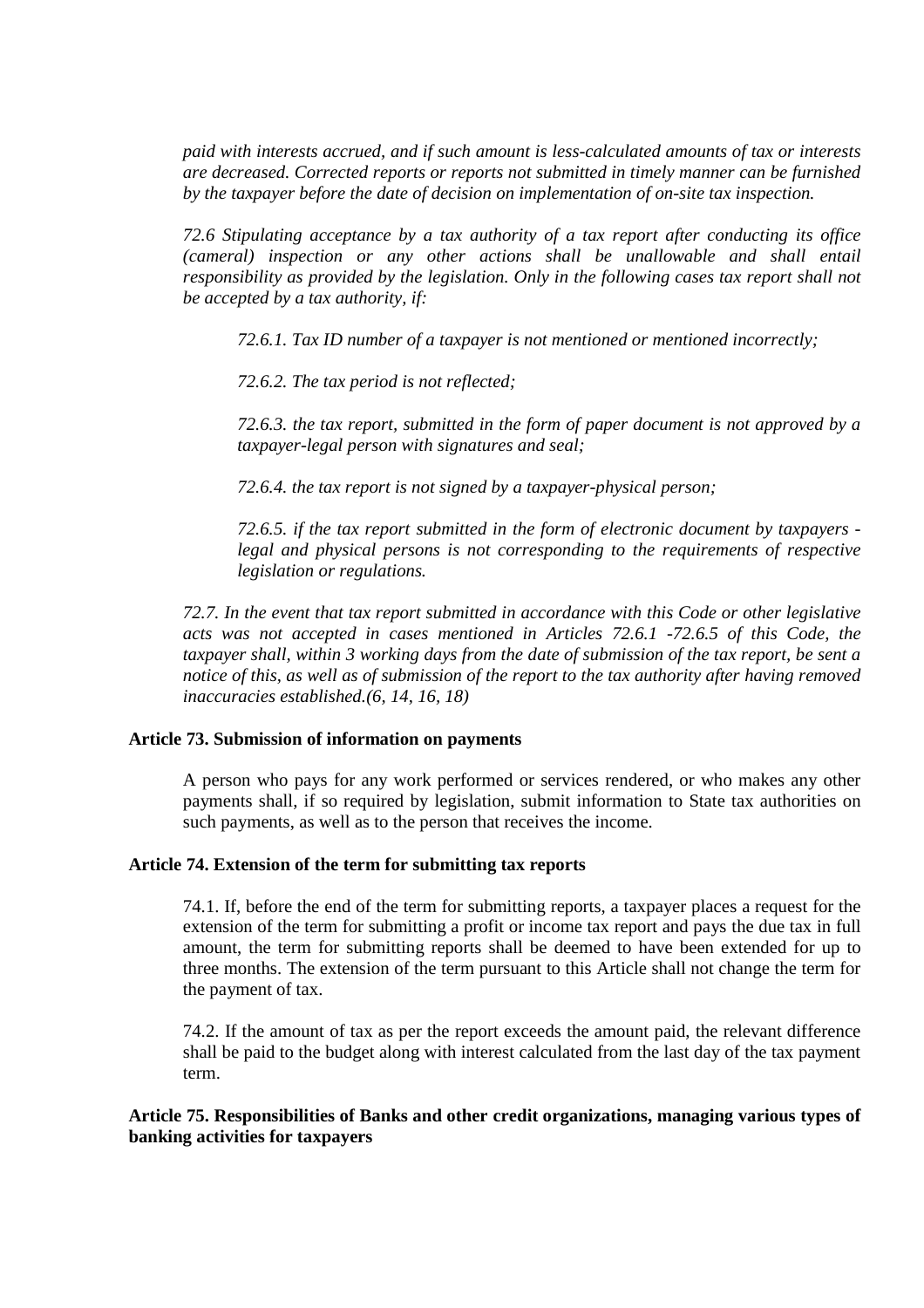*paid with interests accrued, and if such amount is less-calculated amounts of tax or interests are decreased. Corrected reports or reports not submitted in timely manner can be furnished by the taxpayer before the date of decision on implementation of on-site tax inspection.* 

*72.6 Stipulating acceptance by a tax authority of a tax report after conducting its office (cameral) inspection or any other actions shall be unallowable and shall entail responsibility as provided by the legislation. Only in the following cases tax report shall not be accepted by a tax authority, if:* 

*72.6.1. Tax ID number of a taxpayer is not mentioned or mentioned incorrectly;* 

*72.6.2. The tax period is not reflected;* 

*72.6.3. the tax report, submitted in the form of paper document is not approved by a taxpayer-legal person with signatures and seal;* 

*72.6.4. the tax report is not signed by a taxpayer-physical person;* 

*72.6.5. if the tax report submitted in the form of electronic document by taxpayers legal and physical persons is not corresponding to the requirements of respective legislation or regulations.* 

*72.7. In the event that tax report submitted in accordance with this Code or other legislative acts was not accepted in cases mentioned in Articles 72.6.1 -72.6.5 of this Code, the taxpayer shall, within 3 working days from the date of submission of the tax report, be sent a notice of this, as well as of submission of the report to the tax authority after having removed inaccuracies established.(6, 14, 16, 18)* 

## **Article 73. Submission of information on payments**

A person who pays for any work performed or services rendered, or who makes any other payments shall, if so required by legislation, submit information to State tax authorities on such payments, as well as to the person that receives the income.

## **Article 74. Extension of the term for submitting tax reports**

74.1. If, before the end of the term for submitting reports, a taxpayer places a request for the extension of the term for submitting a profit or income tax report and pays the due tax in full amount, the term for submitting reports shall be deemed to have been extended for up to three months. The extension of the term pursuant to this Article shall not change the term for the payment of tax.

74.2. If the amount of tax as per the report exceeds the amount paid, the relevant difference shall be paid to the budget along with interest calculated from the last day of the tax payment term.

# **Article 75. Responsibilities of Banks and other credit organizations, managing various types of banking activities for taxpayers**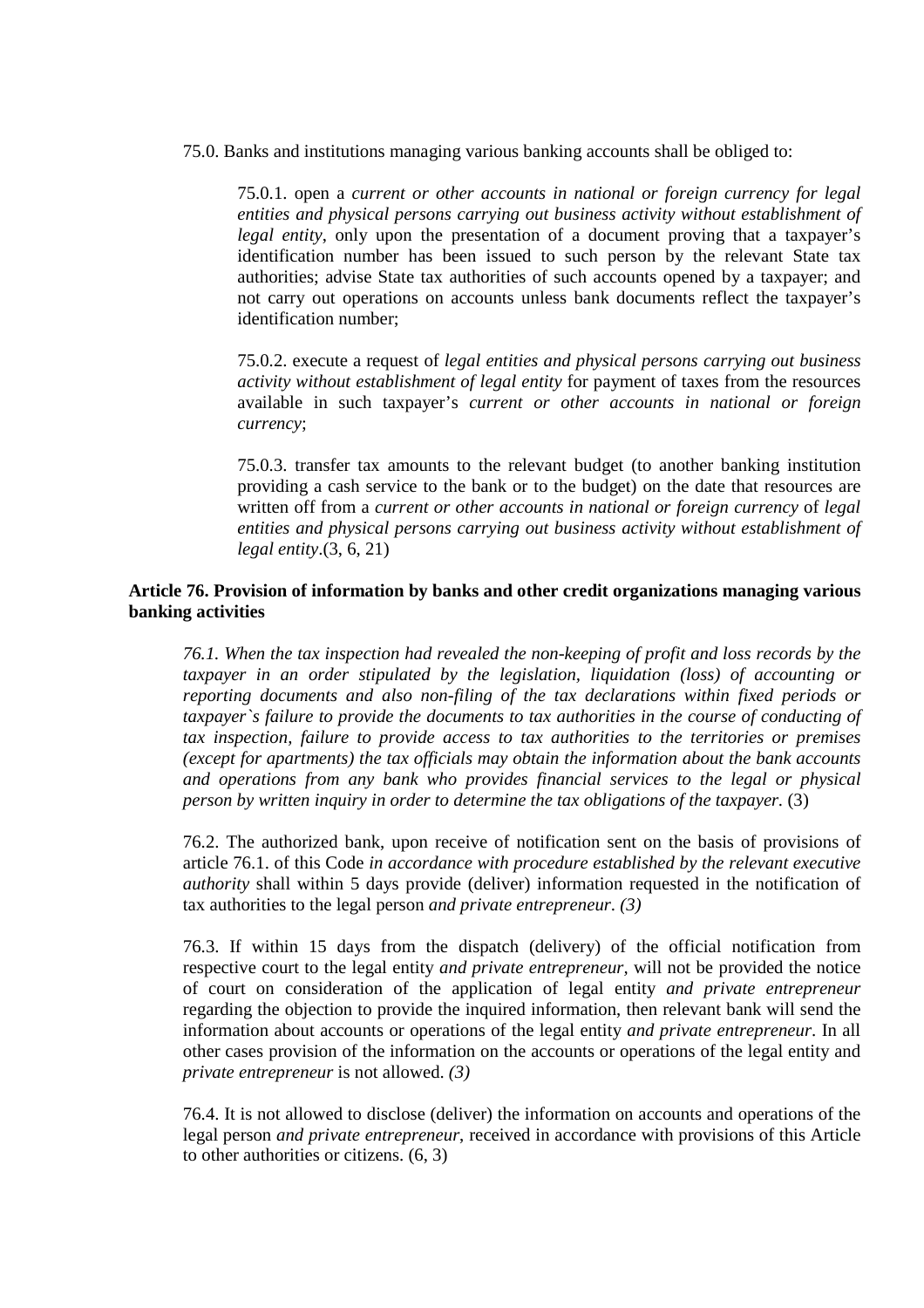75.0. Banks and institutions managing various banking accounts shall be obliged to:

75.0.1. open a *current or other accounts in national or foreign currency for legal entities and physical persons carrying out business activity without establishment of legal entity*, only upon the presentation of a document proving that a taxpayer's identification number has been issued to such person by the relevant State tax authorities; advise State tax authorities of such accounts opened by a taxpayer; and not carry out operations on accounts unless bank documents reflect the taxpayer's identification number;

75.0.2. execute a request of *legal entities and physical persons carrying out business activity without establishment of legal entity* for payment of taxes from the resources available in such taxpayer's *current or other accounts in national or foreign currency*;

75.0.3. transfer tax amounts to the relevant budget (to another banking institution providing a cash service to the bank or to the budget) on the date that resources are written off from a *current or other accounts in national or foreign currency* of *legal entities and physical persons carrying out business activity without establishment of legal entity*.(3, 6, 21)

# **Article 76. Provision of information by banks and other credit organizations managing various banking activities**

*76.1. When the tax inspection had revealed the non-keeping of profit and loss records by the taxpayer in an order stipulated by the legislation, liquidation (loss) of accounting or reporting documents and also non-filing of the tax declarations within fixed periods or taxpayer`s failure to provide the documents to tax authorities in the course of conducting of tax inspection, failure to provide access to tax authorities to the territories or premises (except for apartments) the tax officials may obtain the information about the bank accounts and operations from any bank who provides financial services to the legal or physical person by written inquiry in order to determine the tax obligations of the taxpayer.* (3)

76.2. The authorized bank, upon receive of notification sent on the basis of provisions of article 76.1. of this Code *in accordance with procedure established by the relevant executive authority* shall within 5 days provide (deliver) information requested in the notification of tax authorities to the legal person *and private entrepreneur*. *(3)*

76.3. If within 15 days from the dispatch (delivery) of the official notification from respective court to the legal entity *and private entrepreneur,* will not be provided the notice of court on consideration of the application of legal entity *and private entrepreneur*  regarding the objection to provide the inquired information, then relevant bank will send the information about accounts or operations of the legal entity *and private entrepreneur*. In all other cases provision of the information on the accounts or operations of the legal entity and *private entrepreneur* is not allowed. *(3)*

76.4. It is not allowed to disclose (deliver) the information on accounts and operations of the legal person *and private entrepreneur*, received in accordance with provisions of this Article to other authorities or citizens. (6, 3)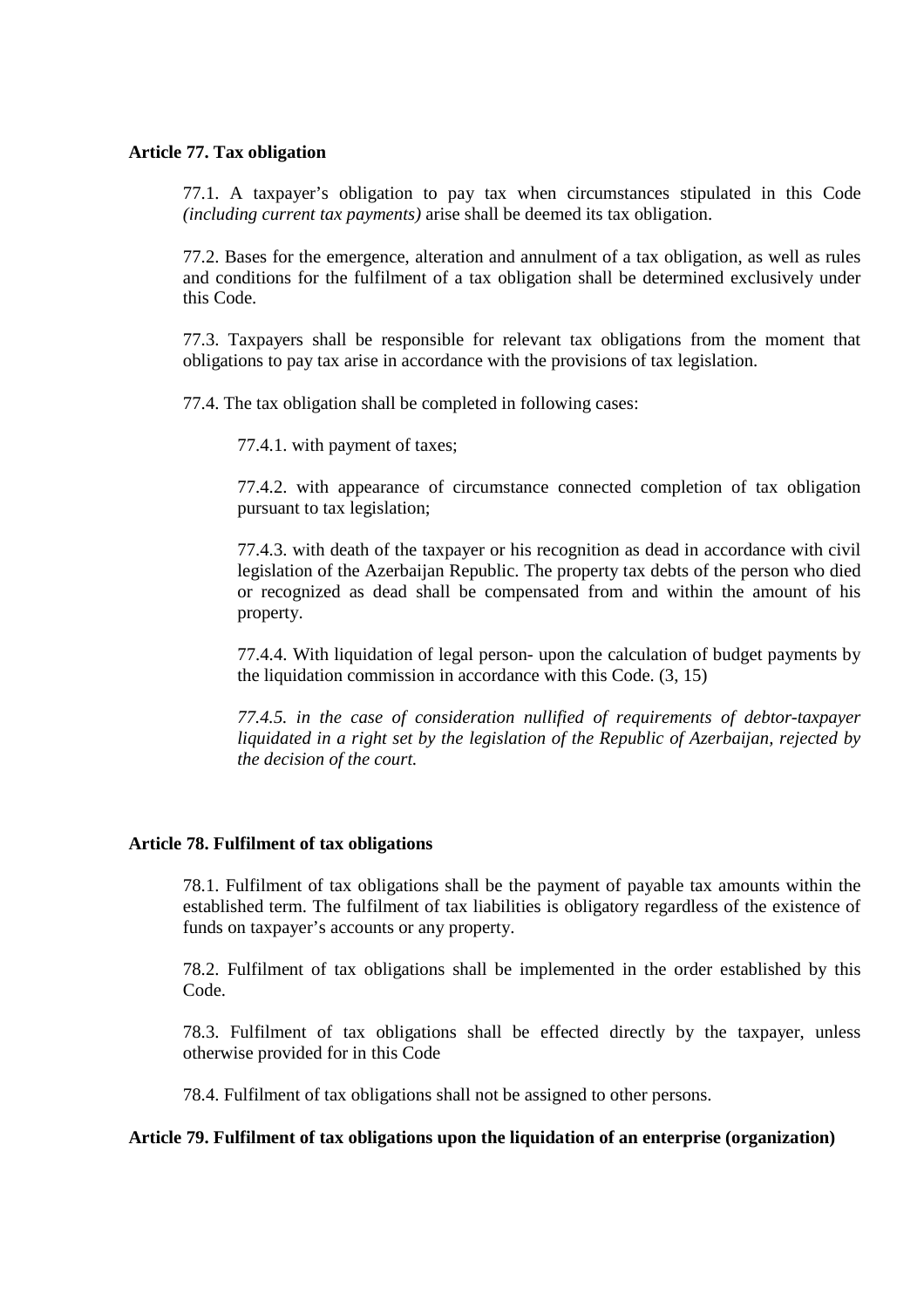## **Article 77. Tax obligation**

77.1. A taxpayer's obligation to pay tax when circumstances stipulated in this Code *(including current tax payments)* arise shall be deemed its tax obligation.

77.2. Bases for the emergence, alteration and annulment of a tax obligation, as well as rules and conditions for the fulfilment of a tax obligation shall be determined exclusively under this Code.

77.3. Taxpayers shall be responsible for relevant tax obligations from the moment that obligations to pay tax arise in accordance with the provisions of tax legislation.

77.4. The tax obligation shall be completed in following cases:

77.4.1. with payment of taxes;

77.4.2. with appearance of circumstance connected completion of tax obligation pursuant to tax legislation;

77.4.3. with death of the taxpayer or his recognition as dead in accordance with civil legislation of the Azerbaijan Republic. The property tax debts of the person who died or recognized as dead shall be compensated from and within the amount of his property.

77.4.4. With liquidation of legal person- upon the calculation of budget payments by the liquidation commission in accordance with this Code.  $(3, 15)$ 

*77.4.5. in the case of consideration nullified of requirements of debtor-taxpayer liquidated in a right set by the legislation of the Republic of Azerbaijan, rejected by the decision of the court.* 

## **Article 78. Fulfilment of tax obligations**

78.1. Fulfilment of tax obligations shall be the payment of payable tax amounts within the established term. The fulfilment of tax liabilities is obligatory regardless of the existence of funds on taxpayer's accounts or any property.

78.2. Fulfilment of tax obligations shall be implemented in the order established by this Code.

78.3. Fulfilment of tax obligations shall be effected directly by the taxpayer, unless otherwise provided for in this Code

78.4. Fulfilment of tax obligations shall not be assigned to other persons.

## **Article 79. Fulfilment of tax obligations upon the liquidation of an enterprise (organization)**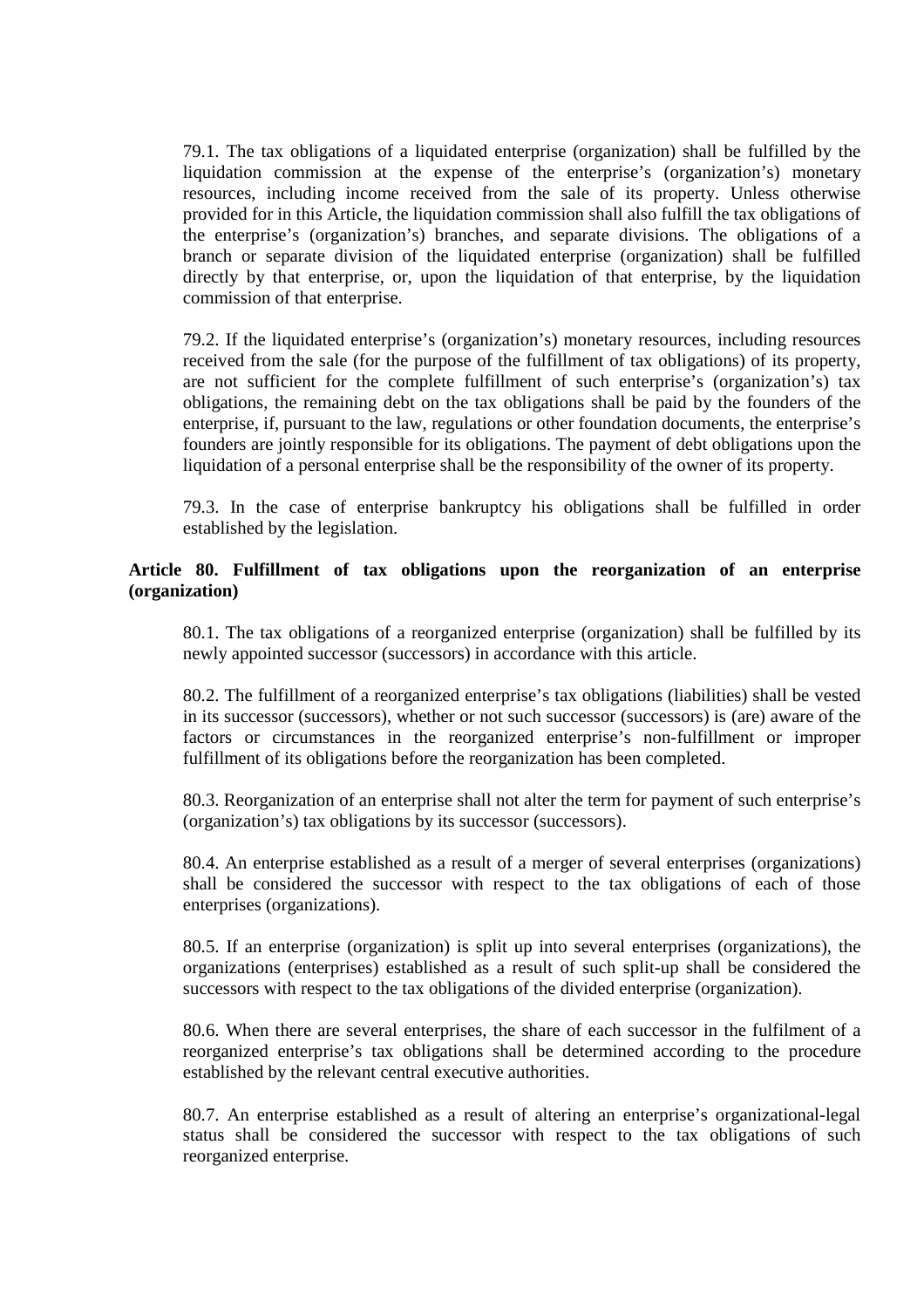79.1. The tax obligations of a liquidated enterprise (organization) shall be fulfilled by the liquidation commission at the expense of the enterprise's (organization's) monetary resources, including income received from the sale of its property. Unless otherwise provided for in this Article, the liquidation commission shall also fulfill the tax obligations of the enterprise's (organization's) branches, and separate divisions. The obligations of a branch or separate division of the liquidated enterprise (organization) shall be fulfilled directly by that enterprise, or, upon the liquidation of that enterprise, by the liquidation commission of that enterprise.

79.2. If the liquidated enterprise's (organization's) monetary resources, including resources received from the sale (for the purpose of the fulfillment of tax obligations) of its property, are not sufficient for the complete fulfillment of such enterprise's (organization's) tax obligations, the remaining debt on the tax obligations shall be paid by the founders of the enterprise, if, pursuant to the law, regulations or other foundation documents, the enterprise's founders are jointly responsible for its obligations. The payment of debt obligations upon the liquidation of a personal enterprise shall be the responsibility of the owner of its property.

79.3. In the case of enterprise bankruptcy his obligations shall be fulfilled in order established by the legislation.

# **Article 80. Fulfillment of tax obligations upon the reorganization of an enterprise (organization)**

80.1. The tax obligations of a reorganized enterprise (organization) shall be fulfilled by its newly appointed successor (successors) in accordance with this article.

80.2. The fulfillment of a reorganized enterprise's tax obligations (liabilities) shall be vested in its successor (successors), whether or not such successor (successors) is (are) aware of the factors or circumstances in the reorganized enterprise's non-fulfillment or improper fulfillment of its obligations before the reorganization has been completed.

80.3. Reorganization of an enterprise shall not alter the term for payment of such enterprise's (organization's) tax obligations by its successor (successors).

80.4. An enterprise established as a result of a merger of several enterprises (organizations) shall be considered the successor with respect to the tax obligations of each of those enterprises (organizations).

80.5. If an enterprise (organization) is split up into several enterprises (organizations), the organizations (enterprises) established as a result of such split-up shall be considered the successors with respect to the tax obligations of the divided enterprise (organization).

80.6. When there are several enterprises, the share of each successor in the fulfilment of a reorganized enterprise's tax obligations shall be determined according to the procedure established by the relevant central executive authorities.

80.7. An enterprise established as a result of altering an enterprise's organizational-legal status shall be considered the successor with respect to the tax obligations of such reorganized enterprise.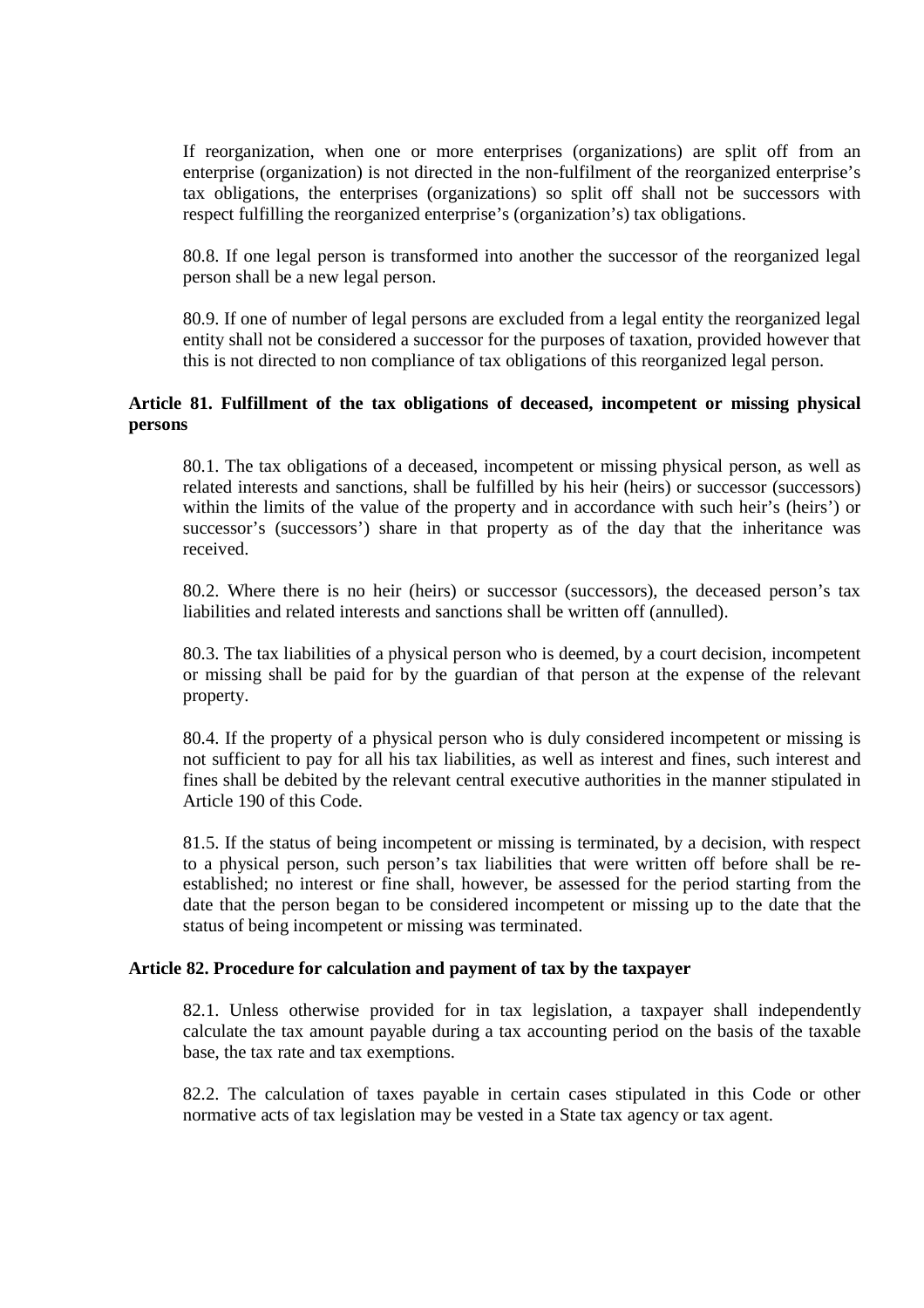If reorganization, when one or more enterprises (organizations) are split off from an enterprise (organization) is not directed in the non-fulfilment of the reorganized enterprise's tax obligations, the enterprises (organizations) so split off shall not be successors with respect fulfilling the reorganized enterprise's (organization's) tax obligations.

80.8. If one legal person is transformed into another the successor of the reorganized legal person shall be a new legal person.

80.9. If one of number of legal persons are excluded from a legal entity the reorganized legal entity shall not be considered a successor for the purposes of taxation, provided however that this is not directed to non compliance of tax obligations of this reorganized legal person.

# **Article 81. Fulfillment of the tax obligations of deceased, incompetent or missing physical persons**

80.1. The tax obligations of a deceased, incompetent or missing physical person, as well as related interests and sanctions, shall be fulfilled by his heir (heirs) or successor (successors) within the limits of the value of the property and in accordance with such heir's (heirs') or successor's (successors') share in that property as of the day that the inheritance was received.

80.2. Where there is no heir (heirs) or successor (successors), the deceased person's tax liabilities and related interests and sanctions shall be written off (annulled).

80.3. The tax liabilities of a physical person who is deemed, by a court decision, incompetent or missing shall be paid for by the guardian of that person at the expense of the relevant property.

80.4. If the property of a physical person who is duly considered incompetent or missing is not sufficient to pay for all his tax liabilities, as well as interest and fines, such interest and fines shall be debited by the relevant central executive authorities in the manner stipulated in Article 190 of this Code.

81.5. If the status of being incompetent or missing is terminated, by a decision, with respect to a physical person, such person's tax liabilities that were written off before shall be reestablished; no interest or fine shall, however, be assessed for the period starting from the date that the person began to be considered incompetent or missing up to the date that the status of being incompetent or missing was terminated.

## **Article 82. Procedure for calculation and payment of tax by the taxpayer**

82.1. Unless otherwise provided for in tax legislation, a taxpayer shall independently calculate the tax amount payable during a tax accounting period on the basis of the taxable base, the tax rate and tax exemptions.

82.2. The calculation of taxes payable in certain cases stipulated in this Code or other normative acts of tax legislation may be vested in a State tax agency or tax agent.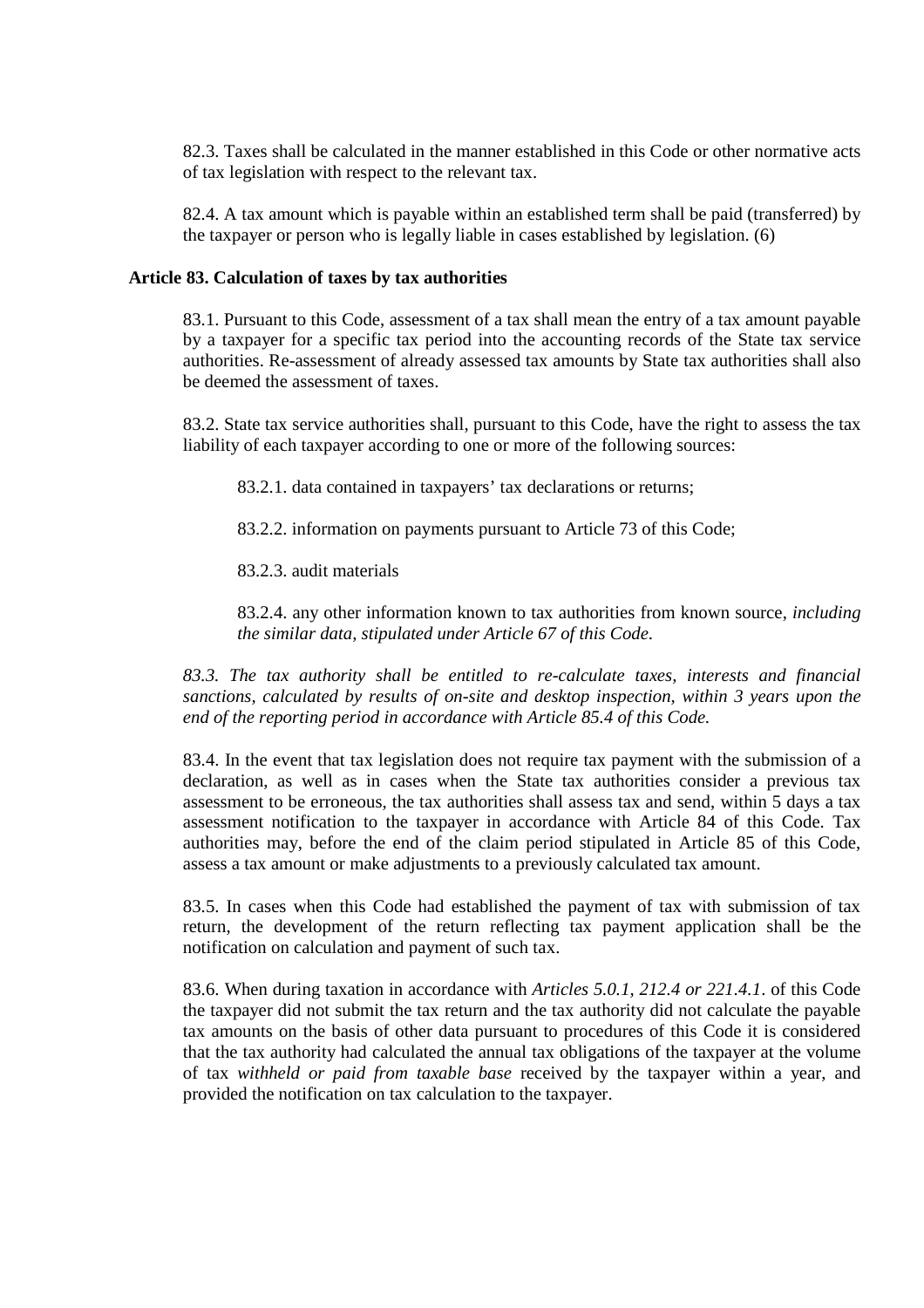82.3. Taxes shall be calculated in the manner established in this Code or other normative acts of tax legislation with respect to the relevant tax.

82.4. A tax amount which is payable within an established term shall be paid (transferred) by the taxpayer or person who is legally liable in cases established by legislation. (6)

#### **Article 83. Calculation of taxes by tax authorities**

83.1. Pursuant to this Code, assessment of a tax shall mean the entry of a tax amount payable by a taxpayer for a specific tax period into the accounting records of the State tax service authorities. Re-assessment of already assessed tax amounts by State tax authorities shall also be deemed the assessment of taxes.

83.2. State tax service authorities shall, pursuant to this Code, have the right to assess the tax liability of each taxpayer according to one or more of the following sources:

83.2.1. data contained in taxpayers' tax declarations or returns;

83.2.2. information on payments pursuant to Article 73 of this Code;

83.2.3. audit materials

83.2.4. any other information known to tax authorities from known source, *including the similar data, stipulated under Article 67 of this Code*.

*83.3. The tax authority shall be entitled to re-calculate taxes, interests and financial sanctions, calculated by results of on-site and desktop inspection, within 3 years upon the end of the reporting period in accordance with Article 85.4 of this Code.* 

83.4. In the event that tax legislation does not require tax payment with the submission of a declaration, as well as in cases when the State tax authorities consider a previous tax assessment to be erroneous, the tax authorities shall assess tax and send, within 5 days a tax assessment notification to the taxpayer in accordance with Article 84 of this Code. Tax authorities may, before the end of the claim period stipulated in Article 85 of this Code, assess a tax amount or make adjustments to a previously calculated tax amount.

83.5. In cases when this Code had established the payment of tax with submission of tax return, the development of the return reflecting tax payment application shall be the notification on calculation and payment of such tax.

83.6. When during taxation in accordance with *Articles 5.0.1, 212.4 or 221.4.1*. of this Code the taxpayer did not submit the tax return and the tax authority did not calculate the payable tax amounts on the basis of other data pursuant to procedures of this Code it is considered that the tax authority had calculated the annual tax obligations of the taxpayer at the volume of tax *withheld or paid from taxable base* received by the taxpayer within a year, and provided the notification on tax calculation to the taxpayer.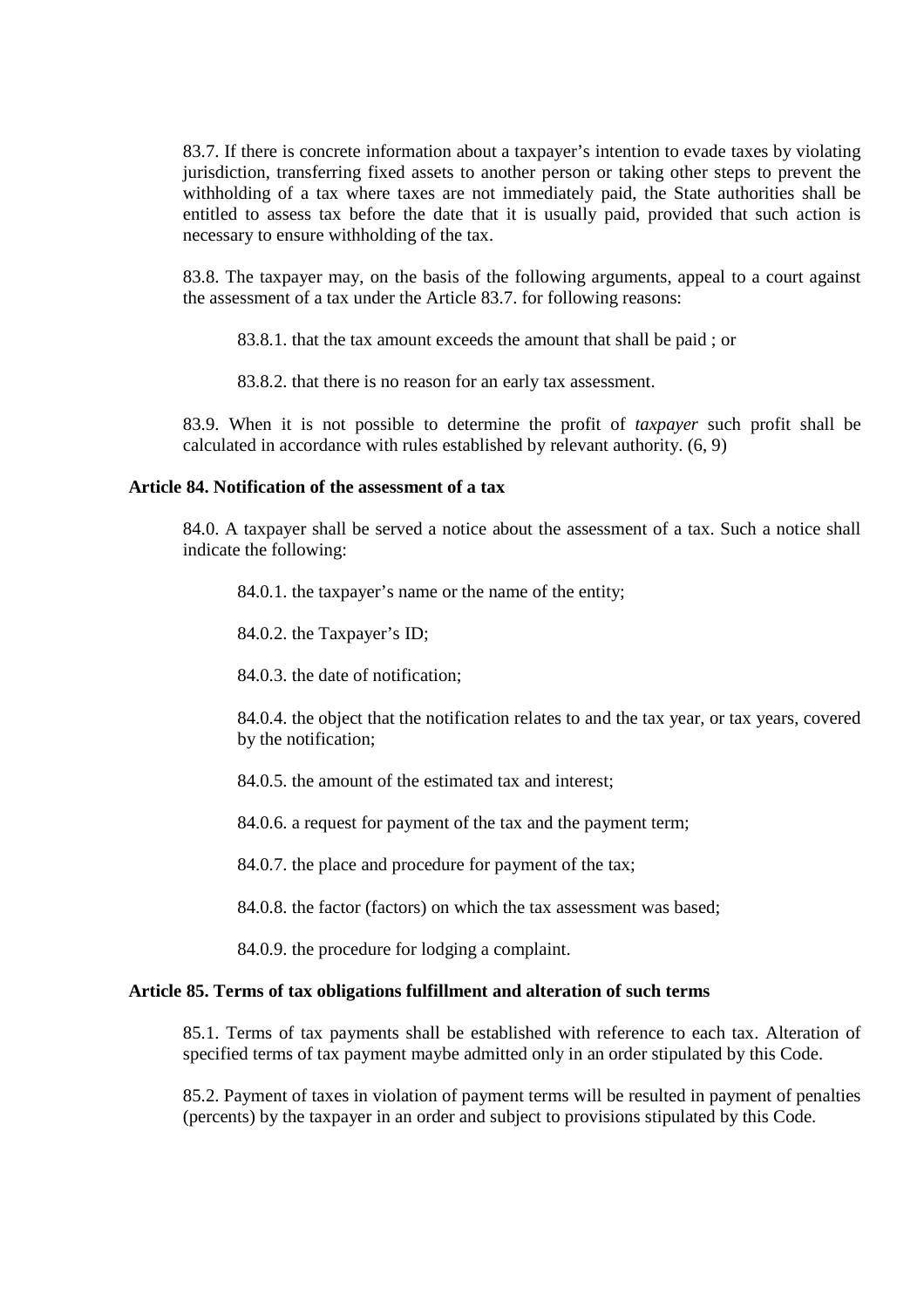83.7. If there is concrete information about a taxpayer's intention to evade taxes by violating jurisdiction, transferring fixed assets to another person or taking other steps to prevent the withholding of a tax where taxes are not immediately paid, the State authorities shall be entitled to assess tax before the date that it is usually paid, provided that such action is necessary to ensure withholding of the tax.

83.8. The taxpayer may, on the basis of the following arguments, appeal to a court against the assessment of a tax under the Article 83.7. for following reasons:

83.8.1. that the tax amount exceeds the amount that shall be paid ; or

83.8.2. that there is no reason for an early tax assessment.

83.9. When it is not possible to determine the profit of *taxpayer* such profit shall be calculated in accordance with rules established by relevant authority. (6, 9)

#### **Article 84. Notification of the assessment of a tax**

84.0. A taxpayer shall be served a notice about the assessment of a tax. Such a notice shall indicate the following:

84.0.1. the taxpayer's name or the name of the entity;

84.0.2. the Taxpayer's ID;

84.0.3. the date of notification:

84.0.4. the object that the notification relates to and the tax year, or tax years, covered by the notification;

84.0.5. the amount of the estimated tax and interest;

84.0.6. a request for payment of the tax and the payment term;

84.0.7. the place and procedure for payment of the tax;

84.0.8. the factor (factors) on which the tax assessment was based;

84.0.9. the procedure for lodging a complaint.

#### **Article 85. Terms of tax obligations fulfillment and alteration of such terms**

85.1. Terms of tax payments shall be established with reference to each tax. Alteration of specified terms of tax payment maybe admitted only in an order stipulated by this Code.

85.2. Payment of taxes in violation of payment terms will be resulted in payment of penalties (percents) by the taxpayer in an order and subject to provisions stipulated by this Code.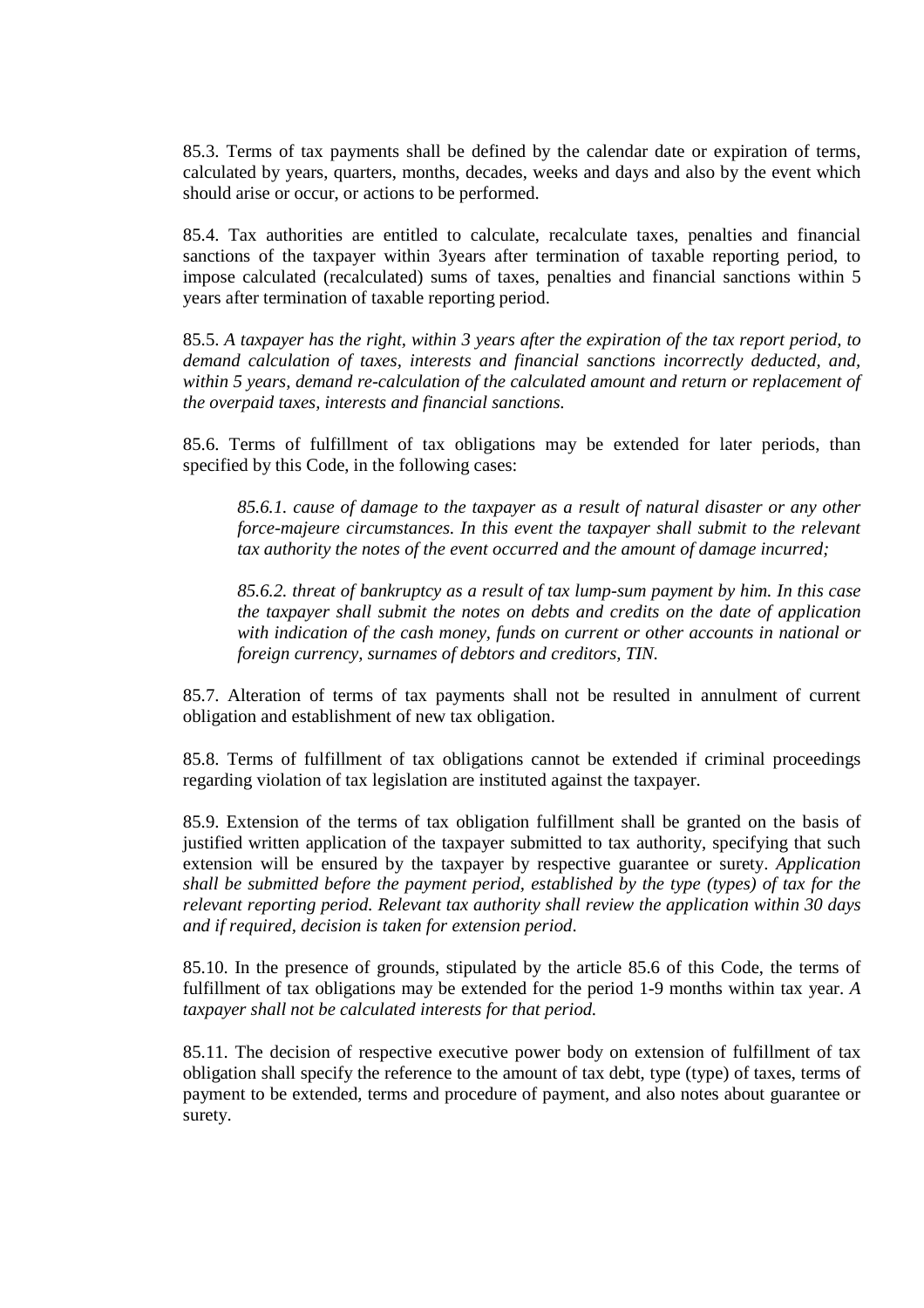85.3. Terms of tax payments shall be defined by the calendar date or expiration of terms, calculated by years, quarters, months, decades, weeks and days and also by the event which should arise or occur, or actions to be performed.

85.4. Tax authorities are entitled to calculate, recalculate taxes, penalties and financial sanctions of the taxpayer within 3years after termination of taxable reporting period, to impose calculated (recalculated) sums of taxes, penalties and financial sanctions within 5 years after termination of taxable reporting period.

85.5. *A taxpayer has the right, within 3 years after the expiration of the tax report period, to demand calculation of taxes, interests and financial sanctions incorrectly deducted, and, within 5 years, demand re-calculation of the calculated amount and return or replacement of the overpaid taxes, interests and financial sanctions.*

85.6. Terms of fulfillment of tax obligations may be extended for later periods, than specified by this Code, in the following cases:

*85.6.1. cause of damage to the taxpayer as a result of natural disaster or any other force-majeure circumstances. In this event the taxpayer shall submit to the relevant tax authority the notes of the event occurred and the amount of damage incurred;* 

*85.6.2. threat of bankruptcy as a result of tax lump-sum payment by him. In this case the taxpayer shall submit the notes on debts and credits on the date of application with indication of the cash money, funds on current or other accounts in national or foreign currency, surnames of debtors and creditors, TIN.* 

85.7. Alteration of terms of tax payments shall not be resulted in annulment of current obligation and establishment of new tax obligation.

85.8. Terms of fulfillment of tax obligations cannot be extended if criminal proceedings regarding violation of tax legislation are instituted against the taxpayer.

85.9. Extension of the terms of tax obligation fulfillment shall be granted on the basis of justified written application of the taxpayer submitted to tax authority, specifying that such extension will be ensured by the taxpayer by respective guarantee or surety. *Application shall be submitted before the payment period, established by the type (types) of tax for the relevant reporting period. Relevant tax authority shall review the application within 30 days and if required, decision is taken for extension period*.

85.10. In the presence of grounds, stipulated by the article 85.6 of this Code, the terms of fulfillment of tax obligations may be extended for the period 1-9 months within tax year. *A taxpayer shall not be calculated interests for that period.*

85.11. The decision of respective executive power body on extension of fulfillment of tax obligation shall specify the reference to the amount of tax debt, type (type) of taxes, terms of payment to be extended, terms and procedure of payment, and also notes about guarantee or surety.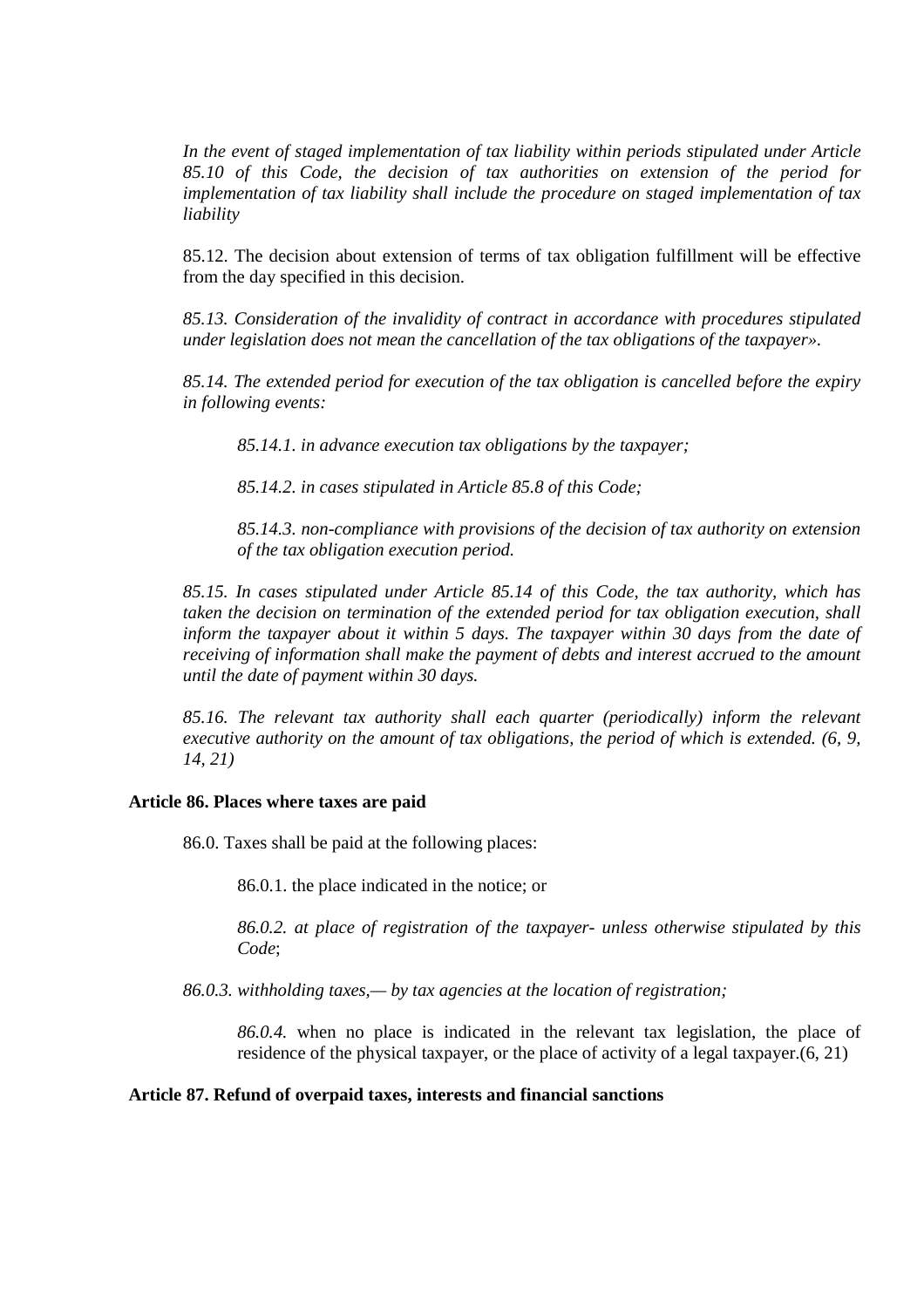*In the event of staged implementation of tax liability within periods stipulated under Article 85.10 of this Code, the decision of tax authorities on extension of the period for implementation of tax liability shall include the procedure on staged implementation of tax liability* 

85.12. The decision about extension of terms of tax obligation fulfillment will be effective from the day specified in this decision.

*85.13. Consideration of the invalidity of contract in accordance with procedures stipulated under legislation does not mean the cancellation of the tax obligations of the taxpayer».* 

*85.14. The extended period for execution of the tax obligation is cancelled before the expiry in following events:* 

*85.14.1. in advance execution tax obligations by the taxpayer;* 

*85.14.2. in cases stipulated in Article 85.8 of this Code;* 

*85.14.3. non-compliance with provisions of the decision of tax authority on extension of the tax obligation execution period.* 

*85.15. In cases stipulated under Article 85.14 of this Code, the tax authority, which has taken the decision on termination of the extended period for tax obligation execution, shall inform the taxpayer about it within 5 days. The taxpayer within 30 days from the date of receiving of information shall make the payment of debts and interest accrued to the amount until the date of payment within 30 days.* 

*85.16. The relevant tax authority shall each quarter (periodically) inform the relevant executive authority on the amount of tax obligations, the period of which is extended. (6, 9, 14, 21)* 

#### **Article 86. Places where taxes are paid**

86.0. Taxes shall be paid at the following places:

86.0.1. the place indicated in the notice; or

*86.0.2. at place of registration of the taxpayer- unless otherwise stipulated by this Code*;

*86.0.3. withholding taxes,— by tax agencies at the location of registration;*

*86.0.4.* when no place is indicated in the relevant tax legislation, the place of residence of the physical taxpayer, or the place of activity of a legal taxpayer.(6, 21)

#### **Article 87. Refund of overpaid taxes, interests and financial sanctions**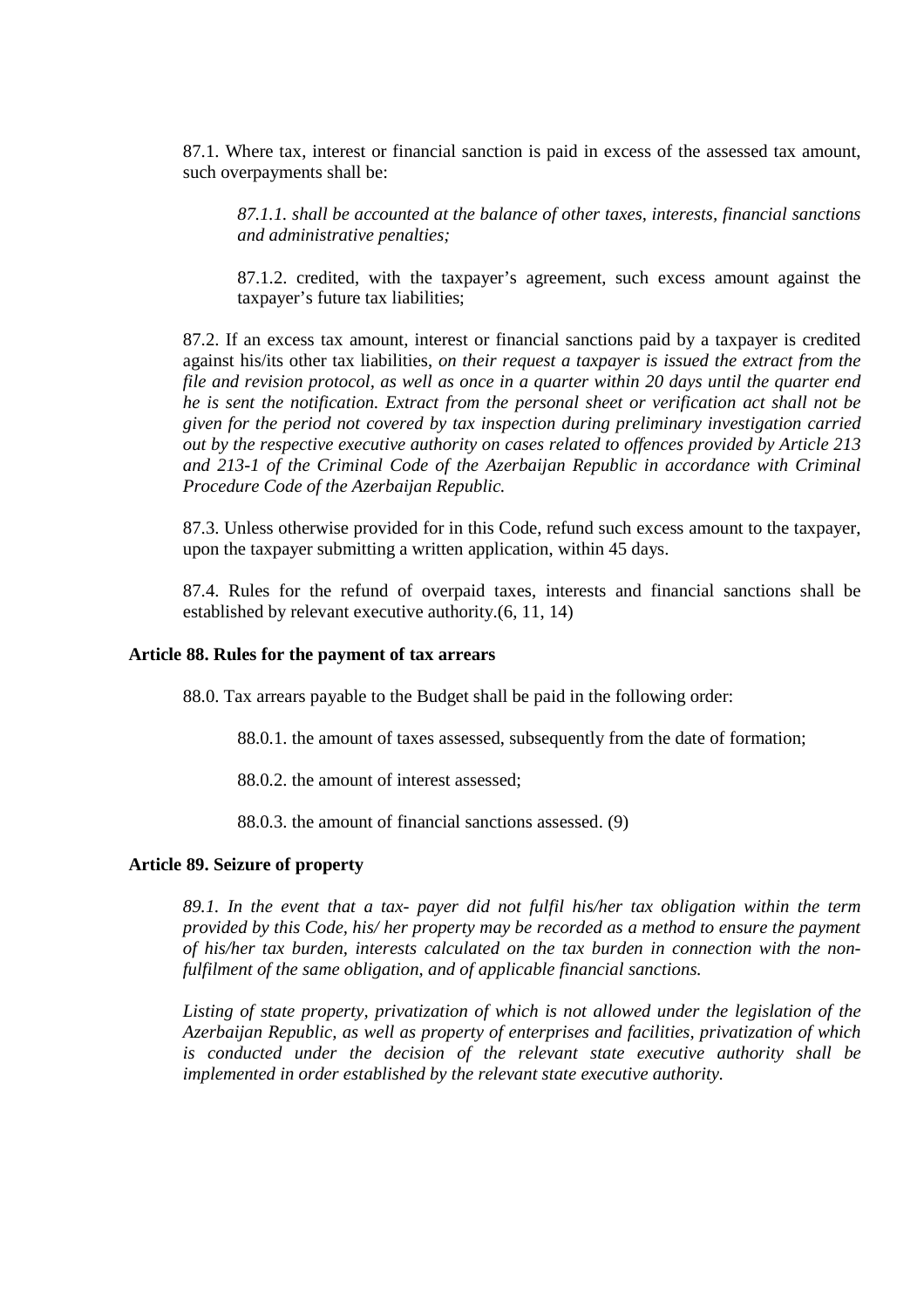87.1. Where tax, interest or financial sanction is paid in excess of the assessed tax amount, such overpayments shall be:

*87.1.1. shall be accounted at the balance of other taxes, interests, financial sanctions and administrative penalties;* 

87.1.2. credited, with the taxpayer's agreement, such excess amount against the taxpayer's future tax liabilities;

87.2. If an excess tax amount, interest or financial sanctions paid by a taxpayer is credited against his/its other tax liabilities, *on their request a taxpayer is issued the extract from the file and revision protocol, as well as once in a quarter within 20 days until the quarter end he is sent the notification. Extract from the personal sheet or verification act shall not be given for the period not covered by tax inspection during preliminary investigation carried out by the respective executive authority on cases related to offences provided by Article 213 and 213-1 of the Criminal Code of the Azerbaijan Republic in accordance with Criminal Procedure Code of the Azerbaijan Republic.* 

87.3. Unless otherwise provided for in this Code, refund such excess amount to the taxpayer, upon the taxpayer submitting a written application, within 45 days.

87.4. Rules for the refund of overpaid taxes, interests and financial sanctions shall be established by relevant executive authority.(6, 11, 14)

#### **Article 88. Rules for the payment of tax arrears**

88.0. Tax arrears payable to the Budget shall be paid in the following order:

88.0.1. the amount of taxes assessed, subsequently from the date of formation;

88.0.2. the amount of interest assessed;

88.0.3. the amount of financial sanctions assessed. (9)

## **Article 89. Seizure of property**

*89.1. In the event that a tax- payer did not fulfil his/her tax obligation within the term provided by this Code, his/ her property may be recorded as a method to ensure the payment of his/her tax burden, interests calculated on the tax burden in connection with the nonfulfilment of the same obligation, and of applicable financial sanctions.* 

*Listing of state property, privatization of which is not allowed under the legislation of the Azerbaijan Republic, as well as property of enterprises and facilities, privatization of which is conducted under the decision of the relevant state executive authority shall be implemented in order established by the relevant state executive authority.*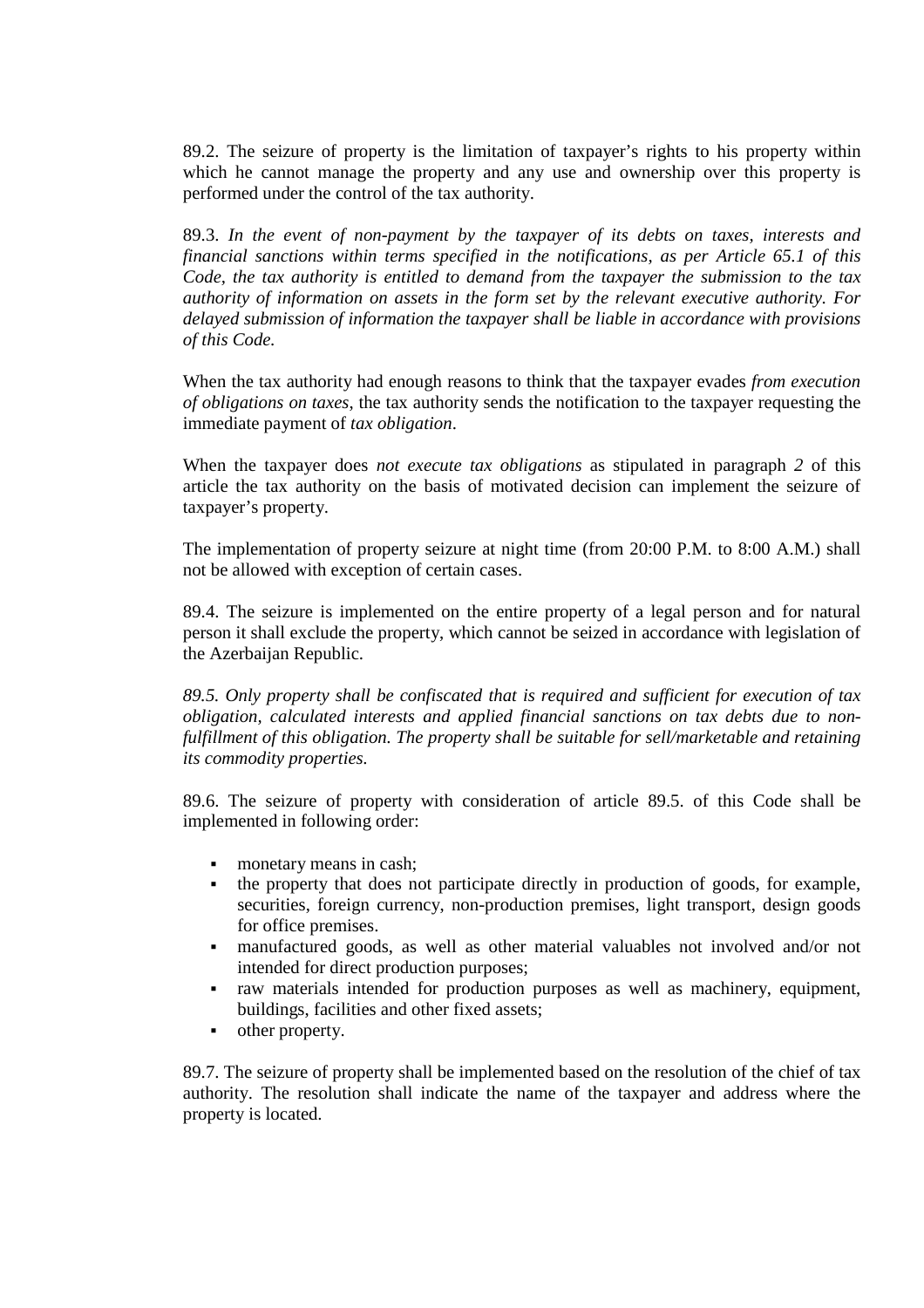89.2. The seizure of property is the limitation of taxpayer's rights to his property within which he cannot manage the property and any use and ownership over this property is performed under the control of the tax authority.

89.3. *In the event of non-payment by the taxpayer of its debts on taxes, interests and financial sanctions within terms specified in the notifications, as per Article 65.1 of this Code, the tax authority is entitled to demand from the taxpayer the submission to the tax authority of information on assets in the form set by the relevant executive authority. For delayed submission of information the taxpayer shall be liable in accordance with provisions of this Code.*

When the tax authority had enough reasons to think that the taxpayer evades *from execution of obligations on taxes*, the tax authority sends the notification to the taxpayer requesting the immediate payment of *tax obligation*.

When the taxpayer does *not execute tax obligations* as stipulated in paragraph *2* of this article the tax authority on the basis of motivated decision can implement the seizure of taxpayer's property.

The implementation of property seizure at night time (from 20:00 P.M. to 8:00 A.M.) shall not be allowed with exception of certain cases.

89.4. The seizure is implemented on the entire property of a legal person and for natural person it shall exclude the property, which cannot be seized in accordance with legislation of the Azerbaijan Republic.

*89.5. Only property shall be confiscated that is required and sufficient for execution of tax obligation, calculated interests and applied financial sanctions on tax debts due to nonfulfillment of this obligation. The property shall be suitable for sell/marketable and retaining its commodity properties.* 

89.6. The seizure of property with consideration of article 89.5. of this Code shall be implemented in following order:

- monetary means in cash;
- the property that does not participate directly in production of goods, for example, securities, foreign currency, non-production premises, light transport, design goods for office premises.
- manufactured goods, as well as other material valuables not involved and/or not intended for direct production purposes;
- raw materials intended for production purposes as well as machinery, equipment, buildings, facilities and other fixed assets;
- **•** other property.

89.7. The seizure of property shall be implemented based on the resolution of the chief of tax authority. The resolution shall indicate the name of the taxpayer and address where the property is located.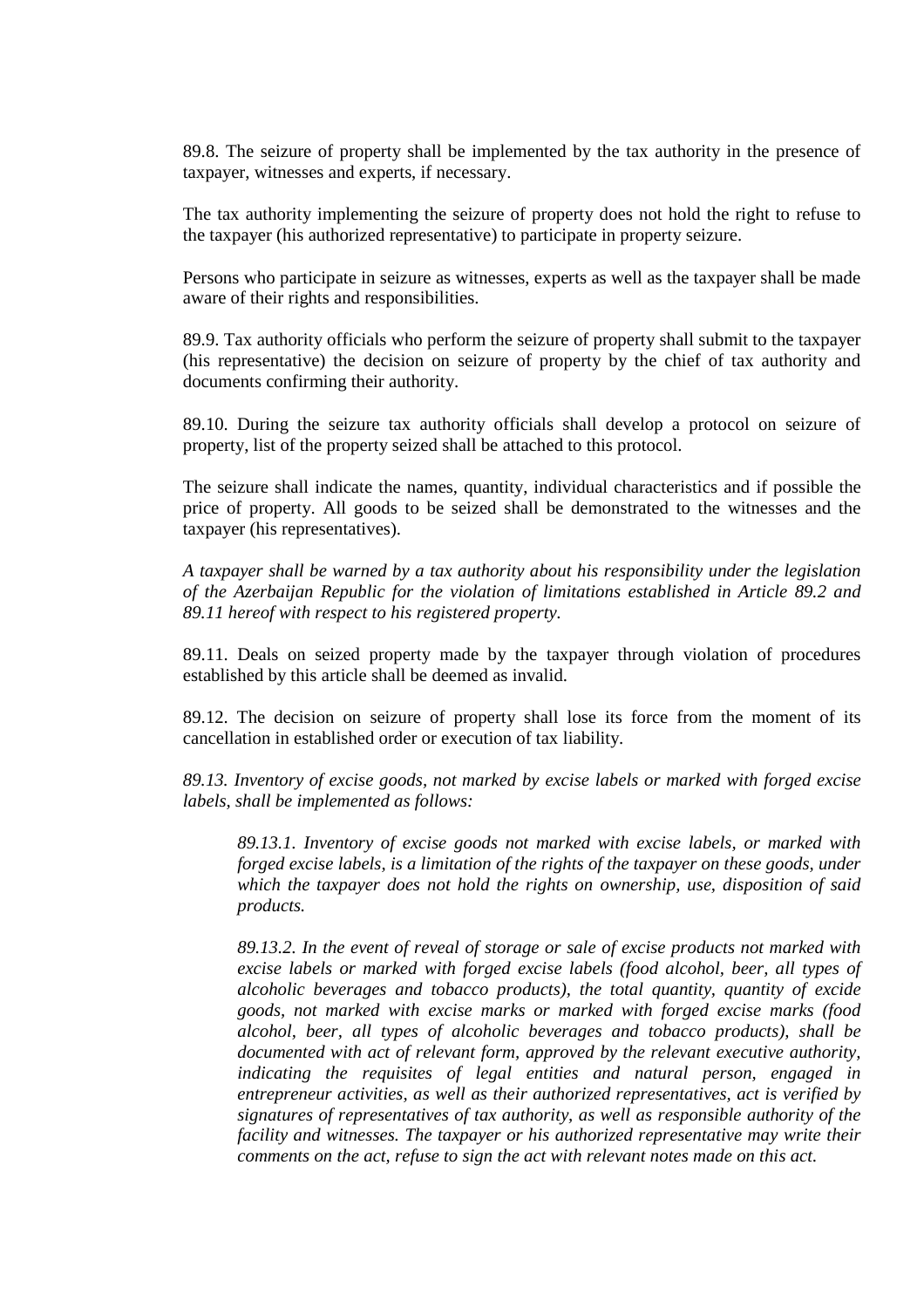89.8. The seizure of property shall be implemented by the tax authority in the presence of taxpayer, witnesses and experts, if necessary.

The tax authority implementing the seizure of property does not hold the right to refuse to the taxpayer (his authorized representative) to participate in property seizure.

Persons who participate in seizure as witnesses, experts as well as the taxpayer shall be made aware of their rights and responsibilities.

89.9. Tax authority officials who perform the seizure of property shall submit to the taxpayer (his representative) the decision on seizure of property by the chief of tax authority and documents confirming their authority.

89.10. During the seizure tax authority officials shall develop a protocol on seizure of property, list of the property seized shall be attached to this protocol.

The seizure shall indicate the names, quantity, individual characteristics and if possible the price of property. All goods to be seized shall be demonstrated to the witnesses and the taxpayer (his representatives).

*A taxpayer shall be warned by a tax authority about his responsibility under the legislation of the Azerbaijan Republic for the violation of limitations established in Article 89.2 and 89.11 hereof with respect to his registered property.* 

89.11. Deals on seized property made by the taxpayer through violation of procedures established by this article shall be deemed as invalid.

89.12. The decision on seizure of property shall lose its force from the moment of its cancellation in established order or execution of tax liability.

*89.13. Inventory of excise goods, not marked by excise labels or marked with forged excise labels, shall be implemented as follows:* 

*89.13.1. Inventory of excise goods not marked with excise labels, or marked with forged excise labels, is a limitation of the rights of the taxpayer on these goods, under which the taxpayer does not hold the rights on ownership, use, disposition of said products.* 

*89.13.2. In the event of reveal of storage or sale of excise products not marked with excise labels or marked with forged excise labels (food alcohol, beer, all types of alcoholic beverages and tobacco products), the total quantity, quantity of excide goods, not marked with excise marks or marked with forged excise marks (food alcohol, beer, all types of alcoholic beverages and tobacco products), shall be documented with act of relevant form, approved by the relevant executive authority, indicating the requisites of legal entities and natural person, engaged in entrepreneur activities, as well as their authorized representatives, act is verified by signatures of representatives of tax authority, as well as responsible authority of the facility and witnesses. The taxpayer or his authorized representative may write their comments on the act, refuse to sign the act with relevant notes made on this act.*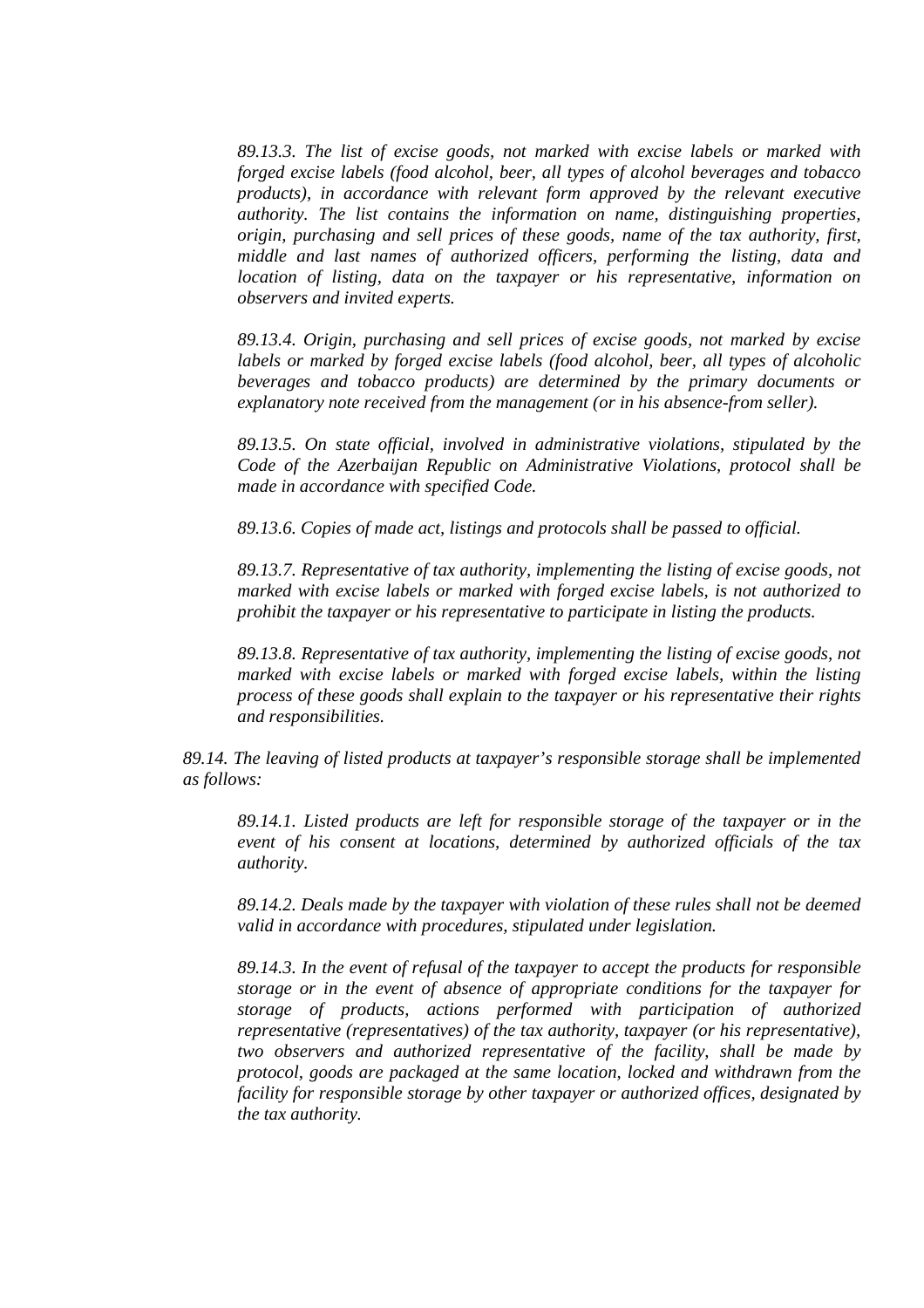*89.13.3. The list of excise goods, not marked with excise labels or marked with forged excise labels (food alcohol, beer, all types of alcohol beverages and tobacco products), in accordance with relevant form approved by the relevant executive authority. The list contains the information on name, distinguishing properties, origin, purchasing and sell prices of these goods, name of the tax authority, first, middle and last names of authorized officers, performing the listing, data and location of listing, data on the taxpayer or his representative, information on observers and invited experts.* 

*89.13.4. Origin, purchasing and sell prices of excise goods, not marked by excise labels or marked by forged excise labels (food alcohol, beer, all types of alcoholic beverages and tobacco products) are determined by the primary documents or explanatory note received from the management (or in his absence-from seller).* 

*89.13.5. On state official, involved in administrative violations, stipulated by the Code of the Azerbaijan Republic on Administrative Violations, protocol shall be made in accordance with specified Code.* 

*89.13.6. Copies of made act, listings and protocols shall be passed to official.* 

*89.13.7. Representative of tax authority, implementing the listing of excise goods, not marked with excise labels or marked with forged excise labels, is not authorized to prohibit the taxpayer or his representative to participate in listing the products.* 

*89.13.8. Representative of tax authority, implementing the listing of excise goods, not marked with excise labels or marked with forged excise labels, within the listing process of these goods shall explain to the taxpayer or his representative their rights and responsibilities.* 

*89.14. The leaving of listed products at taxpayer's responsible storage shall be implemented as follows:* 

*89.14.1. Listed products are left for responsible storage of the taxpayer or in the event of his consent at locations, determined by authorized officials of the tax authority.* 

*89.14.2. Deals made by the taxpayer with violation of these rules shall not be deemed valid in accordance with procedures, stipulated under legislation.* 

*89.14.3. In the event of refusal of the taxpayer to accept the products for responsible storage or in the event of absence of appropriate conditions for the taxpayer for storage of products, actions performed with participation of authorized representative (representatives) of the tax authority, taxpayer (or his representative), two observers and authorized representative of the facility, shall be made by protocol, goods are packaged at the same location, locked and withdrawn from the facility for responsible storage by other taxpayer or authorized offices, designated by the tax authority.*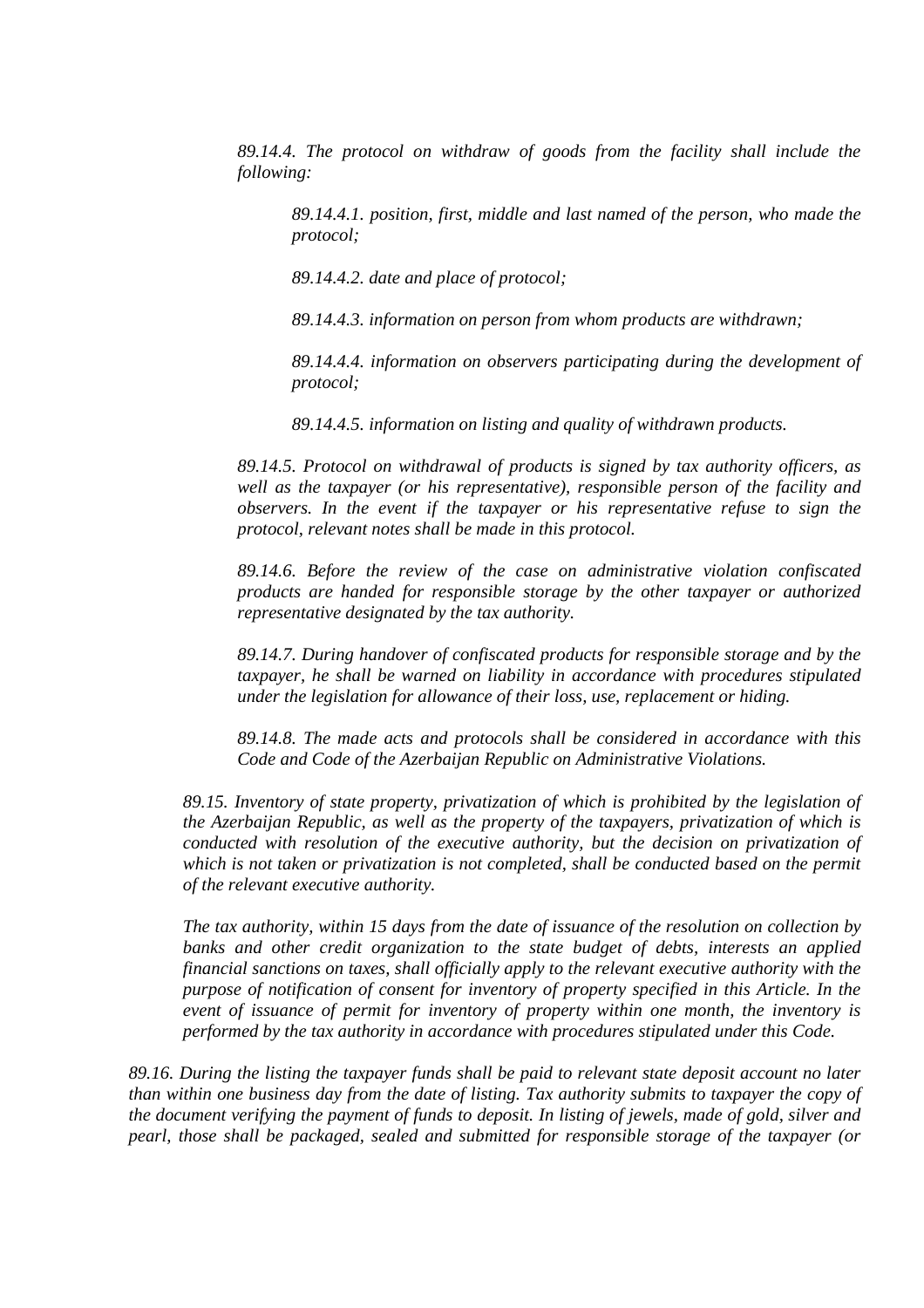*89.14.4. The protocol on withdraw of goods from the facility shall include the following:* 

*89.14.4.1. position, first, middle and last named of the person, who made the protocol;* 

*89.14.4.2. date and place of protocol;* 

*89.14.4.3. information on person from whom products are withdrawn;* 

*89.14.4.4. information on observers participating during the development of protocol;* 

*89.14.4.5. information on listing and quality of withdrawn products.* 

*89.14.5. Protocol on withdrawal of products is signed by tax authority officers, as well as the taxpayer (or his representative), responsible person of the facility and observers. In the event if the taxpayer or his representative refuse to sign the protocol, relevant notes shall be made in this protocol.* 

*89.14.6. Before the review of the case on administrative violation confiscated products are handed for responsible storage by the other taxpayer or authorized representative designated by the tax authority.* 

*89.14.7. During handover of confiscated products for responsible storage and by the taxpayer, he shall be warned on liability in accordance with procedures stipulated under the legislation for allowance of their loss, use, replacement or hiding.* 

*89.14.8. The made acts and protocols shall be considered in accordance with this Code and Code of the Azerbaijan Republic on Administrative Violations.* 

*89.15. Inventory of state property, privatization of which is prohibited by the legislation of the Azerbaijan Republic, as well as the property of the taxpayers, privatization of which is conducted with resolution of the executive authority, but the decision on privatization of which is not taken or privatization is not completed, shall be conducted based on the permit of the relevant executive authority.* 

*The tax authority, within 15 days from the date of issuance of the resolution on collection by banks and other credit organization to the state budget of debts, interests an applied financial sanctions on taxes, shall officially apply to the relevant executive authority with the purpose of notification of consent for inventory of property specified in this Article. In the event of issuance of permit for inventory of property within one month, the inventory is performed by the tax authority in accordance with procedures stipulated under this Code.* 

*89.16. During the listing the taxpayer funds shall be paid to relevant state deposit account no later than within one business day from the date of listing. Tax authority submits to taxpayer the copy of the document verifying the payment of funds to deposit. In listing of jewels, made of gold, silver and pearl, those shall be packaged, sealed and submitted for responsible storage of the taxpayer (or*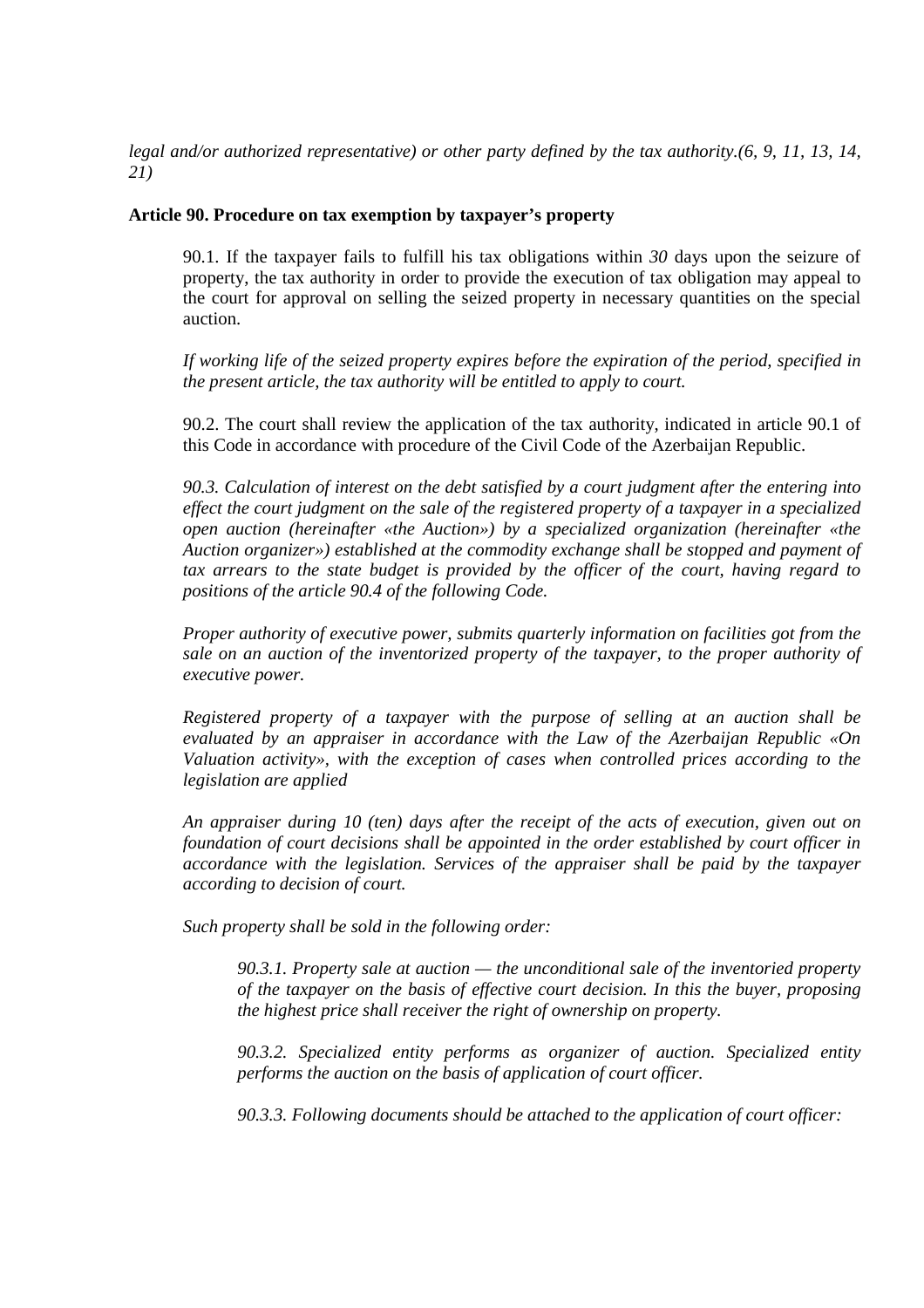*legal and/or authorized representative) or other party defined by the tax authority.(6, 9, 11, 13, 14, 21)*

## **Article 90. Procedure on tax exemption by taxpayer's property**

90.1. If the taxpayer fails to fulfill his tax obligations within *30* days upon the seizure of property, the tax authority in order to provide the execution of tax obligation may appeal to the court for approval on selling the seized property in necessary quantities on the special auction.

*If working life of the seized property expires before the expiration of the period, specified in the present article, the tax authority will be entitled to apply to court.*

90.2. The court shall review the application of the tax authority, indicated in article 90.1 of this Code in accordance with procedure of the Civil Code of the Azerbaijan Republic.

*90.3. Calculation of interest on the debt satisfied by a court judgment after the entering into effect the court judgment on the sale of the registered property of a taxpayer in a specialized open auction (hereinafter «the Auction») by a specialized organization (hereinafter «the Auction organizer») established at the commodity exchange shall be stopped and payment of tax arrears to the state budget is provided by the officer of the court, having regard to positions of the article 90.4 of the following Code.* 

*Proper authority of executive power, submits quarterly information on facilities got from the sale on an auction of the inventorized property of the taxpayer, to the proper authority of executive power.* 

*Registered property of a taxpayer with the purpose of selling at an auction shall be evaluated by an appraiser in accordance with the Law of the Azerbaijan Republic «On Valuation activity», with the exception of cases when controlled prices according to the legislation are applied*

*An appraiser during 10 (ten) days after the receipt of the acts of execution, given out on foundation of court decisions shall be appointed in the order established by court officer in accordance with the legislation. Services of the appraiser shall be paid by the taxpayer according to decision of court.*

*Such property shall be sold in the following order:*

*90.3.1. Property sale at auction — the unconditional sale of the inventoried property of the taxpayer on the basis of effective court decision. In this the buyer, proposing the highest price shall receiver the right of ownership on property.* 

*90.3.2. Specialized entity performs as organizer of auction. Specialized entity performs the auction on the basis of application of court officer.* 

*90.3.3. Following documents should be attached to the application of court officer:*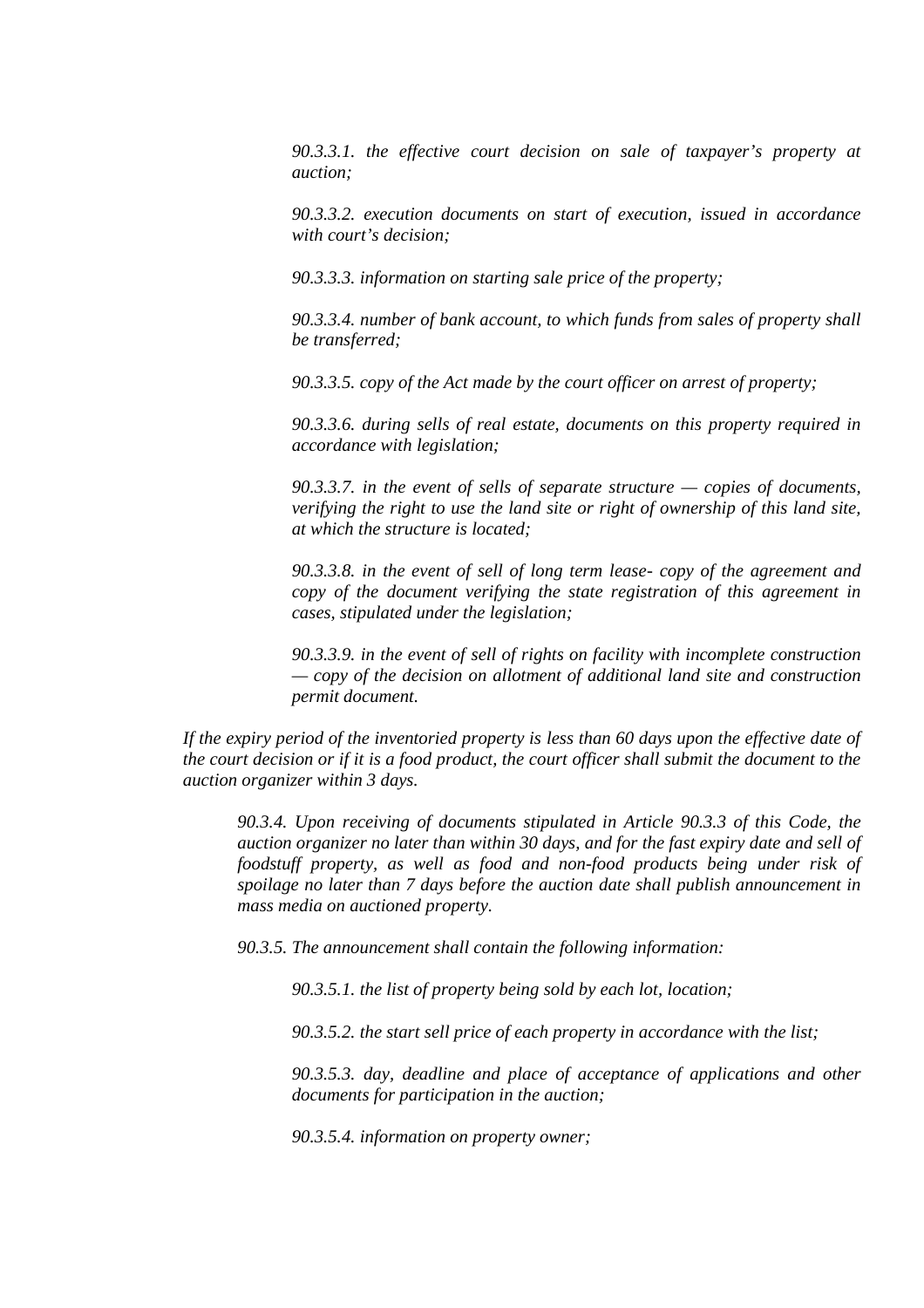*90.3.3.1. the effective court decision on sale of taxpayer's property at auction;* 

*90.3.3.2. execution documents on start of execution, issued in accordance with court's decision;* 

*90.3.3.3. information on starting sale price of the property;* 

*90.3.3.4. number of bank account, to which funds from sales of property shall be transferred;* 

*90.3.3.5. copy of the Act made by the court officer on arrest of property;* 

*90.3.3.6. during sells of real estate, documents on this property required in accordance with legislation;* 

*90.3.3.7. in the event of sells of separate structure — copies of documents, verifying the right to use the land site or right of ownership of this land site, at which the structure is located;* 

*90.3.3.8. in the event of sell of long term lease- copy of the agreement and copy of the document verifying the state registration of this agreement in cases, stipulated under the legislation;* 

*90.3.3.9. in the event of sell of rights on facility with incomplete construction — copy of the decision on allotment of additional land site and construction permit document.* 

*If the expiry period of the inventoried property is less than 60 days upon the effective date of the court decision or if it is a food product, the court officer shall submit the document to the auction organizer within 3 days.* 

*90.3.4. Upon receiving of documents stipulated in Article 90.3.3 of this Code, the auction organizer no later than within 30 days, and for the fast expiry date and sell of foodstuff property, as well as food and non-food products being under risk of spoilage no later than 7 days before the auction date shall publish announcement in mass media on auctioned property.*

*90.3.5. The announcement shall contain the following information:* 

*90.3.5.1. the list of property being sold by each lot, location;* 

*90.3.5.2. the start sell price of each property in accordance with the list;* 

*90.3.5.3. day, deadline and place of acceptance of applications and other documents for participation in the auction;* 

*90.3.5.4. information on property owner;*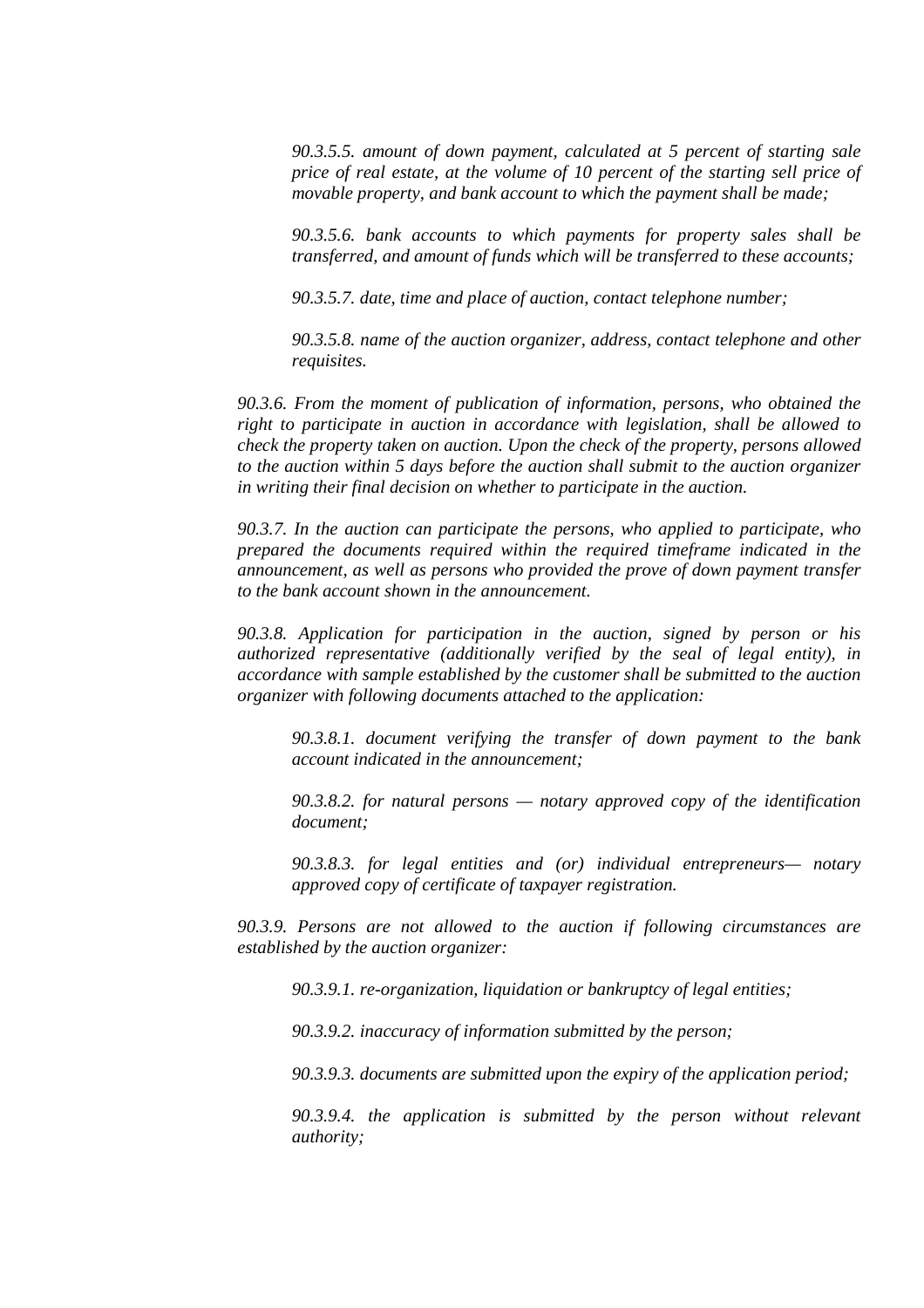*90.3.5.5. amount of down payment, calculated at 5 percent of starting sale price of real estate, at the volume of 10 percent of the starting sell price of movable property, and bank account to which the payment shall be made;* 

*90.3.5.6. bank accounts to which payments for property sales shall be transferred, and amount of funds which will be transferred to these accounts;* 

*90.3.5.7. date, time and place of auction, contact telephone number;* 

*90.3.5.8. name of the auction organizer, address, contact telephone and other requisites.* 

*90.3.6. From the moment of publication of information, persons, who obtained the right to participate in auction in accordance with legislation, shall be allowed to check the property taken on auction. Upon the check of the property, persons allowed to the auction within 5 days before the auction shall submit to the auction organizer in writing their final decision on whether to participate in the auction.* 

*90.3.7. In the auction can participate the persons, who applied to participate, who prepared the documents required within the required timeframe indicated in the announcement, as well as persons who provided the prove of down payment transfer to the bank account shown in the announcement.* 

*90.3.8. Application for participation in the auction, signed by person or his authorized representative (additionally verified by the seal of legal entity), in accordance with sample established by the customer shall be submitted to the auction organizer with following documents attached to the application:* 

*90.3.8.1. document verifying the transfer of down payment to the bank account indicated in the announcement;* 

*90.3.8.2. for natural persons — notary approved copy of the identification document;* 

*90.3.8.3. for legal entities and (or) individual entrepreneurs— notary approved copy of certificate of taxpayer registration.* 

*90.3.9. Persons are not allowed to the auction if following circumstances are established by the auction organizer:* 

*90.3.9.1. re-organization, liquidation or bankruptcy of legal entities;* 

*90.3.9.2. inaccuracy of information submitted by the person;* 

*90.3.9.3. documents are submitted upon the expiry of the application period;* 

*90.3.9.4. the application is submitted by the person without relevant authority;*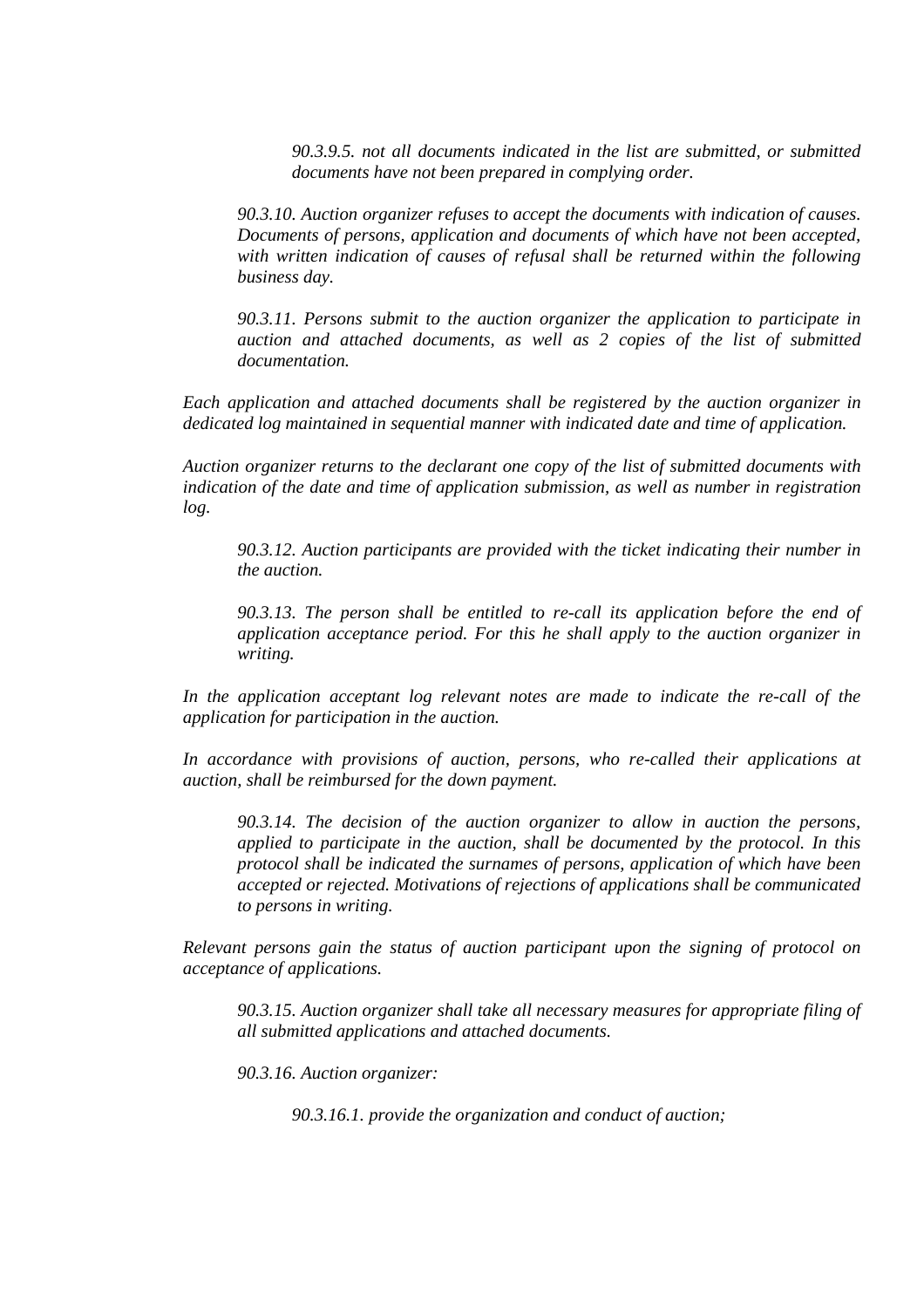*90.3.9.5. not all documents indicated in the list are submitted, or submitted documents have not been prepared in complying order.* 

*90.3.10. Auction organizer refuses to accept the documents with indication of causes. Documents of persons, application and documents of which have not been accepted,*  with written indication of causes of refusal shall be returned within the following *business day.* 

*90.3.11. Persons submit to the auction organizer the application to participate in auction and attached documents, as well as 2 copies of the list of submitted documentation.* 

*Each application and attached documents shall be registered by the auction organizer in dedicated log maintained in sequential manner with indicated date and time of application.* 

*Auction organizer returns to the declarant one copy of the list of submitted documents with indication of the date and time of application submission, as well as number in registration log.* 

*90.3.12. Auction participants are provided with the ticket indicating their number in the auction.* 

*90.3.13. The person shall be entitled to re-call its application before the end of application acceptance period. For this he shall apply to the auction organizer in writing.* 

In the application acceptant log relevant notes are made to indicate the re-call of the *application for participation in the auction.* 

*In accordance with provisions of auction, persons, who re-called their applications at auction, shall be reimbursed for the down payment.* 

*90.3.14. The decision of the auction organizer to allow in auction the persons, applied to participate in the auction, shall be documented by the protocol. In this protocol shall be indicated the surnames of persons, application of which have been accepted or rejected. Motivations of rejections of applications shall be communicated to persons in writing.* 

*Relevant persons gain the status of auction participant upon the signing of protocol on acceptance of applications.* 

*90.3.15. Auction organizer shall take all necessary measures for appropriate filing of all submitted applications and attached documents.* 

*90.3.16. Auction organizer:*

*90.3.16.1. provide the organization and conduct of auction;*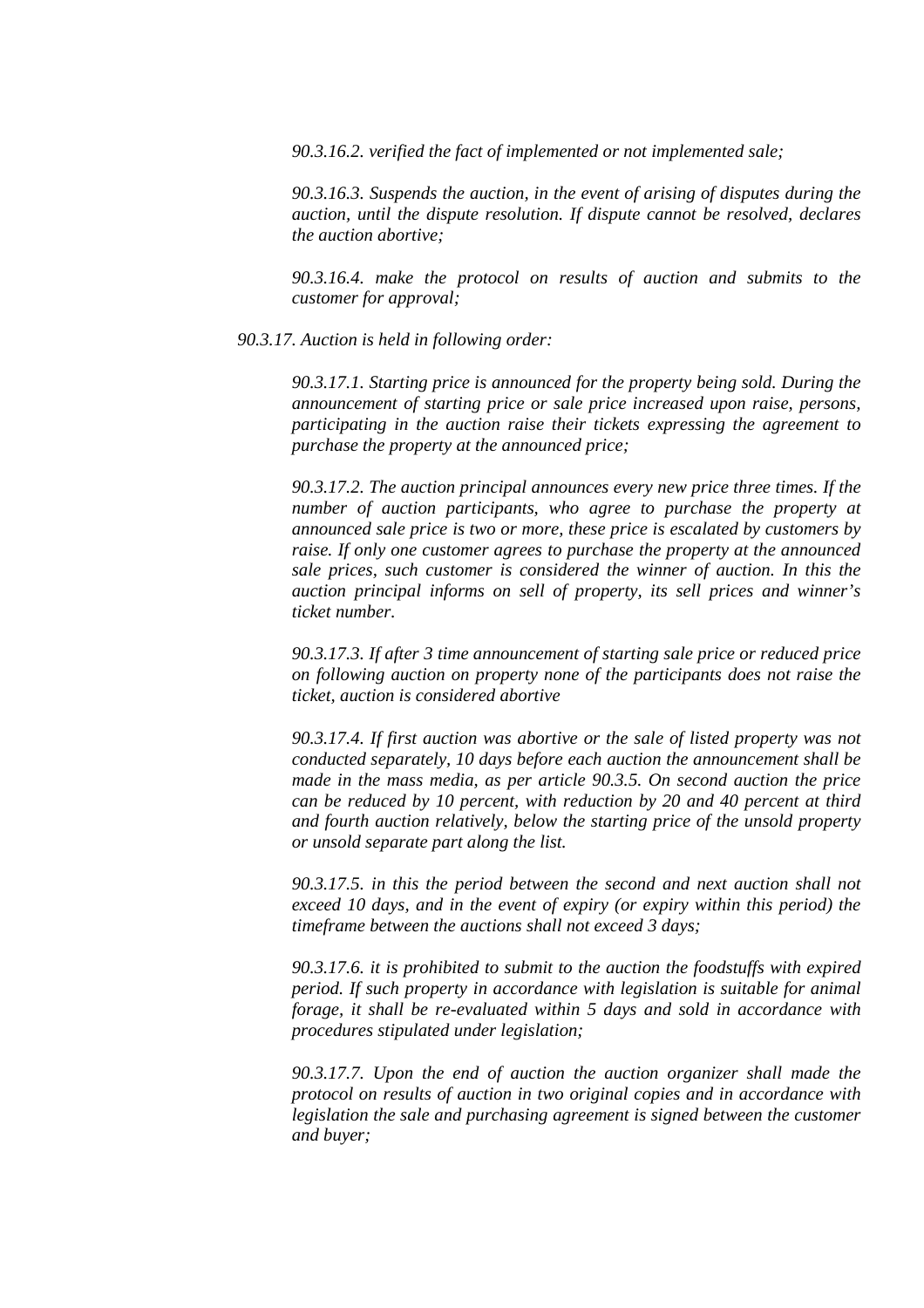*90.3.16.2. verified the fact of implemented or not implemented sale;* 

*90.3.16.3. Suspends the auction, in the event of arising of disputes during the auction, until the dispute resolution. If dispute cannot be resolved, declares the auction abortive;* 

*90.3.16.4. make the protocol on results of auction and submits to the customer for approval;* 

*90.3.17. Auction is held in following order:* 

*90.3.17.1. Starting price is announced for the property being sold. During the announcement of starting price or sale price increased upon raise, persons, participating in the auction raise their tickets expressing the agreement to purchase the property at the announced price;* 

*90.3.17.2. The auction principal announces every new price three times. If the number of auction participants, who agree to purchase the property at announced sale price is two or more, these price is escalated by customers by raise. If only one customer agrees to purchase the property at the announced sale prices, such customer is considered the winner of auction. In this the auction principal informs on sell of property, its sell prices and winner's ticket number.* 

*90.3.17.3. If after 3 time announcement of starting sale price or reduced price on following auction on property none of the participants does not raise the ticket, auction is considered abortive* 

*90.3.17.4. If first auction was abortive or the sale of listed property was not conducted separately, 10 days before each auction the announcement shall be made in the mass media, as per article 90.3.5. On second auction the price can be reduced by 10 percent, with reduction by 20 and 40 percent at third and fourth auction relatively, below the starting price of the unsold property or unsold separate part along the list.* 

*90.3.17.5. in this the period between the second and next auction shall not exceed 10 days, and in the event of expiry (or expiry within this period) the timeframe between the auctions shall not exceed 3 days;* 

*90.3.17.6. it is prohibited to submit to the auction the foodstuffs with expired period. If such property in accordance with legislation is suitable for animal forage, it shall be re-evaluated within 5 days and sold in accordance with procedures stipulated under legislation;* 

*90.3.17.7. Upon the end of auction the auction organizer shall made the protocol on results of auction in two original copies and in accordance with legislation the sale and purchasing agreement is signed between the customer and buyer;*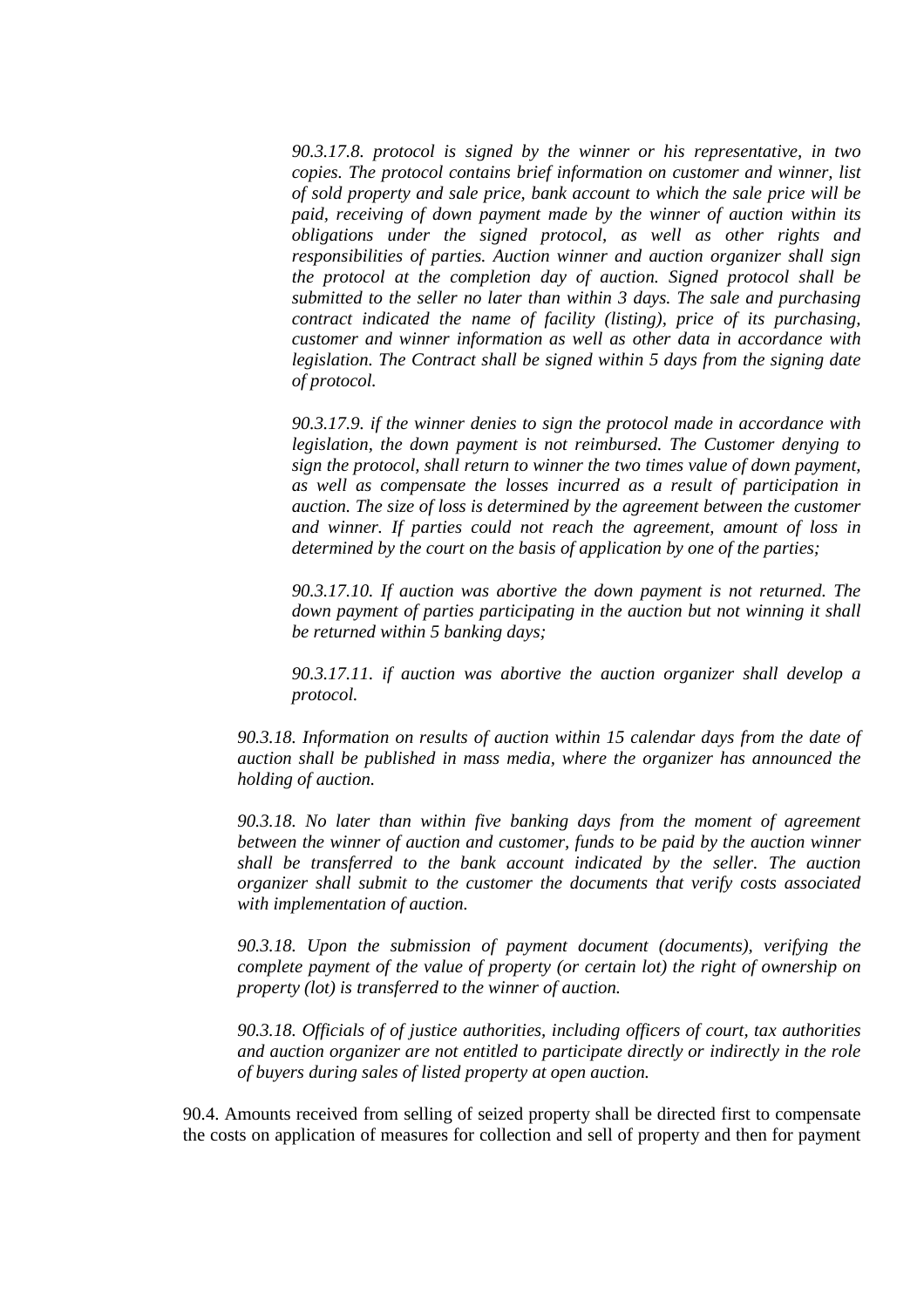*90.3.17.8. protocol is signed by the winner or his representative, in two copies. The protocol contains brief information on customer and winner, list of sold property and sale price, bank account to which the sale price will be paid, receiving of down payment made by the winner of auction within its obligations under the signed protocol, as well as other rights and responsibilities of parties. Auction winner and auction organizer shall sign the protocol at the completion day of auction. Signed protocol shall be submitted to the seller no later than within 3 days. The sale and purchasing contract indicated the name of facility (listing), price of its purchasing, customer and winner information as well as other data in accordance with legislation. The Contract shall be signed within 5 days from the signing date of protocol.* 

*90.3.17.9. if the winner denies to sign the protocol made in accordance with legislation, the down payment is not reimbursed. The Customer denying to sign the protocol, shall return to winner the two times value of down payment, as well as compensate the losses incurred as a result of participation in auction. The size of loss is determined by the agreement between the customer and winner. If parties could not reach the agreement, amount of loss in determined by the court on the basis of application by one of the parties;* 

*90.3.17.10. If auction was abortive the down payment is not returned. The down payment of parties participating in the auction but not winning it shall be returned within 5 banking days;* 

*90.3.17.11. if auction was abortive the auction organizer shall develop a protocol.* 

*90.3.18. Information on results of auction within 15 calendar days from the date of auction shall be published in mass media, where the organizer has announced the holding of auction.* 

*90.3.18. No later than within five banking days from the moment of agreement between the winner of auction and customer, funds to be paid by the auction winner shall be transferred to the bank account indicated by the seller. The auction organizer shall submit to the customer the documents that verify costs associated with implementation of auction.* 

*90.3.18. Upon the submission of payment document (documents), verifying the complete payment of the value of property (or certain lot) the right of ownership on property (lot) is transferred to the winner of auction.* 

*90.3.18. Officials of of justice authorities, including officers of court, tax authorities and auction organizer are not entitled to participate directly or indirectly in the role of buyers during sales of listed property at open auction.*

90.4. Amounts received from selling of seized property shall be directed first to compensate the costs on application of measures for collection and sell of property and then for payment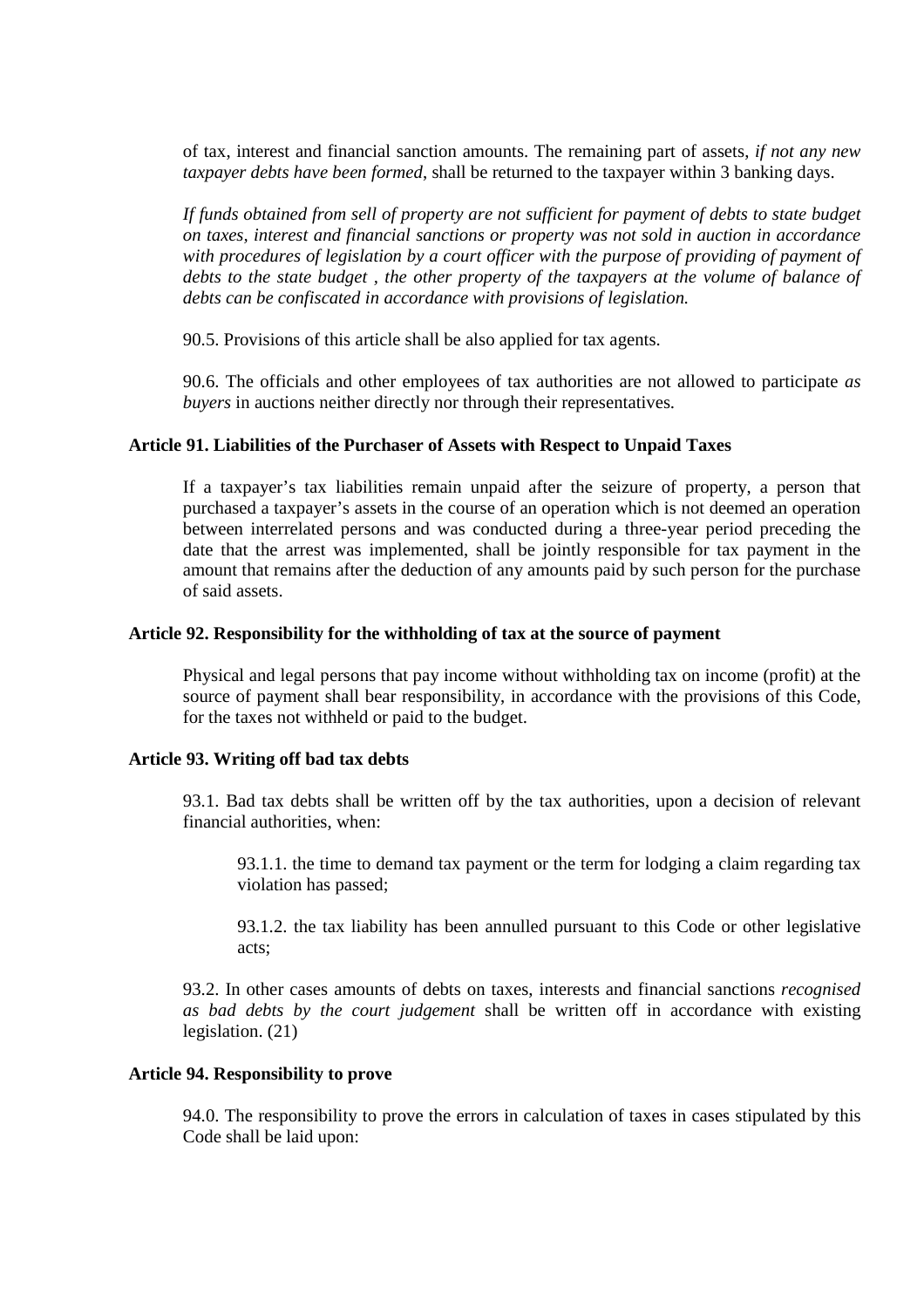of tax, interest and financial sanction amounts. The remaining part of assets, *if not any new taxpayer debts have been formed*, shall be returned to the taxpayer within 3 banking days.

*If funds obtained from sell of property are not sufficient for payment of debts to state budget on taxes, interest and financial sanctions or property was not sold in auction in accordance with procedures of legislation by a court officer with the purpose of providing of payment of debts to the state budget , the other property of the taxpayers at the volume of balance of debts can be confiscated in accordance with provisions of legislation.*

90.5. Provisions of this article shall be also applied for tax agents.

90.6. The officials and other employees of tax authorities are not allowed to participate *as buyers* in auctions neither directly nor through their representatives.

#### **Article 91. Liabilities of the Purchaser of Assets with Respect to Unpaid Taxes**

If a taxpayer's tax liabilities remain unpaid after the seizure of property, a person that purchased a taxpayer's assets in the course of an operation which is not deemed an operation between interrelated persons and was conducted during a three-year period preceding the date that the arrest was implemented, shall be jointly responsible for tax payment in the amount that remains after the deduction of any amounts paid by such person for the purchase of said assets.

#### **Article 92. Responsibility for the withholding of tax at the source of payment**

Physical and legal persons that pay income without withholding tax on income (profit) at the source of payment shall bear responsibility, in accordance with the provisions of this Code, for the taxes not withheld or paid to the budget.

#### **Article 93. Writing off bad tax debts**

93.1. Bad tax debts shall be written off by the tax authorities, upon a decision of relevant financial authorities, when:

93.1.1. the time to demand tax payment or the term for lodging a claim regarding tax violation has passed;

93.1.2. the tax liability has been annulled pursuant to this Code or other legislative acts;

93.2. In other cases amounts of debts on taxes, interests and financial sanctions *recognised as bad debts by the court judgement* shall be written off in accordance with existing legislation. (21)

#### **Article 94. Responsibility to prove**

94.0. The responsibility to prove the errors in calculation of taxes in cases stipulated by this Code shall be laid upon: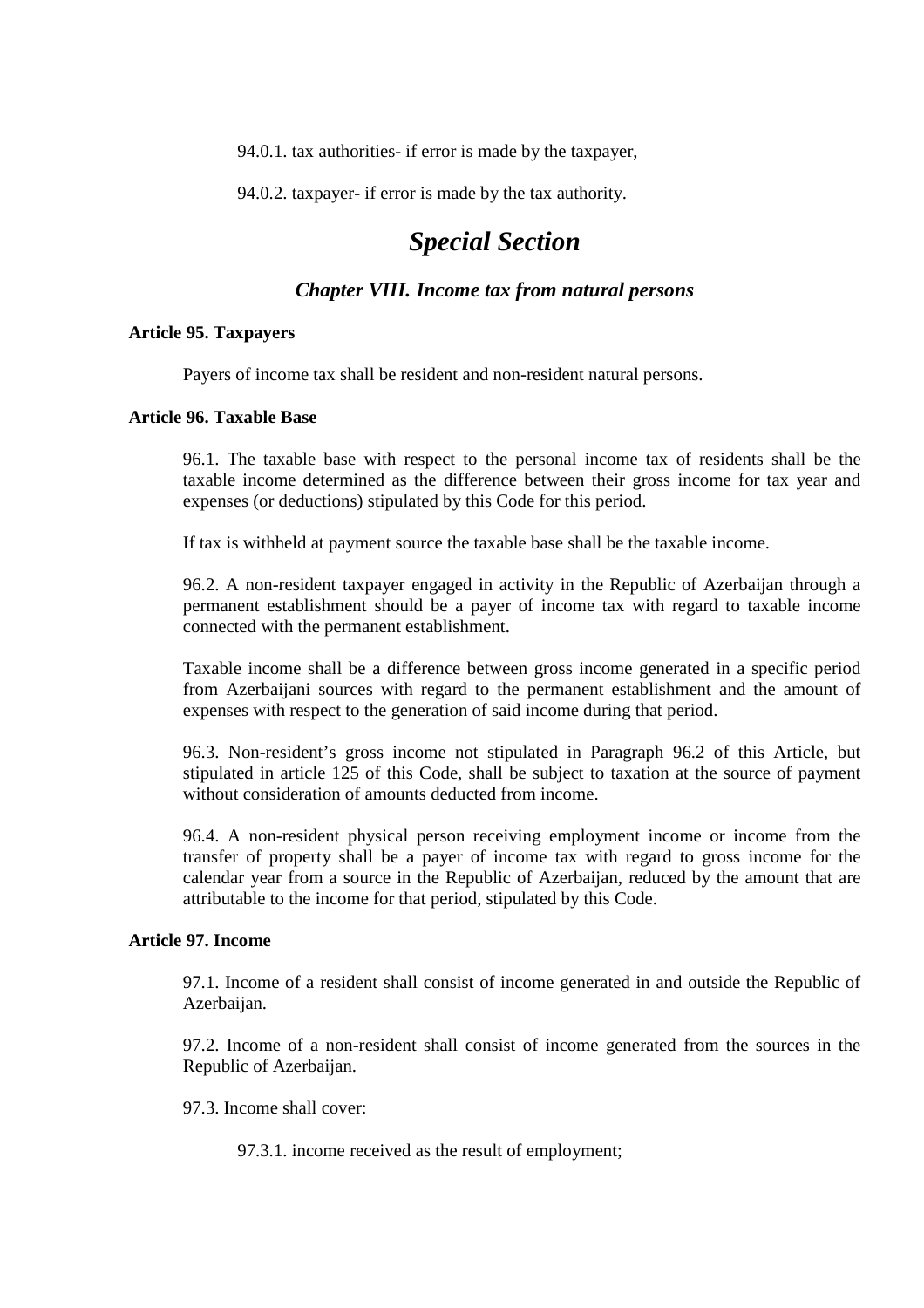94.0.1. tax authorities- if error is made by the taxpayer,

94.0.2. taxpayer- if error is made by the tax authority.

# *Special Section*

# *Chapter VIII. Income tax from natural persons*

## **Article 95. Taxpayers**

Payers of income tax shall be resident and non-resident natural persons.

# **Article 96. Taxable Base**

96.1. The taxable base with respect to the personal income tax of residents shall be the taxable income determined as the difference between their gross income for tax year and expenses (or deductions) stipulated by this Code for this period.

If tax is withheld at payment source the taxable base shall be the taxable income.

96.2. A non-resident taxpayer engaged in activity in the Republic of Azerbaijan through a permanent establishment should be a payer of income tax with regard to taxable income connected with the permanent establishment.

Taxable income shall be a difference between gross income generated in a specific period from Azerbaijani sources with regard to the permanent establishment and the amount of expenses with respect to the generation of said income during that period.

96.3. Non-resident's gross income not stipulated in Paragraph 96.2 of this Article, but stipulated in article 125 of this Code, shall be subject to taxation at the source of payment without consideration of amounts deducted from income.

96.4. A non-resident physical person receiving employment income or income from the transfer of property shall be a payer of income tax with regard to gross income for the calendar year from a source in the Republic of Azerbaijan, reduced by the amount that are attributable to the income for that period, stipulated by this Code.

#### **Article 97. Income**

97.1. Income of a resident shall consist of income generated in and outside the Republic of Azerbaijan.

97.2. Income of a non-resident shall consist of income generated from the sources in the Republic of Azerbaijan.

97.3. Income shall cover:

97.3.1. income received as the result of employment;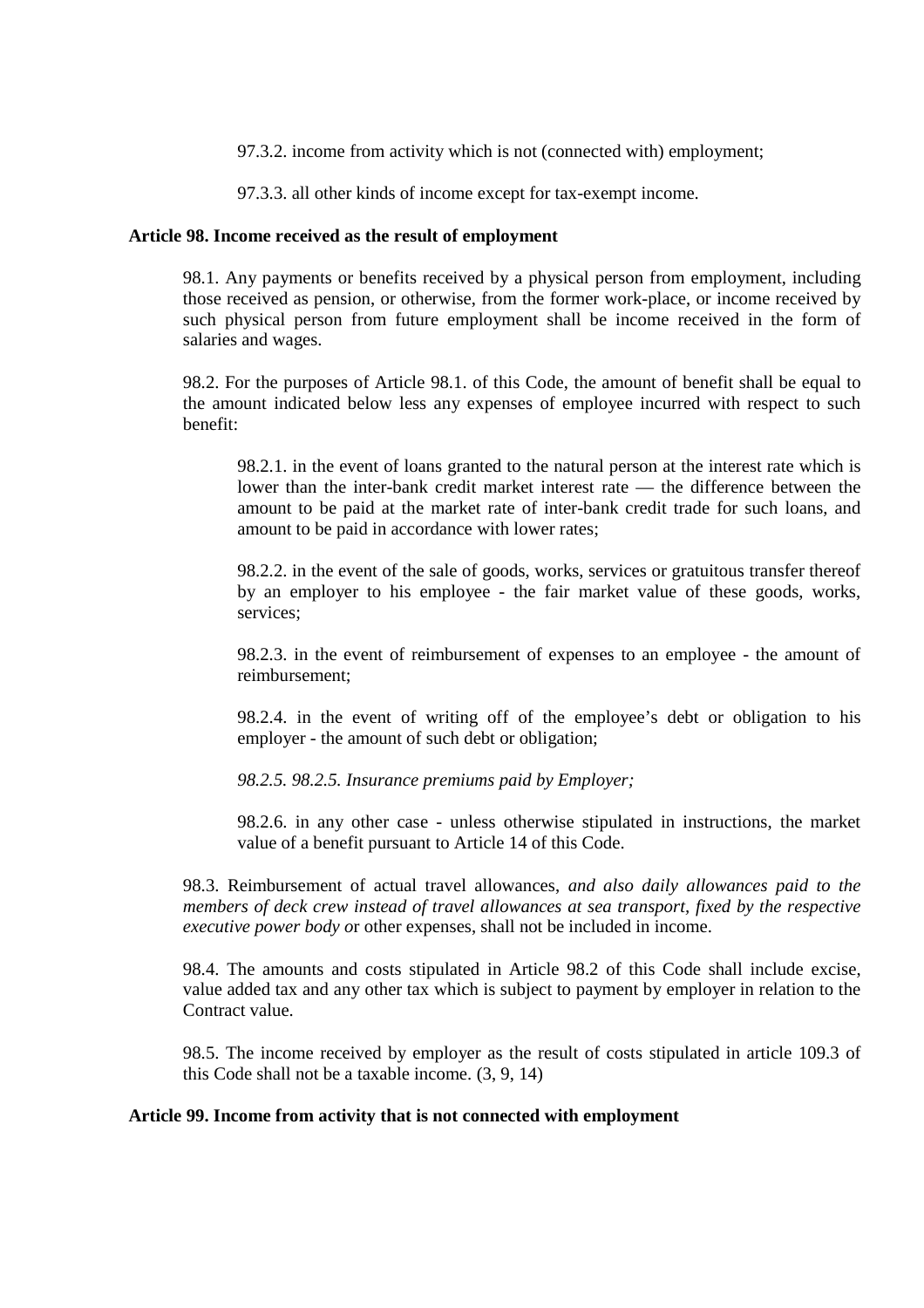97.3.2. income from activity which is not (connected with) employment;

97.3.3. all other kinds of income except for tax-exempt income.

## **Article 98. Income received as the result of employment**

98.1. Any payments or benefits received by a physical person from employment, including those received as pension, or otherwise, from the former work-place, or income received by such physical person from future employment shall be income received in the form of salaries and wages.

98.2. For the purposes of Article 98.1. of this Code, the amount of benefit shall be equal to the amount indicated below less any expenses of employee incurred with respect to such benefit:

98.2.1. in the event of loans granted to the natural person at the interest rate which is lower than the inter-bank credit market interest rate — the difference between the amount to be paid at the market rate of inter-bank credit trade for such loans, and amount to be paid in accordance with lower rates;

98.2.2. in the event of the sale of goods, works, services or gratuitous transfer thereof by an employer to his employee - the fair market value of these goods, works, services;

98.2.3. in the event of reimbursement of expenses to an employee - the amount of reimbursement;

98.2.4. in the event of writing off of the employee's debt or obligation to his employer - the amount of such debt or obligation;

*98.2.5. 98.2.5. Insurance premiums paid by Employer;*

98.2.6. in any other case - unless otherwise stipulated in instructions, the market value of a benefit pursuant to Article 14 of this Code.

98.3. Reimbursement of actual travel allowances, *and also daily allowances paid to the members of deck crew instead of travel allowances at sea transport, fixed by the respective executive power body o*r other expenses, shall not be included in income.

98.4. The amounts and costs stipulated in Article 98.2 of this Code shall include excise, value added tax and any other tax which is subject to payment by employer in relation to the Contract value.

98.5. The income received by employer as the result of costs stipulated in article 109.3 of this Code shall not be a taxable income. (3, 9, 14)

## **Article 99. Income from activity that is not connected with employment**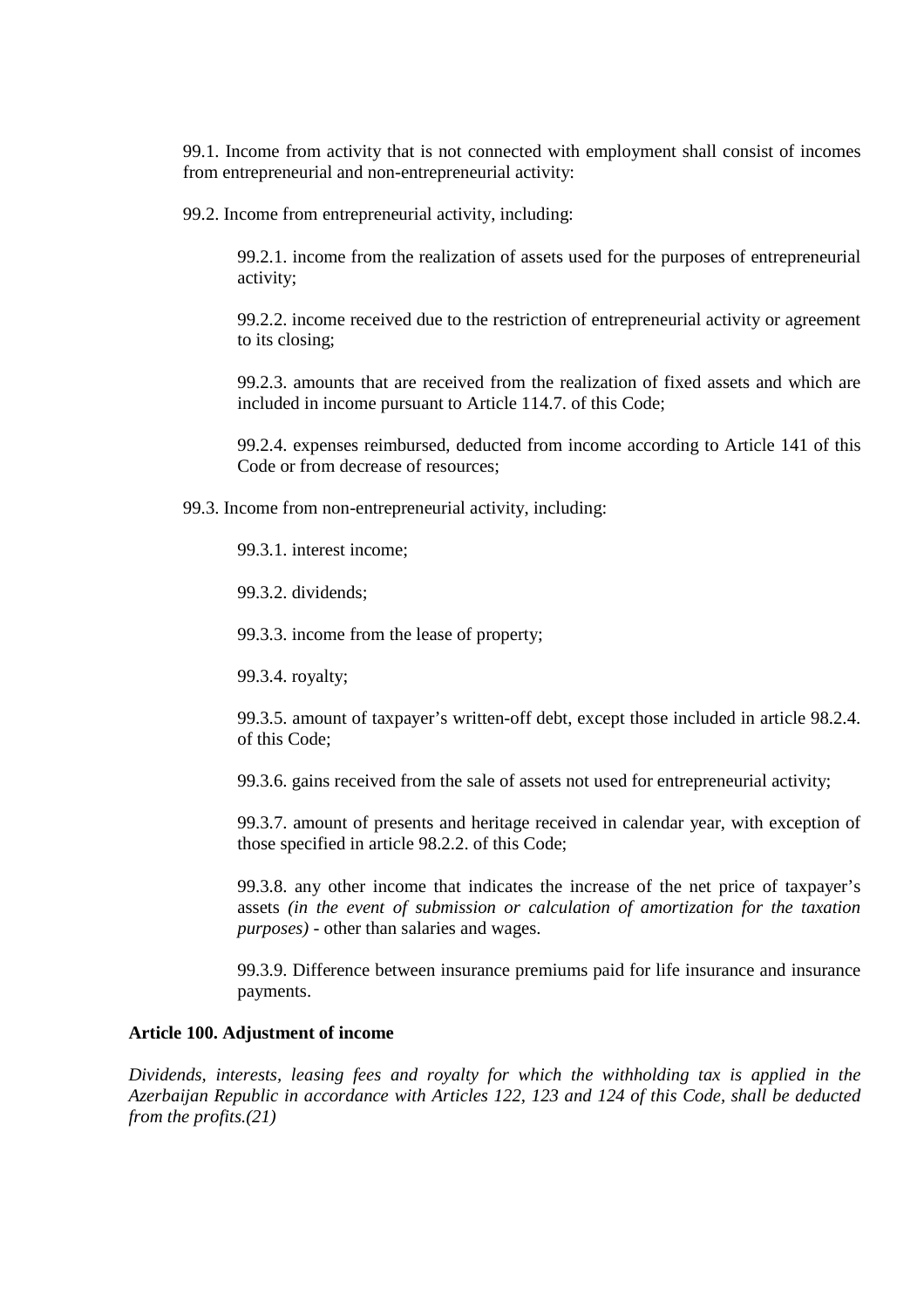99.1. Income from activity that is not connected with employment shall consist of incomes from entrepreneurial and non-entrepreneurial activity:

99.2. Income from entrepreneurial activity, including:

99.2.1. income from the realization of assets used for the purposes of entrepreneurial activity;

99.2.2. income received due to the restriction of entrepreneurial activity or agreement to its closing;

99.2.3. amounts that are received from the realization of fixed assets and which are included in income pursuant to Article 114.7. of this Code;

99.2.4. expenses reimbursed, deducted from income according to Article 141 of this Code or from decrease of resources;

99.3. Income from non-entrepreneurial activity, including:

99.3.1. interest income;

99.3.2. dividends;

99.3.3. income from the lease of property;

99.3.4. royalty;

99.3.5. amount of taxpayer's written-off debt, except those included in article 98.2.4. of this Code;

99.3.6. gains received from the sale of assets not used for entrepreneurial activity;

99.3.7. amount of presents and heritage received in calendar year, with exception of those specified in article 98.2.2. of this Code;

99.3.8. any other income that indicates the increase of the net price of taxpayer's assets *(in the event of submission or calculation of amortization for the taxation purposes)* - other than salaries and wages.

99.3.9. Difference between insurance premiums paid for life insurance and insurance payments.

# **Article 100. Adjustment of income**

*Dividends, interests, leasing fees and royalty for which the withholding tax is applied in the Azerbaijan Republic in accordance with Articles 122, 123 and 124 of this Code, shall be deducted from the profits.(21)*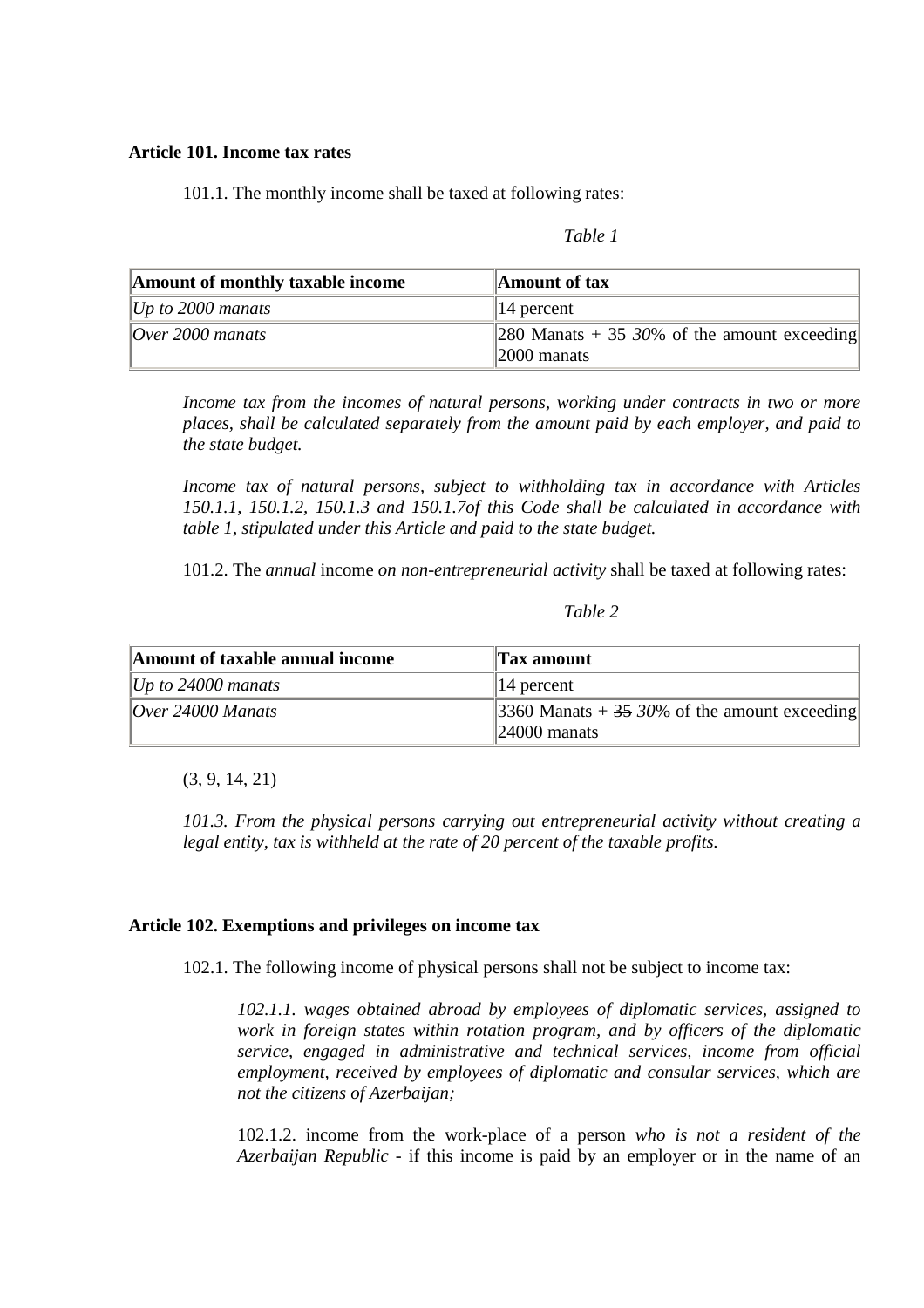#### **Article 101. Income tax rates**

101.1. The monthly income shall be taxed at following rates:

| anı<br>٠, |  |
|-----------|--|
|-----------|--|

| Amount of monthly taxable income | Amount of $tax$                                                            |
|----------------------------------|----------------------------------------------------------------------------|
| Up to 2000 manats                | $\parallel$ 14 percent                                                     |
| $10$ ver 2000 manats             | 280 Manats + $35\,30\%$ of the amount exceeding<br>$\parallel$ 2000 manats |

*Income tax from the incomes of natural persons, working under contracts in two or more places, shall be calculated separately from the amount paid by each employer, and paid to the state budget.*

*Income tax of natural persons, subject to withholding tax in accordance with Articles 150.1.1, 150.1.2, 150.1.3 and 150.1.7of this Code shall be calculated in accordance with table 1, stipulated under this Article and paid to the state budget.*

101.2. The *annual* income *on non-entrepreneurial activity* shall be taxed at following rates:

#### *Table 2*

| Amount of taxable annual income | <b>Tax amount</b>                                        |
|---------------------------------|----------------------------------------------------------|
| Up to 24000 manats              | $\parallel$ 14 percent                                   |
| $\sqrt{O}$ ver 24000 Manats     | $\parallel$ 3360 Manats + 35 30% of the amount exceeding |
|                                 | $\parallel$ 24000 manats                                 |

(3, 9, 14, 21)

*101.3. From the physical persons carrying out entrepreneurial activity without creating a legal entity, tax is withheld at the rate of 20 percent of the taxable profits.* 

#### **Article 102. Exemptions and privileges on income tax**

102.1. The following income of physical persons shall not be subject to income tax:

*102.1.1. wages obtained abroad by employees of diplomatic services, assigned to work in foreign states within rotation program, and by officers of the diplomatic service, engaged in administrative and technical services, income from official employment, received by employees of diplomatic and consular services, which are not the citizens of Azerbaijan;* 

102.1.2. income from the work-place of a person *who is not a resident of the Azerbaijan Republic* - if this income is paid by an employer or in the name of an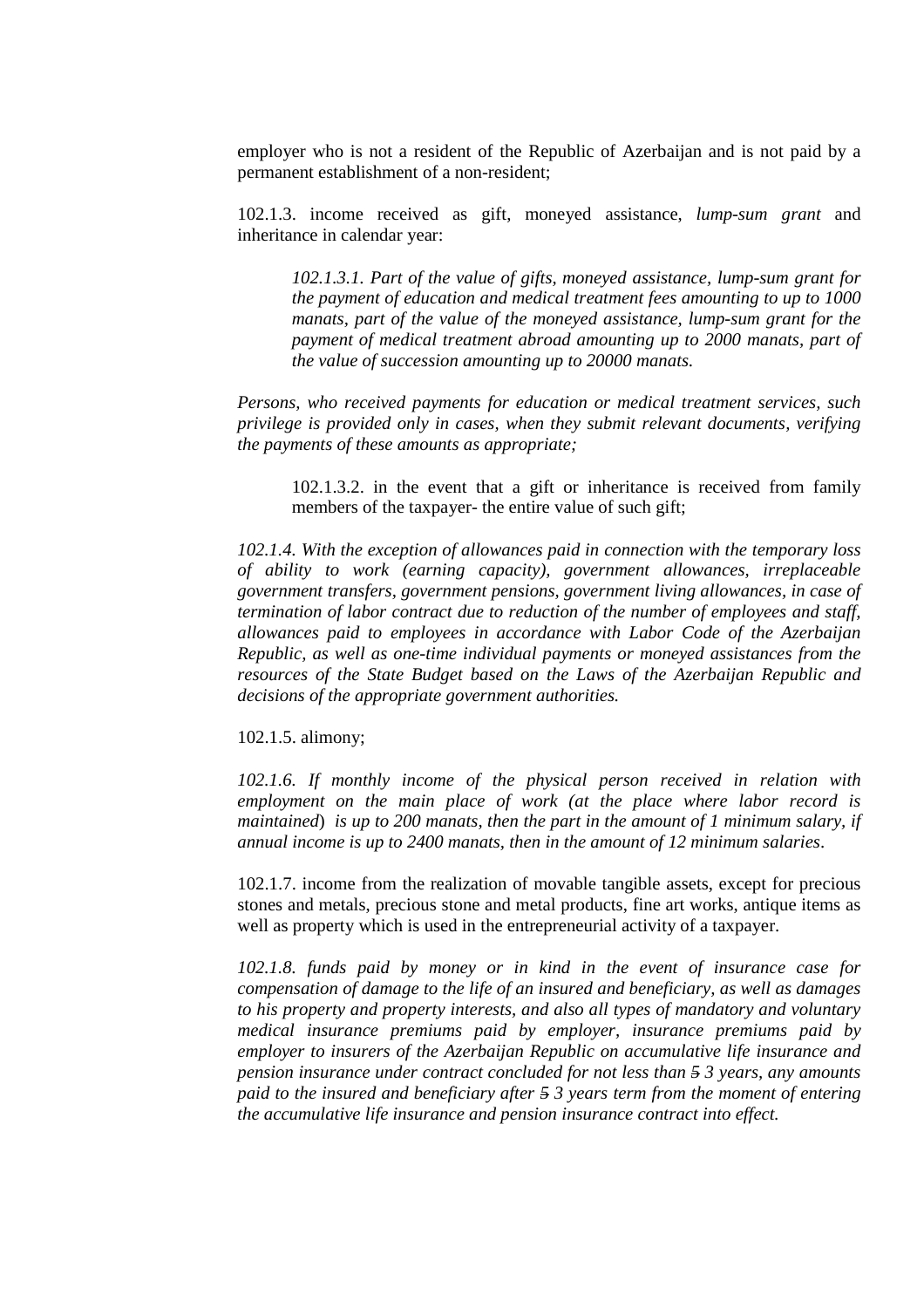employer who is not a resident of the Republic of Azerbaijan and is not paid by a permanent establishment of a non-resident;

102.1.3. income received as gift, moneyed assistance, *lump-sum grant* and inheritance in calendar year:

*102.1.3.1. Part of the value of gifts, moneyed assistance, lump-sum grant for the payment of education and medical treatment fees amounting to up to 1000 manats, part of the value of the moneyed assistance, lump-sum grant for the payment of medical treatment abroad amounting up to 2000 manats, part of the value of succession amounting up to 20000 manats.*

*Persons, who received payments for education or medical treatment services, such privilege is provided only in cases, when they submit relevant documents, verifying the payments of these amounts as appropriate;*

102.1.3.2. in the event that a gift or inheritance is received from family members of the taxpayer- the entire value of such gift;

*102.1.4. With the exception of allowances paid in connection with the temporary loss of ability to work (earning capacity), government allowances, irreplaceable government transfers, government pensions, government living allowances, in case of termination of labor contract due to reduction of the number of employees and staff, allowances paid to employees in accordance with Labor Code of the Azerbaijan Republic, as well as one-time individual payments or moneyed assistances from the resources of the State Budget based on the Laws of the Azerbaijan Republic and decisions of the appropriate government authorities.*

102.1.5. alimony;

102.1.6. If monthly income of the physical person received in relation with *employment on the main place of work (at the place where labor record is maintained*) *is up to 200 manats, then the part in the amount of 1 minimum salary, if annual income is up to 2400 manats, then in the amount of 12 minimum salaries*.

102.1.7. income from the realization of movable tangible assets, except for precious stones and metals, precious stone and metal products, fine art works, antique items as well as property which is used in the entrepreneurial activity of a taxpayer.

*102.1.8. funds paid by money or in kind in the event of insurance case for compensation of damage to the life of an insured and beneficiary, as well as damages to his property and property interests, and also all types of mandatory and voluntary medical insurance premiums paid by employer, insurance premiums paid by employer to insurers of the Azerbaijan Republic on accumulative life insurance and pension insurance under contract concluded for not less than 5 3 years, any amounts paid to the insured and beneficiary after 5 3 years term from the moment of entering the accumulative life insurance and pension insurance contract into effect.*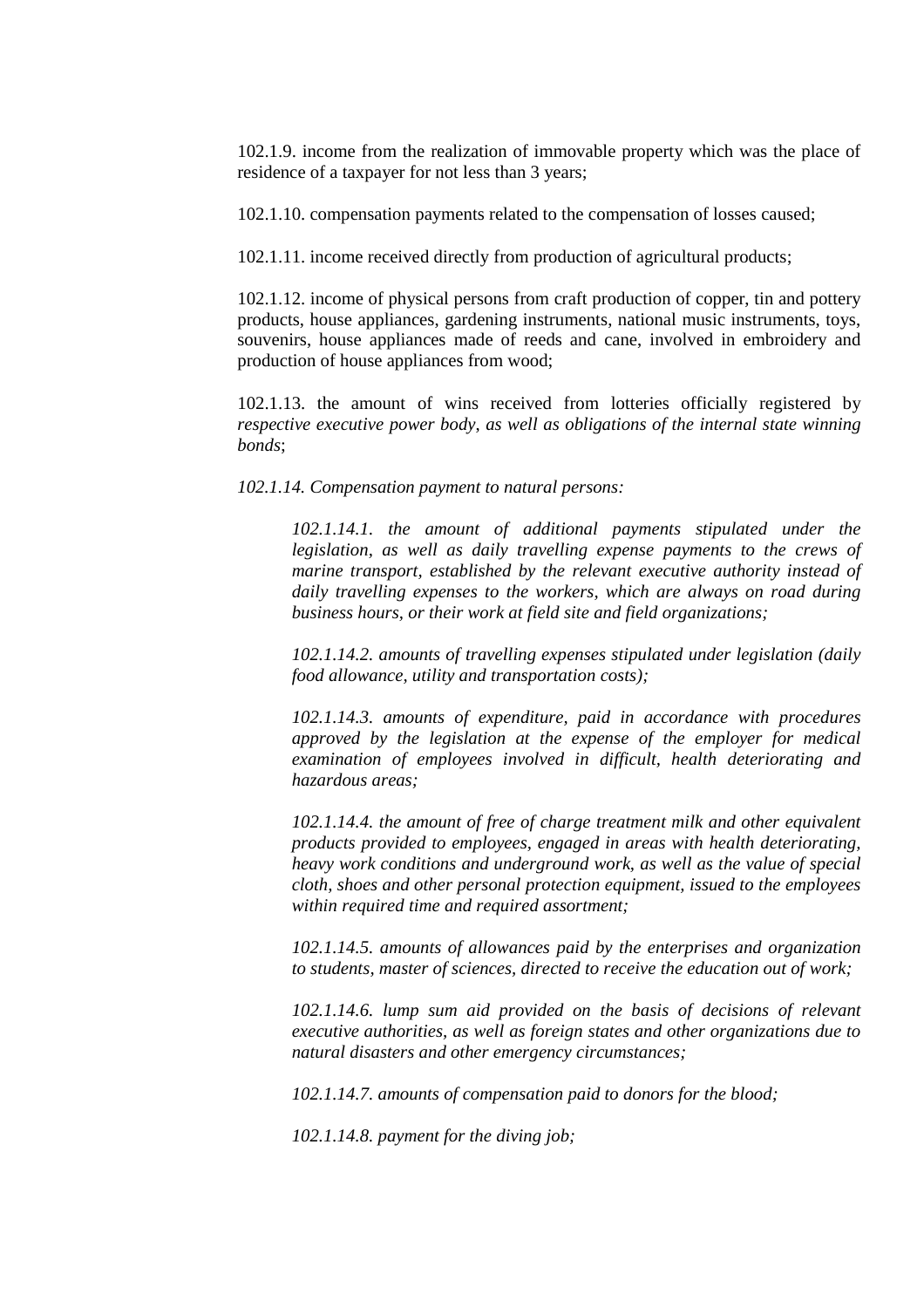102.1.9. income from the realization of immovable property which was the place of residence of a taxpayer for not less than 3 years;

102.1.10. compensation payments related to the compensation of losses caused;

102.1.11. income received directly from production of agricultural products;

102.1.12. income of physical persons from craft production of copper, tin and pottery products, house appliances, gardening instruments, national music instruments, toys, souvenirs, house appliances made of reeds and cane, involved in embroidery and production of house appliances from wood;

102.1.13. the amount of wins received from lotteries officially registered by *respective executive power body*, *as well as obligations of the internal state winning bonds*;

*102.1.14. Compensation payment to natural persons:* 

*102.1.14.1. the amount of additional payments stipulated under the legislation, as well as daily travelling expense payments to the crews of marine transport, established by the relevant executive authority instead of daily travelling expenses to the workers, which are always on road during business hours, or their work at field site and field organizations;* 

*102.1.14.2. amounts of travelling expenses stipulated under legislation (daily food allowance, utility and transportation costs);* 

*102.1.14.3. amounts of expenditure, paid in accordance with procedures approved by the legislation at the expense of the employer for medical examination of employees involved in difficult, health deteriorating and hazardous areas;* 

*102.1.14.4. the amount of free of charge treatment milk and other equivalent products provided to employees, engaged in areas with health deteriorating, heavy work conditions and underground work, as well as the value of special cloth, shoes and other personal protection equipment, issued to the employees within required time and required assortment;* 

*102.1.14.5. amounts of allowances paid by the enterprises and organization to students, master of sciences, directed to receive the education out of work;* 

*102.1.14.6. lump sum aid provided on the basis of decisions of relevant executive authorities, as well as foreign states and other organizations due to natural disasters and other emergency circumstances;* 

*102.1.14.7. amounts of compensation paid to donors for the blood;* 

*102.1.14.8. payment for the diving job;*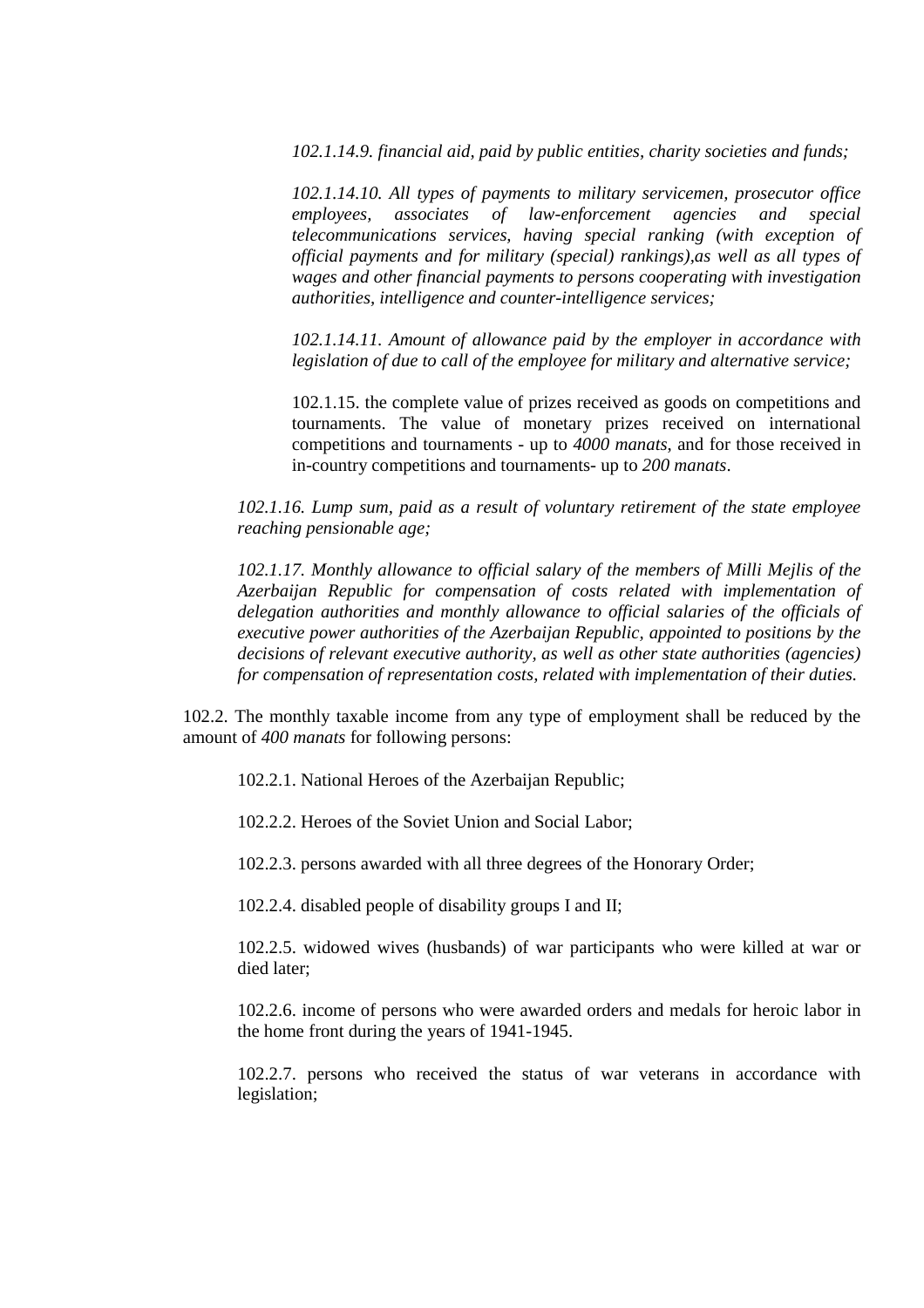*102.1.14.9. financial aid, paid by public entities, charity societies and funds;* 

*102.1.14.10. All types of payments to military servicemen, prosecutor office employees, associates of law-enforcement agencies and special telecommunications services, having special ranking (with exception of official payments and for military (special) rankings),as well as all types of wages and other financial payments to persons cooperating with investigation authorities, intelligence and counter-intelligence services;* 

*102.1.14.11. Amount of allowance paid by the employer in accordance with legislation of due to call of the employee for military and alternative service;* 

102.1.15. the complete value of prizes received as goods on competitions and tournaments. The value of monetary prizes received on international competitions and tournaments - up to *4000 manats*, and for those received in in-country competitions and tournaments- up to *200 manats*.

*102.1.16. Lump sum, paid as a result of voluntary retirement of the state employee reaching pensionable age;* 

*102.1.17. Monthly allowance to official salary of the members of Milli Mejlis of the Azerbaijan Republic for compensation of costs related with implementation of*  delegation authorities and monthly allowance to official salaries of the officials of *executive power authorities of the Azerbaijan Republic, appointed to positions by the decisions of relevant executive authority, as well as other state authorities (agencies) for compensation of representation costs, related with implementation of their duties.* 

102.2. The monthly taxable income from any type of employment shall be reduced by the amount of *400 manats* for following persons:

102.2.1. National Heroes of the Azerbaijan Republic;

102.2.2. Heroes of the Soviet Union and Social Labor;

102.2.3. persons awarded with all three degrees of the Honorary Order;

102.2.4. disabled people of disability groups I and II;

102.2.5. widowed wives (husbands) of war participants who were killed at war or died later;

102.2.6. income of persons who were awarded orders and medals for heroic labor in the home front during the years of 1941-1945.

102.2.7. persons who received the status of war veterans in accordance with legislation;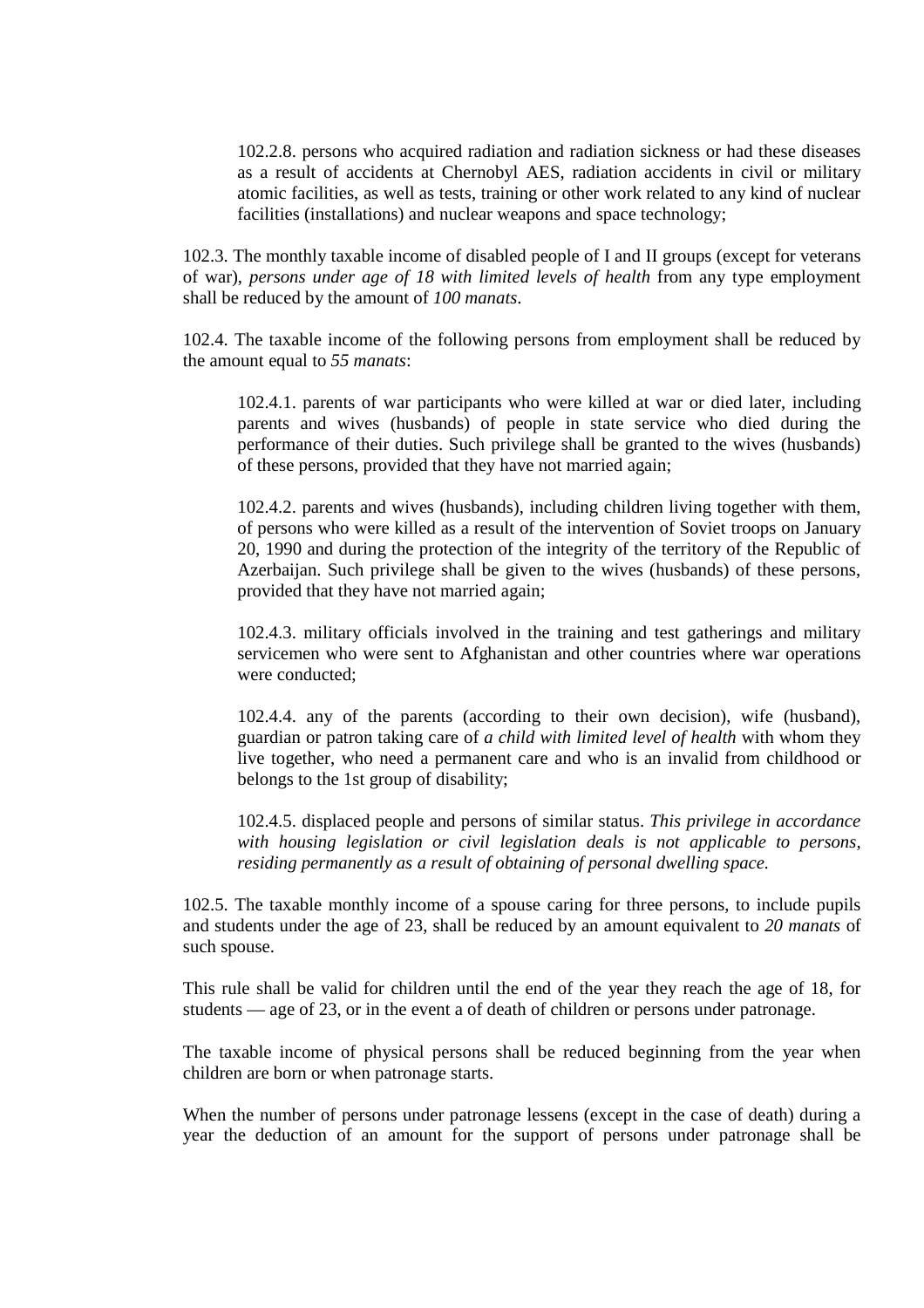102.2.8. persons who acquired radiation and radiation sickness or had these diseases as a result of accidents at Chernobyl AES, radiation accidents in civil or military atomic facilities, as well as tests, training or other work related to any kind of nuclear facilities (installations) and nuclear weapons and space technology;

102.3. The monthly taxable income of disabled people of I and II groups (except for veterans of war), *persons under age of 18 with limited levels of health* from any type employment shall be reduced by the amount of *100 manats*.

102.4. The taxable income of the following persons from employment shall be reduced by the amount equal to *55 manats*:

102.4.1. parents of war participants who were killed at war or died later, including parents and wives (husbands) of people in state service who died during the performance of their duties. Such privilege shall be granted to the wives (husbands) of these persons, provided that they have not married again;

102.4.2. parents and wives (husbands), including children living together with them, of persons who were killed as a result of the intervention of Soviet troops on January 20, 1990 and during the protection of the integrity of the territory of the Republic of Azerbaijan. Such privilege shall be given to the wives (husbands) of these persons, provided that they have not married again;

102.4.3. military officials involved in the training and test gatherings and military servicemen who were sent to Afghanistan and other countries where war operations were conducted;

102.4.4. any of the parents (according to their own decision), wife (husband), guardian or patron taking care of *a child with limited level of health* with whom they live together, who need a permanent care and who is an invalid from childhood or belongs to the 1st group of disability;

102.4.5. displaced people and persons of similar status. *This privilege in accordance with housing legislation or civil legislation deals is not applicable to persons, residing permanently as a result of obtaining of personal dwelling space.*

102.5. The taxable monthly income of a spouse caring for three persons, to include pupils and students under the age of 23, shall be reduced by an amount equivalent to *20 manats* of such spouse.

This rule shall be valid for children until the end of the year they reach the age of 18, for students — age of 23, or in the event a of death of children or persons under patronage.

The taxable income of physical persons shall be reduced beginning from the year when children are born or when patronage starts.

When the number of persons under patronage lessens (except in the case of death) during a year the deduction of an amount for the support of persons under patronage shall be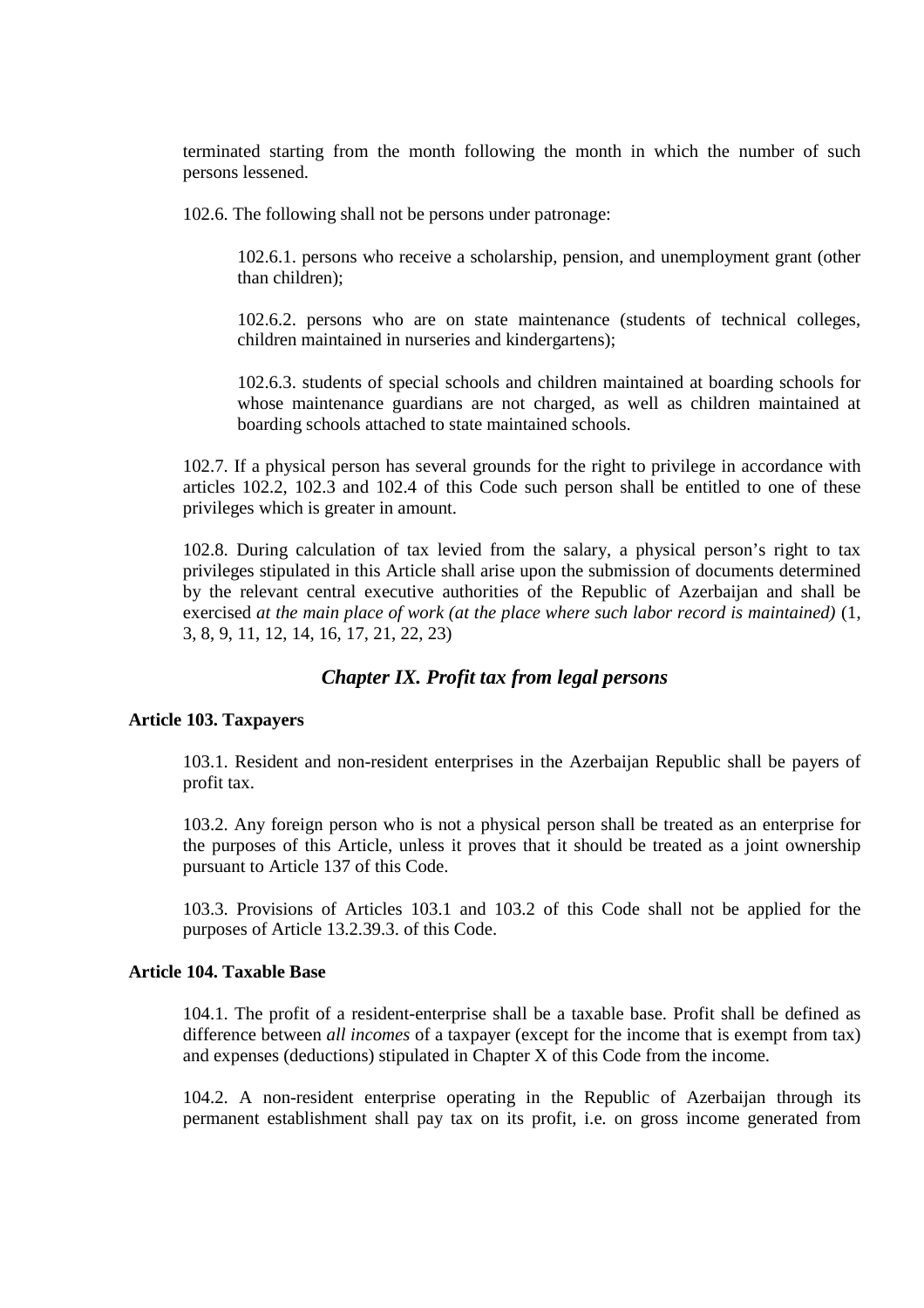terminated starting from the month following the month in which the number of such persons lessened.

102.6. The following shall not be persons under patronage:

102.6.1. persons who receive a scholarship, pension, and unemployment grant (other than children);

102.6.2. persons who are on state maintenance (students of technical colleges, children maintained in nurseries and kindergartens);

102.6.3. students of special schools and children maintained at boarding schools for whose maintenance guardians are not charged, as well as children maintained at boarding schools attached to state maintained schools.

102.7. If a physical person has several grounds for the right to privilege in accordance with articles 102.2, 102.3 and 102.4 of this Code such person shall be entitled to one of these privileges which is greater in amount.

102.8. During calculation of tax levied from the salary, a physical person's right to tax privileges stipulated in this Article shall arise upon the submission of documents determined by the relevant central executive authorities of the Republic of Azerbaijan and shall be exercised *at the main place of work (at the place where such labor record is maintained)* (1, 3, 8, 9, 11, 12, 14, 16, 17, 21, 22, 23)

# *Chapter IX. Profit tax from legal persons*

# **Article 103. Taxpayers**

103.1. Resident and non-resident enterprises in the Azerbaijan Republic shall be payers of profit tax.

103.2. Any foreign person who is not a physical person shall be treated as an enterprise for the purposes of this Article, unless it proves that it should be treated as a joint ownership pursuant to Article 137 of this Code.

103.3. Provisions of Articles 103.1 and 103.2 of this Code shall not be applied for the purposes of Article 13.2.39.3. of this Code.

# **Article 104. Taxable Base**

104.1. The profit of a resident-enterprise shall be a taxable base. Profit shall be defined as difference between *all incomes* of a taxpayer (except for the income that is exempt from tax) and expenses (deductions) stipulated in Chapter X of this Code from the income.

104.2. A non-resident enterprise operating in the Republic of Azerbaijan through its permanent establishment shall pay tax on its profit, i.e. on gross income generated from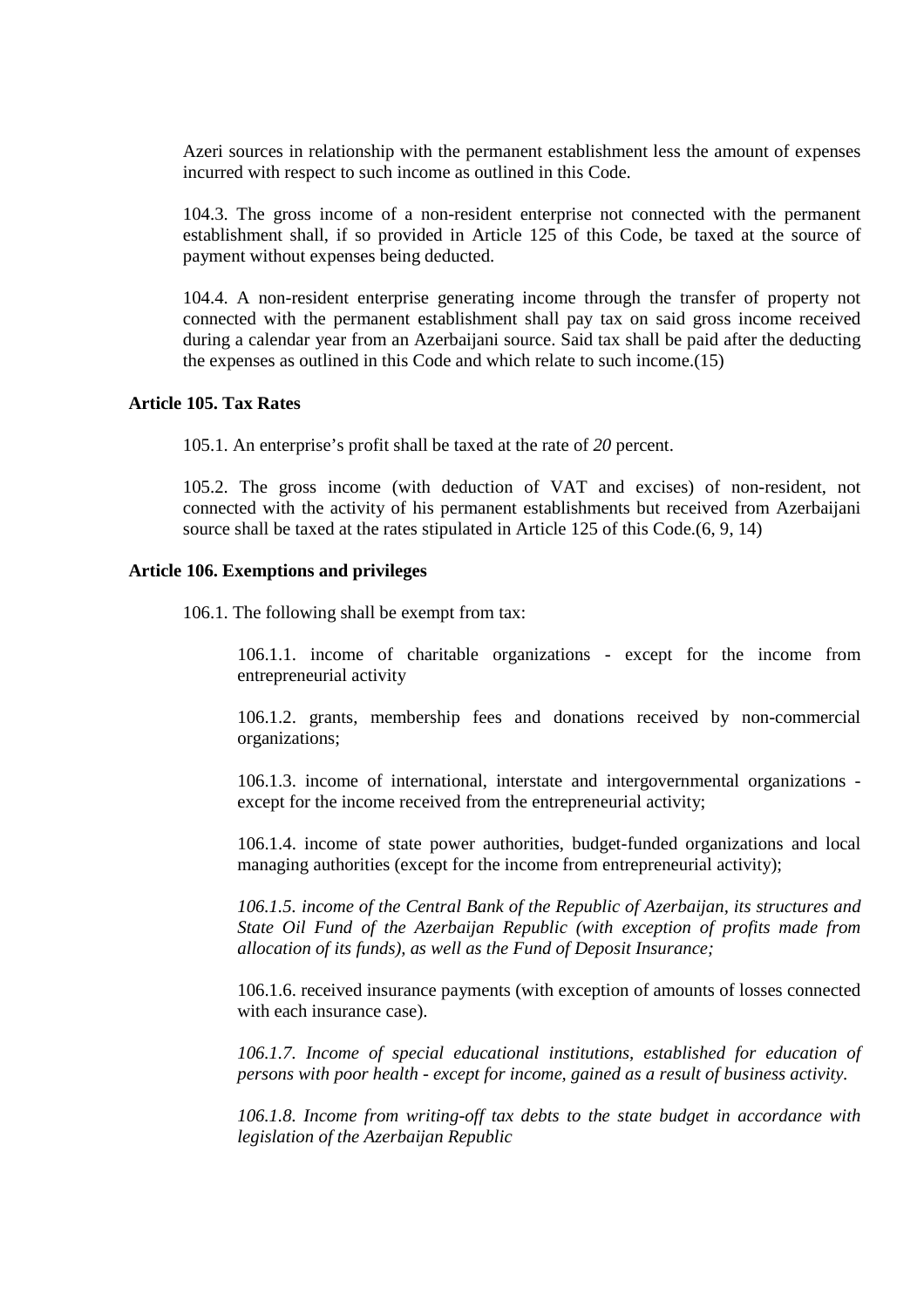Azeri sources in relationship with the permanent establishment less the amount of expenses incurred with respect to such income as outlined in this Code.

104.3. The gross income of a non-resident enterprise not connected with the permanent establishment shall, if so provided in Article 125 of this Code, be taxed at the source of payment without expenses being deducted.

104.4. A non-resident enterprise generating income through the transfer of property not connected with the permanent establishment shall pay tax on said gross income received during a calendar year from an Azerbaijani source. Said tax shall be paid after the deducting the expenses as outlined in this Code and which relate to such income.(15)

## **Article 105. Tax Rates**

105.1. An enterprise's profit shall be taxed at the rate of *20* percent.

105.2. The gross income (with deduction of VAT and excises) of non-resident, not connected with the activity of his permanent establishments but received from Azerbaijani source shall be taxed at the rates stipulated in Article 125 of this Code.(6, 9, 14)

#### **Article 106. Exemptions and privileges**

106.1. The following shall be exempt from tax:

106.1.1. income of charitable organizations - except for the income from entrepreneurial activity

106.1.2. grants, membership fees and donations received by non-commercial organizations;

106.1.3. income of international, interstate and intergovernmental organizations except for the income received from the entrepreneurial activity;

106.1.4. income of state power authorities, budget-funded organizations and local managing authorities (except for the income from entrepreneurial activity);

*106.1.5. income of the Central Bank of the Republic of Azerbaijan, its structures and State Oil Fund of the Azerbaijan Republic (with exception of profits made from allocation of its funds), as well as the Fund of Deposit Insurance;* 

106.1.6. received insurance payments (with exception of amounts of losses connected with each insurance case).

*106.1.7. Income of special educational institutions, established for education of persons with poor health - except for income, gained as a result of business activity.* 

*106.1.8. Income from writing-off tax debts to the state budget in accordance with legislation of the Azerbaijan Republic*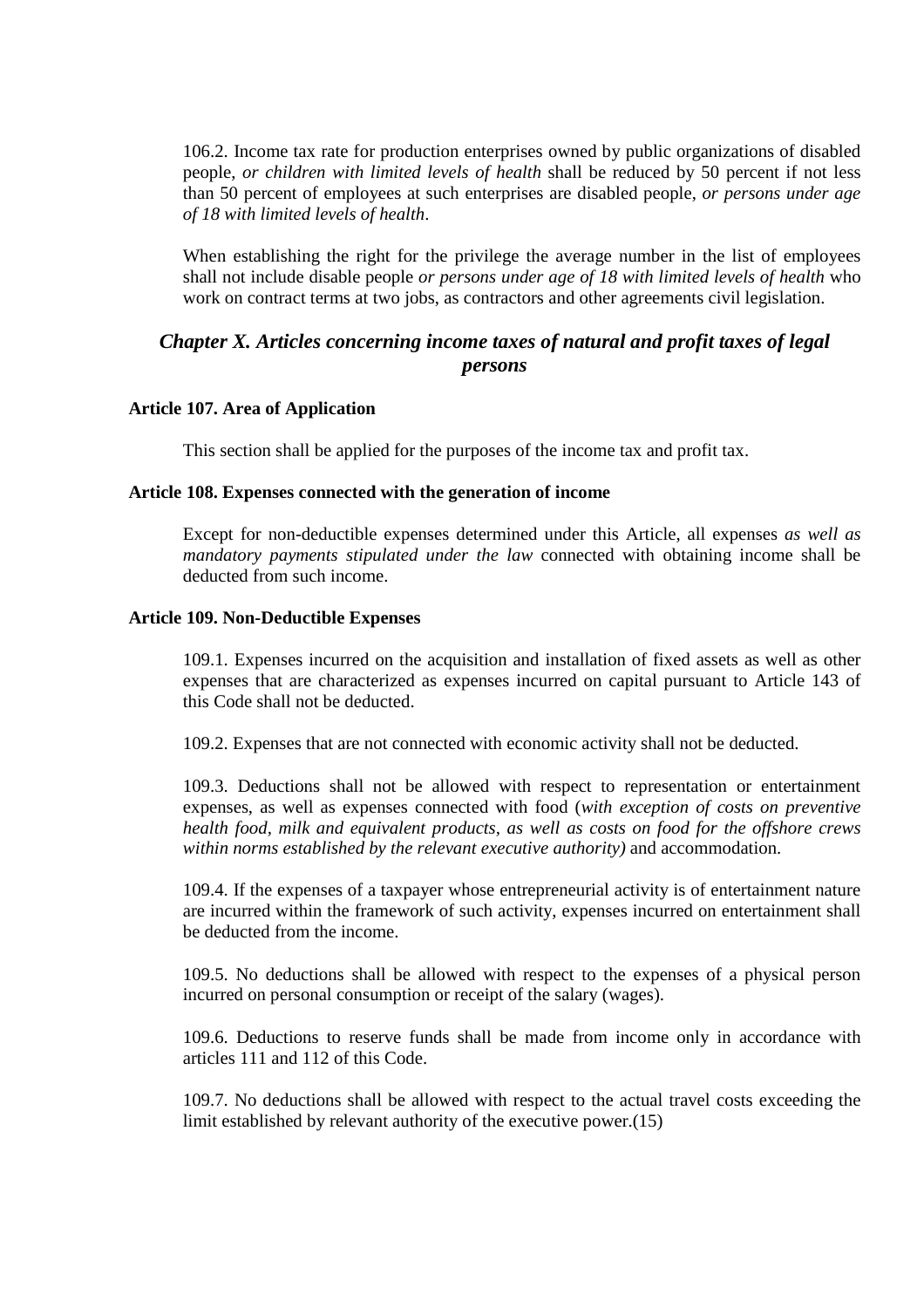106.2. Income tax rate for production enterprises owned by public organizations of disabled people, *or children with limited levels of health* shall be reduced by 50 percent if not less than 50 percent of employees at such enterprises are disabled people, *or persons under age of 18 with limited levels of health*.

When establishing the right for the privilege the average number in the list of employees shall not include disable people *or persons under age of 18 with limited levels of health* who work on contract terms at two jobs, as contractors and other agreements civil legislation.

# *Chapter X. Articles concerning income taxes of natural and profit taxes of legal persons*

## **Article 107. Area of Application**

This section shall be applied for the purposes of the income tax and profit tax.

#### **Article 108. Expenses connected with the generation of income**

Except for non-deductible expenses determined under this Article, all expenses *as well as mandatory payments stipulated under the law* connected with obtaining income shall be deducted from such income.

#### **Article 109. Non-Deductible Expenses**

109.1. Expenses incurred on the acquisition and installation of fixed assets as well as other expenses that are characterized as expenses incurred on capital pursuant to Article 143 of this Code shall not be deducted.

109.2. Expenses that are not connected with economic activity shall not be deducted.

109.3. Deductions shall not be allowed with respect to representation or entertainment expenses, as well as expenses connected with food (*with exception of costs on preventive health food, milk and equivalent products, as well as costs on food for the offshore crews within norms established by the relevant executive authority)* and accommodation.

109.4. If the expenses of a taxpayer whose entrepreneurial activity is of entertainment nature are incurred within the framework of such activity, expenses incurred on entertainment shall be deducted from the income.

109.5. No deductions shall be allowed with respect to the expenses of a physical person incurred on personal consumption or receipt of the salary (wages).

109.6. Deductions to reserve funds shall be made from income only in accordance with articles 111 and 112 of this Code.

109.7. No deductions shall be allowed with respect to the actual travel costs exceeding the limit established by relevant authority of the executive power.(15)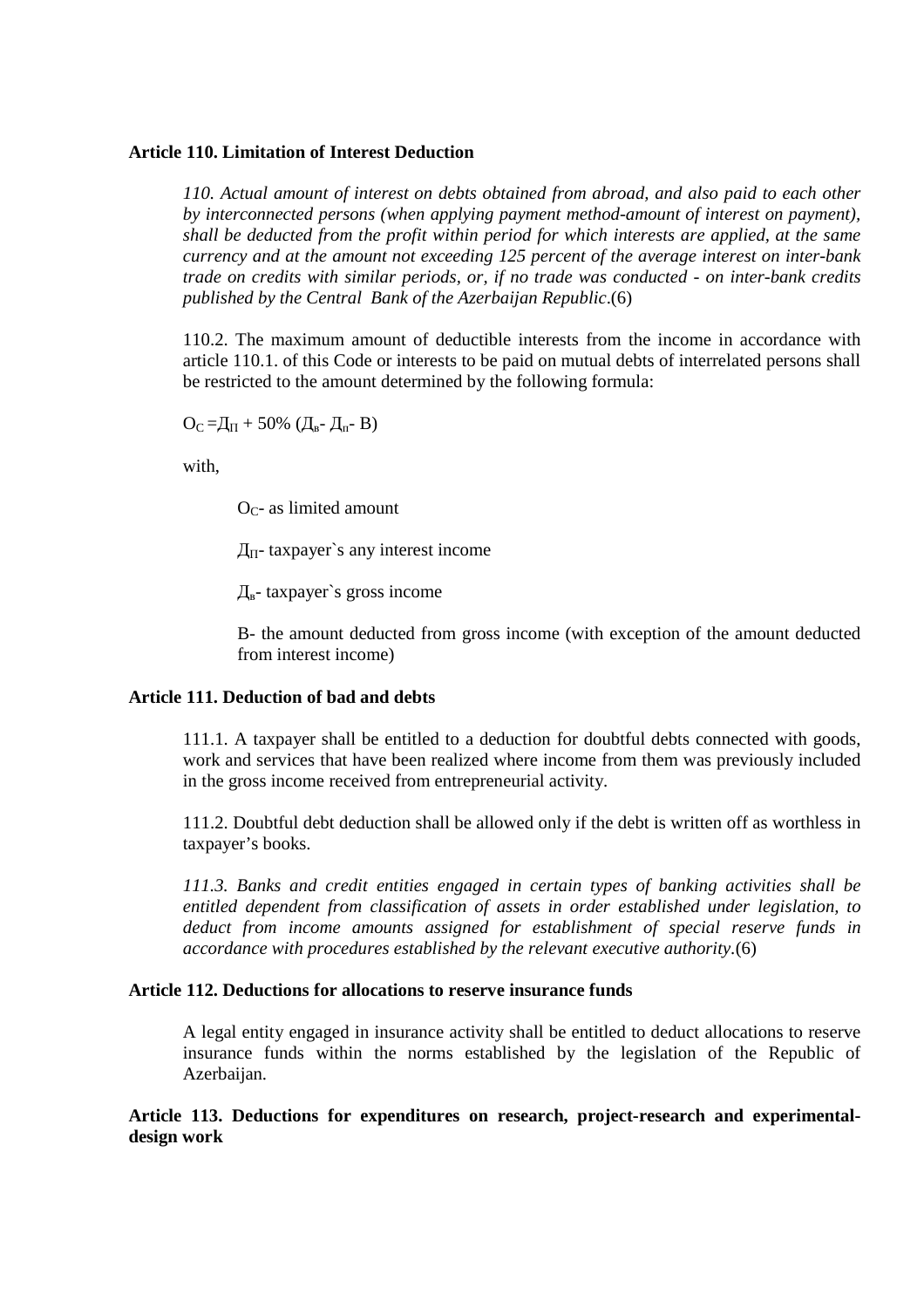#### **Article 110. Limitation of Interest Deduction**

*110. Actual amount of interest on debts obtained from abroad, and also paid to each other by interconnected persons (when applying payment method-amount of interest on payment), shall be deducted from the profit within period for which interests are applied, at the same currency and at the amount not exceeding 125 percent of the average interest on inter-bank trade on credits with similar periods, or, if no trade was conducted - on inter-bank credits published by the Central Bank of the Azerbaijan Republic*.(6)

110.2. The maximum amount of deductible interests from the income in accordance with article 110.1. of this Code or interests to be paid on mutual debts of interrelated persons shall be restricted to the amount determined by the following formula:

 $O_{C} = \mathcal{L}_{\Pi} + 50\%$  ( $\mathcal{L}_{B} - \mathcal{L}_{\Pi} - B$ )

with,

 $O<sub>C</sub>$ - as limited amount

 $\text{ }\Pi$ — taxpayer's any interest income

 $\pi_{\rm B}$ - taxpayer's gross income

B- the amount deducted from gross income (with exception of the amount deducted from interest income)

#### **Article 111. Deduction of bad and debts**

111.1. A taxpayer shall be entitled to a deduction for doubtful debts connected with goods, work and services that have been realized where income from them was previously included in the gross income received from entrepreneurial activity.

111.2. Doubtful debt deduction shall be allowed only if the debt is written off as worthless in taxpayer's books.

*111.3. Banks and credit entities engaged in certain types of banking activities shall be entitled dependent from classification of assets in order established under legislation, to deduct from income amounts assigned for establishment of special reserve funds in accordance with procedures established by the relevant executive authority.*(6)

#### **Article 112. Deductions for allocations to reserve insurance funds**

A legal entity engaged in insurance activity shall be entitled to deduct allocations to reserve insurance funds within the norms established by the legislation of the Republic of Azerbaijan.

**Article 113. Deductions for expenditures on research, project-research and experimentaldesign work**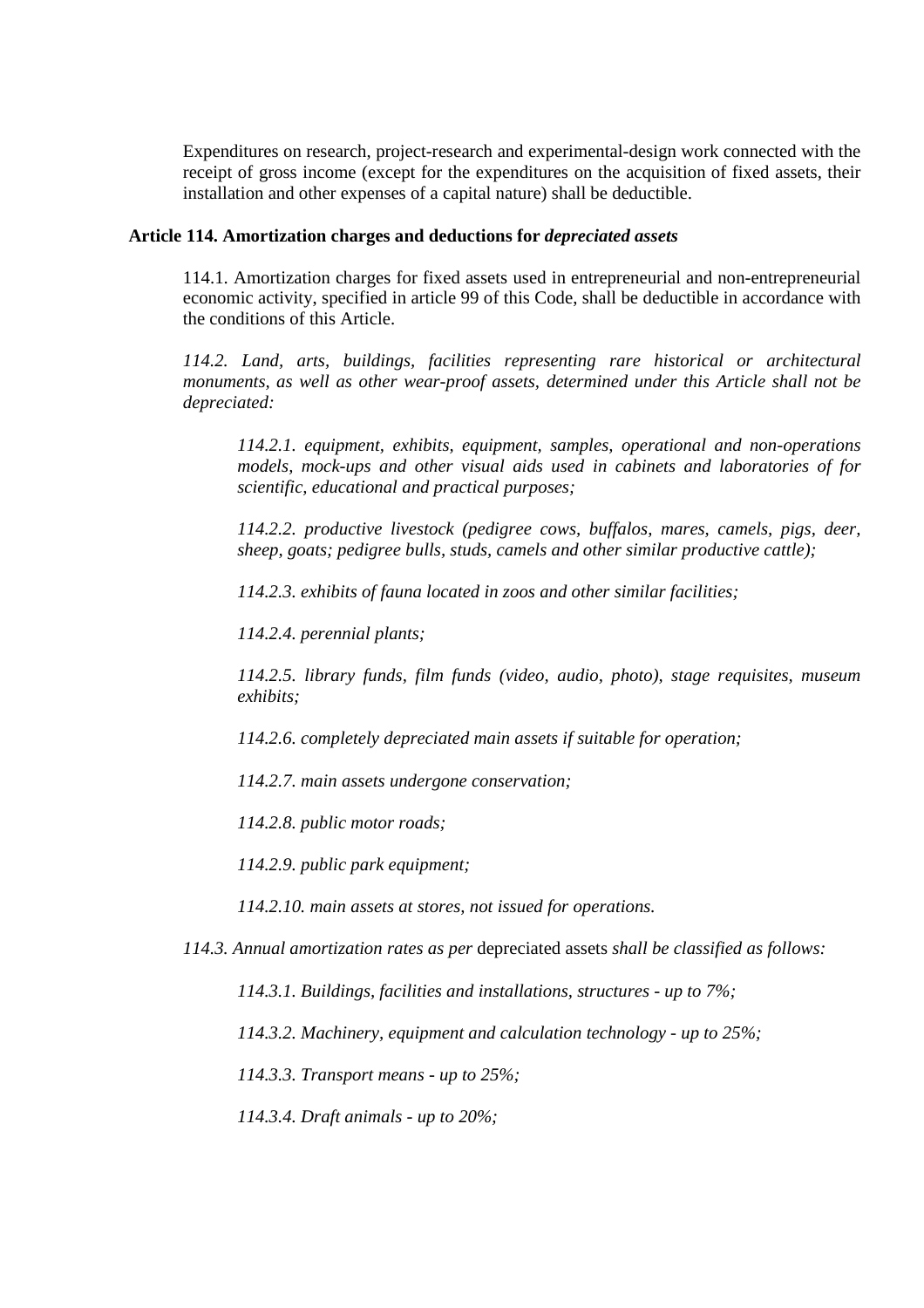Expenditures on research, project-research and experimental-design work connected with the receipt of gross income (except for the expenditures on the acquisition of fixed assets, their installation and other expenses of a capital nature) shall be deductible.

#### **Article 114. Amortization charges and deductions for** *depreciated assets*

114.1. Amortization charges for fixed assets used in entrepreneurial and non-entrepreneurial economic activity, specified in article 99 of this Code, shall be deductible in accordance with the conditions of this Article.

*114.2. Land, arts, buildings, facilities representing rare historical or architectural monuments, as well as other wear-proof assets, determined under this Article shall not be depreciated:* 

*114.2.1. equipment, exhibits, equipment, samples, operational and non-operations models, mock-ups and other visual aids used in cabinets and laboratories of for scientific, educational and practical purposes;* 

*114.2.2. productive livestock (pedigree cows, buffalos, mares, camels, pigs, deer, sheep, goats; pedigree bulls, studs, camels and other similar productive cattle);* 

*114.2.3. exhibits of fauna located in zoos and other similar facilities;* 

*114.2.4. perennial plants;* 

*114.2.5. library funds, film funds (video, audio, photo), stage requisites, museum exhibits;* 

*114.2.6. completely depreciated main assets if suitable for operation;* 

*114.2.7. main assets undergone conservation;* 

*114.2.8. public motor roads;* 

*114.2.9. public park equipment;* 

*114.2.10. main assets at stores, not issued for operations.* 

*114.3. Annual amortization rates as per* depreciated assets *shall be classified as follows:* 

*114.3.1. Buildings, facilities and installations, structures - up to 7%;* 

*114.3.2. Machinery, equipment and calculation technology - up to 25%;* 

*114.3.3. Transport means - up to 25%;* 

*114.3.4. Draft animals - up to 20%;*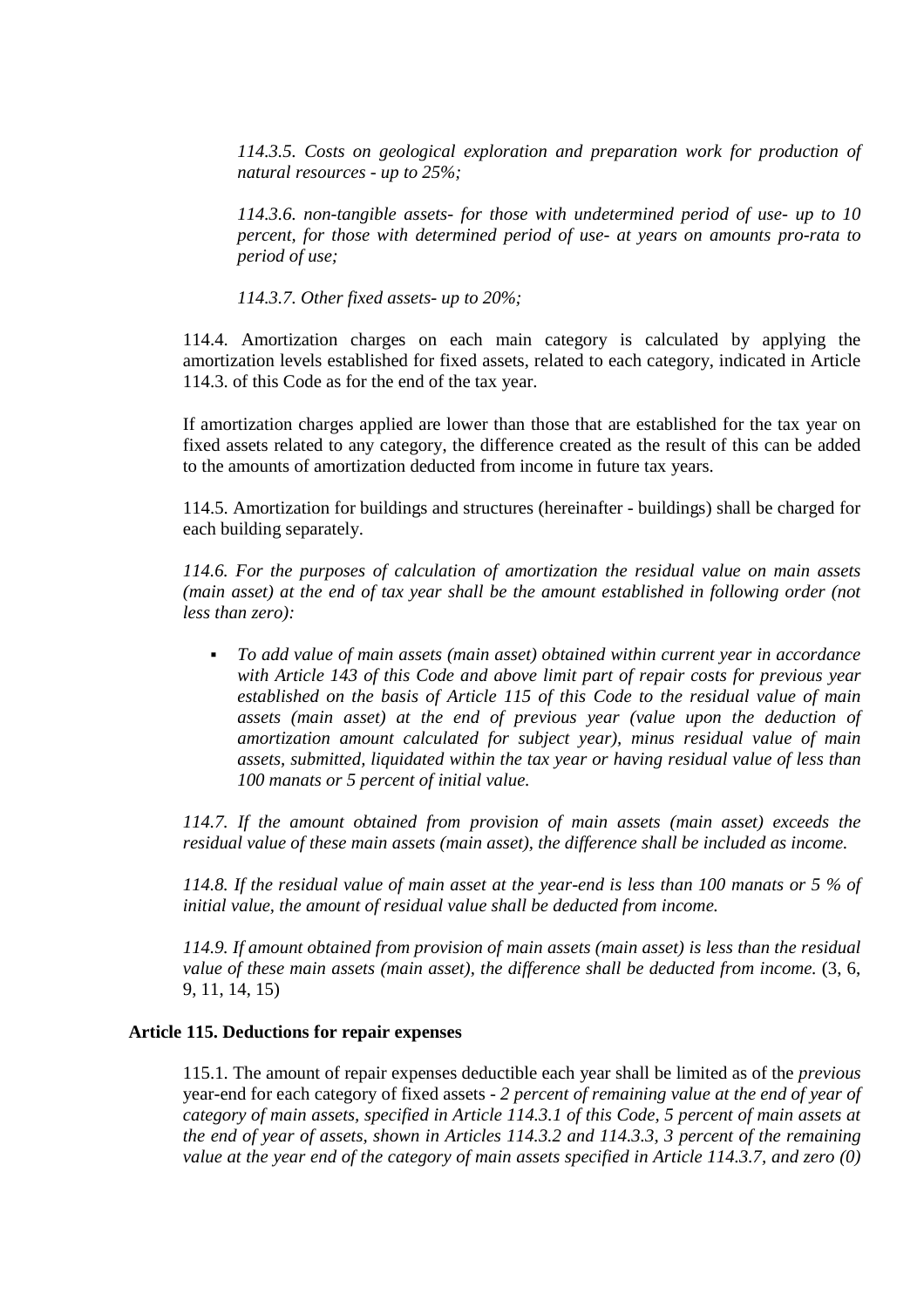*114.3.5. Costs on geological exploration and preparation work for production of natural resources - up to 25%;* 

*114.3.6. non-tangible assets- for those with undetermined period of use- up to 10 percent, for those with determined period of use- at years on amounts pro-rata to period of use;* 

*114.3.7. Other fixed assets- up to 20%;* 

114.4. Amortization charges on each main category is calculated by applying the amortization levels established for fixed assets, related to each category, indicated in Article 114.3. of this Code as for the end of the tax year.

If amortization charges applied are lower than those that are established for the tax year on fixed assets related to any category, the difference created as the result of this can be added to the amounts of amortization deducted from income in future tax years.

114.5. Amortization for buildings and structures (hereinafter - buildings) shall be charged for each building separately.

*114.6. For the purposes of calculation of amortization the residual value on main assets (main asset) at the end of tax year shall be the amount established in following order (not less than zero):* 

 *To add value of main assets (main asset) obtained within current year in accordance with Article 143 of this Code and above limit part of repair costs for previous year established on the basis of Article 115 of this Code to the residual value of main assets (main asset) at the end of previous year (value upon the deduction of amortization amount calculated for subject year), minus residual value of main assets, submitted, liquidated within the tax year or having residual value of less than 100 manats or 5 percent of initial value.* 

*114.7. If the amount obtained from provision of main assets (main asset) exceeds the residual value of these main assets (main asset), the difference shall be included as income.* 

*114.8. If the residual value of main asset at the year-end is less than 100 manats or 5 % of initial value, the amount of residual value shall be deducted from income.* 

*114.9. If amount obtained from provision of main assets (main asset) is less than the residual value of these main assets (main asset), the difference shall be deducted from income.* (3, 6, 9, 11, 14, 15)

# **Article 115. Deductions for repair expenses**

115.1. The amount of repair expenses deductible each year shall be limited as of the *previous*  year-end for each category of fixed assets - *2 percent of remaining value at the end of year of category of main assets, specified in Article 114.3.1 of this Code, 5 percent of main assets at the end of year of assets, shown in Articles 114.3.2 and 114.3.3, 3 percent of the remaining value at the year end of the category of main assets specified in Article 114.3.7, and zero (0)*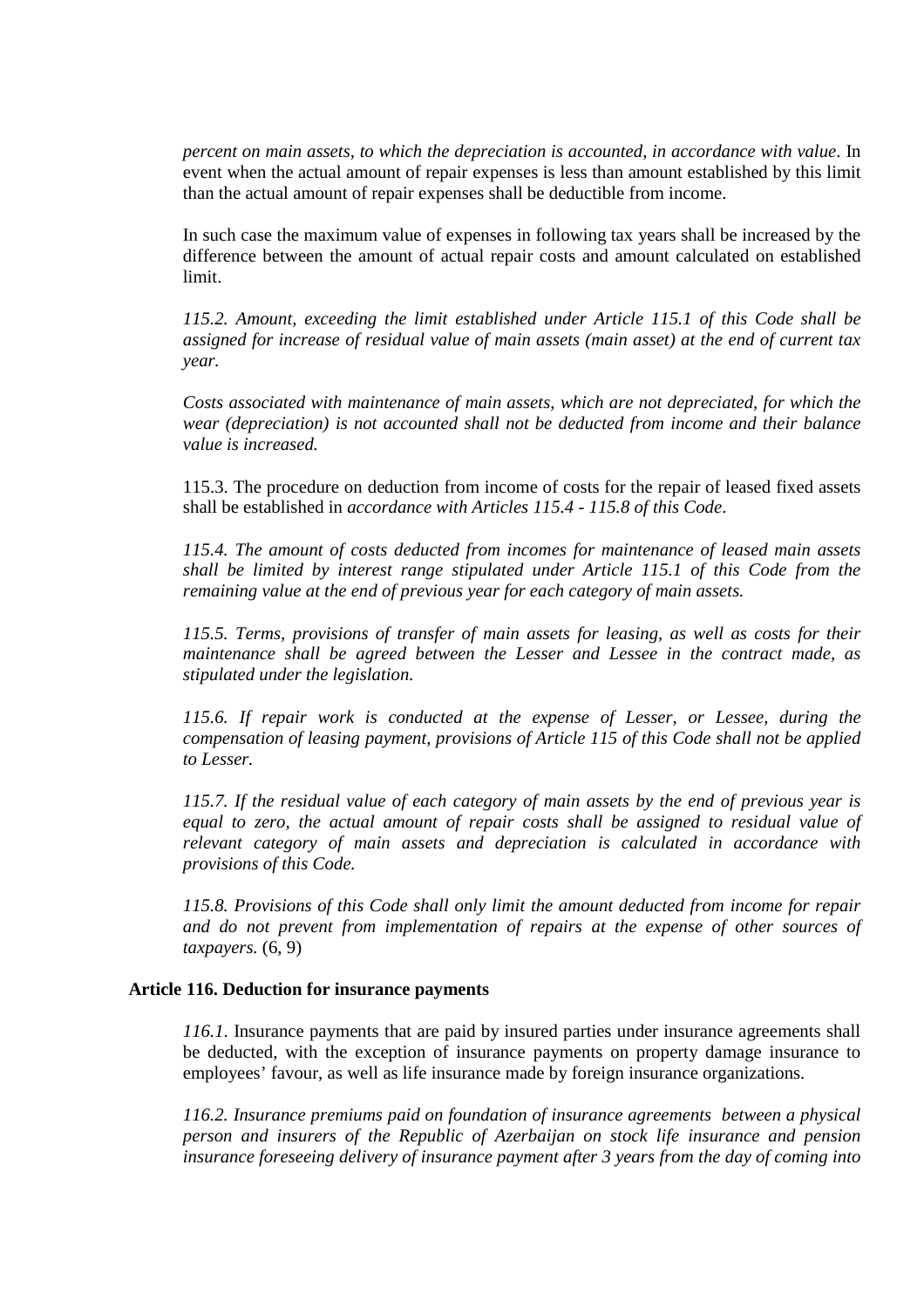*percent on main assets, to which the depreciation is accounted, in accordance with value*. In event when the actual amount of repair expenses is less than amount established by this limit than the actual amount of repair expenses shall be deductible from income.

In such case the maximum value of expenses in following tax years shall be increased by the difference between the amount of actual repair costs and amount calculated on established limit.

*115.2. Amount, exceeding the limit established under Article 115.1 of this Code shall be assigned for increase of residual value of main assets (main asset) at the end of current tax year.* 

*Costs associated with maintenance of main assets, which are not depreciated, for which the wear (depreciation) is not accounted shall not be deducted from income and their balance value is increased.* 

115.3. The procedure on deduction from income of costs for the repair of leased fixed assets shall be established in *accordance with Articles 115.4 - 115.8 of this Code*.

*115.4. The amount of costs deducted from incomes for maintenance of leased main assets shall be limited by interest range stipulated under Article 115.1 of this Code from the remaining value at the end of previous year for each category of main assets.* 

*115.5. Terms, provisions of transfer of main assets for leasing, as well as costs for their maintenance shall be agreed between the Lesser and Lessee in the contract made, as stipulated under the legislation.* 

*115.6. If repair work is conducted at the expense of Lesser, or Lessee, during the compensation of leasing payment, provisions of Article 115 of this Code shall not be applied to Lesser.* 

*115.7. If the residual value of each category of main assets by the end of previous year is equal to zero, the actual amount of repair costs shall be assigned to residual value of relevant category of main assets and depreciation is calculated in accordance with provisions of this Code.* 

*115.8. Provisions of this Code shall only limit the amount deducted from income for repair and do not prevent from implementation of repairs at the expense of other sources of taxpayers.* (6, 9)

#### **Article 116. Deduction for insurance payments**

*116.1*. Insurance payments that are paid by insured parties under insurance agreements shall be deducted, with the exception of insurance payments on property damage insurance to employees' favour, as well as life insurance made by foreign insurance organizations.

*116.2. Insurance premiums paid on foundation of insurance agreements between a physical person and insurers of the Republic of Azerbaijan on stock life insurance and pension insurance foreseeing delivery of insurance payment after 3 years from the day of coming into*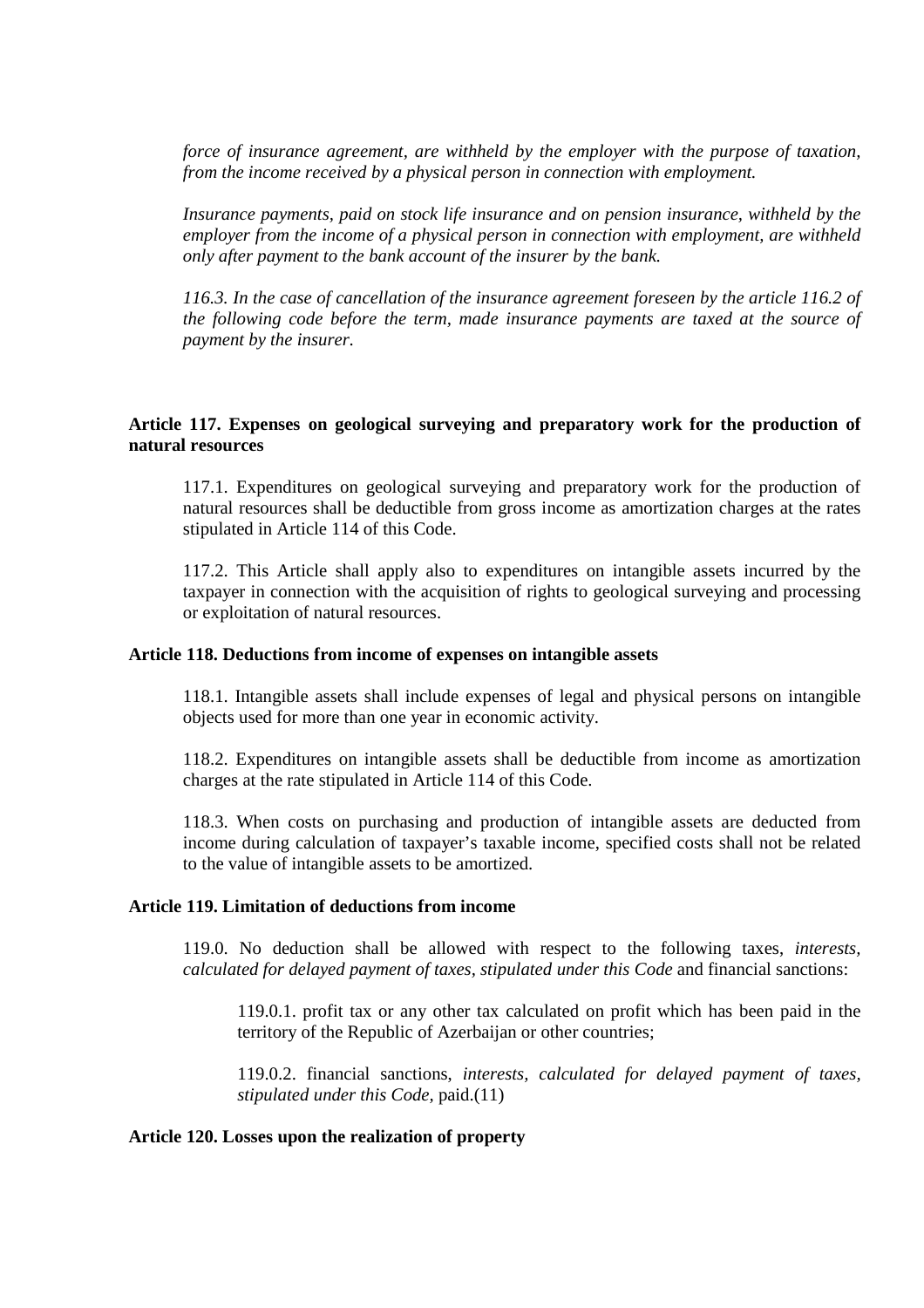*force of insurance agreement, are withheld by the employer with the purpose of taxation, from the income received by a physical person in connection with employment.* 

*Insurance payments, paid on stock life insurance and on pension insurance, withheld by the employer from the income of a physical person in connection with employment, are withheld only after payment to the bank account of the insurer by the bank.* 

*116.3. In the case of cancellation of the insurance agreement foreseen by the article 116.2 of the following code before the term, made insurance payments are taxed at the source of payment by the insurer.* 

#### **Article 117. Expenses on geological surveying and preparatory work for the production of natural resources**

117.1. Expenditures on geological surveying and preparatory work for the production of natural resources shall be deductible from gross income as amortization charges at the rates stipulated in Article 114 of this Code.

117.2. This Article shall apply also to expenditures on intangible assets incurred by the taxpayer in connection with the acquisition of rights to geological surveying and processing or exploitation of natural resources.

#### **Article 118. Deductions from income of expenses on intangible assets**

118.1. Intangible assets shall include expenses of legal and physical persons on intangible objects used for more than one year in economic activity.

118.2. Expenditures on intangible assets shall be deductible from income as amortization charges at the rate stipulated in Article 114 of this Code.

118.3. When costs on purchasing and production of intangible assets are deducted from income during calculation of taxpayer's taxable income, specified costs shall not be related to the value of intangible assets to be amortized.

#### **Article 119. Limitation of deductions from income**

119.0. No deduction shall be allowed with respect to the following taxes, *interests, calculated for delayed payment of taxes, stipulated under this Code* and financial sanctions:

119.0.1. profit tax or any other tax calculated on profit which has been paid in the territory of the Republic of Azerbaijan or other countries;

119.0.2. financial sanctions, *interests, calculated for delayed payment of taxes, stipulated under this Code,* paid.(11)

## **Article 120. Losses upon the realization of property**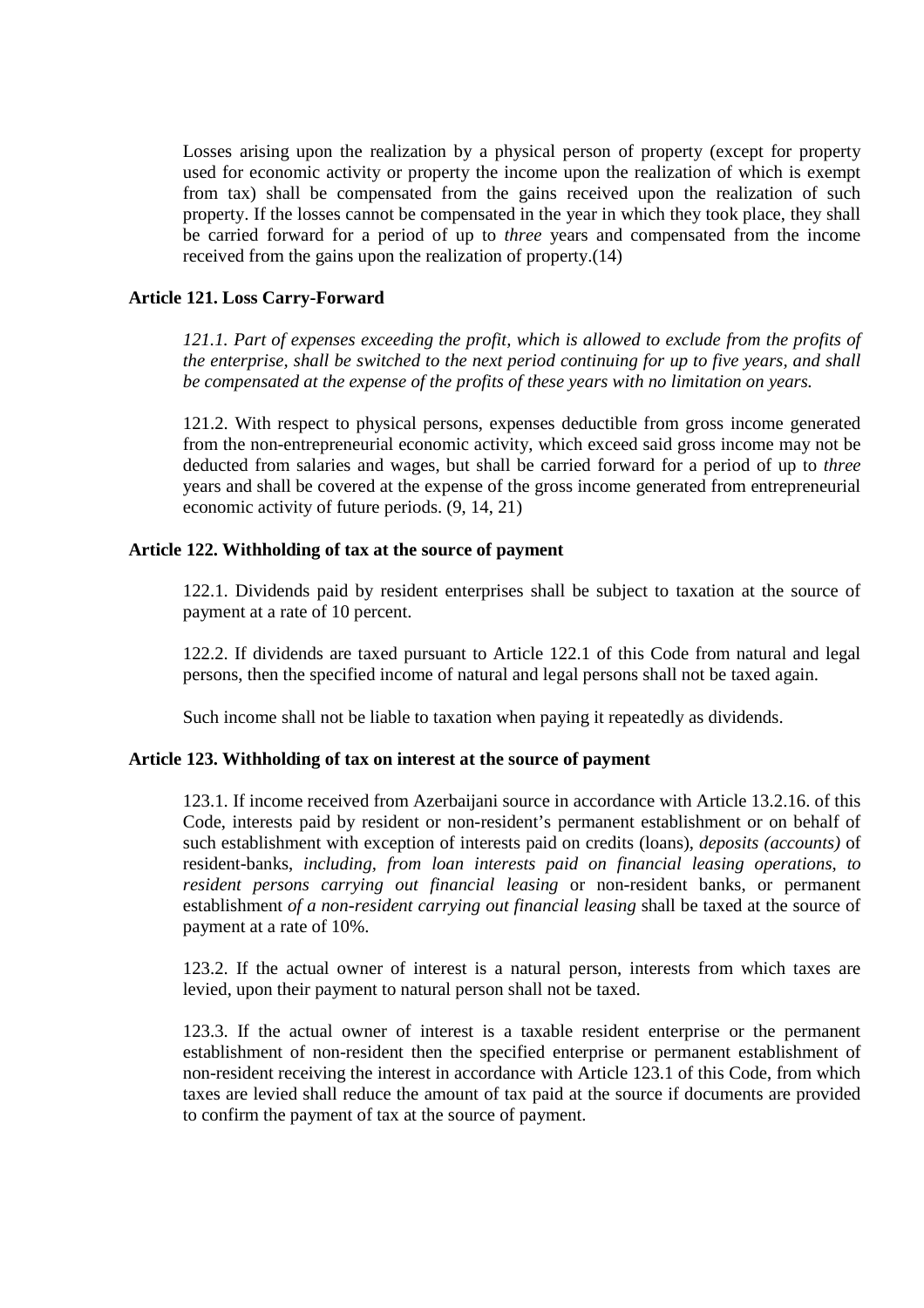Losses arising upon the realization by a physical person of property (except for property used for economic activity or property the income upon the realization of which is exempt from tax) shall be compensated from the gains received upon the realization of such property. If the losses cannot be compensated in the year in which they took place, they shall be carried forward for a period of up to *three* years and compensated from the income received from the gains upon the realization of property.(14)

# **Article 121. Loss Carry-Forward**

*121.1. Part of expenses exceeding the profit, which is allowed to exclude from the profits of the enterprise, shall be switched to the next period continuing for up to five years, and shall be compensated at the expense of the profits of these years with no limitation on years.*

121.2. With respect to physical persons, expenses deductible from gross income generated from the non-entrepreneurial economic activity, which exceed said gross income may not be deducted from salaries and wages, but shall be carried forward for a period of up to *three*  years and shall be covered at the expense of the gross income generated from entrepreneurial economic activity of future periods. (9, 14, 21)

#### **Article 122. Withholding of tax at the source of payment**

122.1. Dividends paid by resident enterprises shall be subject to taxation at the source of payment at a rate of 10 percent.

122.2. If dividends are taxed pursuant to Article 122.1 of this Code from natural and legal persons, then the specified income of natural and legal persons shall not be taxed again.

Such income shall not be liable to taxation when paying it repeatedly as dividends.

#### **Article 123. Withholding of tax on interest at the source of payment**

123.1. If income received from Azerbaijani source in accordance with Article 13.2.16. of this Code, interests paid by resident or non-resident's permanent establishment or on behalf of such establishment with exception of interests paid on credits (loans), *deposits (accounts)* of resident-banks, *including, from loan interests paid on financial leasing operations*, *to resident persons carrying out financial leasing* or non-resident banks, or permanent establishment *of a non-resident carrying out financial leasing* shall be taxed at the source of payment at a rate of 10%.

123.2. If the actual owner of interest is a natural person, interests from which taxes are levied, upon their payment to natural person shall not be taxed.

123.3. If the actual owner of interest is a taxable resident enterprise or the permanent establishment of non-resident then the specified enterprise or permanent establishment of non-resident receiving the interest in accordance with Article 123.1 of this Code, from which taxes are levied shall reduce the amount of tax paid at the source if documents are provided to confirm the payment of tax at the source of payment.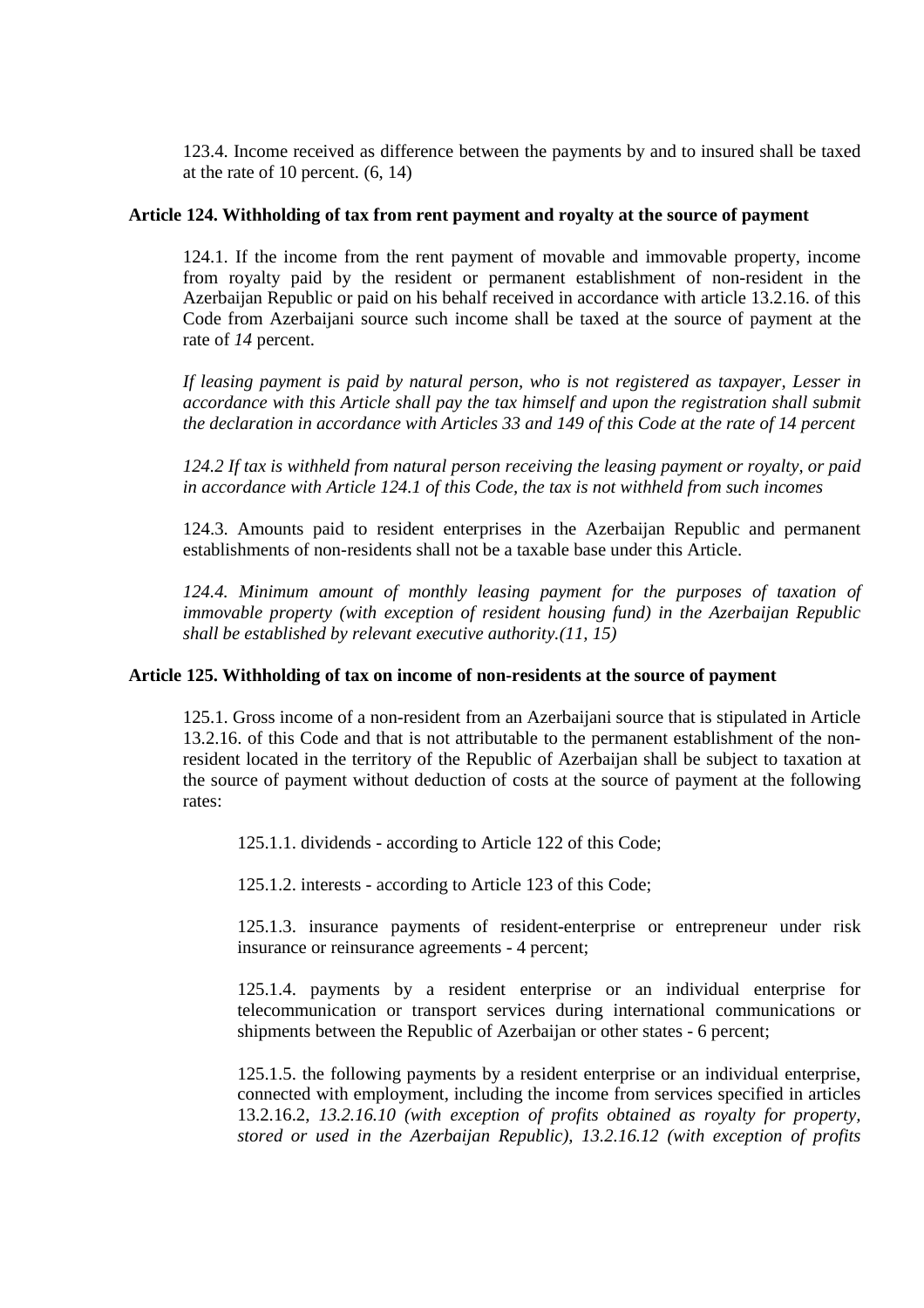123.4. Income received as difference between the payments by and to insured shall be taxed at the rate of 10 percent. (6, 14)

# **Article 124. Withholding of tax from rent payment and royalty at the source of payment**

124.1. If the income from the rent payment of movable and immovable property, income from royalty paid by the resident or permanent establishment of non-resident in the Azerbaijan Republic or paid on his behalf received in accordance with article 13.2.16. of this Code from Azerbaijani source such income shall be taxed at the source of payment at the rate of *14* percent.

*If leasing payment is paid by natural person, who is not registered as taxpayer, Lesser in accordance with this Article shall pay the tax himself and upon the registration shall submit the declaration in accordance with Articles 33 and 149 of this Code at the rate of 14 percent* 

*124.2 If tax is withheld from natural person receiving the leasing payment or royalty, or paid in accordance with Article 124.1 of this Code, the tax is not withheld from such incomes* 

124.3. Amounts paid to resident enterprises in the Azerbaijan Republic and permanent establishments of non-residents shall not be a taxable base under this Article.

*124.4. Minimum amount of monthly leasing payment for the purposes of taxation of immovable property (with exception of resident housing fund) in the Azerbaijan Republic shall be established by relevant executive authority.(11, 15)*

# **Article 125. Withholding of tax on income of non-residents at the source of payment**

125.1. Gross income of a non-resident from an Azerbaijani source that is stipulated in Article 13.2.16. of this Code and that is not attributable to the permanent establishment of the nonresident located in the territory of the Republic of Azerbaijan shall be subject to taxation at the source of payment without deduction of costs at the source of payment at the following rates:

125.1.1. dividends - according to Article 122 of this Code;

125.1.2. interests - according to Article 123 of this Code;

125.1.3. insurance payments of resident-enterprise or entrepreneur under risk insurance or reinsurance agreements - 4 percent;

125.1.4. payments by a resident enterprise or an individual enterprise for telecommunication or transport services during international communications or shipments between the Republic of Azerbaijan or other states - 6 percent;

125.1.5. the following payments by a resident enterprise or an individual enterprise, connected with employment, including the income from services specified in articles 13.2.16.2, *13.2.16.10 (with exception of profits obtained as royalty for property, stored or used in the Azerbaijan Republic), 13.2.16.12 (with exception of profits*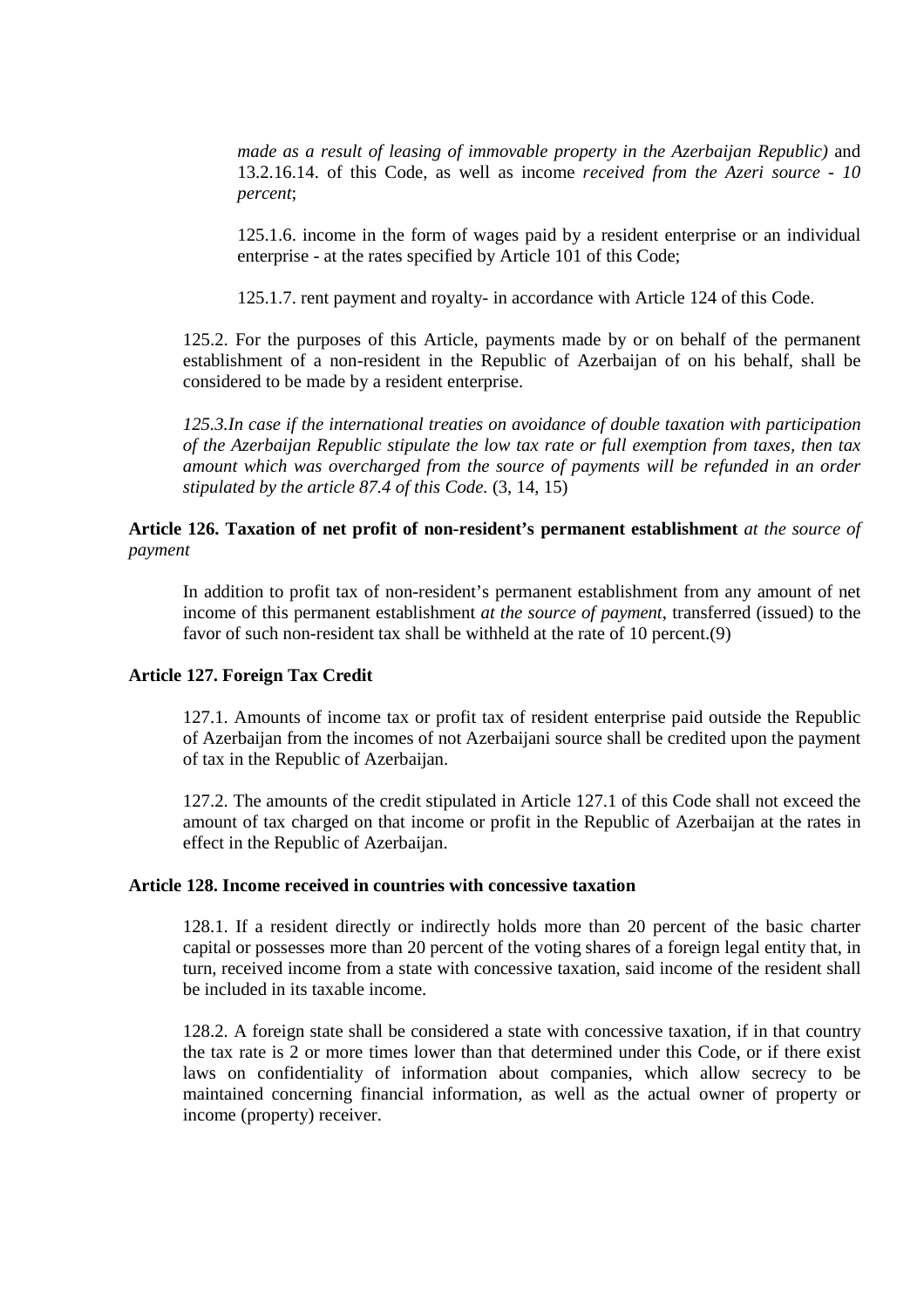*made as a result of leasing of immovable property in the Azerbaijan Republic)* and 13.2.16.14. of this Code, as well as income *received from the Azeri source - 10 percent*;

125.1.6. income in the form of wages paid by a resident enterprise or an individual enterprise - at the rates specified by Article 101 of this Code;

125.1.7. rent payment and royalty- in accordance with Article 124 of this Code.

125.2. For the purposes of this Article, payments made by or on behalf of the permanent establishment of a non-resident in the Republic of Azerbaijan of on his behalf, shall be considered to be made by a resident enterprise.

*125.3.In case if the international treaties on avoidance of double taxation with participation of the Azerbaijan Republic stipulate the low tax rate or full exemption from taxes, then tax amount which was overcharged from the source of payments will be refunded in an order stipulated by the article 87.4 of this Code.* (3, 14, 15)

# **Article 126. Taxation of net profit of non-resident's permanent establishment** *at the source of payment*

In addition to profit tax of non-resident's permanent establishment from any amount of net income of this permanent establishment *at the source of payment*, transferred (issued) to the favor of such non-resident tax shall be withheld at the rate of 10 percent.(9)

#### **Article 127. Foreign Tax Credit**

127.1. Amounts of income tax or profit tax of resident enterprise paid outside the Republic of Azerbaijan from the incomes of not Azerbaijani source shall be credited upon the payment of tax in the Republic of Azerbaijan.

127.2. The amounts of the credit stipulated in Article 127.1 of this Code shall not exceed the amount of tax charged on that income or profit in the Republic of Azerbaijan at the rates in effect in the Republic of Azerbaijan.

#### **Article 128. Income received in countries with concessive taxation**

128.1. If a resident directly or indirectly holds more than 20 percent of the basic charter capital or possesses more than 20 percent of the voting shares of a foreign legal entity that, in turn, received income from a state with concessive taxation, said income of the resident shall be included in its taxable income.

128.2. A foreign state shall be considered a state with concessive taxation, if in that country the tax rate is 2 or more times lower than that determined under this Code, or if there exist laws on confidentiality of information about companies, which allow secrecy to be maintained concerning financial information, as well as the actual owner of property or income (property) receiver.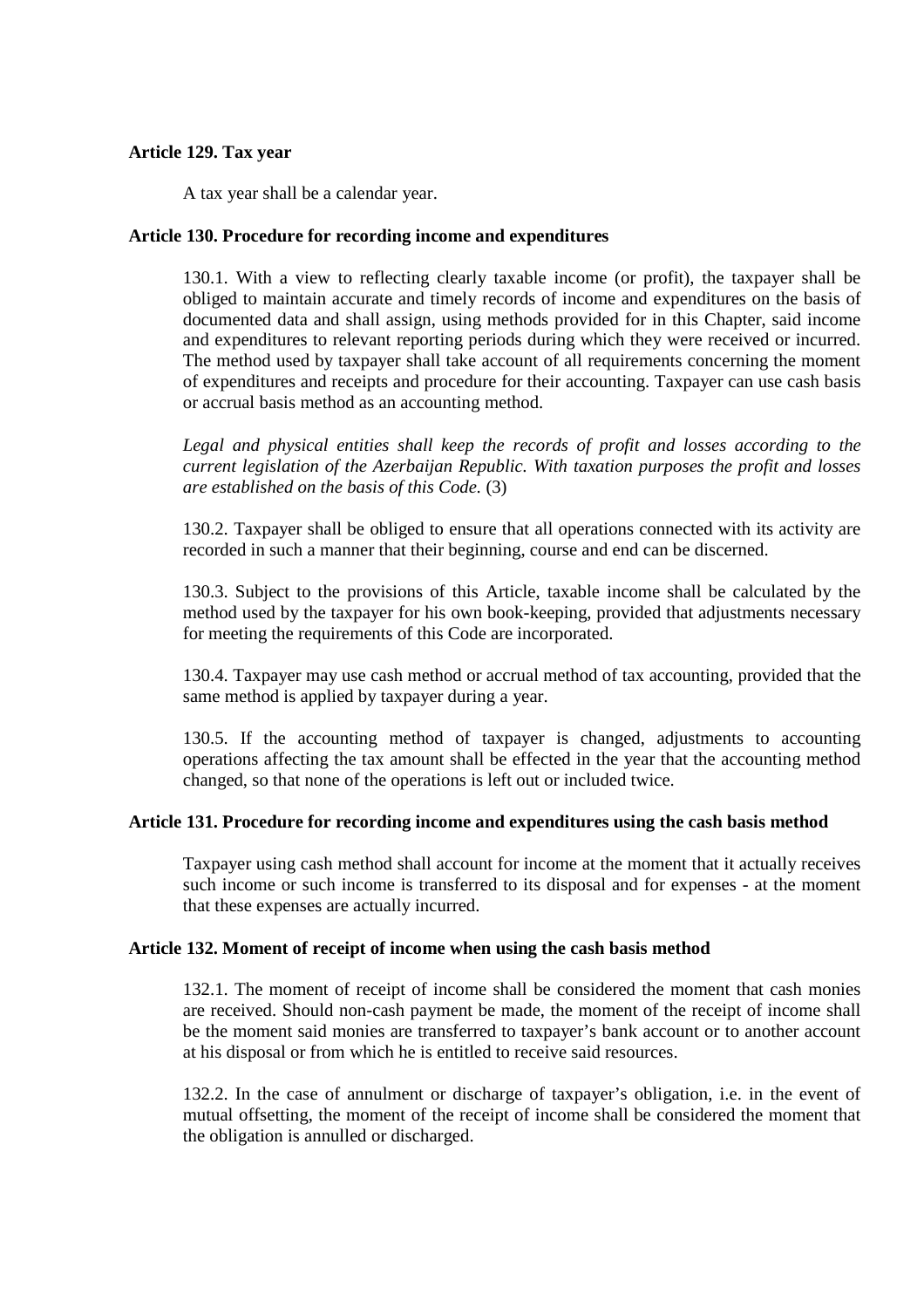# **Article 129. Tax year**

A tax year shall be a calendar year.

# **Article 130. Procedure for recording income and expenditures**

130.1. With a view to reflecting clearly taxable income (or profit), the taxpayer shall be obliged to maintain accurate and timely records of income and expenditures on the basis of documented data and shall assign, using methods provided for in this Chapter, said income and expenditures to relevant reporting periods during which they were received or incurred. The method used by taxpayer shall take account of all requirements concerning the moment of expenditures and receipts and procedure for their accounting. Taxpayer can use cash basis or accrual basis method as an accounting method.

*Legal and physical entities shall keep the records of profit and losses according to the current legislation of the Azerbaijan Republic. With taxation purposes the profit and losses are established on the basis of this Code.* (3)

130.2. Taxpayer shall be obliged to ensure that all operations connected with its activity are recorded in such a manner that their beginning, course and end can be discerned.

130.3. Subject to the provisions of this Article, taxable income shall be calculated by the method used by the taxpayer for his own book-keeping, provided that adjustments necessary for meeting the requirements of this Code are incorporated.

130.4. Taxpayer may use cash method or accrual method of tax accounting, provided that the same method is applied by taxpayer during a year.

130.5. If the accounting method of taxpayer is changed, adjustments to accounting operations affecting the tax amount shall be effected in the year that the accounting method changed, so that none of the operations is left out or included twice.

# **Article 131. Procedure for recording income and expenditures using the cash basis method**

Taxpayer using cash method shall account for income at the moment that it actually receives such income or such income is transferred to its disposal and for expenses - at the moment that these expenses are actually incurred.

#### **Article 132. Moment of receipt of income when using the cash basis method**

132.1. The moment of receipt of income shall be considered the moment that cash monies are received. Should non-cash payment be made, the moment of the receipt of income shall be the moment said monies are transferred to taxpayer's bank account or to another account at his disposal or from which he is entitled to receive said resources.

132.2. In the case of annulment or discharge of taxpayer's obligation, i.e. in the event of mutual offsetting, the moment of the receipt of income shall be considered the moment that the obligation is annulled or discharged.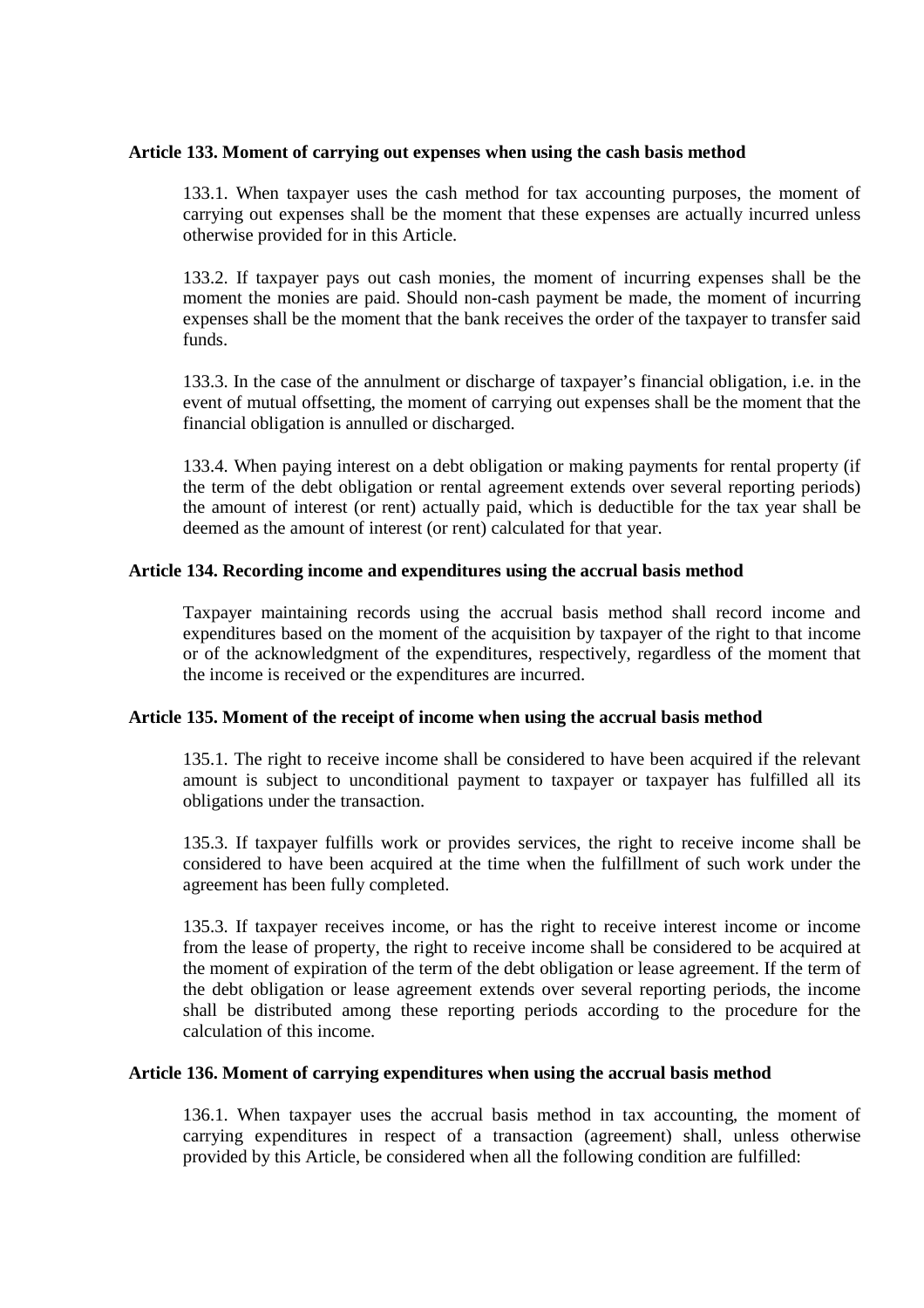## **Article 133. Moment of carrying out expenses when using the cash basis method**

133.1. When taxpayer uses the cash method for tax accounting purposes, the moment of carrying out expenses shall be the moment that these expenses are actually incurred unless otherwise provided for in this Article.

133.2. If taxpayer pays out cash monies, the moment of incurring expenses shall be the moment the monies are paid. Should non-cash payment be made, the moment of incurring expenses shall be the moment that the bank receives the order of the taxpayer to transfer said funds.

133.3. In the case of the annulment or discharge of taxpayer's financial obligation, i.e. in the event of mutual offsetting, the moment of carrying out expenses shall be the moment that the financial obligation is annulled or discharged.

133.4. When paying interest on a debt obligation or making payments for rental property (if the term of the debt obligation or rental agreement extends over several reporting periods) the amount of interest (or rent) actually paid, which is deductible for the tax year shall be deemed as the amount of interest (or rent) calculated for that year.

# **Article 134. Recording income and expenditures using the accrual basis method**

Taxpayer maintaining records using the accrual basis method shall record income and expenditures based on the moment of the acquisition by taxpayer of the right to that income or of the acknowledgment of the expenditures, respectively, regardless of the moment that the income is received or the expenditures are incurred.

#### **Article 135. Moment of the receipt of income when using the accrual basis method**

135.1. The right to receive income shall be considered to have been acquired if the relevant amount is subject to unconditional payment to taxpayer or taxpayer has fulfilled all its obligations under the transaction.

135.3. If taxpayer fulfills work or provides services, the right to receive income shall be considered to have been acquired at the time when the fulfillment of such work under the agreement has been fully completed.

135.3. If taxpayer receives income, or has the right to receive interest income or income from the lease of property, the right to receive income shall be considered to be acquired at the moment of expiration of the term of the debt obligation or lease agreement. If the term of the debt obligation or lease agreement extends over several reporting periods, the income shall be distributed among these reporting periods according to the procedure for the calculation of this income.

#### **Article 136. Moment of carrying expenditures when using the accrual basis method**

136.1. When taxpayer uses the accrual basis method in tax accounting, the moment of carrying expenditures in respect of a transaction (agreement) shall, unless otherwise provided by this Article, be considered when all the following condition are fulfilled: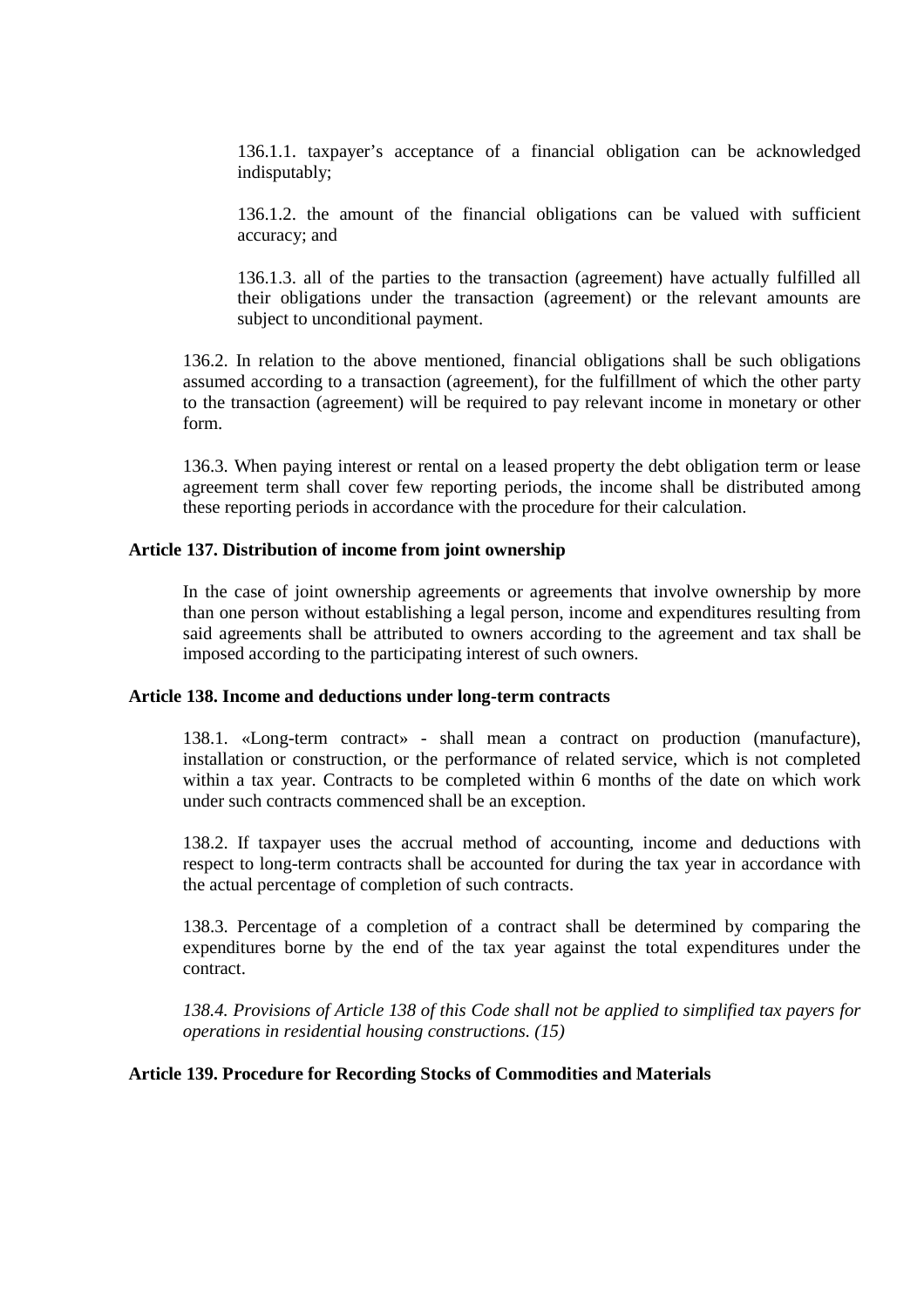136.1.1. taxpayer's acceptance of a financial obligation can be acknowledged indisputably;

136.1.2. the amount of the financial obligations can be valued with sufficient accuracy; and

136.1.3. all of the parties to the transaction (agreement) have actually fulfilled all their obligations under the transaction (agreement) or the relevant amounts are subject to unconditional payment.

136.2. In relation to the above mentioned, financial obligations shall be such obligations assumed according to a transaction (agreement), for the fulfillment of which the other party to the transaction (agreement) will be required to pay relevant income in monetary or other form.

136.3. When paying interest or rental on a leased property the debt obligation term or lease agreement term shall cover few reporting periods, the income shall be distributed among these reporting periods in accordance with the procedure for their calculation.

#### **Article 137. Distribution of income from joint ownership**

In the case of joint ownership agreements or agreements that involve ownership by more than one person without establishing a legal person, income and expenditures resulting from said agreements shall be attributed to owners according to the agreement and tax shall be imposed according to the participating interest of such owners.

#### **Article 138. Income and deductions under long-term contracts**

138.1. «Long-term contract» - shall mean a contract on production (manufacture), installation or construction, or the performance of related service, which is not completed within a tax year. Contracts to be completed within 6 months of the date on which work under such contracts commenced shall be an exception.

138.2. If taxpayer uses the accrual method of accounting, income and deductions with respect to long-term contracts shall be accounted for during the tax year in accordance with the actual percentage of completion of such contracts.

138.3. Percentage of a completion of a contract shall be determined by comparing the expenditures borne by the end of the tax year against the total expenditures under the contract.

*138.4. Provisions of Article 138 of this Code shall not be applied to simplified tax payers for operations in residential housing constructions. (15)*

#### **Article 139. Procedure for Recording Stocks of Commodities and Materials**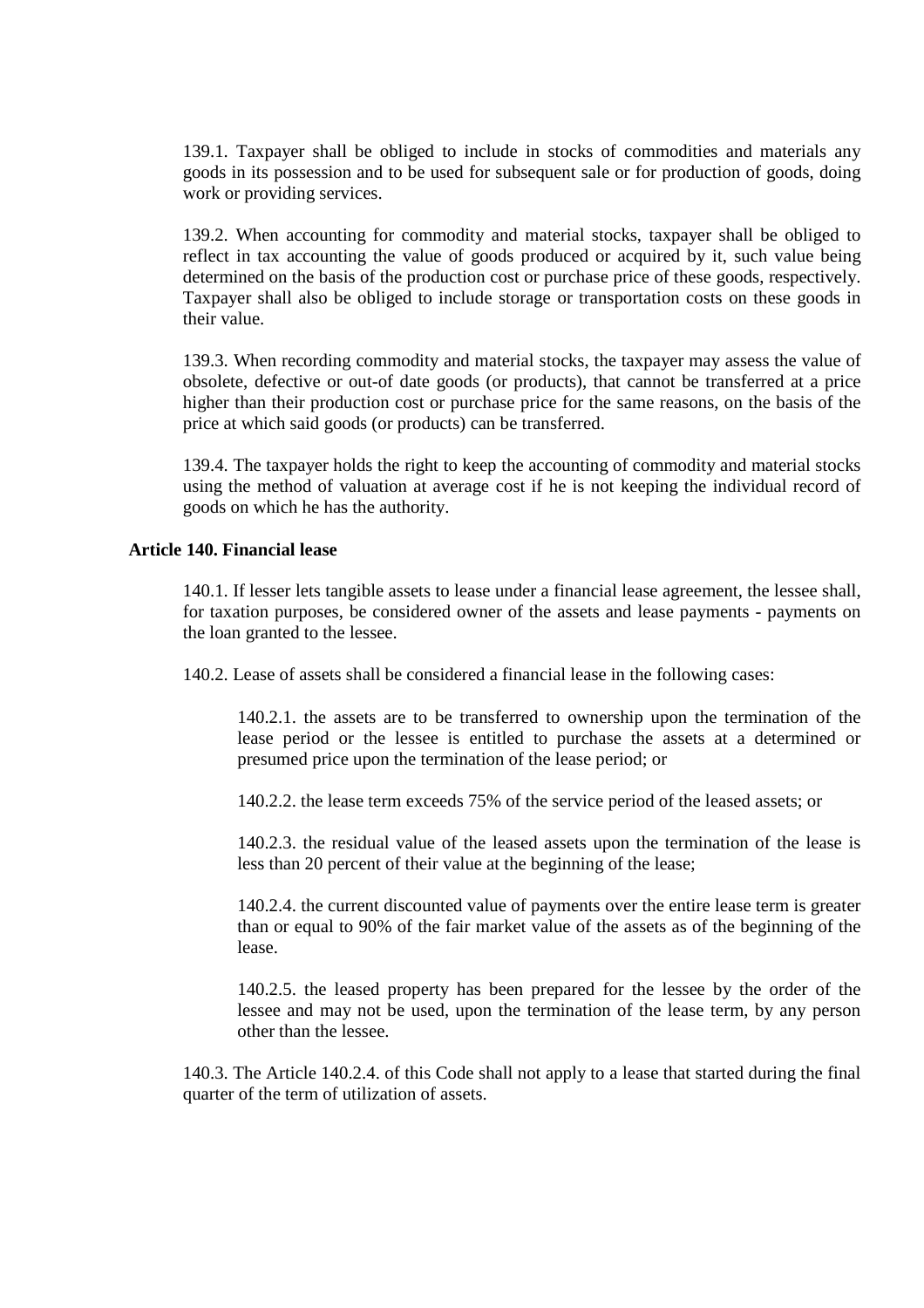139.1. Taxpayer shall be obliged to include in stocks of commodities and materials any goods in its possession and to be used for subsequent sale or for production of goods, doing work or providing services.

139.2. When accounting for commodity and material stocks, taxpayer shall be obliged to reflect in tax accounting the value of goods produced or acquired by it, such value being determined on the basis of the production cost or purchase price of these goods, respectively. Taxpayer shall also be obliged to include storage or transportation costs on these goods in their value.

139.3. When recording commodity and material stocks, the taxpayer may assess the value of obsolete, defective or out-of date goods (or products), that cannot be transferred at a price higher than their production cost or purchase price for the same reasons, on the basis of the price at which said goods (or products) can be transferred.

139.4. The taxpayer holds the right to keep the accounting of commodity and material stocks using the method of valuation at average cost if he is not keeping the individual record of goods on which he has the authority.

#### **Article 140. Financial lease**

140.1. If lesser lets tangible assets to lease under a financial lease agreement, the lessee shall, for taxation purposes, be considered owner of the assets and lease payments - payments on the loan granted to the lessee.

140.2. Lease of assets shall be considered a financial lease in the following cases:

140.2.1. the assets are to be transferred to ownership upon the termination of the lease period or the lessee is entitled to purchase the assets at a determined or presumed price upon the termination of the lease period; or

140.2.2. the lease term exceeds 75% of the service period of the leased assets; or

140.2.3. the residual value of the leased assets upon the termination of the lease is less than 20 percent of their value at the beginning of the lease;

140.2.4. the current discounted value of payments over the entire lease term is greater than or equal to 90% of the fair market value of the assets as of the beginning of the lease.

140.2.5. the leased property has been prepared for the lessee by the order of the lessee and may not be used, upon the termination of the lease term, by any person other than the lessee.

140.3. The Article 140.2.4. of this Code shall not apply to a lease that started during the final quarter of the term of utilization of assets.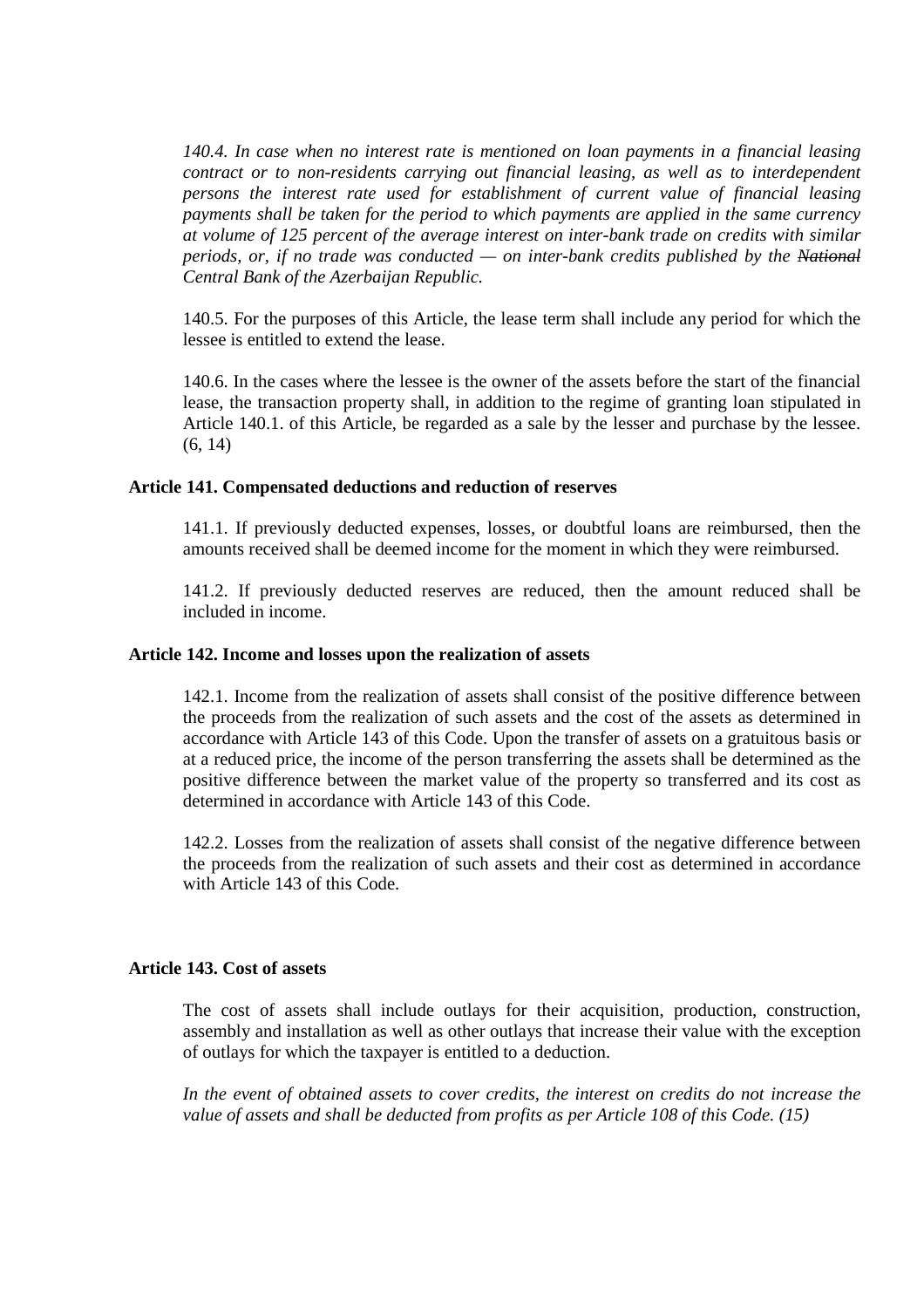*140.4. In case when no interest rate is mentioned on loan payments in a financial leasing contract or to non-residents carrying out financial leasing, as well as to interdependent persons the interest rate used for establishment of current value of financial leasing payments shall be taken for the period to which payments are applied in the same currency at volume of 125 percent of the average interest on inter-bank trade on credits with similar periods, or, if no trade was conducted — on inter-bank credits published by the National Central Bank of the Azerbaijan Republic.*

140.5. For the purposes of this Article, the lease term shall include any period for which the lessee is entitled to extend the lease.

140.6. In the cases where the lessee is the owner of the assets before the start of the financial lease, the transaction property shall, in addition to the regime of granting loan stipulated in Article 140.1. of this Article, be regarded as a sale by the lesser and purchase by the lessee. (6, 14)

# **Article 141. Compensated deductions and reduction of reserves**

141.1. If previously deducted expenses, losses, or doubtful loans are reimbursed, then the amounts received shall be deemed income for the moment in which they were reimbursed.

141.2. If previously deducted reserves are reduced, then the amount reduced shall be included in income.

#### **Article 142. Income and losses upon the realization of assets**

142.1. Income from the realization of assets shall consist of the positive difference between the proceeds from the realization of such assets and the cost of the assets as determined in accordance with Article 143 of this Code. Upon the transfer of assets on a gratuitous basis or at a reduced price, the income of the person transferring the assets shall be determined as the positive difference between the market value of the property so transferred and its cost as determined in accordance with Article 143 of this Code.

142.2. Losses from the realization of assets shall consist of the negative difference between the proceeds from the realization of such assets and their cost as determined in accordance with Article 143 of this Code.

### **Article 143. Cost of assets**

The cost of assets shall include outlays for their acquisition, production, construction, assembly and installation as well as other outlays that increase their value with the exception of outlays for which the taxpayer is entitled to a deduction.

*In the event of obtained assets to cover credits, the interest on credits do not increase the value of assets and shall be deducted from profits as per Article 108 of this Code. (15)*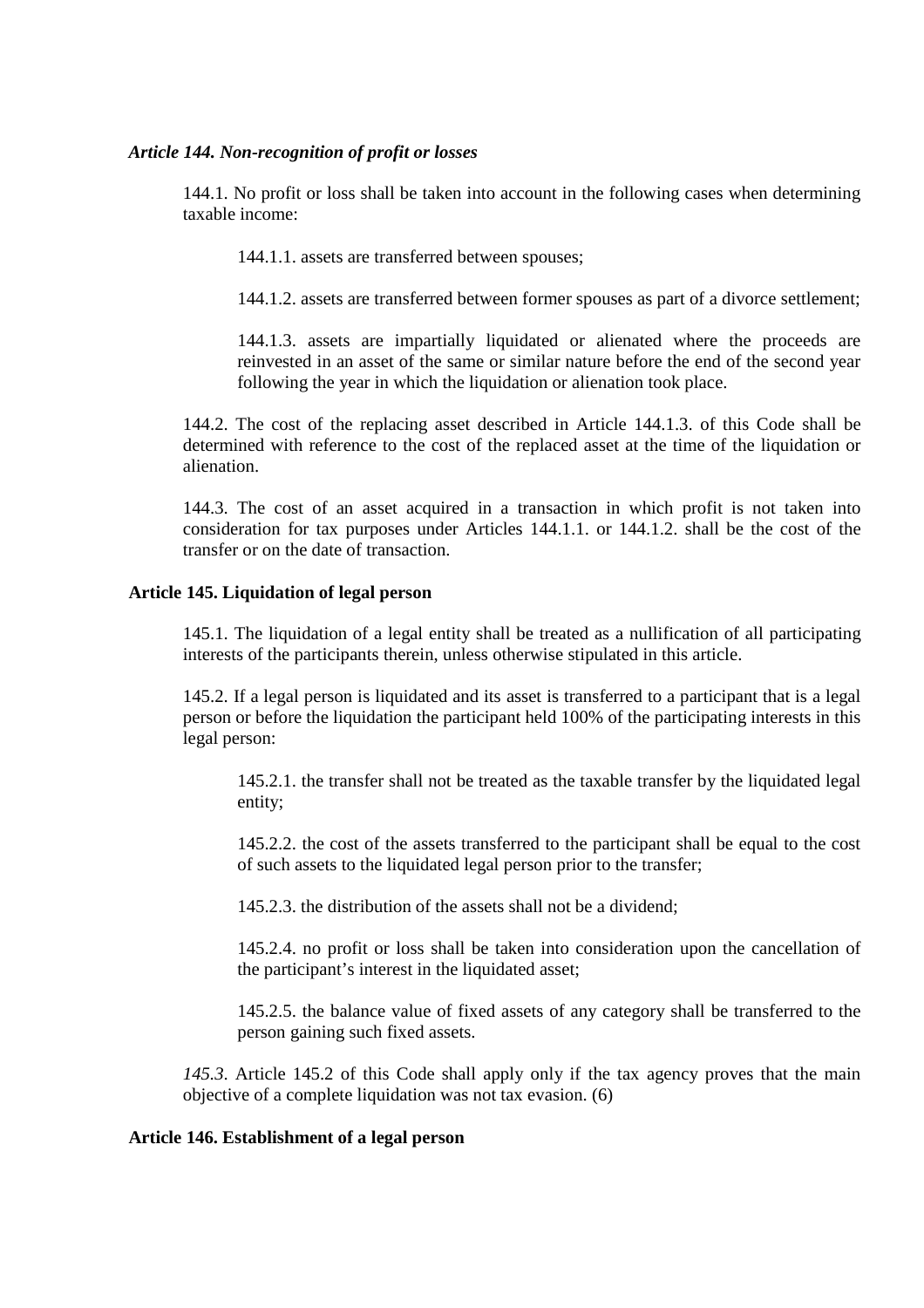# *Article 144. Non-recognition of profit or losses*

144.1. No profit or loss shall be taken into account in the following cases when determining taxable income:

144.1.1. assets are transferred between spouses;

144.1.2. assets are transferred between former spouses as part of a divorce settlement;

144.1.3. assets are impartially liquidated or alienated where the proceeds are reinvested in an asset of the same or similar nature before the end of the second year following the year in which the liquidation or alienation took place.

144.2. The cost of the replacing asset described in Article 144.1.3. of this Code shall be determined with reference to the cost of the replaced asset at the time of the liquidation or alienation.

144.3. The cost of an asset acquired in a transaction in which profit is not taken into consideration for tax purposes under Articles 144.1.1. or 144.1.2. shall be the cost of the transfer or on the date of transaction.

# **Article 145. Liquidation of legal person**

145.1. The liquidation of a legal entity shall be treated as a nullification of all participating interests of the participants therein, unless otherwise stipulated in this article.

145.2. If a legal person is liquidated and its asset is transferred to a participant that is a legal person or before the liquidation the participant held 100% of the participating interests in this legal person:

145.2.1. the transfer shall not be treated as the taxable transfer by the liquidated legal entity;

145.2.2. the cost of the assets transferred to the participant shall be equal to the cost of such assets to the liquidated legal person prior to the transfer;

145.2.3. the distribution of the assets shall not be a dividend;

145.2.4. no profit or loss shall be taken into consideration upon the cancellation of the participant's interest in the liquidated asset;

145.2.5. the balance value of fixed assets of any category shall be transferred to the person gaining such fixed assets.

*145.3*. Article 145.2 of this Code shall apply only if the tax agency proves that the main objective of a complete liquidation was not tax evasion. (6)

# **Article 146. Establishment of a legal person**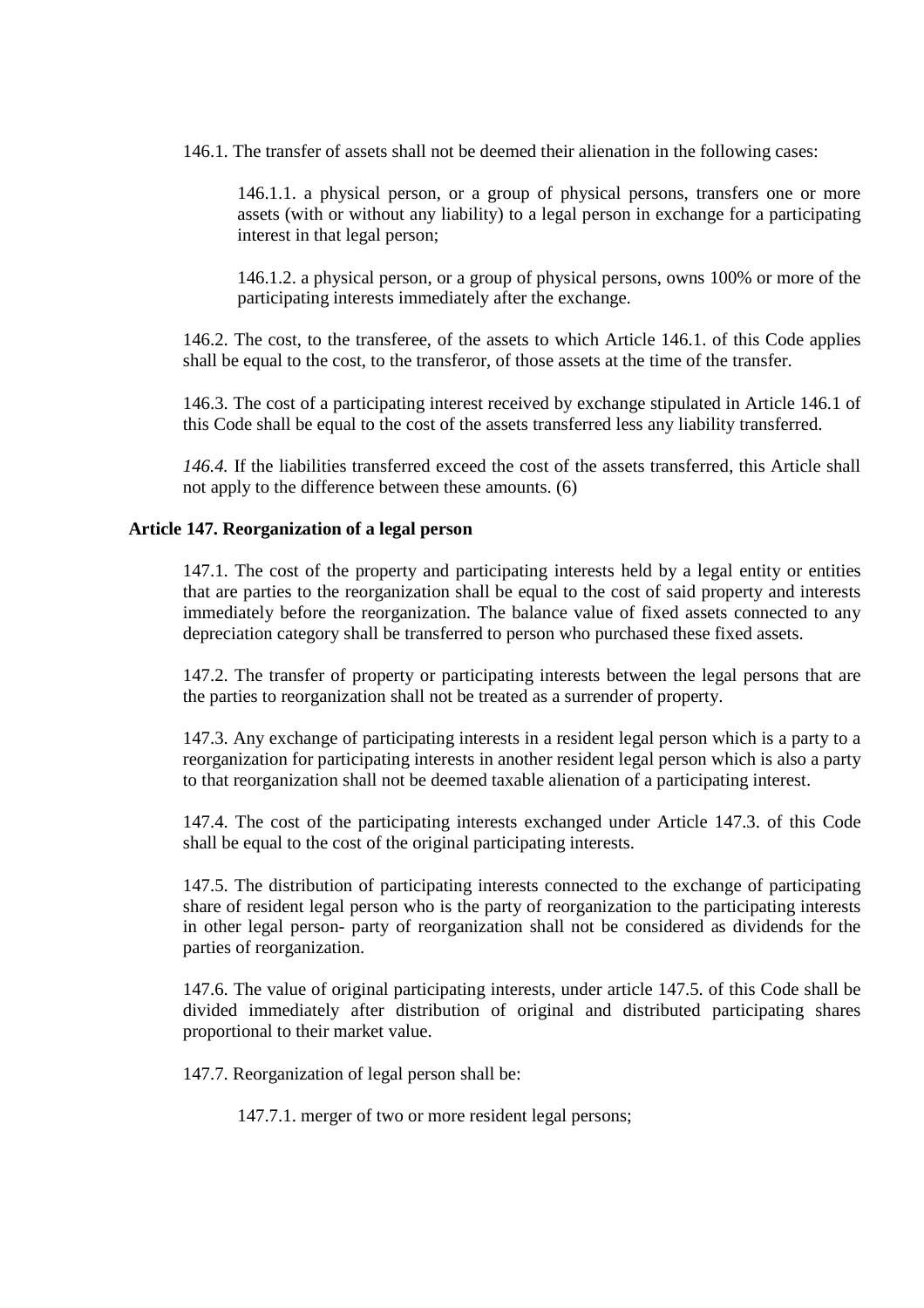146.1. The transfer of assets shall not be deemed their alienation in the following cases:

146.1.1. a physical person, or a group of physical persons, transfers one or more assets (with or without any liability) to a legal person in exchange for a participating interest in that legal person;

146.1.2. a physical person, or a group of physical persons, owns 100% or more of the participating interests immediately after the exchange.

146.2. The cost, to the transferee, of the assets to which Article 146.1. of this Code applies shall be equal to the cost, to the transferor, of those assets at the time of the transfer.

146.3. The cost of a participating interest received by exchange stipulated in Article 146.1 of this Code shall be equal to the cost of the assets transferred less any liability transferred.

*146.4.* If the liabilities transferred exceed the cost of the assets transferred, this Article shall not apply to the difference between these amounts. (6)

# **Article 147. Reorganization of a legal person**

147.1. The cost of the property and participating interests held by a legal entity or entities that are parties to the reorganization shall be equal to the cost of said property and interests immediately before the reorganization. The balance value of fixed assets connected to any depreciation category shall be transferred to person who purchased these fixed assets.

147.2. The transfer of property or participating interests between the legal persons that are the parties to reorganization shall not be treated as a surrender of property.

147.3. Any exchange of participating interests in a resident legal person which is a party to a reorganization for participating interests in another resident legal person which is also a party to that reorganization shall not be deemed taxable alienation of a participating interest.

147.4. The cost of the participating interests exchanged under Article 147.3. of this Code shall be equal to the cost of the original participating interests.

147.5. The distribution of participating interests connected to the exchange of participating share of resident legal person who is the party of reorganization to the participating interests in other legal person- party of reorganization shall not be considered as dividends for the parties of reorganization.

147.6. The value of original participating interests, under article 147.5. of this Code shall be divided immediately after distribution of original and distributed participating shares proportional to their market value.

147.7. Reorganization of legal person shall be:

147.7.1. merger of two or more resident legal persons;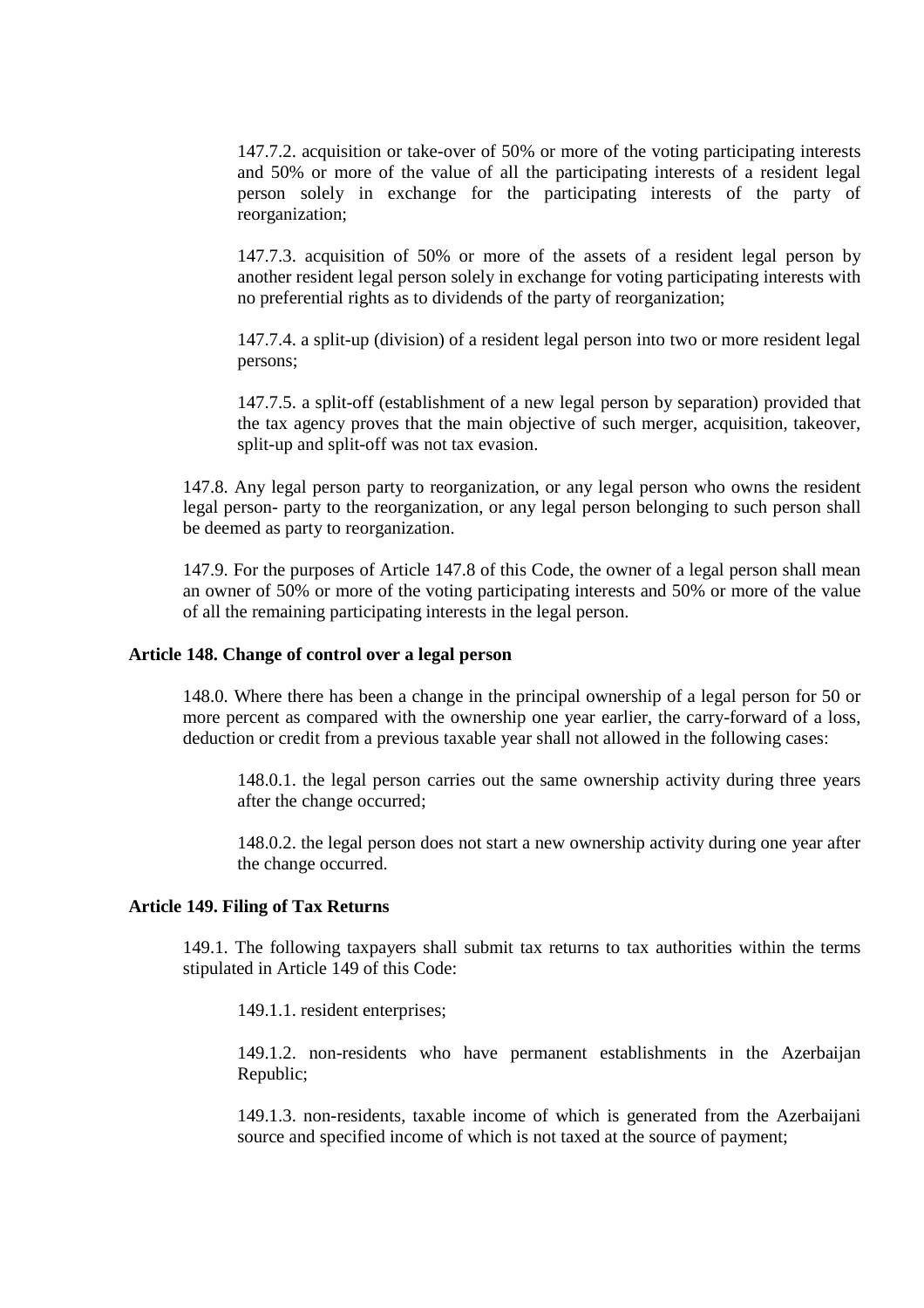147.7.2. acquisition or take-over of 50% or more of the voting participating interests and 50% or more of the value of all the participating interests of a resident legal person solely in exchange for the participating interests of the party of reorganization;

147.7.3. acquisition of 50% or more of the assets of a resident legal person by another resident legal person solely in exchange for voting participating interests with no preferential rights as to dividends of the party of reorganization;

147.7.4. a split-up (division) of a resident legal person into two or more resident legal persons;

147.7.5. a split-off (establishment of a new legal person by separation) provided that the tax agency proves that the main objective of such merger, acquisition, takeover, split-up and split-off was not tax evasion.

147.8. Any legal person party to reorganization, or any legal person who owns the resident legal person- party to the reorganization, or any legal person belonging to such person shall be deemed as party to reorganization.

147.9. For the purposes of Article 147.8 of this Code, the owner of a legal person shall mean an owner of 50% or more of the voting participating interests and 50% or more of the value of all the remaining participating interests in the legal person.

# **Article 148. Change of control over a legal person**

148.0. Where there has been a change in the principal ownership of a legal person for 50 or more percent as compared with the ownership one year earlier, the carry-forward of a loss, deduction or credit from a previous taxable year shall not allowed in the following cases:

148.0.1. the legal person carries out the same ownership activity during three years after the change occurred;

148.0.2. the legal person does not start a new ownership activity during one year after the change occurred.

#### **Article 149. Filing of Tax Returns**

149.1. The following taxpayers shall submit tax returns to tax authorities within the terms stipulated in Article 149 of this Code:

149.1.1. resident enterprises;

149.1.2. non-residents who have permanent establishments in the Azerbaijan Republic;

149.1.3. non-residents, taxable income of which is generated from the Azerbaijani source and specified income of which is not taxed at the source of payment;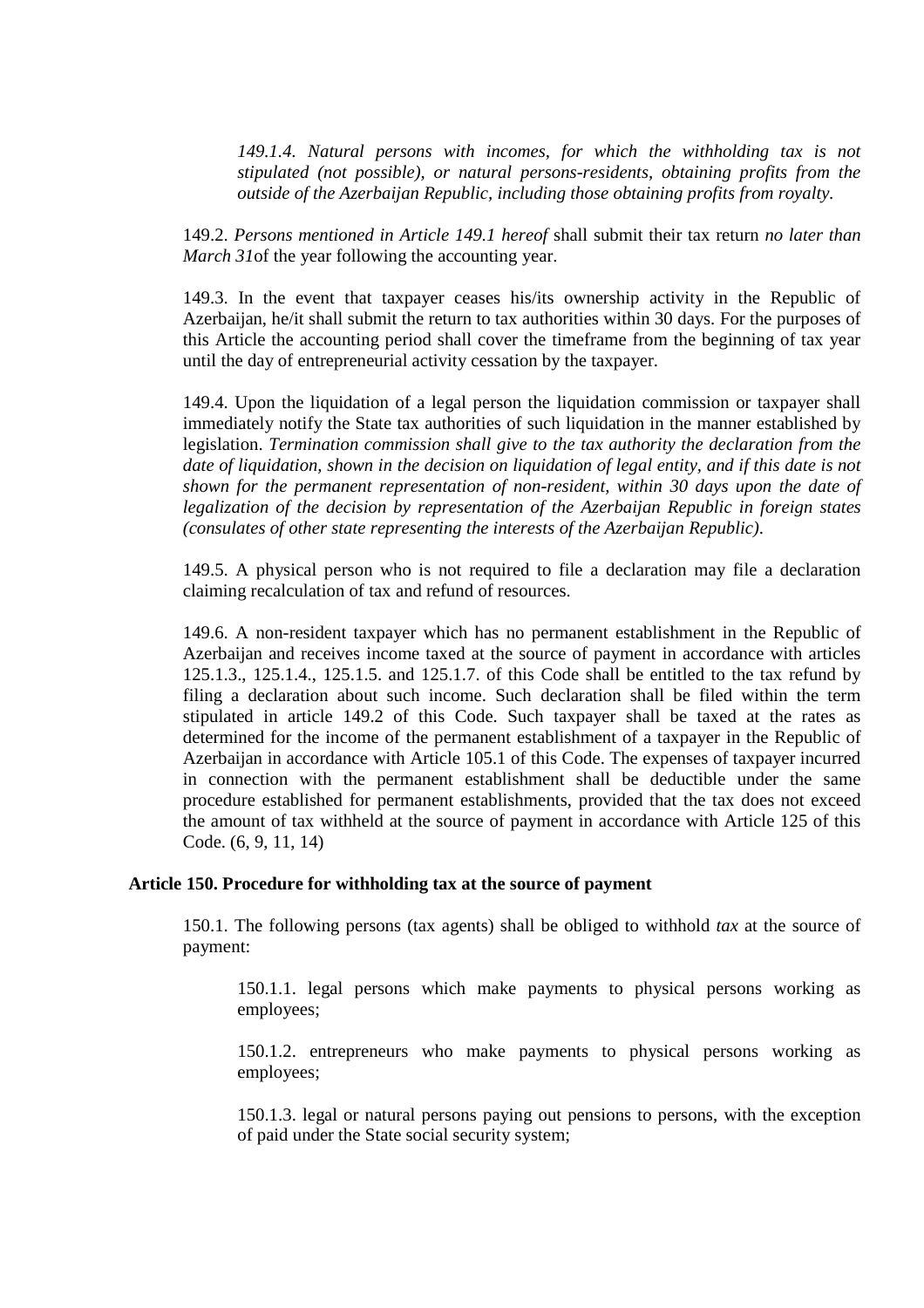*149.1.4. Natural persons with incomes, for which the withholding tax is not stipulated (not possible), or natural persons-residents, obtaining profits from the outside of the Azerbaijan Republic, including those obtaining profits from royalty.* 

149.2. *Persons mentioned in Article 149.1 hereof* shall submit their tax return *no later than March 31*of the year following the accounting year.

149.3. In the event that taxpayer ceases his/its ownership activity in the Republic of Azerbaijan, he/it shall submit the return to tax authorities within 30 days. For the purposes of this Article the accounting period shall cover the timeframe from the beginning of tax year until the day of entrepreneurial activity cessation by the taxpayer.

149.4. Upon the liquidation of a legal person the liquidation commission or taxpayer shall immediately notify the State tax authorities of such liquidation in the manner established by legislation. *Termination commission shall give to the tax authority the declaration from the date of liquidation, shown in the decision on liquidation of legal entity, and if this date is not shown for the permanent representation of non-resident, within 30 days upon the date of legalization of the decision by representation of the Azerbaijan Republic in foreign states (consulates of other state representing the interests of the Azerbaijan Republic)*.

149.5. A physical person who is not required to file a declaration may file a declaration claiming recalculation of tax and refund of resources.

149.6. A non-resident taxpayer which has no permanent establishment in the Republic of Azerbaijan and receives income taxed at the source of payment in accordance with articles 125.1.3., 125.1.4., 125.1.5. and 125.1.7. of this Code shall be entitled to the tax refund by filing a declaration about such income. Such declaration shall be filed within the term stipulated in article 149.2 of this Code. Such taxpayer shall be taxed at the rates as determined for the income of the permanent establishment of a taxpayer in the Republic of Azerbaijan in accordance with Article 105.1 of this Code. The expenses of taxpayer incurred in connection with the permanent establishment shall be deductible under the same procedure established for permanent establishments, provided that the tax does not exceed the amount of tax withheld at the source of payment in accordance with Article 125 of this Code. (6, 9, 11, 14)

# **Article 150. Procedure for withholding tax at the source of payment**

150.1. The following persons (tax agents) shall be obliged to withhold *tax* at the source of payment:

150.1.1. legal persons which make payments to physical persons working as employees;

150.1.2. entrepreneurs who make payments to physical persons working as employees;

150.1.3. legal or natural persons paying out pensions to persons, with the exception of paid under the State social security system;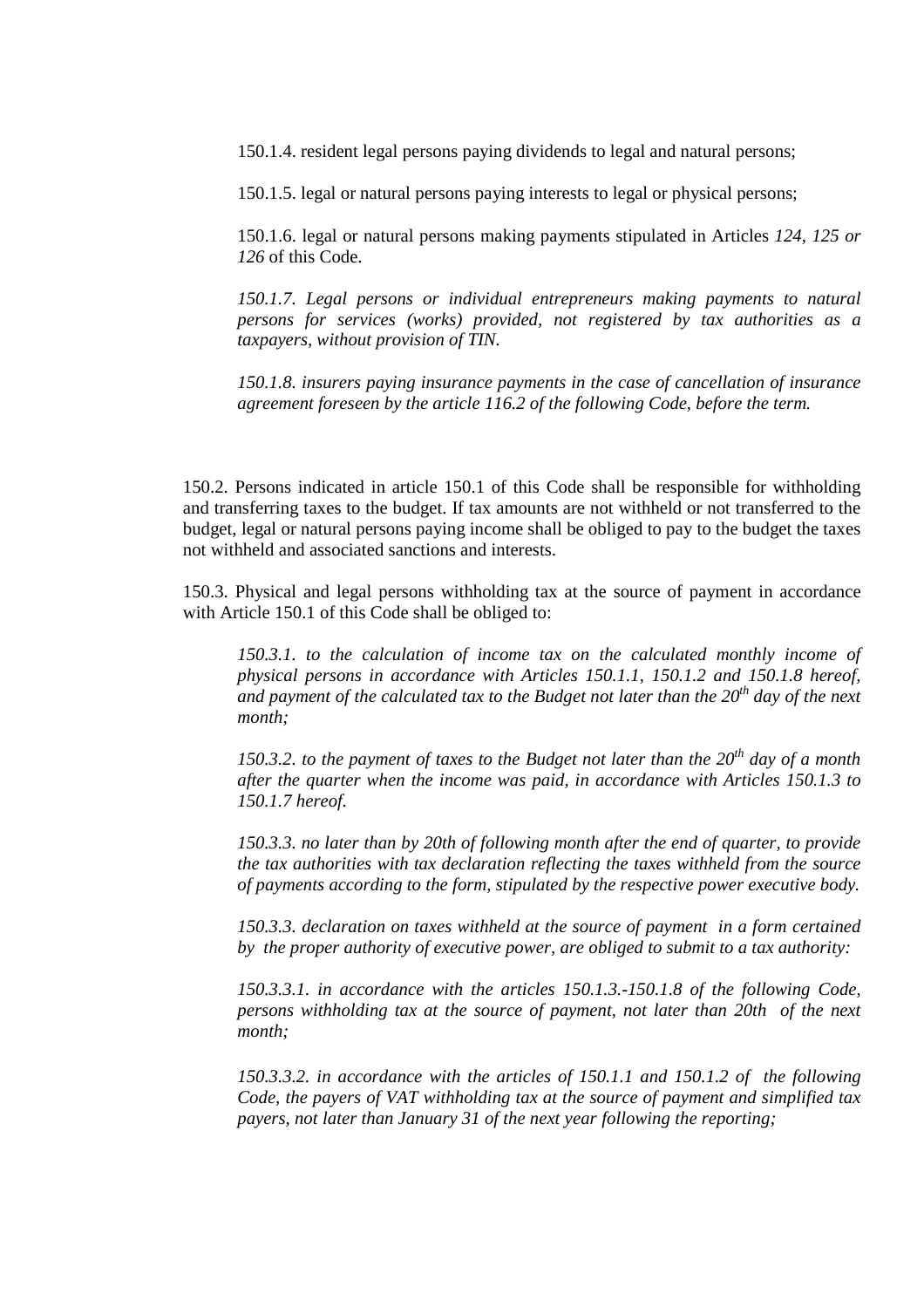150.1.4. resident legal persons paying dividends to legal and natural persons;

150.1.5. legal or natural persons paying interests to legal or physical persons;

150.1.6. legal or natural persons making payments stipulated in Articles *124, 125 or 126* of this Code.

*150.1.7. Legal persons or individual entrepreneurs making payments to natural persons for services (works) provided, not registered by tax authorities as a taxpayers, without provision of TIN.* 

*150.1.8. insurers paying insurance payments in the case of cancellation of insurance agreement foreseen by the article 116.2 of the following Code, before the term.* 

150.2. Persons indicated in article 150.1 of this Code shall be responsible for withholding and transferring taxes to the budget. If tax amounts are not withheld or not transferred to the budget, legal or natural persons paying income shall be obliged to pay to the budget the taxes not withheld and associated sanctions and interests.

150.3. Physical and legal persons withholding tax at the source of payment in accordance with Article 150.1 of this Code shall be obliged to:

*150.3.1. to the calculation of income tax on the calculated monthly income of physical persons in accordance with Articles 150.1.1, 150.1.2 and 150.1.8 hereof, and payment of the calculated tax to the Budget not later than the 20th day of the next month;* 

*150.3.2. to the payment of taxes to the Budget not later than the 20th day of a month after the quarter when the income was paid, in accordance with Articles 150.1.3 to 150.1.7 hereof.* 

*150.3.3. no later than by 20th of following month after the end of quarter, to provide the tax authorities with tax declaration reflecting the taxes withheld from the source of payments according to the form, stipulated by the respective power executive body.* 

*150.3.3. declaration on taxes withheld at the source of payment in a form certained by the proper authority of executive power, are obliged to submit to a tax authority:* 

*150.3.3.1. in accordance with the articles 150.1.3.-150.1.8 of the following Code, persons withholding tax at the source of payment, not later than 20th of the next month;* 

*150.3.3.2. in accordance with the articles of 150.1.1 and 150.1.2 of the following Code, the payers of VAT withholding tax at the source of payment and simplified tax payers, not later than January 31 of the next year following the reporting;*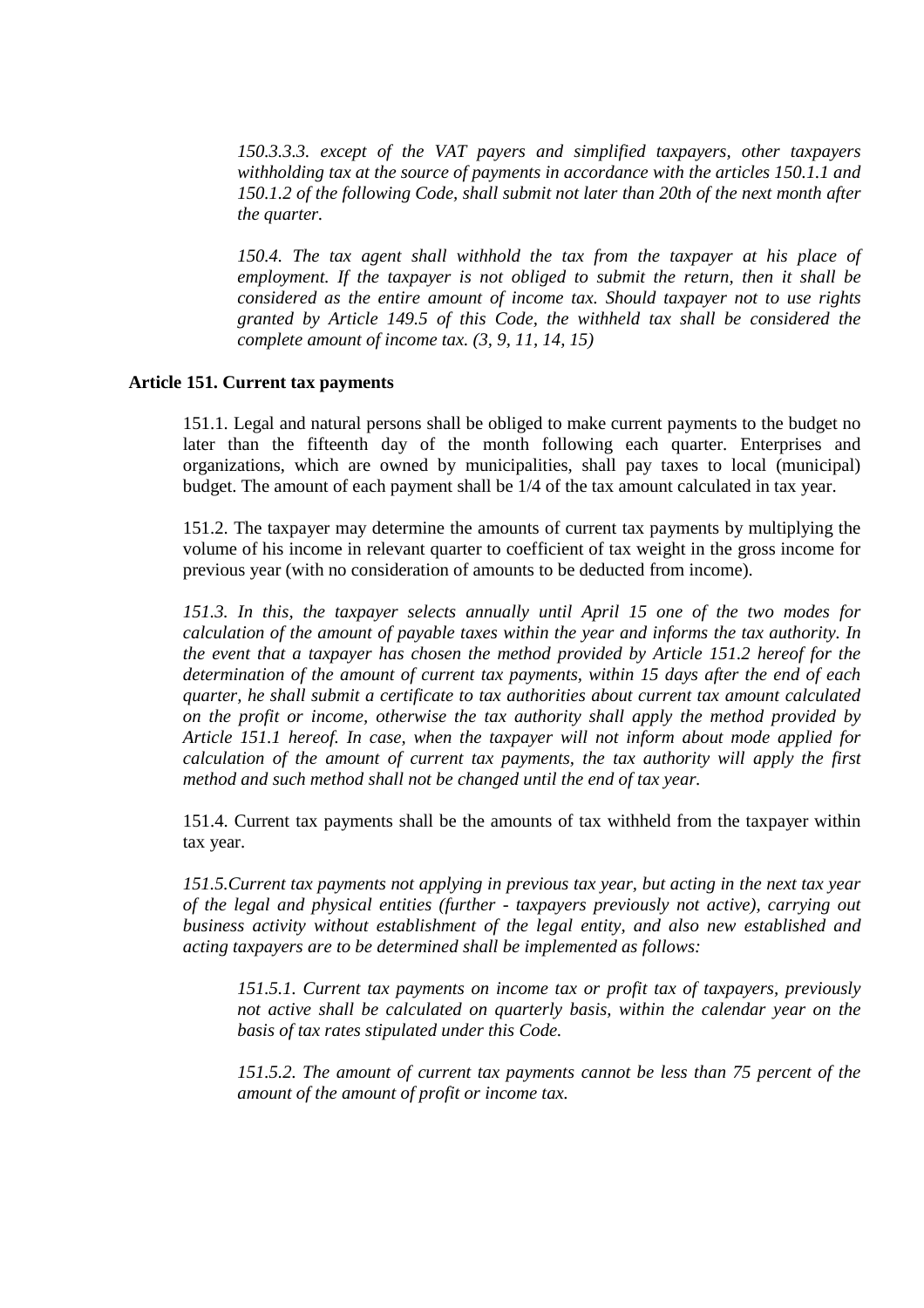*150.3.3.3. except of the VAT payers and simplified taxpayers, other taxpayers withholding tax at the source of payments in accordance with the articles 150.1.1 and 150.1.2 of the following Code, shall submit not later than 20th of the next month after the quarter.* 

*150.4. The tax agent shall withhold the tax from the taxpayer at his place of employment. If the taxpayer is not obliged to submit the return, then it shall be considered as the entire amount of income tax. Should taxpayer not to use rights granted by Article 149.5 of this Code, the withheld tax shall be considered the complete amount of income tax. (3, 9, 11, 14, 15)* 

# **Article 151. Current tax payments**

151.1. Legal and natural persons shall be obliged to make current payments to the budget no later than the fifteenth day of the month following each quarter. Enterprises and organizations, which are owned by municipalities, shall pay taxes to local (municipal) budget. The amount of each payment shall be 1/4 of the tax amount calculated in tax year.

151.2. The taxpayer may determine the amounts of current tax payments by multiplying the volume of his income in relevant quarter to coefficient of tax weight in the gross income for previous year (with no consideration of amounts to be deducted from income).

*151.3. In this, the taxpayer selects annually until April 15 one of the two modes for calculation of the amount of payable taxes within the year and informs the tax authority. In the event that a taxpayer has chosen the method provided by Article 151.2 hereof for the determination of the amount of current tax payments, within 15 days after the end of each quarter, he shall submit a certificate to tax authorities about current tax amount calculated on the profit or income, otherwise the tax authority shall apply the method provided by Article 151.1 hereof. In case, when the taxpayer will not inform about mode applied for calculation of the amount of current tax payments, the tax authority will apply the first method and such method shall not be changed until the end of tax year.*

151.4. Current tax payments shall be the amounts of tax withheld from the taxpayer within tax year.

*151.5.Current tax payments not applying in previous tax year, but acting in the next tax year of the legal and physical entities (further - taxpayers previously not active), carrying out business activity without establishment of the legal entity, and also new established and acting taxpayers are to be determined shall be implemented as follows:* 

*151.5.1. Current tax payments on income tax or profit tax of taxpayers, previously*  not active shall be calculated on quarterly basis, within the calendar year on the *basis of tax rates stipulated under this Code.* 

*151.5.2. The amount of current tax payments cannot be less than 75 percent of the amount of the amount of profit or income tax.*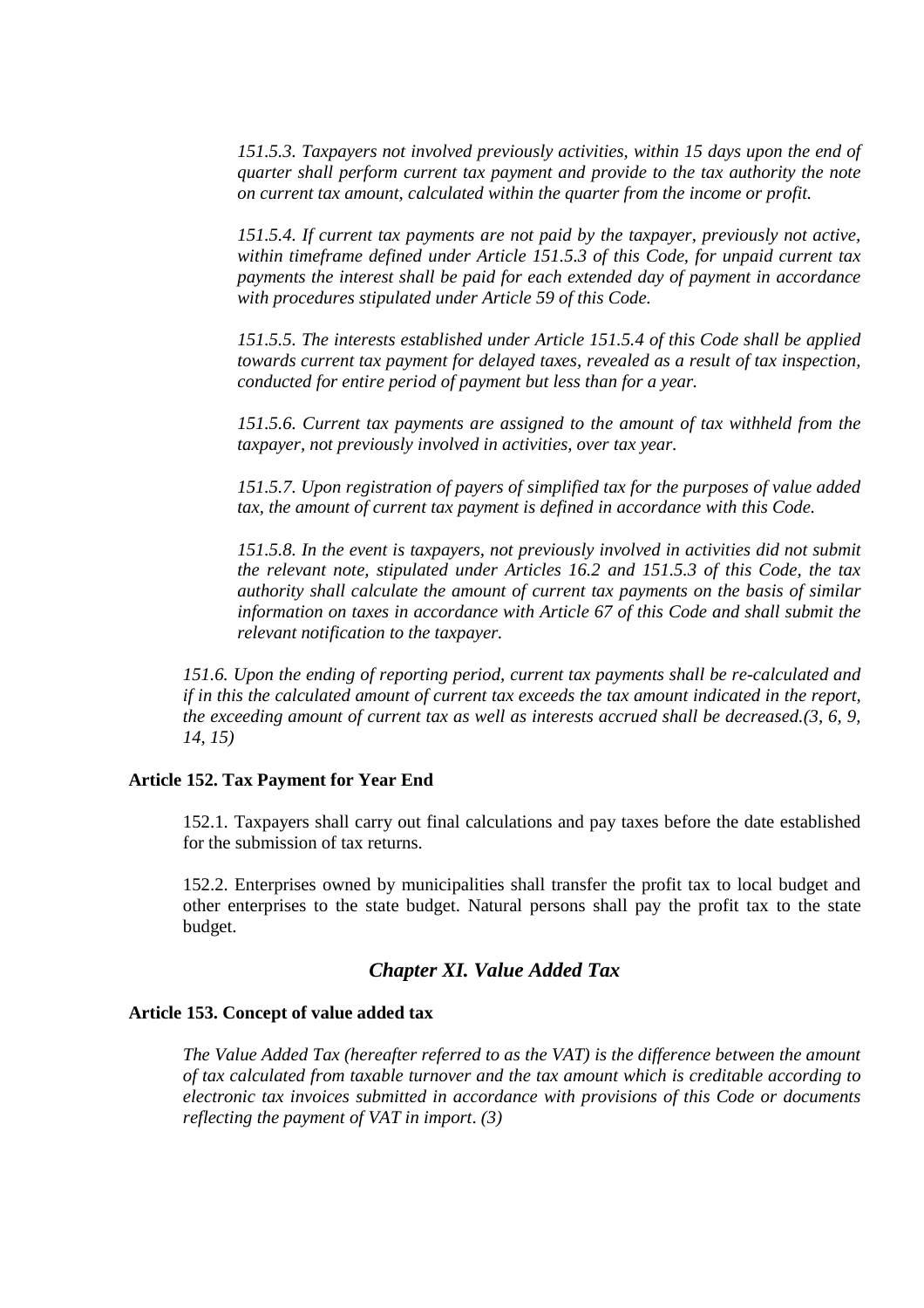*151.5.3. Taxpayers not involved previously activities, within 15 days upon the end of quarter shall perform current tax payment and provide to the tax authority the note on current tax amount, calculated within the quarter from the income or profit.*

*151.5.4. If current tax payments are not paid by the taxpayer, previously not active, within timeframe defined under Article 151.5.3 of this Code, for unpaid current tax payments the interest shall be paid for each extended day of payment in accordance with procedures stipulated under Article 59 of this Code.* 

*151.5.5. The interests established under Article 151.5.4 of this Code shall be applied towards current tax payment for delayed taxes, revealed as a result of tax inspection, conducted for entire period of payment but less than for a year.* 

*151.5.6. Current tax payments are assigned to the amount of tax withheld from the taxpayer, not previously involved in activities, over tax year.* 

*151.5.7. Upon registration of payers of simplified tax for the purposes of value added*  tax, the amount of current tax payment is defined in accordance with this Code.

*151.5.8. In the event is taxpayers, not previously involved in activities did not submit the relevant note, stipulated under Articles 16.2 and 151.5.3 of this Code, the tax authority shall calculate the amount of current tax payments on the basis of similar information on taxes in accordance with Article 67 of this Code and shall submit the relevant notification to the taxpayer.* 

*151.6. Upon the ending of reporting period, current tax payments shall be re-calculated and if in this the calculated amount of current tax exceeds the tax amount indicated in the report, the exceeding amount of current tax as well as interests accrued shall be decreased.(3, 6, 9, 14, 15)* 

# **Article 152. Tax Payment for Year End**

152.1. Taxpayers shall carry out final calculations and pay taxes before the date established for the submission of tax returns.

152.2. Enterprises owned by municipalities shall transfer the profit tax to local budget and other enterprises to the state budget. Natural persons shall pay the profit tax to the state budget.

# *Chapter XI. Value Added Tax*

# **Article 153. Concept of value added tax**

*The Value Added Tax (hereafter referred to as the VAT) is the difference between the amount of tax calculated from taxable turnover and the tax amount which is creditable according to electronic tax invoices submitted in accordance with provisions of this Code or documents reflecting the payment of VAT in import*. *(3)*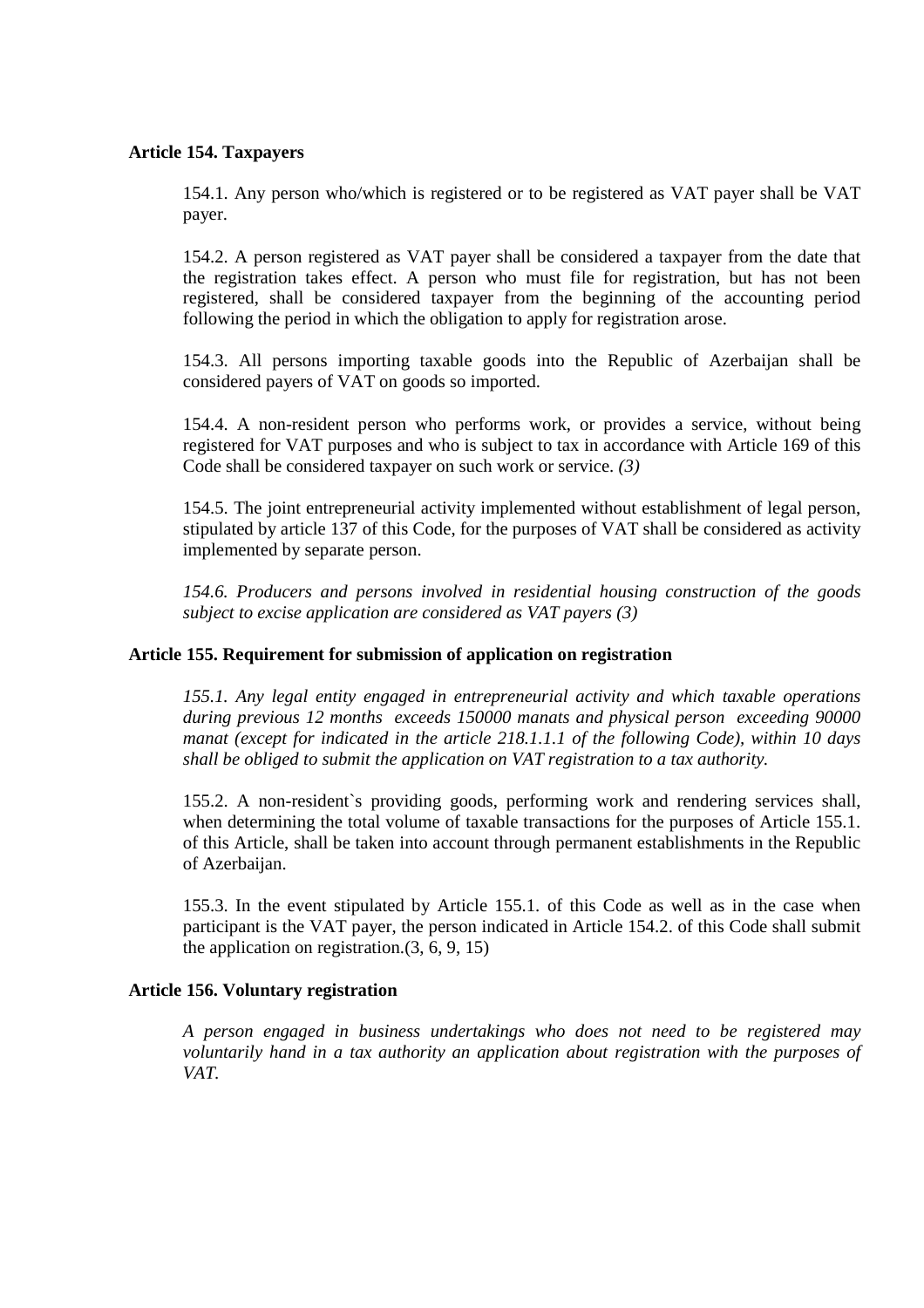# **Article 154. Taxpayers**

154.1. Any person who/which is registered or to be registered as VAT payer shall be VAT payer.

154.2. A person registered as VAT payer shall be considered a taxpayer from the date that the registration takes effect. A person who must file for registration, but has not been registered, shall be considered taxpayer from the beginning of the accounting period following the period in which the obligation to apply for registration arose.

154.3. All persons importing taxable goods into the Republic of Azerbaijan shall be considered payers of VAT on goods so imported.

154.4. A non-resident person who performs work, or provides a service, without being registered for VAT purposes and who is subject to tax in accordance with Article 169 of this Code shall be considered taxpayer on such work or service. *(3)*

154.5. The joint entrepreneurial activity implemented without establishment of legal person, stipulated by article 137 of this Code, for the purposes of VAT shall be considered as activity implemented by separate person.

*154.6. Producers and persons involved in residential housing construction of the goods subject to excise application are considered as VAT payers (3)*

# **Article 155. Requirement for submission of application on registration**

*155.1. Any legal entity engaged in entrepreneurial activity and which taxable operations during previous 12 months exceeds 150000 manats and physical person exceeding 90000 manat (except for indicated in the article 218.1.1.1 of the following Code), within 10 days shall be obliged to submit the application on VAT registration to a tax authority.* 

155.2. A non-resident`s providing goods, performing work and rendering services shall, when determining the total volume of taxable transactions for the purposes of Article 155.1. of this Article, shall be taken into account through permanent establishments in the Republic of Azerbaijan.

155.3. In the event stipulated by Article 155.1. of this Code as well as in the case when participant is the VAT payer, the person indicated in Article 154.2. of this Code shall submit the application on registration.(3, 6, 9, 15)

# **Article 156. Voluntary registration**

*A person engaged in business undertakings who does not need to be registered may voluntarily hand in a tax authority an application about registration with the purposes of VAT.*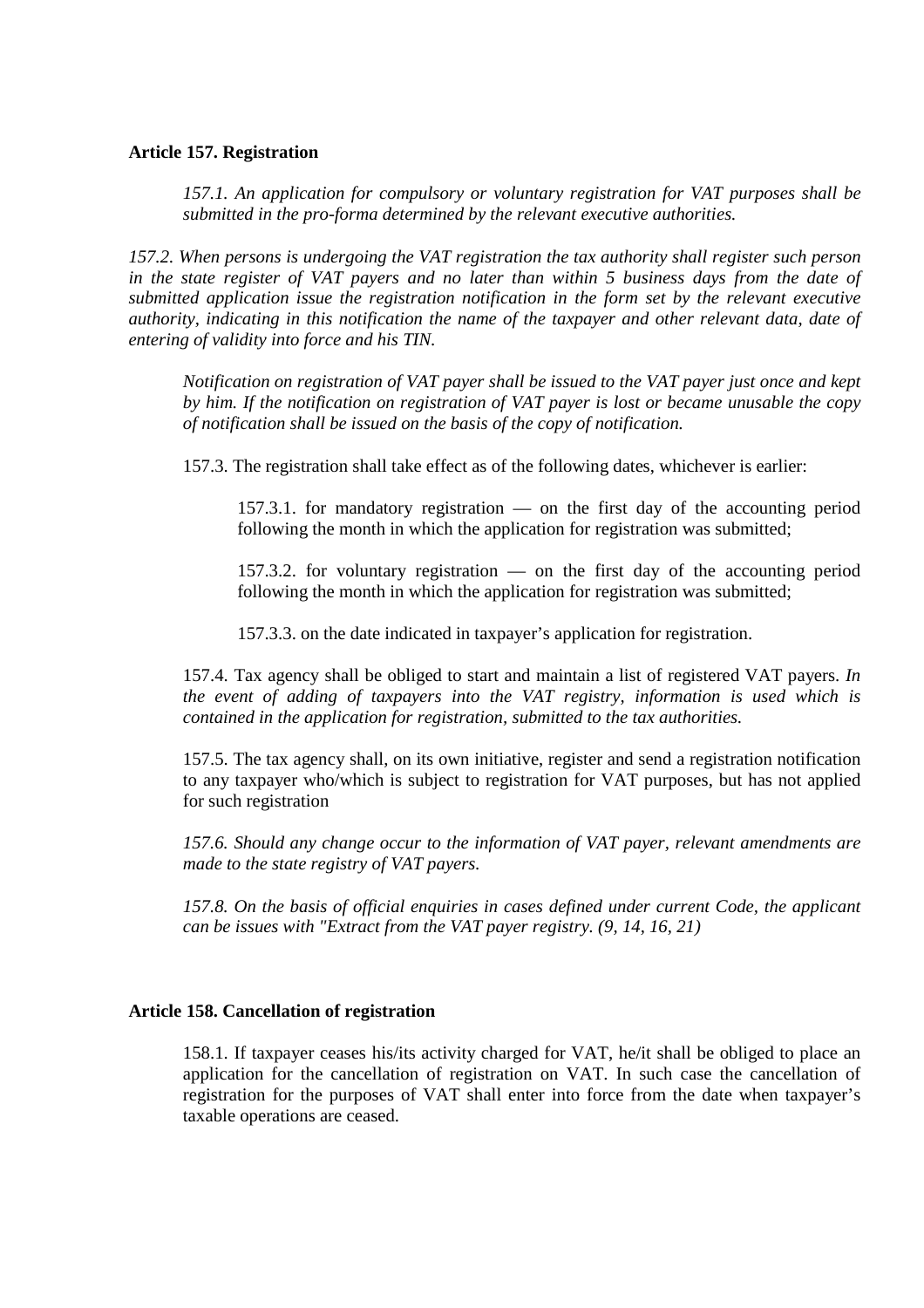# **Article 157. Registration**

*157.1. An application for compulsory or voluntary registration for VAT purposes shall be submitted in the pro-forma determined by the relevant executive authorities.* 

*157.2. When persons is undergoing the VAT registration the tax authority shall register such person in the state register of VAT payers and no later than within 5 business days from the date of submitted application issue the registration notification in the form set by the relevant executive authority, indicating in this notification the name of the taxpayer and other relevant data, date of entering of validity into force and his TIN.* 

*Notification on registration of VAT payer shall be issued to the VAT payer just once and kept by him. If the notification on registration of VAT payer is lost or became unusable the copy of notification shall be issued on the basis of the copy of notification.* 

157.3. The registration shall take effect as of the following dates, whichever is earlier:

157.3.1. for mandatory registration — on the first day of the accounting period following the month in which the application for registration was submitted;

157.3.2. for voluntary registration — on the first day of the accounting period following the month in which the application for registration was submitted;

157.3.3. on the date indicated in taxpayer's application for registration.

157.4. Tax agency shall be obliged to start and maintain a list of registered VAT payers. *In the event of adding of taxpayers into the VAT registry, information is used which is contained in the application for registration, submitted to the tax authorities.*

157.5. The tax agency shall, on its own initiative, register and send a registration notification to any taxpayer who/which is subject to registration for VAT purposes, but has not applied for such registration

*157.6. Should any change occur to the information of VAT payer, relevant amendments are made to the state registry of VAT payers.*

*157.8. On the basis of official enquiries in cases defined under current Code, the applicant can be issues with "Extract from the VAT payer registry. (9, 14, 16, 21)* 

# **Article 158. Cancellation of registration**

158.1. If taxpayer ceases his/its activity charged for VAT, he/it shall be obliged to place an application for the cancellation of registration on VAT. In such case the cancellation of registration for the purposes of VAT shall enter into force from the date when taxpayer's taxable operations are ceased.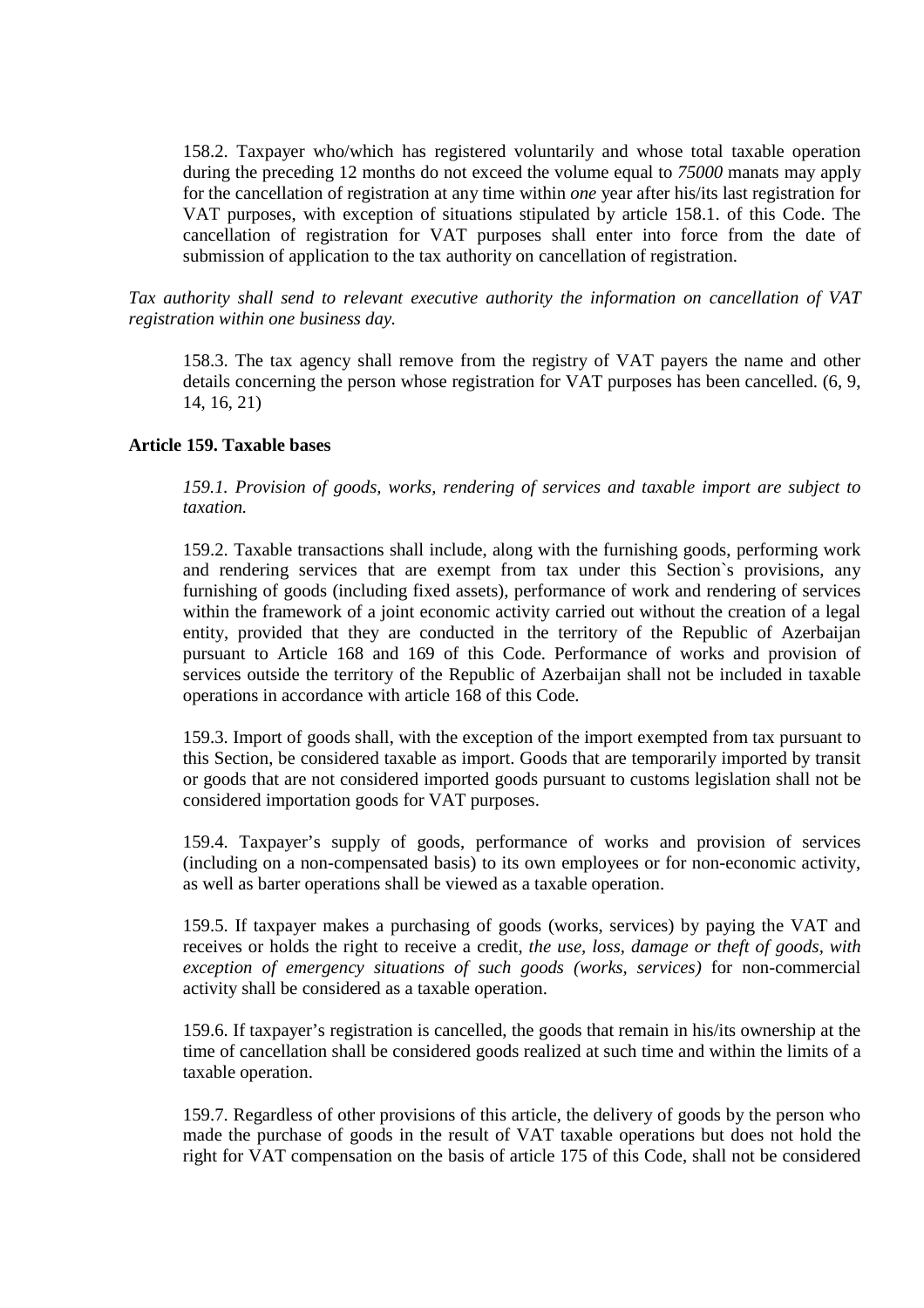158.2. Taxpayer who/which has registered voluntarily and whose total taxable operation during the preceding 12 months do not exceed the volume equal to *75000* manats may apply for the cancellation of registration at any time within *one* year after his/its last registration for VAT purposes, with exception of situations stipulated by article 158.1. of this Code. The cancellation of registration for VAT purposes shall enter into force from the date of submission of application to the tax authority on cancellation of registration.

*Tax authority shall send to relevant executive authority the information on cancellation of VAT registration within one business day.* 

158.3. The tax agency shall remove from the registry of VAT payers the name and other details concerning the person whose registration for VAT purposes has been cancelled. (6, 9, 14, 16, 21)

# **Article 159. Taxable bases**

*159.1. Provision of goods, works, rendering of services and taxable import are subject to taxation.*

159.2. Taxable transactions shall include, along with the furnishing goods, performing work and rendering services that are exempt from tax under this Section`s provisions, any furnishing of goods (including fixed assets), performance of work and rendering of services within the framework of a joint economic activity carried out without the creation of a legal entity, provided that they are conducted in the territory of the Republic of Azerbaijan pursuant to Article 168 and 169 of this Code. Performance of works and provision of services outside the territory of the Republic of Azerbaijan shall not be included in taxable operations in accordance with article 168 of this Code.

159.3. Import of goods shall, with the exception of the import exempted from tax pursuant to this Section, be considered taxable as import. Goods that are temporarily imported by transit or goods that are not considered imported goods pursuant to customs legislation shall not be considered importation goods for VAT purposes.

159.4. Taxpayer's supply of goods, performance of works and provision of services (including on a non-compensated basis) to its own employees or for non-economic activity, as well as barter operations shall be viewed as a taxable operation.

159.5. If taxpayer makes a purchasing of goods (works, services) by paying the VAT and receives or holds the right to receive a credit, *the use, loss, damage or theft of goods, with exception of emergency situations of such goods (works, services)* for non-commercial activity shall be considered as a taxable operation.

159.6. If taxpayer's registration is cancelled, the goods that remain in his/its ownership at the time of cancellation shall be considered goods realized at such time and within the limits of a taxable operation.

159.7. Regardless of other provisions of this article, the delivery of goods by the person who made the purchase of goods in the result of VAT taxable operations but does not hold the right for VAT compensation on the basis of article 175 of this Code, shall not be considered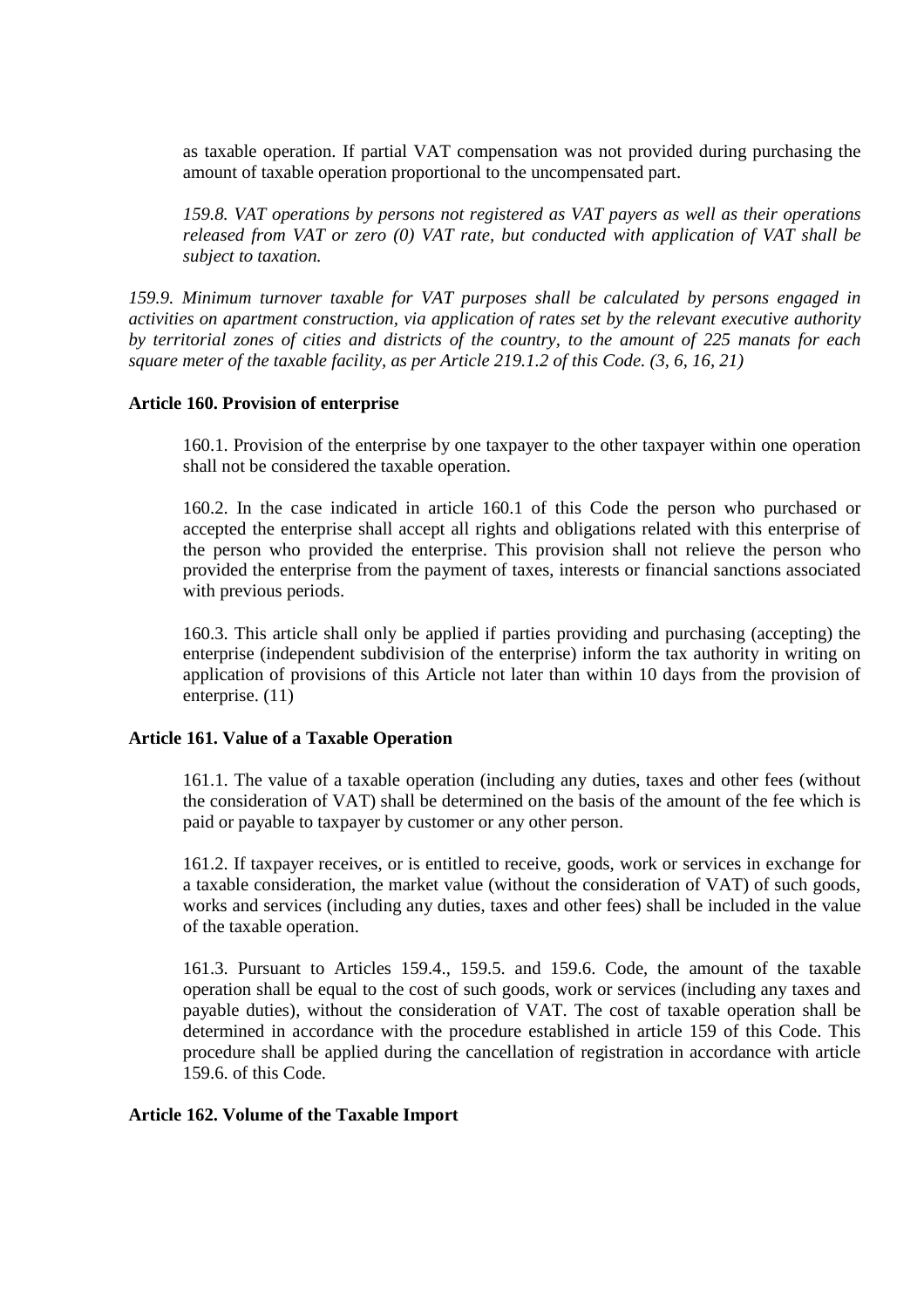as taxable operation. If partial VAT compensation was not provided during purchasing the amount of taxable operation proportional to the uncompensated part.

*159.8. VAT operations by persons not registered as VAT payers as well as their operations released from VAT or zero (0) VAT rate, but conducted with application of VAT shall be subject to taxation.* 

*159.9. Minimum turnover taxable for VAT purposes shall be calculated by persons engaged in activities on apartment construction, via application of rates set by the relevant executive authority by territorial zones of cities and districts of the country, to the amount of 225 manats for each square meter of the taxable facility, as per Article 219.1.2 of this Code. (3, 6, 16, 21)* 

# **Article 160. Provision of enterprise**

160.1. Provision of the enterprise by one taxpayer to the other taxpayer within one operation shall not be considered the taxable operation.

160.2. In the case indicated in article 160.1 of this Code the person who purchased or accepted the enterprise shall accept all rights and obligations related with this enterprise of the person who provided the enterprise. This provision shall not relieve the person who provided the enterprise from the payment of taxes, interests or financial sanctions associated with previous periods.

160.3. This article shall only be applied if parties providing and purchasing (accepting) the enterprise (independent subdivision of the enterprise) inform the tax authority in writing on application of provisions of this Article not later than within 10 days from the provision of enterprise. (11)

# **Article 161. Value of a Taxable Operation**

161.1. The value of a taxable operation (including any duties, taxes and other fees (without the consideration of VAT) shall be determined on the basis of the amount of the fee which is paid or payable to taxpayer by customer or any other person.

161.2. If taxpayer receives, or is entitled to receive, goods, work or services in exchange for a taxable consideration, the market value (without the consideration of VAT) of such goods, works and services (including any duties, taxes and other fees) shall be included in the value of the taxable operation.

161.3. Pursuant to Articles 159.4., 159.5. and 159.6. Code, the amount of the taxable operation shall be equal to the cost of such goods, work or services (including any taxes and payable duties), without the consideration of VAT. The cost of taxable operation shall be determined in accordance with the procedure established in article 159 of this Code. This procedure shall be applied during the cancellation of registration in accordance with article 159.6. of this Code.

# **Article 162. Volume of the Taxable Import**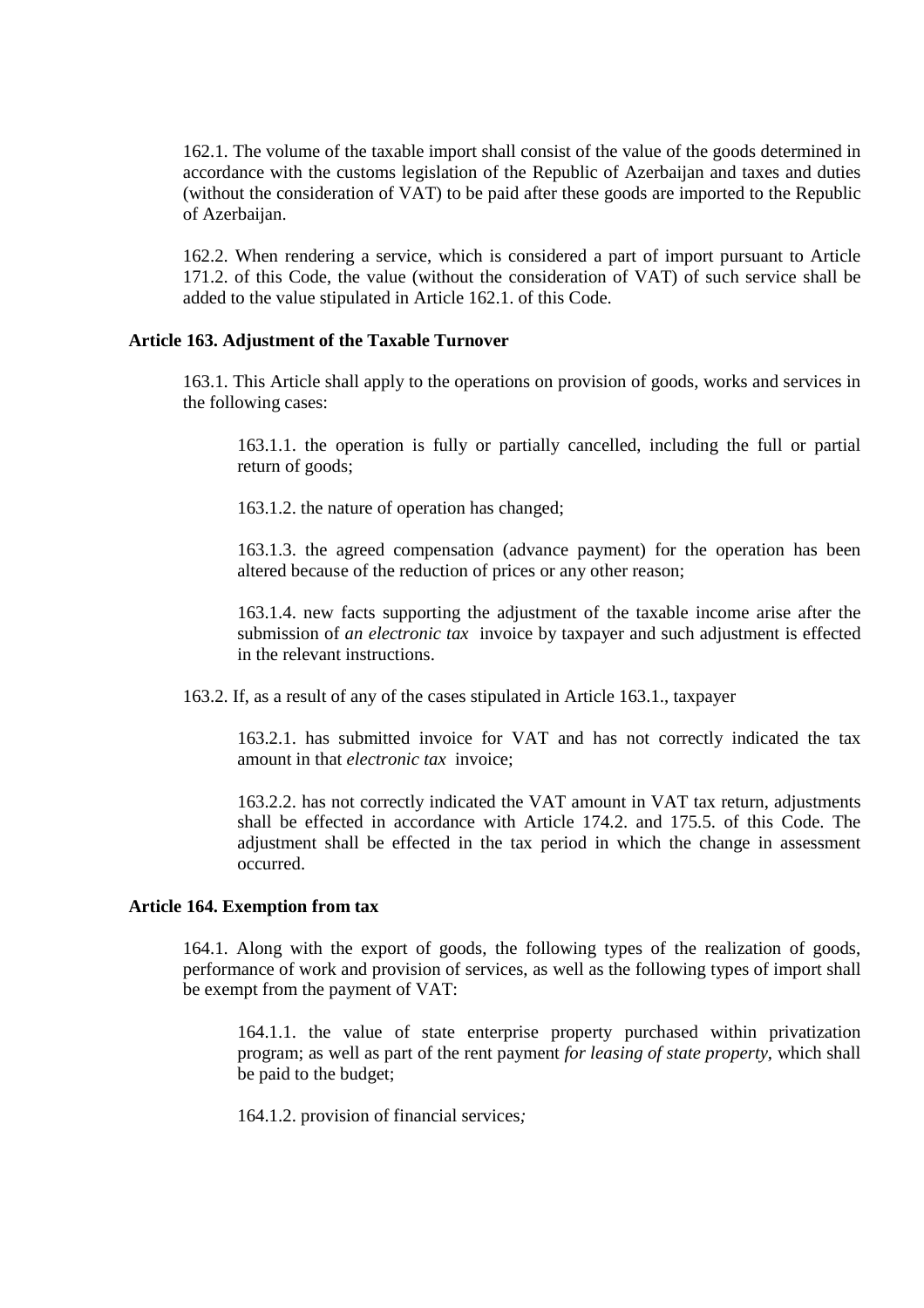162.1. The volume of the taxable import shall consist of the value of the goods determined in accordance with the customs legislation of the Republic of Azerbaijan and taxes and duties (without the consideration of VAT) to be paid after these goods are imported to the Republic of Azerbaijan.

162.2. When rendering a service, which is considered a part of import pursuant to Article 171.2. of this Code, the value (without the consideration of VAT) of such service shall be added to the value stipulated in Article 162.1. of this Code.

### **Article 163. Adjustment of the Taxable Turnover**

163.1. This Article shall apply to the operations on provision of goods, works and services in the following cases:

163.1.1. the operation is fully or partially cancelled, including the full or partial return of goods;

163.1.2. the nature of operation has changed;

163.1.3. the agreed compensation (advance payment) for the operation has been altered because of the reduction of prices or any other reason;

163.1.4. new facts supporting the adjustment of the taxable income arise after the submission of *an electronic tax* invoice by taxpayer and such adjustment is effected in the relevant instructions.

163.2. If, as a result of any of the cases stipulated in Article 163.1., taxpayer

163.2.1. has submitted invoice for VAT and has not correctly indicated the tax amount in that *electronic tax* invoice;

163.2.2. has not correctly indicated the VAT amount in VAT tax return, adjustments shall be effected in accordance with Article 174.2. and 175.5. of this Code. The adjustment shall be effected in the tax period in which the change in assessment occurred.

#### **Article 164. Exemption from tax**

164.1. Along with the export of goods, the following types of the realization of goods, performance of work and provision of services, as well as the following types of import shall be exempt from the payment of VAT:

164.1.1. the value of state enterprise property purchased within privatization program; as well as part of the rent payment *for leasing of state property,* which shall be paid to the budget;

164.1.2. provision of financial services*;*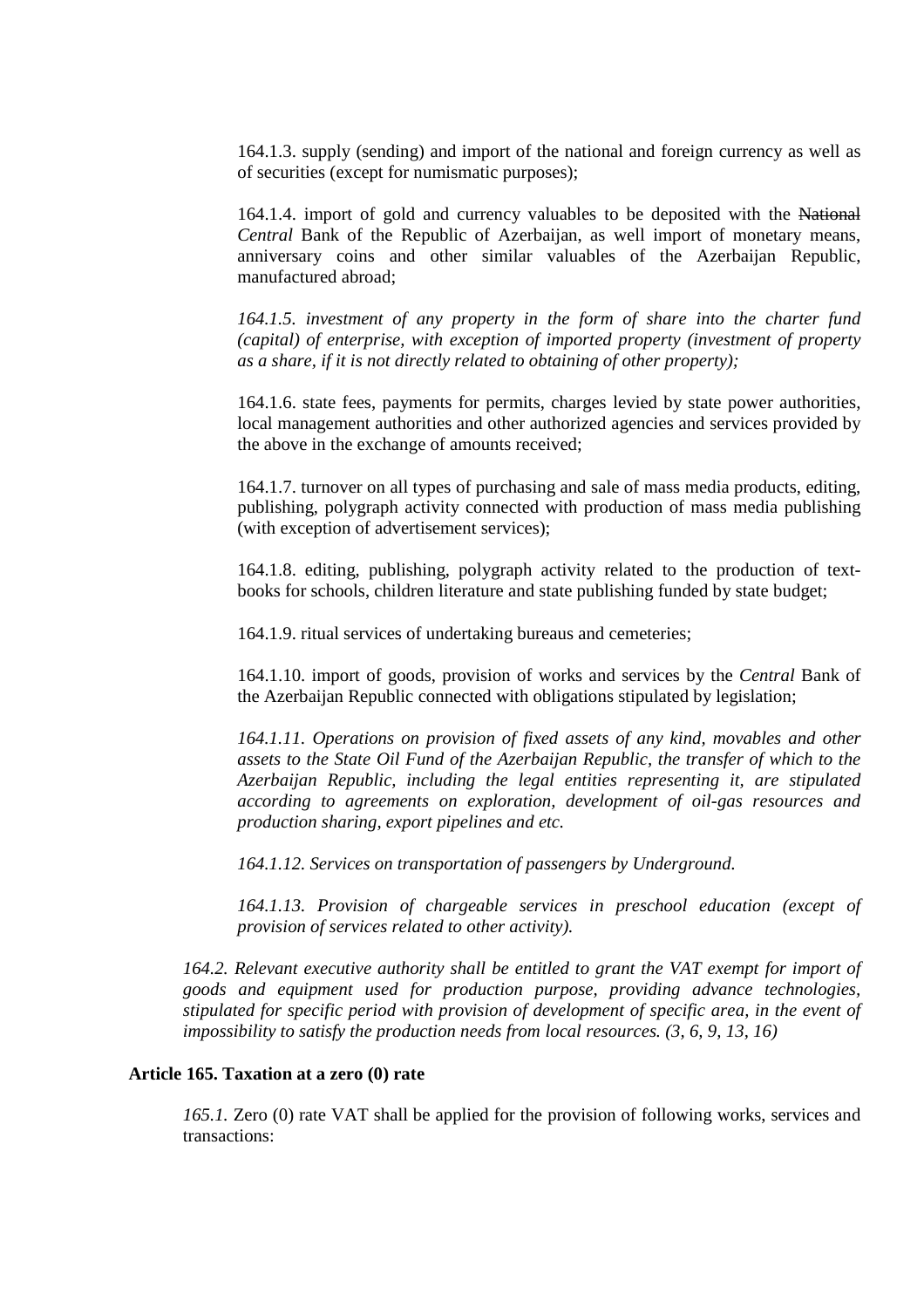164.1.3. supply (sending) and import of the national and foreign currency as well as of securities (except for numismatic purposes);

164.1.4. import of gold and currency valuables to be deposited with the National *Central* Bank of the Republic of Azerbaijan, as well import of monetary means, anniversary coins and other similar valuables of the Azerbaijan Republic, manufactured abroad;

*164.1.5. investment of any property in the form of share into the charter fund (capital) of enterprise, with exception of imported property (investment of property as a share, if it is not directly related to obtaining of other property);* 

164.1.6. state fees, payments for permits, charges levied by state power authorities, local management authorities and other authorized agencies and services provided by the above in the exchange of amounts received;

164.1.7. turnover on all types of purchasing and sale of mass media products, editing, publishing, polygraph activity connected with production of mass media publishing (with exception of advertisement services);

164.1.8. editing, publishing, polygraph activity related to the production of textbooks for schools, children literature and state publishing funded by state budget;

164.1.9. ritual services of undertaking bureaus and cemeteries;

164.1.10. import of goods, provision of works and services by the *Central* Bank of the Azerbaijan Republic connected with obligations stipulated by legislation;

*164.1.11. Operations on provision of fixed assets of any kind, movables and other assets to the State Oil Fund of the Azerbaijan Republic, the transfer of which to the Azerbaijan Republic, including the legal entities representing it, are stipulated according to agreements on exploration, development of oil-gas resources and production sharing, export pipelines and etc.* 

*164.1.12. Services on transportation of passengers by Underground.* 

*164.1.13. Provision of chargeable services in preschool education (except of provision of services related to other activity).* 

*164.2. Relevant executive authority shall be entitled to grant the VAT exempt for import of goods and equipment used for production purpose, providing advance technologies, stipulated for specific period with provision of development of specific area, in the event of impossibility to satisfy the production needs from local resources.* (3, 6, 9, 13, 16)

# **Article 165. Taxation at a zero (0) rate**

*165.1.* Zero (0) rate VAT shall be applied for the provision of following works, services and transactions: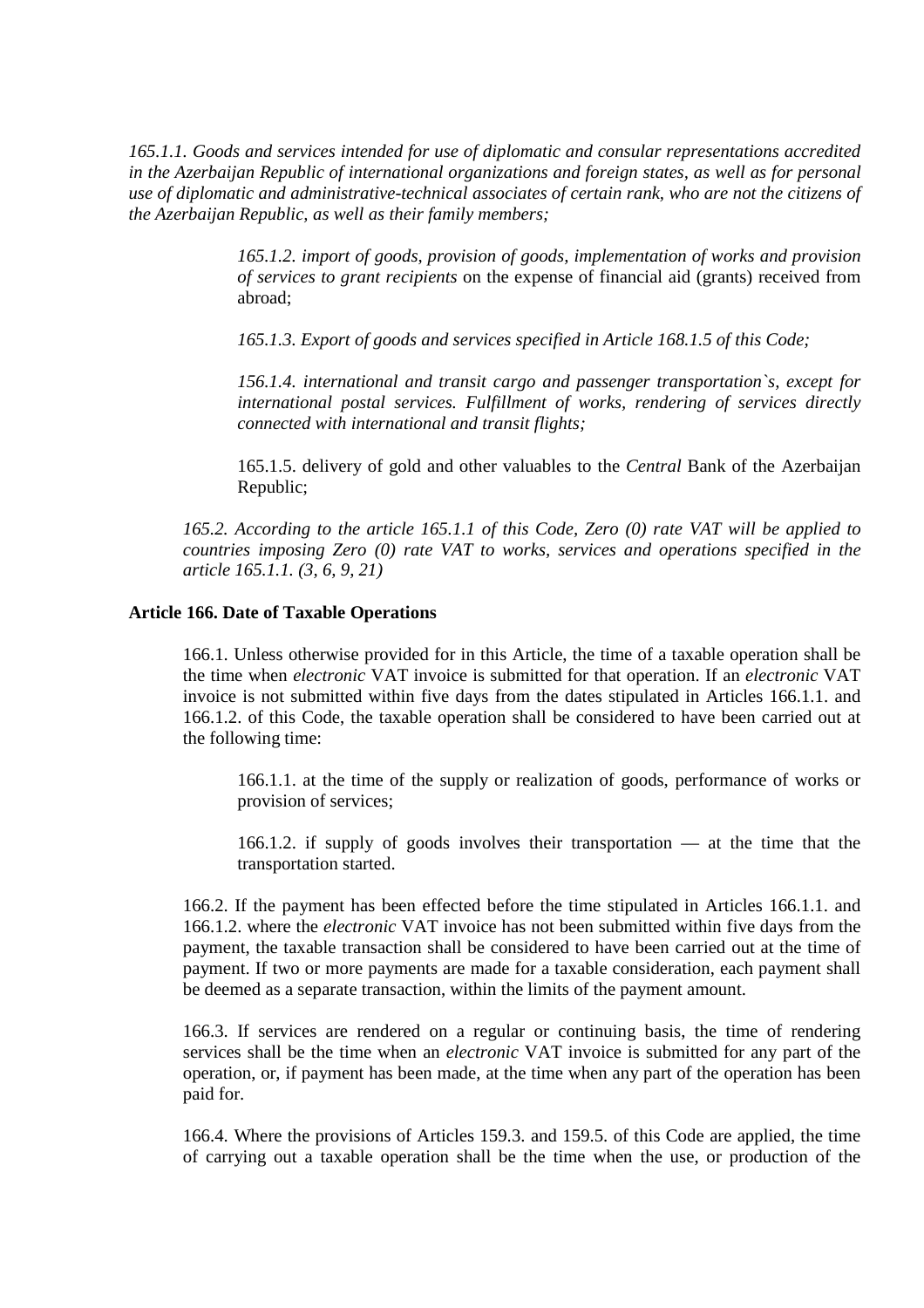*165.1.1. Goods and services intended for use of diplomatic and consular representations accredited in the Azerbaijan Republic of international organizations and foreign states, as well as for personal use of diplomatic and administrative-technical associates of certain rank, who are not the citizens of the Azerbaijan Republic, as well as their family members;* 

> *165.1.2. import of goods, provision of goods, implementation of works and provision of services to grant recipients* on the expense of financial aid (grants) received from abroad;

*165.1.3. Export of goods and services specified in Article 168.1.5 of this Code;* 

*156.1.4. international and transit cargo and passenger transportation`s, except for international postal services. Fulfillment of works, rendering of services directly connected with international and transit flights;* 

165.1.5. delivery of gold and other valuables to the *Central* Bank of the Azerbaijan Republic;

*165.2. According to the article 165.1.1 of this Code, Zero (0) rate VAT will be applied to countries imposing Zero (0) rate VAT to works, services and operations specified in the article 165.1.1. (3, 6, 9, 21)* 

# **Article 166. Date of Taxable Operations**

166.1. Unless otherwise provided for in this Article, the time of a taxable operation shall be the time when *electronic* VAT invoice is submitted for that operation. If an *electronic* VAT invoice is not submitted within five days from the dates stipulated in Articles 166.1.1. and 166.1.2. of this Code, the taxable operation shall be considered to have been carried out at the following time:

166.1.1. at the time of the supply or realization of goods, performance of works or provision of services;

166.1.2. if supply of goods involves their transportation — at the time that the transportation started.

166.2. If the payment has been effected before the time stipulated in Articles 166.1.1. and 166.1.2. where the *electronic* VAT invoice has not been submitted within five days from the payment, the taxable transaction shall be considered to have been carried out at the time of payment. If two or more payments are made for a taxable consideration, each payment shall be deemed as a separate transaction, within the limits of the payment amount.

166.3. If services are rendered on a regular or continuing basis, the time of rendering services shall be the time when an *electronic* VAT invoice is submitted for any part of the operation, or, if payment has been made, at the time when any part of the operation has been paid for.

166.4. Where the provisions of Articles 159.3. and 159.5. of this Code are applied, the time of carrying out a taxable operation shall be the time when the use, or production of the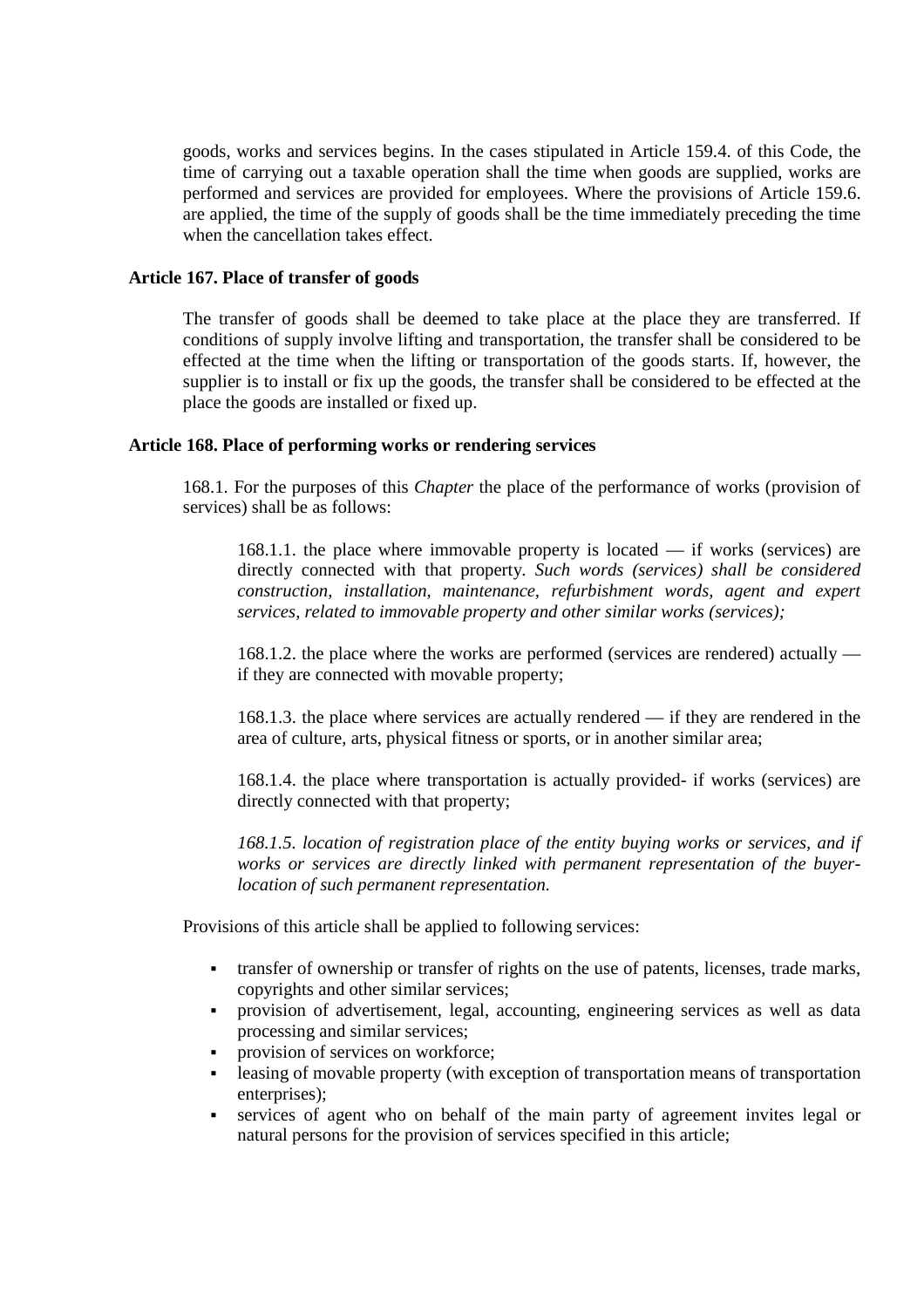goods, works and services begins. In the cases stipulated in Article 159.4. of this Code, the time of carrying out a taxable operation shall the time when goods are supplied, works are performed and services are provided for employees. Where the provisions of Article 159.6. are applied, the time of the supply of goods shall be the time immediately preceding the time when the cancellation takes effect.

# **Article 167. Place of transfer of goods**

The transfer of goods shall be deemed to take place at the place they are transferred. If conditions of supply involve lifting and transportation, the transfer shall be considered to be effected at the time when the lifting or transportation of the goods starts. If, however, the supplier is to install or fix up the goods, the transfer shall be considered to be effected at the place the goods are installed or fixed up.

# **Article 168. Place of performing works or rendering services**

168.1. For the purposes of this *Chapter* the place of the performance of works (provision of services) shall be as follows:

168.1.1. the place where immovable property is located — if works (services) are directly connected with that property*. Such words (services) shall be considered construction, installation, maintenance, refurbishment words, agent and expert services, related to immovable property and other similar works (services);* 

168.1.2. the place where the works are performed (services are rendered) actually if they are connected with movable property;

168.1.3. the place where services are actually rendered — if they are rendered in the area of culture, arts, physical fitness or sports, or in another similar area;

168.1.4. the place where transportation is actually provided- if works (services) are directly connected with that property;

*168.1.5. location of registration place of the entity buying works or services, and if works or services are directly linked with permanent representation of the buyerlocation of such permanent representation.* 

Provisions of this article shall be applied to following services:

- transfer of ownership or transfer of rights on the use of patents, licenses, trade marks, copyrights and other similar services;
- provision of advertisement, legal, accounting, engineering services as well as data processing and similar services;
- **Provision of services on workforce;**
- **-** leasing of movable property (with exception of transportation means of transportation enterprises):
- services of agent who on behalf of the main party of agreement invites legal or natural persons for the provision of services specified in this article;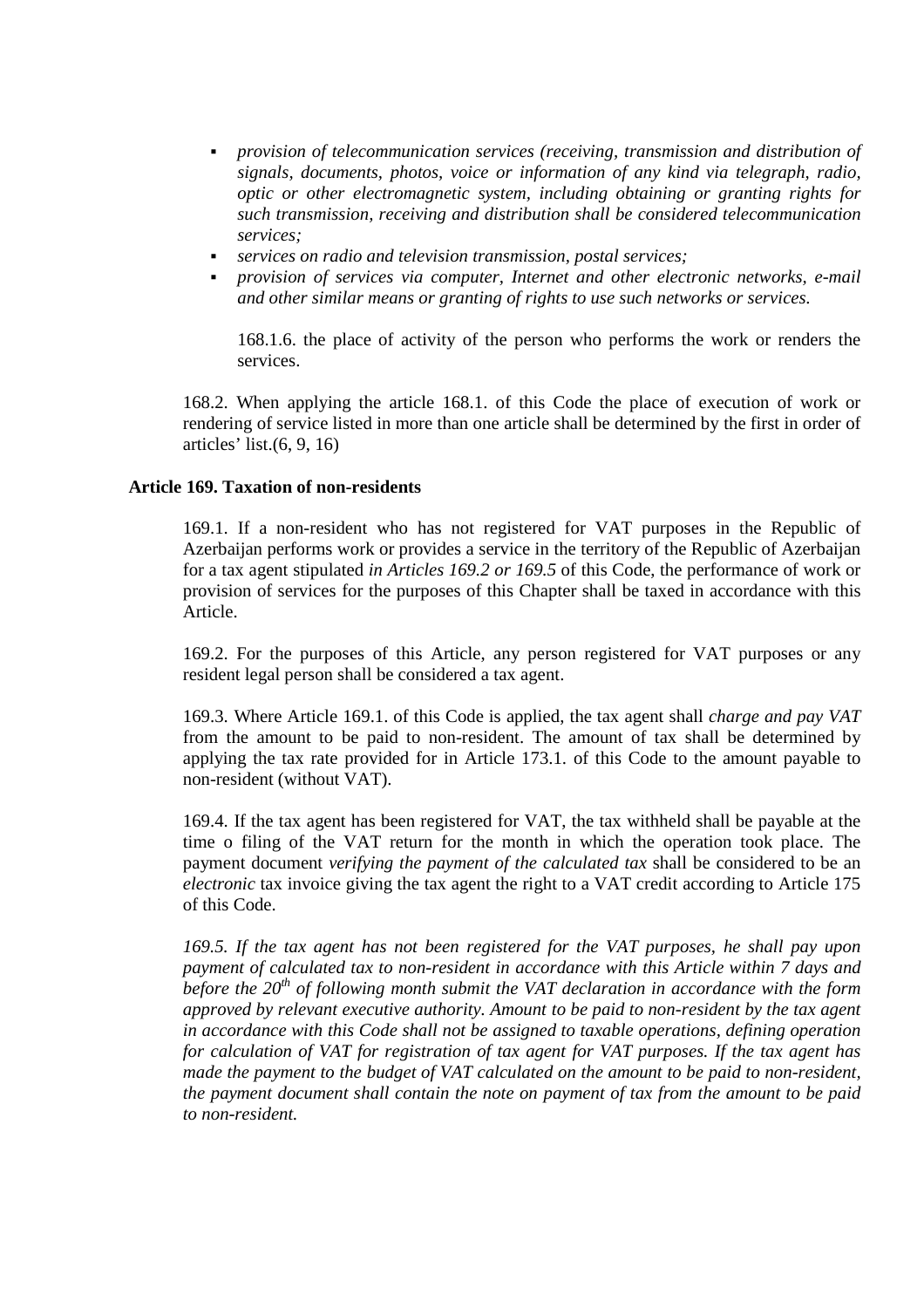- *provision of telecommunication services (receiving, transmission and distribution of signals, documents, photos, voice or information of any kind via telegraph, radio, optic or other electromagnetic system, including obtaining or granting rights for such transmission, receiving and distribution shall be considered telecommunication services;*
- *services on radio and television transmission, postal services;*
- *provision of services via computer, Internet and other electronic networks, e-mail and other similar means or granting of rights to use such networks or services.*

168.1.6. the place of activity of the person who performs the work or renders the services.

168.2. When applying the article 168.1. of this Code the place of execution of work or rendering of service listed in more than one article shall be determined by the first in order of articles' list.(6, 9, 16)

# **Article 169. Taxation of non-residents**

169.1. If a non-resident who has not registered for VAT purposes in the Republic of Azerbaijan performs work or provides a service in the territory of the Republic of Azerbaijan for a tax agent stipulated *in Articles 169.2 or 169.5* of this Code, the performance of work or provision of services for the purposes of this Chapter shall be taxed in accordance with this Article.

169.2. For the purposes of this Article, any person registered for VAT purposes or any resident legal person shall be considered a tax agent.

169.3. Where Article 169.1. of this Code is applied, the tax agent shall *charge and pay VAT*  from the amount to be paid to non-resident. The amount of tax shall be determined by applying the tax rate provided for in Article 173.1. of this Code to the amount payable to non-resident (without VAT).

169.4. If the tax agent has been registered for VAT, the tax withheld shall be payable at the time o filing of the VAT return for the month in which the operation took place. The payment document *verifying the payment of the calculated tax* shall be considered to be an *electronic* tax invoice giving the tax agent the right to a VAT credit according to Article 175 of this Code.

*169.5. If the tax agent has not been registered for the VAT purposes, he shall pay upon payment of calculated tax to non-resident in accordance with this Article within 7 days and before the 20th of following month submit the VAT declaration in accordance with the form approved by relevant executive authority. Amount to be paid to non-resident by the tax agent in accordance with this Code shall not be assigned to taxable operations, defining operation for calculation of VAT for registration of tax agent for VAT purposes. If the tax agent has made the payment to the budget of VAT calculated on the amount to be paid to non-resident, the payment document shall contain the note on payment of tax from the amount to be paid to non-resident.*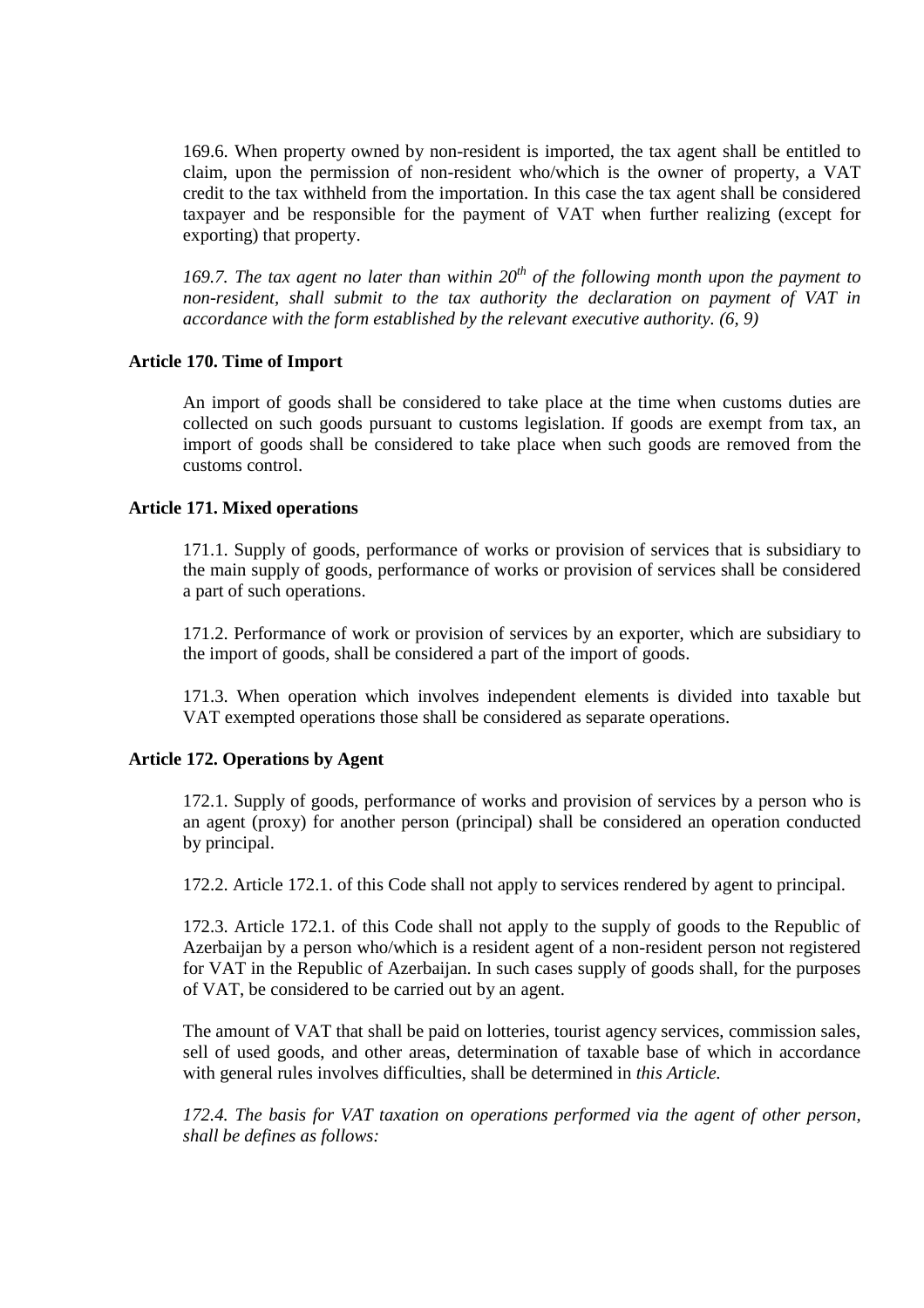169.6. When property owned by non-resident is imported, the tax agent shall be entitled to claim, upon the permission of non-resident who/which is the owner of property, a VAT credit to the tax withheld from the importation. In this case the tax agent shall be considered taxpayer and be responsible for the payment of VAT when further realizing (except for exporting) that property.

*169.7. The tax agent no later than within 20th of the following month upon the payment to non-resident, shall submit to the tax authority the declaration on payment of VAT in accordance with the form established by the relevant executive authority. (6, 9)* 

# **Article 170. Time of Import**

An import of goods shall be considered to take place at the time when customs duties are collected on such goods pursuant to customs legislation. If goods are exempt from tax, an import of goods shall be considered to take place when such goods are removed from the customs control.

# **Article 171. Mixed operations**

171.1. Supply of goods, performance of works or provision of services that is subsidiary to the main supply of goods, performance of works or provision of services shall be considered a part of such operations.

171.2. Performance of work or provision of services by an exporter, which are subsidiary to the import of goods, shall be considered a part of the import of goods.

171.3. When operation which involves independent elements is divided into taxable but VAT exempted operations those shall be considered as separate operations.

# **Article 172. Operations by Agent**

172.1. Supply of goods, performance of works and provision of services by a person who is an agent (proxy) for another person (principal) shall be considered an operation conducted by principal.

172.2. Article 172.1. of this Code shall not apply to services rendered by agent to principal.

172.3. Article 172.1. of this Code shall not apply to the supply of goods to the Republic of Azerbaijan by a person who/which is a resident agent of a non-resident person not registered for VAT in the Republic of Azerbaijan. In such cases supply of goods shall, for the purposes of VAT, be considered to be carried out by an agent.

The amount of VAT that shall be paid on lotteries, tourist agency services, commission sales, sell of used goods, and other areas, determination of taxable base of which in accordance with general rules involves difficulties, shall be determined in *this Article.*

*172.4. The basis for VAT taxation on operations performed via the agent of other person, shall be defines as follows:*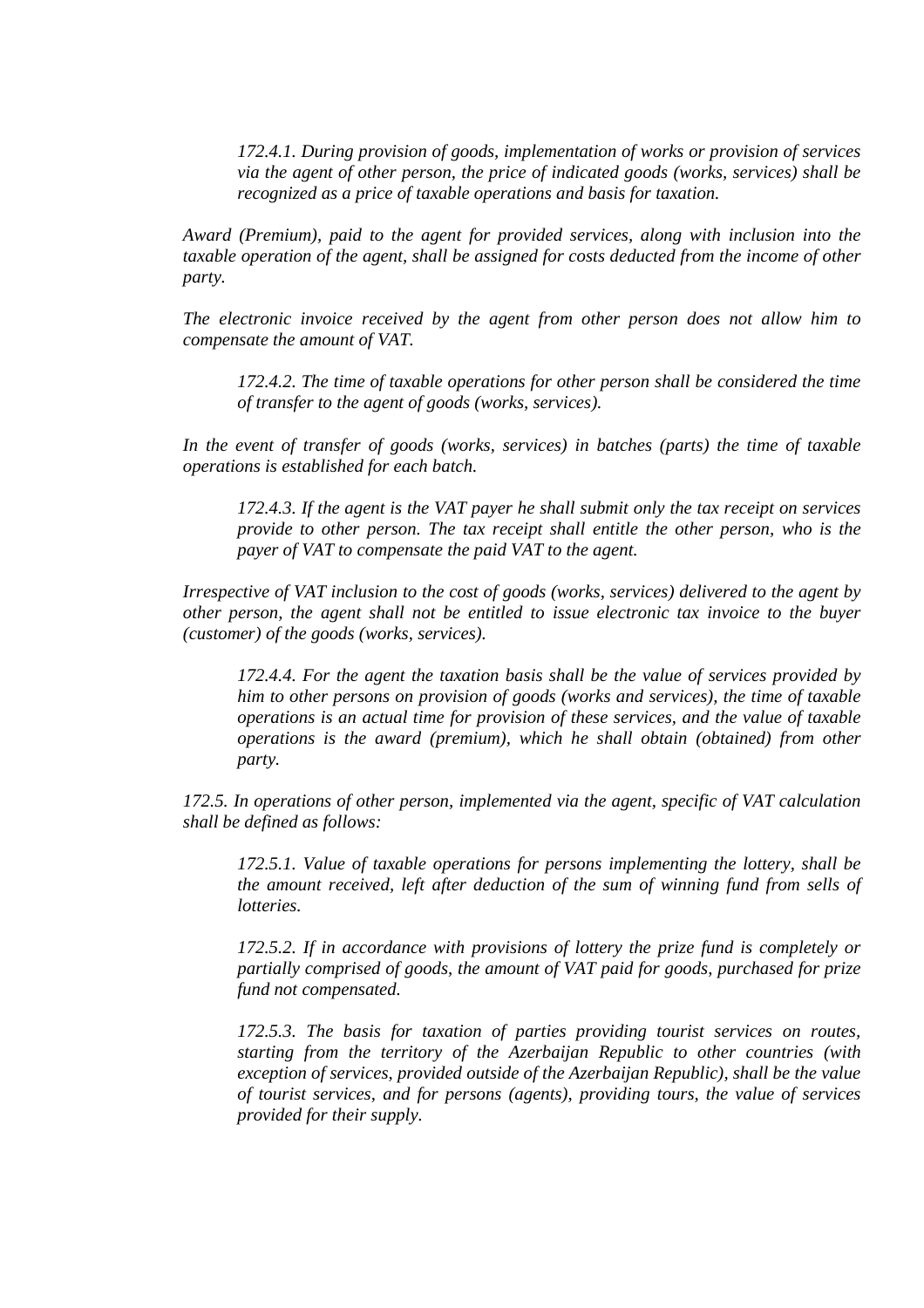*172.4.1. During provision of goods, implementation of works or provision of services via the agent of other person, the price of indicated goods (works, services) shall be recognized as a price of taxable operations and basis for taxation.* 

*Award (Premium), paid to the agent for provided services, along with inclusion into the taxable operation of the agent, shall be assigned for costs deducted from the income of other party.* 

*The electronic invoice received by the agent from other person does not allow him to compensate the amount of VAT.* 

*172.4.2. The time of taxable operations for other person shall be considered the time of transfer to the agent of goods (works, services).* 

*In the event of transfer of goods (works, services) in batches (parts) the time of taxable operations is established for each batch.* 

*172.4.3. If the agent is the VAT payer he shall submit only the tax receipt on services provide to other person. The tax receipt shall entitle the other person, who is the payer of VAT to compensate the paid VAT to the agent.* 

*Irrespective of VAT inclusion to the cost of goods (works, services) delivered to the agent by other person, the agent shall not be entitled to issue electronic tax invoice to the buyer (customer) of the goods (works, services).* 

*172.4.4. For the agent the taxation basis shall be the value of services provided by him to other persons on provision of goods (works and services), the time of taxable operations is an actual time for provision of these services, and the value of taxable operations is the award (premium), which he shall obtain (obtained) from other party.* 

*172.5. In operations of other person, implemented via the agent, specific of VAT calculation shall be defined as follows:* 

*172.5.1. Value of taxable operations for persons implementing the lottery, shall be the amount received, left after deduction of the sum of winning fund from sells of lotteries.* 

*172.5.2. If in accordance with provisions of lottery the prize fund is completely or partially comprised of goods, the amount of VAT paid for goods, purchased for prize fund not compensated.* 

*172.5.3. The basis for taxation of parties providing tourist services on routes, starting from the territory of the Azerbaijan Republic to other countries (with exception of services, provided outside of the Azerbaijan Republic), shall be the value of tourist services, and for persons (agents), providing tours, the value of services provided for their supply.*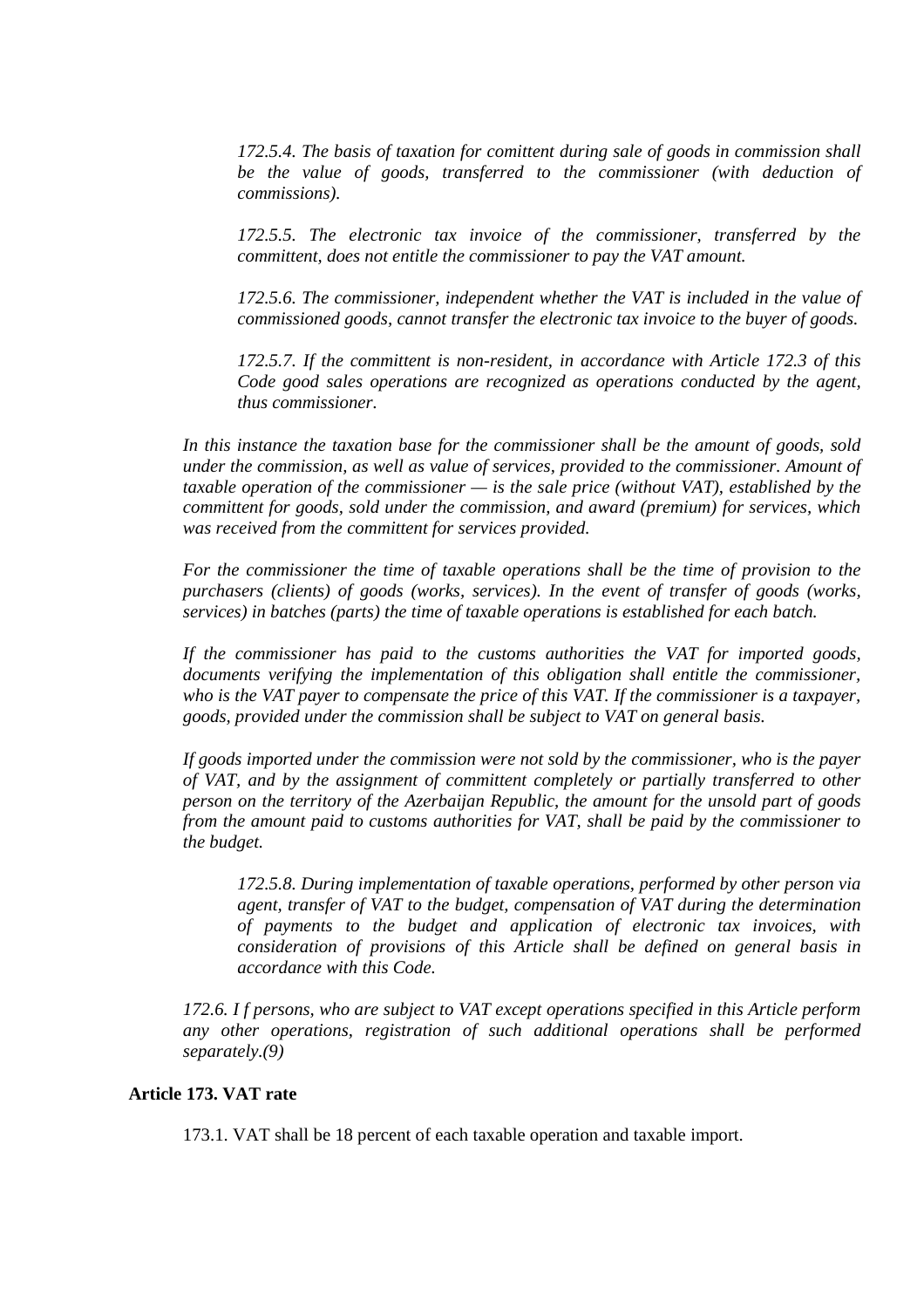*172.5.4. The basis of taxation for comittent during sale of goods in commission shall*  be the value of goods, transferred to the commissioner (with deduction of *commissions).* 

*172.5.5. The electronic tax invoice of the commissioner, transferred by the committent, does not entitle the commissioner to pay the VAT amount.* 

*172.5.6. The commissioner, independent whether the VAT is included in the value of commissioned goods, cannot transfer the electronic tax invoice to the buyer of goods.* 

*172.5.7. If the committent is non-resident, in accordance with Article 172.3 of this Code good sales operations are recognized as operations conducted by the agent, thus commissioner.* 

*In this instance the taxation base for the commissioner shall be the amount of goods, sold under the commission, as well as value of services, provided to the commissioner. Amount of taxable operation of the commissioner — is the sale price (without VAT), established by the committent for goods, sold under the commission, and award (premium) for services, which was received from the committent for services provided.* 

*For the commissioner the time of taxable operations shall be the time of provision to the purchasers (clients) of goods (works, services). In the event of transfer of goods (works, services) in batches (parts) the time of taxable operations is established for each batch.* 

*If the commissioner has paid to the customs authorities the VAT for imported goods, documents verifying the implementation of this obligation shall entitle the commissioner, who is the VAT payer to compensate the price of this VAT. If the commissioner is a taxpayer, goods, provided under the commission shall be subject to VAT on general basis.* 

*If goods imported under the commission were not sold by the commissioner, who is the payer of VAT, and by the assignment of committent completely or partially transferred to other person on the territory of the Azerbaijan Republic, the amount for the unsold part of goods from the amount paid to customs authorities for VAT, shall be paid by the commissioner to the budget.* 

*172.5.8. During implementation of taxable operations, performed by other person via agent, transfer of VAT to the budget, compensation of VAT during the determination of payments to the budget and application of electronic tax invoices, with consideration of provisions of this Article shall be defined on general basis in accordance with this Code.* 

*172.6. I f persons, who are subject to VAT except operations specified in this Article perform any other operations, registration of such additional operations shall be performed separately.(9)* 

# **Article 173. VAT rate**

173.1. VAT shall be 18 percent of each taxable operation and taxable import.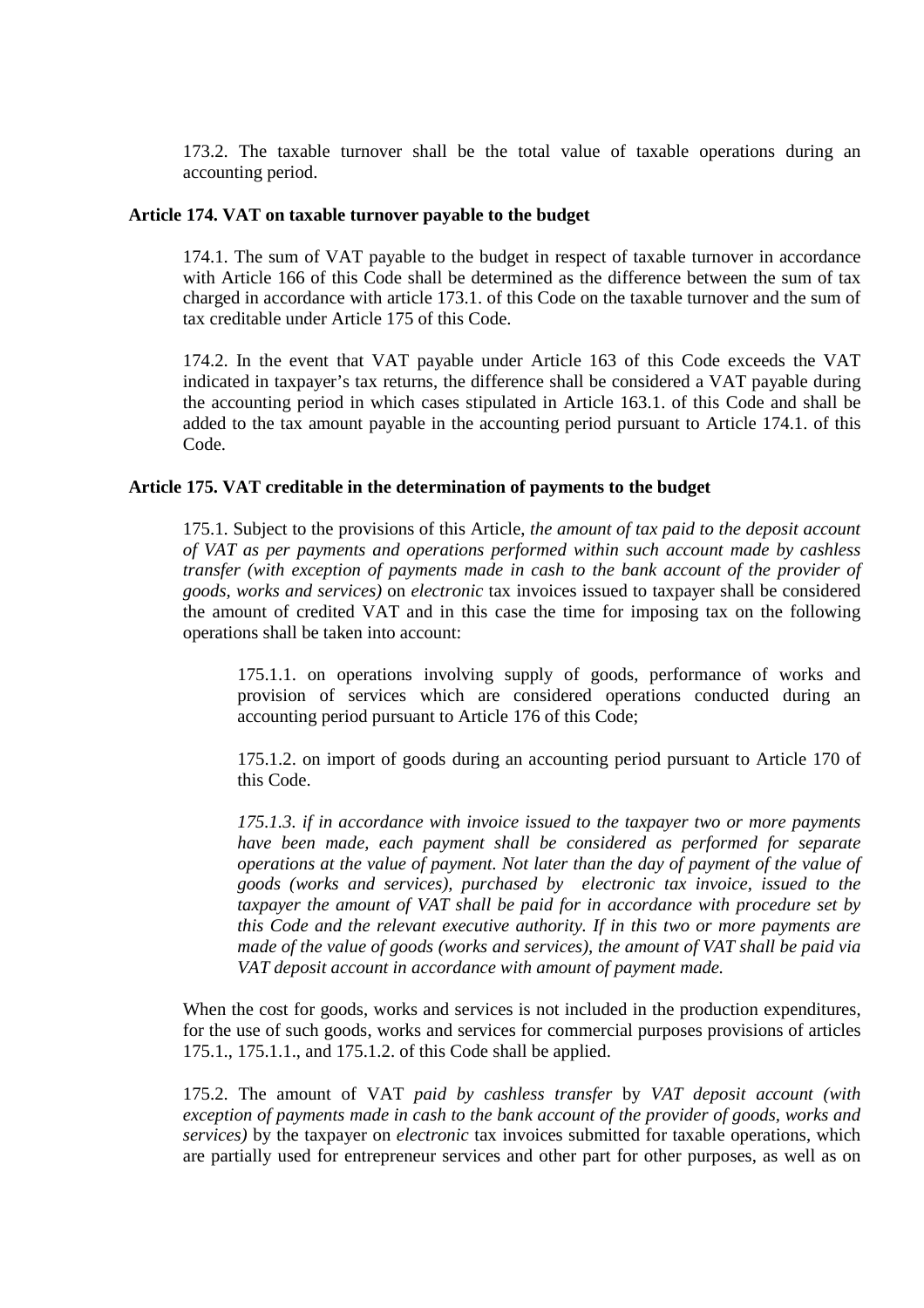173.2. The taxable turnover shall be the total value of taxable operations during an accounting period.

# **Article 174. VAT on taxable turnover payable to the budget**

174.1. The sum of VAT payable to the budget in respect of taxable turnover in accordance with Article 166 of this Code shall be determined as the difference between the sum of tax charged in accordance with article 173.1. of this Code on the taxable turnover and the sum of tax creditable under Article 175 of this Code.

174.2. In the event that VAT payable under Article 163 of this Code exceeds the VAT indicated in taxpayer's tax returns, the difference shall be considered a VAT payable during the accounting period in which cases stipulated in Article 163.1. of this Code and shall be added to the tax amount payable in the accounting period pursuant to Article 174.1. of this Code.

# **Article 175. VAT creditable in the determination of payments to the budget**

175.1. Subject to the provisions of this Article, *the amount of tax paid to the deposit account of VAT as per payments and operations performed within such account made by cashless transfer (with exception of payments made in cash to the bank account of the provider of goods, works and services)* on *electronic* tax invoices issued to taxpayer shall be considered the amount of credited VAT and in this case the time for imposing tax on the following operations shall be taken into account:

175.1.1. on operations involving supply of goods, performance of works and provision of services which are considered operations conducted during an accounting period pursuant to Article 176 of this Code;

175.1.2. on import of goods during an accounting period pursuant to Article 170 of this Code.

*175.1.3. if in accordance with invoice issued to the taxpayer two or more payments have been made, each payment shall be considered as performed for separate operations at the value of payment. Not later than the day of payment of the value of goods (works and services), purchased by electronic tax invoice, issued to the taxpayer the amount of VAT shall be paid for in accordance with procedure set by this Code and the relevant executive authority. If in this two or more payments are made of the value of goods (works and services), the amount of VAT shall be paid via VAT deposit account in accordance with amount of payment made.* 

When the cost for goods, works and services is not included in the production expenditures, for the use of such goods, works and services for commercial purposes provisions of articles 175.1., 175.1.1., and 175.1.2. of this Code shall be applied.

175.2. The amount of VAT *paid by cashless transfer* by *VAT deposit account (with exception of payments made in cash to the bank account of the provider of goods, works and services)* by the taxpayer on *electronic* tax invoices submitted for taxable operations, which are partially used for entrepreneur services and other part for other purposes, as well as on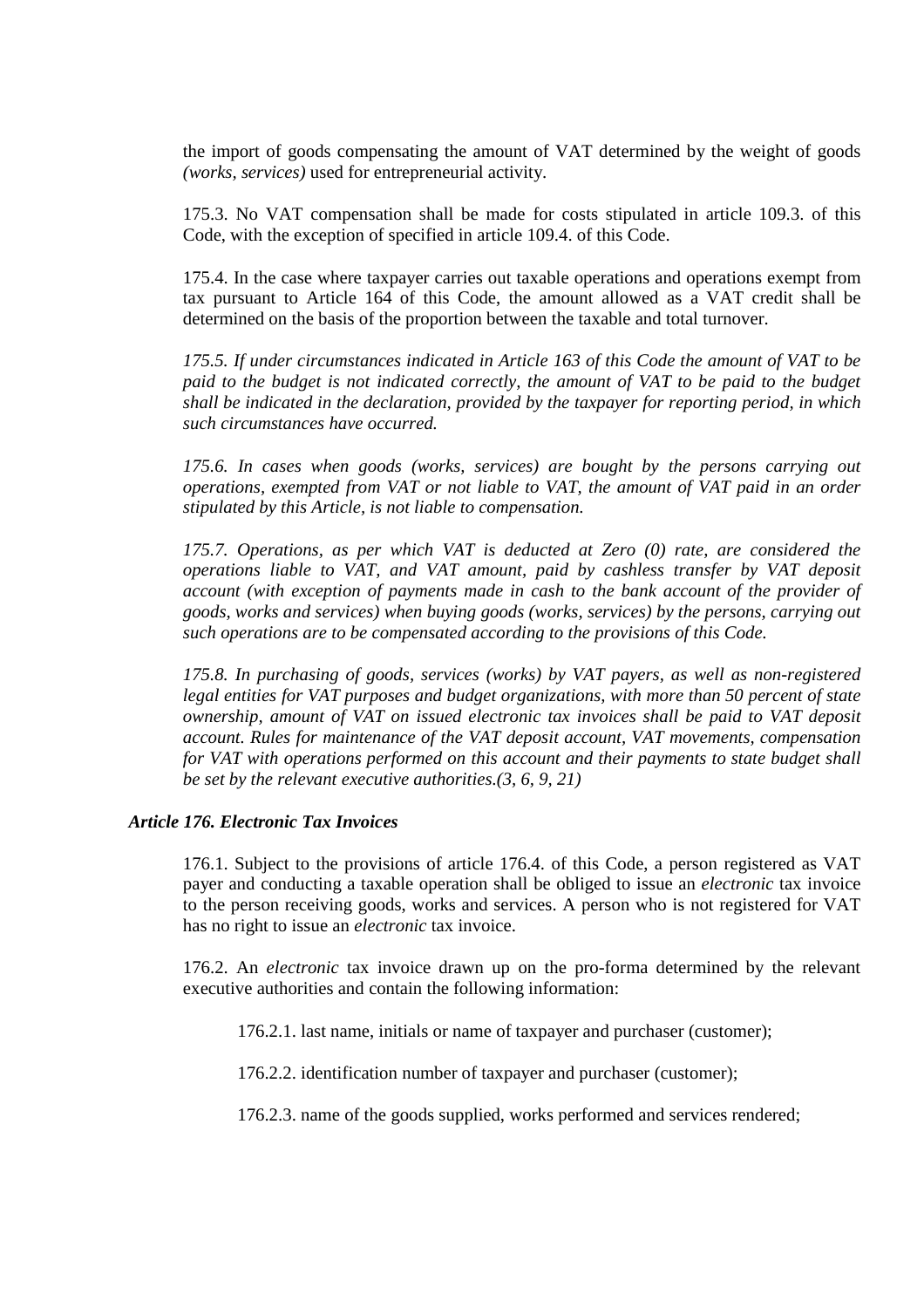the import of goods compensating the amount of VAT determined by the weight of goods *(works, services)* used for entrepreneurial activity.

175.3. No VAT compensation shall be made for costs stipulated in article 109.3. of this Code, with the exception of specified in article 109.4. of this Code.

175.4. In the case where taxpayer carries out taxable operations and operations exempt from tax pursuant to Article 164 of this Code, the amount allowed as a VAT credit shall be determined on the basis of the proportion between the taxable and total turnover.

*175.5. If under circumstances indicated in Article 163 of this Code the amount of VAT to be*  paid to the budget is not indicated correctly, the amount of VAT to be paid to the budget *shall be indicated in the declaration, provided by the taxpayer for reporting period, in which such circumstances have occurred.* 

*175.6. In cases when goods (works, services) are bought by the persons carrying out operations, exempted from VAT or not liable to VAT, the amount of VAT paid in an order stipulated by this Article, is not liable to compensation.* 

*175.7. Operations, as per which VAT is deducted at Zero (0) rate, are considered the operations liable to VAT, and VAT amount, paid by cashless transfer by VAT deposit account (with exception of payments made in cash to the bank account of the provider of goods, works and services) when buying goods (works, services) by the persons, carrying out such operations are to be compensated according to the provisions of this Code.* 

*175.8. In purchasing of goods, services (works) by VAT payers, as well as non-registered legal entities for VAT purposes and budget organizations, with more than 50 percent of state ownership, amount of VAT on issued electronic tax invoices shall be paid to VAT deposit account. Rules for maintenance of the VAT deposit account, VAT movements, compensation for VAT with operations performed on this account and their payments to state budget shall be set by the relevant executive authorities.(3, 6, 9, 21)* 

# *Article 176. Electronic Tax Invoices*

176.1. Subject to the provisions of article 176.4. of this Code, a person registered as VAT payer and conducting a taxable operation shall be obliged to issue an *electronic* tax invoice to the person receiving goods, works and services. A person who is not registered for VAT has no right to issue an *electronic* tax invoice.

176.2. An *electronic* tax invoice drawn up on the pro-forma determined by the relevant executive authorities and contain the following information:

176.2.1. last name, initials or name of taxpayer and purchaser (customer);

176.2.2. identification number of taxpayer and purchaser (customer);

176.2.3. name of the goods supplied, works performed and services rendered;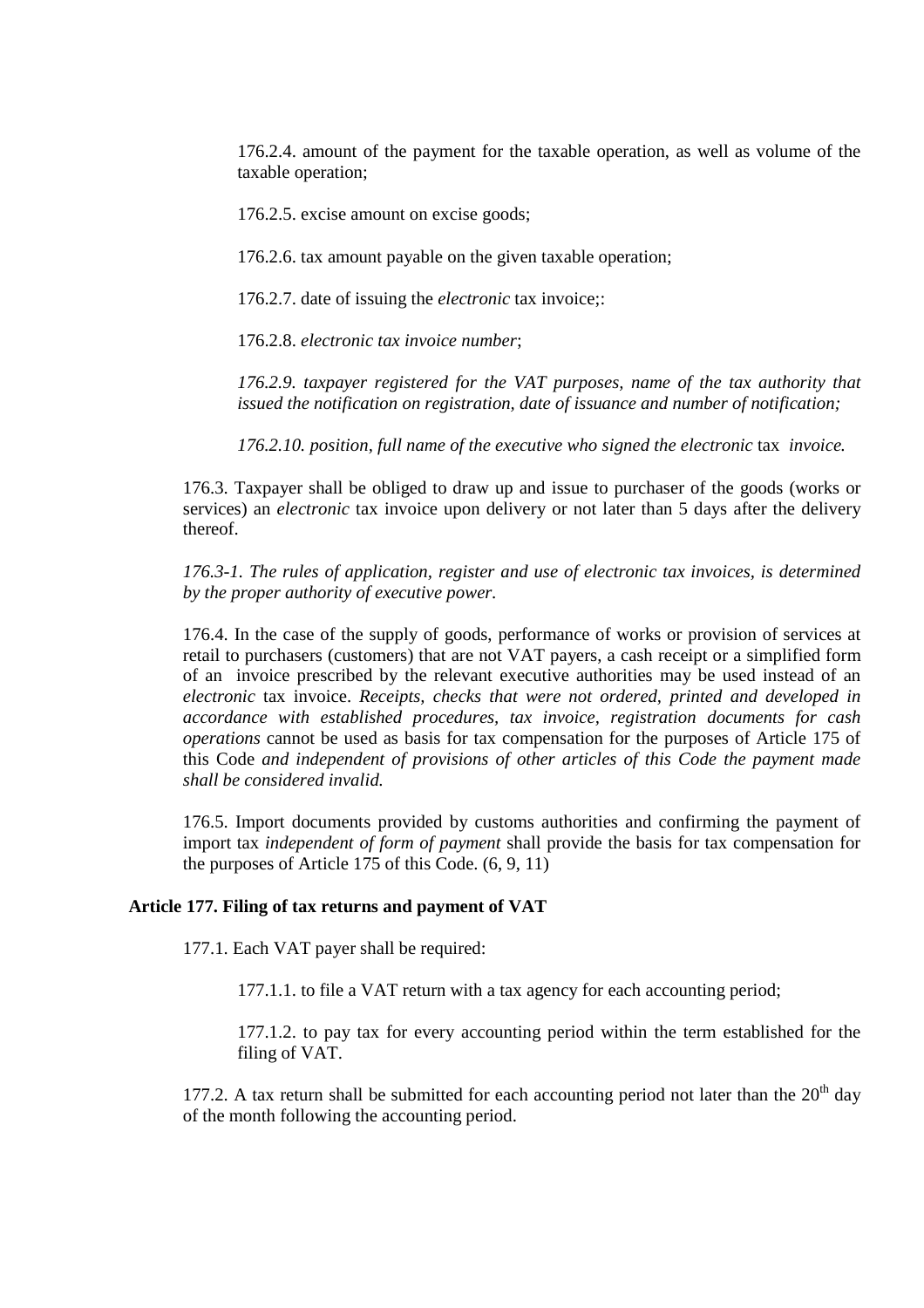176.2.4. amount of the payment for the taxable operation, as well as volume of the taxable operation;

176.2.5. excise amount on excise goods;

176.2.6. tax amount payable on the given taxable operation;

176.2.7. date of issuing the *electronic* tax invoice;:

176.2.8. *electronic tax invoice number*;

*176.2.9. taxpayer registered for the VAT purposes, name of the tax authority that issued the notification on registration, date of issuance and number of notification;* 

*176.2.10. position, full name of the executive who signed the electronic* tax *invoice.* 

176.3. Taxpayer shall be obliged to draw up and issue to purchaser of the goods (works or services) an *electronic* tax invoice upon delivery or not later than 5 days after the delivery thereof.

*176.3-1. The rules of application, register and use of electronic tax invoices, is determined by the proper authority of executive power.* 

176.4. In the case of the supply of goods, performance of works or provision of services at retail to purchasers (customers) that are not VAT payers, a cash receipt or a simplified form of an invoice prescribed by the relevant executive authorities may be used instead of an *electronic* tax invoice. *Receipts, checks that were not ordered, printed and developed in accordance with established procedures, tax invoice, registration documents for cash operations* cannot be used as basis for tax compensation for the purposes of Article 175 of this Code *and independent of provisions of other articles of this Code the payment made shall be considered invalid.*

176.5. Import documents provided by customs authorities and confirming the payment of import tax *independent of form of payment* shall provide the basis for tax compensation for the purposes of Article 175 of this Code. (6, 9, 11)

#### **Article 177. Filing of tax returns and payment of VAT**

177.1. Each VAT payer shall be required:

177.1.1. to file a VAT return with a tax agency for each accounting period;

177.1.2. to pay tax for every accounting period within the term established for the filing of VAT.

177.2. A tax return shall be submitted for each accounting period not later than the  $20<sup>th</sup>$  day of the month following the accounting period.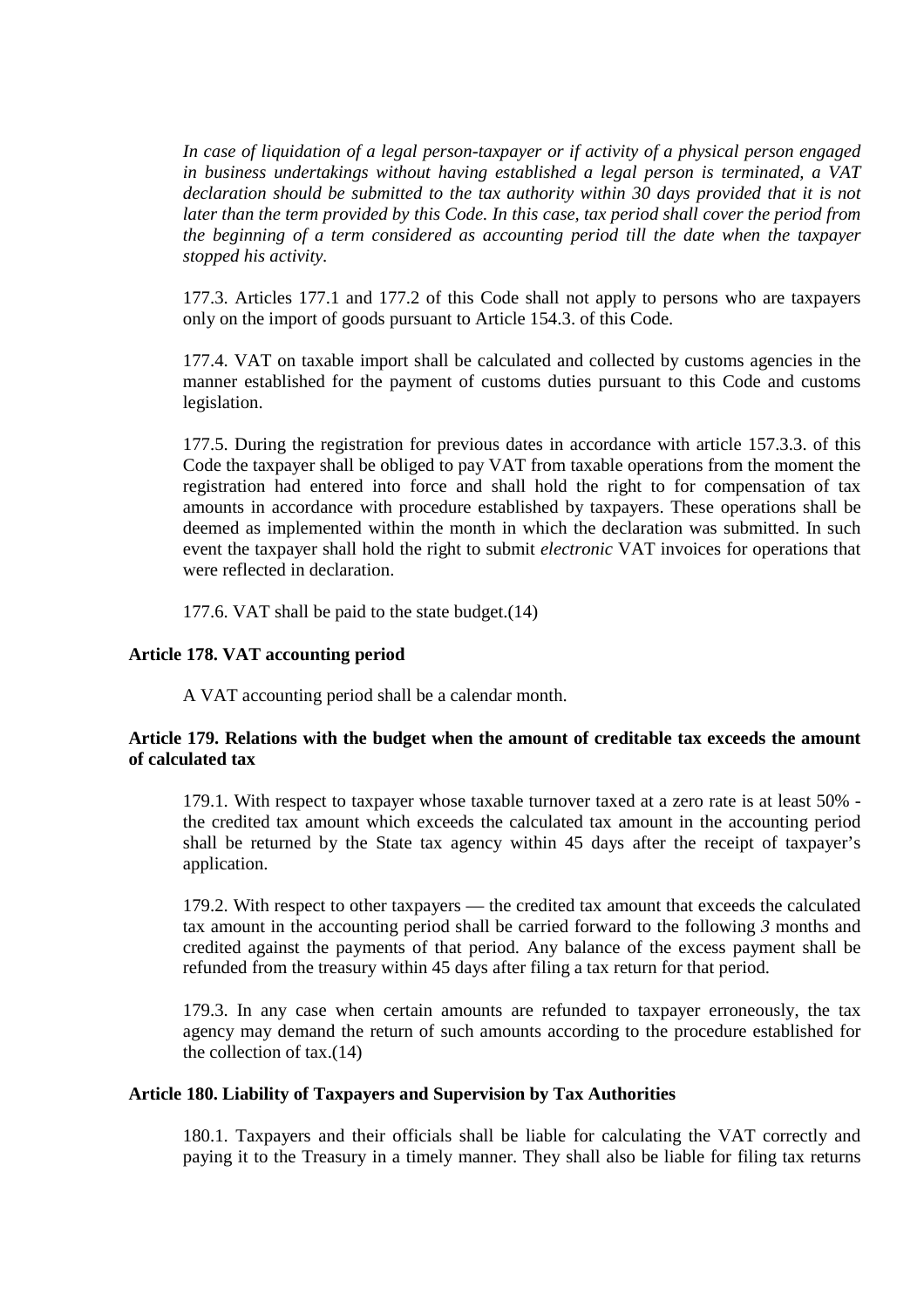*In case of liquidation of a legal person-taxpayer or if activity of a physical person engaged in business undertakings without having established a legal person is terminated, a VAT declaration should be submitted to the tax authority within 30 days provided that it is not later than the term provided by this Code. In this case, tax period shall cover the period from the beginning of a term considered as accounting period till the date when the taxpayer stopped his activity.* 

177.3. Articles 177.1 and 177.2 of this Code shall not apply to persons who are taxpayers only on the import of goods pursuant to Article 154.3. of this Code.

177.4. VAT on taxable import shall be calculated and collected by customs agencies in the manner established for the payment of customs duties pursuant to this Code and customs legislation.

177.5. During the registration for previous dates in accordance with article 157.3.3. of this Code the taxpayer shall be obliged to pay VAT from taxable operations from the moment the registration had entered into force and shall hold the right to for compensation of tax amounts in accordance with procedure established by taxpayers. These operations shall be deemed as implemented within the month in which the declaration was submitted. In such event the taxpayer shall hold the right to submit *electronic* VAT invoices for operations that were reflected in declaration.

177.6. VAT shall be paid to the state budget.(14)

# **Article 178. VAT accounting period**

A VAT accounting period shall be a calendar month.

# **Article 179. Relations with the budget when the amount of creditable tax exceeds the amount of calculated tax**

179.1. With respect to taxpayer whose taxable turnover taxed at a zero rate is at least 50% the credited tax amount which exceeds the calculated tax amount in the accounting period shall be returned by the State tax agency within 45 days after the receipt of taxpayer's application.

179.2. With respect to other taxpayers — the credited tax amount that exceeds the calculated tax amount in the accounting period shall be carried forward to the following *3* months and credited against the payments of that period. Any balance of the excess payment shall be refunded from the treasury within 45 days after filing a tax return for that period.

179.3. In any case when certain amounts are refunded to taxpayer erroneously, the tax agency may demand the return of such amounts according to the procedure established for the collection of tax.(14)

# **Article 180. Liability of Taxpayers and Supervision by Tax Authorities**

180.1. Taxpayers and their officials shall be liable for calculating the VAT correctly and paying it to the Treasury in a timely manner. They shall also be liable for filing tax returns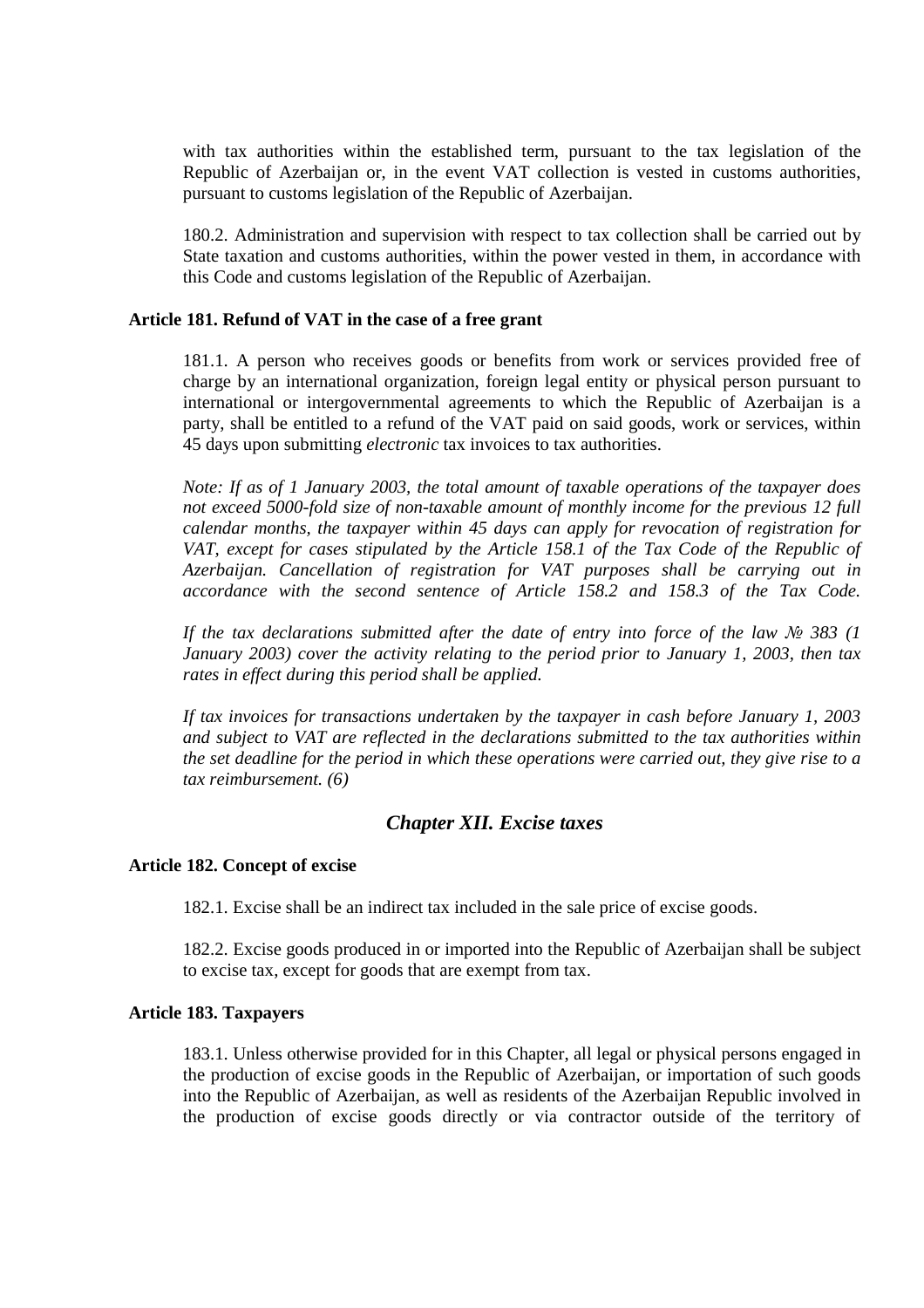with tax authorities within the established term, pursuant to the tax legislation of the Republic of Azerbaijan or, in the event VAT collection is vested in customs authorities, pursuant to customs legislation of the Republic of Azerbaijan.

180.2. Administration and supervision with respect to tax collection shall be carried out by State taxation and customs authorities, within the power vested in them, in accordance with this Code and customs legislation of the Republic of Azerbaijan.

# **Article 181. Refund of VAT in the case of a free grant**

181.1. A person who receives goods or benefits from work or services provided free of charge by an international organization, foreign legal entity or physical person pursuant to international or intergovernmental agreements to which the Republic of Azerbaijan is a party, shall be entitled to a refund of the VAT paid on said goods, work or services, within 45 days upon submitting *electronic* tax invoices to tax authorities.

*Note: If as of 1 January 2003, the total amount of taxable operations of the taxpayer does not exceed 5000-fold size of non-taxable amount of monthly income for the previous 12 full calendar months, the taxpayer within 45 days can apply for revocation of registration for*  VAT, except for cases stipulated by the Article 158.1 of the Tax Code of the Republic of *Azerbaijan. Cancellation of registration for VAT purposes shall be carrying out in accordance with the second sentence of Article 158.2 and 158.3 of the Tax Code.* 

*If the tax declarations submitted after the date of entry into force of the law*  $\mathcal{N}$  *383 (1 January 2003) cover the activity relating to the period prior to January 1, 2003, then tax rates in effect during this period shall be applied.* 

*If tax invoices for transactions undertaken by the taxpayer in cash before January 1, 2003 and subject to VAT are reflected in the declarations submitted to the tax authorities within the set deadline for the period in which these operations were carried out, they give rise to a tax reimbursement. (6)* 

# *Chapter XII. Excise taxes*

#### **Article 182. Concept of excise**

182.1. Excise shall be an indirect tax included in the sale price of excise goods.

182.2. Excise goods produced in or imported into the Republic of Azerbaijan shall be subject to excise tax, except for goods that are exempt from tax.

### **Article 183. Taxpayers**

183.1. Unless otherwise provided for in this Chapter, all legal or physical persons engaged in the production of excise goods in the Republic of Azerbaijan, or importation of such goods into the Republic of Azerbaijan, as well as residents of the Azerbaijan Republic involved in the production of excise goods directly or via contractor outside of the territory of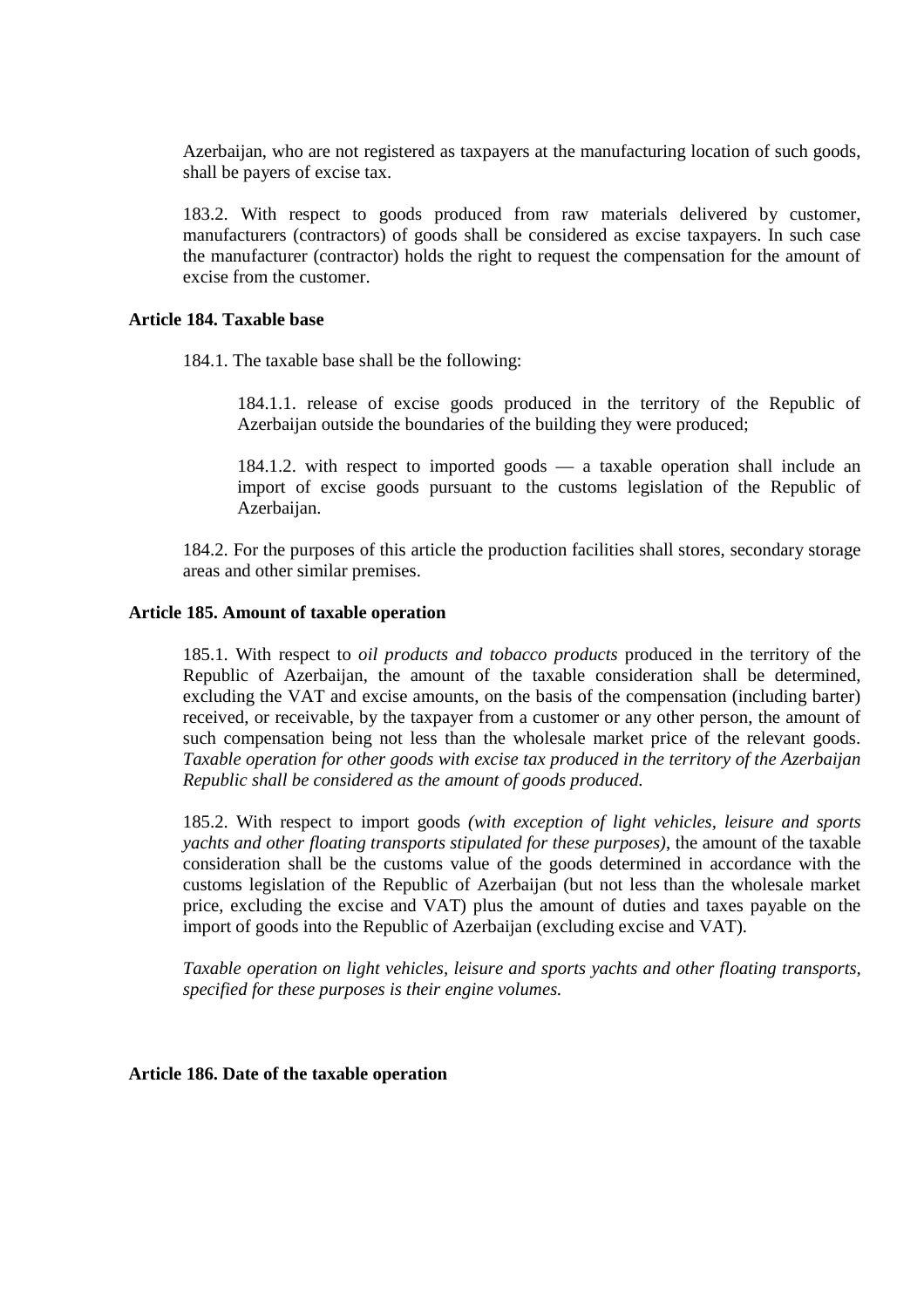Azerbaijan, who are not registered as taxpayers at the manufacturing location of such goods, shall be payers of excise tax.

183.2. With respect to goods produced from raw materials delivered by customer, manufacturers (contractors) of goods shall be considered as excise taxpayers. In such case the manufacturer (contractor) holds the right to request the compensation for the amount of excise from the customer.

# **Article 184. Taxable base**

184.1. The taxable base shall be the following:

184.1.1. release of excise goods produced in the territory of the Republic of Azerbaijan outside the boundaries of the building they were produced;

184.1.2. with respect to imported goods — a taxable operation shall include an import of excise goods pursuant to the customs legislation of the Republic of Azerbaijan.

184.2. For the purposes of this article the production facilities shall stores, secondary storage areas and other similar premises.

#### **Article 185. Amount of taxable operation**

185.1. With respect to *oil products and tobacco products* produced in the territory of the Republic of Azerbaijan, the amount of the taxable consideration shall be determined, excluding the VAT and excise amounts, on the basis of the compensation (including barter) received, or receivable, by the taxpayer from a customer or any other person, the amount of such compensation being not less than the wholesale market price of the relevant goods. *Taxable operation for other goods with excise tax produced in the territory of the Azerbaijan Republic shall be considered as the amount of goods produced.*

185.2. With respect to import goods *(with exception of light vehicles, leisure and sports yachts and other floating transports stipulated for these purposes)*, the amount of the taxable consideration shall be the customs value of the goods determined in accordance with the customs legislation of the Republic of Azerbaijan (but not less than the wholesale market price, excluding the excise and VAT) plus the amount of duties and taxes payable on the import of goods into the Republic of Azerbaijan (excluding excise and VAT).

*Taxable operation on light vehicles, leisure and sports yachts and other floating transports, specified for these purposes is their engine volumes.*

**Article 186. Date of the taxable operation**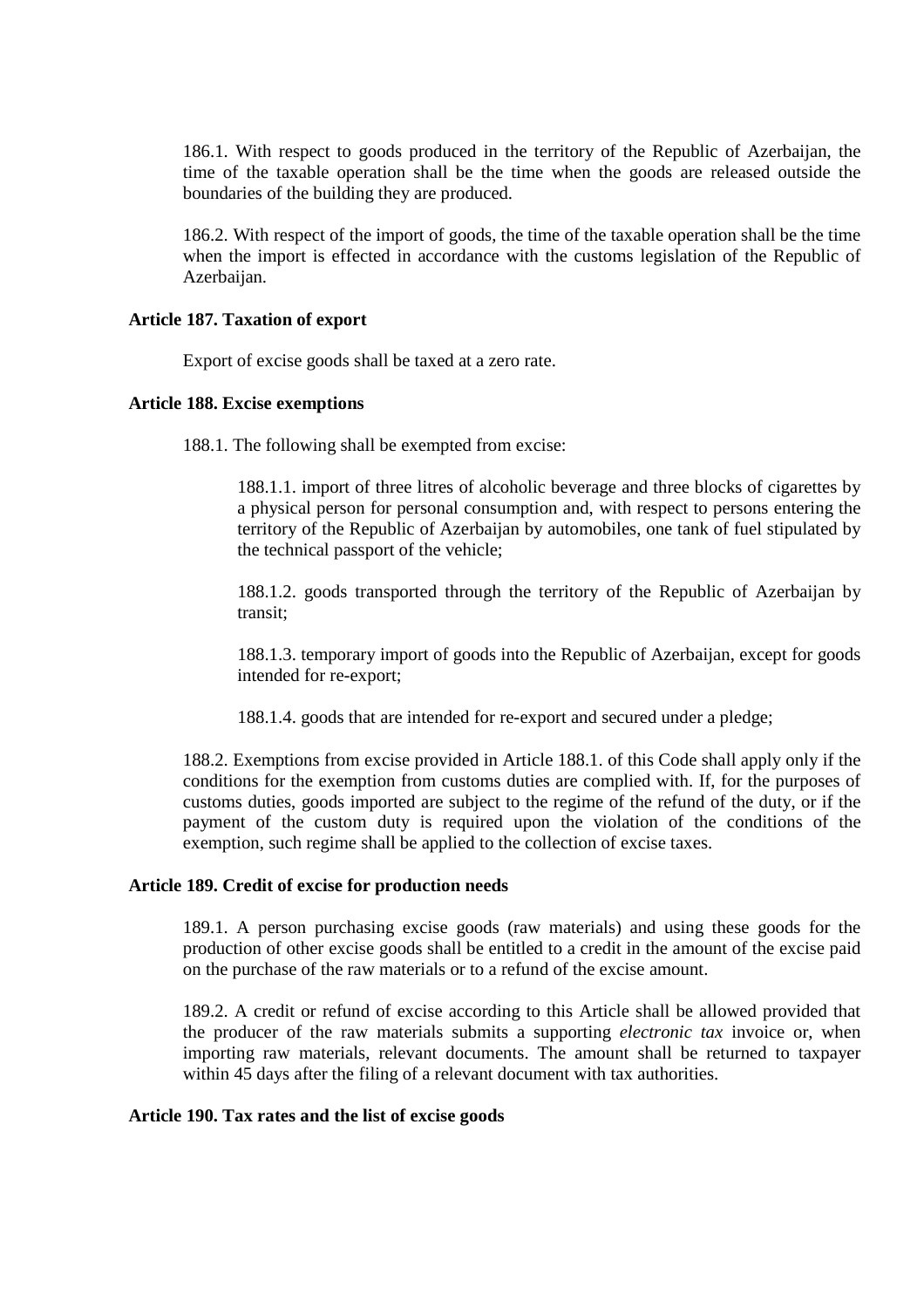186.1. With respect to goods produced in the territory of the Republic of Azerbaijan, the time of the taxable operation shall be the time when the goods are released outside the boundaries of the building they are produced.

186.2. With respect of the import of goods, the time of the taxable operation shall be the time when the import is effected in accordance with the customs legislation of the Republic of Azerbaijan.

# **Article 187. Taxation of export**

Export of excise goods shall be taxed at a zero rate.

# **Article 188. Excise exemptions**

188.1. The following shall be exempted from excise:

188.1.1. import of three litres of alcoholic beverage and three blocks of cigarettes by a physical person for personal consumption and, with respect to persons entering the territory of the Republic of Azerbaijan by automobiles, one tank of fuel stipulated by the technical passport of the vehicle;

188.1.2. goods transported through the territory of the Republic of Azerbaijan by transit;

188.1.3. temporary import of goods into the Republic of Azerbaijan, except for goods intended for re-export;

188.1.4. goods that are intended for re-export and secured under a pledge;

188.2. Exemptions from excise provided in Article 188.1. of this Code shall apply only if the conditions for the exemption from customs duties are complied with. If, for the purposes of customs duties, goods imported are subject to the regime of the refund of the duty, or if the payment of the custom duty is required upon the violation of the conditions of the exemption, such regime shall be applied to the collection of excise taxes.

# **Article 189. Credit of excise for production needs**

189.1. A person purchasing excise goods (raw materials) and using these goods for the production of other excise goods shall be entitled to a credit in the amount of the excise paid on the purchase of the raw materials or to a refund of the excise amount.

189.2. A credit or refund of excise according to this Article shall be allowed provided that the producer of the raw materials submits a supporting *electronic tax* invoice or, when importing raw materials, relevant documents. The amount shall be returned to taxpayer within 45 days after the filing of a relevant document with tax authorities.

### **Article 190. Tax rates and the list of excise goods**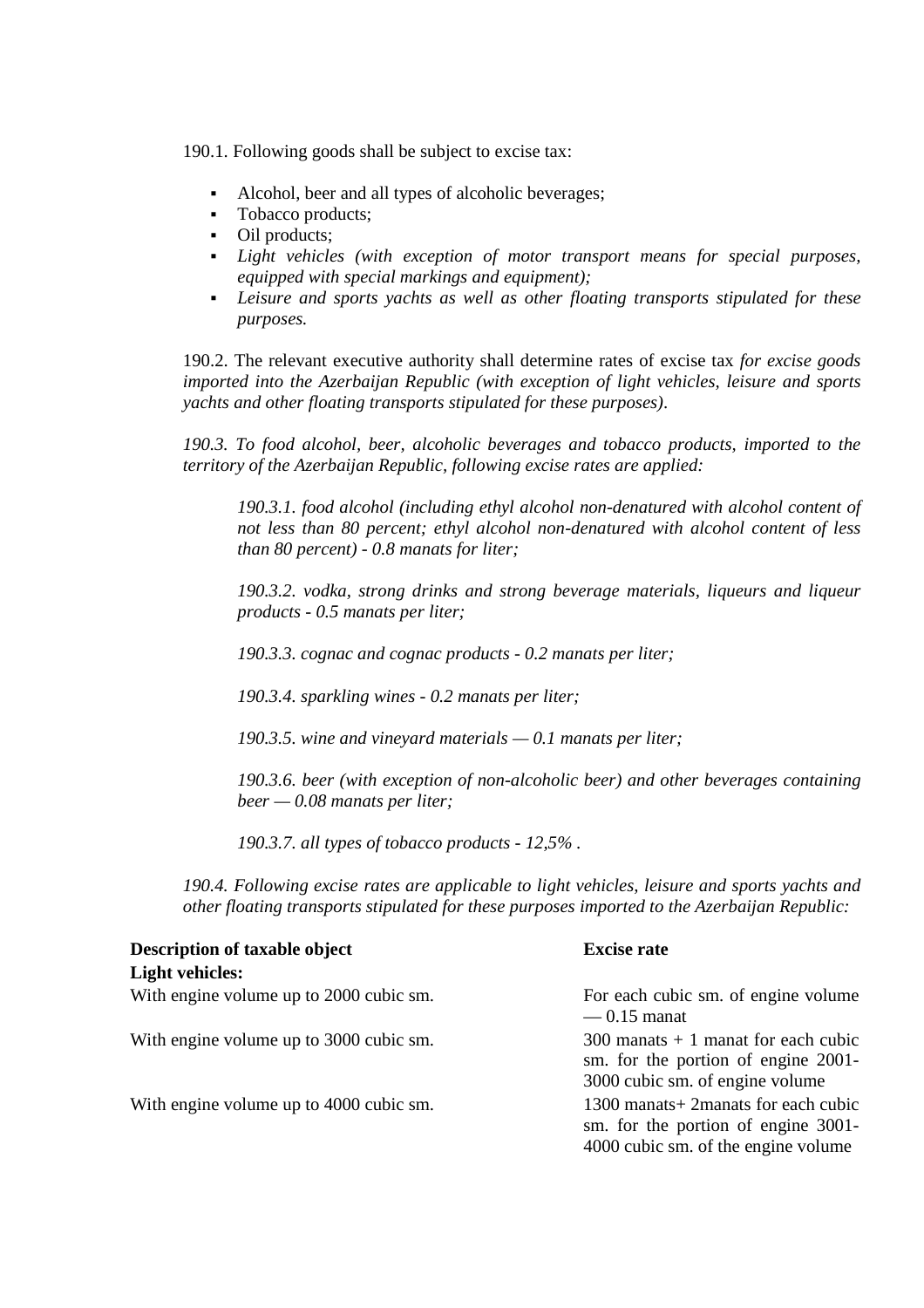190.1. Following goods shall be subject to excise tax:

- Alcohol, beer and all types of alcoholic beverages;
- Tobacco products:
- Oil products;
- *Light vehicles (with exception of motor transport means for special purposes, equipped with special markings and equipment);*
- *Leisure and sports yachts as well as other floating transports stipulated for these purposes.*

190.2. The relevant executive authority shall determine rates of excise tax *for excise goods imported into the Azerbaijan Republic (with exception of light vehicles, leisure and sports yachts and other floating transports stipulated for these purposes)*.

*190.3. To food alcohol, beer, alcoholic beverages and tobacco products, imported to the territory of the Azerbaijan Republic, following excise rates are applied:*

*190.3.1. food alcohol (including ethyl alcohol non-denatured with alcohol content of not less than 80 percent; ethyl alcohol non-denatured with alcohol content of less than 80 percent) - 0.8 manats for liter;*

*190.3.2. vodka, strong drinks and strong beverage materials, liqueurs and liqueur products - 0.5 manats per liter;*

*190.3.3. cognac and cognac products - 0.2 manats per liter;*

*190.3.4. sparkling wines - 0.2 manats per liter;*

*190.3.5. wine and vineyard materials — 0.1 manats per liter;*

*190.3.6. beer (with exception of non-alcoholic beer) and other beverages containing beer — 0.08 manats per liter;* 

*190.3.7. all types of tobacco products - 12,5% .* 

*190.4. Following excise rates are applicable to light vehicles, leisure and sports yachts and other floating transports stipulated for these purposes imported to the Azerbaijan Republic:* 

| <b>Description of taxable object</b>    | <b>Excise rate</b>                                                                                                  |
|-----------------------------------------|---------------------------------------------------------------------------------------------------------------------|
| <b>Light vehicles:</b>                  |                                                                                                                     |
| With engine volume up to 2000 cubic sm. | For each cubic sm. of engine volume<br>$-0.15$ manat                                                                |
| With engine volume up to 3000 cubic sm. | $300$ manats + 1 manat for each cubic<br>sm. for the portion of engine 2001-<br>3000 cubic sm. of engine volume     |
| With engine volume up to 4000 cubic sm. | 1300 manats + 2 manats for each cubic<br>sm. for the portion of engine 3001-<br>4000 cubic sm. of the engine volume |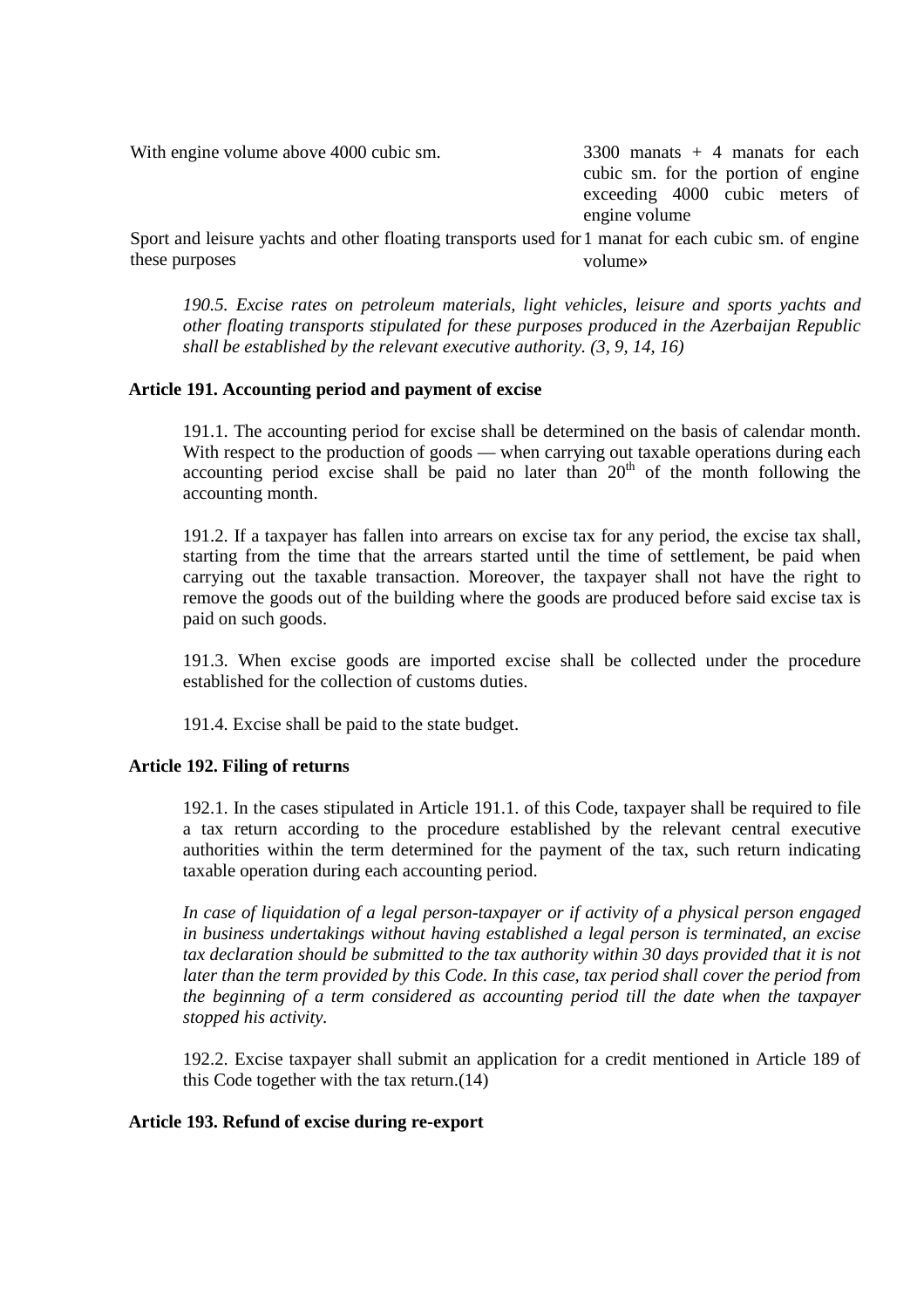With engine volume above 4000 cubic sm.  $\frac{3300}{2}$  manats + 4 manats for each

cubic sm. for the portion of engine exceeding 4000 cubic meters of engine volume

Sport and leisure yachts and other floating transports used for 1 manat for each cubic sm. of engine these purposes volume»

*190.5. Excise rates on petroleum materials, light vehicles, leisure and sports yachts and other floating transports stipulated for these purposes produced in the Azerbaijan Republic shall be established by the relevant executive authority. (3, 9, 14, 16)* 

# **Article 191. Accounting period and payment of excise**

191.1. The accounting period for excise shall be determined on the basis of calendar month. With respect to the production of goods — when carrying out taxable operations during each accounting period excise shall be paid no later than  $20<sup>th</sup>$  of the month following the accounting month.

191.2. If a taxpayer has fallen into arrears on excise tax for any period, the excise tax shall, starting from the time that the arrears started until the time of settlement, be paid when carrying out the taxable transaction. Moreover, the taxpayer shall not have the right to remove the goods out of the building where the goods are produced before said excise tax is paid on such goods.

191.3. When excise goods are imported excise shall be collected under the procedure established for the collection of customs duties.

191.4. Excise shall be paid to the state budget.

# **Article 192. Filing of returns**

192.1. In the cases stipulated in Article 191.1. of this Code, taxpayer shall be required to file a tax return according to the procedure established by the relevant central executive authorities within the term determined for the payment of the tax, such return indicating taxable operation during each accounting period.

*In case of liquidation of a legal person-taxpayer or if activity of a physical person engaged in business undertakings without having established a legal person is terminated, an excise tax declaration should be submitted to the tax authority within 30 days provided that it is not later than the term provided by this Code. In this case, tax period shall cover the period from the beginning of a term considered as accounting period till the date when the taxpayer stopped his activity.*

192.2. Excise taxpayer shall submit an application for a credit mentioned in Article 189 of this Code together with the tax return.(14)

# **Article 193. Refund of excise during re-export**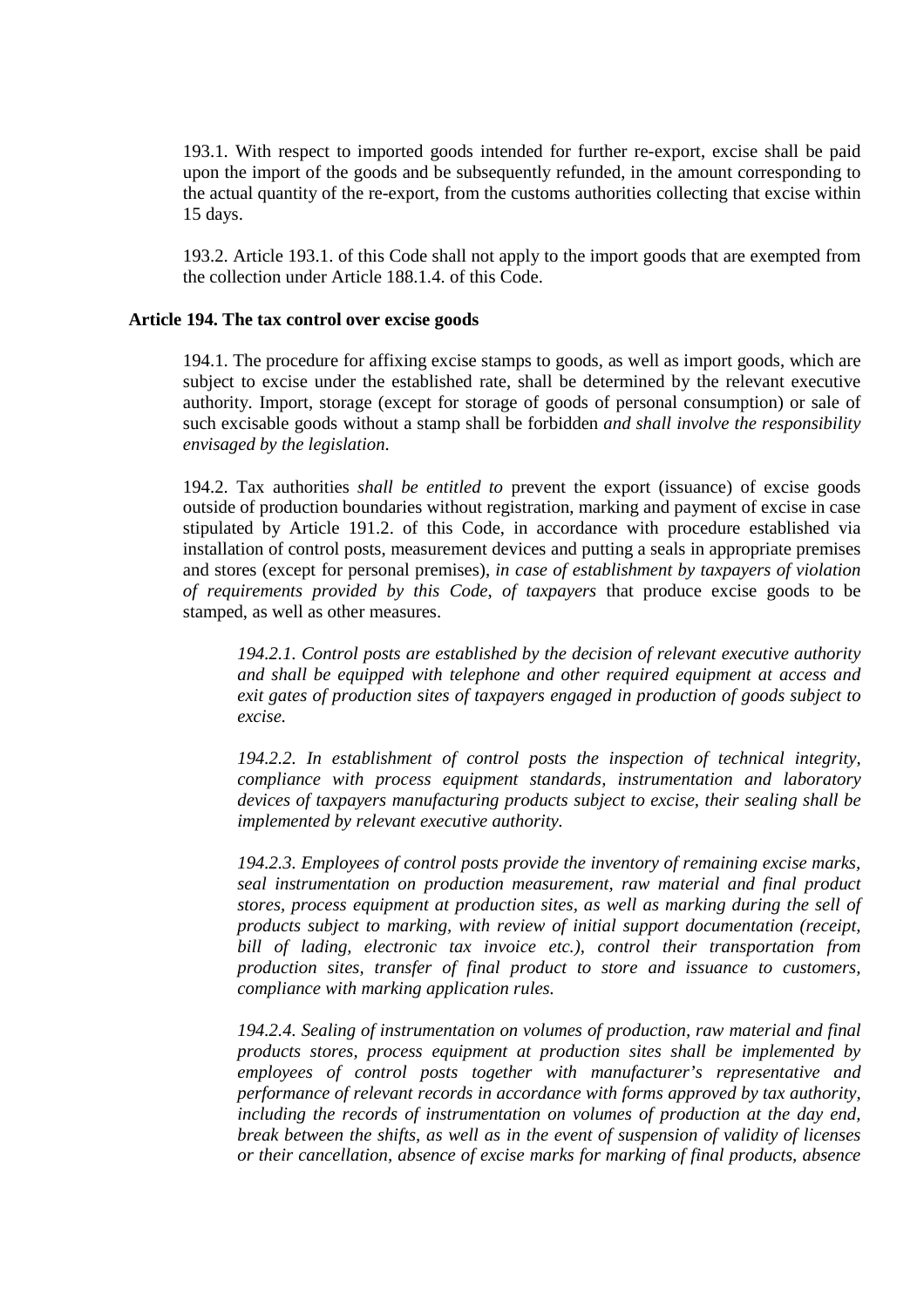193.1. With respect to imported goods intended for further re-export, excise shall be paid upon the import of the goods and be subsequently refunded, in the amount corresponding to the actual quantity of the re-export, from the customs authorities collecting that excise within 15 days.

193.2. Article 193.1. of this Code shall not apply to the import goods that are exempted from the collection under Article 188.1.4. of this Code.

### **Article 194. The tax control over excise goods**

194.1. The procedure for affixing excise stamps to goods, as well as import goods, which are subject to excise under the established rate, shall be determined by the relevant executive authority. Import, storage (except for storage of goods of personal consumption) or sale of such excisable goods without a stamp shall be forbidden *and shall involve the responsibility envisaged by the legislation*.

194.2. Tax authorities *shall be entitled to* prevent the export (issuance) of excise goods outside of production boundaries without registration, marking and payment of excise in case stipulated by Article 191.2. of this Code, in accordance with procedure established via installation of control posts, measurement devices and putting a seals in appropriate premises and stores (except for personal premises), *in case of establishment by taxpayers of violation of requirements provided by this Code*, *of taxpayers* that produce excise goods to be stamped, as well as other measures.

*194.2.1. Control posts are established by the decision of relevant executive authority and shall be equipped with telephone and other required equipment at access and exit gates of production sites of taxpayers engaged in production of goods subject to excise.* 

*194.2.2. In establishment of control posts the inspection of technical integrity, compliance with process equipment standards, instrumentation and laboratory devices of taxpayers manufacturing products subject to excise, their sealing shall be implemented by relevant executive authority.* 

*194.2.3. Employees of control posts provide the inventory of remaining excise marks, seal instrumentation on production measurement, raw material and final product stores, process equipment at production sites, as well as marking during the sell of products subject to marking, with review of initial support documentation (receipt, bill of lading, electronic tax invoice etc.), control their transportation from production sites, transfer of final product to store and issuance to customers, compliance with marking application rules.* 

*194.2.4. Sealing of instrumentation on volumes of production, raw material and final products stores, process equipment at production sites shall be implemented by employees of control posts together with manufacturer's representative and performance of relevant records in accordance with forms approved by tax authority, including the records of instrumentation on volumes of production at the day end, break between the shifts, as well as in the event of suspension of validity of licenses or their cancellation, absence of excise marks for marking of final products, absence*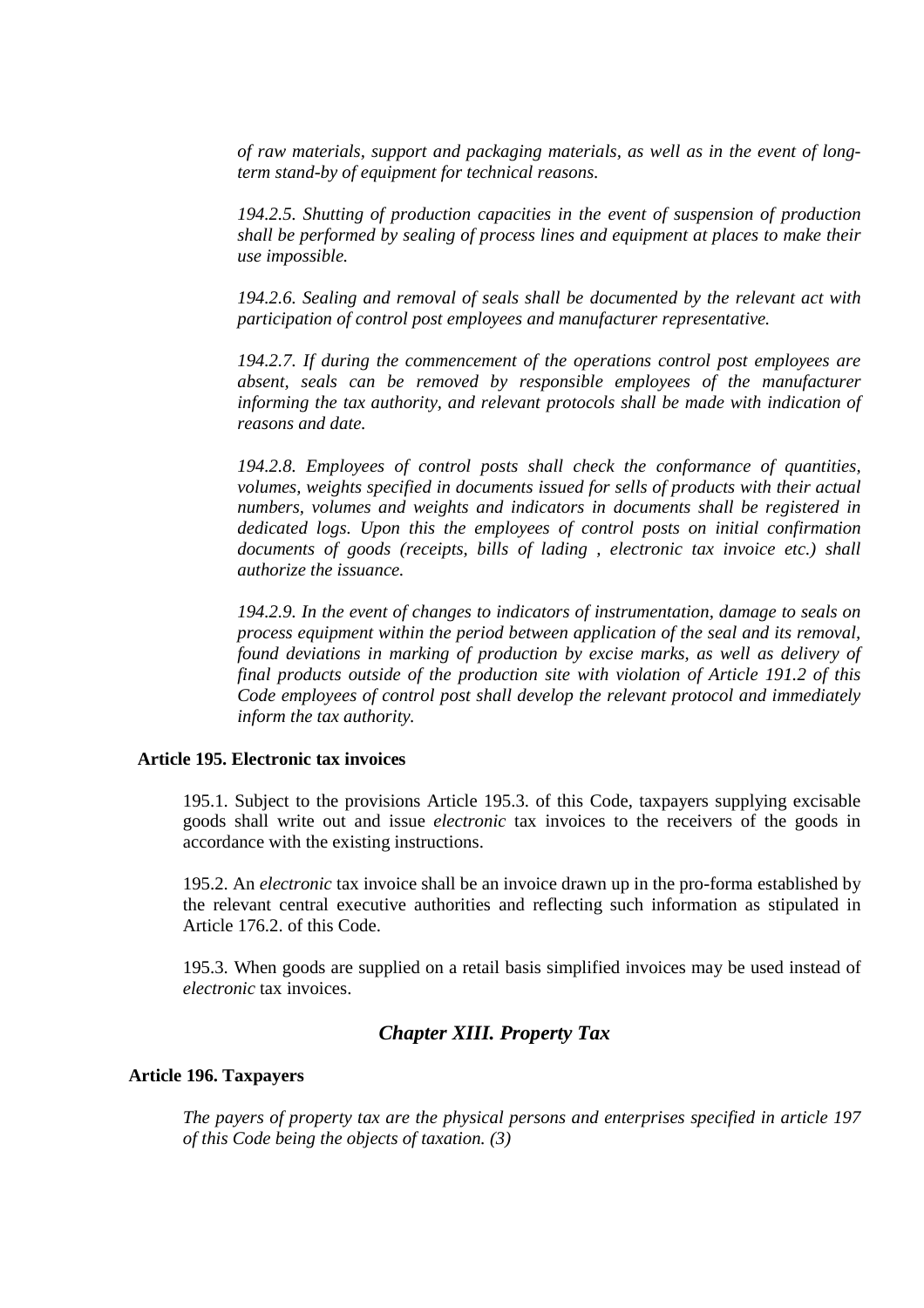*of raw materials, support and packaging materials, as well as in the event of longterm stand-by of equipment for technical reasons.* 

*194.2.5. Shutting of production capacities in the event of suspension of production shall be performed by sealing of process lines and equipment at places to make their use impossible.* 

*194.2.6. Sealing and removal of seals shall be documented by the relevant act with participation of control post employees and manufacturer representative.* 

*194.2.7. If during the commencement of the operations control post employees are absent, seals can be removed by responsible employees of the manufacturer informing the tax authority, and relevant protocols shall be made with indication of reasons and date.* 

*194.2.8. Employees of control posts shall check the conformance of quantities, volumes, weights specified in documents issued for sells of products with their actual numbers, volumes and weights and indicators in documents shall be registered in dedicated logs. Upon this the employees of control posts on initial confirmation documents of goods (receipts, bills of lading , electronic tax invoice etc.) shall authorize the issuance.* 

*194.2.9. In the event of changes to indicators of instrumentation, damage to seals on process equipment within the period between application of the seal and its removal, found deviations in marking of production by excise marks, as well as delivery of final products outside of the production site with violation of Article 191.2 of this Code employees of control post shall develop the relevant protocol and immediately inform the tax authority.* 

### **Article 195. Electronic tax invoices**

195.1. Subject to the provisions Article 195.3. of this Code, taxpayers supplying excisable goods shall write out and issue *electronic* tax invoices to the receivers of the goods in accordance with the existing instructions.

195.2. An *electronic* tax invoice shall be an invoice drawn up in the pro-forma established by the relevant central executive authorities and reflecting such information as stipulated in Article 176.2. of this Code.

195.3. When goods are supplied on a retail basis simplified invoices may be used instead of *electronic* tax invoices.

# *Chapter XIII. Property Tax*

#### **Article 196. Taxpayers**

*The payers of property tax are the physical persons and enterprises specified in article 197 of this Code being the objects of taxation. (3)*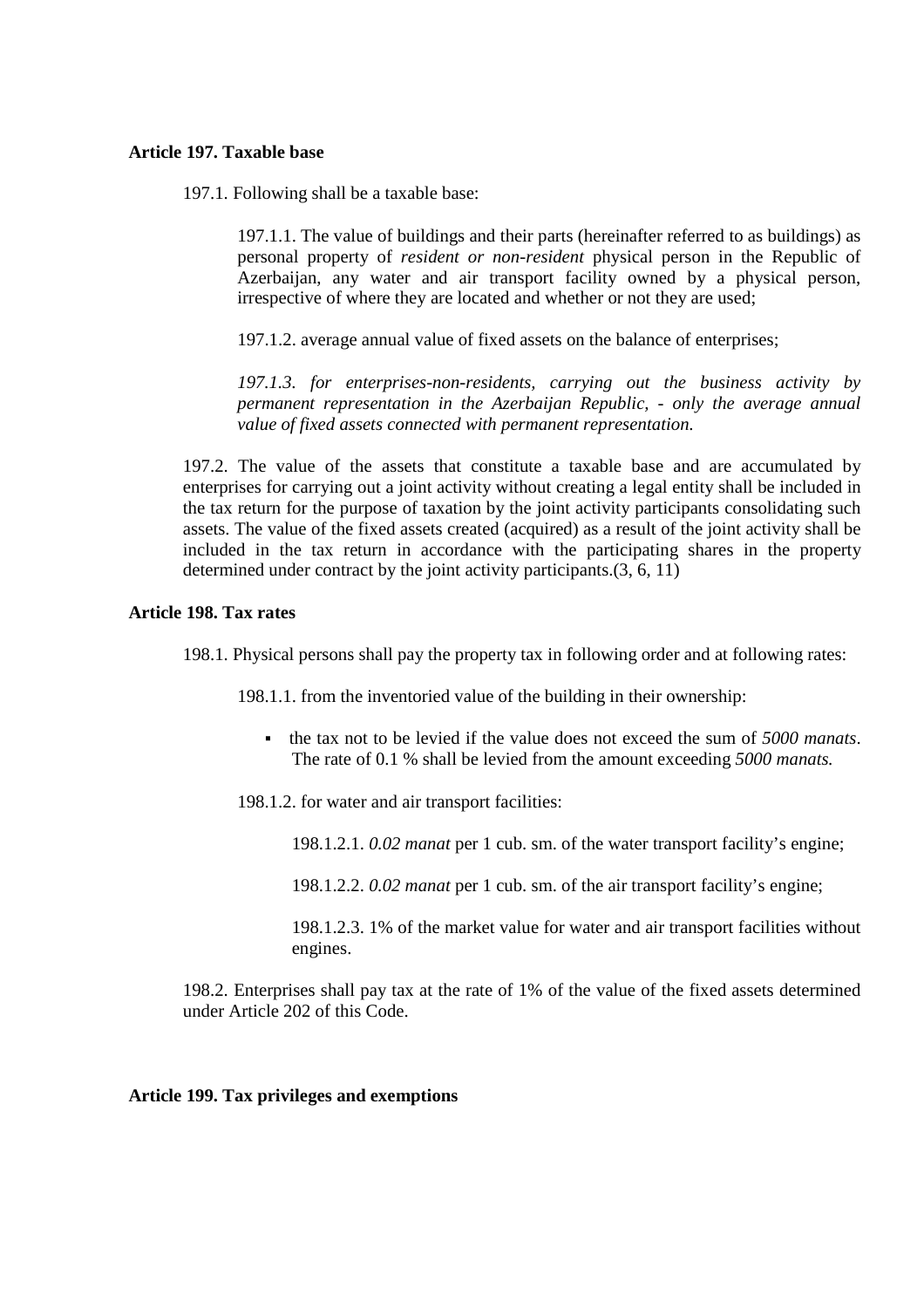# **Article 197. Taxable base**

197.1. Following shall be a taxable base:

197.1.1. The value of buildings and their parts (hereinafter referred to as buildings) as personal property of *resident or non-resident* physical person in the Republic of Azerbaijan, any water and air transport facility owned by a physical person, irrespective of where they are located and whether or not they are used;

197.1.2. average annual value of fixed assets on the balance of enterprises;

*197.1.3. for enterprises-non-residents, carrying out the business activity by permanent representation in the Azerbaijan Republic, - only the average annual value of fixed assets connected with permanent representation.* 

197.2. The value of the assets that constitute a taxable base and are accumulated by enterprises for carrying out a joint activity without creating a legal entity shall be included in the tax return for the purpose of taxation by the joint activity participants consolidating such assets. The value of the fixed assets created (acquired) as a result of the joint activity shall be included in the tax return in accordance with the participating shares in the property determined under contract by the joint activity participants.(3, 6, 11)

# **Article 198. Tax rates**

198.1. Physical persons shall pay the property tax in following order and at following rates:

198.1.1. from the inventoried value of the building in their ownership:

- the tax not to be levied if the value does not exceed the sum of *5000 manats*. The rate of 0.1 % shall be levied from the amount exceeding *5000 manats.*
- 198.1.2. for water and air transport facilities:
	- 198.1.2.1. *0.02 manat* per 1 cub. sm. of the water transport facility's engine;
	- 198.1.2.2. *0.02 manat* per 1 cub. sm. of the air transport facility's engine;

198.1.2.3. 1% of the market value for water and air transport facilities without engines.

198.2. Enterprises shall pay tax at the rate of 1% of the value of the fixed assets determined under Article 202 of this Code.

# **Article 199. Tax privileges and exemptions**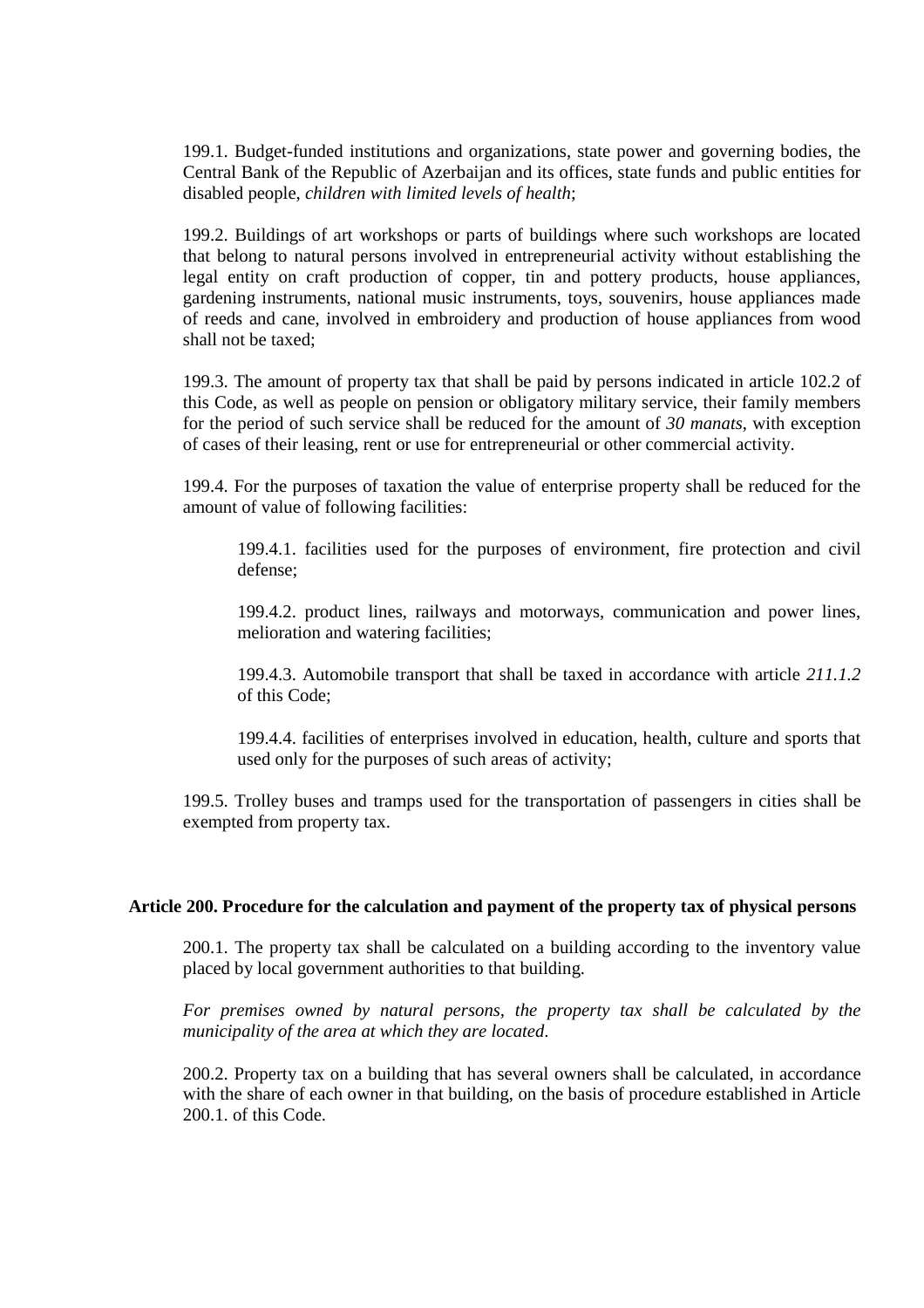199.1. Budget-funded institutions and organizations, state power and governing bodies, the Central Bank of the Republic of Azerbaijan and its offices, state funds and public entities for disabled people, *children with limited levels of health*;

199.2. Buildings of art workshops or parts of buildings where such workshops are located that belong to natural persons involved in entrepreneurial activity without establishing the legal entity on craft production of copper, tin and pottery products, house appliances, gardening instruments, national music instruments, toys, souvenirs, house appliances made of reeds and cane, involved in embroidery and production of house appliances from wood shall not be taxed;

199.3. The amount of property tax that shall be paid by persons indicated in article 102.2 of this Code, as well as people on pension or obligatory military service, their family members for the period of such service shall be reduced for the amount of *30 manats*, with exception of cases of their leasing, rent or use for entrepreneurial or other commercial activity.

199.4. For the purposes of taxation the value of enterprise property shall be reduced for the amount of value of following facilities:

199.4.1. facilities used for the purposes of environment, fire protection and civil defense;

199.4.2. product lines, railways and motorways, communication and power lines, melioration and watering facilities;

199.4.3. Automobile transport that shall be taxed in accordance with article *211.1.2* of this Code;

199.4.4. facilities of enterprises involved in education, health, culture and sports that used only for the purposes of such areas of activity;

199.5. Trolley buses and tramps used for the transportation of passengers in cities shall be exempted from property tax.

# **Article 200. Procedure for the calculation and payment of the property tax of physical persons**

200.1. The property tax shall be calculated on a building according to the inventory value placed by local government authorities to that building.

*For premises owned by natural persons, the property tax shall be calculated by the municipality of the area at which they are located.*

200.2. Property tax on a building that has several owners shall be calculated, in accordance with the share of each owner in that building, on the basis of procedure established in Article 200.1. of this Code.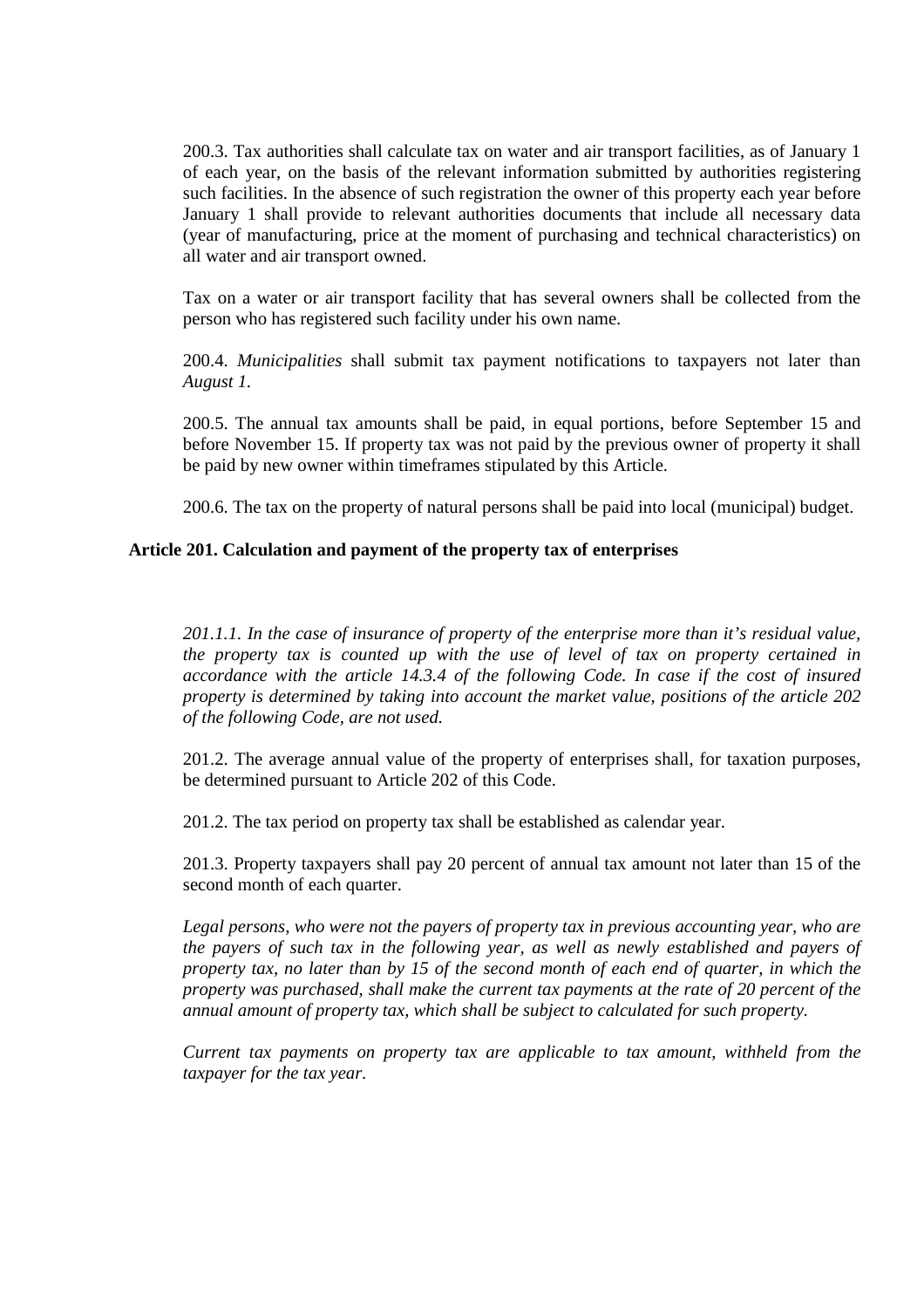200.3. Tax authorities shall calculate tax on water and air transport facilities, as of January 1 of each year, on the basis of the relevant information submitted by authorities registering such facilities. In the absence of such registration the owner of this property each year before January 1 shall provide to relevant authorities documents that include all necessary data (year of manufacturing, price at the moment of purchasing and technical characteristics) on all water and air transport owned.

Tax on a water or air transport facility that has several owners shall be collected from the person who has registered such facility under his own name.

200.4. *Municipalities* shall submit tax payment notifications to taxpayers not later than *August 1.*

200.5. The annual tax amounts shall be paid, in equal portions, before September 15 and before November 15. If property tax was not paid by the previous owner of property it shall be paid by new owner within timeframes stipulated by this Article.

200.6. The tax on the property of natural persons shall be paid into local (municipal) budget.

# **Article 201. Calculation and payment of the property tax of enterprises**

*201.1.1. In the case of insurance of property of the enterprise more than it's residual value, the property tax is counted up with the use of level of tax on property certained in accordance with the article 14.3.4 of the following Code. In case if the cost of insured property is determined by taking into account the market value, positions of the article 202 of the following Code, are not used.* 

201.2. The average annual value of the property of enterprises shall, for taxation purposes, be determined pursuant to Article 202 of this Code.

201.2. The tax period on property tax shall be established as calendar year.

201.3. Property taxpayers shall pay 20 percent of annual tax amount not later than 15 of the second month of each quarter.

*Legal persons, who were not the payers of property tax in previous accounting year, who are the payers of such tax in the following year, as well as newly established and payers of property tax, no later than by 15 of the second month of each end of quarter, in which the property was purchased, shall make the current tax payments at the rate of 20 percent of the annual amount of property tax, which shall be subject to calculated for such property.* 

*Current tax payments on property tax are applicable to tax amount, withheld from the taxpayer for the tax year.*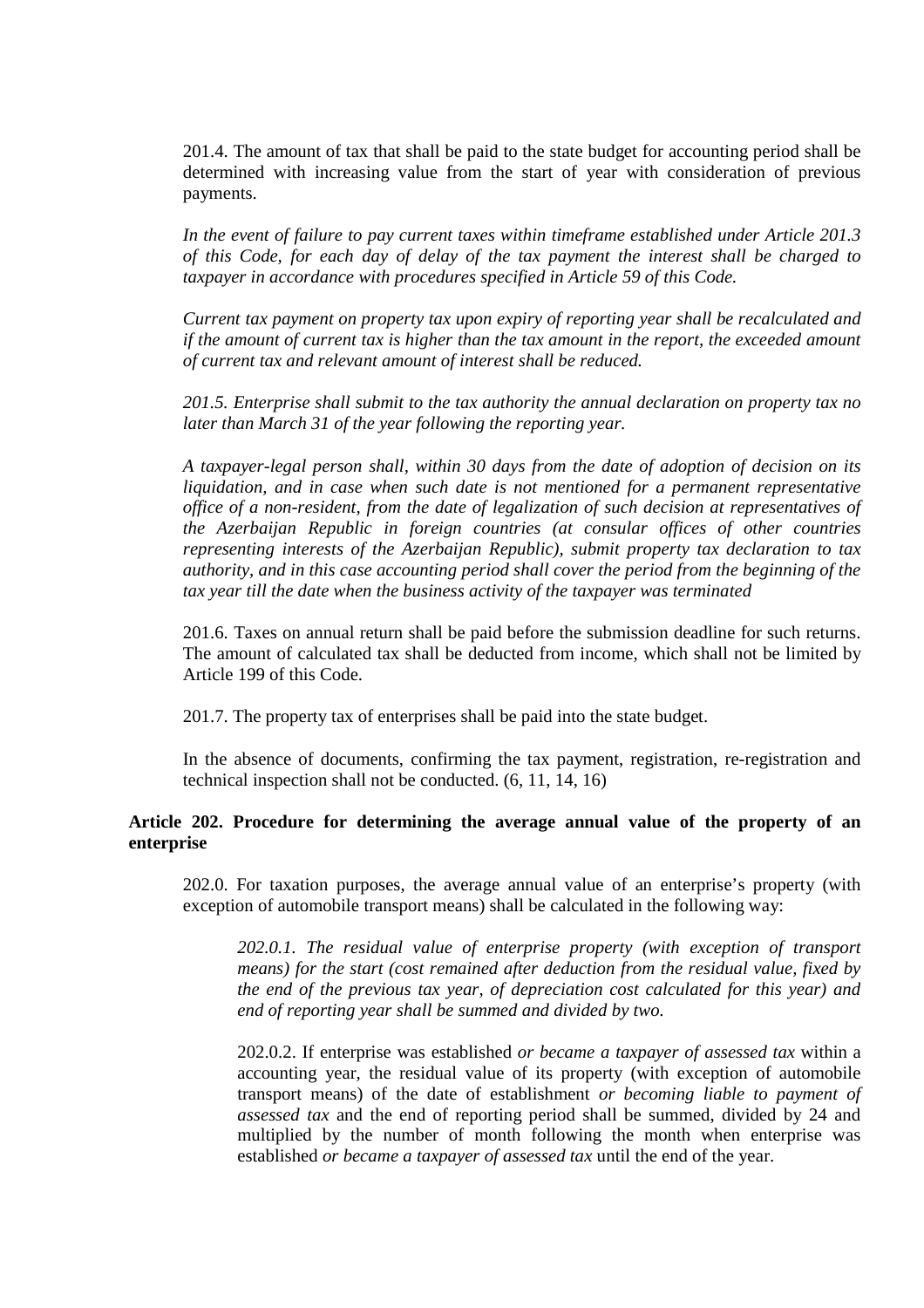201.4. The amount of tax that shall be paid to the state budget for accounting period shall be determined with increasing value from the start of year with consideration of previous payments.

*In the event of failure to pay current taxes within timeframe established under Article 201.3 of this Code, for each day of delay of the tax payment the interest shall be charged to taxpayer in accordance with procedures specified in Article 59 of this Code.* 

*Current tax payment on property tax upon expiry of reporting year shall be recalculated and if the amount of current tax is higher than the tax amount in the report, the exceeded amount of current tax and relevant amount of interest shall be reduced.* 

*201.5. Enterprise shall submit to the tax authority the annual declaration on property tax no later than March 31 of the year following the reporting year.* 

*A taxpayer-legal person shall, within 30 days from the date of adoption of decision on its liquidation, and in case when such date is not mentioned for a permanent representative office of a non-resident, from the date of legalization of such decision at representatives of the Azerbaijan Republic in foreign countries (at consular offices of other countries representing interests of the Azerbaijan Republic), submit property tax declaration to tax authority, and in this case accounting period shall cover the period from the beginning of the tax year till the date when the business activity of the taxpayer was terminated* 

201.6. Taxes on annual return shall be paid before the submission deadline for such returns. The amount of calculated tax shall be deducted from income, which shall not be limited by Article 199 of this Code.

201.7. The property tax of enterprises shall be paid into the state budget.

In the absence of documents, confirming the tax payment, registration, re-registration and technical inspection shall not be conducted. (6, 11, 14, 16)

# **Article 202. Procedure for determining the average annual value of the property of an enterprise**

202.0. For taxation purposes, the average annual value of an enterprise's property (with exception of automobile transport means) shall be calculated in the following way:

*202.0.1. The residual value of enterprise property (with exception of transport means) for the start (cost remained after deduction from the residual value, fixed by the end of the previous tax year, of depreciation cost calculated for this year) and end of reporting year shall be summed and divided by two.*

202.0.2. If enterprise was established *or became a taxpayer of assessed tax* within a accounting year, the residual value of its property (with exception of automobile transport means) of the date of establishment *or becoming liable to payment of assessed tax* and the end of reporting period shall be summed, divided by 24 and multiplied by the number of month following the month when enterprise was established *or became a taxpayer of assessed tax* until the end of the year.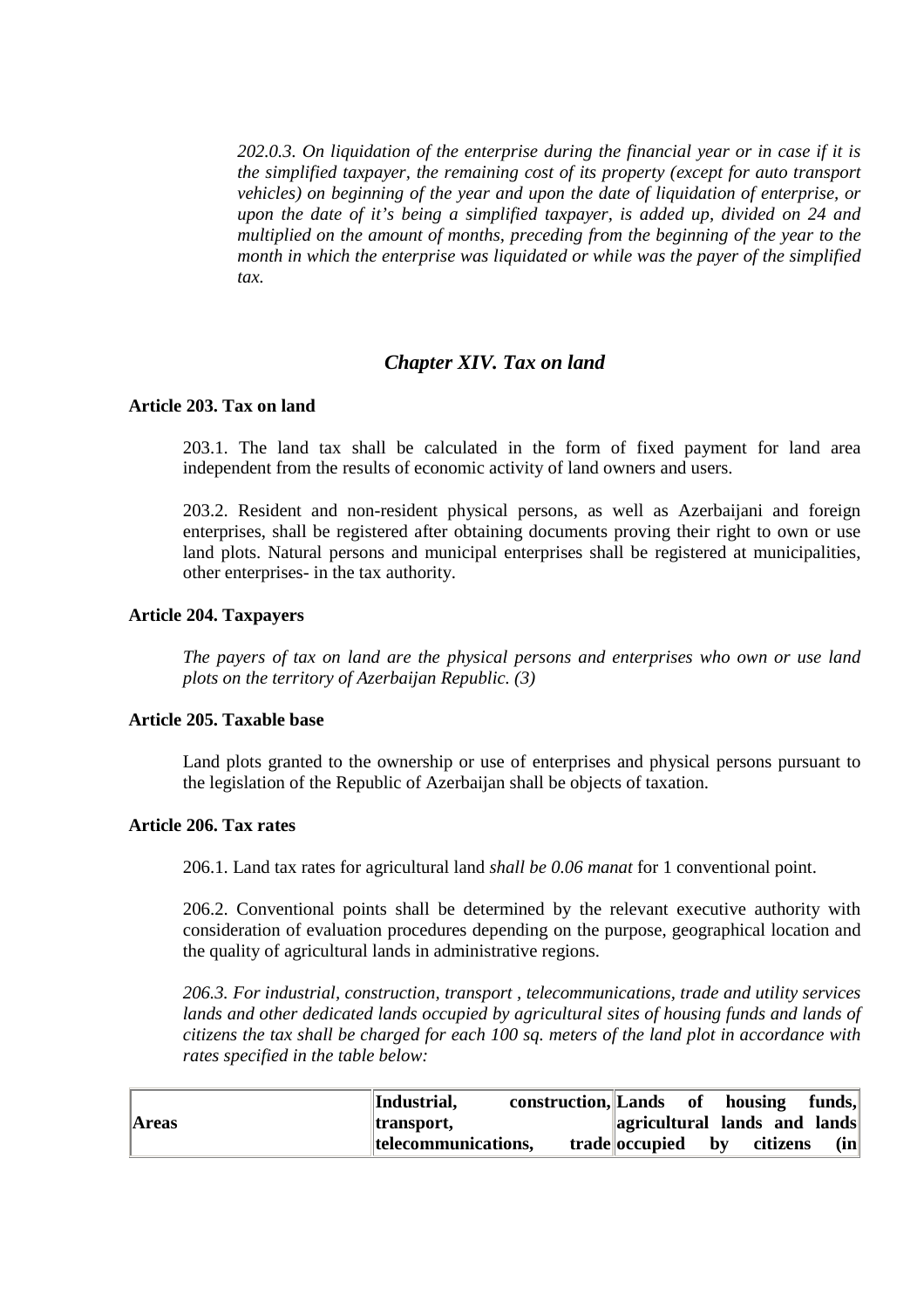*202.0.3. On liquidation of the enterprise during the financial year or in case if it is the simplified taxpayer, the remaining cost of its property (except for auto transport vehicles) on beginning of the year and upon the date of liquidation of enterprise, or upon the date of it's being a simplified taxpayer, is added up, divided on 24 and multiplied on the amount of months, preceding from the beginning of the year to the month in which the enterprise was liquidated or while was the payer of the simplified tax.* 

# *Chapter XIV. Tax on land*

### **Article 203. Tax on land**

203.1. The land tax shall be calculated in the form of fixed payment for land area independent from the results of economic activity of land owners and users.

203.2. Resident and non-resident physical persons, as well as Azerbaijani and foreign enterprises, shall be registered after obtaining documents proving their right to own or use land plots. Natural persons and municipal enterprises shall be registered at municipalities, other enterprises- in the tax authority.

#### **Article 204. Taxpayers**

*The payers of tax on land are the physical persons and enterprises who own or use land plots on the territory of Azerbaijan Republic. (3)* 

# **Article 205. Taxable base**

Land plots granted to the ownership or use of enterprises and physical persons pursuant to the legislation of the Republic of Azerbaijan shall be objects of taxation.

# **Article 206. Tax rates**

206.1. Land tax rates for agricultural land *shall be 0.06 manat* for 1 conventional point.

206.2. Conventional points shall be determined by the relevant executive authority with consideration of evaluation procedures depending on the purpose, geographical location and the quality of agricultural lands in administrative regions.

*206.3. For industrial, construction, transport , telecommunications, trade and utility services lands and other dedicated lands occupied by agricultural sites of housing funds and lands of citizens the tax shall be charged for each 100 sq. meters of the land plot in accordance with rates specified in the table below:* 

|              | Industrial,<br>construction, Lands                                                                                    | of                           | housing                            | funds, |
|--------------|-----------------------------------------------------------------------------------------------------------------------|------------------------------|------------------------------------|--------|
| <b>Areas</b> | <b>Standard Standard Standard Standard Standard Standard Standard Standard Standard Standard Standard Standard St</b> | agricultural lands and lands |                                    |        |
|              | telecommunications,                                                                                                   | trade occupied               | citizens<br>$\mathbf{b}\mathbf{v}$ | (in)   |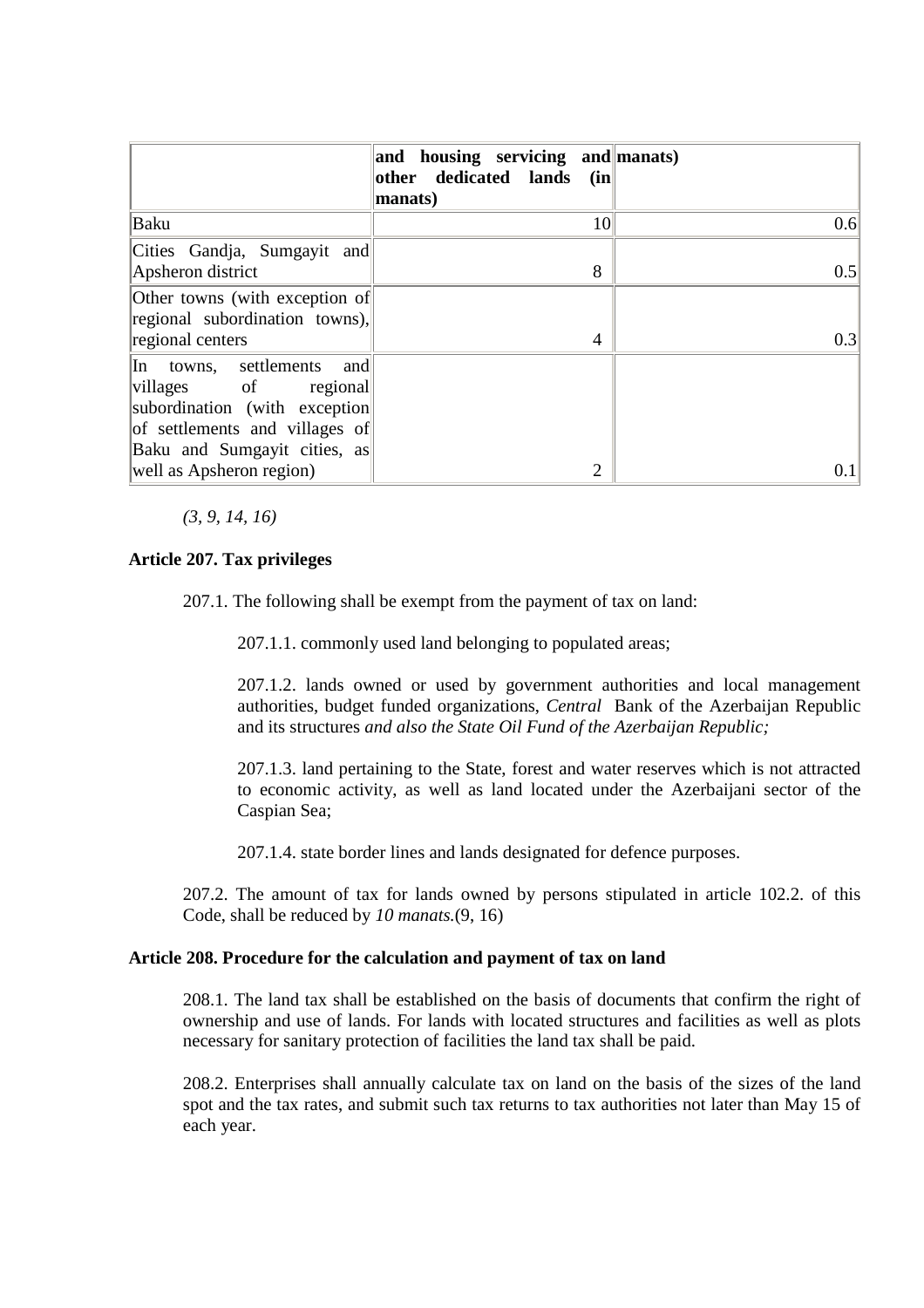|                                                                                                                                                         | and housing servicing and manats)<br>other dedicated lands (in<br>manats) |     |
|---------------------------------------------------------------------------------------------------------------------------------------------------------|---------------------------------------------------------------------------|-----|
| Baku                                                                                                                                                    | 10                                                                        | 0.6 |
| Cities Gandja, Sumgayit and<br>Apsheron district                                                                                                        | 8                                                                         | 0.5 |
| Other towns (with exception of<br>regional subordination towns),                                                                                        |                                                                           |     |
| regional centers                                                                                                                                        | 4                                                                         | 0.3 |
| In towns, settlements<br>and<br>villages of regional<br>subordination (with exception<br>of settlements and villages of<br>Baku and Sumgayit cities, as |                                                                           |     |
| well as Apsheron region)                                                                                                                                | 2                                                                         | 0.1 |

*(3, 9, 14, 16)* 

## **Article 207. Tax privileges**

207.1. The following shall be exempt from the payment of tax on land:

207.1.1. commonly used land belonging to populated areas;

207.1.2. lands owned or used by government authorities and local management authorities, budget funded organizations, *Central* Bank of the Azerbaijan Republic and its structures *and also the State Oil Fund of the Azerbaijan Republic;*

207.1.3. land pertaining to the State, forest and water reserves which is not attracted to economic activity, as well as land located under the Azerbaijani sector of the Caspian Sea;

207.1.4. state border lines and lands designated for defence purposes.

207.2. The amount of tax for lands owned by persons stipulated in article 102.2. of this Code, shall be reduced by *10 manats.*(9, 16)

### **Article 208. Procedure for the calculation and payment of tax on land**

208.1. The land tax shall be established on the basis of documents that confirm the right of ownership and use of lands. For lands with located structures and facilities as well as plots necessary for sanitary protection of facilities the land tax shall be paid.

208.2. Enterprises shall annually calculate tax on land on the basis of the sizes of the land spot and the tax rates, and submit such tax returns to tax authorities not later than May 15 of each year.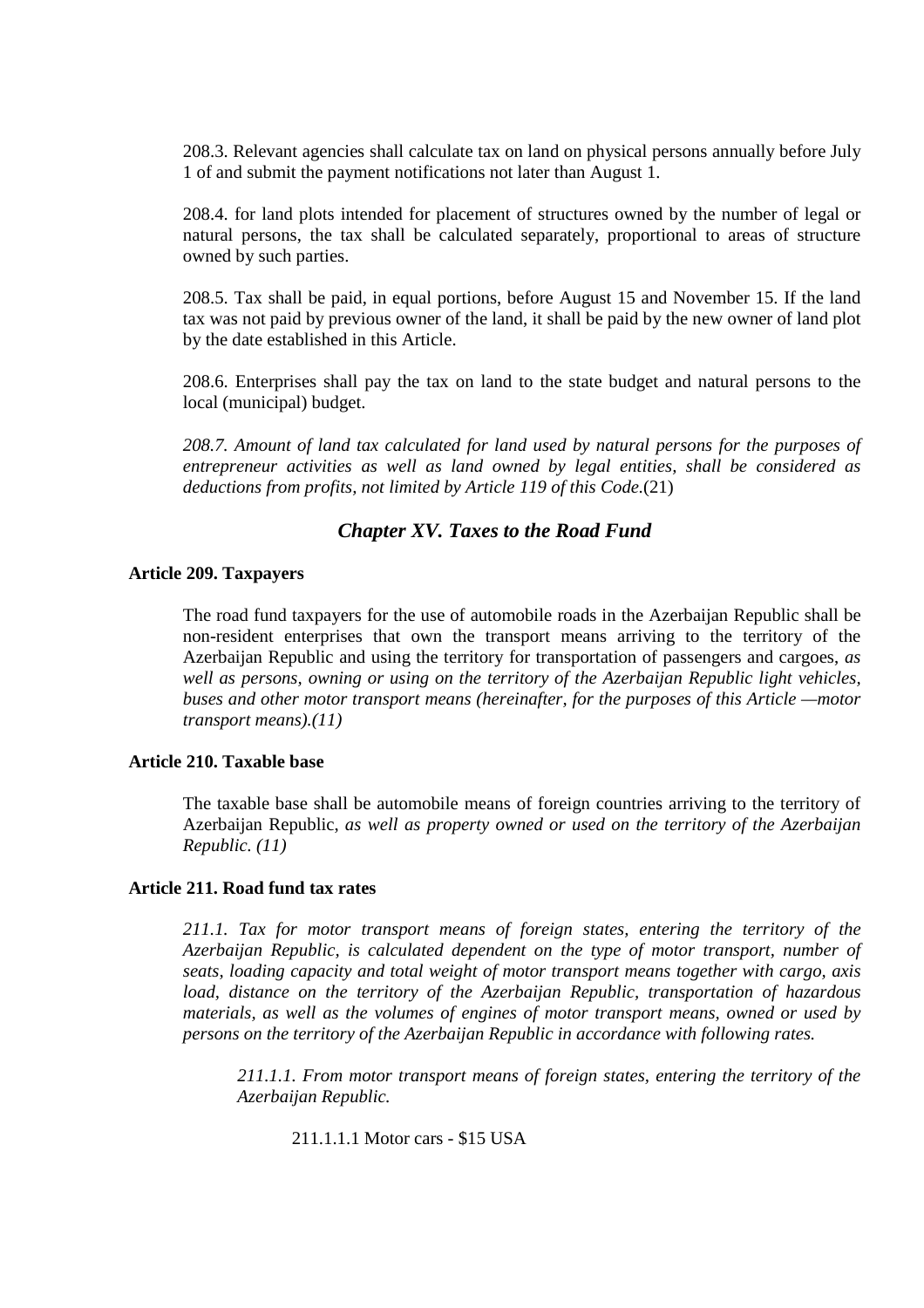208.3. Relevant agencies shall calculate tax on land on physical persons annually before July 1 of and submit the payment notifications not later than August 1.

208.4. for land plots intended for placement of structures owned by the number of legal or natural persons, the tax shall be calculated separately, proportional to areas of structure owned by such parties.

208.5. Tax shall be paid, in equal portions, before August 15 and November 15. If the land tax was not paid by previous owner of the land, it shall be paid by the new owner of land plot by the date established in this Article.

208.6. Enterprises shall pay the tax on land to the state budget and natural persons to the local (municipal) budget.

*208.7. Amount of land tax calculated for land used by natural persons for the purposes of entrepreneur activities as well as land owned by legal entities, shall be considered as deductions from profits, not limited by Article 119 of this Code.*(21)

## *Chapter XV. Taxes to the Road Fund*

### **Article 209. Taxpayers**

The road fund taxpayers for the use of automobile roads in the Azerbaijan Republic shall be non-resident enterprises that own the transport means arriving to the territory of the Azerbaijan Republic and using the territory for transportation of passengers and cargoes, *as well as persons, owning or using on the territory of the Azerbaijan Republic light vehicles, buses and other motor transport means (hereinafter, for the purposes of this Article —motor transport means).(11)* 

## **Article 210. Taxable base**

The taxable base shall be automobile means of foreign countries arriving to the territory of Azerbaijan Republic, *as well as property owned or used on the territory of the Azerbaijan Republic. (11)* 

### **Article 211. Road fund tax rates**

*211.1. Tax for motor transport means of foreign states, entering the territory of the Azerbaijan Republic, is calculated dependent on the type of motor transport, number of seats, loading capacity and total weight of motor transport means together with cargo, axis load, distance on the territory of the Azerbaijan Republic, transportation of hazardous materials, as well as the volumes of engines of motor transport means, owned or used by persons on the territory of the Azerbaijan Republic in accordance with following rates.* 

*211.1.1. From motor transport means of foreign states, entering the territory of the Azerbaijan Republic.* 

211.1.1.1 Motor cars - \$15 USA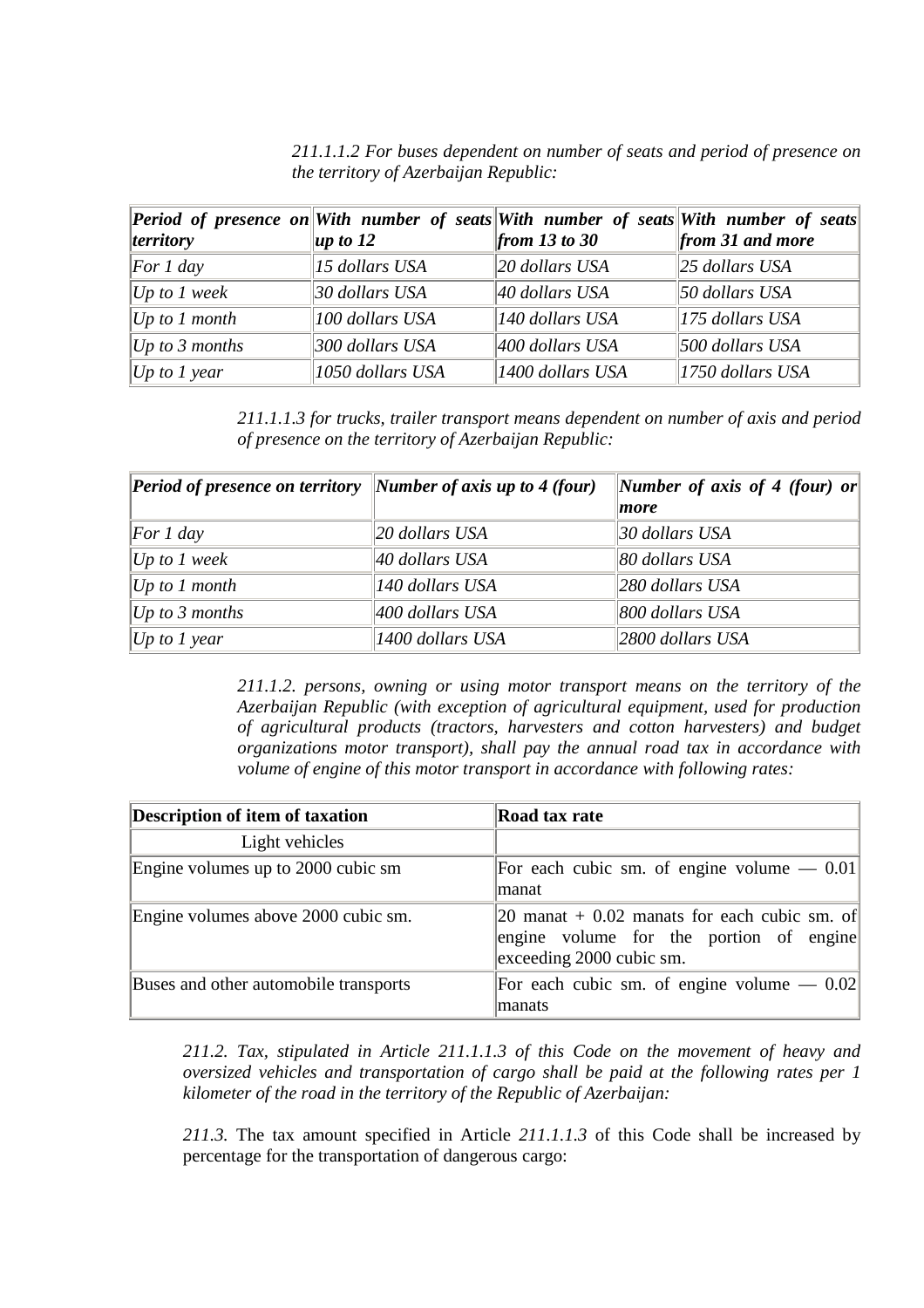|                       | <b>Period of presence on With number of seats With number of seats With number of seats</b> |                              |                               |
|-----------------------|---------------------------------------------------------------------------------------------|------------------------------|-------------------------------|
| <i>territory</i>      | up to 12                                                                                    | from 13 to 30                | $\parallel$ from 31 and more  |
| $\sqrt{For 1 day}$    | 15 dollars USA                                                                              | $\ 20\>$ dollars USA         | $\ 25 \text{ dollars } USA\ $ |
| $ Up\ to\ I\ week$    | 30 dollars USA                                                                              | $40$ dollars USA             | $50$ dollars USA              |
| Up~to~I~month         | 100 dollars USA                                                                             | $\parallel$ 140 dollars USA  | $\parallel$ 175 dollars USA   |
| <i>Up to 3 months</i> | 300 dollars USA                                                                             | $\parallel$ 400 dollars USA  | $500$ dollars USA             |
| <i>Up to 1 year</i>   | 1050 dollars USA                                                                            | $\parallel$ 1400 dollars USA | $\parallel$ 1750 dollars USA  |

*211.1.1.2 For buses dependent on number of seats and period of presence on the territory of Azerbaijan Republic:* 

*211.1.1.3 for trucks, trailer transport means dependent on number of axis and period of presence on the territory of Azerbaijan Republic:* 

| <b>Period of presence on territory</b> Number of axis up to 4 (four) |                  | Number of axis of 4 (four) or |
|----------------------------------------------------------------------|------------------|-------------------------------|
|                                                                      |                  | more                          |
| For 1 day                                                            | 20 dollars USA   | $30$ dollars USA              |
| $ Up\ to\ I\ week$                                                   | $40$ dollars USA | $\ 80 \text{ dollars } USA$   |
| Up~to~I~month                                                        | 140 dollars USA  | $\parallel$ 280 dollars USA   |
| Up to 3 months                                                       | 400 dollars USA  | 800 dollars USA               |
| Up to 1 year                                                         | 1400 dollars USA | $\parallel$ 2800 dollars USA  |

*211.1.2. persons, owning or using motor transport means on the territory of the Azerbaijan Republic (with exception of agricultural equipment, used for production of agricultural products (tractors, harvesters and cotton harvesters) and budget organizations motor transport), shall pay the annual road tax in accordance with volume of engine of this motor transport in accordance with following rates:* 

| <b>Description of item of taxation</b> | Road tax rate                                                                                                       |
|----------------------------------------|---------------------------------------------------------------------------------------------------------------------|
| Light vehicles                         |                                                                                                                     |
| Engine volumes up to 2000 cubic sm     | For each cubic sm. of engine volume $-$ 0.01<br>lmanat                                                              |
| Engine volumes above 2000 cubic sm.    | 20 manat + 0.02 manats for each cubic sm. of<br>engine volume for the portion of engine<br>exceeding 2000 cubic sm. |
| Buses and other automobile transports  | For each cubic sm. of engine volume $-$ 0.02<br>manats                                                              |

*211.2. Tax, stipulated in Article 211.1.1.3 of this Code on the movement of heavy and oversized vehicles and transportation of cargo shall be paid at the following rates per 1 kilometer of the road in the territory of the Republic of Azerbaijan:* 

*211.3.* The tax amount specified in Article *211.1.1.3* of this Code shall be increased by percentage for the transportation of dangerous cargo: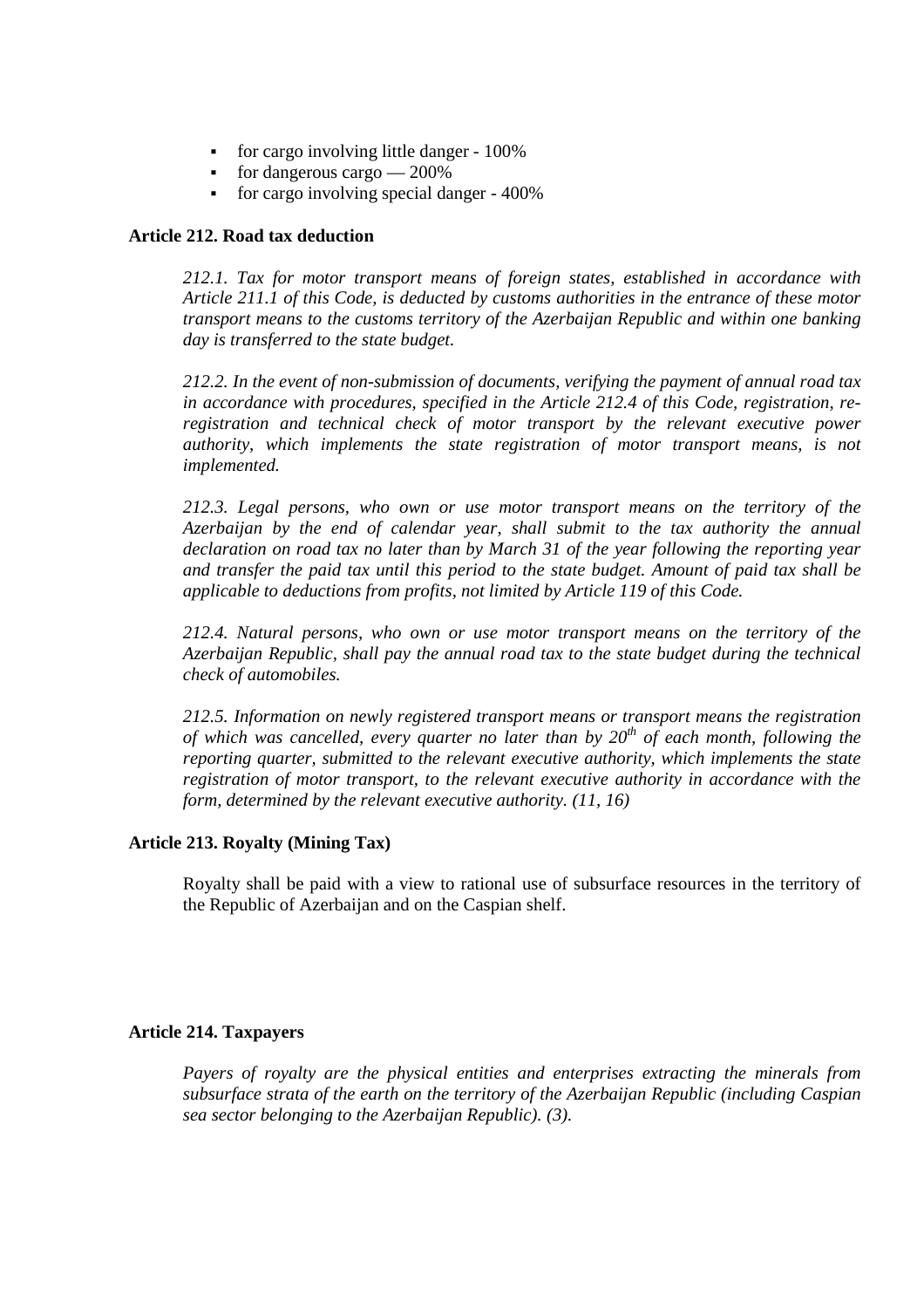- for cargo involving little danger 100%
- for dangerous cargo  $-200\%$
- for cargo involving special danger 400%

### **Article 212. Road tax deduction**

*212.1. Tax for motor transport means of foreign states, established in accordance with Article 211.1 of this Code, is deducted by customs authorities in the entrance of these motor transport means to the customs territory of the Azerbaijan Republic and within one banking day is transferred to the state budget.* 

*212.2. In the event of non-submission of documents, verifying the payment of annual road tax in accordance with procedures, specified in the Article 212.4 of this Code, registration, reregistration and technical check of motor transport by the relevant executive power authority, which implements the state registration of motor transport means, is not implemented.* 

*212.3. Legal persons, who own or use motor transport means on the territory of the Azerbaijan by the end of calendar year, shall submit to the tax authority the annual declaration on road tax no later than by March 31 of the year following the reporting year and transfer the paid tax until this period to the state budget. Amount of paid tax shall be applicable to deductions from profits, not limited by Article 119 of this Code.* 

*212.4. Natural persons, who own or use motor transport means on the territory of the Azerbaijan Republic, shall pay the annual road tax to the state budget during the technical check of automobiles.* 

*212.5. Information on newly registered transport means or transport means the registration of which was cancelled, every quarter no later than by 20th of each month, following the reporting quarter, submitted to the relevant executive authority, which implements the state registration of motor transport, to the relevant executive authority in accordance with the form, determined by the relevant executive authority. (11, 16)* 

### **Article 213. Royalty (Mining Tax)**

Royalty shall be paid with a view to rational use of subsurface resources in the territory of the Republic of Azerbaijan and on the Caspian shelf.

### **Article 214. Taxpayers**

*Payers of royalty are the physical entities and enterprises extracting the minerals from subsurface strata of the earth on the territory of the Azerbaijan Republic (including Caspian sea sector belonging to the Azerbaijan Republic). (3).*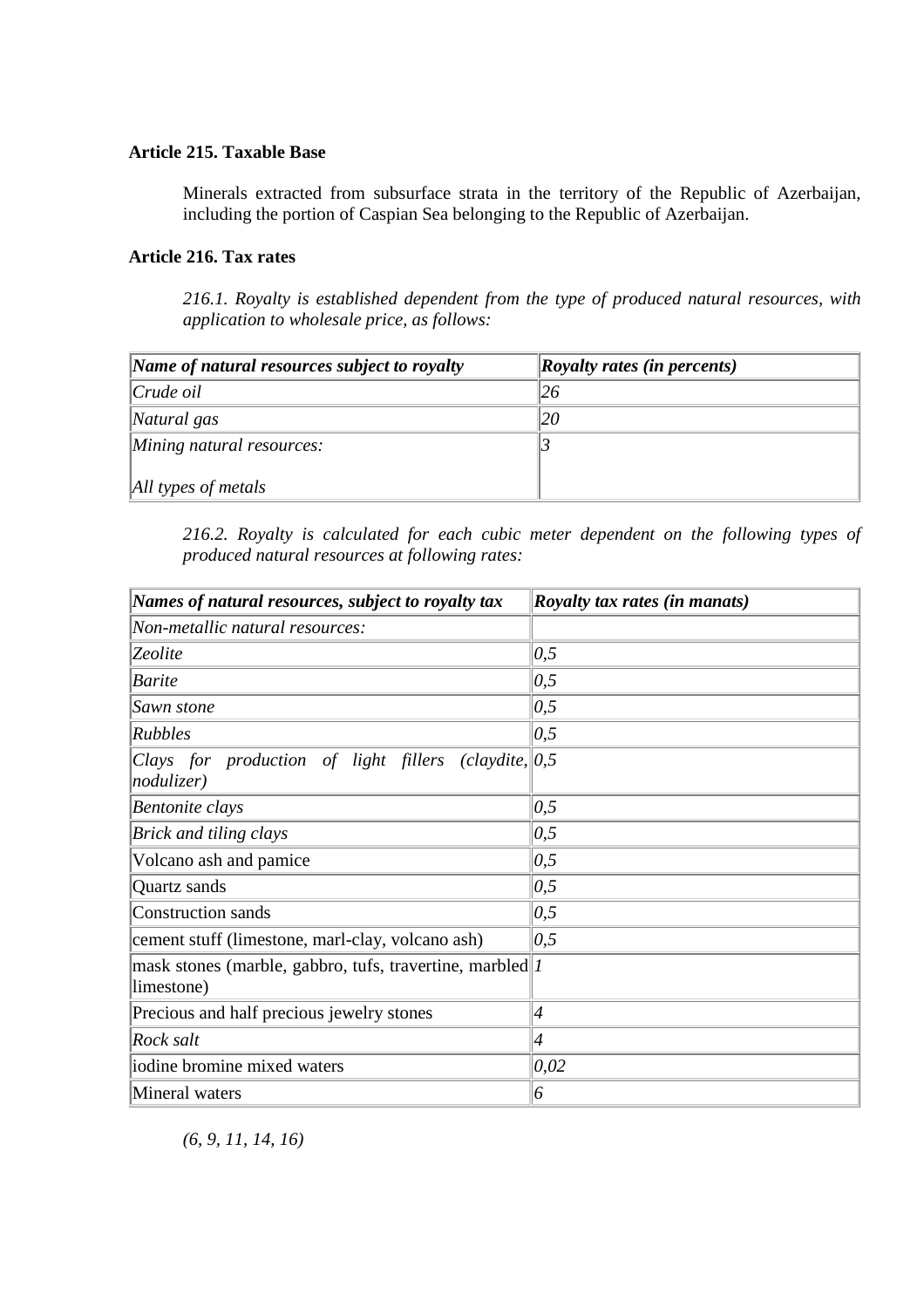## **Article 215. Taxable Base**

Minerals extracted from subsurface strata in the territory of the Republic of Azerbaijan, including the portion of Caspian Sea belonging to the Republic of Azerbaijan.

## **Article 216. Tax rates**

*216.1. Royalty is established dependent from the type of produced natural resources, with application to wholesale price, as follows:* 

| Name of natural resources subject to royalty | $\vert \mathbf{R}$ oyalty rates (in percents) |
|----------------------------------------------|-----------------------------------------------|
| $ Crude\ oil$                                | 26                                            |
| $\Delta$ Natural gas                         |                                               |
| Mining natural resources:                    |                                               |
| All types of metals                          |                                               |

*216.2. Royalty is calculated for each cubic meter dependent on the following types of produced natural resources at following rates:* 

| Names of natural resources, subject to royalty tax                                                          | <i>Royalty tax rates (in manats)</i> |
|-------------------------------------------------------------------------------------------------------------|--------------------------------------|
| Non-metallic natural resources:                                                                             |                                      |
| Zeolite                                                                                                     | 0,5                                  |
| <b>Barite</b>                                                                                               | 0,5                                  |
| Sawn stone                                                                                                  | 0,5                                  |
| <b>Rubbles</b>                                                                                              | 0,5                                  |
| $\langle \textit{claydite},   0, 5 \rangle$<br>Clays for production of light fillers<br>$ nodulizer\rangle$ |                                      |
| Bentonite clays                                                                                             | 0,5                                  |
| <b>Brick and tiling clays</b>                                                                               | 0,5                                  |
| Volcano ash and pamice                                                                                      | 0,5                                  |
| Quartz sands                                                                                                | 0,5                                  |
| Construction sands                                                                                          | 0,5                                  |
| cement stuff (limestone, marl-clay, volcano ash)                                                            | 0,5                                  |
| mask stones (marble, gabbro, tufs, travertine, marbled $ I $<br>limestone)                                  |                                      |
| Precious and half precious jewelry stones                                                                   | $\vert 4$                            |
| Rock salt                                                                                                   | $\vert 4$                            |
| iodine bromine mixed waters                                                                                 | $ 0,02\rangle$                       |
| Mineral waters                                                                                              | 6                                    |

*(6, 9, 11, 14, 16)*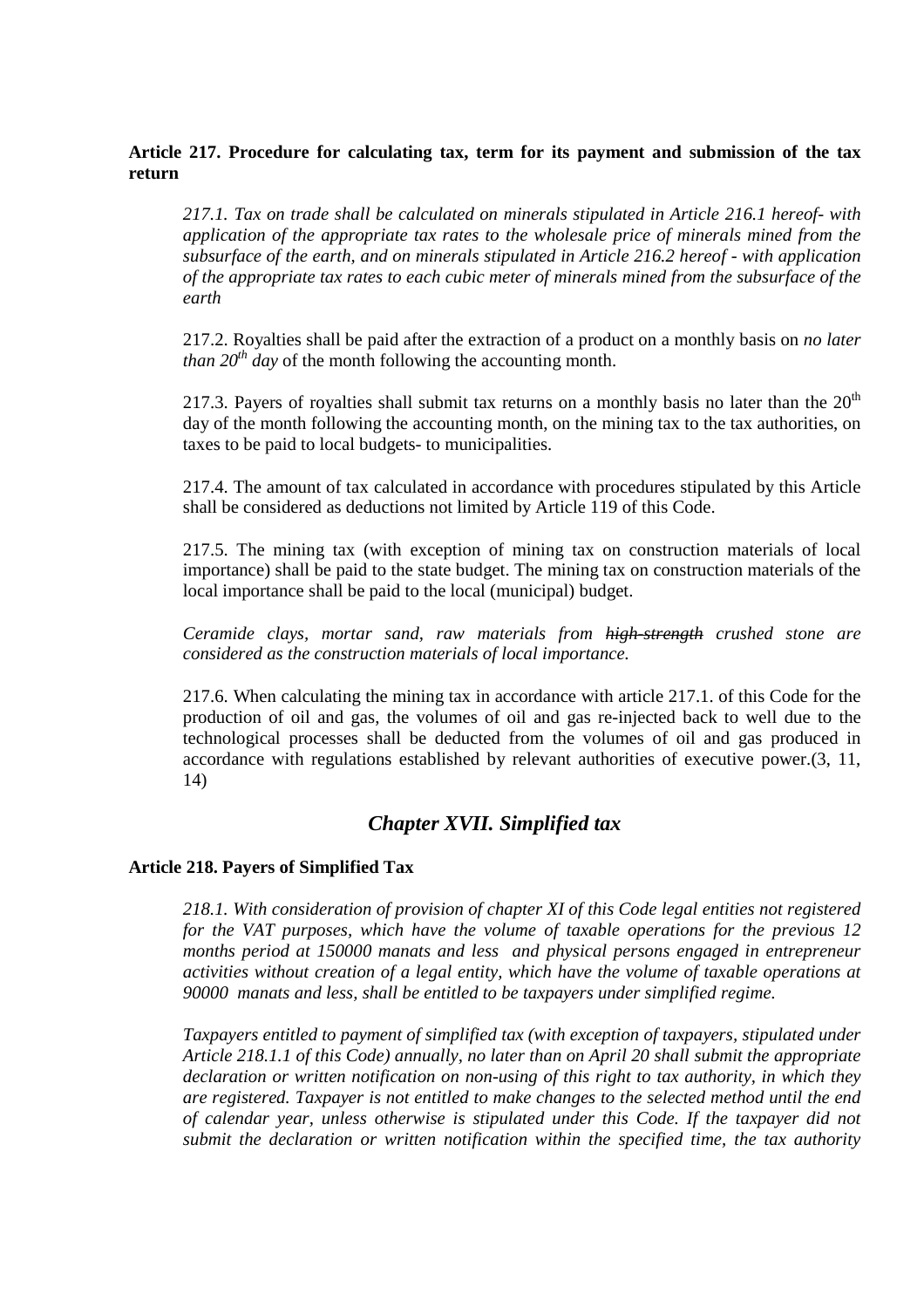## **Article 217. Procedure for calculating tax, term for its payment and submission of the tax return**

*217.1. Tax on trade shall be calculated on minerals stipulated in Article 216.1 hereof- with application of the appropriate tax rates to the wholesale price of minerals mined from the subsurface of the earth, and on minerals stipulated in Article 216.2 hereof - with application of the appropriate tax rates to each cubic meter of minerals mined from the subsurface of the earth* 

217.2. Royalties shall be paid after the extraction of a product on a monthly basis on *no later than*  $20^{th}$  *day* of the month following the accounting month.

217.3. Payers of royalties shall submit tax returns on a monthly basis no later than the  $20<sup>th</sup>$ day of the month following the accounting month, on the mining tax to the tax authorities, on taxes to be paid to local budgets- to municipalities.

217.4. The amount of tax calculated in accordance with procedures stipulated by this Article shall be considered as deductions not limited by Article 119 of this Code.

217.5. The mining tax (with exception of mining tax on construction materials of local importance) shall be paid to the state budget. The mining tax on construction materials of the local importance shall be paid to the local (municipal) budget.

*Ceramide clays, mortar sand, raw materials from high-strength crushed stone are considered as the construction materials of local importance.* 

217.6. When calculating the mining tax in accordance with article 217.1. of this Code for the production of oil and gas, the volumes of oil and gas re-injected back to well due to the technological processes shall be deducted from the volumes of oil and gas produced in accordance with regulations established by relevant authorities of executive power.(3, 11, 14)

# *Chapter XVII. Simplified tax*

### **Article 218. Payers of Simplified Tax**

*218.1. With consideration of provision of chapter XI of this Code legal entities not registered for the VAT purposes, which have the volume of taxable operations for the previous 12 months period at 150000 manats and less and physical persons engaged in entrepreneur activities without creation of a legal entity, which have the volume of taxable operations at 90000 manats and less, shall be entitled to be taxpayers under simplified regime.* 

*Taxpayers entitled to payment of simplified tax (with exception of taxpayers, stipulated under Article 218.1.1 of this Code) annually, no later than on April 20 shall submit the appropriate declaration or written notification on non-using of this right to tax authority, in which they are registered. Taxpayer is not entitled to make changes to the selected method until the end of calendar year, unless otherwise is stipulated under this Code. If the taxpayer did not submit the declaration or written notification within the specified time, the tax authority*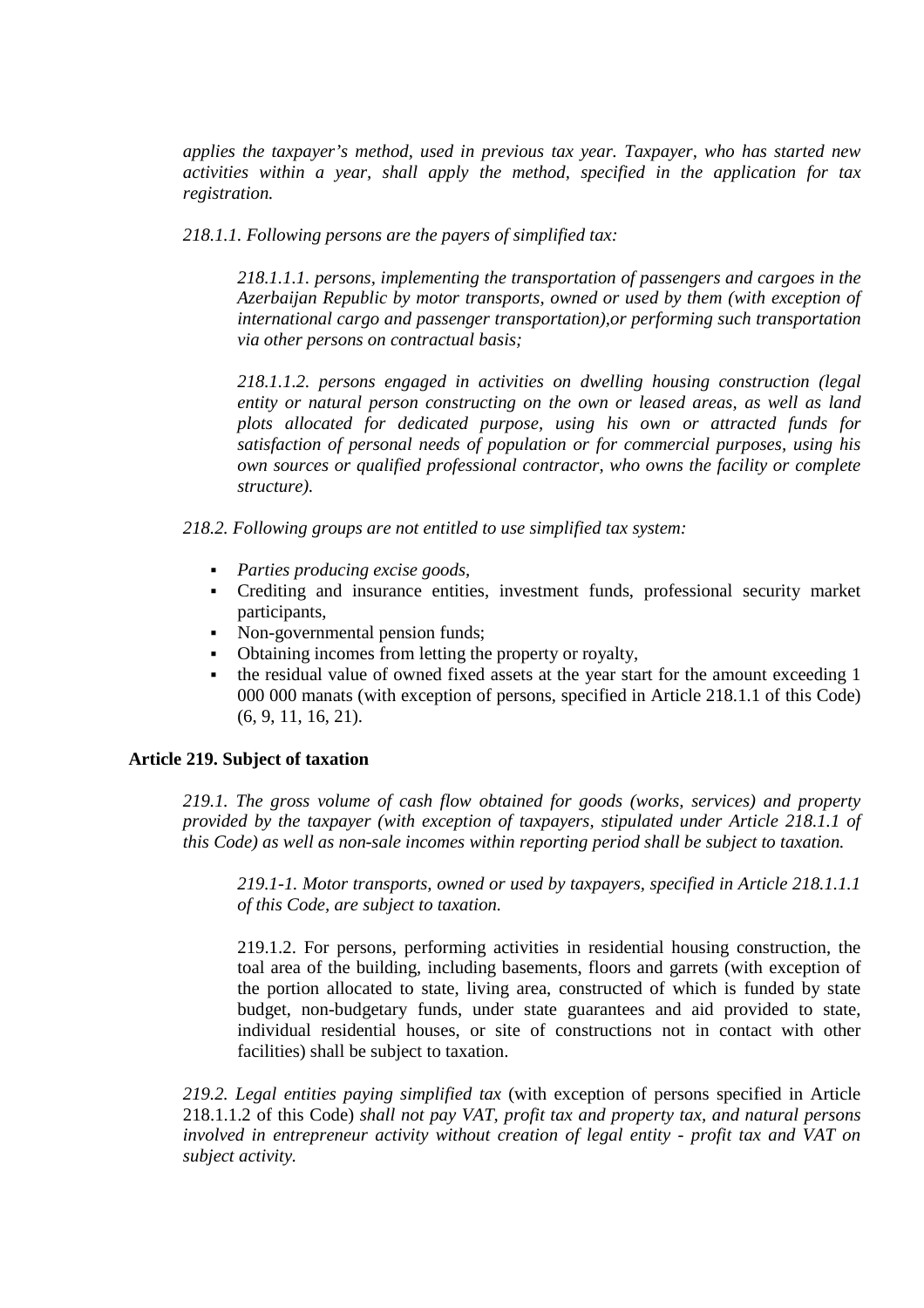*applies the taxpayer's method, used in previous tax year. Taxpayer, who has started new activities within a year, shall apply the method, specified in the application for tax registration.* 

*218.1.1. Following persons are the payers of simplified tax:* 

*218.1.1.1. persons, implementing the transportation of passengers and cargoes in the Azerbaijan Republic by motor transports, owned or used by them (with exception of international cargo and passenger transportation),or performing such transportation via other persons on contractual basis;* 

*218.1.1.2. persons engaged in activities on dwelling housing construction (legal entity or natural person constructing on the own or leased areas, as well as land plots allocated for dedicated purpose, using his own or attracted funds for satisfaction of personal needs of population or for commercial purposes, using his own sources or qualified professional contractor, who owns the facility or complete structure).* 

*218.2. Following groups are not entitled to use simplified tax system:* 

- *Parties producing excise goods,*
- Crediting and insurance entities, investment funds, professional security market participants,
- Non-governmental pension funds;
- Obtaining incomes from letting the property or royalty,
- the residual value of owned fixed assets at the year start for the amount exceeding 1 000 000 manats (with exception of persons, specified in Article 218.1.1 of this Code) (6, 9, 11, 16, 21).

### **Article 219. Subject of taxation**

*219.1. The gross volume of cash flow obtained for goods (works, services) and property provided by the taxpayer (with exception of taxpayers, stipulated under Article 218.1.1 of this Code) as well as non-sale incomes within reporting period shall be subject to taxation.* 

*219.1-1. Motor transports, owned or used by taxpayers, specified in Article 218.1.1.1 of this Code, are subject to taxation.* 

219.1.2. For persons, performing activities in residential housing construction, the toal area of the building, including basements, floors and garrets (with exception of the portion allocated to state, living area, constructed of which is funded by state budget, non-budgetary funds, under state guarantees and aid provided to state, individual residential houses, or site of constructions not in contact with other facilities) shall be subject to taxation.

*219.2. Legal entities paying simplified tax* (with exception of persons specified in Article 218.1.1.2 of this Code) *shall not pay VAT, profit tax and property tax, and natural persons involved in entrepreneur activity without creation of legal entity - profit tax and VAT on subject activity.*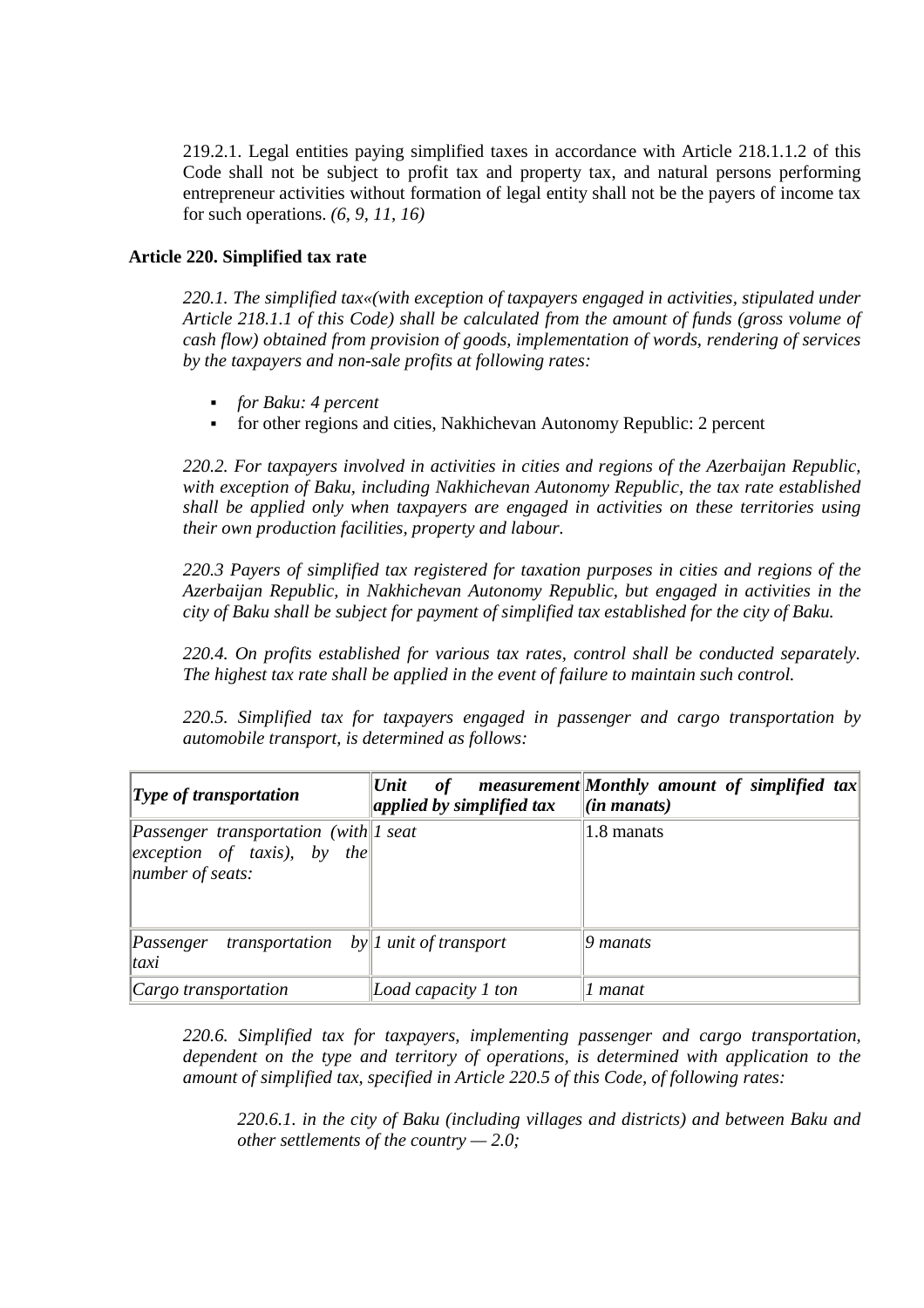219.2.1. Legal entities paying simplified taxes in accordance with Article 218.1.1.2 of this Code shall not be subject to profit tax and property tax, and natural persons performing entrepreneur activities without formation of legal entity shall not be the payers of income tax for such operations. *(6, 9, 11, 16)* 

## **Article 220. Simplified tax rate**

*220.1. The simplified tax«(with exception of taxpayers engaged in activities, stipulated under Article 218.1.1 of this Code) shall be calculated from the amount of funds (gross volume of cash flow) obtained from provision of goods, implementation of words, rendering of services by the taxpayers and non-sale profits at following rates:* 

- *for Baku: 4 percent*
- for other regions and cities, Nakhichevan Autonomy Republic: 2 percent

*220.2. For taxpayers involved in activities in cities and regions of the Azerbaijan Republic, with exception of Baku, including Nakhichevan Autonomy Republic, the tax rate established shall be applied only when taxpayers are engaged in activities on these territories using their own production facilities, property and labour.* 

*220.3 Payers of simplified tax registered for taxation purposes in cities and regions of the Azerbaijan Republic, in Nakhichevan Autonomy Republic, but engaged in activities in the city of Baku shall be subject for payment of simplified tax established for the city of Baku.* 

*220.4. On profits established for various tax rates, control shall be conducted separately. The highest tax rate shall be applied in the event of failure to maintain such control.* 

*220.5. Simplified tax for taxpayers engaged in passenger and cargo transportation by automobile transport, is determined as follows:* 

| $\mathbf{Type}$ of transportation                                                                                   | Unit <br>of<br>applied by simplified tax | measurement Monthly amount of simplified tax<br>$\left  \textit{(in manats)} \right $ |
|---------------------------------------------------------------------------------------------------------------------|------------------------------------------|---------------------------------------------------------------------------------------|
| <i>Passenger transportation (with 1 seat</i> )<br>$ exception of \, taxis , \, by \, the  $<br>$ $ number of seats: |                                          | 1.8 manats                                                                            |
| $\ Passenger\ $<br>transportation<br>$\vert taxi\rangle$                                                            | $by$ <i>l</i> unit of transport          | 9 manats                                                                              |
| $ Cargo$ transportation                                                                                             | Load capacity 1 ton                      | ! manat                                                                               |

*220.6. Simplified tax for taxpayers, implementing passenger and cargo transportation, dependent on the type and territory of operations, is determined with application to the amount of simplified tax, specified in Article 220.5 of this Code, of following rates:* 

*220.6.1. in the city of Baku (including villages and districts) and between Baku and other settlements of the country — 2.0;*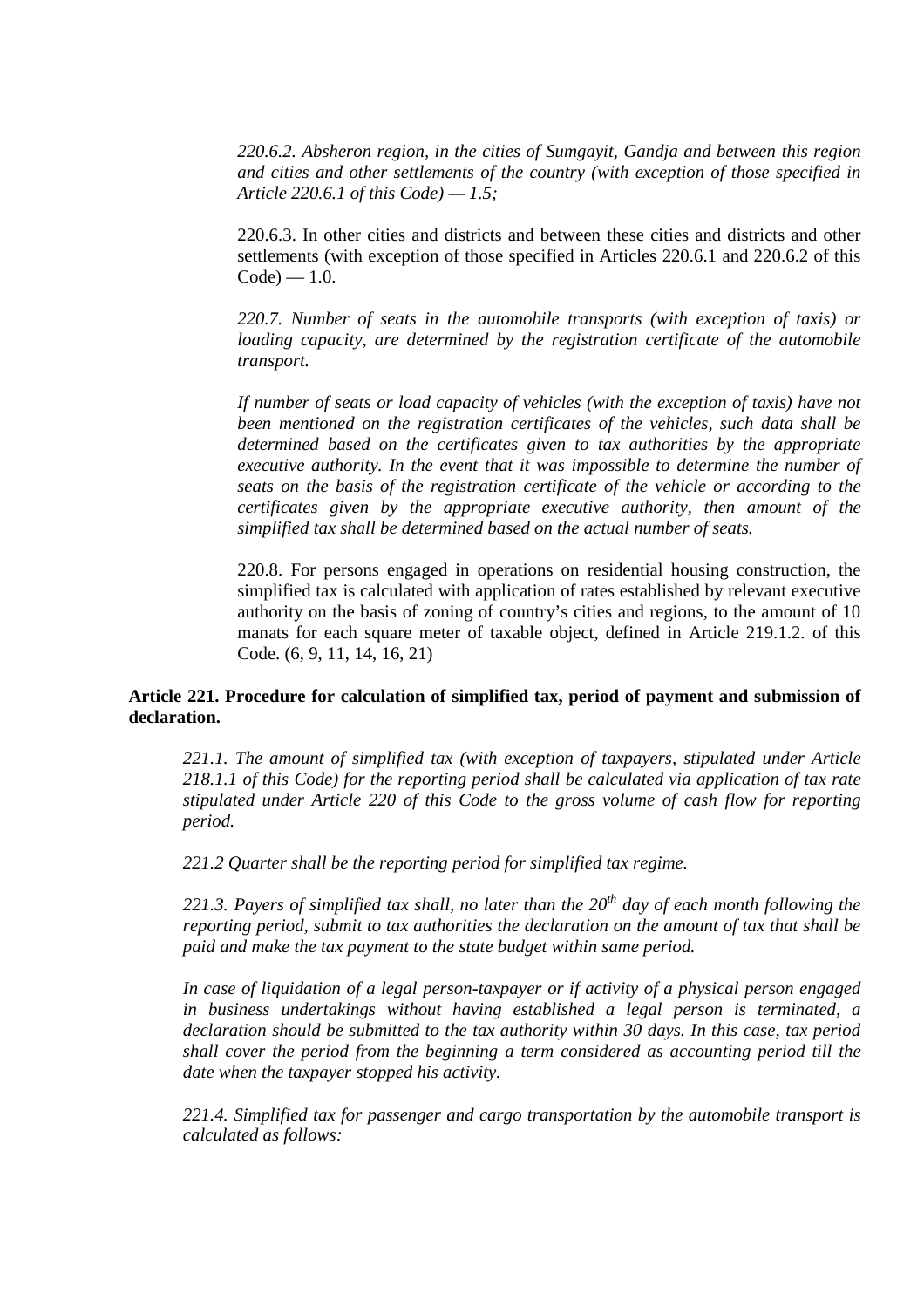*220.6.2. Absheron region, in the cities of Sumgayit, Gandja and between this region and cities and other settlements of the country (with exception of those specified in Article 220.6.1 of this Code) — 1.5;* 

220.6.3. In other cities and districts and between these cities and districts and other settlements (with exception of those specified in Articles 220.6.1 and 220.6.2 of this  $Code$ ) — 1.0.

*220.7. Number of seats in the automobile transports (with exception of taxis) or loading capacity, are determined by the registration certificate of the automobile transport.* 

*If number of seats or load capacity of vehicles (with the exception of taxis) have not been mentioned on the registration certificates of the vehicles, such data shall be determined based on the certificates given to tax authorities by the appropriate executive authority. In the event that it was impossible to determine the number of seats on the basis of the registration certificate of the vehicle or according to the certificates given by the appropriate executive authority, then amount of the simplified tax shall be determined based on the actual number of seats.* 

220.8. For persons engaged in operations on residential housing construction, the simplified tax is calculated with application of rates established by relevant executive authority on the basis of zoning of country's cities and regions, to the amount of 10 manats for each square meter of taxable object, defined in Article 219.1.2. of this Code. (6, 9, 11, 14, 16, 21)

## **Article 221. Procedure for calculation of simplified tax, period of payment and submission of declaration.**

*221.1. The amount of simplified tax (with exception of taxpayers, stipulated under Article 218.1.1 of this Code) for the reporting period shall be calculated via application of tax rate stipulated under Article 220 of this Code to the gross volume of cash flow for reporting period.* 

*221.2 Quarter shall be the reporting period for simplified tax regime.* 

*221.3. Payers of simplified tax shall, no later than the 20th day of each month following the reporting period, submit to tax authorities the declaration on the amount of tax that shall be paid and make the tax payment to the state budget within same period.* 

*In case of liquidation of a legal person-taxpayer or if activity of a physical person engaged in business undertakings without having established a legal person is terminated, a declaration should be submitted to the tax authority within 30 days. In this case, tax period shall cover the period from the beginning a term considered as accounting period till the date when the taxpayer stopped his activity.*

*221.4. Simplified tax for passenger and cargo transportation by the automobile transport is calculated as follows:*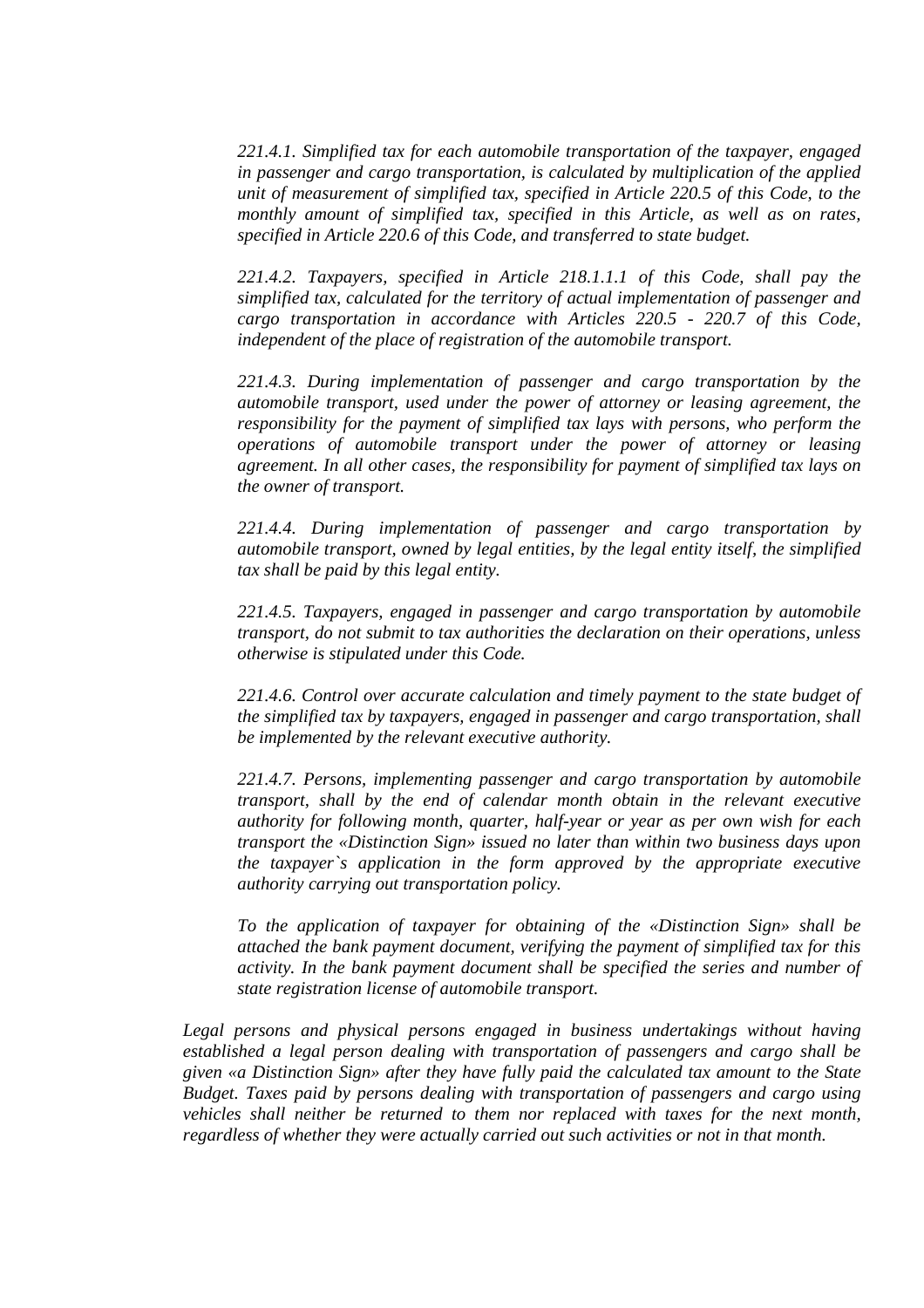*221.4.1. Simplified tax for each automobile transportation of the taxpayer, engaged in passenger and cargo transportation, is calculated by multiplication of the applied unit of measurement of simplified tax, specified in Article 220.5 of this Code, to the*  monthly amount of simplified tax, specified in this Article, as well as on rates, *specified in Article 220.6 of this Code, and transferred to state budget.* 

*221.4.2. Taxpayers, specified in Article 218.1.1.1 of this Code, shall pay the simplified tax, calculated for the territory of actual implementation of passenger and cargo transportation in accordance with Articles 220.5 - 220.7 of this Code, independent of the place of registration of the automobile transport.* 

*221.4.3. During implementation of passenger and cargo transportation by the automobile transport, used under the power of attorney or leasing agreement, the responsibility for the payment of simplified tax lays with persons, who perform the operations of automobile transport under the power of attorney or leasing agreement. In all other cases, the responsibility for payment of simplified tax lays on the owner of transport.* 

*221.4.4. During implementation of passenger and cargo transportation by automobile transport, owned by legal entities, by the legal entity itself, the simplified tax shall be paid by this legal entity.* 

*221.4.5. Taxpayers, engaged in passenger and cargo transportation by automobile transport, do not submit to tax authorities the declaration on their operations, unless otherwise is stipulated under this Code.* 

*221.4.6. Control over accurate calculation and timely payment to the state budget of the simplified tax by taxpayers, engaged in passenger and cargo transportation, shall be implemented by the relevant executive authority.*

*221.4.7. Persons, implementing passenger and cargo transportation by automobile transport, shall by the end of calendar month obtain in the relevant executive authority for following month, quarter, half-year or year as per own wish for each transport the «Distinction Sign» issued no later than within two business days upon the taxpayer`s application in the form approved by the appropriate executive authority carrying out transportation policy.*

*To the application of taxpayer for obtaining of the «Distinction Sign» shall be attached the bank payment document, verifying the payment of simplified tax for this activity. In the bank payment document shall be specified the series and number of state registration license of automobile transport.*

*Legal persons and physical persons engaged in business undertakings without having established a legal person dealing with transportation of passengers and cargo shall be given «a Distinction Sign» after they have fully paid the calculated tax amount to the State Budget. Taxes paid by persons dealing with transportation of passengers and cargo using vehicles shall neither be returned to them nor replaced with taxes for the next month, regardless of whether they were actually carried out such activities or not in that month.*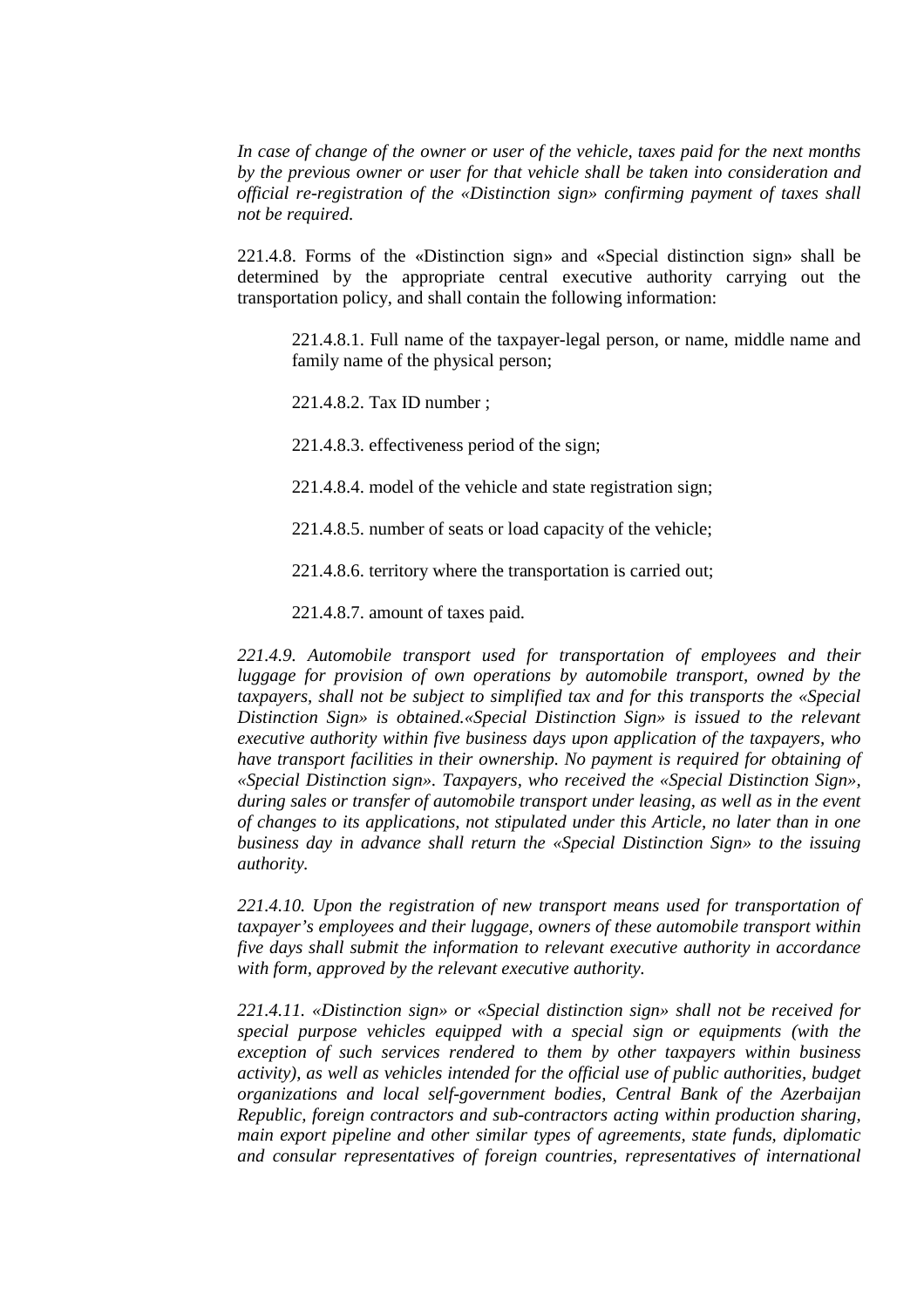*In case of change of the owner or user of the vehicle, taxes paid for the next months by the previous owner or user for that vehicle shall be taken into consideration and official re-registration of the «Distinction sign» confirming payment of taxes shall not be required.*

221.4.8. Forms of the «Distinction sign» and «Special distinction sign» shall be determined by the appropriate central executive authority carrying out the transportation policy, and shall contain the following information:

221.4.8.1. Full name of the taxpayer-legal person, or name, middle name and family name of the physical person;

221.4.8.2. Tax ID number ;

221.4.8.3. effectiveness period of the sign;

221.4.8.4. model of the vehicle and state registration sign;

221.4.8.5. number of seats or load capacity of the vehicle;

221.4.8.6. territory where the transportation is carried out;

221.4.8.7. amount of taxes paid.

*221.4.9. Automobile transport used for transportation of employees and their luggage for provision of own operations by automobile transport, owned by the taxpayers, shall not be subject to simplified tax and for this transports the «Special Distinction Sign» is obtained.«Special Distinction Sign» is issued to the relevant executive authority within five business days upon application of the taxpayers, who have transport facilities in their ownership. No payment is required for obtaining of «Special Distinction sign». Taxpayers, who received the «Special Distinction Sign», during sales or transfer of automobile transport under leasing, as well as in the event of changes to its applications, not stipulated under this Article, no later than in one business day in advance shall return the «Special Distinction Sign» to the issuing authority.* 

221.4.10. Upon the registration of new transport means used for transportation of *taxpayer's employees and their luggage, owners of these automobile transport within five days shall submit the information to relevant executive authority in accordance with form, approved by the relevant executive authority.* 

*221.4.11. «Distinction sign» or «Special distinction sign» shall not be received for special purpose vehicles equipped with a special sign or equipments (with the exception of such services rendered to them by other taxpayers within business activity), as well as vehicles intended for the official use of public authorities, budget organizations and local self-government bodies, Central Bank of the Azerbaijan Republic, foreign contractors and sub-contractors acting within production sharing, main export pipeline and other similar types of agreements, state funds, diplomatic and consular representatives of foreign countries, representatives of international*